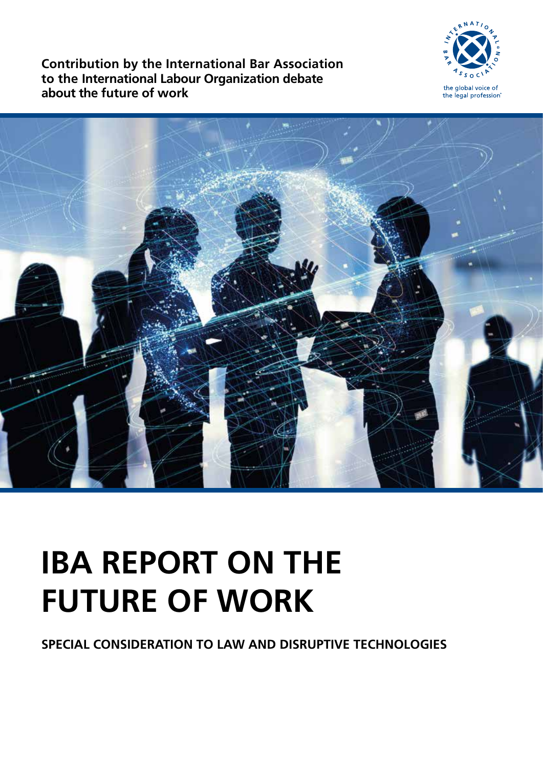**Contribution by the International Bar Association to the International Labour Organization debate about the future of work**





# **IBA REPORT ON THE FUTURE OF WORK**

**SPECIAL CONSIDERATION TO LAW AND DISRUPTIVE TECHNOLOGIES**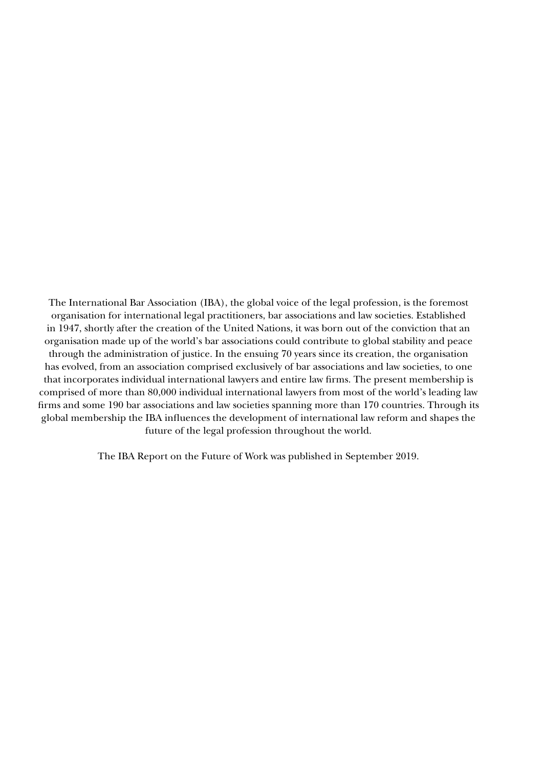The International Bar Association (IBA), the global voice of the legal profession, is the foremost organisation for international legal practitioners, bar associations and law societies. Established in 1947, shortly after the creation of the United Nations, it was born out of the conviction that an organisation made up of the world's bar associations could contribute to global stability and peace through the administration of justice. In the ensuing 70 years since its creation, the organisation has evolved, from an association comprised exclusively of bar associations and law societies, to one that incorporates individual international lawyers and entire law firms. The present membership is comprised of more than 80,000 individual international lawyers from most of the world's leading law firms and some 190 bar associations and law societies spanning more than 170 countries. Through its global membership the IBA influences the development of international law reform and shapes the future of the legal profession throughout the world.

The IBA Report on the Future of Work was published in September 2019.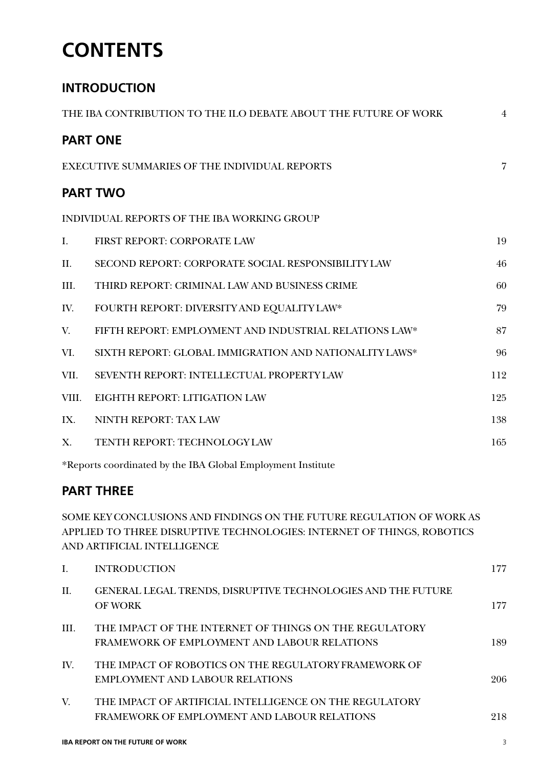## **CONTENTS**

## **INTRODUCTION**

| THE IBA CONTRIBUTION TO THE ILO DEBATE ABOUT THE FUTURE OF WORK |                                                        |                |  |  |
|-----------------------------------------------------------------|--------------------------------------------------------|----------------|--|--|
|                                                                 | <b>PART ONE</b>                                        |                |  |  |
|                                                                 | <b>EXECUTIVE SUMMARIES OF THE INDIVIDUAL REPORTS</b>   | $\overline{7}$ |  |  |
|                                                                 | <b>PART TWO</b>                                        |                |  |  |
|                                                                 | INDIVIDUAL REPORTS OF THE IBA WORKING GROUP            |                |  |  |
| I.                                                              | FIRST REPORT: CORPORATE LAW                            | 19             |  |  |
| II.                                                             | SECOND REPORT: CORPORATE SOCIAL RESPONSIBILITY LAW     | 46             |  |  |
| III.                                                            | THIRD REPORT: CRIMINAL LAW AND BUSINESS CRIME          | 60             |  |  |
| IV.                                                             | FOURTH REPORT: DIVERSITY AND EQUALITY LAW*             | 79             |  |  |
| V.                                                              | FIFTH REPORT: EMPLOYMENT AND INDUSTRIAL RELATIONS LAW* | 87             |  |  |
| VI.                                                             | SIXTH REPORT: GLOBAL IMMIGRATION AND NATIONALITY LAWS* | 96             |  |  |
| VII.                                                            | SEVENTH REPORT: INTELLECTUAL PROPERTYLAW               | 112            |  |  |
| VIII.                                                           | EIGHTH REPORT: LITIGATION LAW                          | 125            |  |  |
| IX.                                                             | NINTH REPORT: TAX LAW                                  | 138            |  |  |
| X.                                                              | TENTH REPORT: TECHNOLOGYLAW                            | 165            |  |  |
|                                                                 |                                                        |                |  |  |

\*Reports coordinated by the IBA Global Employment Institute

## **PART THREE**

SOME KEY CONCLUSIONS AND FINDINGS ON THE FUTURE REGULATION OF WORK AS APPLIED TO THREE DISRUPTIVE TECHNOLOGIES: INTERNET OF THINGS, ROBOTICS AND ARTIFICIAL INTELLIGENCE

|      | <b>INTRODUCTION</b>                                                                                     | 177 |
|------|---------------------------------------------------------------------------------------------------------|-----|
| H.   | GENERAL LEGAL TRENDS, DISRUPTIVE TECHNOLOGIES AND THE FUTURE<br><b>OF WORK</b>                          | 177 |
| III. | THE IMPACT OF THE INTERNET OF THINGS ON THE REGULATORY<br>FRAMEWORK OF EMPLOYMENT AND LABOUR RELATIONS  | 189 |
| IV.  | THE IMPACT OF ROBOTICS ON THE REGULATORY FRAMEWORK OF<br>EMPLOYMENT AND LABOUR RELATIONS                | 206 |
| V.   | THE IMPACT OF ARTIFICIAL INTELLIGENCE ON THE REGULATORY<br>FRAMEWORK OF EMPLOYMENT AND LABOUR RELATIONS | 218 |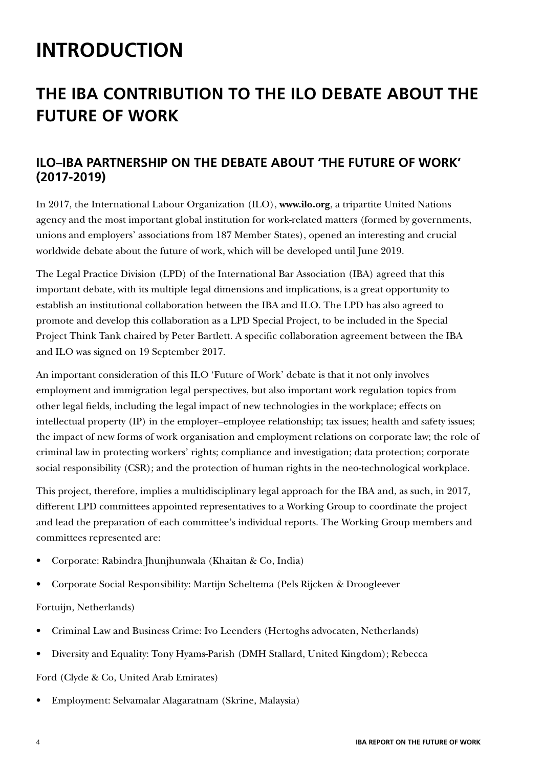## **INTRODUCTION**

## **THE IBA CONTRIBUTION TO THE ILO DEBATE ABOUT THE FUTURE OF WORK**

## **ILO–IBA PARTNERSHIP ON THE DEBATE ABOUT 'THE FUTURE OF WORK' (2017-2019)**

In 2017, the International Labour Organization (ILO), **www.ilo.org**, a tripartite United Nations agency and the most important global institution for work-related matters (formed by governments, unions and employers' associations from 187 Member States), opened an interesting and crucial worldwide debate about the future of work, which will be developed until June 2019.

The Legal Practice Division (LPD) of the International Bar Association (IBA) agreed that this important debate, with its multiple legal dimensions and implications, is a great opportunity to establish an institutional collaboration between the IBA and ILO. The LPD has also agreed to promote and develop this collaboration as a LPD Special Project, to be included in the Special Project Think Tank chaired by Peter Bartlett. A specific collaboration agreement between the IBA and ILO was signed on 19 September 2017.

An important consideration of this ILO 'Future of Work' debate is that it not only involves employment and immigration legal perspectives, but also important work regulation topics from other legal fields, including the legal impact of new technologies in the workplace; effects on intellectual property (IP) in the employer–employee relationship; tax issues; health and safety issues; the impact of new forms of work organisation and employment relations on corporate law; the role of criminal law in protecting workers' rights; compliance and investigation; data protection; corporate social responsibility (CSR); and the protection of human rights in the neo-technological workplace.

This project, therefore, implies a multidisciplinary legal approach for the IBA and, as such, in 2017, different LPD committees appointed representatives to a Working Group to coordinate the project and lead the preparation of each committee's individual reports. The Working Group members and committees represented are:

- Corporate: Rabindra Jhunjhunwala (Khaitan & Co, India)
- Corporate Social Responsibility: Martijn Scheltema (Pels Rijcken & Droogleever

#### Fortuijn, Netherlands)

- Criminal Law and Business Crime: Ivo Leenders (Hertoghs advocaten, Netherlands)
- Diversity and Equality: Tony Hyams-Parish (DMH Stallard, United Kingdom); Rebecca

Ford (Clyde & Co, United Arab Emirates)

• Employment: Selvamalar Alagaratnam (Skrine, Malaysia)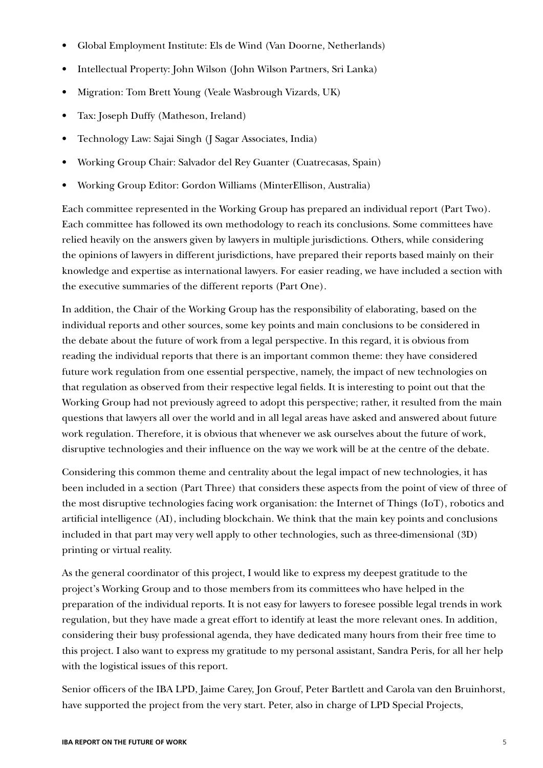- Global Employment Institute: Els de Wind (Van Doorne, Netherlands)
- Intellectual Property: John Wilson (John Wilson Partners, Sri Lanka)
- Migration: Tom Brett Young (Veale Wasbrough Vizards, UK)
- Tax: Joseph Duffy (Matheson, Ireland)
- Technology Law: Sajai Singh (J Sagar Associates, India)
- Working Group Chair: Salvador del Rey Guanter (Cuatrecasas, Spain)
- Working Group Editor: Gordon Williams (MinterEllison, Australia)

Each committee represented in the Working Group has prepared an individual report (Part Two). Each committee has followed its own methodology to reach its conclusions. Some committees have relied heavily on the answers given by lawyers in multiple jurisdictions. Others, while considering the opinions of lawyers in different jurisdictions, have prepared their reports based mainly on their knowledge and expertise as international lawyers. For easier reading, we have included a section with the executive summaries of the different reports (Part One).

In addition, the Chair of the Working Group has the responsibility of elaborating, based on the individual reports and other sources, some key points and main conclusions to be considered in the debate about the future of work from a legal perspective. In this regard, it is obvious from reading the individual reports that there is an important common theme: they have considered future work regulation from one essential perspective, namely, the impact of new technologies on that regulation as observed from their respective legal fields. It is interesting to point out that the Working Group had not previously agreed to adopt this perspective; rather, it resulted from the main questions that lawyers all over the world and in all legal areas have asked and answered about future work regulation. Therefore, it is obvious that whenever we ask ourselves about the future of work, disruptive technologies and their influence on the way we work will be at the centre of the debate.

Considering this common theme and centrality about the legal impact of new technologies, it has been included in a section (Part Three) that considers these aspects from the point of view of three of the most disruptive technologies facing work organisation: the Internet of Things (IoT), robotics and artificial intelligence (AI), including blockchain. We think that the main key points and conclusions included in that part may very well apply to other technologies, such as three-dimensional (3D) printing or virtual reality.

As the general coordinator of this project, I would like to express my deepest gratitude to the project's Working Group and to those members from its committees who have helped in the preparation of the individual reports. It is not easy for lawyers to foresee possible legal trends in work regulation, but they have made a great effort to identify at least the more relevant ones. In addition, considering their busy professional agenda, they have dedicated many hours from their free time to this project. I also want to express my gratitude to my personal assistant, Sandra Peris, for all her help with the logistical issues of this report.

Senior officers of the IBA LPD, Jaime Carey, Jon Grouf, Peter Bartlett and Carola van den Bruinhorst, have supported the project from the very start. Peter, also in charge of LPD Special Projects,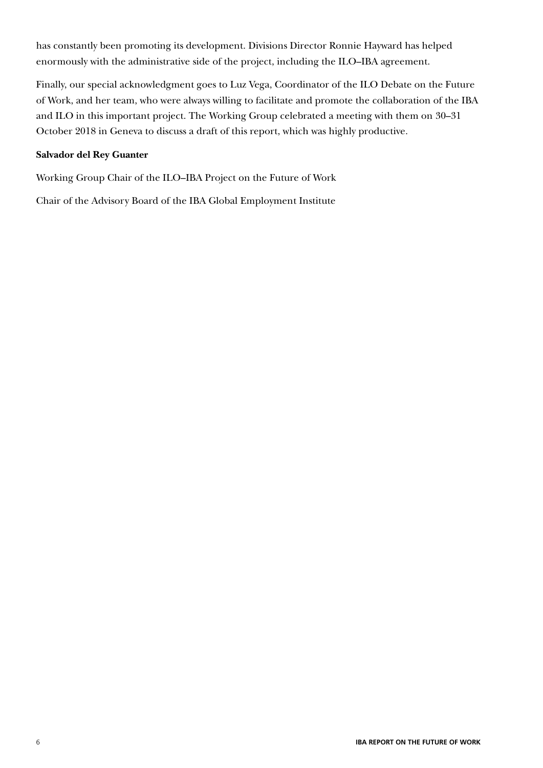has constantly been promoting its development. Divisions Director Ronnie Hayward has helped enormously with the administrative side of the project, including the ILO–IBA agreement.

Finally, our special acknowledgment goes to Luz Vega, Coordinator of the ILO Debate on the Future of Work, and her team, who were always willing to facilitate and promote the collaboration of the IBA and ILO in this important project. The Working Group celebrated a meeting with them on 30–31 October 2018 in Geneva to discuss a draft of this report, which was highly productive.

#### **Salvador del Rey Guanter**

Working Group Chair of the ILO–IBA Project on the Future of Work

Chair of the Advisory Board of the IBA Global Employment Institute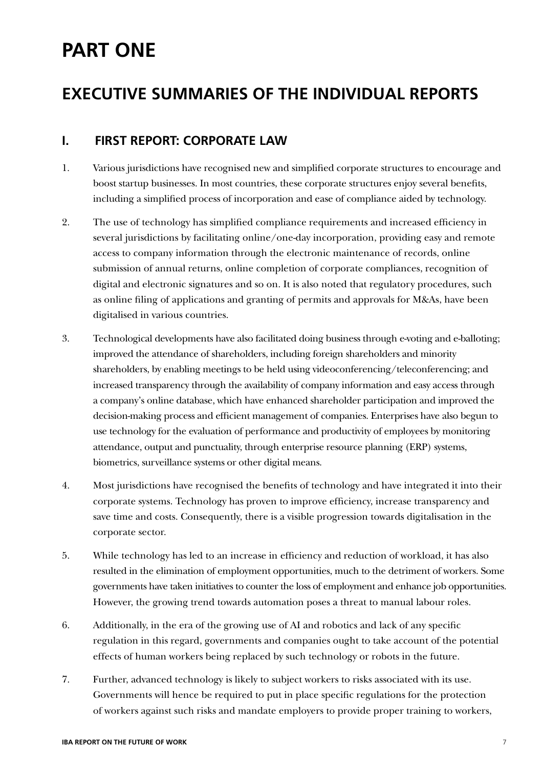## **PART ONE**

## **EXECUTIVE SUMMARIES OF THE INDIVIDUAL REPORTS**

## **I. FIRST REPORT: CORPORATE LAW**

- 1. Various jurisdictions have recognised new and simplified corporate structures to encourage and boost startup businesses. In most countries, these corporate structures enjoy several benefits, including a simplified process of incorporation and ease of compliance aided by technology.
- 2. The use of technology has simplified compliance requirements and increased efficiency in several jurisdictions by facilitating online/one-day incorporation, providing easy and remote access to company information through the electronic maintenance of records, online submission of annual returns, online completion of corporate compliances, recognition of digital and electronic signatures and so on. It is also noted that regulatory procedures, such as online filing of applications and granting of permits and approvals for M&As, have been digitalised in various countries.
- 3. Technological developments have also facilitated doing business through e-voting and e-balloting; improved the attendance of shareholders, including foreign shareholders and minority shareholders, by enabling meetings to be held using videoconferencing/teleconferencing; and increased transparency through the availability of company information and easy access through a company's online database, which have enhanced shareholder participation and improved the decision-making process and efficient management of companies. Enterprises have also begun to use technology for the evaluation of performance and productivity of employees by monitoring attendance, output and punctuality, through enterprise resource planning (ERP) systems, biometrics, surveillance systems or other digital means.
- 4. Most jurisdictions have recognised the benefits of technology and have integrated it into their corporate systems. Technology has proven to improve efficiency, increase transparency and save time and costs. Consequently, there is a visible progression towards digitalisation in the corporate sector.
- 5. While technology has led to an increase in efficiency and reduction of workload, it has also resulted in the elimination of employment opportunities, much to the detriment of workers. Some governments have taken initiatives to counter the loss of employment and enhance job opportunities. However, the growing trend towards automation poses a threat to manual labour roles.
- 6. Additionally, in the era of the growing use of AI and robotics and lack of any specific regulation in this regard, governments and companies ought to take account of the potential effects of human workers being replaced by such technology or robots in the future.
- 7. Further, advanced technology is likely to subject workers to risks associated with its use. Governments will hence be required to put in place specific regulations for the protection of workers against such risks and mandate employers to provide proper training to workers,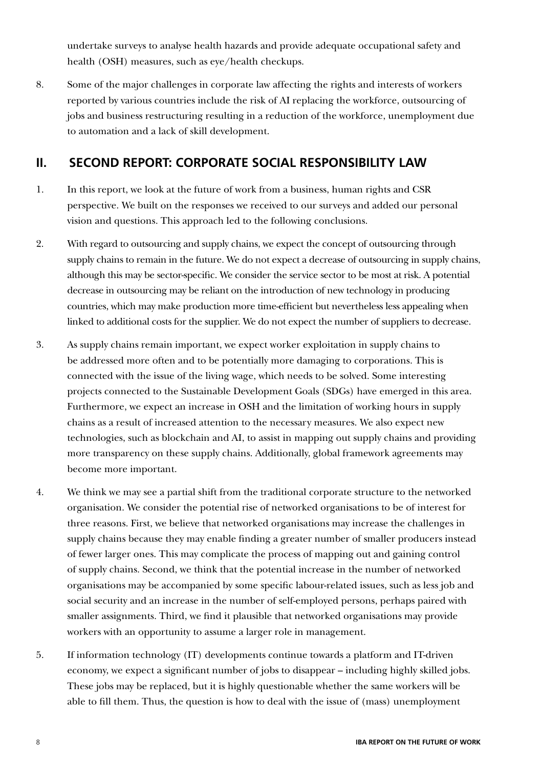undertake surveys to analyse health hazards and provide adequate occupational safety and health (OSH) measures, such as eye/health checkups.

8. Some of the major challenges in corporate law affecting the rights and interests of workers reported by various countries include the risk of AI replacing the workforce, outsourcing of jobs and business restructuring resulting in a reduction of the workforce, unemployment due to automation and a lack of skill development.

## **II. SECOND REPORT: CORPORATE SOCIAL RESPONSIBILITY LAW**

- 1. In this report, we look at the future of work from a business, human rights and CSR perspective. We built on the responses we received to our surveys and added our personal vision and questions. This approach led to the following conclusions.
- 2. With regard to outsourcing and supply chains, we expect the concept of outsourcing through supply chains to remain in the future. We do not expect a decrease of outsourcing in supply chains, although this may be sector-specific. We consider the service sector to be most at risk. A potential decrease in outsourcing may be reliant on the introduction of new technology in producing countries, which may make production more time-efficient but nevertheless less appealing when linked to additional costs for the supplier. We do not expect the number of suppliers to decrease.
- 3. As supply chains remain important, we expect worker exploitation in supply chains to be addressed more often and to be potentially more damaging to corporations. This is connected with the issue of the living wage, which needs to be solved. Some interesting projects connected to the Sustainable Development Goals (SDGs) have emerged in this area. Furthermore, we expect an increase in OSH and the limitation of working hours in supply chains as a result of increased attention to the necessary measures. We also expect new technologies, such as blockchain and AI, to assist in mapping out supply chains and providing more transparency on these supply chains. Additionally, global framework agreements may become more important.
- 4. We think we may see a partial shift from the traditional corporate structure to the networked organisation. We consider the potential rise of networked organisations to be of interest for three reasons. First, we believe that networked organisations may increase the challenges in supply chains because they may enable finding a greater number of smaller producers instead of fewer larger ones. This may complicate the process of mapping out and gaining control of supply chains. Second, we think that the potential increase in the number of networked organisations may be accompanied by some specific labour-related issues, such as less job and social security and an increase in the number of self-employed persons, perhaps paired with smaller assignments. Third, we find it plausible that networked organisations may provide workers with an opportunity to assume a larger role in management.
- 5. If information technology (IT) developments continue towards a platform and IT-driven economy, we expect a significant number of jobs to disappear – including highly skilled jobs. These jobs may be replaced, but it is highly questionable whether the same workers will be able to fill them. Thus, the question is how to deal with the issue of (mass) unemployment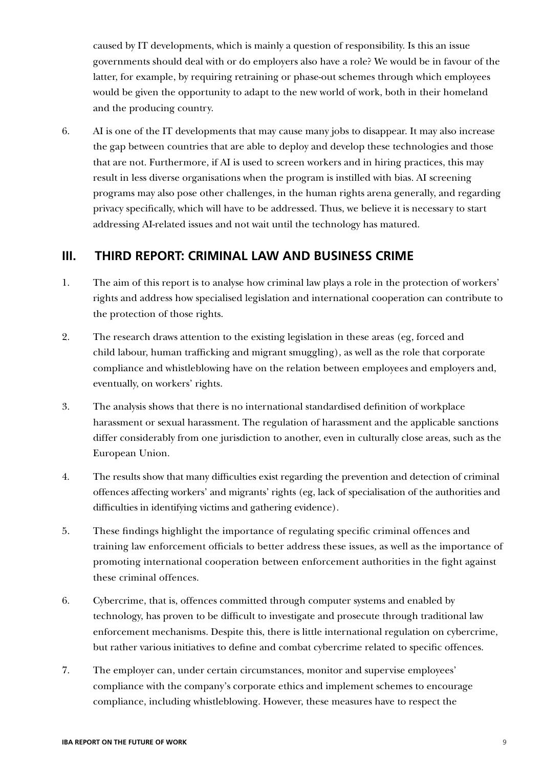caused by IT developments, which is mainly a question of responsibility. Is this an issue governments should deal with or do employers also have a role? We would be in favour of the latter, for example, by requiring retraining or phase-out schemes through which employees would be given the opportunity to adapt to the new world of work, both in their homeland and the producing country.

6. AI is one of the IT developments that may cause many jobs to disappear. It may also increase the gap between countries that are able to deploy and develop these technologies and those that are not. Furthermore, if AI is used to screen workers and in hiring practices, this may result in less diverse organisations when the program is instilled with bias. AI screening programs may also pose other challenges, in the human rights arena generally, and regarding privacy specifically, which will have to be addressed. Thus, we believe it is necessary to start addressing AI-related issues and not wait until the technology has matured.

## **III. THIRD REPORT: CRIMINAL LAW AND BUSINESS CRIME**

- 1. The aim of this report is to analyse how criminal law plays a role in the protection of workers' rights and address how specialised legislation and international cooperation can contribute to the protection of those rights.
- 2. The research draws attention to the existing legislation in these areas (eg, forced and child labour, human trafficking and migrant smuggling), as well as the role that corporate compliance and whistleblowing have on the relation between employees and employers and, eventually, on workers' rights.
- 3. The analysis shows that there is no international standardised definition of workplace harassment or sexual harassment. The regulation of harassment and the applicable sanctions differ considerably from one jurisdiction to another, even in culturally close areas, such as the European Union.
- 4. The results show that many difficulties exist regarding the prevention and detection of criminal offences affecting workers' and migrants' rights (eg, lack of specialisation of the authorities and difficulties in identifying victims and gathering evidence).
- 5. These findings highlight the importance of regulating specific criminal offences and training law enforcement officials to better address these issues, as well as the importance of promoting international cooperation between enforcement authorities in the fight against these criminal offences.
- 6. Cybercrime, that is, offences committed through computer systems and enabled by technology, has proven to be difficult to investigate and prosecute through traditional law enforcement mechanisms. Despite this, there is little international regulation on cybercrime, but rather various initiatives to define and combat cybercrime related to specific offences.
- 7. The employer can, under certain circumstances, monitor and supervise employees' compliance with the company's corporate ethics and implement schemes to encourage compliance, including whistleblowing. However, these measures have to respect the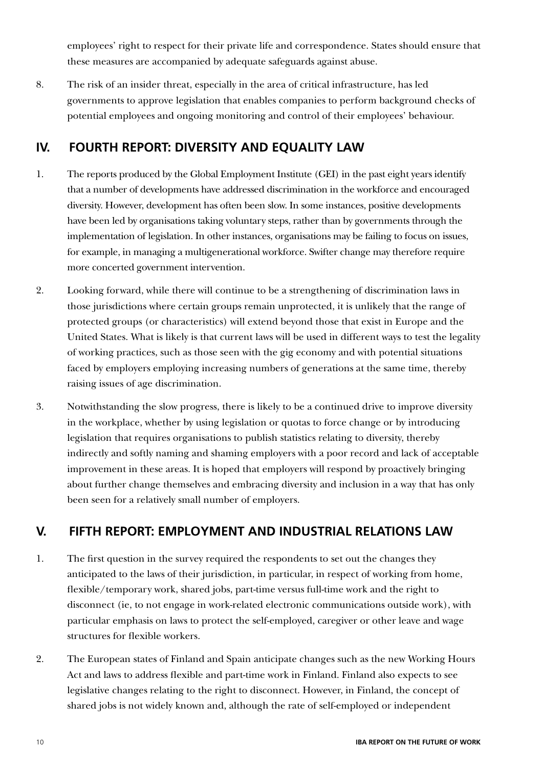employees' right to respect for their private life and correspondence. States should ensure that these measures are accompanied by adequate safeguards against abuse.

8. The risk of an insider threat, especially in the area of critical infrastructure, has led governments to approve legislation that enables companies to perform background checks of potential employees and ongoing monitoring and control of their employees' behaviour.

## **IV. FOURTH REPORT: DIVERSITY AND EQUALITY LAW**

- 1. The reports produced by the Global Employment Institute (GEI) in the past eight years identify that a number of developments have addressed discrimination in the workforce and encouraged diversity. However, development has often been slow. In some instances, positive developments have been led by organisations taking voluntary steps, rather than by governments through the implementation of legislation. In other instances, organisations may be failing to focus on issues, for example, in managing a multigenerational workforce. Swifter change may therefore require more concerted government intervention.
- 2. Looking forward, while there will continue to be a strengthening of discrimination laws in those jurisdictions where certain groups remain unprotected, it is unlikely that the range of protected groups (or characteristics) will extend beyond those that exist in Europe and the United States. What is likely is that current laws will be used in different ways to test the legality of working practices, such as those seen with the gig economy and with potential situations faced by employers employing increasing numbers of generations at the same time, thereby raising issues of age discrimination.
- 3. Notwithstanding the slow progress, there is likely to be a continued drive to improve diversity in the workplace, whether by using legislation or quotas to force change or by introducing legislation that requires organisations to publish statistics relating to diversity, thereby indirectly and softly naming and shaming employers with a poor record and lack of acceptable improvement in these areas. It is hoped that employers will respond by proactively bringing about further change themselves and embracing diversity and inclusion in a way that has only been seen for a relatively small number of employers.

## **V. FIFTH REPORT: EMPLOYMENT AND INDUSTRIAL RELATIONS LAW**

- 1. The first question in the survey required the respondents to set out the changes they anticipated to the laws of their jurisdiction, in particular, in respect of working from home, flexible/temporary work, shared jobs, part-time versus full-time work and the right to disconnect (ie, to not engage in work-related electronic communications outside work), with particular emphasis on laws to protect the self-employed, caregiver or other leave and wage structures for flexible workers.
- 2. The European states of Finland and Spain anticipate changes such as the new Working Hours Act and laws to address flexible and part-time work in Finland. Finland also expects to see legislative changes relating to the right to disconnect. However, in Finland, the concept of shared jobs is not widely known and, although the rate of self-employed or independent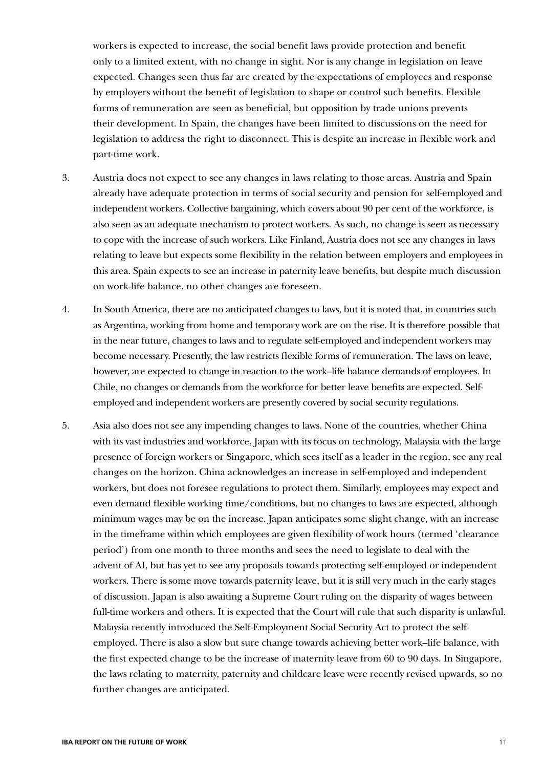workers is expected to increase, the social benefit laws provide protection and benefit only to a limited extent, with no change in sight. Nor is any change in legislation on leave expected. Changes seen thus far are created by the expectations of employees and response by employers without the benefit of legislation to shape or control such benefits. Flexible forms of remuneration are seen as beneficial, but opposition by trade unions prevents their development. In Spain, the changes have been limited to discussions on the need for legislation to address the right to disconnect. This is despite an increase in flexible work and part-time work.

- 3. Austria does not expect to see any changes in laws relating to those areas. Austria and Spain already have adequate protection in terms of social security and pension for self-employed and independent workers. Collective bargaining, which covers about 90 per cent of the workforce, is also seen as an adequate mechanism to protect workers. As such, no change is seen as necessary to cope with the increase of such workers. Like Finland, Austria does not see any changes in laws relating to leave but expects some flexibility in the relation between employers and employees in this area. Spain expects to see an increase in paternity leave benefits, but despite much discussion on work-life balance, no other changes are foreseen.
- 4. In South America, there are no anticipated changes to laws, but it is noted that, in countries such as Argentina, working from home and temporary work are on the rise. It is therefore possible that in the near future, changes to laws and to regulate self-employed and independent workers may become necessary. Presently, the law restricts flexible forms of remuneration. The laws on leave, however, are expected to change in reaction to the work–life balance demands of employees. In Chile, no changes or demands from the workforce for better leave benefits are expected. Selfemployed and independent workers are presently covered by social security regulations.
- 5. Asia also does not see any impending changes to laws. None of the countries, whether China with its vast industries and workforce, Japan with its focus on technology, Malaysia with the large presence of foreign workers or Singapore, which sees itself as a leader in the region, see any real changes on the horizon. China acknowledges an increase in self-employed and independent workers, but does not foresee regulations to protect them. Similarly, employees may expect and even demand flexible working time/conditions, but no changes to laws are expected, although minimum wages may be on the increase. Japan anticipates some slight change, with an increase in the timeframe within which employees are given flexibility of work hours (termed 'clearance period') from one month to three months and sees the need to legislate to deal with the advent of AI, but has yet to see any proposals towards protecting self-employed or independent workers. There is some move towards paternity leave, but it is still very much in the early stages of discussion. Japan is also awaiting a Supreme Court ruling on the disparity of wages between full-time workers and others. It is expected that the Court will rule that such disparity is unlawful. Malaysia recently introduced the Self-Employment Social Security Act to protect the selfemployed. There is also a slow but sure change towards achieving better work–life balance, with the first expected change to be the increase of maternity leave from 60 to 90 days. In Singapore, the laws relating to maternity, paternity and childcare leave were recently revised upwards, so no further changes are anticipated.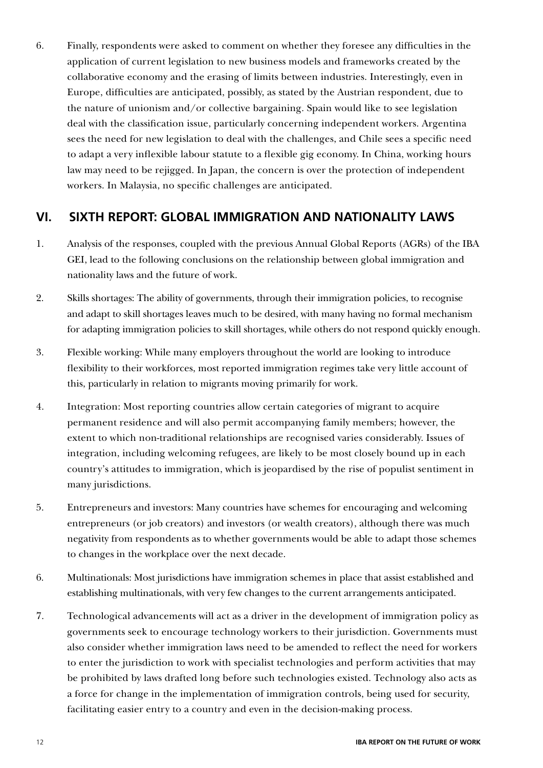6. Finally, respondents were asked to comment on whether they foresee any difficulties in the application of current legislation to new business models and frameworks created by the collaborative economy and the erasing of limits between industries. Interestingly, even in Europe, difficulties are anticipated, possibly, as stated by the Austrian respondent, due to the nature of unionism and/or collective bargaining. Spain would like to see legislation deal with the classification issue, particularly concerning independent workers. Argentina sees the need for new legislation to deal with the challenges, and Chile sees a specific need to adapt a very inflexible labour statute to a flexible gig economy. In China, working hours law may need to be rejigged. In Japan, the concern is over the protection of independent workers. In Malaysia, no specific challenges are anticipated.

## **VI. SIXTH REPORT: GLOBAL IMMIGRATION AND NATIONALITY LAWS**

- 1. Analysis of the responses, coupled with the previous Annual Global Reports (AGRs) of the IBA GEI, lead to the following conclusions on the relationship between global immigration and nationality laws and the future of work.
- 2. Skills shortages: The ability of governments, through their immigration policies, to recognise and adapt to skill shortages leaves much to be desired, with many having no formal mechanism for adapting immigration policies to skill shortages, while others do not respond quickly enough.
- 3. Flexible working: While many employers throughout the world are looking to introduce flexibility to their workforces, most reported immigration regimes take very little account of this, particularly in relation to migrants moving primarily for work.
- 4. Integration: Most reporting countries allow certain categories of migrant to acquire permanent residence and will also permit accompanying family members; however, the extent to which non-traditional relationships are recognised varies considerably. Issues of integration, including welcoming refugees, are likely to be most closely bound up in each country's attitudes to immigration, which is jeopardised by the rise of populist sentiment in many jurisdictions.
- 5. Entrepreneurs and investors: Many countries have schemes for encouraging and welcoming entrepreneurs (or job creators) and investors (or wealth creators), although there was much negativity from respondents as to whether governments would be able to adapt those schemes to changes in the workplace over the next decade.
- 6. Multinationals: Most jurisdictions have immigration schemes in place that assist established and establishing multinationals, with very few changes to the current arrangements anticipated.
- 7. Technological advancements will act as a driver in the development of immigration policy as governments seek to encourage technology workers to their jurisdiction. Governments must also consider whether immigration laws need to be amended to reflect the need for workers to enter the jurisdiction to work with specialist technologies and perform activities that may be prohibited by laws drafted long before such technologies existed. Technology also acts as a force for change in the implementation of immigration controls, being used for security, facilitating easier entry to a country and even in the decision-making process.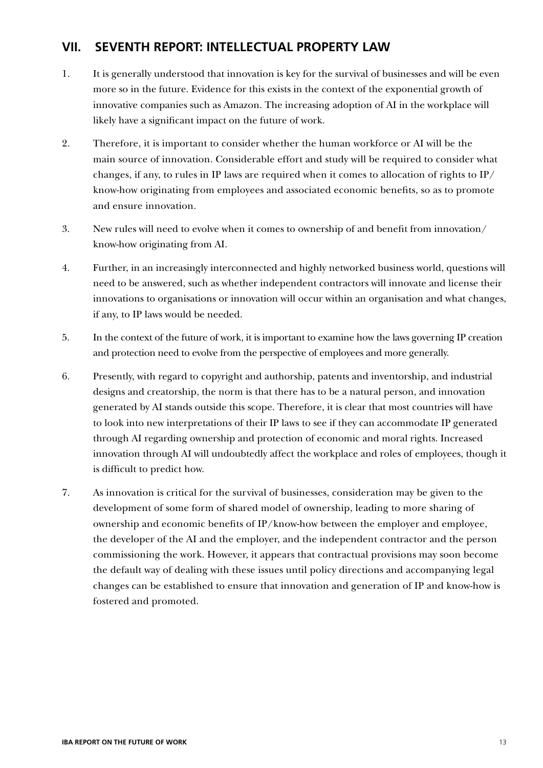## **VII. SEVENTH REPORT: INTELLECTUAL PROPERTY LAW**

- 1. It is generally understood that innovation is key for the survival of businesses and will be even more so in the future. Evidence for this exists in the context of the exponential growth of innovative companies such as Amazon. The increasing adoption of AI in the workplace will likely have a significant impact on the future of work.
- 2. Therefore, it is important to consider whether the human workforce or AI will be the main source of innovation. Considerable effort and study will be required to consider what changes, if any, to rules in IP laws are required when it comes to allocation of rights to IP/ know-how originating from employees and associated economic benefits, so as to promote and ensure innovation.
- 3. New rules will need to evolve when it comes to ownership of and benefit from innovation/ know-how originating from AI.
- 4. Further, in an increasingly interconnected and highly networked business world, questions will need to be answered, such as whether independent contractors will innovate and license their innovations to organisations or innovation will occur within an organisation and what changes, if any, to IP laws would be needed.
- 5. In the context of the future of work, it is important to examine how the laws governing IP creation and protection need to evolve from the perspective of employees and more generally.
- 6. Presently, with regard to copyright and authorship, patents and inventorship, and industrial designs and creatorship, the norm is that there has to be a natural person, and innovation generated by AI stands outside this scope. Therefore, it is clear that most countries will have to look into new interpretations of their IP laws to see if they can accommodate IP generated through AI regarding ownership and protection of economic and moral rights. Increased innovation through AI will undoubtedly affect the workplace and roles of employees, though it is difficult to predict how.
- 7. As innovation is critical for the survival of businesses, consideration may be given to the development of some form of shared model of ownership, leading to more sharing of ownership and economic benefits of IP/know-how between the employer and employee, the developer of the AI and the employer, and the independent contractor and the person commissioning the work. However, it appears that contractual provisions may soon become the default way of dealing with these issues until policy directions and accompanying legal changes can be established to ensure that innovation and generation of IP and know-how is fostered and promoted.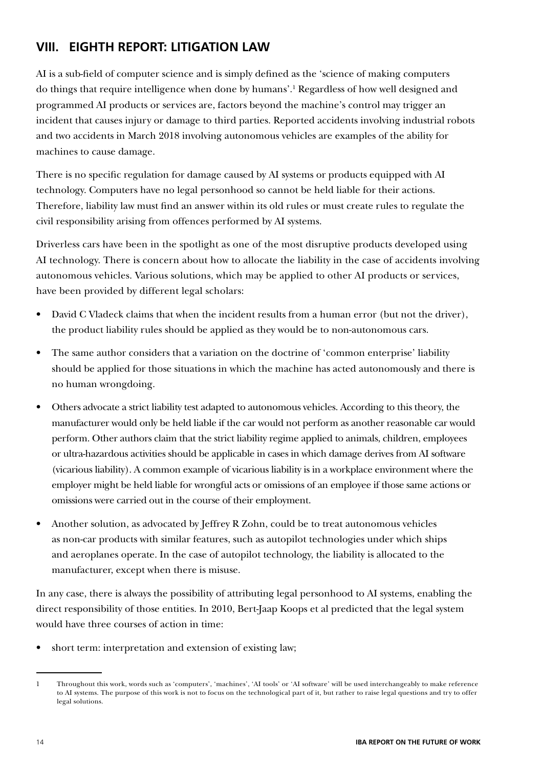## **VIII. EIGHTH REPORT: LITIGATION LAW**

AI is a sub-field of computer science and is simply defined as the 'science of making computers do things that require intelligence when done by humans'.1 Regardless of how well designed and programmed AI products or services are, factors beyond the machine's control may trigger an incident that causes injury or damage to third parties. Reported accidents involving industrial robots and two accidents in March 2018 involving autonomous vehicles are examples of the ability for machines to cause damage.

There is no specific regulation for damage caused by AI systems or products equipped with AI technology. Computers have no legal personhood so cannot be held liable for their actions. Therefore, liability law must find an answer within its old rules or must create rules to regulate the civil responsibility arising from offences performed by AI systems.

Driverless cars have been in the spotlight as one of the most disruptive products developed using AI technology. There is concern about how to allocate the liability in the case of accidents involving autonomous vehicles. Various solutions, which may be applied to other AI products or services, have been provided by different legal scholars:

- David C Vladeck claims that when the incident results from a human error (but not the driver), the product liability rules should be applied as they would be to non-autonomous cars.
- The same author considers that a variation on the doctrine of 'common enterprise' liability should be applied for those situations in which the machine has acted autonomously and there is no human wrongdoing.
- Others advocate a strict liability test adapted to autonomous vehicles. According to this theory, the manufacturer would only be held liable if the car would not perform as another reasonable car would perform. Other authors claim that the strict liability regime applied to animals, children, employees or ultra-hazardous activities should be applicable in cases in which damage derives from AI software (vicarious liability). A common example of vicarious liability is in a workplace environment where the employer might be held liable for wrongful acts or omissions of an employee if those same actions or omissions were carried out in the course of their employment.
- Another solution, as advocated by Jeffrey R Zohn, could be to treat autonomous vehicles as non-car products with similar features, such as autopilot technologies under which ships and aeroplanes operate. In the case of autopilot technology, the liability is allocated to the manufacturer, except when there is misuse.

In any case, there is always the possibility of attributing legal personhood to AI systems, enabling the direct responsibility of those entities. In 2010, Bert-Jaap Koops et al predicted that the legal system would have three courses of action in time:

short term: interpretation and extension of existing law;

<sup>1</sup> Throughout this work, words such as 'computers', 'machines', 'AI tools' or 'AI software' will be used interchangeably to make reference to AI systems. The purpose of this work is not to focus on the technological part of it, but rather to raise legal questions and try to offer legal solutions.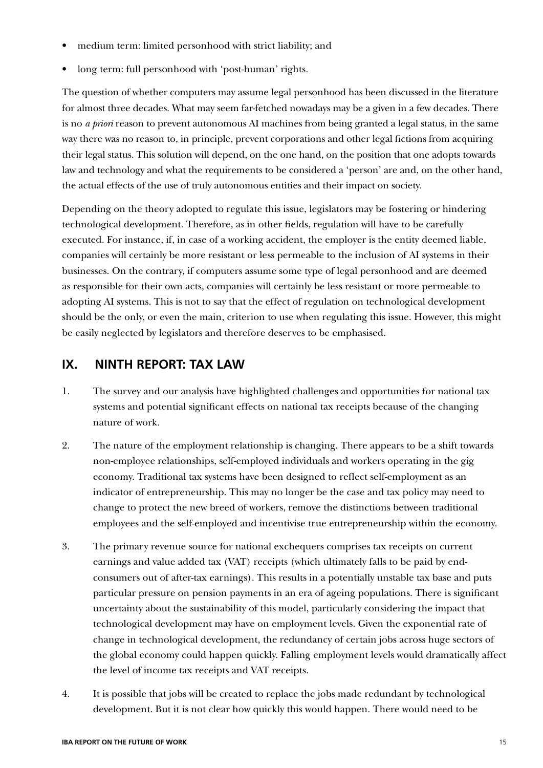- medium term: limited personhood with strict liability; and
- long term: full personhood with 'post-human' rights.

The question of whether computers may assume legal personhood has been discussed in the literature for almost three decades. What may seem far-fetched nowadays may be a given in a few decades. There is no *a priori* reason to prevent autonomous AI machines from being granted a legal status, in the same way there was no reason to, in principle, prevent corporations and other legal fictions from acquiring their legal status. This solution will depend, on the one hand, on the position that one adopts towards law and technology and what the requirements to be considered a 'person' are and, on the other hand, the actual effects of the use of truly autonomous entities and their impact on society.

Depending on the theory adopted to regulate this issue, legislators may be fostering or hindering technological development. Therefore, as in other fields, regulation will have to be carefully executed. For instance, if, in case of a working accident, the employer is the entity deemed liable, companies will certainly be more resistant or less permeable to the inclusion of AI systems in their businesses. On the contrary, if computers assume some type of legal personhood and are deemed as responsible for their own acts, companies will certainly be less resistant or more permeable to adopting AI systems. This is not to say that the effect of regulation on technological development should be the only, or even the main, criterion to use when regulating this issue. However, this might be easily neglected by legislators and therefore deserves to be emphasised.

### **IX. NINTH REPORT: TAX LAW**

- 1. The survey and our analysis have highlighted challenges and opportunities for national tax systems and potential significant effects on national tax receipts because of the changing nature of work.
- 2. The nature of the employment relationship is changing. There appears to be a shift towards non-employee relationships, self-employed individuals and workers operating in the gig economy. Traditional tax systems have been designed to reflect self-employment as an indicator of entrepreneurship. This may no longer be the case and tax policy may need to change to protect the new breed of workers, remove the distinctions between traditional employees and the self-employed and incentivise true entrepreneurship within the economy.
- 3. The primary revenue source for national exchequers comprises tax receipts on current earnings and value added tax (VAT) receipts (which ultimately falls to be paid by endconsumers out of after-tax earnings). This results in a potentially unstable tax base and puts particular pressure on pension payments in an era of ageing populations. There is significant uncertainty about the sustainability of this model, particularly considering the impact that technological development may have on employment levels. Given the exponential rate of change in technological development, the redundancy of certain jobs across huge sectors of the global economy could happen quickly. Falling employment levels would dramatically affect the level of income tax receipts and VAT receipts.
- 4. It is possible that jobs will be created to replace the jobs made redundant by technological development. But it is not clear how quickly this would happen. There would need to be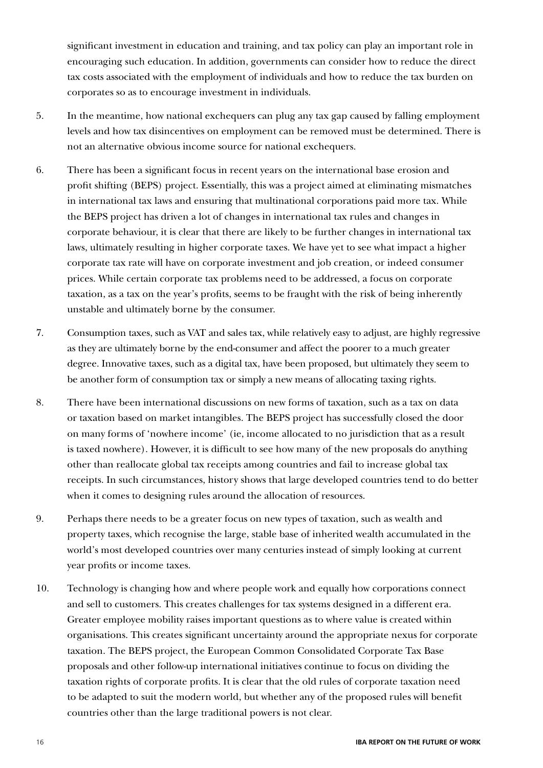significant investment in education and training, and tax policy can play an important role in encouraging such education. In addition, governments can consider how to reduce the direct tax costs associated with the employment of individuals and how to reduce the tax burden on corporates so as to encourage investment in individuals.

- 5. In the meantime, how national exchequers can plug any tax gap caused by falling employment levels and how tax disincentives on employment can be removed must be determined. There is not an alternative obvious income source for national exchequers.
- 6. There has been a significant focus in recent years on the international base erosion and profit shifting (BEPS) project. Essentially, this was a project aimed at eliminating mismatches in international tax laws and ensuring that multinational corporations paid more tax. While the BEPS project has driven a lot of changes in international tax rules and changes in corporate behaviour, it is clear that there are likely to be further changes in international tax laws, ultimately resulting in higher corporate taxes. We have yet to see what impact a higher corporate tax rate will have on corporate investment and job creation, or indeed consumer prices. While certain corporate tax problems need to be addressed, a focus on corporate taxation, as a tax on the year's profits, seems to be fraught with the risk of being inherently unstable and ultimately borne by the consumer.
- 7. Consumption taxes, such as VAT and sales tax, while relatively easy to adjust, are highly regressive as they are ultimately borne by the end-consumer and affect the poorer to a much greater degree. Innovative taxes, such as a digital tax, have been proposed, but ultimately they seem to be another form of consumption tax or simply a new means of allocating taxing rights.
- 8. There have been international discussions on new forms of taxation, such as a tax on data or taxation based on market intangibles. The BEPS project has successfully closed the door on many forms of 'nowhere income' (ie, income allocated to no jurisdiction that as a result is taxed nowhere). However, it is difficult to see how many of the new proposals do anything other than reallocate global tax receipts among countries and fail to increase global tax receipts. In such circumstances, history shows that large developed countries tend to do better when it comes to designing rules around the allocation of resources.
- 9. Perhaps there needs to be a greater focus on new types of taxation, such as wealth and property taxes, which recognise the large, stable base of inherited wealth accumulated in the world's most developed countries over many centuries instead of simply looking at current year profits or income taxes.
- 10. Technology is changing how and where people work and equally how corporations connect and sell to customers. This creates challenges for tax systems designed in a different era. Greater employee mobility raises important questions as to where value is created within organisations. This creates significant uncertainty around the appropriate nexus for corporate taxation. The BEPS project, the European Common Consolidated Corporate Tax Base proposals and other follow-up international initiatives continue to focus on dividing the taxation rights of corporate profits. It is clear that the old rules of corporate taxation need to be adapted to suit the modern world, but whether any of the proposed rules will benefit countries other than the large traditional powers is not clear.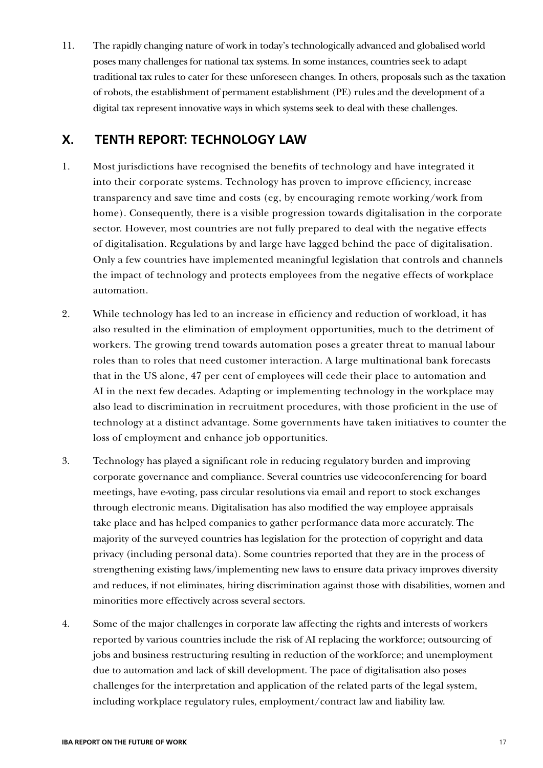11. The rapidly changing nature of work in today's technologically advanced and globalised world poses many challenges for national tax systems. In some instances, countries seek to adapt traditional tax rules to cater for these unforeseen changes. In others, proposals such as the taxation of robots, the establishment of permanent establishment (PE) rules and the development of a digital tax represent innovative ways in which systems seek to deal with these challenges.

## **X. TENTH REPORT: TECHNOLOGY LAW**

- 1. Most jurisdictions have recognised the benefits of technology and have integrated it into their corporate systems. Technology has proven to improve efficiency, increase transparency and save time and costs (eg, by encouraging remote working/work from home). Consequently, there is a visible progression towards digitalisation in the corporate sector. However, most countries are not fully prepared to deal with the negative effects of digitalisation. Regulations by and large have lagged behind the pace of digitalisation. Only a few countries have implemented meaningful legislation that controls and channels the impact of technology and protects employees from the negative effects of workplace automation.
- 2. While technology has led to an increase in efficiency and reduction of workload, it has also resulted in the elimination of employment opportunities, much to the detriment of workers. The growing trend towards automation poses a greater threat to manual labour roles than to roles that need customer interaction. A large multinational bank forecasts that in the US alone, 47 per cent of employees will cede their place to automation and AI in the next few decades. Adapting or implementing technology in the workplace may also lead to discrimination in recruitment procedures, with those proficient in the use of technology at a distinct advantage. Some governments have taken initiatives to counter the loss of employment and enhance job opportunities.
- 3. Technology has played a significant role in reducing regulatory burden and improving corporate governance and compliance. Several countries use videoconferencing for board meetings, have e-voting, pass circular resolutions via email and report to stock exchanges through electronic means. Digitalisation has also modified the way employee appraisals take place and has helped companies to gather performance data more accurately. The majority of the surveyed countries has legislation for the protection of copyright and data privacy (including personal data). Some countries reported that they are in the process of strengthening existing laws/implementing new laws to ensure data privacy improves diversity and reduces, if not eliminates, hiring discrimination against those with disabilities, women and minorities more effectively across several sectors.
- 4. Some of the major challenges in corporate law affecting the rights and interests of workers reported by various countries include the risk of AI replacing the workforce; outsourcing of jobs and business restructuring resulting in reduction of the workforce; and unemployment due to automation and lack of skill development. The pace of digitalisation also poses challenges for the interpretation and application of the related parts of the legal system, including workplace regulatory rules, employment/contract law and liability law.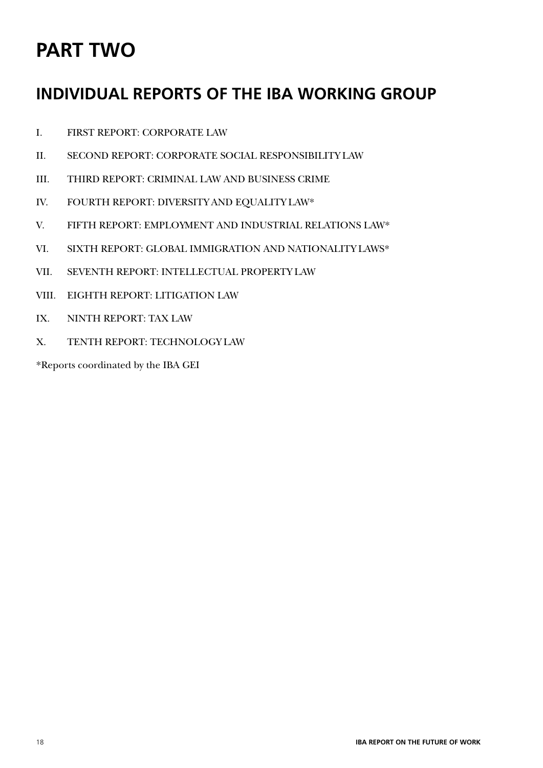## **PART TWO**

## **INDIVIDUAL REPORTS OF THE IBA WORKING GROUP**

- I. FIRST REPORT: CORPORATE LAW
- II. SECOND REPORT: CORPORATE SOCIAL RESPONSIBILITY LAW
- III. THIRD REPORT: CRIMINAL LAW AND BUSINESS CRIME
- IV. FOURTH REPORT: DIVERSITY AND EQUALITY LAW\*
- V. FIFTH REPORT: EMPLOYMENT AND INDUSTRIAL RELATIONS LAW\*
- VI. SIXTH REPORT: GLOBAL IMMIGRATION AND NATIONALITY LAWS\*
- VII. SEVENTH REPORT: INTELLECTUAL PROPERTY LAW
- VIII. EIGHTH REPORT: LITIGATION LAW
- IX. NINTH REPORT: TAX LAW
- X. TENTH REPORT: TECHNOLOGY LAW

\*Reports coordinated by the IBA GEI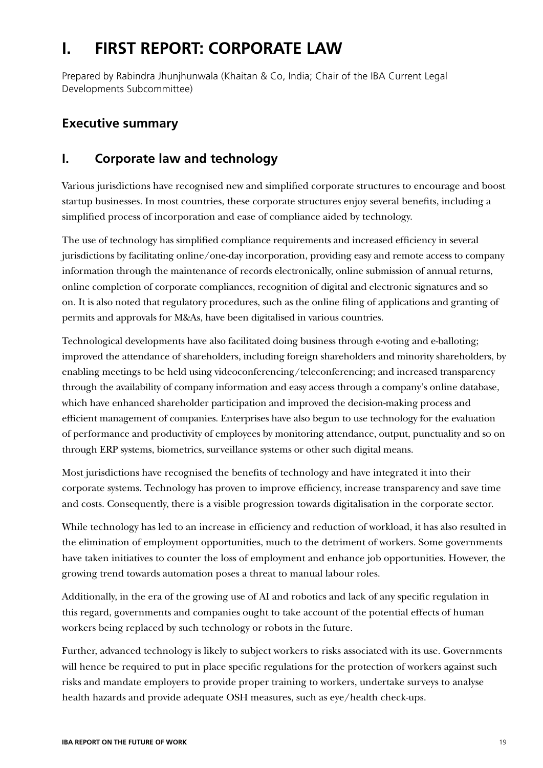## **I. FIRST REPORT: CORPORATE LAW**

Prepared by Rabindra Jhunjhunwala (Khaitan & Co, India; Chair of the IBA Current Legal Developments Subcommittee)

## **Executive summary**

## **I. Corporate law and technology**

Various jurisdictions have recognised new and simplified corporate structures to encourage and boost startup businesses. In most countries, these corporate structures enjoy several benefits, including a simplified process of incorporation and ease of compliance aided by technology.

The use of technology has simplified compliance requirements and increased efficiency in several jurisdictions by facilitating online/one-day incorporation, providing easy and remote access to company information through the maintenance of records electronically, online submission of annual returns, online completion of corporate compliances, recognition of digital and electronic signatures and so on. It is also noted that regulatory procedures, such as the online filing of applications and granting of permits and approvals for M&As, have been digitalised in various countries.

Technological developments have also facilitated doing business through e-voting and e-balloting; improved the attendance of shareholders, including foreign shareholders and minority shareholders, by enabling meetings to be held using videoconferencing/teleconferencing; and increased transparency through the availability of company information and easy access through a company's online database, which have enhanced shareholder participation and improved the decision-making process and efficient management of companies. Enterprises have also begun to use technology for the evaluation of performance and productivity of employees by monitoring attendance, output, punctuality and so on through ERP systems, biometrics, surveillance systems or other such digital means.

Most jurisdictions have recognised the benefits of technology and have integrated it into their corporate systems. Technology has proven to improve efficiency, increase transparency and save time and costs. Consequently, there is a visible progression towards digitalisation in the corporate sector.

While technology has led to an increase in efficiency and reduction of workload, it has also resulted in the elimination of employment opportunities, much to the detriment of workers. Some governments have taken initiatives to counter the loss of employment and enhance job opportunities. However, the growing trend towards automation poses a threat to manual labour roles.

Additionally, in the era of the growing use of AI and robotics and lack of any specific regulation in this regard, governments and companies ought to take account of the potential effects of human workers being replaced by such technology or robots in the future.

Further, advanced technology is likely to subject workers to risks associated with its use. Governments will hence be required to put in place specific regulations for the protection of workers against such risks and mandate employers to provide proper training to workers, undertake surveys to analyse health hazards and provide adequate OSH measures, such as eye/health check-ups.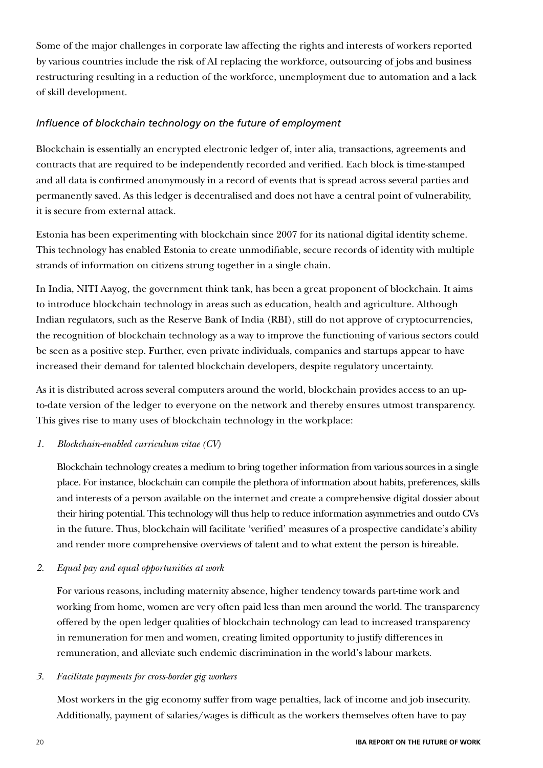Some of the major challenges in corporate law affecting the rights and interests of workers reported by various countries include the risk of AI replacing the workforce, outsourcing of jobs and business restructuring resulting in a reduction of the workforce, unemployment due to automation and a lack of skill development.

### *Influence of blockchain technology on the future of employment*

Blockchain is essentially an encrypted electronic ledger of, inter alia, transactions, agreements and contracts that are required to be independently recorded and verified. Each block is time-stamped and all data is confirmed anonymously in a record of events that is spread across several parties and permanently saved. As this ledger is decentralised and does not have a central point of vulnerability, it is secure from external attack.

Estonia has been experimenting with blockchain since 2007 for its national digital identity scheme. This technology has enabled Estonia to create unmodifiable, secure records of identity with multiple strands of information on citizens strung together in a single chain.

In India, NITI Aayog, the government think tank, has been a great proponent of blockchain. It aims to introduce blockchain technology in areas such as education, health and agriculture. Although Indian regulators, such as the Reserve Bank of India (RBI), still do not approve of cryptocurrencies, the recognition of blockchain technology as a way to improve the functioning of various sectors could be seen as a positive step. Further, even private individuals, companies and startups appear to have increased their demand for talented blockchain developers, despite regulatory uncertainty.

As it is distributed across several computers around the world, blockchain provides access to an upto-date version of the ledger to everyone on the network and thereby ensures utmost transparency. This gives rise to many uses of blockchain technology in the workplace:

### *1. Blockchain-enabled curriculum vitae (CV)*

Blockchain technology creates a medium to bring together information from various sources in a single place. For instance, blockchain can compile the plethora of information about habits, preferences, skills and interests of a person available on the internet and create a comprehensive digital dossier about their hiring potential. This technology will thus help to reduce information asymmetries and outdo CVs in the future. Thus, blockchain will facilitate 'verified' measures of a prospective candidate's ability and render more comprehensive overviews of talent and to what extent the person is hireable.

#### *2. Equal pay and equal opportunities at work*

For various reasons, including maternity absence, higher tendency towards part-time work and working from home, women are very often paid less than men around the world. The transparency offered by the open ledger qualities of blockchain technology can lead to increased transparency in remuneration for men and women, creating limited opportunity to justify differences in remuneration, and alleviate such endemic discrimination in the world's labour markets.

#### *3. Facilitate payments for cross-border gig workers*

Most workers in the gig economy suffer from wage penalties, lack of income and job insecurity. Additionally, payment of salaries/wages is difficult as the workers themselves often have to pay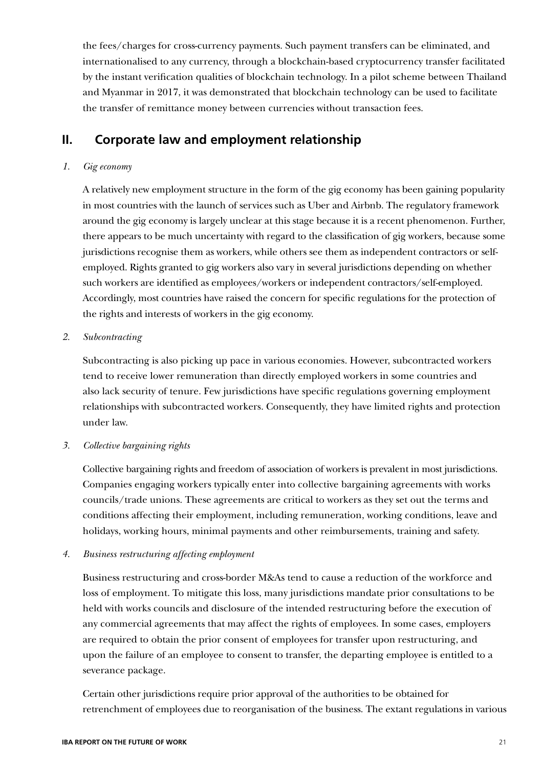the fees/charges for cross-currency payments. Such payment transfers can be eliminated, and internationalised to any currency, through a blockchain-based cryptocurrency transfer facilitated by the instant verification qualities of blockchain technology. In a pilot scheme between Thailand and Myanmar in 2017, it was demonstrated that blockchain technology can be used to facilitate the transfer of remittance money between currencies without transaction fees.

## **II. Corporate law and employment relationship**

#### *1. Gig economy*

A relatively new employment structure in the form of the gig economy has been gaining popularity in most countries with the launch of services such as Uber and Airbnb. The regulatory framework around the gig economy is largely unclear at this stage because it is a recent phenomenon. Further, there appears to be much uncertainty with regard to the classification of gig workers, because some jurisdictions recognise them as workers, while others see them as independent contractors or selfemployed. Rights granted to gig workers also vary in several jurisdictions depending on whether such workers are identified as employees/workers or independent contractors/self-employed. Accordingly, most countries have raised the concern for specific regulations for the protection of the rights and interests of workers in the gig economy.

#### *2. Subcontracting*

Subcontracting is also picking up pace in various economies. However, subcontracted workers tend to receive lower remuneration than directly employed workers in some countries and also lack security of tenure. Few jurisdictions have specific regulations governing employment relationships with subcontracted workers. Consequently, they have limited rights and protection under law.

#### *3. Collective bargaining rights*

Collective bargaining rights and freedom of association of workers is prevalent in most jurisdictions. Companies engaging workers typically enter into collective bargaining agreements with works councils/trade unions. These agreements are critical to workers as they set out the terms and conditions affecting their employment, including remuneration, working conditions, leave and holidays, working hours, minimal payments and other reimbursements, training and safety.

### *4. Business restructuring affecting employment*

Business restructuring and cross-border M&As tend to cause a reduction of the workforce and loss of employment. To mitigate this loss, many jurisdictions mandate prior consultations to be held with works councils and disclosure of the intended restructuring before the execution of any commercial agreements that may affect the rights of employees. In some cases, employers are required to obtain the prior consent of employees for transfer upon restructuring, and upon the failure of an employee to consent to transfer, the departing employee is entitled to a severance package.

Certain other jurisdictions require prior approval of the authorities to be obtained for retrenchment of employees due to reorganisation of the business. The extant regulations in various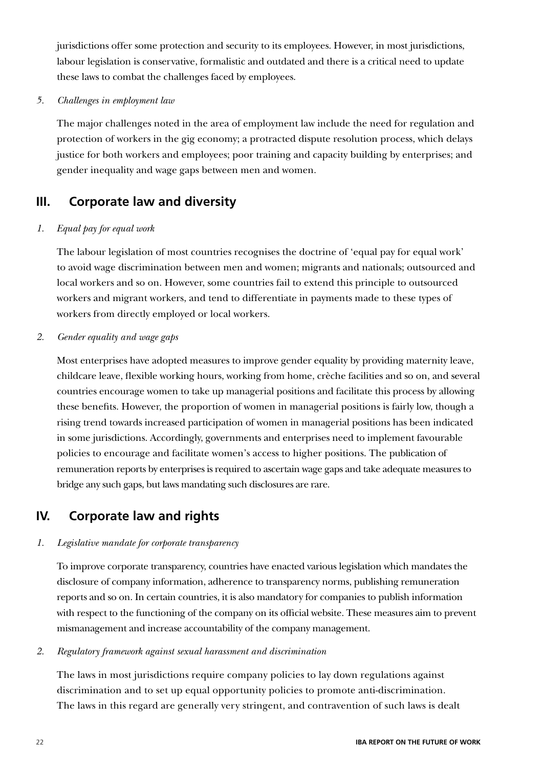jurisdictions offer some protection and security to its employees. However, in most jurisdictions, labour legislation is conservative, formalistic and outdated and there is a critical need to update these laws to combat the challenges faced by employees.

*5. Challenges in employment law*

The major challenges noted in the area of employment law include the need for regulation and protection of workers in the gig economy; a protracted dispute resolution process, which delays justice for both workers and employees; poor training and capacity building by enterprises; and gender inequality and wage gaps between men and women.

## **III. Corporate law and diversity**

### *1. Equal pay for equal work*

The labour legislation of most countries recognises the doctrine of 'equal pay for equal work' to avoid wage discrimination between men and women; migrants and nationals; outsourced and local workers and so on. However, some countries fail to extend this principle to outsourced workers and migrant workers, and tend to differentiate in payments made to these types of workers from directly employed or local workers.

### *2. Gender equality and wage gaps*

Most enterprises have adopted measures to improve gender equality by providing maternity leave, childcare leave, flexible working hours, working from home, crèche facilities and so on, and several countries encourage women to take up managerial positions and facilitate this process by allowing these benefits. However, the proportion of women in managerial positions is fairly low, though a rising trend towards increased participation of women in managerial positions has been indicated in some jurisdictions. Accordingly, governments and enterprises need to implement favourable policies to encourage and facilitate women's access to higher positions. The publication of remuneration reports by enterprises is required to ascertain wage gaps and take adequate measures to bridge any such gaps, but laws mandating such disclosures are rare.

## **IV. Corporate law and rights**

### *1. Legislative mandate for corporate transparency*

To improve corporate transparency, countries have enacted various legislation which mandates the disclosure of company information, adherence to transparency norms, publishing remuneration reports and so on. In certain countries, it is also mandatory for companies to publish information with respect to the functioning of the company on its official website. These measures aim to prevent mismanagement and increase accountability of the company management.

### *2. Regulatory framework against sexual harassment and discrimination*

The laws in most jurisdictions require company policies to lay down regulations against discrimination and to set up equal opportunity policies to promote anti-discrimination. The laws in this regard are generally very stringent, and contravention of such laws is dealt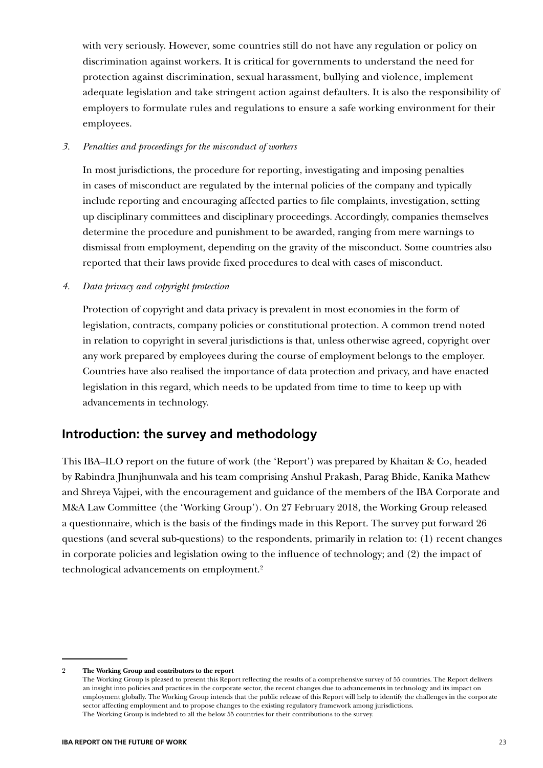with very seriously. However, some countries still do not have any regulation or policy on discrimination against workers. It is critical for governments to understand the need for protection against discrimination, sexual harassment, bullying and violence, implement adequate legislation and take stringent action against defaulters. It is also the responsibility of employers to formulate rules and regulations to ensure a safe working environment for their employees.

*3. Penalties and proceedings for the misconduct of workers*

In most jurisdictions, the procedure for reporting, investigating and imposing penalties in cases of misconduct are regulated by the internal policies of the company and typically include reporting and encouraging affected parties to file complaints, investigation, setting up disciplinary committees and disciplinary proceedings. Accordingly, companies themselves determine the procedure and punishment to be awarded, ranging from mere warnings to dismissal from employment, depending on the gravity of the misconduct. Some countries also reported that their laws provide fixed procedures to deal with cases of misconduct.

*4. Data privacy and copyright protection*

Protection of copyright and data privacy is prevalent in most economies in the form of legislation, contracts, company policies or constitutional protection. A common trend noted in relation to copyright in several jurisdictions is that, unless otherwise agreed, copyright over any work prepared by employees during the course of employment belongs to the employer. Countries have also realised the importance of data protection and privacy, and have enacted legislation in this regard, which needs to be updated from time to time to keep up with advancements in technology.

## **Introduction: the survey and methodology**

This IBA–ILO report on the future of work (the 'Report') was prepared by Khaitan & Co, headed by Rabindra Jhunjhunwala and his team comprising Anshul Prakash, Parag Bhide, Kanika Mathew and Shreya Vajpei, with the encouragement and guidance of the members of the IBA Corporate and M&A Law Committee (the 'Working Group'). On 27 February 2018, the Working Group released a questionnaire, which is the basis of the findings made in this Report. The survey put forward 26 questions (and several sub-questions) to the respondents, primarily in relation to: (1) recent changes in corporate policies and legislation owing to the influence of technology; and (2) the impact of technological advancements on employment.2

<sup>2</sup> **The Working Group and contributors to the report**

The Working Group is pleased to present this Report reflecting the results of a comprehensive survey of 55 countries. The Report delivers an insight into policies and practices in the corporate sector, the recent changes due to advancements in technology and its impact on employment globally. The Working Group intends that the public release of this Report will help to identify the challenges in the corporate sector affecting employment and to propose changes to the existing regulatory framework among jurisdictions. The Working Group is indebted to all the below 55 countries for their contributions to the survey.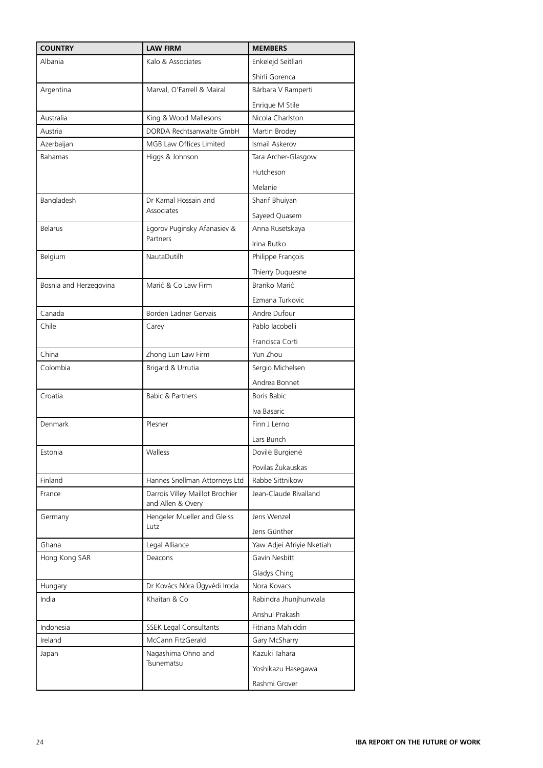| <b>COUNTRY</b>         | <b>LAW FIRM</b>                                      | <b>MEMBERS</b>            |
|------------------------|------------------------------------------------------|---------------------------|
| Albania                | Kalo & Associates                                    | Enkelejd Seitllari        |
|                        |                                                      | Shirli Gorenca            |
| Argentina              | Marval, O'Farrell & Mairal                           | Bárbara V Ramperti        |
|                        |                                                      | Enrique M Stile           |
| Australia              | King & Wood Mallesons                                | Nicola Charlston          |
| Austria                | DORDA Rechtsanwalte GmbH                             | Martin Brodey             |
| Azerbaijan             | MGB Law Offices Limited                              | Ismail Askerov            |
| <b>Bahamas</b>         | Higgs & Johnson                                      | Tara Archer-Glasgow       |
|                        |                                                      | Hutcheson                 |
|                        |                                                      | Melanie                   |
| Bangladesh             | Dr Kamal Hossain and                                 | Sharif Bhuiyan            |
|                        | Associates                                           | Sayeed Quasem             |
| <b>Belarus</b>         | Egorov Puginsky Afanasiev &                          | Anna Rusetskaya           |
|                        | Partners                                             | Irina Butko               |
| Belgium                | NautaDutilh                                          | Philippe François         |
|                        |                                                      | Thierry Duquesne          |
| Bosnia and Herzegovina | Marić & Co Law Firm                                  | Branko Marić              |
|                        |                                                      | Ezmana Turkovic           |
| Canada                 | Borden Ladner Gervais                                | Andre Dufour              |
| Chile                  | Carey                                                | Pablo Iacobelli           |
|                        |                                                      | Francisca Corti           |
| China                  | Zhong Lun Law Firm                                   | Yun Zhou                  |
| Colombia               | Brigard & Urrutia                                    | Sergio Michelsen          |
|                        |                                                      | Andrea Bonnet             |
| Croatia                | <b>Babic &amp; Partners</b>                          | Boris Babic               |
|                        |                                                      | Iva Basaric               |
| Denmark                | Plesner                                              | Finn J Lerno              |
|                        |                                                      | Lars Bunch                |
| Estonia                | Walless                                              | Dovilė Burgienė           |
|                        |                                                      | Povilas Žukauskas         |
| Finland                | Hannes Snellman Attorneys Ltd                        | Rabbe Sittnikow           |
| France                 | Darrois Villey Maillot Brochier<br>and Allen & Overy | Jean-Claude Rivalland     |
| Germany                | Hengeler Mueller and Gleiss                          | Jens Wenzel               |
|                        | Lutz                                                 | Jens Günther              |
| Ghana                  | Legal Alliance                                       | Yaw Adjei Afriyie Nketiah |
| Hong Kong SAR          | Deacons                                              | Gavin Nesbitt             |
|                        |                                                      | Gladys Ching              |
| Hungary                | Dr Kovács Nóra Ügyvédi Iroda                         | Nora Kovacs               |
| India                  | Khaitan & Co                                         | Rabindra Jhunjhunwala     |
|                        |                                                      | Anshul Prakash            |
| Indonesia              | <b>SSEK Legal Consultants</b>                        | Fitriana Mahiddin         |
| Ireland                | McCann FitzGerald                                    | Gary McSharry             |
| Japan                  | Nagashima Ohno and                                   | Kazuki Tahara             |
|                        | Tsunematsu                                           | Yoshikazu Hasegawa        |
|                        |                                                      | Rashmi Grover             |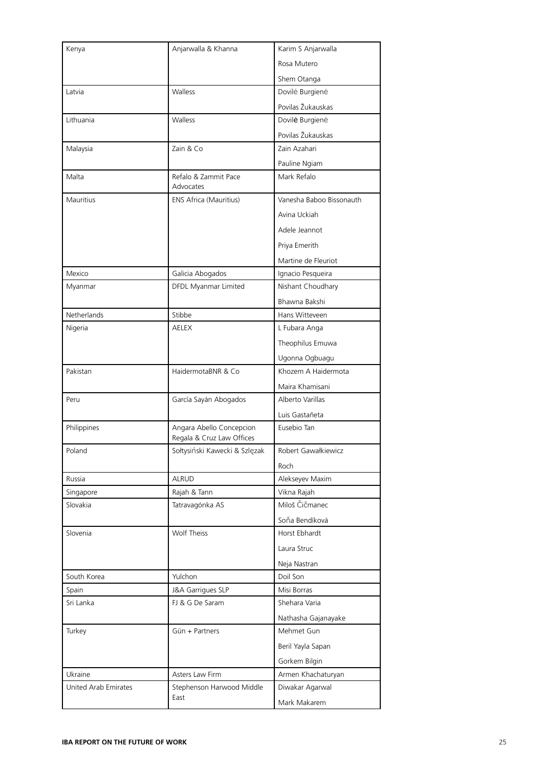| Kenya                | Anjarwalla & Khanna               | Karim S Anjarwalla       |
|----------------------|-----------------------------------|--------------------------|
|                      |                                   | Rosa Mutero              |
|                      |                                   | Shem Otanga              |
| Latvia               | Walless                           | Dovilė Burgienė          |
|                      |                                   | Povilas Žukauskas        |
| Lithuania            | Walless                           | Dovilė Burgienė          |
|                      |                                   | Povilas Žukauskas        |
| Malaysia             | Zain & Co                         | Zain Azahari             |
|                      |                                   | Pauline Ngiam            |
| Malta                | Refalo & Zammit Pace<br>Advocates | Mark Refalo              |
| Mauritius            | ENS Africa (Mauritius)            | Vanesha Baboo Bissonauth |
|                      |                                   | Avina Uckiah             |
|                      |                                   | Adele Jeannot            |
|                      |                                   | Priya Emerith            |
|                      |                                   | Martine de Fleuriot      |
| Mexico               | Galicia Abogados                  | Ignacio Pesqueira        |
| Myanmar              | DFDL Myanmar Limited              | Nishant Choudhary        |
|                      |                                   | Bhawna Bakshi            |
| Netherlands          | Stibbe                            | Hans Witteveen           |
| Nigeria              | <b>AELEX</b>                      | L Fubara Anga            |
|                      |                                   | Theophilus Emuwa         |
|                      |                                   | Ugonna Ogbuagu           |
| Pakistan             | HaidermotaBNR & Co                | Khozem A Haidermota      |
|                      |                                   | Maira Khamisani          |
| Peru                 | García Sayán Abogados             | Alberto Varillas         |
|                      |                                   | Luis Gastañeta           |
| Philippines          | Angara Abello Concepcion          | Eusebio Tan              |
|                      | Regala & Cruz Law Offices         |                          |
| Poland               | Sołtysiński Kawecki & Szlęzak     | Robert Gawałkiewicz      |
|                      |                                   | Roch                     |
| Russia               | <b>ALRUD</b>                      | Alekseyev Maxim          |
| Singapore            | Rajah & Tann                      | Vikna Rajah              |
| Slovakia             | Tatravagónka AS                   | Miloš Čičmanec           |
|                      |                                   | Soňa Bendíková           |
| Slovenia             | Wolf Theiss                       | Horst Ebhardt            |
|                      |                                   | Laura Struc              |
|                      |                                   | Neja Nastran             |
| South Korea          | Yulchon                           | Doil Son                 |
| Spain                | J&A Garrigues SLP                 | Misi Borras              |
| Sri Lanka            | FJ & G De Saram                   | Shehara Varia            |
|                      |                                   | Nathasha Gajanayake      |
| Turkey               | Gün + Partners                    | Mehmet Gun               |
|                      |                                   | Beril Yayla Sapan        |
|                      |                                   | Gorkem Bilgin            |
| Ukraine              | Asters Law Firm                   | Armen Khachaturyan       |
| United Arab Emirates | Stephenson Harwood Middle         | Diwakar Agarwal          |
|                      | East                              | Mark Makarem             |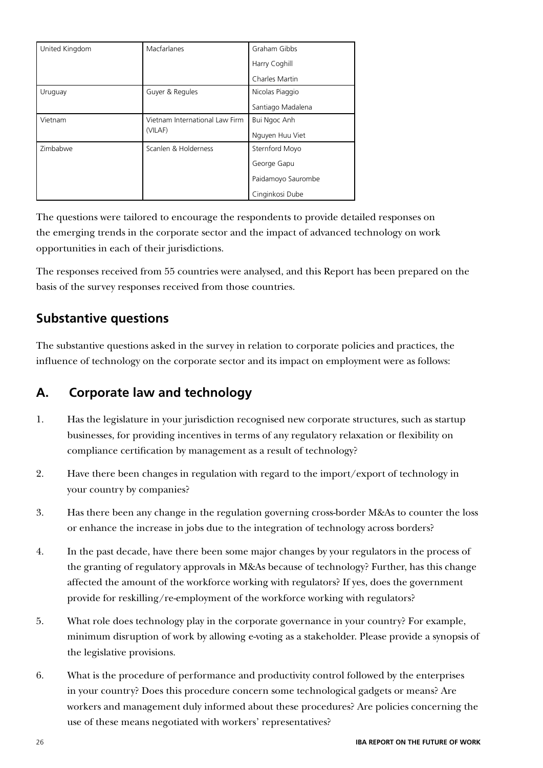| United Kingdom | Macfarlanes                               | Graham Gibbs       |
|----------------|-------------------------------------------|--------------------|
|                |                                           | Harry Coghill      |
|                |                                           | Charles Martin     |
| Uruguay        | Guyer & Regules                           | Nicolas Piaggio    |
|                |                                           | Santiago Madalena  |
| Vietnam        | Vietnam International Law Firm<br>(VILAF) | Bui Ngoc Anh       |
|                |                                           | Nguyen Huu Viet    |
| Zimbabwe       | Scanlen & Holderness                      | Sternford Moyo     |
|                |                                           | George Gapu        |
|                |                                           | Paidamoyo Saurombe |
|                |                                           | Cinginkosi Dube    |

The questions were tailored to encourage the respondents to provide detailed responses on the emerging trends in the corporate sector and the impact of advanced technology on work opportunities in each of their jurisdictions.

The responses received from 55 countries were analysed, and this Report has been prepared on the basis of the survey responses received from those countries.

## **Substantive questions**

The substantive questions asked in the survey in relation to corporate policies and practices, the influence of technology on the corporate sector and its impact on employment were as follows:

## **A. Corporate law and technology**

- 1. Has the legislature in your jurisdiction recognised new corporate structures, such as startup businesses, for providing incentives in terms of any regulatory relaxation or flexibility on compliance certification by management as a result of technology?
- 2. Have there been changes in regulation with regard to the import/export of technology in your country by companies?
- 3. Has there been any change in the regulation governing cross-border M&As to counter the loss or enhance the increase in jobs due to the integration of technology across borders?
- 4. In the past decade, have there been some major changes by your regulators in the process of the granting of regulatory approvals in M&As because of technology? Further, has this change affected the amount of the workforce working with regulators? If yes, does the government provide for reskilling/re-employment of the workforce working with regulators?
- 5. What role does technology play in the corporate governance in your country? For example, minimum disruption of work by allowing e-voting as a stakeholder. Please provide a synopsis of the legislative provisions.
- 6. What is the procedure of performance and productivity control followed by the enterprises in your country? Does this procedure concern some technological gadgets or means? Are workers and management duly informed about these procedures? Are policies concerning the use of these means negotiated with workers' representatives?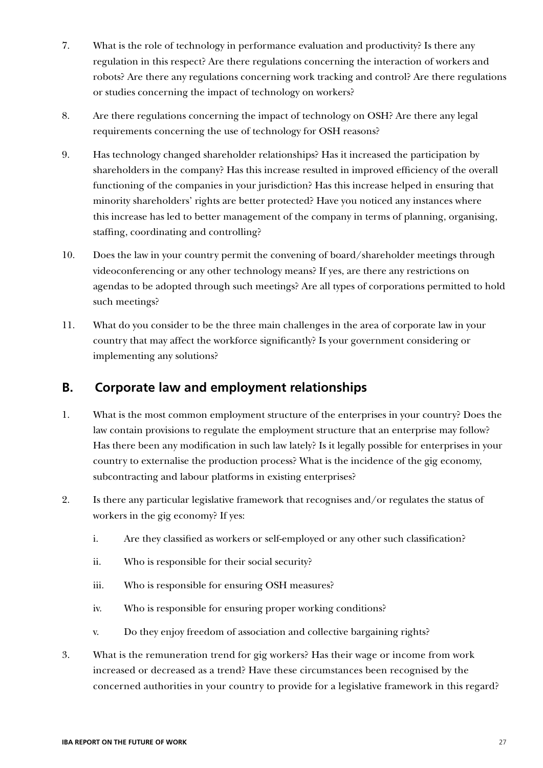- 7. What is the role of technology in performance evaluation and productivity? Is there any regulation in this respect? Are there regulations concerning the interaction of workers and robots? Are there any regulations concerning work tracking and control? Are there regulations or studies concerning the impact of technology on workers?
- 8. Are there regulations concerning the impact of technology on OSH? Are there any legal requirements concerning the use of technology for OSH reasons?
- 9. Has technology changed shareholder relationships? Has it increased the participation by shareholders in the company? Has this increase resulted in improved efficiency of the overall functioning of the companies in your jurisdiction? Has this increase helped in ensuring that minority shareholders' rights are better protected? Have you noticed any instances where this increase has led to better management of the company in terms of planning, organising, staffing, coordinating and controlling?
- 10. Does the law in your country permit the convening of board/shareholder meetings through videoconferencing or any other technology means? If yes, are there any restrictions on agendas to be adopted through such meetings? Are all types of corporations permitted to hold such meetings?
- 11. What do you consider to be the three main challenges in the area of corporate law in your country that may affect the workforce significantly? Is your government considering or implementing any solutions?

## **B. Corporate law and employment relationships**

- 1. What is the most common employment structure of the enterprises in your country? Does the law contain provisions to regulate the employment structure that an enterprise may follow? Has there been any modification in such law lately? Is it legally possible for enterprises in your country to externalise the production process? What is the incidence of the gig economy, subcontracting and labour platforms in existing enterprises?
- 2. Is there any particular legislative framework that recognises and/or regulates the status of workers in the gig economy? If yes:
	- i. Are they classified as workers or self-employed or any other such classification?
	- ii. Who is responsible for their social security?
	- iii. Who is responsible for ensuring OSH measures?
	- iv. Who is responsible for ensuring proper working conditions?
	- v. Do they enjoy freedom of association and collective bargaining rights?
- 3. What is the remuneration trend for gig workers? Has their wage or income from work increased or decreased as a trend? Have these circumstances been recognised by the concerned authorities in your country to provide for a legislative framework in this regard?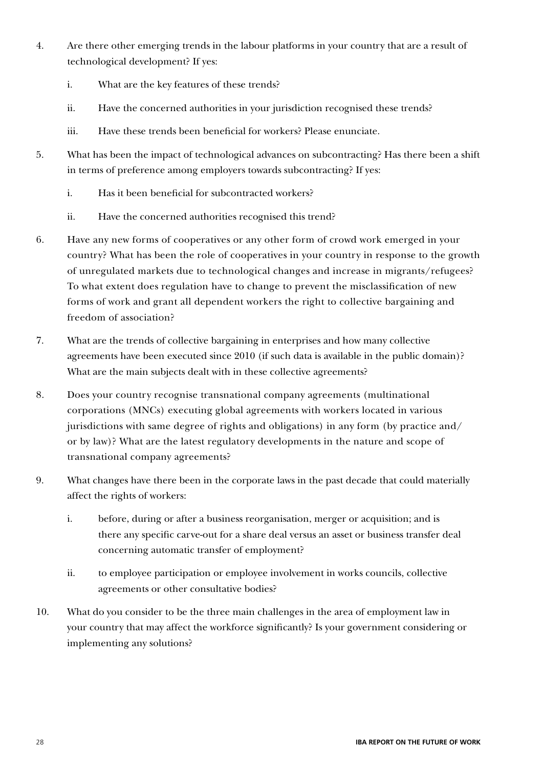- 4. Are there other emerging trends in the labour platforms in your country that are a result of technological development? If yes:
	- i. What are the key features of these trends?
	- ii. Have the concerned authorities in your jurisdiction recognised these trends?
	- iii. Have these trends been beneficial for workers? Please enunciate.
- 5. What has been the impact of technological advances on subcontracting? Has there been a shift in terms of preference among employers towards subcontracting? If yes:
	- i. Has it been beneficial for subcontracted workers?
	- ii. Have the concerned authorities recognised this trend?
- 6. Have any new forms of cooperatives or any other form of crowd work emerged in your country? What has been the role of cooperatives in your country in response to the growth of unregulated markets due to technological changes and increase in migrants/refugees? To what extent does regulation have to change to prevent the misclassification of new forms of work and grant all dependent workers the right to collective bargaining and freedom of association?
- 7. What are the trends of collective bargaining in enterprises and how many collective agreements have been executed since 2010 (if such data is available in the public domain)? What are the main subjects dealt with in these collective agreements?
- 8. Does your country recognise transnational company agreements (multinational corporations (MNCs) executing global agreements with workers located in various jurisdictions with same degree of rights and obligations) in any form (by practice and/ or by law)? What are the latest regulatory developments in the nature and scope of transnational company agreements?
- 9. What changes have there been in the corporate laws in the past decade that could materially affect the rights of workers:
	- i. before, during or after a business reorganisation, merger or acquisition; and is there any specific carve-out for a share deal versus an asset or business transfer deal concerning automatic transfer of employment?
	- ii. to employee participation or employee involvement in works councils, collective agreements or other consultative bodies?
- 10. What do you consider to be the three main challenges in the area of employment law in your country that may affect the workforce significantly? Is your government considering or implementing any solutions?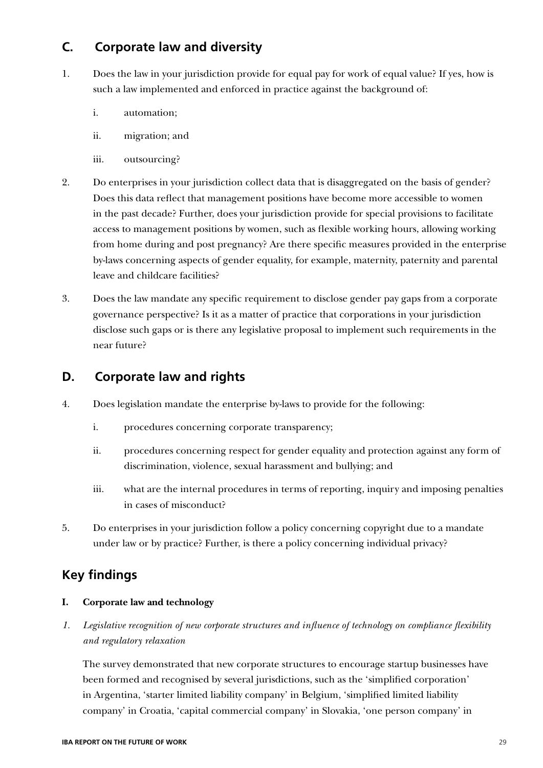## **C. Corporate law and diversity**

- 1. Does the law in your jurisdiction provide for equal pay for work of equal value? If yes, how is such a law implemented and enforced in practice against the background of:
	- i. automation;
	- ii. migration; and
	- iii. outsourcing?
- 2. Do enterprises in your jurisdiction collect data that is disaggregated on the basis of gender? Does this data reflect that management positions have become more accessible to women in the past decade? Further, does your jurisdiction provide for special provisions to facilitate access to management positions by women, such as flexible working hours, allowing working from home during and post pregnancy? Are there specific measures provided in the enterprise by-laws concerning aspects of gender equality, for example, maternity, paternity and parental leave and childcare facilities?
- 3. Does the law mandate any specific requirement to disclose gender pay gaps from a corporate governance perspective? Is it as a matter of practice that corporations in your jurisdiction disclose such gaps or is there any legislative proposal to implement such requirements in the near future?

## **D. Corporate law and rights**

- 4. Does legislation mandate the enterprise by-laws to provide for the following:
	- i. procedures concerning corporate transparency;
	- ii. procedures concerning respect for gender equality and protection against any form of discrimination, violence, sexual harassment and bullying; and
	- iii. what are the internal procedures in terms of reporting, inquiry and imposing penalties in cases of misconduct?
- 5. Do enterprises in your jurisdiction follow a policy concerning copyright due to a mandate under law or by practice? Further, is there a policy concerning individual privacy?

## **Key findings**

#### **I. Corporate law and technology**

*1. Legislative recognition of new corporate structures and influence of technology on compliance flexibility and regulatory relaxation*

The survey demonstrated that new corporate structures to encourage startup businesses have been formed and recognised by several jurisdictions, such as the 'simplified corporation' in Argentina, 'starter limited liability company' in Belgium, 'simplified limited liability company' in Croatia, 'capital commercial company' in Slovakia, 'one person company' in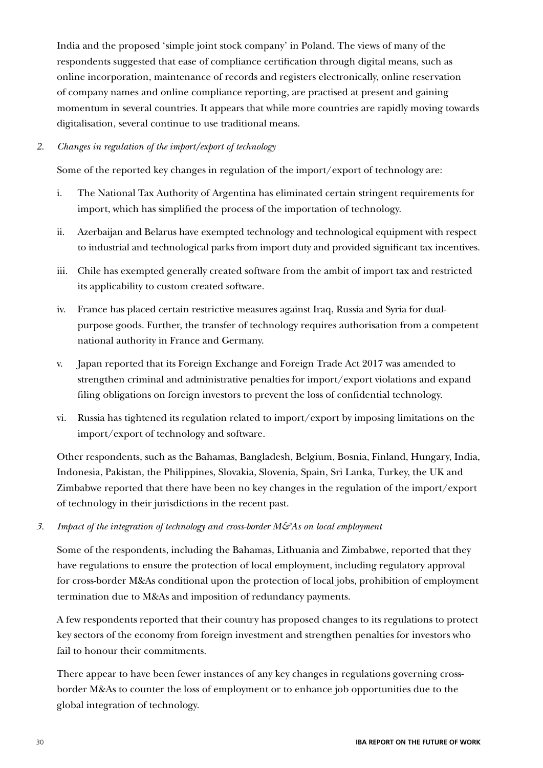India and the proposed 'simple joint stock company' in Poland. The views of many of the respondents suggested that ease of compliance certification through digital means, such as online incorporation, maintenance of records and registers electronically, online reservation of company names and online compliance reporting, are practised at present and gaining momentum in several countries. It appears that while more countries are rapidly moving towards digitalisation, several continue to use traditional means.

#### *2. Changes in regulation of the import/export of technology*

Some of the reported key changes in regulation of the import/export of technology are:

- i. The National Tax Authority of Argentina has eliminated certain stringent requirements for import, which has simplified the process of the importation of technology.
- ii. Azerbaijan and Belarus have exempted technology and technological equipment with respect to industrial and technological parks from import duty and provided significant tax incentives.
- iii. Chile has exempted generally created software from the ambit of import tax and restricted its applicability to custom created software.
- iv. France has placed certain restrictive measures against Iraq, Russia and Syria for dualpurpose goods. Further, the transfer of technology requires authorisation from a competent national authority in France and Germany.
- v. Japan reported that its Foreign Exchange and Foreign Trade Act 2017 was amended to strengthen criminal and administrative penalties for import/export violations and expand filing obligations on foreign investors to prevent the loss of confidential technology.
- vi. Russia has tightened its regulation related to import/export by imposing limitations on the import/export of technology and software.

Other respondents, such as the Bahamas, Bangladesh, Belgium, Bosnia, Finland, Hungary, India, Indonesia, Pakistan, the Philippines, Slovakia, Slovenia, Spain, Sri Lanka, Turkey, the UK and Zimbabwe reported that there have been no key changes in the regulation of the import/export of technology in their jurisdictions in the recent past.

*3. Impact of the integration of technology and cross-border M&As on local employment*

Some of the respondents, including the Bahamas, Lithuania and Zimbabwe, reported that they have regulations to ensure the protection of local employment, including regulatory approval for cross-border M&As conditional upon the protection of local jobs, prohibition of employment termination due to M&As and imposition of redundancy payments.

A few respondents reported that their country has proposed changes to its regulations to protect key sectors of the economy from foreign investment and strengthen penalties for investors who fail to honour their commitments.

There appear to have been fewer instances of any key changes in regulations governing crossborder M&As to counter the loss of employment or to enhance job opportunities due to the global integration of technology.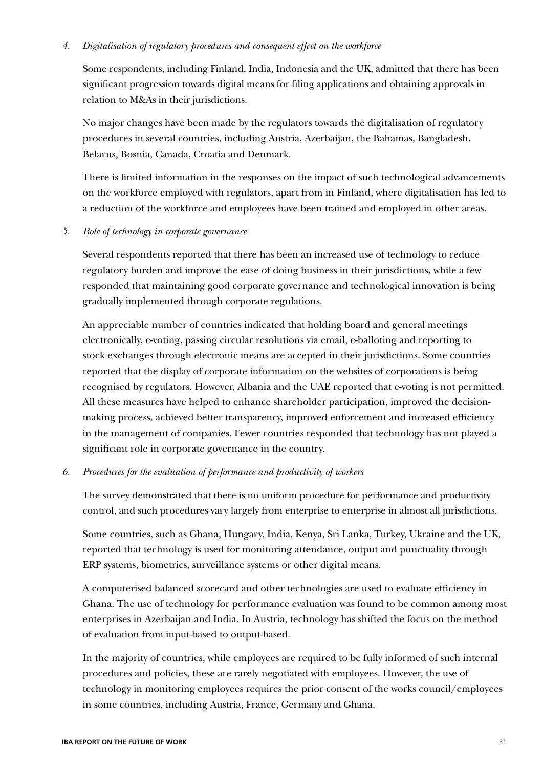#### *4. Digitalisation of regulatory procedures and consequent effect on the workforce*

Some respondents, including Finland, India, Indonesia and the UK, admitted that there has been significant progression towards digital means for filing applications and obtaining approvals in relation to M&As in their jurisdictions.

No major changes have been made by the regulators towards the digitalisation of regulatory procedures in several countries, including Austria, Azerbaijan, the Bahamas, Bangladesh, Belarus, Bosnia, Canada, Croatia and Denmark.

There is limited information in the responses on the impact of such technological advancements on the workforce employed with regulators, apart from in Finland, where digitalisation has led to a reduction of the workforce and employees have been trained and employed in other areas.

*5. Role of technology in corporate governance*

Several respondents reported that there has been an increased use of technology to reduce regulatory burden and improve the ease of doing business in their jurisdictions, while a few responded that maintaining good corporate governance and technological innovation is being gradually implemented through corporate regulations.

An appreciable number of countries indicated that holding board and general meetings electronically, e-voting, passing circular resolutions via email, e-balloting and reporting to stock exchanges through electronic means are accepted in their jurisdictions. Some countries reported that the display of corporate information on the websites of corporations is being recognised by regulators. However, Albania and the UAE reported that e-voting is not permitted. All these measures have helped to enhance shareholder participation, improved the decisionmaking process, achieved better transparency, improved enforcement and increased efficiency in the management of companies. Fewer countries responded that technology has not played a significant role in corporate governance in the country.

#### *6. Procedures for the evaluation of performance and productivity of workers*

The survey demonstrated that there is no uniform procedure for performance and productivity control, and such procedures vary largely from enterprise to enterprise in almost all jurisdictions.

Some countries, such as Ghana, Hungary, India, Kenya, Sri Lanka, Turkey, Ukraine and the UK, reported that technology is used for monitoring attendance, output and punctuality through ERP systems, biometrics, surveillance systems or other digital means.

A computerised balanced scorecard and other technologies are used to evaluate efficiency in Ghana. The use of technology for performance evaluation was found to be common among most enterprises in Azerbaijan and India. In Austria, technology has shifted the focus on the method of evaluation from input-based to output-based.

In the majority of countries, while employees are required to be fully informed of such internal procedures and policies, these are rarely negotiated with employees. However, the use of technology in monitoring employees requires the prior consent of the works council/employees in some countries, including Austria, France, Germany and Ghana.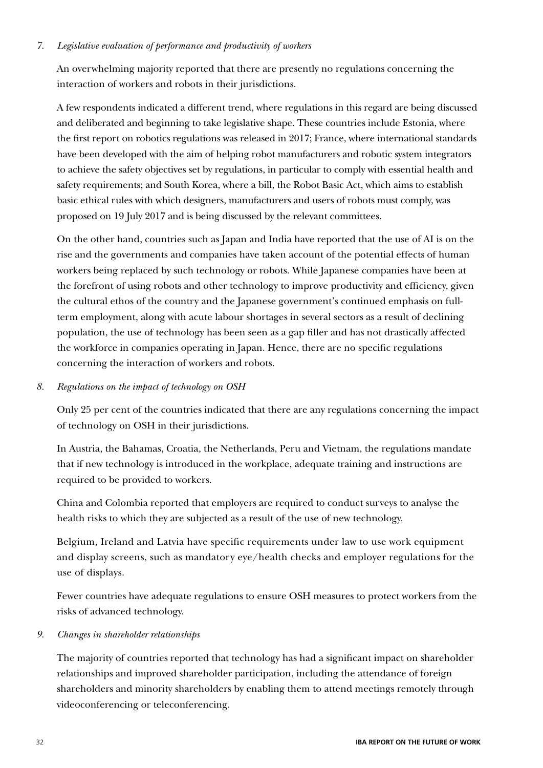#### *7. Legislative evaluation of performance and productivity of workers*

An overwhelming majority reported that there are presently no regulations concerning the interaction of workers and robots in their jurisdictions.

A few respondents indicated a different trend, where regulations in this regard are being discussed and deliberated and beginning to take legislative shape. These countries include Estonia, where the first report on robotics regulations was released in 2017; France, where international standards have been developed with the aim of helping robot manufacturers and robotic system integrators to achieve the safety objectives set by regulations, in particular to comply with essential health and safety requirements; and South Korea, where a bill, the Robot Basic Act, which aims to establish basic ethical rules with which designers, manufacturers and users of robots must comply, was proposed on 19 July 2017 and is being discussed by the relevant committees.

On the other hand, countries such as Japan and India have reported that the use of AI is on the rise and the governments and companies have taken account of the potential effects of human workers being replaced by such technology or robots. While Japanese companies have been at the forefront of using robots and other technology to improve productivity and efficiency, given the cultural ethos of the country and the Japanese government's continued emphasis on fullterm employment, along with acute labour shortages in several sectors as a result of declining population, the use of technology has been seen as a gap filler and has not drastically affected the workforce in companies operating in Japan. Hence, there are no specific regulations concerning the interaction of workers and robots.

#### *8. Regulations on the impact of technology on OSH*

Only 25 per cent of the countries indicated that there are any regulations concerning the impact of technology on OSH in their jurisdictions.

In Austria, the Bahamas, Croatia, the Netherlands, Peru and Vietnam, the regulations mandate that if new technology is introduced in the workplace, adequate training and instructions are required to be provided to workers.

China and Colombia reported that employers are required to conduct surveys to analyse the health risks to which they are subjected as a result of the use of new technology.

Belgium, Ireland and Latvia have specific requirements under law to use work equipment and display screens, such as mandatory eye/health checks and employer regulations for the use of displays.

Fewer countries have adequate regulations to ensure OSH measures to protect workers from the risks of advanced technology.

#### *9. Changes in shareholder relationships*

The majority of countries reported that technology has had a significant impact on shareholder relationships and improved shareholder participation, including the attendance of foreign shareholders and minority shareholders by enabling them to attend meetings remotely through videoconferencing or teleconferencing.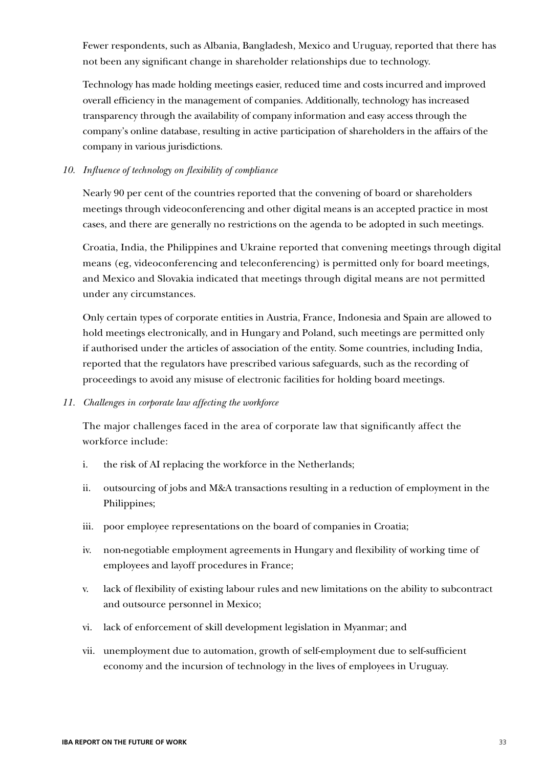Fewer respondents, such as Albania, Bangladesh, Mexico and Uruguay, reported that there has not been any significant change in shareholder relationships due to technology.

Technology has made holding meetings easier, reduced time and costs incurred and improved overall efficiency in the management of companies. Additionally, technology has increased transparency through the availability of company information and easy access through the company's online database, resulting in active participation of shareholders in the affairs of the company in various jurisdictions.

#### *10. Influence of technology on flexibility of compliance*

Nearly 90 per cent of the countries reported that the convening of board or shareholders meetings through videoconferencing and other digital means is an accepted practice in most cases, and there are generally no restrictions on the agenda to be adopted in such meetings.

Croatia, India, the Philippines and Ukraine reported that convening meetings through digital means (eg, videoconferencing and teleconferencing) is permitted only for board meetings, and Mexico and Slovakia indicated that meetings through digital means are not permitted under any circumstances.

Only certain types of corporate entities in Austria, France, Indonesia and Spain are allowed to hold meetings electronically, and in Hungary and Poland, such meetings are permitted only if authorised under the articles of association of the entity. Some countries, including India, reported that the regulators have prescribed various safeguards, such as the recording of proceedings to avoid any misuse of electronic facilities for holding board meetings.

#### *11. Challenges in corporate law affecting the workforce*

The major challenges faced in the area of corporate law that significantly affect the workforce include:

- i. the risk of AI replacing the workforce in the Netherlands;
- ii. outsourcing of jobs and M&A transactions resulting in a reduction of employment in the Philippines;
- iii. poor employee representations on the board of companies in Croatia;
- iv. non-negotiable employment agreements in Hungary and flexibility of working time of employees and layoff procedures in France;
- v. lack of flexibility of existing labour rules and new limitations on the ability to subcontract and outsource personnel in Mexico;
- vi. lack of enforcement of skill development legislation in Myanmar; and
- vii. unemployment due to automation, growth of self-employment due to self-sufficient economy and the incursion of technology in the lives of employees in Uruguay.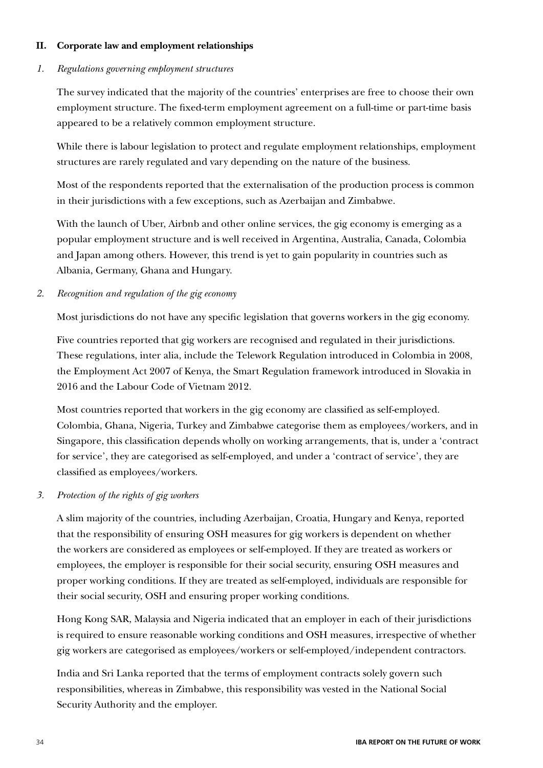#### **II. Corporate law and employment relationships**

#### *1. Regulations governing employment structures*

The survey indicated that the majority of the countries' enterprises are free to choose their own employment structure. The fixed-term employment agreement on a full-time or part-time basis appeared to be a relatively common employment structure.

While there is labour legislation to protect and regulate employment relationships, employment structures are rarely regulated and vary depending on the nature of the business.

Most of the respondents reported that the externalisation of the production process is common in their jurisdictions with a few exceptions, such as Azerbaijan and Zimbabwe.

With the launch of Uber, Airbnb and other online services, the gig economy is emerging as a popular employment structure and is well received in Argentina, Australia, Canada, Colombia and Japan among others. However, this trend is yet to gain popularity in countries such as Albania, Germany, Ghana and Hungary.

#### *2. Recognition and regulation of the gig economy*

Most jurisdictions do not have any specific legislation that governs workers in the gig economy.

Five countries reported that gig workers are recognised and regulated in their jurisdictions. These regulations, inter alia, include the Telework Regulation introduced in Colombia in 2008, the Employment Act 2007 of Kenya, the Smart Regulation framework introduced in Slovakia in 2016 and the Labour Code of Vietnam 2012.

Most countries reported that workers in the gig economy are classified as self-employed. Colombia, Ghana, Nigeria, Turkey and Zimbabwe categorise them as employees/workers, and in Singapore, this classification depends wholly on working arrangements, that is, under a 'contract for service', they are categorised as self-employed, and under a 'contract of service', they are classified as employees/workers.

#### *3. Protection of the rights of gig workers*

A slim majority of the countries, including Azerbaijan, Croatia, Hungary and Kenya, reported that the responsibility of ensuring OSH measures for gig workers is dependent on whether the workers are considered as employees or self-employed. If they are treated as workers or employees, the employer is responsible for their social security, ensuring OSH measures and proper working conditions. If they are treated as self-employed, individuals are responsible for their social security, OSH and ensuring proper working conditions.

Hong Kong SAR, Malaysia and Nigeria indicated that an employer in each of their jurisdictions is required to ensure reasonable working conditions and OSH measures, irrespective of whether gig workers are categorised as employees/workers or self-employed/independent contractors.

India and Sri Lanka reported that the terms of employment contracts solely govern such responsibilities, whereas in Zimbabwe, this responsibility was vested in the National Social Security Authority and the employer.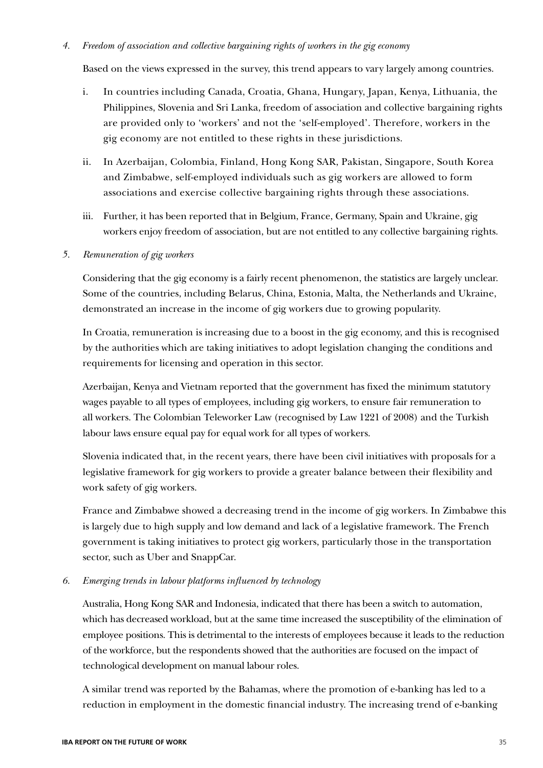#### *4. Freedom of association and collective bargaining rights of workers in the gig economy*

Based on the views expressed in the survey, this trend appears to vary largely among countries.

- i. In countries including Canada, Croatia, Ghana, Hungary, Japan, Kenya, Lithuania, the Philippines, Slovenia and Sri Lanka, freedom of association and collective bargaining rights are provided only to 'workers' and not the 'self-employed'. Therefore, workers in the gig economy are not entitled to these rights in these jurisdictions.
- ii. In Azerbaijan, Colombia, Finland, Hong Kong SAR, Pakistan, Singapore, South Korea and Zimbabwe, self-employed individuals such as gig workers are allowed to form associations and exercise collective bargaining rights through these associations.
- iii. Further, it has been reported that in Belgium, France, Germany, Spain and Ukraine, gig workers enjoy freedom of association, but are not entitled to any collective bargaining rights.

#### *5. Remuneration of gig workers*

Considering that the gig economy is a fairly recent phenomenon, the statistics are largely unclear. Some of the countries, including Belarus, China, Estonia, Malta, the Netherlands and Ukraine, demonstrated an increase in the income of gig workers due to growing popularity.

In Croatia, remuneration is increasing due to a boost in the gig economy, and this is recognised by the authorities which are taking initiatives to adopt legislation changing the conditions and requirements for licensing and operation in this sector.

Azerbaijan, Kenya and Vietnam reported that the government has fixed the minimum statutory wages payable to all types of employees, including gig workers, to ensure fair remuneration to all workers. The Colombian Teleworker Law (recognised by Law 1221 of 2008) and the Turkish labour laws ensure equal pay for equal work for all types of workers.

Slovenia indicated that, in the recent years, there have been civil initiatives with proposals for a legislative framework for gig workers to provide a greater balance between their flexibility and work safety of gig workers.

France and Zimbabwe showed a decreasing trend in the income of gig workers. In Zimbabwe this is largely due to high supply and low demand and lack of a legislative framework. The French government is taking initiatives to protect gig workers, particularly those in the transportation sector, such as Uber and SnappCar.

#### *6. Emerging trends in labour platforms influenced by technology*

Australia, Hong Kong SAR and Indonesia, indicated that there has been a switch to automation, which has decreased workload, but at the same time increased the susceptibility of the elimination of employee positions. This is detrimental to the interests of employees because it leads to the reduction of the workforce, but the respondents showed that the authorities are focused on the impact of technological development on manual labour roles.

A similar trend was reported by the Bahamas, where the promotion of e-banking has led to a reduction in employment in the domestic financial industry. The increasing trend of e-banking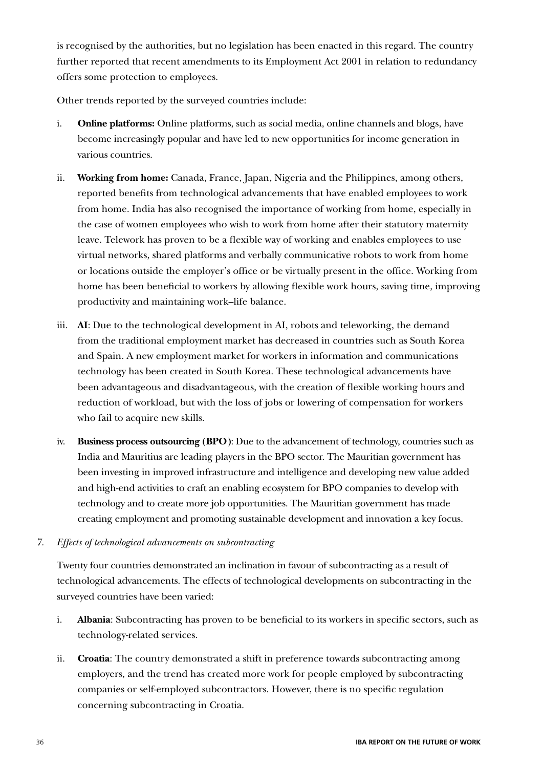is recognised by the authorities, but no legislation has been enacted in this regard. The country further reported that recent amendments to its Employment Act 2001 in relation to redundancy offers some protection to employees.

Other trends reported by the surveyed countries include:

- i. **Online platforms:** Online platforms, such as social media, online channels and blogs, have become increasingly popular and have led to new opportunities for income generation in various countries.
- ii. **Working from home:** Canada, France, Japan, Nigeria and the Philippines, among others, reported benefits from technological advancements that have enabled employees to work from home. India has also recognised the importance of working from home, especially in the case of women employees who wish to work from home after their statutory maternity leave. Telework has proven to be a flexible way of working and enables employees to use virtual networks, shared platforms and verbally communicative robots to work from home or locations outside the employer's office or be virtually present in the office. Working from home has been beneficial to workers by allowing flexible work hours, saving time, improving productivity and maintaining work–life balance.
- iii. **AI**: Due to the technological development in AI, robots and teleworking, the demand from the traditional employment market has decreased in countries such as South Korea and Spain. A new employment market for workers in information and communications technology has been created in South Korea. These technological advancements have been advantageous and disadvantageous, with the creation of flexible working hours and reduction of workload, but with the loss of jobs or lowering of compensation for workers who fail to acquire new skills.
- iv. **Business process outsourcing (BPO)**: Due to the advancement of technology, countries such as India and Mauritius are leading players in the BPO sector. The Mauritian government has been investing in improved infrastructure and intelligence and developing new value added and high-end activities to craft an enabling ecosystem for BPO companies to develop with technology and to create more job opportunities. The Mauritian government has made creating employment and promoting sustainable development and innovation a key focus.

#### *7. Effects of technological advancements on subcontracting*

Twenty four countries demonstrated an inclination in favour of subcontracting as a result of technological advancements. The effects of technological developments on subcontracting in the surveyed countries have been varied:

- i. **Albania**: Subcontracting has proven to be beneficial to its workers in specific sectors, such as technology-related services.
- ii. **Croatia**: The country demonstrated a shift in preference towards subcontracting among employers, and the trend has created more work for people employed by subcontracting companies or self-employed subcontractors. However, there is no specific regulation concerning subcontracting in Croatia.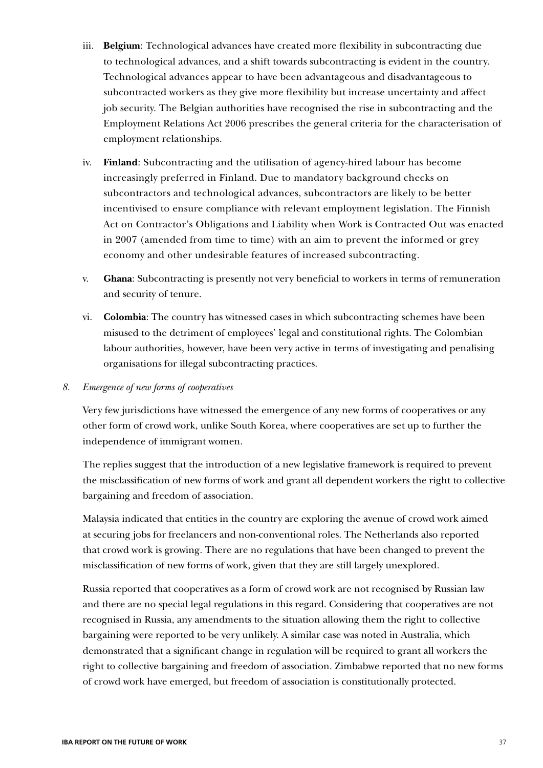- iii. **Belgium**: Technological advances have created more flexibility in subcontracting due to technological advances, and a shift towards subcontracting is evident in the country. Technological advances appear to have been advantageous and disadvantageous to subcontracted workers as they give more flexibility but increase uncertainty and affect job security. The Belgian authorities have recognised the rise in subcontracting and the Employment Relations Act 2006 prescribes the general criteria for the characterisation of employment relationships.
- iv. **Finland**: Subcontracting and the utilisation of agency-hired labour has become increasingly preferred in Finland. Due to mandatory background checks on subcontractors and technological advances, subcontractors are likely to be better incentivised to ensure compliance with relevant employment legislation. The Finnish Act on Contractor's Obligations and Liability when Work is Contracted Out was enacted in 2007 (amended from time to time) with an aim to prevent the informed or grey economy and other undesirable features of increased subcontracting.
- v. **Ghana**: Subcontracting is presently not very beneficial to workers in terms of remuneration and security of tenure.
- vi. **Colombia**: The country has witnessed cases in which subcontracting schemes have been misused to the detriment of employees' legal and constitutional rights. The Colombian labour authorities, however, have been very active in terms of investigating and penalising organisations for illegal subcontracting practices.

### *8. Emergence of new forms of cooperatives*

Very few jurisdictions have witnessed the emergence of any new forms of cooperatives or any other form of crowd work, unlike South Korea, where cooperatives are set up to further the independence of immigrant women.

The replies suggest that the introduction of a new legislative framework is required to prevent the misclassification of new forms of work and grant all dependent workers the right to collective bargaining and freedom of association.

Malaysia indicated that entities in the country are exploring the avenue of crowd work aimed at securing jobs for freelancers and non-conventional roles. The Netherlands also reported that crowd work is growing. There are no regulations that have been changed to prevent the misclassification of new forms of work, given that they are still largely unexplored.

Russia reported that cooperatives as a form of crowd work are not recognised by Russian law and there are no special legal regulations in this regard. Considering that cooperatives are not recognised in Russia, any amendments to the situation allowing them the right to collective bargaining were reported to be very unlikely. A similar case was noted in Australia, which demonstrated that a significant change in regulation will be required to grant all workers the right to collective bargaining and freedom of association. Zimbabwe reported that no new forms of crowd work have emerged, but freedom of association is constitutionally protected.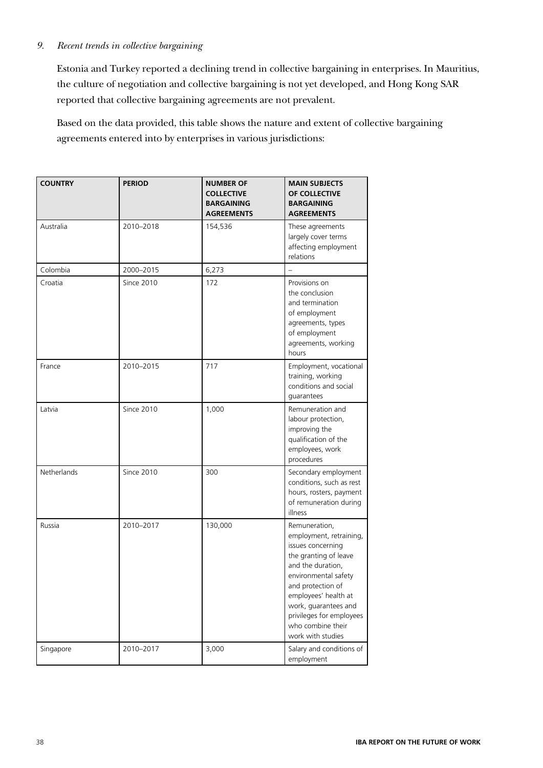### *9. Recent trends in collective bargaining*

Estonia and Turkey reported a declining trend in collective bargaining in enterprises. In Mauritius, the culture of negotiation and collective bargaining is not yet developed, and Hong Kong SAR reported that collective bargaining agreements are not prevalent.

Based on the data provided, this table shows the nature and extent of collective bargaining agreements entered into by enterprises in various jurisdictions:

| <b>COUNTRY</b> | <b>PERIOD</b>     | <b>NUMBER OF</b><br><b>COLLECTIVE</b><br><b>BARGAINING</b><br><b>AGREEMENTS</b> | <b>MAIN SUBJECTS</b><br>OF COLLECTIVE<br><b>BARGAINING</b><br><b>AGREEMENTS</b>                                                                                                                                                                                                |
|----------------|-------------------|---------------------------------------------------------------------------------|--------------------------------------------------------------------------------------------------------------------------------------------------------------------------------------------------------------------------------------------------------------------------------|
| Australia      | 2010-2018         | 154,536                                                                         | These agreements<br>largely cover terms<br>affecting employment<br>relations                                                                                                                                                                                                   |
| Colombia       | 2000-2015         | 6,273                                                                           |                                                                                                                                                                                                                                                                                |
| Croatia        | <b>Since 2010</b> | 172                                                                             | Provisions on<br>the conclusion<br>and termination<br>of employment<br>agreements, types<br>of employment<br>agreements, working<br>hours                                                                                                                                      |
| France         | 2010-2015         | 717                                                                             | Employment, vocational<br>training, working<br>conditions and social<br>guarantees                                                                                                                                                                                             |
| Latvia         | Since 2010        | 1,000                                                                           | Remuneration and<br>labour protection,<br>improving the<br>qualification of the<br>employees, work<br>procedures                                                                                                                                                               |
| Netherlands    | <b>Since 2010</b> | 300                                                                             | Secondary employment<br>conditions, such as rest<br>hours, rosters, payment<br>of remuneration during<br>illness                                                                                                                                                               |
| Russia         | 2010-2017         | 130,000                                                                         | Remuneration,<br>employment, retraining,<br>issues concerning<br>the granting of leave<br>and the duration,<br>environmental safety<br>and protection of<br>employees' health at<br>work, guarantees and<br>privileges for employees<br>who combine their<br>work with studies |
| Singapore      | 2010-2017         | 3,000                                                                           | Salary and conditions of<br>employment                                                                                                                                                                                                                                         |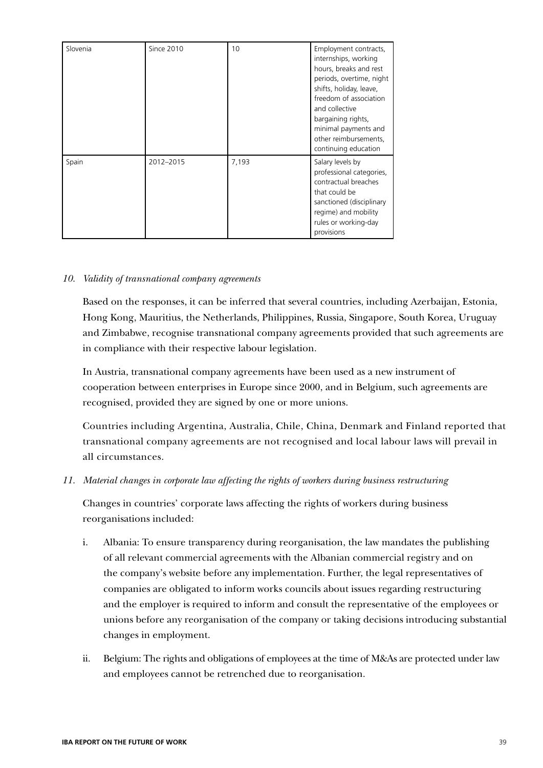| Slovenia | <b>Since 2010</b> | 10    | Employment contracts,<br>internships, working<br>hours, breaks and rest<br>periods, overtime, night<br>shifts, holiday, leave,<br>freedom of association<br>and collective<br>bargaining rights,<br>minimal payments and<br>other reimbursements,<br>continuing education |
|----------|-------------------|-------|---------------------------------------------------------------------------------------------------------------------------------------------------------------------------------------------------------------------------------------------------------------------------|
| Spain    | 2012-2015         | 7,193 | Salary levels by<br>professional categories,<br>contractual breaches<br>that could be<br>sanctioned (disciplinary<br>regime) and mobility<br>rules or working-day<br>provisions                                                                                           |

### *10. Validity of transnational company agreements*

Based on the responses, it can be inferred that several countries, including Azerbaijan, Estonia, Hong Kong, Mauritius, the Netherlands, Philippines, Russia, Singapore, South Korea, Uruguay and Zimbabwe, recognise transnational company agreements provided that such agreements are in compliance with their respective labour legislation.

In Austria, transnational company agreements have been used as a new instrument of cooperation between enterprises in Europe since 2000, and in Belgium, such agreements are recognised, provided they are signed by one or more unions.

Countries including Argentina, Australia, Chile, China, Denmark and Finland reported that transnational company agreements are not recognised and local labour laws will prevail in all circumstances.

### *11. Material changes in corporate law affecting the rights of workers during business restructuring*

Changes in countries' corporate laws affecting the rights of workers during business reorganisations included:

- i. Albania: To ensure transparency during reorganisation, the law mandates the publishing of all relevant commercial agreements with the Albanian commercial registry and on the company's website before any implementation. Further, the legal representatives of companies are obligated to inform works councils about issues regarding restructuring and the employer is required to inform and consult the representative of the employees or unions before any reorganisation of the company or taking decisions introducing substantial changes in employment.
- ii. Belgium: The rights and obligations of employees at the time of M&As are protected under law and employees cannot be retrenched due to reorganisation.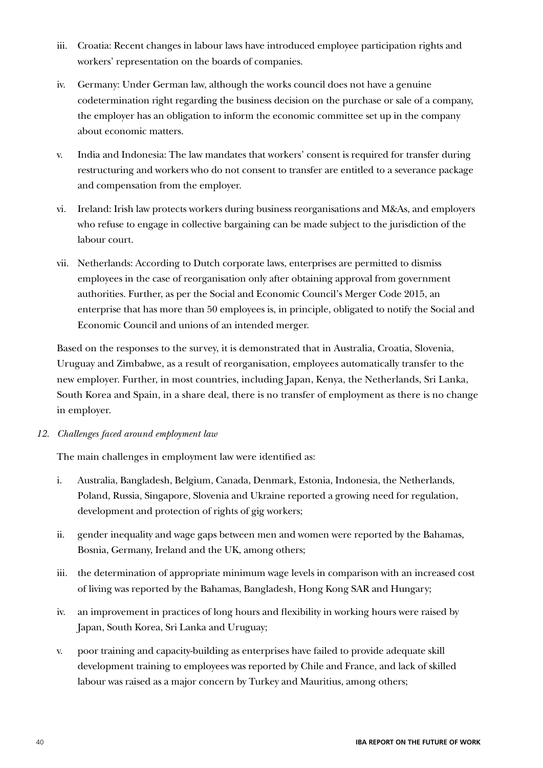- iii. Croatia: Recent changes in labour laws have introduced employee participation rights and workers' representation on the boards of companies.
- iv. Germany: Under German law, although the works council does not have a genuine codetermination right regarding the business decision on the purchase or sale of a company, the employer has an obligation to inform the economic committee set up in the company about economic matters.
- v. India and Indonesia: The law mandates that workers' consent is required for transfer during restructuring and workers who do not consent to transfer are entitled to a severance package and compensation from the employer.
- vi. Ireland: Irish law protects workers during business reorganisations and M&As, and employers who refuse to engage in collective bargaining can be made subject to the jurisdiction of the labour court.
- vii. Netherlands: According to Dutch corporate laws, enterprises are permitted to dismiss employees in the case of reorganisation only after obtaining approval from government authorities. Further, as per the Social and Economic Council's Merger Code 2015, an enterprise that has more than 50 employees is, in principle, obligated to notify the Social and Economic Council and unions of an intended merger.

Based on the responses to the survey, it is demonstrated that in Australia, Croatia, Slovenia, Uruguay and Zimbabwe, as a result of reorganisation, employees automatically transfer to the new employer. Further, in most countries, including Japan, Kenya, the Netherlands, Sri Lanka, South Korea and Spain, in a share deal, there is no transfer of employment as there is no change in employer.

*12. Challenges faced around employment law*

The main challenges in employment law were identified as:

- i. Australia, Bangladesh, Belgium, Canada, Denmark, Estonia, Indonesia, the Netherlands, Poland, Russia, Singapore, Slovenia and Ukraine reported a growing need for regulation, development and protection of rights of gig workers;
- ii. gender inequality and wage gaps between men and women were reported by the Bahamas, Bosnia, Germany, Ireland and the UK, among others;
- iii. the determination of appropriate minimum wage levels in comparison with an increased cost of living was reported by the Bahamas, Bangladesh, Hong Kong SAR and Hungary;
- iv. an improvement in practices of long hours and flexibility in working hours were raised by Japan, South Korea, Sri Lanka and Uruguay;
- v. poor training and capacity-building as enterprises have failed to provide adequate skill development training to employees was reported by Chile and France, and lack of skilled labour was raised as a major concern by Turkey and Mauritius, among others;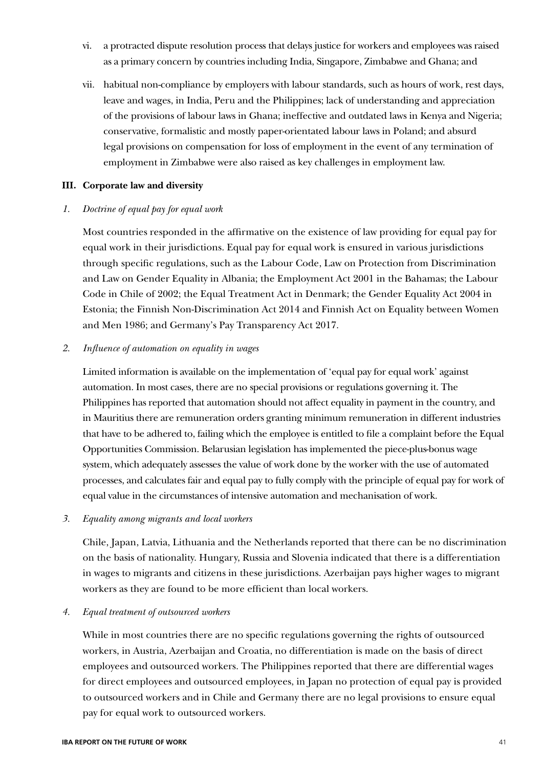- vi. a protracted dispute resolution process that delays justice for workers and employees was raised as a primary concern by countries including India, Singapore, Zimbabwe and Ghana; and
- vii. habitual non-compliance by employers with labour standards, such as hours of work, rest days, leave and wages, in India, Peru and the Philippines; lack of understanding and appreciation of the provisions of labour laws in Ghana; ineffective and outdated laws in Kenya and Nigeria; conservative, formalistic and mostly paper-orientated labour laws in Poland; and absurd legal provisions on compensation for loss of employment in the event of any termination of employment in Zimbabwe were also raised as key challenges in employment law.

### **III. Corporate law and diversity**

### *1. Doctrine of equal pay for equal work*

Most countries responded in the affirmative on the existence of law providing for equal pay for equal work in their jurisdictions. Equal pay for equal work is ensured in various jurisdictions through specific regulations, such as the Labour Code, Law on Protection from Discrimination and Law on Gender Equality in Albania; the Employment Act 2001 in the Bahamas; the Labour Code in Chile of 2002; the Equal Treatment Act in Denmark; the Gender Equality Act 2004 in Estonia; the Finnish Non-Discrimination Act 2014 and Finnish Act on Equality between Women and Men 1986; and Germany's Pay Transparency Act 2017.

### *2. Influence of automation on equality in wages*

Limited information is available on the implementation of 'equal pay for equal work' against automation. In most cases, there are no special provisions or regulations governing it. The Philippines has reported that automation should not affect equality in payment in the country, and in Mauritius there are remuneration orders granting minimum remuneration in different industries that have to be adhered to, failing which the employee is entitled to file a complaint before the Equal Opportunities Commission. Belarusian legislation has implemented the piece-plus-bonus wage system, which adequately assesses the value of work done by the worker with the use of automated processes, and calculates fair and equal pay to fully comply with the principle of equal pay for work of equal value in the circumstances of intensive automation and mechanisation of work.

### *3. Equality among migrants and local workers*

Chile, Japan, Latvia, Lithuania and the Netherlands reported that there can be no discrimination on the basis of nationality. Hungary, Russia and Slovenia indicated that there is a differentiation in wages to migrants and citizens in these jurisdictions. Azerbaijan pays higher wages to migrant workers as they are found to be more efficient than local workers.

### *4. Equal treatment of outsourced workers*

While in most countries there are no specific regulations governing the rights of outsourced workers, in Austria, Azerbaijan and Croatia, no differentiation is made on the basis of direct employees and outsourced workers. The Philippines reported that there are differential wages for direct employees and outsourced employees, in Japan no protection of equal pay is provided to outsourced workers and in Chile and Germany there are no legal provisions to ensure equal pay for equal work to outsourced workers.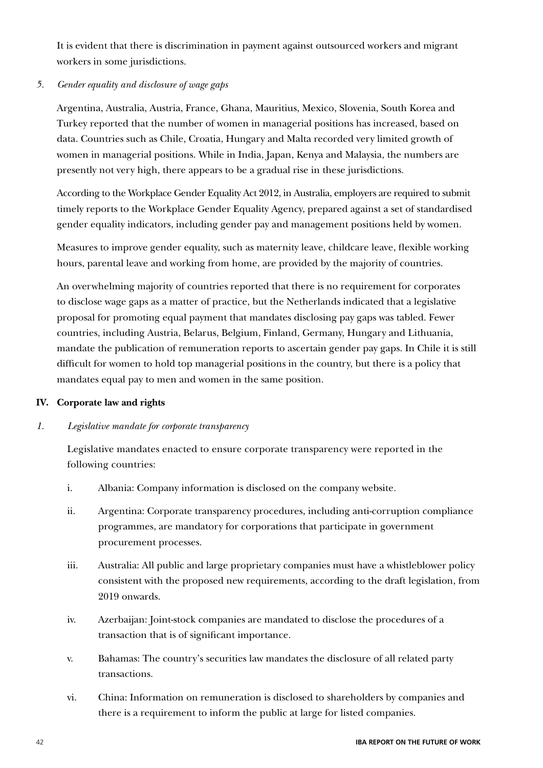It is evident that there is discrimination in payment against outsourced workers and migrant workers in some jurisdictions.

### *5. Gender equality and disclosure of wage gaps*

Argentina, Australia, Austria, France, Ghana, Mauritius, Mexico, Slovenia, South Korea and Turkey reported that the number of women in managerial positions has increased, based on data. Countries such as Chile, Croatia, Hungary and Malta recorded very limited growth of women in managerial positions. While in India, Japan, Kenya and Malaysia, the numbers are presently not very high, there appears to be a gradual rise in these jurisdictions.

According to the Workplace Gender Equality Act 2012, in Australia, employers are required to submit timely reports to the Workplace Gender Equality Agency, prepared against a set of standardised gender equality indicators, including gender pay and management positions held by women.

Measures to improve gender equality, such as maternity leave, childcare leave, flexible working hours, parental leave and working from home, are provided by the majority of countries.

An overwhelming majority of countries reported that there is no requirement for corporates to disclose wage gaps as a matter of practice, but the Netherlands indicated that a legislative proposal for promoting equal payment that mandates disclosing pay gaps was tabled. Fewer countries, including Austria, Belarus, Belgium, Finland, Germany, Hungary and Lithuania, mandate the publication of remuneration reports to ascertain gender pay gaps. In Chile it is still difficult for women to hold top managerial positions in the country, but there is a policy that mandates equal pay to men and women in the same position.

### **IV. Corporate law and rights**

### *1. Legislative mandate for corporate transparency*

Legislative mandates enacted to ensure corporate transparency were reported in the following countries:

- i. Albania: Company information is disclosed on the company website.
- ii. Argentina: Corporate transparency procedures, including anti-corruption compliance programmes, are mandatory for corporations that participate in government procurement processes.
- iii. Australia: All public and large proprietary companies must have a whistleblower policy consistent with the proposed new requirements, according to the draft legislation, from 2019 onwards.
- iv. Azerbaijan: Joint-stock companies are mandated to disclose the procedures of a transaction that is of significant importance.
- v. Bahamas: The country's securities law mandates the disclosure of all related party transactions.
- vi. China: Information on remuneration is disclosed to shareholders by companies and there is a requirement to inform the public at large for listed companies.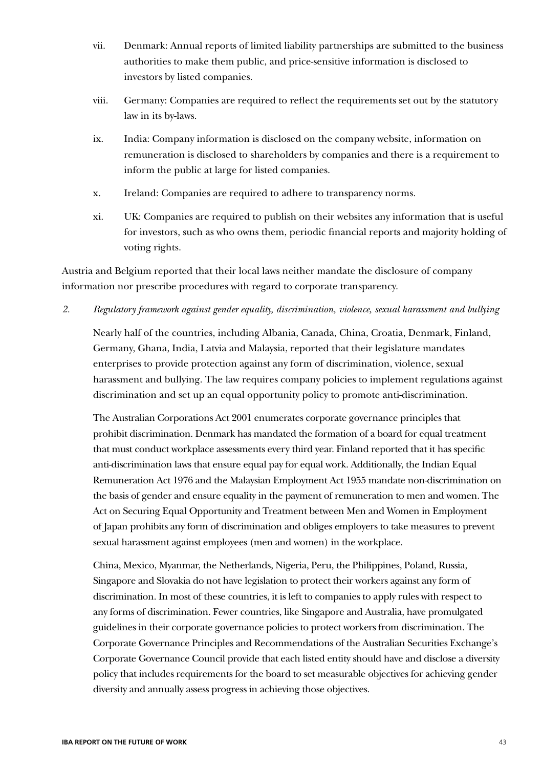- vii. Denmark: Annual reports of limited liability partnerships are submitted to the business authorities to make them public, and price-sensitive information is disclosed to investors by listed companies.
- viii. Germany: Companies are required to reflect the requirements set out by the statutory law in its by-laws.
- ix. India: Company information is disclosed on the company website, information on remuneration is disclosed to shareholders by companies and there is a requirement to inform the public at large for listed companies.
- x. Ireland: Companies are required to adhere to transparency norms.
- xi. UK: Companies are required to publish on their websites any information that is useful for investors, such as who owns them, periodic financial reports and majority holding of voting rights.

Austria and Belgium reported that their local laws neither mandate the disclosure of company information nor prescribe procedures with regard to corporate transparency.

*2. Regulatory framework against gender equality, discrimination, violence, sexual harassment and bullying*

Nearly half of the countries, including Albania, Canada, China, Croatia, Denmark, Finland, Germany, Ghana, India, Latvia and Malaysia, reported that their legislature mandates enterprises to provide protection against any form of discrimination, violence, sexual harassment and bullying. The law requires company policies to implement regulations against discrimination and set up an equal opportunity policy to promote anti-discrimination.

The Australian Corporations Act 2001 enumerates corporate governance principles that prohibit discrimination. Denmark has mandated the formation of a board for equal treatment that must conduct workplace assessments every third year. Finland reported that it has specific anti-discrimination laws that ensure equal pay for equal work. Additionally, the Indian Equal Remuneration Act 1976 and the Malaysian Employment Act 1955 mandate non-discrimination on the basis of gender and ensure equality in the payment of remuneration to men and women. The Act on Securing Equal Opportunity and Treatment between Men and Women in Employment of Japan prohibits any form of discrimination and obliges employers to take measures to prevent sexual harassment against employees (men and women) in the workplace.

China, Mexico, Myanmar, the Netherlands, Nigeria, Peru, the Philippines, Poland, Russia, Singapore and Slovakia do not have legislation to protect their workers against any form of discrimination. In most of these countries, it is left to companies to apply rules with respect to any forms of discrimination. Fewer countries, like Singapore and Australia, have promulgated guidelines in their corporate governance policies to protect workers from discrimination. The Corporate Governance Principles and Recommendations of the Australian Securities Exchange's Corporate Governance Council provide that each listed entity should have and disclose a diversity policy that includes requirements for the board to set measurable objectives for achieving gender diversity and annually assess progress in achieving those objectives.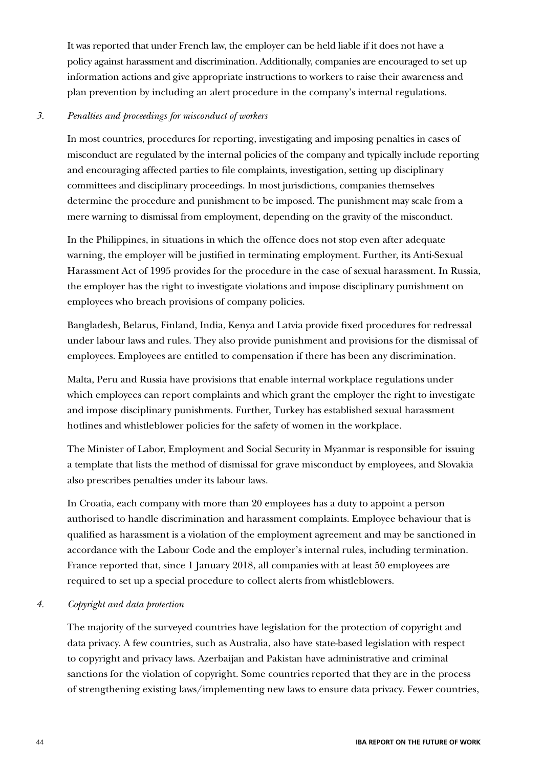It was reported that under French law, the employer can be held liable if it does not have a policy against harassment and discrimination. Additionally, companies are encouraged to set up information actions and give appropriate instructions to workers to raise their awareness and plan prevention by including an alert procedure in the company's internal regulations.

### *3. Penalties and proceedings for misconduct of workers*

In most countries, procedures for reporting, investigating and imposing penalties in cases of misconduct are regulated by the internal policies of the company and typically include reporting and encouraging affected parties to file complaints, investigation, setting up disciplinary committees and disciplinary proceedings. In most jurisdictions, companies themselves determine the procedure and punishment to be imposed. The punishment may scale from a mere warning to dismissal from employment, depending on the gravity of the misconduct.

In the Philippines, in situations in which the offence does not stop even after adequate warning, the employer will be justified in terminating employment. Further, its Anti-Sexual Harassment Act of 1995 provides for the procedure in the case of sexual harassment. In Russia, the employer has the right to investigate violations and impose disciplinary punishment on employees who breach provisions of company policies.

Bangladesh, Belarus, Finland, India, Kenya and Latvia provide fixed procedures for redressal under labour laws and rules. They also provide punishment and provisions for the dismissal of employees. Employees are entitled to compensation if there has been any discrimination.

Malta, Peru and Russia have provisions that enable internal workplace regulations under which employees can report complaints and which grant the employer the right to investigate and impose disciplinary punishments. Further, Turkey has established sexual harassment hotlines and whistleblower policies for the safety of women in the workplace.

The Minister of Labor, Employment and Social Security in Myanmar is responsible for issuing a template that lists the method of dismissal for grave misconduct by employees, and Slovakia also prescribes penalties under its labour laws.

In Croatia, each company with more than 20 employees has a duty to appoint a person authorised to handle discrimination and harassment complaints. Employee behaviour that is qualified as harassment is a violation of the employment agreement and may be sanctioned in accordance with the Labour Code and the employer's internal rules, including termination. France reported that, since 1 January 2018, all companies with at least 50 employees are required to set up a special procedure to collect alerts from whistleblowers.

### *4. Copyright and data protection*

The majority of the surveyed countries have legislation for the protection of copyright and data privacy. A few countries, such as Australia, also have state-based legislation with respect to copyright and privacy laws. Azerbaijan and Pakistan have administrative and criminal sanctions for the violation of copyright. Some countries reported that they are in the process of strengthening existing laws/implementing new laws to ensure data privacy. Fewer countries,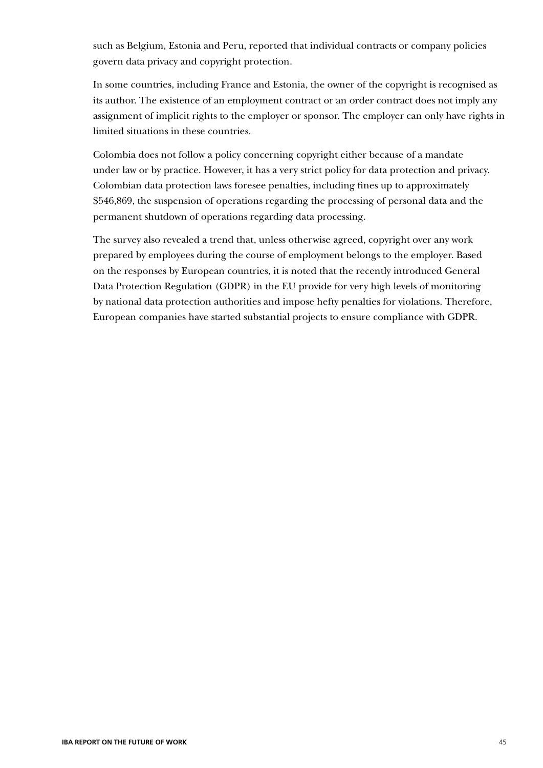such as Belgium, Estonia and Peru, reported that individual contracts or company policies govern data privacy and copyright protection.

In some countries, including France and Estonia, the owner of the copyright is recognised as its author. The existence of an employment contract or an order contract does not imply any assignment of implicit rights to the employer or sponsor. The employer can only have rights in limited situations in these countries.

Colombia does not follow a policy concerning copyright either because of a mandate under law or by practice. However, it has a very strict policy for data protection and privacy. Colombian data protection laws foresee penalties, including fines up to approximately \$546,869, the suspension of operations regarding the processing of personal data and the permanent shutdown of operations regarding data processing.

The survey also revealed a trend that, unless otherwise agreed, copyright over any work prepared by employees during the course of employment belongs to the employer. Based on the responses by European countries, it is noted that the recently introduced General Data Protection Regulation (GDPR) in the EU provide for very high levels of monitoring by national data protection authorities and impose hefty penalties for violations. Therefore, European companies have started substantial projects to ensure compliance with GDPR.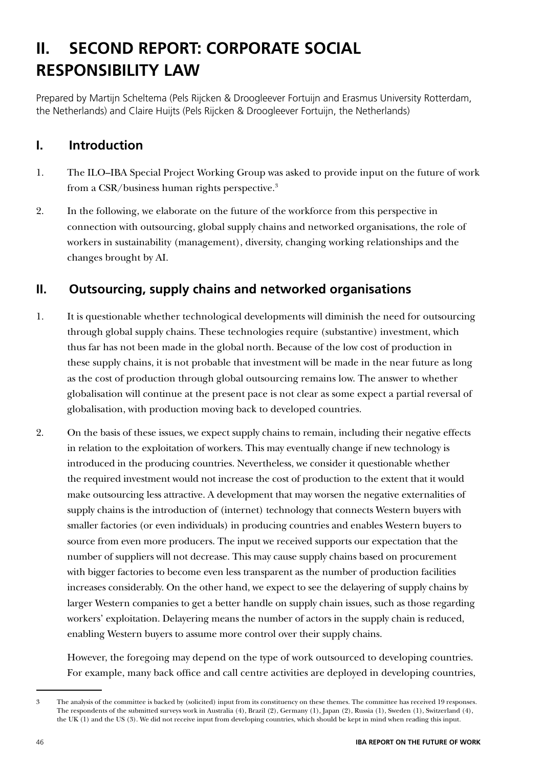# **II. SECOND REPORT: CORPORATE SOCIAL RESPONSIBILITY LAW**

Prepared by Martijn Scheltema (Pels Rijcken & Droogleever Fortuijn and Erasmus University Rotterdam, the Netherlands) and Claire Huijts (Pels Rijcken & Droogleever Fortuijn, the Netherlands)

# **I. Introduction**

- 1. The ILO–IBA Special Project Working Group was asked to provide input on the future of work from a CSR/business human rights perspective.<sup>3</sup>
- 2. In the following, we elaborate on the future of the workforce from this perspective in connection with outsourcing, global supply chains and networked organisations, the role of workers in sustainability (management), diversity, changing working relationships and the changes brought by AI.

# **II. Outsourcing, supply chains and networked organisations**

- 1. It is questionable whether technological developments will diminish the need for outsourcing through global supply chains. These technologies require (substantive) investment, which thus far has not been made in the global north. Because of the low cost of production in these supply chains, it is not probable that investment will be made in the near future as long as the cost of production through global outsourcing remains low. The answer to whether globalisation will continue at the present pace is not clear as some expect a partial reversal of globalisation, with production moving back to developed countries.
- 2. On the basis of these issues, we expect supply chains to remain, including their negative effects in relation to the exploitation of workers. This may eventually change if new technology is introduced in the producing countries. Nevertheless, we consider it questionable whether the required investment would not increase the cost of production to the extent that it would make outsourcing less attractive. A development that may worsen the negative externalities of supply chains is the introduction of (internet) technology that connects Western buyers with smaller factories (or even individuals) in producing countries and enables Western buyers to source from even more producers. The input we received supports our expectation that the number of suppliers will not decrease. This may cause supply chains based on procurement with bigger factories to become even less transparent as the number of production facilities increases considerably. On the other hand, we expect to see the delayering of supply chains by larger Western companies to get a better handle on supply chain issues, such as those regarding workers' exploitation. Delayering means the number of actors in the supply chain is reduced, enabling Western buyers to assume more control over their supply chains.

However, the foregoing may depend on the type of work outsourced to developing countries. For example, many back office and call centre activities are deployed in developing countries,

<sup>3</sup> The analysis of the committee is backed by (solicited) input from its constituency on these themes. The committee has received 19 responses. The respondents of the submitted surveys work in Australia (4), Brazil (2), Germany (1), Japan (2), Russia (1), Sweden (1), Switzerland (4), the UK (1) and the US (3). We did not receive input from developing countries, which should be kept in mind when reading this input.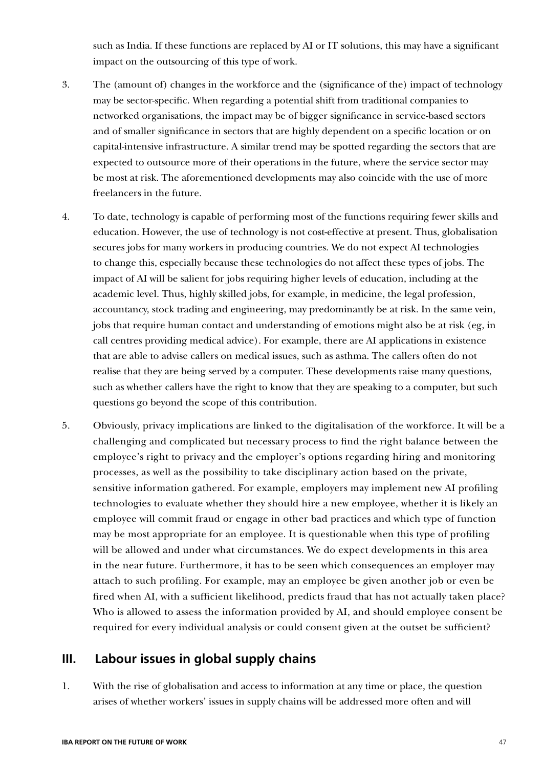such as India. If these functions are replaced by AI or IT solutions, this may have a significant impact on the outsourcing of this type of work.

- 3. The (amount of) changes in the workforce and the (significance of the) impact of technology may be sector-specific. When regarding a potential shift from traditional companies to networked organisations, the impact may be of bigger significance in service-based sectors and of smaller significance in sectors that are highly dependent on a specific location or on capital-intensive infrastructure. A similar trend may be spotted regarding the sectors that are expected to outsource more of their operations in the future, where the service sector may be most at risk. The aforementioned developments may also coincide with the use of more freelancers in the future.
- 4. To date, technology is capable of performing most of the functions requiring fewer skills and education. However, the use of technology is not cost-effective at present. Thus, globalisation secures jobs for many workers in producing countries. We do not expect AI technologies to change this, especially because these technologies do not affect these types of jobs. The impact of AI will be salient for jobs requiring higher levels of education, including at the academic level. Thus, highly skilled jobs, for example, in medicine, the legal profession, accountancy, stock trading and engineering, may predominantly be at risk. In the same vein, jobs that require human contact and understanding of emotions might also be at risk (eg, in call centres providing medical advice). For example, there are AI applications in existence that are able to advise callers on medical issues, such as asthma. The callers often do not realise that they are being served by a computer. These developments raise many questions, such as whether callers have the right to know that they are speaking to a computer, but such questions go beyond the scope of this contribution.
- 5. Obviously, privacy implications are linked to the digitalisation of the workforce. It will be a challenging and complicated but necessary process to find the right balance between the employee's right to privacy and the employer's options regarding hiring and monitoring processes, as well as the possibility to take disciplinary action based on the private, sensitive information gathered. For example, employers may implement new AI profiling technologies to evaluate whether they should hire a new employee, whether it is likely an employee will commit fraud or engage in other bad practices and which type of function may be most appropriate for an employee. It is questionable when this type of profiling will be allowed and under what circumstances. We do expect developments in this area in the near future. Furthermore, it has to be seen which consequences an employer may attach to such profiling. For example, may an employee be given another job or even be fired when AI, with a sufficient likelihood, predicts fraud that has not actually taken place? Who is allowed to assess the information provided by AI, and should employee consent be required for every individual analysis or could consent given at the outset be sufficient?

## **III. Labour issues in global supply chains**

1. With the rise of globalisation and access to information at any time or place, the question arises of whether workers' issues in supply chains will be addressed more often and will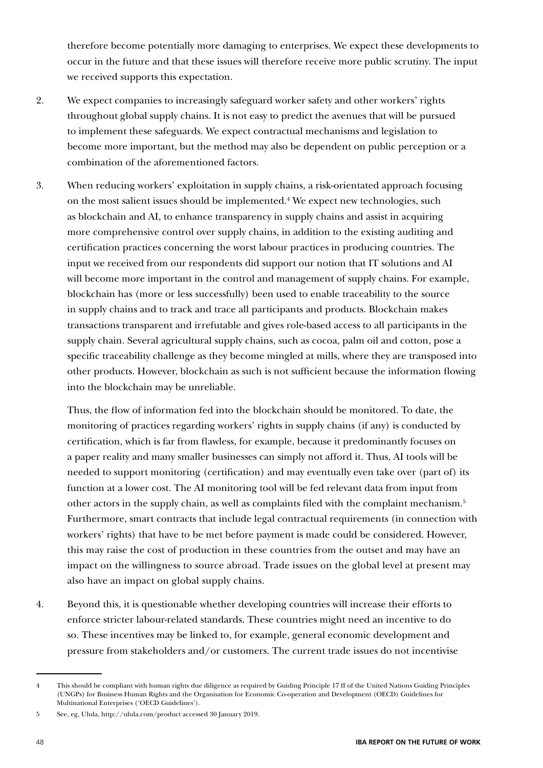therefore become potentially more damaging to enterprises. We expect these developments to occur in the future and that these issues will therefore receive more public scrutiny. The input we received supports this expectation.

- 2. We expect companies to increasingly safeguard worker safety and other workers' rights throughout global supply chains. It is not easy to predict the avenues that will be pursued to implement these safeguards. We expect contractual mechanisms and legislation to become more important, but the method may also be dependent on public perception or a combination of the aforementioned factors.
- 3. When reducing workers' exploitation in supply chains, a risk-orientated approach focusing on the most salient issues should be implemented.<sup>4</sup> We expect new technologies, such as blockchain and AI, to enhance transparency in supply chains and assist in acquiring more comprehensive control over supply chains, in addition to the existing auditing and certification practices concerning the worst labour practices in producing countries. The input we received from our respondents did support our notion that IT solutions and AI will become more important in the control and management of supply chains. For example, blockchain has (more or less successfully) been used to enable traceability to the source in supply chains and to track and trace all participants and products. Blockchain makes transactions transparent and irrefutable and gives role-based access to all participants in the supply chain. Several agricultural supply chains, such as cocoa, palm oil and cotton, pose a specific traceability challenge as they become mingled at mills, where they are transposed into other products. However, blockchain as such is not sufficient because the information flowing into the blockchain may be unreliable.

Thus, the flow of information fed into the blockchain should be monitored. To date, the monitoring of practices regarding workers' rights in supply chains (if any) is conducted by certification, which is far from flawless, for example, because it predominantly focuses on a paper reality and many smaller businesses can simply not afford it. Thus, AI tools will be needed to support monitoring (certification) and may eventually even take over (part of) its function at a lower cost. The AI monitoring tool will be fed relevant data from input from other actors in the supply chain, as well as complaints filed with the complaint mechanism.5 Furthermore, smart contracts that include legal contractual requirements (in connection with workers' rights) that have to be met before payment is made could be considered. However, this may raise the cost of production in these countries from the outset and may have an impact on the willingness to source abroad. Trade issues on the global level at present may also have an impact on global supply chains.

4. Beyond this, it is questionable whether developing countries will increase their efforts to enforce stricter labour-related standards. These countries might need an incentive to do so. These incentives may be linked to, for example, general economic development and pressure from stakeholders and/or customers. The current trade issues do not incentivise

<sup>4</sup> This should be compliant with human rights due diligence as required by Guiding Principle 17 ff of the United Nations Guiding Principles (UNGPs) for Business Human Rights and the Organisation for Economic Co-operation and Development (OECD) Guidelines for Multinational Enterprises ('OECD Guidelines').

<sup>5</sup> See, eg, Ulula, http://ulula.com/product accessed 30 January 2019.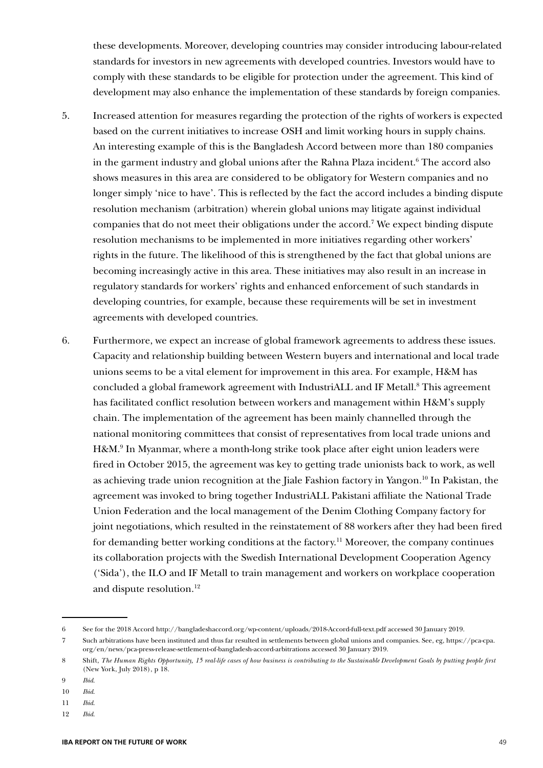these developments. Moreover, developing countries may consider introducing labour-related standards for investors in new agreements with developed countries. Investors would have to comply with these standards to be eligible for protection under the agreement. This kind of development may also enhance the implementation of these standards by foreign companies.

- 5. Increased attention for measures regarding the protection of the rights of workers is expected based on the current initiatives to increase OSH and limit working hours in supply chains. An interesting example of this is the Bangladesh Accord between more than 180 companies in the garment industry and global unions after the Rahna Plaza incident.6 The accord also shows measures in this area are considered to be obligatory for Western companies and no longer simply 'nice to have'. This is reflected by the fact the accord includes a binding dispute resolution mechanism (arbitration) wherein global unions may litigate against individual companies that do not meet their obligations under the accord.7 We expect binding dispute resolution mechanisms to be implemented in more initiatives regarding other workers' rights in the future. The likelihood of this is strengthened by the fact that global unions are becoming increasingly active in this area. These initiatives may also result in an increase in regulatory standards for workers' rights and enhanced enforcement of such standards in developing countries, for example, because these requirements will be set in investment agreements with developed countries.
- 6. Furthermore, we expect an increase of global framework agreements to address these issues. Capacity and relationship building between Western buyers and international and local trade unions seems to be a vital element for improvement in this area. For example, H&M has concluded a global framework agreement with IndustriALL and IF Metall.<sup>8</sup> This agreement has facilitated conflict resolution between workers and management within H&M's supply chain. The implementation of the agreement has been mainly channelled through the national monitoring committees that consist of representatives from local trade unions and H&M.<sup>9</sup> In Myanmar, where a month-long strike took place after eight union leaders were fired in October 2015, the agreement was key to getting trade unionists back to work, as well as achieving trade union recognition at the Jiale Fashion factory in Yangon.10 In Pakistan, the agreement was invoked to bring together IndustriALL Pakistani affiliate the National Trade Union Federation and the local management of the Denim Clothing Company factory for joint negotiations, which resulted in the reinstatement of 88 workers after they had been fired for demanding better working conditions at the factory.<sup>11</sup> Moreover, the company continues its collaboration projects with the Swedish International Development Cooperation Agency ('Sida'), the ILO and IF Metall to train management and workers on workplace cooperation and dispute resolution.12

<sup>6</sup> See for the 2018 Accord http://bangladeshaccord.org/wp-content/uploads/2018-Accord-full-text.pdf accessed 30 January 2019.

<sup>7</sup> Such arbitrations have been instituted and thus far resulted in settlements between global unions and companies. See, eg, https://pca-cpa. org/en/news/pca-press-release-settlement-of-bangladesh-accord-arbitrations accessed 30 January 2019.

<sup>8</sup> Shift, *The Human Rights Opportunity, 15 real-life cases of how business is contributing to the Sustainable Development Goals by putting people first* (New York, July 2018), p 18.

<sup>9</sup> *Ibid*.

<sup>10</sup> *Ibid*.

<sup>11</sup> *Ibid*.

<sup>12</sup> *Ibid*.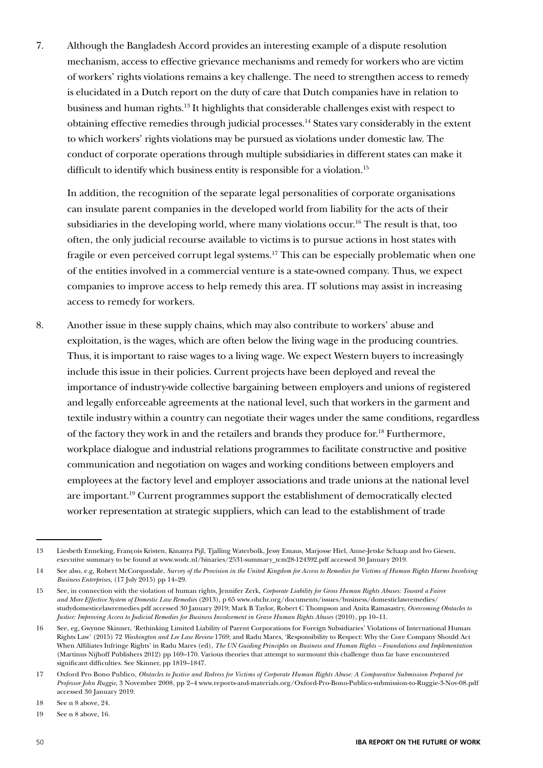7. Although the Bangladesh Accord provides an interesting example of a dispute resolution mechanism, access to effective grievance mechanisms and remedy for workers who are victim of workers' rights violations remains a key challenge. The need to strengthen access to remedy is elucidated in a Dutch report on the duty of care that Dutch companies have in relation to business and human rights.13 It highlights that considerable challenges exist with respect to obtaining effective remedies through judicial processes.14 States vary considerably in the extent to which workers' rights violations may be pursued as violations under domestic law. The conduct of corporate operations through multiple subsidiaries in different states can make it difficult to identify which business entity is responsible for a violation.<sup>15</sup>

In addition, the recognition of the separate legal personalities of corporate organisations can insulate parent companies in the developed world from liability for the acts of their subsidiaries in the developing world, where many violations occur.<sup>16</sup> The result is that, too often, the only judicial recourse available to victims is to pursue actions in host states with fragile or even perceived corrupt legal systems.17 This can be especially problematic when one of the entities involved in a commercial venture is a state-owned company. Thus, we expect companies to improve access to help remedy this area. IT solutions may assist in increasing access to remedy for workers.

8. Another issue in these supply chains, which may also contribute to workers' abuse and exploitation, is the wages, which are often below the living wage in the producing countries. Thus, it is important to raise wages to a living wage. We expect Western buyers to increasingly include this issue in their policies. Current projects have been deployed and reveal the importance of industry-wide collective bargaining between employers and unions of registered and legally enforceable agreements at the national level, such that workers in the garment and textile industry within a country can negotiate their wages under the same conditions, regardless of the factory they work in and the retailers and brands they produce for.18 Furthermore, workplace dialogue and industrial relations programmes to facilitate constructive and positive communication and negotiation on wages and working conditions between employers and employees at the factory level and employer associations and trade unions at the national level are important.19 Current programmes support the establishment of democratically elected worker representation at strategic suppliers, which can lead to the establishment of trade

<sup>13</sup> Liesbeth Enneking, François Kristen, Kinanya Pijl, Tjalling Waterbolk, Jessy Emaus, Marjosse Hiel, Anne-Jetske Schaap and Ivo Giesen, executive summary to be found at www.wodc.nl/binaries/2531-summary\_tcm28-124392.pdf accessed 30 January 2019.

<sup>14</sup> See also, e.g, Robert McCorquodale, *Survey of the Provision in the United Kingdom for Access to Remedies for Victims of Human Rights Harms Involving Business Enterprises*, (17 July 2015) pp 14–29.

<sup>15</sup> See, in connection with the violation of human rights, Jennifer Zerk, *Corporate Liability for Gross Human Rights Abuses: Toward a Fairer and More Effective System of Domestic Law Remedies* (2013), p 65 www.ohchr.org/documents/issues/business/domesticlawremedies/ studydomesticelawremedies.pdf accessed 30 January 2019; Mark B Taylor, Robert C Thompson and Anita Ramasastry, *Overcoming Obstacles to Justice: Improving Access to Judicial Remedies for Business Involvement in Grave Human Rights Abuses* (2010), pp 10–11.

<sup>16</sup> See, eg, Gwynne Skinner, 'Rethinking Limited Liability of Parent Corporations for Foreign Subsidiaries' Violations of International Human Rights Law' (2015) 72 *Washington and Lee Law Review* 1769; and Radu Mares, 'Responsibility to Respect: Why the Core Company Should Act When Affiliates Infringe Rights' in Radu Mares (ed), *The UN Guiding Principles on Business and Human Rights – Foundations and Implementation* (Martinus Nijhoff Publishers 2012) pp 169–170. Various theories that attempt to surmount this challenge thus far have encountered significant difficulties. See Skinner, pp 1819–1847.

<sup>17</sup> Oxford Pro Bono Publico, *Obstacles to Justice and Redress for Victims of Corporate Human Rights Abuse: A Comparative Submission Prepared for Professor John Ruggie*, 3 November 2008, pp 2–4 www.reports-and-materials.org/Oxford-Pro-Bono-Publico-submission-to-Ruggie-3-Nov-08.pdf accessed 30 January 2019.

<sup>18</sup> See n 8 above, 24.

<sup>19</sup> See n 8 above, 16.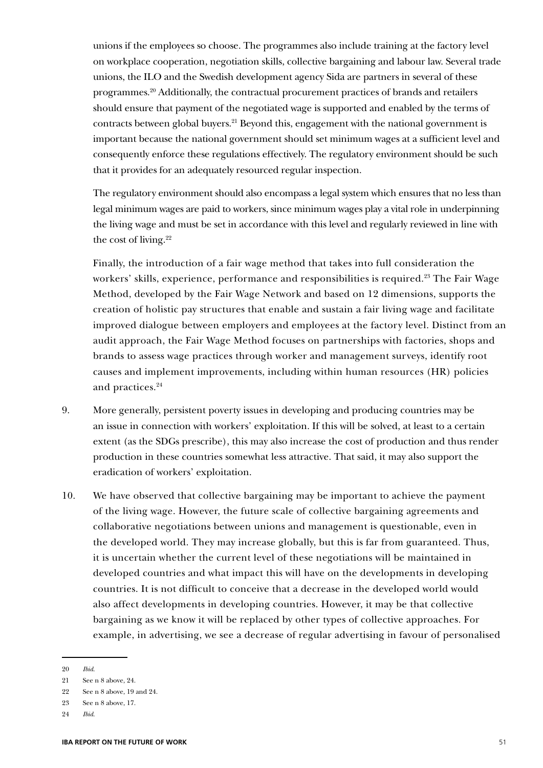unions if the employees so choose. The programmes also include training at the factory level on workplace cooperation, negotiation skills, collective bargaining and labour law. Several trade unions, the ILO and the Swedish development agency Sida are partners in several of these programmes.20 Additionally, the contractual procurement practices of brands and retailers should ensure that payment of the negotiated wage is supported and enabled by the terms of contracts between global buyers.<sup>21</sup> Beyond this, engagement with the national government is important because the national government should set minimum wages at a sufficient level and consequently enforce these regulations effectively. The regulatory environment should be such that it provides for an adequately resourced regular inspection.

The regulatory environment should also encompass a legal system which ensures that no less than legal minimum wages are paid to workers, since minimum wages play a vital role in underpinning the living wage and must be set in accordance with this level and regularly reviewed in line with the cost of living.22

Finally, the introduction of a fair wage method that takes into full consideration the workers' skills, experience, performance and responsibilities is required.<sup>23</sup> The Fair Wage Method, developed by the Fair Wage Network and based on 12 dimensions, supports the creation of holistic pay structures that enable and sustain a fair living wage and facilitate improved dialogue between employers and employees at the factory level. Distinct from an audit approach, the Fair Wage Method focuses on partnerships with factories, shops and brands to assess wage practices through worker and management surveys, identify root causes and implement improvements, including within human resources (HR) policies and practices.24

- 9. More generally, persistent poverty issues in developing and producing countries may be an issue in connection with workers' exploitation. If this will be solved, at least to a certain extent (as the SDGs prescribe), this may also increase the cost of production and thus render production in these countries somewhat less attractive. That said, it may also support the eradication of workers' exploitation.
- 10. We have observed that collective bargaining may be important to achieve the payment of the living wage. However, the future scale of collective bargaining agreements and collaborative negotiations between unions and management is questionable, even in the developed world. They may increase globally, but this is far from guaranteed. Thus, it is uncertain whether the current level of these negotiations will be maintained in developed countries and what impact this will have on the developments in developing countries. It is not difficult to conceive that a decrease in the developed world would also affect developments in developing countries. However, it may be that collective bargaining as we know it will be replaced by other types of collective approaches. For example, in advertising, we see a decrease of regular advertising in favour of personalised

<sup>20</sup> *Ibid*.

<sup>21</sup> See n 8 above, 24.

<sup>22</sup> See n 8 above, 19 and 24.

<sup>23</sup> See n 8 above, 17.

<sup>24</sup> *Ibid*.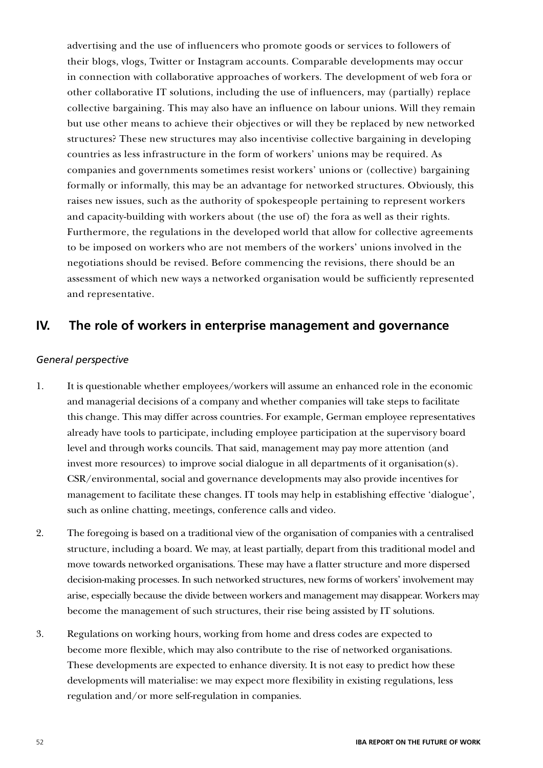advertising and the use of influencers who promote goods or services to followers of their blogs, vlogs, Twitter or Instagram accounts. Comparable developments may occur in connection with collaborative approaches of workers. The development of web fora or other collaborative IT solutions, including the use of influencers, may (partially) replace collective bargaining. This may also have an influence on labour unions. Will they remain but use other means to achieve their objectives or will they be replaced by new networked structures? These new structures may also incentivise collective bargaining in developing countries as less infrastructure in the form of workers' unions may be required. As companies and governments sometimes resist workers' unions or (collective) bargaining formally or informally, this may be an advantage for networked structures. Obviously, this raises new issues, such as the authority of spokespeople pertaining to represent workers and capacity-building with workers about (the use of) the fora as well as their rights. Furthermore, the regulations in the developed world that allow for collective agreements to be imposed on workers who are not members of the workers' unions involved in the negotiations should be revised. Before commencing the revisions, there should be an assessment of which new ways a networked organisation would be sufficiently represented and representative.

## **IV. The role of workers in enterprise management and governance**

### *General perspective*

- 1. It is questionable whether employees/workers will assume an enhanced role in the economic and managerial decisions of a company and whether companies will take steps to facilitate this change. This may differ across countries. For example, German employee representatives already have tools to participate, including employee participation at the supervisory board level and through works councils. That said, management may pay more attention (and invest more resources) to improve social dialogue in all departments of it organisation(s). CSR/environmental, social and governance developments may also provide incentives for management to facilitate these changes. IT tools may help in establishing effective 'dialogue', such as online chatting, meetings, conference calls and video.
- 2. The foregoing is based on a traditional view of the organisation of companies with a centralised structure, including a board. We may, at least partially, depart from this traditional model and move towards networked organisations. These may have a flatter structure and more dispersed decision-making processes. In such networked structures, new forms of workers' involvement may arise, especially because the divide between workers and management may disappear. Workers may become the management of such structures, their rise being assisted by IT solutions.
- 3. Regulations on working hours, working from home and dress codes are expected to become more flexible, which may also contribute to the rise of networked organisations. These developments are expected to enhance diversity. It is not easy to predict how these developments will materialise: we may expect more flexibility in existing regulations, less regulation and/or more self-regulation in companies.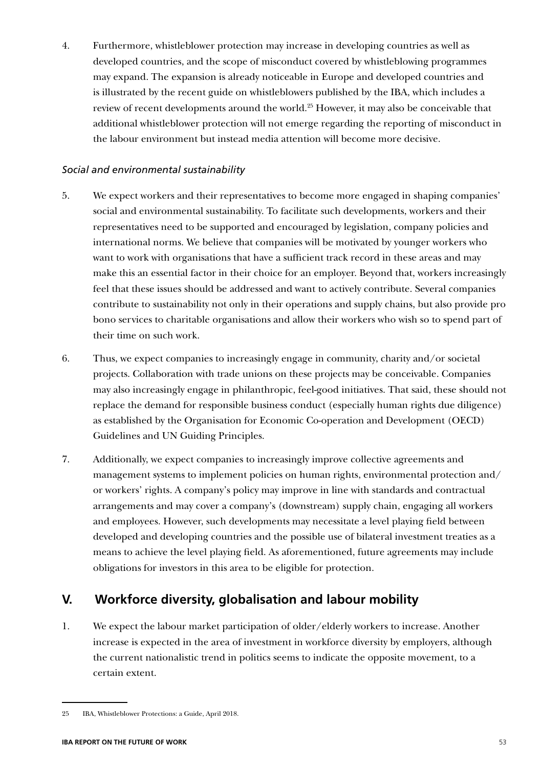4. Furthermore, whistleblower protection may increase in developing countries as well as developed countries, and the scope of misconduct covered by whistleblowing programmes may expand. The expansion is already noticeable in Europe and developed countries and is illustrated by the recent guide on whistleblowers published by the IBA, which includes a review of recent developments around the world.25 However, it may also be conceivable that additional whistleblower protection will not emerge regarding the reporting of misconduct in the labour environment but instead media attention will become more decisive.

### *Social and environmental sustainability*

- 5. We expect workers and their representatives to become more engaged in shaping companies' social and environmental sustainability. To facilitate such developments, workers and their representatives need to be supported and encouraged by legislation, company policies and international norms. We believe that companies will be motivated by younger workers who want to work with organisations that have a sufficient track record in these areas and may make this an essential factor in their choice for an employer. Beyond that, workers increasingly feel that these issues should be addressed and want to actively contribute. Several companies contribute to sustainability not only in their operations and supply chains, but also provide pro bono services to charitable organisations and allow their workers who wish so to spend part of their time on such work.
- 6. Thus, we expect companies to increasingly engage in community, charity and/or societal projects. Collaboration with trade unions on these projects may be conceivable. Companies may also increasingly engage in philanthropic, feel-good initiatives. That said, these should not replace the demand for responsible business conduct (especially human rights due diligence) as established by the Organisation for Economic Co-operation and Development (OECD) Guidelines and UN Guiding Principles.
- 7. Additionally, we expect companies to increasingly improve collective agreements and management systems to implement policies on human rights, environmental protection and/ or workers' rights. A company's policy may improve in line with standards and contractual arrangements and may cover a company's (downstream) supply chain, engaging all workers and employees. However, such developments may necessitate a level playing field between developed and developing countries and the possible use of bilateral investment treaties as a means to achieve the level playing field. As aforementioned, future agreements may include obligations for investors in this area to be eligible for protection.

# **V. Workforce diversity, globalisation and labour mobility**

1. We expect the labour market participation of older/elderly workers to increase. Another increase is expected in the area of investment in workforce diversity by employers, although the current nationalistic trend in politics seems to indicate the opposite movement, to a certain extent.

<sup>25</sup> IBA, Whistleblower Protections: a Guide, April 2018.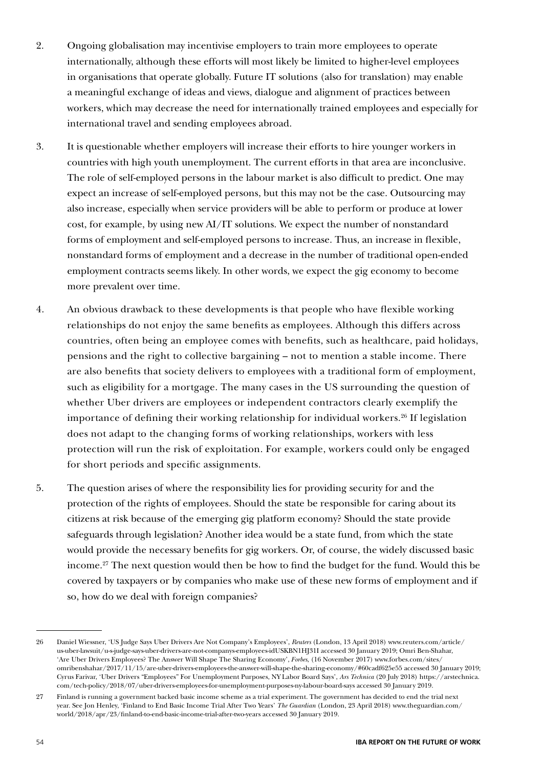- 2. Ongoing globalisation may incentivise employers to train more employees to operate internationally, although these efforts will most likely be limited to higher-level employees in organisations that operate globally. Future IT solutions (also for translation) may enable a meaningful exchange of ideas and views, dialogue and alignment of practices between workers, which may decrease the need for internationally trained employees and especially for international travel and sending employees abroad.
- 3. It is questionable whether employers will increase their efforts to hire younger workers in countries with high youth unemployment. The current efforts in that area are inconclusive. The role of self-employed persons in the labour market is also difficult to predict. One may expect an increase of self-employed persons, but this may not be the case. Outsourcing may also increase, especially when service providers will be able to perform or produce at lower cost, for example, by using new AI/IT solutions. We expect the number of nonstandard forms of employment and self-employed persons to increase. Thus, an increase in flexible, nonstandard forms of employment and a decrease in the number of traditional open-ended employment contracts seems likely. In other words, we expect the gig economy to become more prevalent over time.
- 4. An obvious drawback to these developments is that people who have flexible working relationships do not enjoy the same benefits as employees. Although this differs across countries, often being an employee comes with benefits, such as healthcare, paid holidays, pensions and the right to collective bargaining – not to mention a stable income. There are also benefits that society delivers to employees with a traditional form of employment, such as eligibility for a mortgage. The many cases in the US surrounding the question of whether Uber drivers are employees or independent contractors clearly exemplify the importance of defining their working relationship for individual workers.<sup>26</sup> If legislation does not adapt to the changing forms of working relationships, workers with less protection will run the risk of exploitation. For example, workers could only be engaged for short periods and specific assignments.
- 5. The question arises of where the responsibility lies for providing security for and the protection of the rights of employees. Should the state be responsible for caring about its citizens at risk because of the emerging gig platform economy? Should the state provide safeguards through legislation? Another idea would be a state fund, from which the state would provide the necessary benefits for gig workers. Or, of course, the widely discussed basic income.27 The next question would then be how to find the budget for the fund. Would this be covered by taxpayers or by companies who make use of these new forms of employment and if so, how do we deal with foreign companies?

<sup>26</sup> Daniel Wiessner, 'US Judge Says Uber Drivers Are Not Company's Employees', *Reuters* (London, 13 April 2018) www.reuters.com/article/ us-uber-lawsuit/u-s-judge-says-uber-drivers-are-not-companys-employees-idUSKBN1HJ31I accessed 30 January 2019; Omri Ben-Shahar, 'Are Uber Drivers Employees? The Answer Will Shape The Sharing Economy', *Forbes*, (16 November 2017) www.forbes.com/sites/ omribenshahar/2017/11/15/are-uber-drivers-employees-the-answer-will-shape-the-sharing-economy/#60cadf625e55 accessed 30 January 2019; Cyrus Farivar, 'Uber Drivers "Employees" For Unemployment Purposes, NY Labor Board Says', *Ars Technica* (20 July 2018) https://arstechnica. com/tech-policy/2018/07/uber-drivers-employees-for-unemployment-purposes-ny-labour-board-says accessed 30 January 2019.

<sup>27</sup> Finland is running a government backed basic income scheme as a trial experiment. The government has decided to end the trial next year. See Jon Henley, 'Finland to End Basic Income Trial After Two Years' *The Guardian* (London, 23 April 2018) www.theguardian.com/ world/2018/apr/23/finland-to-end-basic-income-trial-after-two-years accessed 30 January 2019.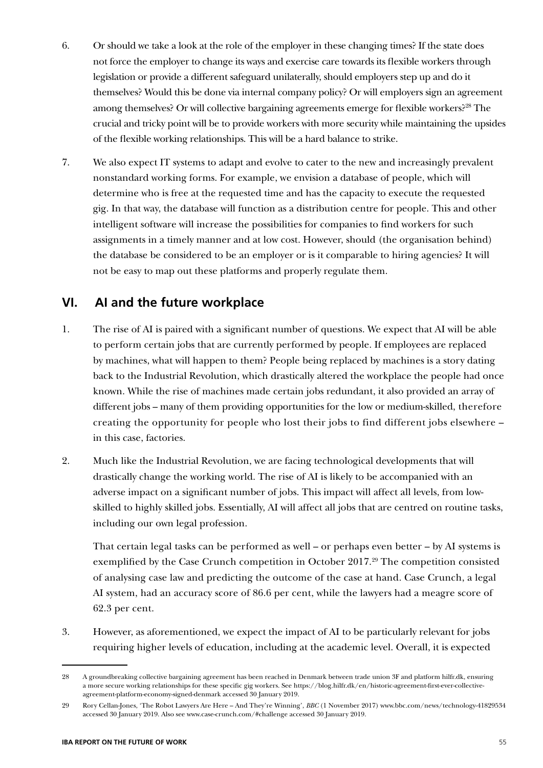- 6. Or should we take a look at the role of the employer in these changing times? If the state does not force the employer to change its ways and exercise care towards its flexible workers through legislation or provide a different safeguard unilaterally, should employers step up and do it themselves? Would this be done via internal company policy? Or will employers sign an agreement among themselves? Or will collective bargaining agreements emerge for flexible workers?<sup>28</sup> The crucial and tricky point will be to provide workers with more security while maintaining the upsides of the flexible working relationships. This will be a hard balance to strike.
- 7. We also expect IT systems to adapt and evolve to cater to the new and increasingly prevalent nonstandard working forms. For example, we envision a database of people, which will determine who is free at the requested time and has the capacity to execute the requested gig. In that way, the database will function as a distribution centre for people. This and other intelligent software will increase the possibilities for companies to find workers for such assignments in a timely manner and at low cost. However, should (the organisation behind) the database be considered to be an employer or is it comparable to hiring agencies? It will not be easy to map out these platforms and properly regulate them.

## **VI. AI and the future workplace**

- 1. The rise of AI is paired with a significant number of questions. We expect that AI will be able to perform certain jobs that are currently performed by people. If employees are replaced by machines, what will happen to them? People being replaced by machines is a story dating back to the Industrial Revolution, which drastically altered the workplace the people had once known. While the rise of machines made certain jobs redundant, it also provided an array of different jobs – many of them providing opportunities for the low or medium-skilled, therefore creating the opportunity for people who lost their jobs to find different jobs elsewhere – in this case, factories.
- 2. Much like the Industrial Revolution, we are facing technological developments that will drastically change the working world. The rise of AI is likely to be accompanied with an adverse impact on a significant number of jobs. This impact will affect all levels, from lowskilled to highly skilled jobs. Essentially, AI will affect all jobs that are centred on routine tasks, including our own legal profession.

That certain legal tasks can be performed as well – or perhaps even better – by AI systems is exemplified by the Case Crunch competition in October 2017.<sup>29</sup> The competition consisted of analysing case law and predicting the outcome of the case at hand. Case Crunch, a legal AI system, had an accuracy score of 86.6 per cent, while the lawyers had a meagre score of 62.3 per cent.

3. However, as aforementioned, we expect the impact of AI to be particularly relevant for jobs requiring higher levels of education, including at the academic level. Overall, it is expected

<sup>28</sup> A groundbreaking collective bargaining agreement has been reached in Denmark between trade union 3F and platform hilfr.dk, ensuring a more secure working relationships for these specific gig workers. See https://blog.hilfr.dk/en/historic-agreement-first-ever-collectiveagreement-platform-economy-signed-denmark accessed 30 January 2019.

<sup>29</sup> Rory Cellan-Jones, 'The Robot Lawyers Are Here – And They're Winning', *BBC* (1 November 2017) www.bbc.com/news/technology-41829534 accessed 30 January 2019. Also see www.case-crunch.com/#challenge accessed 30 January 2019.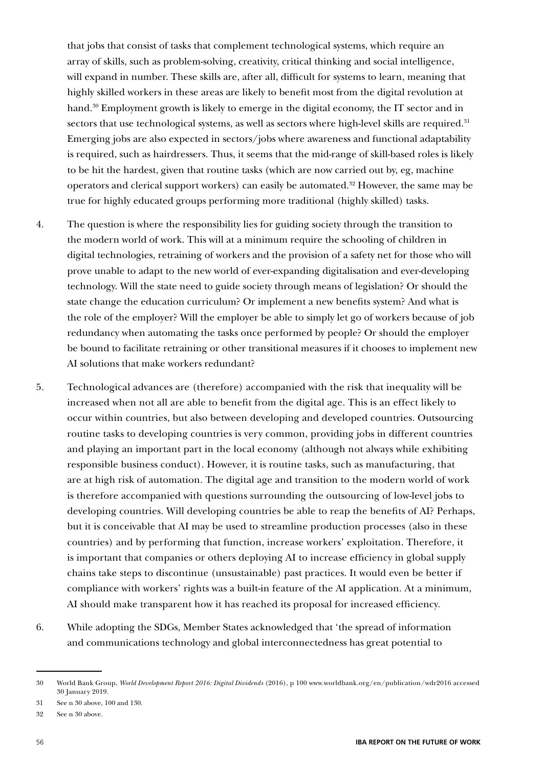that jobs that consist of tasks that complement technological systems, which require an array of skills, such as problem-solving, creativity, critical thinking and social intelligence, will expand in number. These skills are, after all, difficult for systems to learn, meaning that highly skilled workers in these areas are likely to benefit most from the digital revolution at hand.<sup>30</sup> Employment growth is likely to emerge in the digital economy, the IT sector and in sectors that use technological systems, as well as sectors where high-level skills are required.<sup>31</sup> Emerging jobs are also expected in sectors/jobs where awareness and functional adaptability is required, such as hairdressers. Thus, it seems that the mid-range of skill-based roles is likely to be hit the hardest, given that routine tasks (which are now carried out by, eg, machine operators and clerical support workers) can easily be automated.32 However, the same may be true for highly educated groups performing more traditional (highly skilled) tasks.

- 4. The question is where the responsibility lies for guiding society through the transition to the modern world of work. This will at a minimum require the schooling of children in digital technologies, retraining of workers and the provision of a safety net for those who will prove unable to adapt to the new world of ever-expanding digitalisation and ever-developing technology. Will the state need to guide society through means of legislation? Or should the state change the education curriculum? Or implement a new benefits system? And what is the role of the employer? Will the employer be able to simply let go of workers because of job redundancy when automating the tasks once performed by people? Or should the employer be bound to facilitate retraining or other transitional measures if it chooses to implement new AI solutions that make workers redundant?
- 5. Technological advances are (therefore) accompanied with the risk that inequality will be increased when not all are able to benefit from the digital age. This is an effect likely to occur within countries, but also between developing and developed countries. Outsourcing routine tasks to developing countries is very common, providing jobs in different countries and playing an important part in the local economy (although not always while exhibiting responsible business conduct). However, it is routine tasks, such as manufacturing, that are at high risk of automation. The digital age and transition to the modern world of work is therefore accompanied with questions surrounding the outsourcing of low-level jobs to developing countries. Will developing countries be able to reap the benefits of AI? Perhaps, but it is conceivable that AI may be used to streamline production processes (also in these countries) and by performing that function, increase workers' exploitation. Therefore, it is important that companies or others deploying AI to increase efficiency in global supply chains take steps to discontinue (unsustainable) past practices. It would even be better if compliance with workers' rights was a built-in feature of the AI application. At a minimum, AI should make transparent how it has reached its proposal for increased efficiency.
- 6. While adopting the SDGs, Member States acknowledged that 'the spread of information and communications technology and global interconnectedness has great potential to

<sup>30</sup> World Bank Group, *World Development Report 2016: Digital Dividends* (2016), p 100 www.worldbank.org/en/publication/wdr2016 accessed 30 January 2019.

<sup>31</sup> See n 30 above, 100 and 130.

<sup>32</sup> See n 30 above.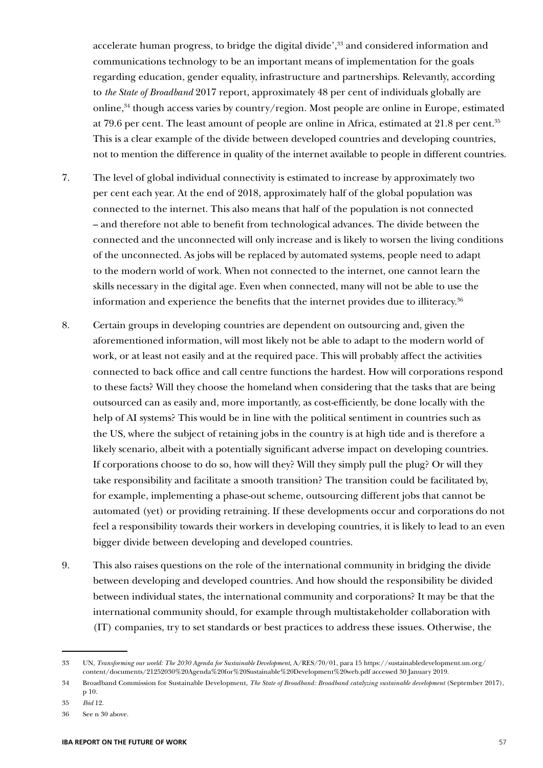accelerate human progress, to bridge the digital divide',<sup>33</sup> and considered information and communications technology to be an important means of implementation for the goals regarding education, gender equality, infrastructure and partnerships. Relevantly, according to *the State of Broadband* 2017 report, approximately 48 per cent of individuals globally are online, $34$  though access varies by country/region. Most people are online in Europe, estimated at 79.6 per cent. The least amount of people are online in Africa, estimated at 21.8 per cent.<sup>35</sup> This is a clear example of the divide between developed countries and developing countries, not to mention the difference in quality of the internet available to people in different countries.

- 7. The level of global individual connectivity is estimated to increase by approximately two per cent each year. At the end of 2018, approximately half of the global population was connected to the internet. This also means that half of the population is not connected – and therefore not able to benefit from technological advances. The divide between the connected and the unconnected will only increase and is likely to worsen the living conditions of the unconnected. As jobs will be replaced by automated systems, people need to adapt to the modern world of work. When not connected to the internet, one cannot learn the skills necessary in the digital age. Even when connected, many will not be able to use the information and experience the benefits that the internet provides due to illiteracy.36
- 8. Certain groups in developing countries are dependent on outsourcing and, given the aforementioned information, will most likely not be able to adapt to the modern world of work, or at least not easily and at the required pace. This will probably affect the activities connected to back office and call centre functions the hardest. How will corporations respond to these facts? Will they choose the homeland when considering that the tasks that are being outsourced can as easily and, more importantly, as cost-efficiently, be done locally with the help of AI systems? This would be in line with the political sentiment in countries such as the US, where the subject of retaining jobs in the country is at high tide and is therefore a likely scenario, albeit with a potentially significant adverse impact on developing countries. If corporations choose to do so, how will they? Will they simply pull the plug? Or will they take responsibility and facilitate a smooth transition? The transition could be facilitated by, for example, implementing a phase-out scheme, outsourcing different jobs that cannot be automated (yet) or providing retraining. If these developments occur and corporations do not feel a responsibility towards their workers in developing countries, it is likely to lead to an even bigger divide between developing and developed countries.
- 9. This also raises questions on the role of the international community in bridging the divide between developing and developed countries. And how should the responsibility be divided between individual states, the international community and corporations? It may be that the international community should, for example through multistakeholder collaboration with (IT) companies, try to set standards or best practices to address these issues. Otherwise, the

<sup>33</sup> UN, *Transforming our world: The 2030 Agenda for Sustainable Development*, A/RES/70/01, para 15 https://sustainabledevelopment.un.org/ content/documents/21252030%20Agenda%20for%20Sustainable%20Development%20web.pdf accessed 30 January 2019.

<sup>34</sup> Broadband Commission for Sustainable Development, *The State of Broadband: Broadband catalyzing sustainable development* (September 2017), p 10.

<sup>35</sup> *Ibid* 12.

<sup>36</sup> See n 30 above.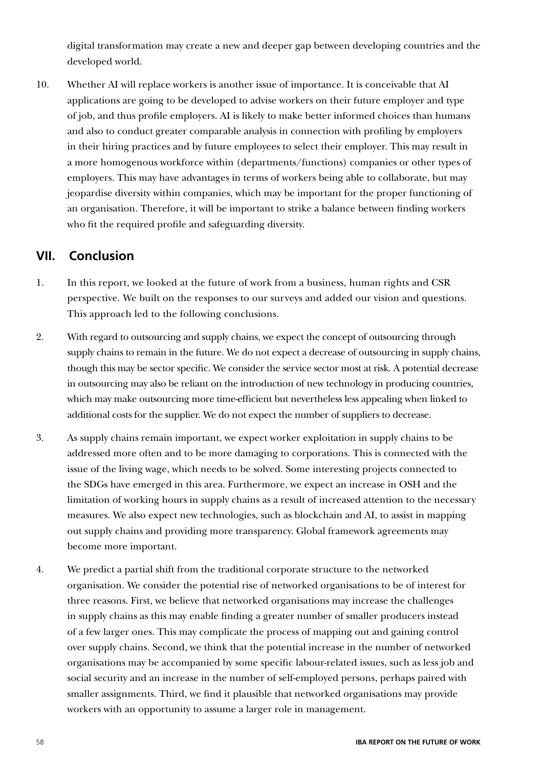digital transformation may create a new and deeper gap between developing countries and the developed world.

10. Whether AI will replace workers is another issue of importance. It is conceivable that AI applications are going to be developed to advise workers on their future employer and type of job, and thus profile employers. AI is likely to make better informed choices than humans and also to conduct greater comparable analysis in connection with profiling by employers in their hiring practices and by future employees to select their employer. This may result in a more homogenous workforce within (departments/functions) companies or other types of employers. This may have advantages in terms of workers being able to collaborate, but may jeopardise diversity within companies, which may be important for the proper functioning of an organisation. Therefore, it will be important to strike a balance between finding workers who fit the required profile and safeguarding diversity.

# **VII. Conclusion**

- 1. In this report, we looked at the future of work from a business, human rights and CSR perspective. We built on the responses to our surveys and added our vision and questions. This approach led to the following conclusions.
- 2. With regard to outsourcing and supply chains, we expect the concept of outsourcing through supply chains to remain in the future. We do not expect a decrease of outsourcing in supply chains, though this may be sector specific. We consider the service sector most at risk. A potential decrease in outsourcing may also be reliant on the introduction of new technology in producing countries, which may make outsourcing more time-efficient but nevertheless less appealing when linked to additional costs for the supplier. We do not expect the number of suppliers to decrease.
- 3. As supply chains remain important, we expect worker exploitation in supply chains to be addressed more often and to be more damaging to corporations. This is connected with the issue of the living wage, which needs to be solved. Some interesting projects connected to the SDGs have emerged in this area. Furthermore, we expect an increase in OSH and the limitation of working hours in supply chains as a result of increased attention to the necessary measures. We also expect new technologies, such as blockchain and AI, to assist in mapping out supply chains and providing more transparency. Global framework agreements may become more important.
- 4. We predict a partial shift from the traditional corporate structure to the networked organisation. We consider the potential rise of networked organisations to be of interest for three reasons. First, we believe that networked organisations may increase the challenges in supply chains as this may enable finding a greater number of smaller producers instead of a few larger ones. This may complicate the process of mapping out and gaining control over supply chains. Second, we think that the potential increase in the number of networked organisations may be accompanied by some specific labour-related issues, such as less job and social security and an increase in the number of self-employed persons, perhaps paired with smaller assignments. Third, we find it plausible that networked organisations may provide workers with an opportunity to assume a larger role in management.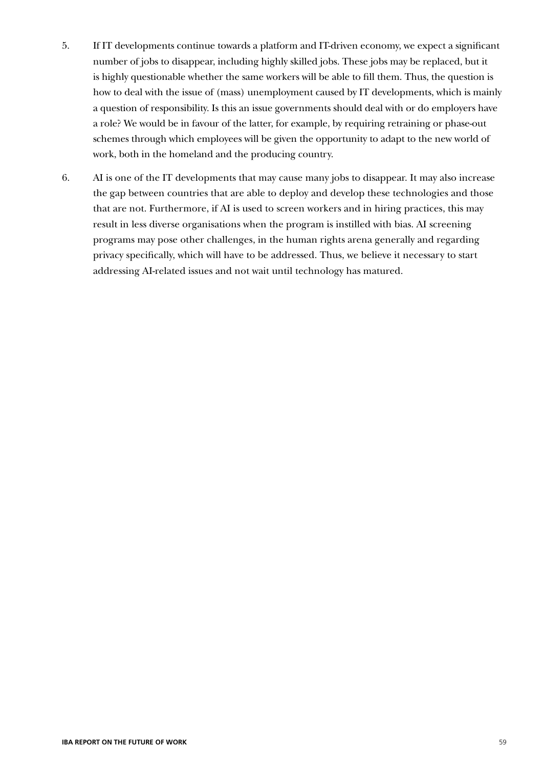- 5. If IT developments continue towards a platform and IT-driven economy, we expect a significant number of jobs to disappear, including highly skilled jobs. These jobs may be replaced, but it is highly questionable whether the same workers will be able to fill them. Thus, the question is how to deal with the issue of (mass) unemployment caused by IT developments, which is mainly a question of responsibility. Is this an issue governments should deal with or do employers have a role? We would be in favour of the latter, for example, by requiring retraining or phase-out schemes through which employees will be given the opportunity to adapt to the new world of work, both in the homeland and the producing country.
- 6. AI is one of the IT developments that may cause many jobs to disappear. It may also increase the gap between countries that are able to deploy and develop these technologies and those that are not. Furthermore, if AI is used to screen workers and in hiring practices, this may result in less diverse organisations when the program is instilled with bias. AI screening programs may pose other challenges, in the human rights arena generally and regarding privacy specifically, which will have to be addressed. Thus, we believe it necessary to start addressing AI-related issues and not wait until technology has matured.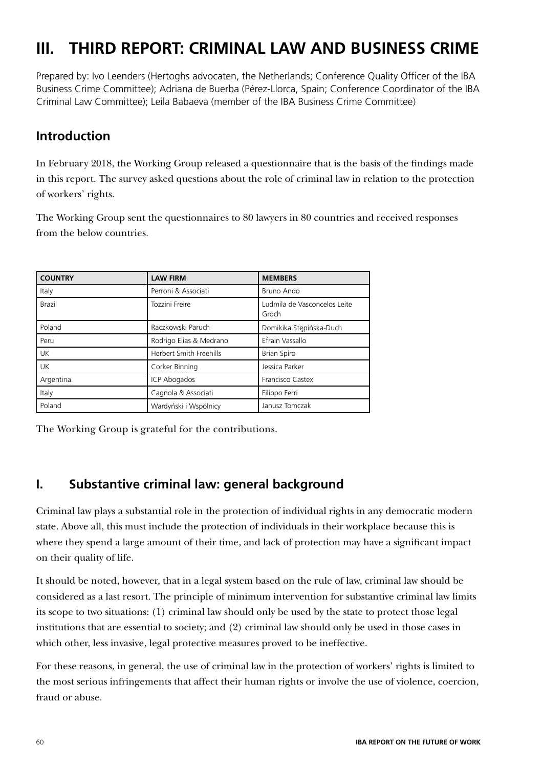# **III. THIRD REPORT: CRIMINAL LAW AND BUSINESS CRIME**

Prepared by: Ivo Leenders (Hertoghs advocaten, the Netherlands; Conference Quality Officer of the IBA Business Crime Committee); Adriana de Buerba (Pérez-Llorca, Spain; Conference Coordinator of the IBA Criminal Law Committee); Leila Babaeva (member of the IBA Business Crime Committee)

# **Introduction**

In February 2018, the Working Group released a questionnaire that is the basis of the findings made in this report. The survey asked questions about the role of criminal law in relation to the protection of workers' rights.

The Working Group sent the questionnaires to 80 lawyers in 80 countries and received responses from the below countries.

| <b>COUNTRY</b> | <b>LAW FIRM</b>         | <b>MEMBERS</b>                        |
|----------------|-------------------------|---------------------------------------|
| Italy          | Perroni & Associati     | Bruno Ando                            |
| Brazil         | Tozzini Freire          | Ludmila de Vasconcelos Leite<br>Groch |
| Poland         | Raczkowski Paruch       | Domikika Stępińska-Duch               |
| Peru           | Rodrigo Elias & Medrano | Efrain Vassallo                       |
| <b>UK</b>      | Herbert Smith Freehills | <b>Brian Spiro</b>                    |
| <b>UK</b>      | Corker Binning          | Jessica Parker                        |
| Argentina      | <b>ICP Abogados</b>     | Francisco Castex                      |
| Italy          | Cagnola & Associati     | Filippo Ferri                         |
| Poland         | Wardyński i Wspólnicy   | Janusz Tomczak                        |

The Working Group is grateful for the contributions.

# **I. Substantive criminal law: general background**

Criminal law plays a substantial role in the protection of individual rights in any democratic modern state. Above all, this must include the protection of individuals in their workplace because this is where they spend a large amount of their time, and lack of protection may have a significant impact on their quality of life.

It should be noted, however, that in a legal system based on the rule of law, criminal law should be considered as a last resort. The principle of minimum intervention for substantive criminal law limits its scope to two situations: (1) criminal law should only be used by the state to protect those legal institutions that are essential to society; and (2) criminal law should only be used in those cases in which other, less invasive, legal protective measures proved to be ineffective.

For these reasons, in general, the use of criminal law in the protection of workers' rights is limited to the most serious infringements that affect their human rights or involve the use of violence, coercion, fraud or abuse.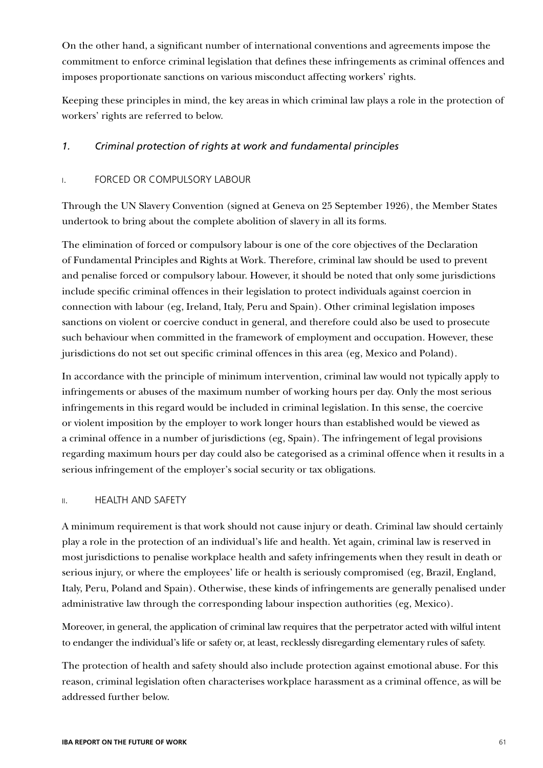On the other hand, a significant number of international conventions and agreements impose the commitment to enforce criminal legislation that defines these infringements as criminal offences and imposes proportionate sanctions on various misconduct affecting workers' rights.

Keeping these principles in mind, the key areas in which criminal law plays a role in the protection of workers' rights are referred to below.

### *1. Criminal protection of rights at work and fundamental principles*

### i. FORCED OR COMPULSORY LABOUR

Through the UN Slavery Convention (signed at Geneva on 25 September 1926), the Member States undertook to bring about the complete abolition of slavery in all its forms.

The elimination of forced or compulsory labour is one of the core objectives of the Declaration of Fundamental Principles and Rights at Work. Therefore, criminal law should be used to prevent and penalise forced or compulsory labour. However, it should be noted that only some jurisdictions include specific criminal offences in their legislation to protect individuals against coercion in connection with labour (eg, Ireland, Italy, Peru and Spain). Other criminal legislation imposes sanctions on violent or coercive conduct in general, and therefore could also be used to prosecute such behaviour when committed in the framework of employment and occupation. However, these jurisdictions do not set out specific criminal offences in this area (eg, Mexico and Poland).

In accordance with the principle of minimum intervention, criminal law would not typically apply to infringements or abuses of the maximum number of working hours per day. Only the most serious infringements in this regard would be included in criminal legislation. In this sense, the coercive or violent imposition by the employer to work longer hours than established would be viewed as a criminal offence in a number of jurisdictions (eg, Spain). The infringement of legal provisions regarding maximum hours per day could also be categorised as a criminal offence when it results in a serious infringement of the employer's social security or tax obligations.

### ii. HEALTH AND SAFETY

A minimum requirement is that work should not cause injury or death. Criminal law should certainly play a role in the protection of an individual's life and health. Yet again, criminal law is reserved in most jurisdictions to penalise workplace health and safety infringements when they result in death or serious injury, or where the employees' life or health is seriously compromised (eg, Brazil, England, Italy, Peru, Poland and Spain). Otherwise, these kinds of infringements are generally penalised under administrative law through the corresponding labour inspection authorities (eg, Mexico).

Moreover, in general, the application of criminal law requires that the perpetrator acted with wilful intent to endanger the individual's life or safety or, at least, recklessly disregarding elementary rules of safety.

The protection of health and safety should also include protection against emotional abuse. For this reason, criminal legislation often characterises workplace harassment as a criminal offence, as will be addressed further below.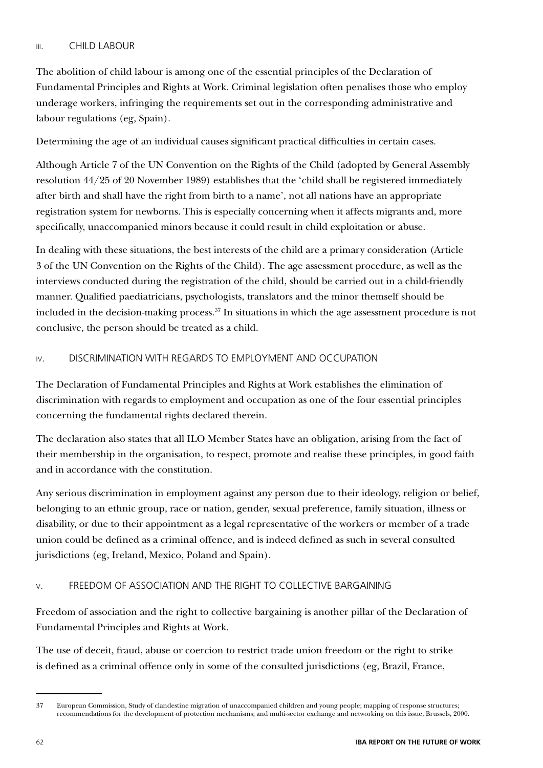### iii. CHILD LABOUR

The abolition of child labour is among one of the essential principles of the Declaration of Fundamental Principles and Rights at Work. Criminal legislation often penalises those who employ underage workers, infringing the requirements set out in the corresponding administrative and labour regulations (eg, Spain).

Determining the age of an individual causes significant practical difficulties in certain cases.

Although Article 7 of the UN Convention on the Rights of the Child (adopted by General Assembly resolution 44/25 of 20 November 1989) establishes that the 'child shall be registered immediately after birth and shall have the right from birth to a name', not all nations have an appropriate registration system for newborns. This is especially concerning when it affects migrants and, more specifically, unaccompanied minors because it could result in child exploitation or abuse.

In dealing with these situations, the best interests of the child are a primary consideration (Article 3 of the UN Convention on the Rights of the Child). The age assessment procedure, as well as the interviews conducted during the registration of the child, should be carried out in a child-friendly manner. Qualified paediatricians, psychologists, translators and the minor themself should be included in the decision-making process.<sup>37</sup> In situations in which the age assessment procedure is not conclusive, the person should be treated as a child.

### iv. DISCRIMINATION WITH REGARDS TO EMPLOYMENT AND OCCUPATION

The Declaration of Fundamental Principles and Rights at Work establishes the elimination of discrimination with regards to employment and occupation as one of the four essential principles concerning the fundamental rights declared therein.

The declaration also states that all ILO Member States have an obligation, arising from the fact of their membership in the organisation, to respect, promote and realise these principles, in good faith and in accordance with the constitution.

Any serious discrimination in employment against any person due to their ideology, religion or belief, belonging to an ethnic group, race or nation, gender, sexual preference, family situation, illness or disability, or due to their appointment as a legal representative of the workers or member of a trade union could be defined as a criminal offence, and is indeed defined as such in several consulted jurisdictions (eg, Ireland, Mexico, Poland and Spain).

### v. FREEDOM OF ASSOCIATION AND THE RIGHT TO COLLECTIVE BARGAINING

Freedom of association and the right to collective bargaining is another pillar of the Declaration of Fundamental Principles and Rights at Work.

The use of deceit, fraud, abuse or coercion to restrict trade union freedom or the right to strike is defined as a criminal offence only in some of the consulted jurisdictions (eg, Brazil, France,

<sup>37</sup> European Commission, Study of clandestine migration of unaccompanied children and young people; mapping of response structures; recommendations for the development of protection mechanisms; and multi-sector exchange and networking on this issue, Brussels, 2000.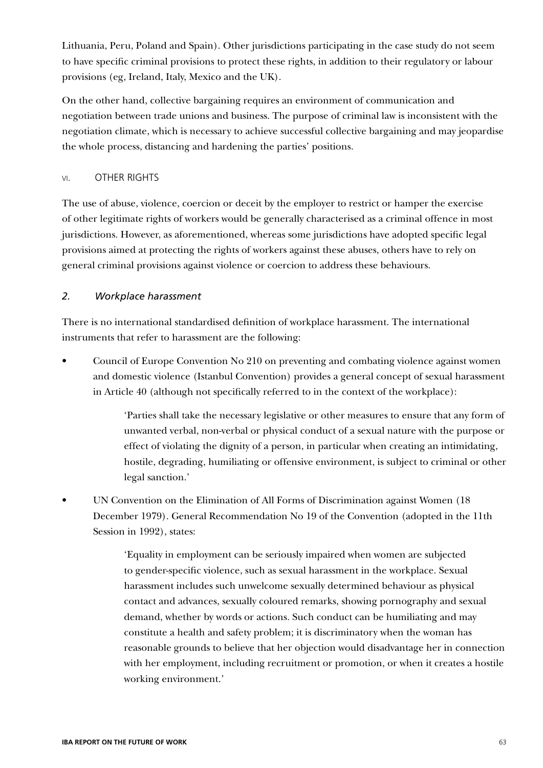Lithuania, Peru, Poland and Spain). Other jurisdictions participating in the case study do not seem to have specific criminal provisions to protect these rights, in addition to their regulatory or labour provisions (eg, Ireland, Italy, Mexico and the UK).

On the other hand, collective bargaining requires an environment of communication and negotiation between trade unions and business. The purpose of criminal law is inconsistent with the negotiation climate, which is necessary to achieve successful collective bargaining and may jeopardise the whole process, distancing and hardening the parties' positions.

### vi. OTHER RIGHTS

The use of abuse, violence, coercion or deceit by the employer to restrict or hamper the exercise of other legitimate rights of workers would be generally characterised as a criminal offence in most jurisdictions. However, as aforementioned, whereas some jurisdictions have adopted specific legal provisions aimed at protecting the rights of workers against these abuses, others have to rely on general criminal provisions against violence or coercion to address these behaviours.

### *2. Workplace harassment*

There is no international standardised definition of workplace harassment. The international instruments that refer to harassment are the following:

• Council of Europe Convention No 210 on preventing and combating violence against women and domestic violence (Istanbul Convention) provides a general concept of sexual harassment in Article 40 (although not specifically referred to in the context of the workplace):

> 'Parties shall take the necessary legislative or other measures to ensure that any form of unwanted verbal, non-verbal or physical conduct of a sexual nature with the purpose or effect of violating the dignity of a person, in particular when creating an intimidating, hostile, degrading, humiliating or offensive environment, is subject to criminal or other legal sanction.'

• UN Convention on the Elimination of All Forms of Discrimination against Women (18 December 1979). General Recommendation No 19 of the Convention (adopted in the 11th Session in 1992), states:

> 'Equality in employment can be seriously impaired when women are subjected to gender-specific violence, such as sexual harassment in the workplace. Sexual harassment includes such unwelcome sexually determined behaviour as physical contact and advances, sexually coloured remarks, showing pornography and sexual demand, whether by words or actions. Such conduct can be humiliating and may constitute a health and safety problem; it is discriminatory when the woman has reasonable grounds to believe that her objection would disadvantage her in connection with her employment, including recruitment or promotion, or when it creates a hostile working environment.'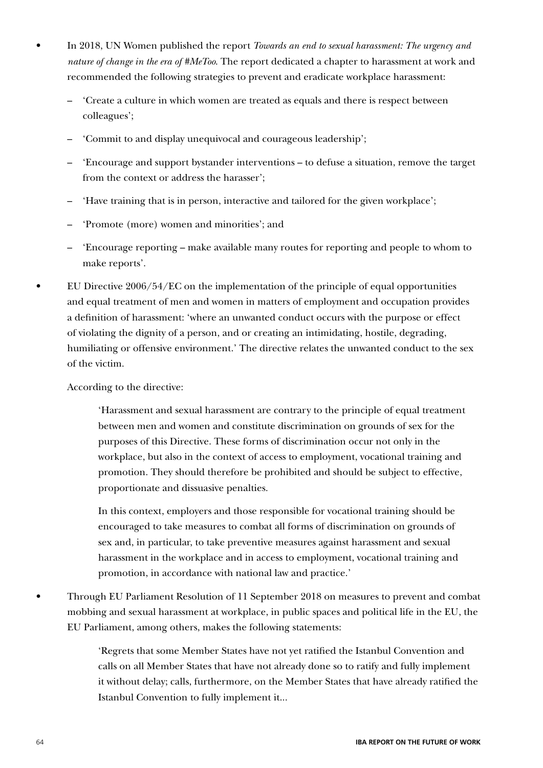- In 2018, UN Women published the report *Towards an end to sexual harassment: The urgency and nature of change in the era of #MeToo*. The report dedicated a chapter to harassment at work and recommended the following strategies to prevent and eradicate workplace harassment:
	- 'Create a culture in which women are treated as equals and there is respect between colleagues';
	- 'Commit to and display unequivocal and courageous leadership';
	- 'Encourage and support bystander interventions to defuse a situation, remove the target from the context or address the harasser';
	- 'Have training that is in person, interactive and tailored for the given workplace';
	- 'Promote (more) women and minorities'; and
	- 'Encourage reporting make available many routes for reporting and people to whom to make reports'.
- EU Directive  $2006/54/EC$  on the implementation of the principle of equal opportunities and equal treatment of men and women in matters of employment and occupation provides a definition of harassment: 'where an unwanted conduct occurs with the purpose or effect of violating the dignity of a person, and or creating an intimidating, hostile, degrading, humiliating or offensive environment.' The directive relates the unwanted conduct to the sex of the victim.

According to the directive:

'Harassment and sexual harassment are contrary to the principle of equal treatment between men and women and constitute discrimination on grounds of sex for the purposes of this Directive. These forms of discrimination occur not only in the workplace, but also in the context of access to employment, vocational training and promotion. They should therefore be prohibited and should be subject to effective, proportionate and dissuasive penalties.

In this context, employers and those responsible for vocational training should be encouraged to take measures to combat all forms of discrimination on grounds of sex and, in particular, to take preventive measures against harassment and sexual harassment in the workplace and in access to employment, vocational training and promotion, in accordance with national law and practice.'

• Through EU Parliament Resolution of 11 September 2018 on measures to prevent and combat mobbing and sexual harassment at workplace, in public spaces and political life in the EU, the EU Parliament, among others, makes the following statements:

> 'Regrets that some Member States have not yet ratified the Istanbul Convention and calls on all Member States that have not already done so to ratify and fully implement it without delay; calls, furthermore, on the Member States that have already ratified the Istanbul Convention to fully implement it...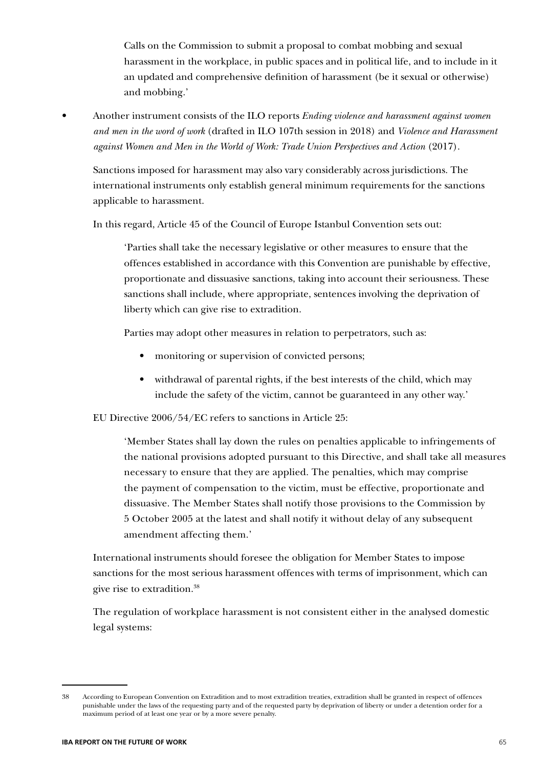Calls on the Commission to submit a proposal to combat mobbing and sexual harassment in the workplace, in public spaces and in political life, and to include in it an updated and comprehensive definition of harassment (be it sexual or otherwise) and mobbing.'

• Another instrument consists of the ILO reports *Ending violence and harassment against women and men in the word of work* (drafted in ILO 107th session in 2018) and *Violence and Harassment against Women and Men in the World of Work: Trade Union Perspectives and Action* (2017).

Sanctions imposed for harassment may also vary considerably across jurisdictions. The international instruments only establish general minimum requirements for the sanctions applicable to harassment.

In this regard, Article 45 of the Council of Europe Istanbul Convention sets out:

'Parties shall take the necessary legislative or other measures to ensure that the offences established in accordance with this Convention are punishable by effective, proportionate and dissuasive sanctions, taking into account their seriousness. These sanctions shall include, where appropriate, sentences involving the deprivation of liberty which can give rise to extradition.

Parties may adopt other measures in relation to perpetrators, such as:

- monitoring or supervision of convicted persons;
- withdrawal of parental rights, if the best interests of the child, which may include the safety of the victim, cannot be guaranteed in any other way.'

EU Directive 2006/54/EC refers to sanctions in Article 25:

'Member States shall lay down the rules on penalties applicable to infringements of the national provisions adopted pursuant to this Directive, and shall take all measures necessary to ensure that they are applied. The penalties, which may comprise the payment of compensation to the victim, must be effective, proportionate and dissuasive. The Member States shall notify those provisions to the Commission by 5 October 2005 at the latest and shall notify it without delay of any subsequent amendment affecting them.'

International instruments should foresee the obligation for Member States to impose sanctions for the most serious harassment offences with terms of imprisonment, which can give rise to extradition.38

The regulation of workplace harassment is not consistent either in the analysed domestic legal systems:

<sup>38</sup> According to European Convention on Extradition and to most extradition treaties, extradition shall be granted in respect of offences punishable under the laws of the requesting party and of the requested party by deprivation of liberty or under a detention order for a maximum period of at least one year or by a more severe penalty.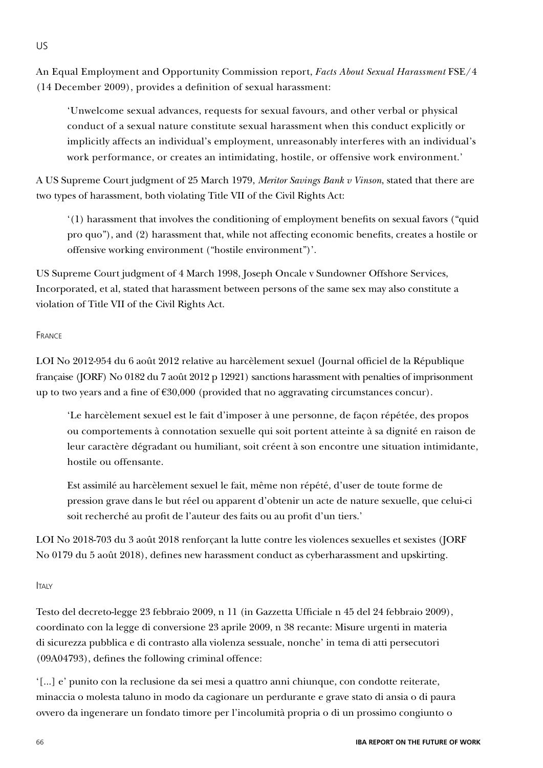An Equal Employment and Opportunity Commission report, *Facts About Sexual Harassment* FSE/4 (14 December 2009), provides a definition of sexual harassment:

'Unwelcome sexual advances, requests for sexual favours, and other verbal or physical conduct of a sexual nature constitute sexual harassment when this conduct explicitly or implicitly affects an individual's employment, unreasonably interferes with an individual's work performance, or creates an intimidating, hostile, or offensive work environment.'

A US Supreme Court judgment of 25 March 1979, *Meritor Savings Bank v Vinson*, stated that there are two types of harassment, both violating Title VII of the Civil Rights Act:

'(1) harassment that involves the conditioning of employment benefits on sexual favors ("quid pro quo"), and (2) harassment that, while not affecting economic benefits, creates a hostile or offensive working environment ("hostile environment")'.

US Supreme Court judgment of 4 March 1998, Joseph Oncale v Sundowner Offshore Services, Incorporated, et al, stated that harassment between persons of the same sex may also constitute a violation of Title VII of the Civil Rights Act.

### **FRANCE**

US

LOI No 2012-954 du 6 août 2012 relative au harcèlement sexuel (Journal officiel de la République française (JORF) No 0182 du 7 août 2012 p 12921) sanctions harassment with penalties of imprisonment up to two years and a fine of  $\epsilon$ 30,000 (provided that no aggravating circumstances concur).

'Le harcèlement sexuel est le fait d'imposer à une personne, de façon répétée, des propos ou comportements à connotation sexuelle qui soit portent atteinte à sa dignité en raison de leur caractère dégradant ou humiliant, soit créent à son encontre une situation intimidante, hostile ou offensante.

Est assimilé au harcèlement sexuel le fait, même non répété, d'user de toute forme de pression grave dans le but réel ou apparent d'obtenir un acte de nature sexuelle, que celui-ci soit recherché au profit de l'auteur des faits ou au profit d'un tiers.'

LOI No 2018-703 du 3 août 2018 renforçant la lutte contre les violences sexuelles et sexistes (JORF No 0179 du 5 août 2018), defines new harassment conduct as cyberharassment and upskirting.

### ITAIY

Testo del decreto-legge 23 febbraio 2009, n 11 (in Gazzetta Ufficiale n 45 del 24 febbraio 2009), coordinato con la legge di conversione 23 aprile 2009, n 38 recante: Misure urgenti in materia di sicurezza pubblica e di contrasto alla violenza sessuale, nonche' in tema di atti persecutori (09A04793), defines the following criminal offence:

'[...] e' punito con la reclusione da sei mesi a quattro anni chiunque, con condotte reiterate, minaccia o molesta taluno in modo da cagionare un perdurante e grave stato di ansia o di paura ovvero da ingenerare un fondato timore per l'incolumità propria o di un prossimo congiunto o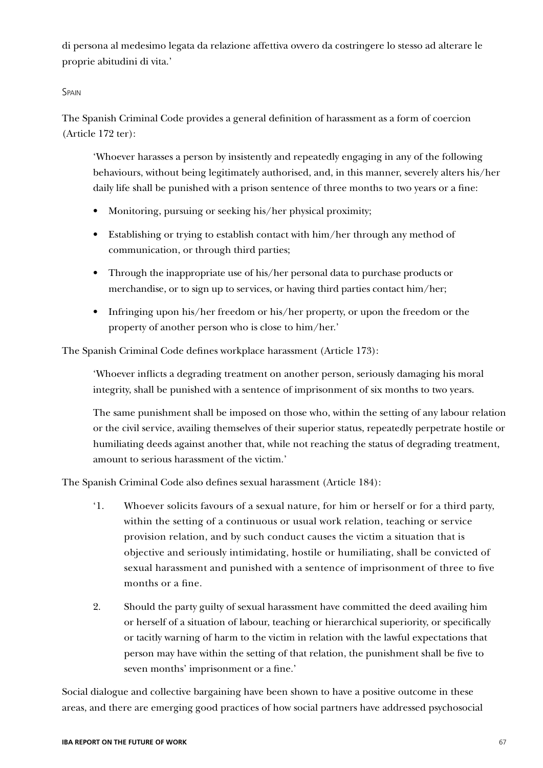di persona al medesimo legata da relazione affettiva ovvero da costringere lo stesso ad alterare le proprie abitudini di vita.'

### **SPAIN**

The Spanish Criminal Code provides a general definition of harassment as a form of coercion (Article 172 ter):

'Whoever harasses a person by insistently and repeatedly engaging in any of the following behaviours, without being legitimately authorised, and, in this manner, severely alters his/her daily life shall be punished with a prison sentence of three months to two years or a fine:

- Monitoring, pursuing or seeking his/her physical proximity;
- Establishing or trying to establish contact with him/her through any method of communication, or through third parties;
- Through the inappropriate use of his/her personal data to purchase products or merchandise, or to sign up to services, or having third parties contact him/her;
- Infringing upon his/her freedom or his/her property, or upon the freedom or the property of another person who is close to him/her.'

The Spanish Criminal Code defines workplace harassment (Article 173):

'Whoever inflicts a degrading treatment on another person, seriously damaging his moral integrity, shall be punished with a sentence of imprisonment of six months to two years.

The same punishment shall be imposed on those who, within the setting of any labour relation or the civil service, availing themselves of their superior status, repeatedly perpetrate hostile or humiliating deeds against another that, while not reaching the status of degrading treatment, amount to serious harassment of the victim.'

The Spanish Criminal Code also defines sexual harassment (Article 184):

- '1. Whoever solicits favours of a sexual nature, for him or herself or for a third party, within the setting of a continuous or usual work relation, teaching or service provision relation, and by such conduct causes the victim a situation that is objective and seriously intimidating, hostile or humiliating, shall be convicted of sexual harassment and punished with a sentence of imprisonment of three to five months or a fine.
- 2. Should the party guilty of sexual harassment have committed the deed availing him or herself of a situation of labour, teaching or hierarchical superiority, or specifically or tacitly warning of harm to the victim in relation with the lawful expectations that person may have within the setting of that relation, the punishment shall be five to seven months' imprisonment or a fine.'

Social dialogue and collective bargaining have been shown to have a positive outcome in these areas, and there are emerging good practices of how social partners have addressed psychosocial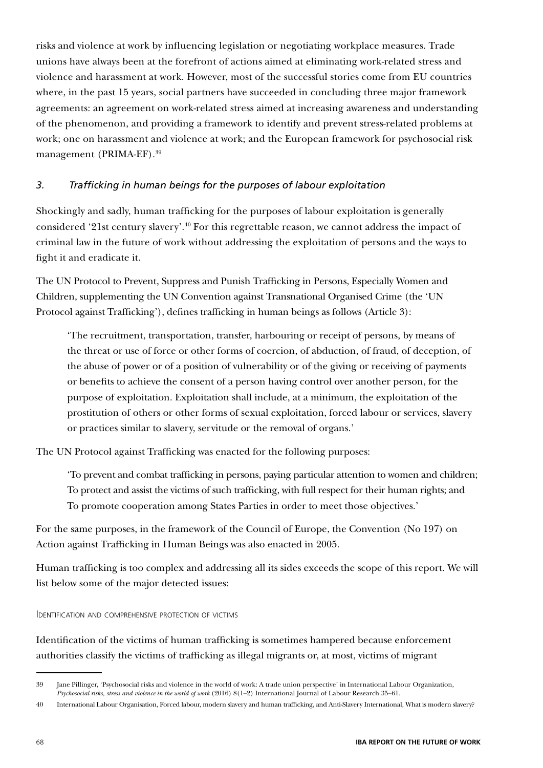risks and violence at work by influencing legislation or negotiating workplace measures. Trade unions have always been at the forefront of actions aimed at eliminating work-related stress and violence and harassment at work. However, most of the successful stories come from EU countries where, in the past 15 years, social partners have succeeded in concluding three major framework agreements: an agreement on work-related stress aimed at increasing awareness and understanding of the phenomenon, and providing a framework to identify and prevent stress-related problems at work; one on harassment and violence at work; and the European framework for psychosocial risk management (PRIMA-EF).39

### *3. Trafficking in human beings for the purposes of labour exploitation*

Shockingly and sadly, human trafficking for the purposes of labour exploitation is generally considered '21st century slavery'.40 For this regrettable reason, we cannot address the impact of criminal law in the future of work without addressing the exploitation of persons and the ways to fight it and eradicate it.

The UN Protocol to Prevent, Suppress and Punish Trafficking in Persons, Especially Women and Children, supplementing the UN Convention against Transnational Organised Crime (the 'UN Protocol against Trafficking'), defines trafficking in human beings as follows (Article 3):

'The recruitment, transportation, transfer, harbouring or receipt of persons, by means of the threat or use of force or other forms of coercion, of abduction, of fraud, of deception, of the abuse of power or of a position of vulnerability or of the giving or receiving of payments or benefits to achieve the consent of a person having control over another person, for the purpose of exploitation. Exploitation shall include, at a minimum, the exploitation of the prostitution of others or other forms of sexual exploitation, forced labour or services, slavery or practices similar to slavery, servitude or the removal of organs.'

The UN Protocol against Trafficking was enacted for the following purposes:

'To prevent and combat trafficking in persons, paying particular attention to women and children; To protect and assist the victims of such trafficking, with full respect for their human rights; and To promote cooperation among States Parties in order to meet those objectives.'

For the same purposes, in the framework of the Council of Europe, the Convention (No 197) on Action against Trafficking in Human Beings was also enacted in 2005.

Human trafficking is too complex and addressing all its sides exceeds the scope of this report. We will list below some of the major detected issues:

Identification and comprehensive protection of victims

Identification of the victims of human trafficking is sometimes hampered because enforcement authorities classify the victims of trafficking as illegal migrants or, at most, victims of migrant

<sup>39</sup> Jane Pillinger, 'Psychosocial risks and violence in the world of work: A trade union perspective' in International Labour Organization, *Psychosocial risks, stress and violence in the world of work* (2016) 8(1–2) International Journal of Labour Research 35–61.

<sup>40</sup> International Labour Organisation, Forced labour, modern slavery and human trafficking, and Anti-Slavery International, What is modern slavery?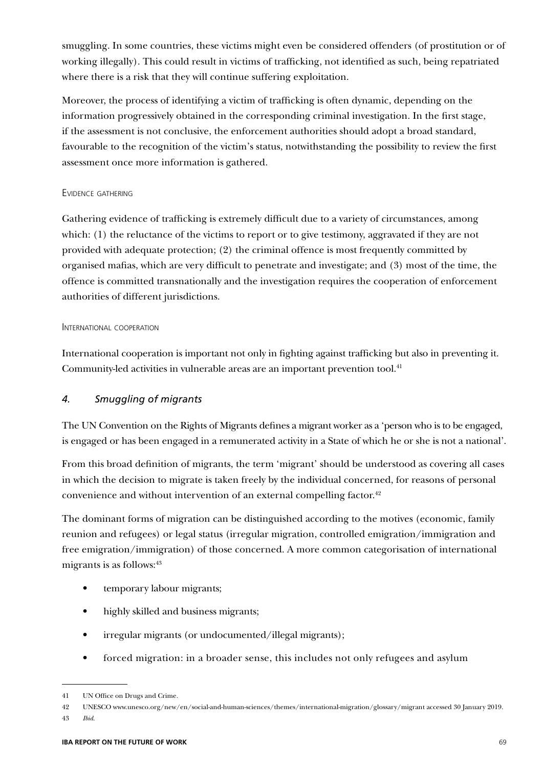smuggling. In some countries, these victims might even be considered offenders (of prostitution or of working illegally). This could result in victims of trafficking, not identified as such, being repatriated where there is a risk that they will continue suffering exploitation.

Moreover, the process of identifying a victim of trafficking is often dynamic, depending on the information progressively obtained in the corresponding criminal investigation. In the first stage, if the assessment is not conclusive, the enforcement authorities should adopt a broad standard, favourable to the recognition of the victim's status, notwithstanding the possibility to review the first assessment once more information is gathered.

### Evidence gathering

Gathering evidence of trafficking is extremely difficult due to a variety of circumstances, among which: (1) the reluctance of the victims to report or to give testimony, aggravated if they are not provided with adequate protection; (2) the criminal offence is most frequently committed by organised mafias, which are very difficult to penetrate and investigate; and (3) most of the time, the offence is committed transnationally and the investigation requires the cooperation of enforcement authorities of different jurisdictions.

### INTERNATIONAL COOPERATION

International cooperation is important not only in fighting against trafficking but also in preventing it. Community-led activities in vulnerable areas are an important prevention tool.<sup>41</sup>

### *4. Smuggling of migrants*

The UN Convention on the Rights of Migrants defines a migrant worker as a 'person who is to be engaged, is engaged or has been engaged in a remunerated activity in a State of which he or she is not a national'.

From this broad definition of migrants, the term 'migrant' should be understood as covering all cases in which the decision to migrate is taken freely by the individual concerned, for reasons of personal convenience and without intervention of an external compelling factor.<sup>42</sup>

The dominant forms of migration can be distinguished according to the motives (economic, family reunion and refugees) or legal status (irregular migration, controlled emigration/immigration and free emigration/immigration) of those concerned. A more common categorisation of international migrants is as follows:<sup>43</sup>

- temporary labour migrants;
- highly skilled and business migrants;
- irregular migrants (or undocumented/illegal migrants);
- forced migration: in a broader sense, this includes not only refugees and asylum

43 *Ibid*.

<sup>41</sup> UN Office on Drugs and Crime.

<sup>42</sup> UNESCO www.unesco.org/new/en/social-and-human-sciences/themes/international-migration/glossary/migrant accessed 30 January 2019.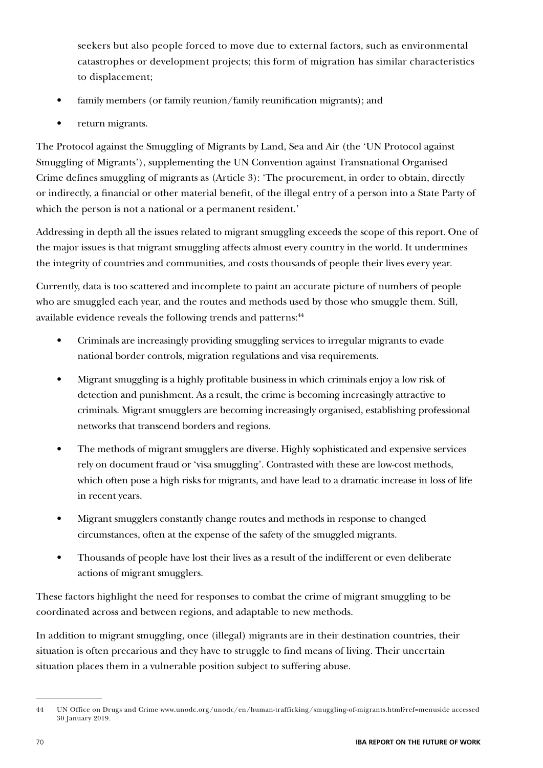seekers but also people forced to move due to external factors, such as environmental catastrophes or development projects; this form of migration has similar characteristics to displacement;

- family members (or family reunion/family reunification migrants); and
- return migrants.

The Protocol against the Smuggling of Migrants by Land, Sea and Air (the 'UN Protocol against Smuggling of Migrants'), supplementing the UN Convention against Transnational Organised Crime defines smuggling of migrants as (Article 3): 'The procurement, in order to obtain, directly or indirectly, a financial or other material benefit, of the illegal entry of a person into a State Party of which the person is not a national or a permanent resident.'

Addressing in depth all the issues related to migrant smuggling exceeds the scope of this report. One of the major issues is that migrant smuggling affects almost every country in the world. It undermines the integrity of countries and communities, and costs thousands of people their lives every year.

Currently, data is too scattered and incomplete to paint an accurate picture of numbers of people who are smuggled each year, and the routes and methods used by those who smuggle them. Still, available evidence reveals the following trends and patterns:<sup>44</sup>

- Criminals are increasingly providing smuggling services to irregular migrants to evade national border controls, migration regulations and visa requirements.
- Migrant smuggling is a highly profitable business in which criminals enjoy a low risk of detection and punishment. As a result, the crime is becoming increasingly attractive to criminals. Migrant smugglers are becoming increasingly organised, establishing professional networks that transcend borders and regions.
- The methods of migrant smugglers are diverse. Highly sophisticated and expensive services rely on document fraud or 'visa smuggling'. Contrasted with these are low-cost methods, which often pose a high risks for migrants, and have lead to a dramatic increase in loss of life in recent years.
- Migrant smugglers constantly change routes and methods in response to changed circumstances, often at the expense of the safety of the smuggled migrants.
- Thousands of people have lost their lives as a result of the indifferent or even deliberate actions of migrant smugglers.

These factors highlight the need for responses to combat the crime of migrant smuggling to be coordinated across and between regions, and adaptable to new methods.

In addition to migrant smuggling, once (illegal) migrants are in their destination countries, their situation is often precarious and they have to struggle to find means of living. Their uncertain situation places them in a vulnerable position subject to suffering abuse.

<sup>44</sup> UN Office on Drugs and Crime www.unodc.org/unodc/en/human-trafficking/smuggling-of-migrants.html?ref=menuside accessed 30 January 2019.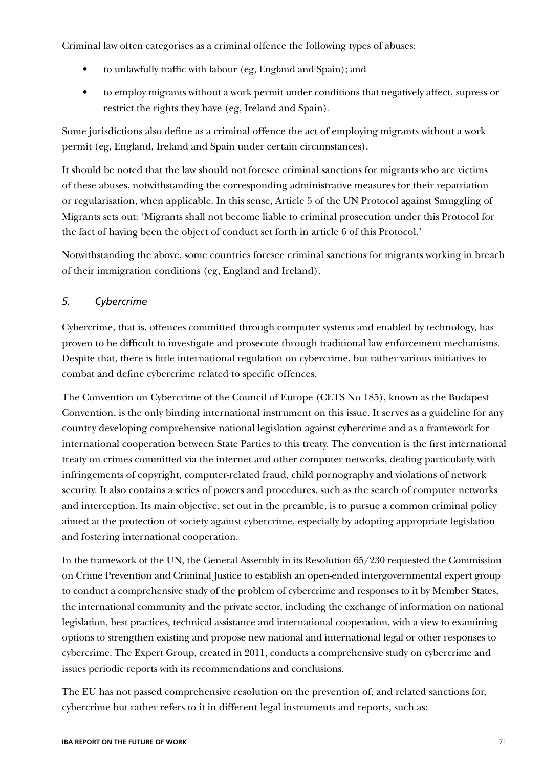Criminal law often categorises as a criminal offence the following types of abuses:

- to unlawfully traffic with labour (eg, England and Spain); and
- to employ migrants without a work permit under conditions that negatively affect, supress or restrict the rights they have (eg, Ireland and Spain).

Some jurisdictions also define as a criminal offence the act of employing migrants without a work permit (eg, England, Ireland and Spain under certain circumstances).

It should be noted that the law should not foresee criminal sanctions for migrants who are victims of these abuses, notwithstanding the corresponding administrative measures for their repatriation or regularisation, when applicable. In this sense, Article 5 of the UN Protocol against Smuggling of Migrants sets out: 'Migrants shall not become liable to criminal prosecution under this Protocol for the fact of having been the object of conduct set forth in article 6 of this Protocol.'

Notwithstanding the above, some countries foresee criminal sanctions for migrants working in breach of their immigration conditions (eg, England and Ireland).

### *5. Cybercrime*

Cybercrime, that is, offences committed through computer systems and enabled by technology, has proven to be difficult to investigate and prosecute through traditional law enforcement mechanisms. Despite that, there is little international regulation on cybercrime, but rather various initiatives to combat and define cybercrime related to specific offences.

The Convention on Cybercrime of the Council of Europe (CETS No 185), known as the Budapest Convention, is the only binding international instrument on this issue. It serves as a guideline for any country developing comprehensive national legislation against cybercrime and as a framework for international cooperation between State Parties to this treaty. The convention is the first international treaty on crimes committed via the internet and other computer networks, dealing particularly with infringements of copyright, computer-related fraud, child pornography and violations of network security. It also contains a series of powers and procedures, such as the search of computer networks and interception. Its main objective, set out in the preamble, is to pursue a common criminal policy aimed at the protection of society against cybercrime, especially by adopting appropriate legislation and fostering international cooperation.

In the framework of the UN, the General Assembly in its Resolution 65/230 requested the Commission on Crime Prevention and Criminal Justice to establish an open-ended intergovernmental expert group to conduct a comprehensive study of the problem of cybercrime and responses to it by Member States, the international community and the private sector, including the exchange of information on national legislation, best practices, technical assistance and international cooperation, with a view to examining options to strengthen existing and propose new national and international legal or other responses to cybercrime. The Expert Group, created in 2011, conducts a comprehensive study on cybercrime and issues periodic reports with its recommendations and conclusions.

The EU has not passed comprehensive resolution on the prevention of, and related sanctions for, cybercrime but rather refers to it in different legal instruments and reports, such as: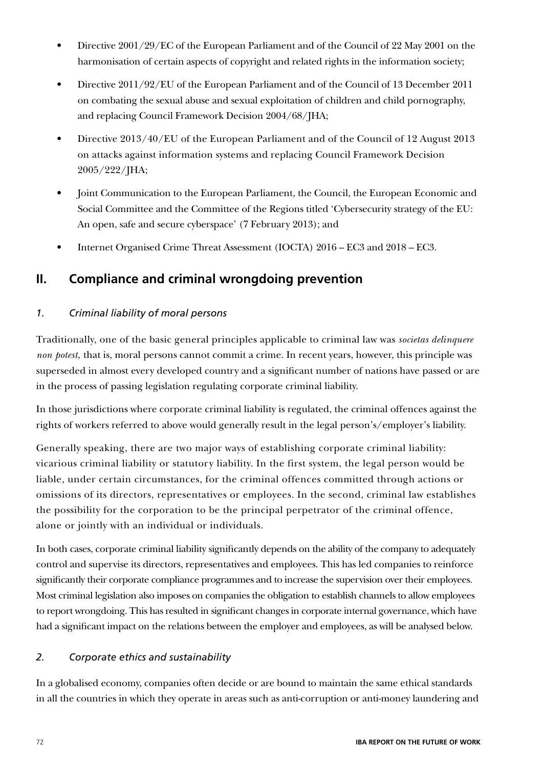- Directive 2001/29/EC of the European Parliament and of the Council of 22 May 2001 on the harmonisation of certain aspects of copyright and related rights in the information society;
- Directive 2011/92/EU of the European Parliament and of the Council of 13 December 2011 on combating the sexual abuse and sexual exploitation of children and child pornography, and replacing Council Framework Decision 2004/68/JHA;
- Directive 2013/40/EU of the European Parliament and of the Council of 12 August 2013 on attacks against information systems and replacing Council Framework Decision 2005/222/JHA;
- Joint Communication to the European Parliament, the Council, the European Economic and Social Committee and the Committee of the Regions titled 'Cybersecurity strategy of the EU: An open, safe and secure cyberspace' (7 February 2013); and
- Internet Organised Crime Threat Assessment (IOCTA) 2016 EC3 and 2018 EC3.

# **II. Compliance and criminal wrongdoing prevention**

## *1. Criminal liability of moral persons*

Traditionally, one of the basic general principles applicable to criminal law was *societas delinquere non potest*, that is, moral persons cannot commit a crime. In recent years, however, this principle was superseded in almost every developed country and a significant number of nations have passed or are in the process of passing legislation regulating corporate criminal liability.

In those jurisdictions where corporate criminal liability is regulated, the criminal offences against the rights of workers referred to above would generally result in the legal person's/employer's liability.

Generally speaking, there are two major ways of establishing corporate criminal liability: vicarious criminal liability or statutory liability. In the first system, the legal person would be liable, under certain circumstances, for the criminal offences committed through actions or omissions of its directors, representatives or employees. In the second, criminal law establishes the possibility for the corporation to be the principal perpetrator of the criminal offence, alone or jointly with an individual or individuals.

In both cases, corporate criminal liability significantly depends on the ability of the company to adequately control and supervise its directors, representatives and employees. This has led companies to reinforce significantly their corporate compliance programmes and to increase the supervision over their employees. Most criminal legislation also imposes on companies the obligation to establish channels to allow employees to report wrongdoing. This has resulted in significant changes in corporate internal governance, which have had a significant impact on the relations between the employer and employees, as will be analysed below.

## *2. Corporate ethics and sustainability*

In a globalised economy, companies often decide or are bound to maintain the same ethical standards in all the countries in which they operate in areas such as anti-corruption or anti-money laundering and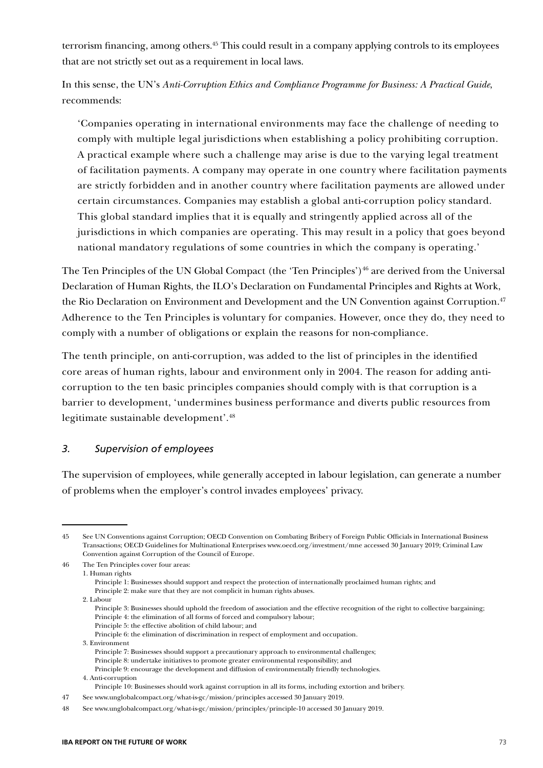terrorism financing, among others.45 This could result in a company applying controls to its employees that are not strictly set out as a requirement in local laws.

In this sense, the UN's *Anti-Corruption Ethics and Compliance Programme for Business: A Practical Guide*, recommends:

'Companies operating in international environments may face the challenge of needing to comply with multiple legal jurisdictions when establishing a policy prohibiting corruption. A practical example where such a challenge may arise is due to the varying legal treatment of facilitation payments. A company may operate in one country where facilitation payments are strictly forbidden and in another country where facilitation payments are allowed under certain circumstances. Companies may establish a global anti-corruption policy standard. This global standard implies that it is equally and stringently applied across all of the jurisdictions in which companies are operating. This may result in a policy that goes beyond national mandatory regulations of some countries in which the company is operating.'

The Ten Principles of the UN Global Compact (the 'Ten Principles')<sup>46</sup> are derived from the Universal Declaration of Human Rights, the ILO's Declaration on Fundamental Principles and Rights at Work, the Rio Declaration on Environment and Development and the UN Convention against Corruption.<sup>47</sup> Adherence to the Ten Principles is voluntary for companies. However, once they do, they need to comply with a number of obligations or explain the reasons for non-compliance.

The tenth principle, on anti-corruption, was added to the list of principles in the identified core areas of human rights, labour and environment only in 2004. The reason for adding anticorruption to the ten basic principles companies should comply with is that corruption is a barrier to development, 'undermines business performance and diverts public resources from legitimate sustainable development'.48

#### *3. Supervision of employees*

The supervision of employees, while generally accepted in labour legislation, can generate a number of problems when the employer's control invades employees' privacy.

45 See UN Conventions against Corruption; OECD Convention on Combating Bribery of Foreign Public Officials in International Business Transactions; OECD Guidelines for Multinational Enterprises www.oecd.org/investment/mne accessed 30 January 2019; Criminal Law Convention against Corruption of the Council of Europe.

46 The Ten Principles cover four areas:

- Principle 2: make sure that they are not complicit in human rights abuses.
- 2. Labour
	- Principle 3: Businesses should uphold the freedom of association and the effective recognition of the right to collective bargaining; Principle 4: the elimination of all forms of forced and compulsory labour;
	- Principle 5: the effective abolition of child labour; and
	- Principle 6: the elimination of discrimination in respect of employment and occupation.
- 3. Environment
- Principle 7: Businesses should support a precautionary approach to environmental challenges; Principle 8: undertake initiatives to promote greater environmental responsibility; and

<sup>1.</sup> Human rights Principle 1: Businesses should support and respect the protection of internationally proclaimed human rights; and

Principle 9: encourage the development and diffusion of environmentally friendly technologies. 4. Anti-corruption

Principle 10: Businesses should work against corruption in all its forms, including extortion and bribery.

<sup>47</sup> See www.unglobalcompact.org/what-is-gc/mission/principles accessed 30 January 2019.

<sup>48</sup> See www.unglobalcompact.org/what-is-gc/mission/principles/principle-10 accessed 30 January 2019.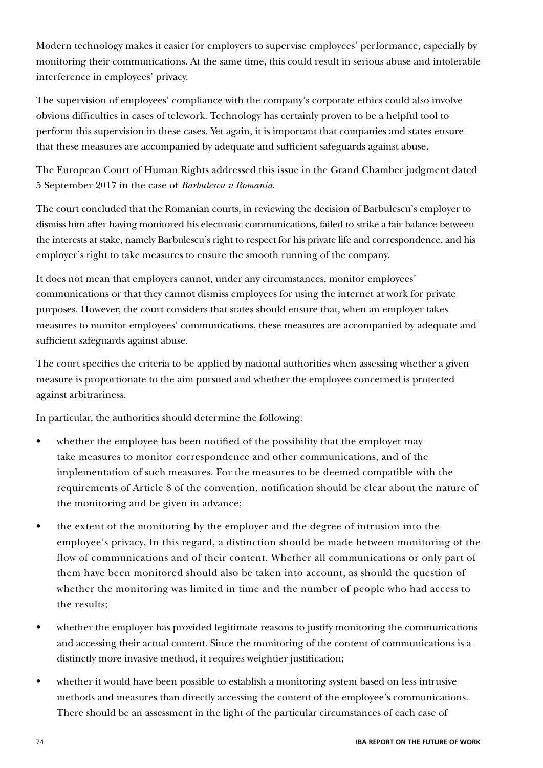Modern technology makes it easier for employers to supervise employees' performance, especially by monitoring their communications. At the same time, this could result in serious abuse and intolerable interference in employees' privacy.

The supervision of employees' compliance with the company's corporate ethics could also involve obvious difficulties in cases of telework. Technology has certainly proven to be a helpful tool to perform this supervision in these cases. Yet again, it is important that companies and states ensure that these measures are accompanied by adequate and sufficient safeguards against abuse.

The European Court of Human Rights addressed this issue in the Grand Chamber judgment dated 5 September 2017 in the case of *Barbulescu v Romania*.

The court concluded that the Romanian courts, in reviewing the decision of Barbulescu's employer to dismiss him after having monitored his electronic communications, failed to strike a fair balance between the interests at stake, namely Barbulescu's right to respect for his private life and correspondence, and his employer's right to take measures to ensure the smooth running of the company.

It does not mean that employers cannot, under any circumstances, monitor employees' communications or that they cannot dismiss employees for using the internet at work for private purposes. However, the court considers that states should ensure that, when an employer takes measures to monitor employees' communications, these measures are accompanied by adequate and sufficient safeguards against abuse.

The court specifies the criteria to be applied by national authorities when assessing whether a given measure is proportionate to the aim pursued and whether the employee concerned is protected against arbitrariness.

In particular, the authorities should determine the following:

- whether the employee has been notified of the possibility that the employer may take measures to monitor correspondence and other communications, and of the implementation of such measures. For the measures to be deemed compatible with the requirements of Article 8 of the convention, notification should be clear about the nature of the monitoring and be given in advance;
- the extent of the monitoring by the employer and the degree of intrusion into the employee's privacy. In this regard, a distinction should be made between monitoring of the flow of communications and of their content. Whether all communications or only part of them have been monitored should also be taken into account, as should the question of whether the monitoring was limited in time and the number of people who had access to the results;
- whether the employer has provided legitimate reasons to justify monitoring the communications and accessing their actual content. Since the monitoring of the content of communications is a distinctly more invasive method, it requires weightier justification;
- whether it would have been possible to establish a monitoring system based on less intrusive methods and measures than directly accessing the content of the employee's communications. There should be an assessment in the light of the particular circumstances of each case of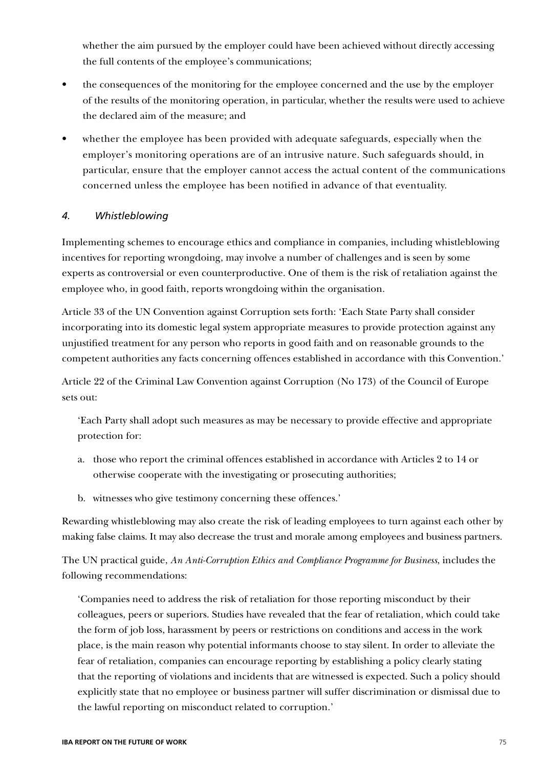whether the aim pursued by the employer could have been achieved without directly accessing the full contents of the employee's communications;

- the consequences of the monitoring for the employee concerned and the use by the employer of the results of the monitoring operation, in particular, whether the results were used to achieve the declared aim of the measure; and
- whether the employee has been provided with adequate safeguards, especially when the employer's monitoring operations are of an intrusive nature. Such safeguards should, in particular, ensure that the employer cannot access the actual content of the communications concerned unless the employee has been notified in advance of that eventuality.

### *4. Whistleblowing*

Implementing schemes to encourage ethics and compliance in companies, including whistleblowing incentives for reporting wrongdoing, may involve a number of challenges and is seen by some experts as controversial or even counterproductive. One of them is the risk of retaliation against the employee who, in good faith, reports wrongdoing within the organisation.

Article 33 of the UN Convention against Corruption sets forth: 'Each State Party shall consider incorporating into its domestic legal system appropriate measures to provide protection against any unjustified treatment for any person who reports in good faith and on reasonable grounds to the competent authorities any facts concerning offences established in accordance with this Convention.'

Article 22 of the Criminal Law Convention against Corruption (No 173) of the Council of Europe sets out:

'Each Party shall adopt such measures as may be necessary to provide effective and appropriate protection for:

- a. those who report the criminal offences established in accordance with Articles 2 to 14 or otherwise cooperate with the investigating or prosecuting authorities;
- b. witnesses who give testimony concerning these offences.'

Rewarding whistleblowing may also create the risk of leading employees to turn against each other by making false claims. It may also decrease the trust and morale among employees and business partners.

The UN practical guide, *An Anti-Corruption Ethics and Compliance Programme for Business*, includes the following recommendations:

'Companies need to address the risk of retaliation for those reporting misconduct by their colleagues, peers or superiors. Studies have revealed that the fear of retaliation, which could take the form of job loss, harassment by peers or restrictions on conditions and access in the work place, is the main reason why potential informants choose to stay silent. In order to alleviate the fear of retaliation, companies can encourage reporting by establishing a policy clearly stating that the reporting of violations and incidents that are witnessed is expected. Such a policy should explicitly state that no employee or business partner will suffer discrimination or dismissal due to the lawful reporting on misconduct related to corruption.'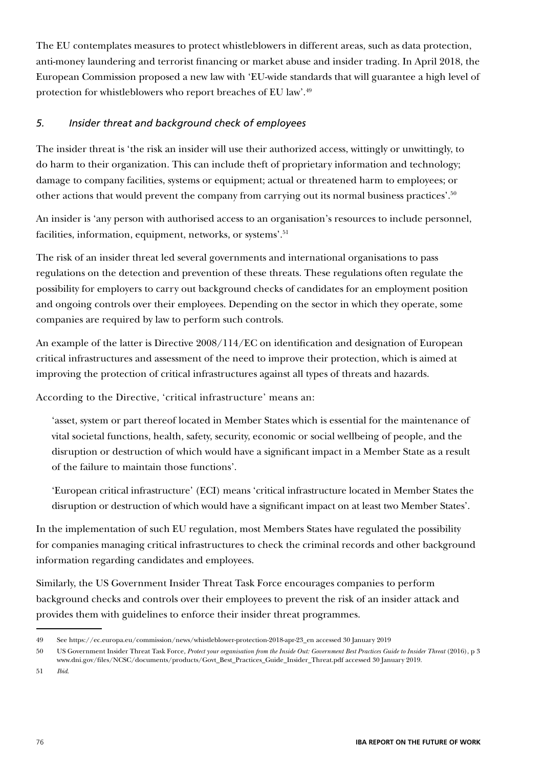The EU contemplates measures to protect whistleblowers in different areas, such as data protection, anti-money laundering and terrorist financing or market abuse and insider trading. In April 2018, the European Commission proposed a new law with 'EU-wide standards that will guarantee a high level of protection for whistleblowers who report breaches of EU law'.49

### *5. Insider threat and background check of employees*

The insider threat is 'the risk an insider will use their authorized access, wittingly or unwittingly, to do harm to their organization. This can include theft of proprietary information and technology; damage to company facilities, systems or equipment; actual or threatened harm to employees; or other actions that would prevent the company from carrying out its normal business practices'.50

An insider is 'any person with authorised access to an organisation's resources to include personnel, facilities, information, equipment, networks, or systems'.<sup>51</sup>

The risk of an insider threat led several governments and international organisations to pass regulations on the detection and prevention of these threats. These regulations often regulate the possibility for employers to carry out background checks of candidates for an employment position and ongoing controls over their employees. Depending on the sector in which they operate, some companies are required by law to perform such controls.

An example of the latter is Directive 2008/114/EC on identification and designation of European critical infrastructures and assessment of the need to improve their protection, which is aimed at improving the protection of critical infrastructures against all types of threats and hazards.

According to the Directive, 'critical infrastructure' means an:

'asset, system or part thereof located in Member States which is essential for the maintenance of vital societal functions, health, safety, security, economic or social wellbeing of people, and the disruption or destruction of which would have a significant impact in a Member State as a result of the failure to maintain those functions'.

'European critical infrastructure' (ECI) means 'critical infrastructure located in Member States the disruption or destruction of which would have a significant impact on at least two Member States'.

In the implementation of such EU regulation, most Members States have regulated the possibility for companies managing critical infrastructures to check the criminal records and other background information regarding candidates and employees.

Similarly, the US Government Insider Threat Task Force encourages companies to perform background checks and controls over their employees to prevent the risk of an insider attack and provides them with guidelines to enforce their insider threat programmes.

<sup>49</sup> See https://ec.europa.eu/commission/news/whistleblower-protection-2018-apr-23\_en accessed 30 January 2019

<sup>50</sup> US Government Insider Threat Task Force, *Protect your organisation from the Inside Out: Government Best Practices Guide to Insider Threat* (2016), p 3 www.dni.gov/files/NCSC/documents/products/Govt\_Best\_Practices\_Guide\_Insider\_Threat.pdf accessed 30 January 2019.

<sup>51</sup> *Ibid*.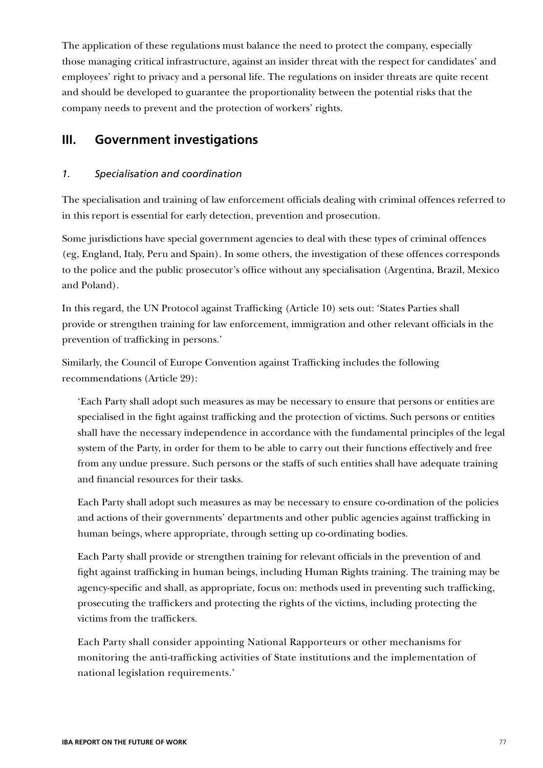The application of these regulations must balance the need to protect the company, especially those managing critical infrastructure, against an insider threat with the respect for candidates' and employees' right to privacy and a personal life. The regulations on insider threats are quite recent and should be developed to guarantee the proportionality between the potential risks that the company needs to prevent and the protection of workers' rights.

# **III. Government investigations**

### *1. Specialisation and coordination*

The specialisation and training of law enforcement officials dealing with criminal offences referred to in this report is essential for early detection, prevention and prosecution.

Some jurisdictions have special government agencies to deal with these types of criminal offences (eg, England, Italy, Peru and Spain). In some others, the investigation of these offences corresponds to the police and the public prosecutor's office without any specialisation (Argentina, Brazil, Mexico and Poland).

In this regard, the UN Protocol against Trafficking (Article 10) sets out: 'States Parties shall provide or strengthen training for law enforcement, immigration and other relevant officials in the prevention of trafficking in persons.'

Similarly, the Council of Europe Convention against Trafficking includes the following recommendations (Article 29):

'Each Party shall adopt such measures as may be necessary to ensure that persons or entities are specialised in the fight against trafficking and the protection of victims. Such persons or entities shall have the necessary independence in accordance with the fundamental principles of the legal system of the Party, in order for them to be able to carry out their functions effectively and free from any undue pressure. Such persons or the staffs of such entities shall have adequate training and financial resources for their tasks.

Each Party shall adopt such measures as may be necessary to ensure co-ordination of the policies and actions of their governments' departments and other public agencies against trafficking in human beings, where appropriate, through setting up co-ordinating bodies.

Each Party shall provide or strengthen training for relevant officials in the prevention of and fight against trafficking in human beings, including Human Rights training. The training may be agency-specific and shall, as appropriate, focus on: methods used in preventing such trafficking, prosecuting the traffickers and protecting the rights of the victims, including protecting the victims from the traffickers.

Each Party shall consider appointing National Rapporteurs or other mechanisms for monitoring the anti-trafficking activities of State institutions and the implementation of national legislation requirements.'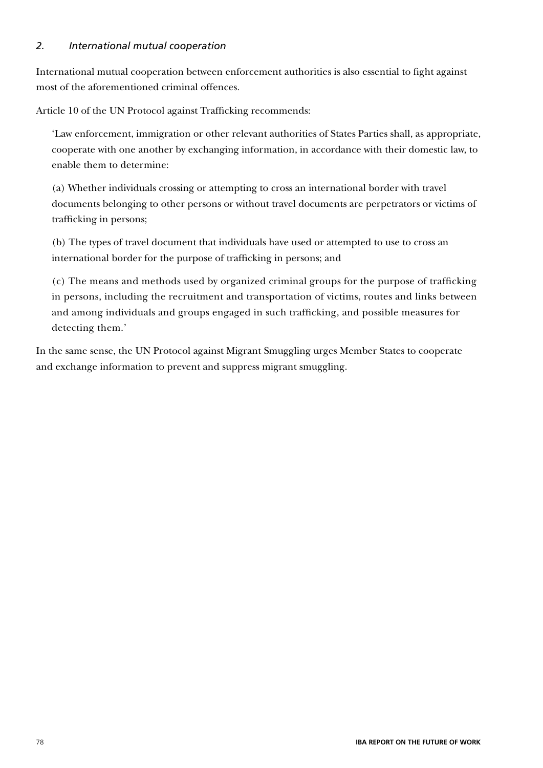### *2. International mutual cooperation*

International mutual cooperation between enforcement authorities is also essential to fight against most of the aforementioned criminal offences.

Article 10 of the UN Protocol against Trafficking recommends:

'Law enforcement, immigration or other relevant authorities of States Parties shall, as appropriate, cooperate with one another by exchanging information, in accordance with their domestic law, to enable them to determine:

(a) Whether individuals crossing or attempting to cross an international border with travel documents belonging to other persons or without travel documents are perpetrators or victims of trafficking in persons;

(b) The types of travel document that individuals have used or attempted to use to cross an international border for the purpose of trafficking in persons; and

(c) The means and methods used by organized criminal groups for the purpose of trafficking in persons, including the recruitment and transportation of victims, routes and links between and among individuals and groups engaged in such trafficking, and possible measures for detecting them.'

In the same sense, the UN Protocol against Migrant Smuggling urges Member States to cooperate and exchange information to prevent and suppress migrant smuggling.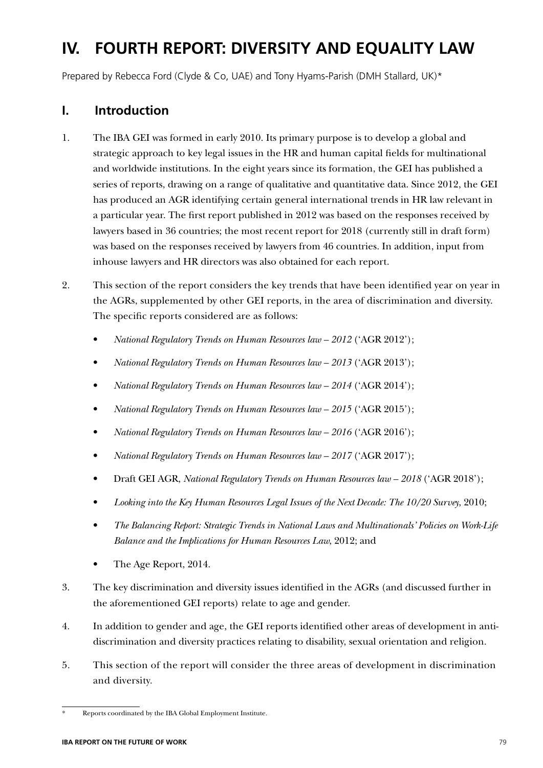# **IV. FOURTH REPORT: DIVERSITY AND EQUALITY LAW**

Prepared by Rebecca Ford (Clyde & Co, UAE) and Tony Hyams-Parish (DMH Stallard, UK)\*

# **I. Introduction**

- 1. The IBA GEI was formed in early 2010. Its primary purpose is to develop a global and strategic approach to key legal issues in the HR and human capital fields for multinational and worldwide institutions. In the eight years since its formation, the GEI has published a series of reports, drawing on a range of qualitative and quantitative data. Since 2012, the GEI has produced an AGR identifying certain general international trends in HR law relevant in a particular year. The first report published in 2012 was based on the responses received by lawyers based in 36 countries; the most recent report for 2018 (currently still in draft form) was based on the responses received by lawyers from 46 countries. In addition, input from inhouse lawyers and HR directors was also obtained for each report.
- 2. This section of the report considers the key trends that have been identified year on year in the AGRs, supplemented by other GEI reports, in the area of discrimination and diversity. The specific reports considered are as follows:
	- *National Regulatory Trends on Human Resources law 2012* ('AGR 2012');
	- *National Regulatory Trends on Human Resources law 2013* ('AGR 2013');
	- *National Regulatory Trends on Human Resources law 2014* ('AGR 2014');
	- *National Regulatory Trends on Human Resources law 2015 ('AGR 2015')*;
	- *National Regulatory Trends on Human Resources law 2016* ('AGR 2016');
	- *National Regulatory Trends on Human Resources law 2017* ('AGR 2017');
	- Draft GEI AGR, *National Regulatory Trends on Human Resources law 2018* ('AGR 2018');
	- *Looking into the Key Human Resources Legal Issues of the Next Decade: The 10/20 Survey*, 2010;
	- *The Balancing Report: Strategic Trends in National Laws and Multinationals' Policies on Work-Life Balance and the Implications for Human Resources Law*, 2012; and
	- The Age Report, 2014.
- 3. The key discrimination and diversity issues identified in the AGRs (and discussed further in the aforementioned GEI reports) relate to age and gender.
- 4. In addition to gender and age, the GEI reports identified other areas of development in antidiscrimination and diversity practices relating to disability, sexual orientation and religion.
- 5. This section of the report will consider the three areas of development in discrimination and diversity.

Reports coordinated by the IBA Global Employment Institute.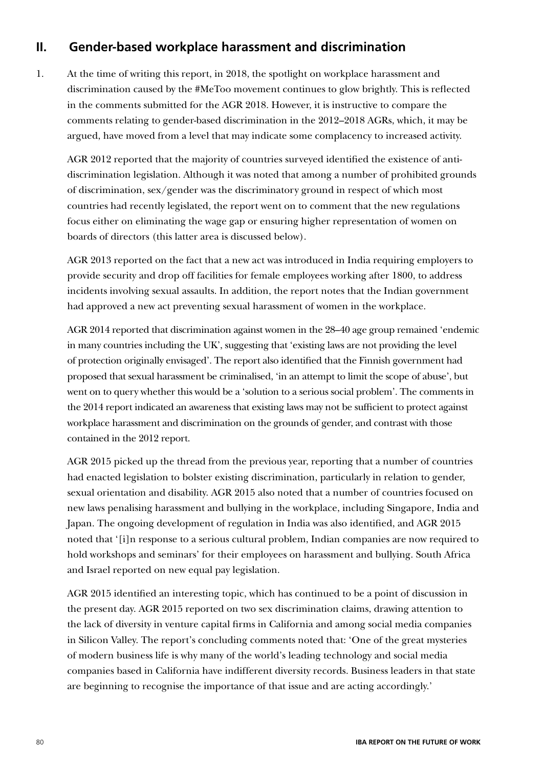# **II. Gender-based workplace harassment and discrimination**

1. At the time of writing this report, in 2018, the spotlight on workplace harassment and discrimination caused by the #MeToo movement continues to glow brightly. This is reflected in the comments submitted for the AGR 2018. However, it is instructive to compare the comments relating to gender-based discrimination in the 2012–2018 AGRs, which, it may be argued, have moved from a level that may indicate some complacency to increased activity.

AGR 2012 reported that the majority of countries surveyed identified the existence of antidiscrimination legislation. Although it was noted that among a number of prohibited grounds of discrimination, sex/gender was the discriminatory ground in respect of which most countries had recently legislated, the report went on to comment that the new regulations focus either on eliminating the wage gap or ensuring higher representation of women on boards of directors (this latter area is discussed below).

AGR 2013 reported on the fact that a new act was introduced in India requiring employers to provide security and drop off facilities for female employees working after 1800, to address incidents involving sexual assaults. In addition, the report notes that the Indian government had approved a new act preventing sexual harassment of women in the workplace.

AGR 2014 reported that discrimination against women in the 28–40 age group remained 'endemic in many countries including the UK', suggesting that 'existing laws are not providing the level of protection originally envisaged'. The report also identified that the Finnish government had proposed that sexual harassment be criminalised, 'in an attempt to limit the scope of abuse', but went on to query whether this would be a 'solution to a serious social problem'. The comments in the 2014 report indicated an awareness that existing laws may not be sufficient to protect against workplace harassment and discrimination on the grounds of gender, and contrast with those contained in the 2012 report.

AGR 2015 picked up the thread from the previous year, reporting that a number of countries had enacted legislation to bolster existing discrimination, particularly in relation to gender, sexual orientation and disability. AGR 2015 also noted that a number of countries focused on new laws penalising harassment and bullying in the workplace, including Singapore, India and Japan. The ongoing development of regulation in India was also identified, and AGR 2015 noted that '[i]n response to a serious cultural problem, Indian companies are now required to hold workshops and seminars' for their employees on harassment and bullying. South Africa and Israel reported on new equal pay legislation.

AGR 2015 identified an interesting topic, which has continued to be a point of discussion in the present day. AGR 2015 reported on two sex discrimination claims, drawing attention to the lack of diversity in venture capital firms in California and among social media companies in Silicon Valley. The report's concluding comments noted that: 'One of the great mysteries of modern business life is why many of the world's leading technology and social media companies based in California have indifferent diversity records. Business leaders in that state are beginning to recognise the importance of that issue and are acting accordingly.'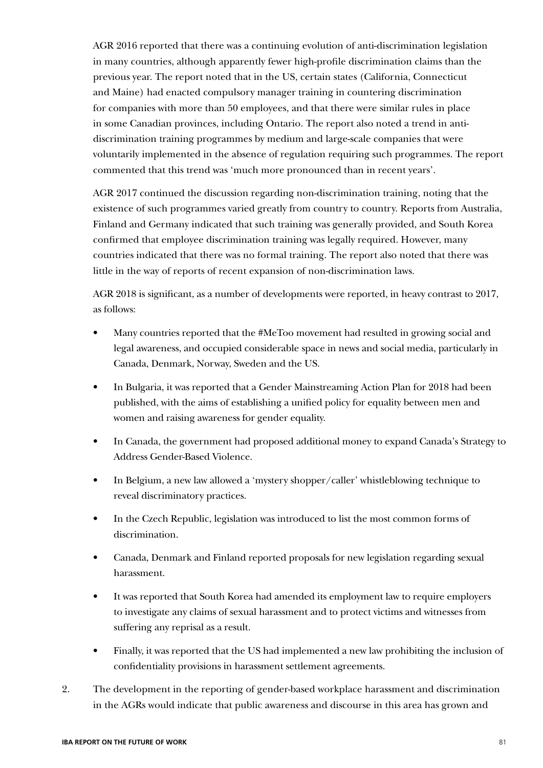AGR 2016 reported that there was a continuing evolution of anti-discrimination legislation in many countries, although apparently fewer high-profile discrimination claims than the previous year. The report noted that in the US, certain states (California, Connecticut and Maine) had enacted compulsory manager training in countering discrimination for companies with more than 50 employees, and that there were similar rules in place in some Canadian provinces, including Ontario. The report also noted a trend in antidiscrimination training programmes by medium and large-scale companies that were voluntarily implemented in the absence of regulation requiring such programmes. The report commented that this trend was 'much more pronounced than in recent years'.

AGR 2017 continued the discussion regarding non-discrimination training, noting that the existence of such programmes varied greatly from country to country. Reports from Australia, Finland and Germany indicated that such training was generally provided, and South Korea confirmed that employee discrimination training was legally required. However, many countries indicated that there was no formal training. The report also noted that there was little in the way of reports of recent expansion of non-discrimination laws.

AGR 2018 is significant, as a number of developments were reported, in heavy contrast to 2017, as follows:

- Many countries reported that the #MeToo movement had resulted in growing social and legal awareness, and occupied considerable space in news and social media, particularly in Canada, Denmark, Norway, Sweden and the US.
- In Bulgaria, it was reported that a Gender Mainstreaming Action Plan for 2018 had been published, with the aims of establishing a unified policy for equality between men and women and raising awareness for gender equality.
- In Canada, the government had proposed additional money to expand Canada's Strategy to Address Gender-Based Violence.
- In Belgium, a new law allowed a 'mystery shopper/caller' whistleblowing technique to reveal discriminatory practices.
- In the Czech Republic, legislation was introduced to list the most common forms of discrimination.
- Canada, Denmark and Finland reported proposals for new legislation regarding sexual harassment.
- It was reported that South Korea had amended its employment law to require employers to investigate any claims of sexual harassment and to protect victims and witnesses from suffering any reprisal as a result.
- Finally, it was reported that the US had implemented a new law prohibiting the inclusion of confidentiality provisions in harassment settlement agreements.
- 2. The development in the reporting of gender-based workplace harassment and discrimination in the AGRs would indicate that public awareness and discourse in this area has grown and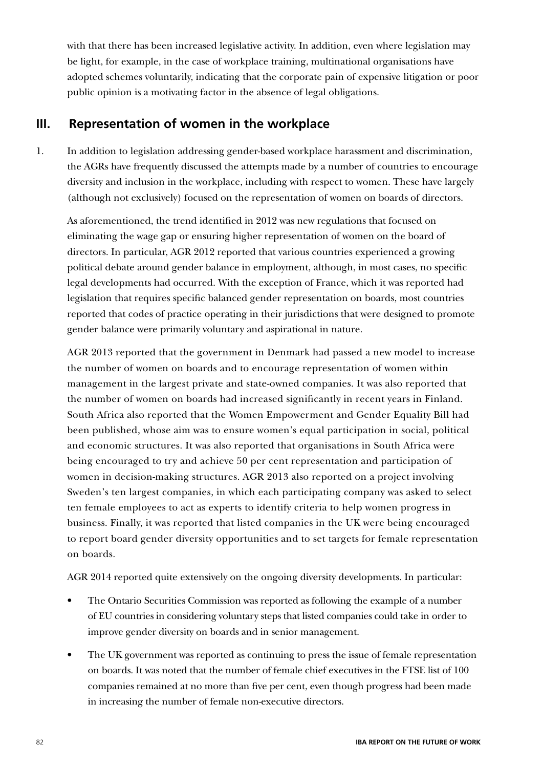with that there has been increased legislative activity. In addition, even where legislation may be light, for example, in the case of workplace training, multinational organisations have adopted schemes voluntarily, indicating that the corporate pain of expensive litigation or poor public opinion is a motivating factor in the absence of legal obligations.

### **III. Representation of women in the workplace**

1. In addition to legislation addressing gender-based workplace harassment and discrimination, the AGRs have frequently discussed the attempts made by a number of countries to encourage diversity and inclusion in the workplace, including with respect to women. These have largely (although not exclusively) focused on the representation of women on boards of directors.

As aforementioned, the trend identified in 2012 was new regulations that focused on eliminating the wage gap or ensuring higher representation of women on the board of directors. In particular, AGR 2012 reported that various countries experienced a growing political debate around gender balance in employment, although, in most cases, no specific legal developments had occurred. With the exception of France, which it was reported had legislation that requires specific balanced gender representation on boards, most countries reported that codes of practice operating in their jurisdictions that were designed to promote gender balance were primarily voluntary and aspirational in nature.

AGR 2013 reported that the government in Denmark had passed a new model to increase the number of women on boards and to encourage representation of women within management in the largest private and state-owned companies. It was also reported that the number of women on boards had increased significantly in recent years in Finland. South Africa also reported that the Women Empowerment and Gender Equality Bill had been published, whose aim was to ensure women's equal participation in social, political and economic structures. It was also reported that organisations in South Africa were being encouraged to try and achieve 50 per cent representation and participation of women in decision-making structures. AGR 2013 also reported on a project involving Sweden's ten largest companies, in which each participating company was asked to select ten female employees to act as experts to identify criteria to help women progress in business. Finally, it was reported that listed companies in the UK were being encouraged to report board gender diversity opportunities and to set targets for female representation on boards.

AGR 2014 reported quite extensively on the ongoing diversity developments. In particular:

- The Ontario Securities Commission was reported as following the example of a number of EU countries in considering voluntary steps that listed companies could take in order to improve gender diversity on boards and in senior management.
- The UK government was reported as continuing to press the issue of female representation on boards. It was noted that the number of female chief executives in the FTSE list of 100 companies remained at no more than five per cent, even though progress had been made in increasing the number of female non-executive directors.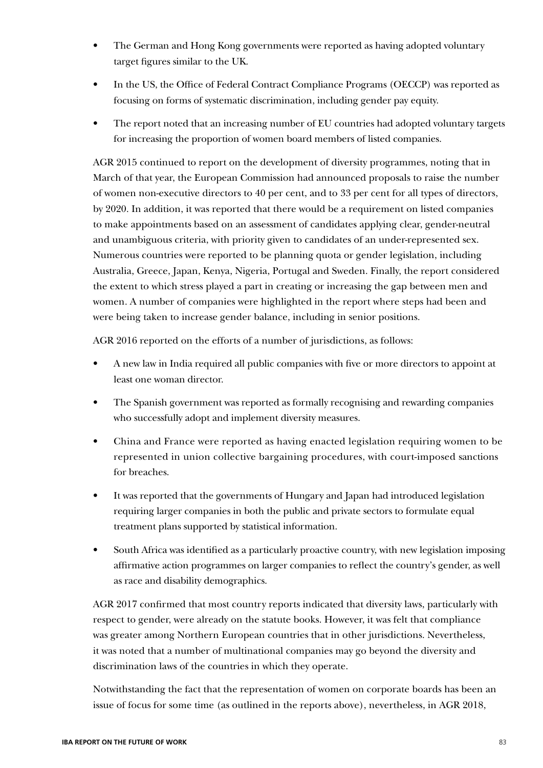- The German and Hong Kong governments were reported as having adopted voluntary target figures similar to the UK.
- In the US, the Office of Federal Contract Compliance Programs (OECCP) was reported as focusing on forms of systematic discrimination, including gender pay equity.
- The report noted that an increasing number of EU countries had adopted voluntary targets for increasing the proportion of women board members of listed companies.

AGR 2015 continued to report on the development of diversity programmes, noting that in March of that year, the European Commission had announced proposals to raise the number of women non-executive directors to 40 per cent, and to 33 per cent for all types of directors, by 2020. In addition, it was reported that there would be a requirement on listed companies to make appointments based on an assessment of candidates applying clear, gender-neutral and unambiguous criteria, with priority given to candidates of an under-represented sex. Numerous countries were reported to be planning quota or gender legislation, including Australia, Greece, Japan, Kenya, Nigeria, Portugal and Sweden. Finally, the report considered the extent to which stress played a part in creating or increasing the gap between men and women. A number of companies were highlighted in the report where steps had been and were being taken to increase gender balance, including in senior positions.

AGR 2016 reported on the efforts of a number of jurisdictions, as follows:

- A new law in India required all public companies with five or more directors to appoint at least one woman director.
- The Spanish government was reported as formally recognising and rewarding companies who successfully adopt and implement diversity measures.
- China and France were reported as having enacted legislation requiring women to be represented in union collective bargaining procedures, with court-imposed sanctions for breaches.
- It was reported that the governments of Hungary and Japan had introduced legislation requiring larger companies in both the public and private sectors to formulate equal treatment plans supported by statistical information.
- South Africa was identified as a particularly proactive country, with new legislation imposing affirmative action programmes on larger companies to reflect the country's gender, as well as race and disability demographics.

AGR 2017 confirmed that most country reports indicated that diversity laws, particularly with respect to gender, were already on the statute books. However, it was felt that compliance was greater among Northern European countries that in other jurisdictions. Nevertheless, it was noted that a number of multinational companies may go beyond the diversity and discrimination laws of the countries in which they operate.

Notwithstanding the fact that the representation of women on corporate boards has been an issue of focus for some time (as outlined in the reports above), nevertheless, in AGR 2018,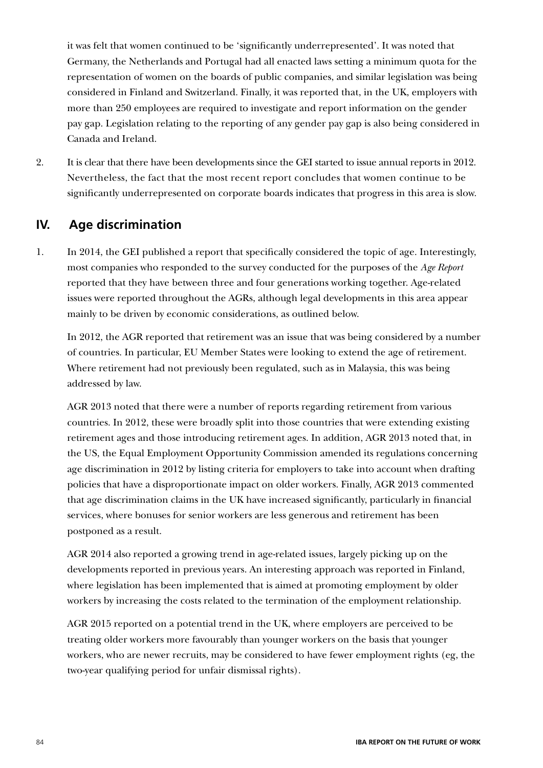it was felt that women continued to be 'significantly underrepresented'. It was noted that Germany, the Netherlands and Portugal had all enacted laws setting a minimum quota for the representation of women on the boards of public companies, and similar legislation was being considered in Finland and Switzerland. Finally, it was reported that, in the UK, employers with more than 250 employees are required to investigate and report information on the gender pay gap. Legislation relating to the reporting of any gender pay gap is also being considered in Canada and Ireland.

2. It is clear that there have been developments since the GEI started to issue annual reports in 2012. Nevertheless, the fact that the most recent report concludes that women continue to be significantly underrepresented on corporate boards indicates that progress in this area is slow.

### **IV. Age discrimination**

1. In 2014, the GEI published a report that specifically considered the topic of age. Interestingly, most companies who responded to the survey conducted for the purposes of the *Age Report* reported that they have between three and four generations working together. Age-related issues were reported throughout the AGRs, although legal developments in this area appear mainly to be driven by economic considerations, as outlined below.

In 2012, the AGR reported that retirement was an issue that was being considered by a number of countries. In particular, EU Member States were looking to extend the age of retirement. Where retirement had not previously been regulated, such as in Malaysia, this was being addressed by law.

AGR 2013 noted that there were a number of reports regarding retirement from various countries. In 2012, these were broadly split into those countries that were extending existing retirement ages and those introducing retirement ages. In addition, AGR 2013 noted that, in the US, the Equal Employment Opportunity Commission amended its regulations concerning age discrimination in 2012 by listing criteria for employers to take into account when drafting policies that have a disproportionate impact on older workers. Finally, AGR 2013 commented that age discrimination claims in the UK have increased significantly, particularly in financial services, where bonuses for senior workers are less generous and retirement has been postponed as a result.

AGR 2014 also reported a growing trend in age-related issues, largely picking up on the developments reported in previous years. An interesting approach was reported in Finland, where legislation has been implemented that is aimed at promoting employment by older workers by increasing the costs related to the termination of the employment relationship.

AGR 2015 reported on a potential trend in the UK, where employers are perceived to be treating older workers more favourably than younger workers on the basis that younger workers, who are newer recruits, may be considered to have fewer employment rights (eg, the two-year qualifying period for unfair dismissal rights).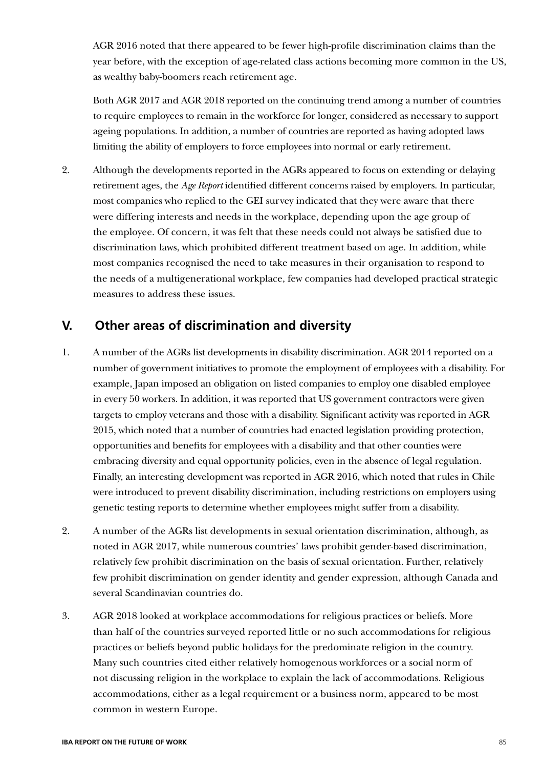AGR 2016 noted that there appeared to be fewer high-profile discrimination claims than the year before, with the exception of age-related class actions becoming more common in the US, as wealthy baby-boomers reach retirement age.

Both AGR 2017 and AGR 2018 reported on the continuing trend among a number of countries to require employees to remain in the workforce for longer, considered as necessary to support ageing populations. In addition, a number of countries are reported as having adopted laws limiting the ability of employers to force employees into normal or early retirement.

2. Although the developments reported in the AGRs appeared to focus on extending or delaying retirement ages, the *Age Report* identified different concerns raised by employers. In particular, most companies who replied to the GEI survey indicated that they were aware that there were differing interests and needs in the workplace, depending upon the age group of the employee. Of concern, it was felt that these needs could not always be satisfied due to discrimination laws, which prohibited different treatment based on age. In addition, while most companies recognised the need to take measures in their organisation to respond to the needs of a multigenerational workplace, few companies had developed practical strategic measures to address these issues.

### **V. Other areas of discrimination and diversity**

- 1. A number of the AGRs list developments in disability discrimination. AGR 2014 reported on a number of government initiatives to promote the employment of employees with a disability. For example, Japan imposed an obligation on listed companies to employ one disabled employee in every 50 workers. In addition, it was reported that US government contractors were given targets to employ veterans and those with a disability. Significant activity was reported in AGR 2015, which noted that a number of countries had enacted legislation providing protection, opportunities and benefits for employees with a disability and that other counties were embracing diversity and equal opportunity policies, even in the absence of legal regulation. Finally, an interesting development was reported in AGR 2016, which noted that rules in Chile were introduced to prevent disability discrimination, including restrictions on employers using genetic testing reports to determine whether employees might suffer from a disability.
- 2. A number of the AGRs list developments in sexual orientation discrimination, although, as noted in AGR 2017, while numerous countries' laws prohibit gender-based discrimination, relatively few prohibit discrimination on the basis of sexual orientation. Further, relatively few prohibit discrimination on gender identity and gender expression, although Canada and several Scandinavian countries do.
- 3. AGR 2018 looked at workplace accommodations for religious practices or beliefs. More than half of the countries surveyed reported little or no such accommodations for religious practices or beliefs beyond public holidays for the predominate religion in the country. Many such countries cited either relatively homogenous workforces or a social norm of not discussing religion in the workplace to explain the lack of accommodations. Religious accommodations, either as a legal requirement or a business norm, appeared to be most common in western Europe.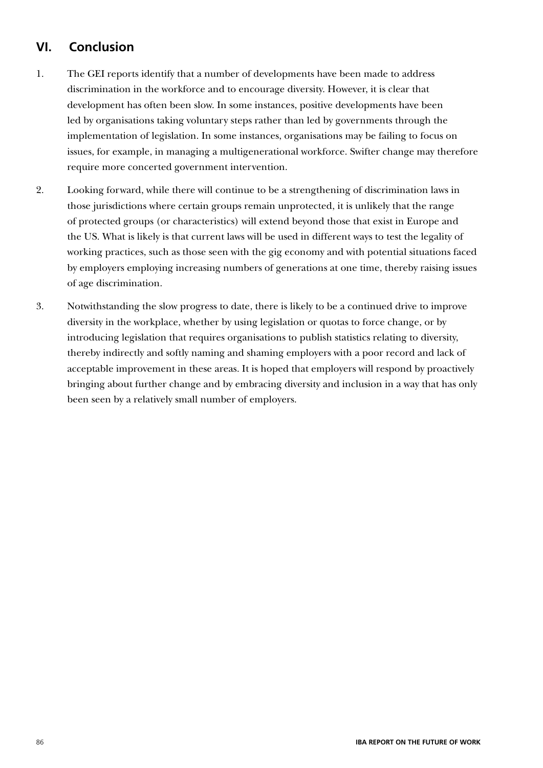# **VI. Conclusion**

- 1. The GEI reports identify that a number of developments have been made to address discrimination in the workforce and to encourage diversity. However, it is clear that development has often been slow. In some instances, positive developments have been led by organisations taking voluntary steps rather than led by governments through the implementation of legislation. In some instances, organisations may be failing to focus on issues, for example, in managing a multigenerational workforce. Swifter change may therefore require more concerted government intervention.
- 2. Looking forward, while there will continue to be a strengthening of discrimination laws in those jurisdictions where certain groups remain unprotected, it is unlikely that the range of protected groups (or characteristics) will extend beyond those that exist in Europe and the US. What is likely is that current laws will be used in different ways to test the legality of working practices, such as those seen with the gig economy and with potential situations faced by employers employing increasing numbers of generations at one time, thereby raising issues of age discrimination.
- 3. Notwithstanding the slow progress to date, there is likely to be a continued drive to improve diversity in the workplace, whether by using legislation or quotas to force change, or by introducing legislation that requires organisations to publish statistics relating to diversity, thereby indirectly and softly naming and shaming employers with a poor record and lack of acceptable improvement in these areas. It is hoped that employers will respond by proactively bringing about further change and by embracing diversity and inclusion in a way that has only been seen by a relatively small number of employers.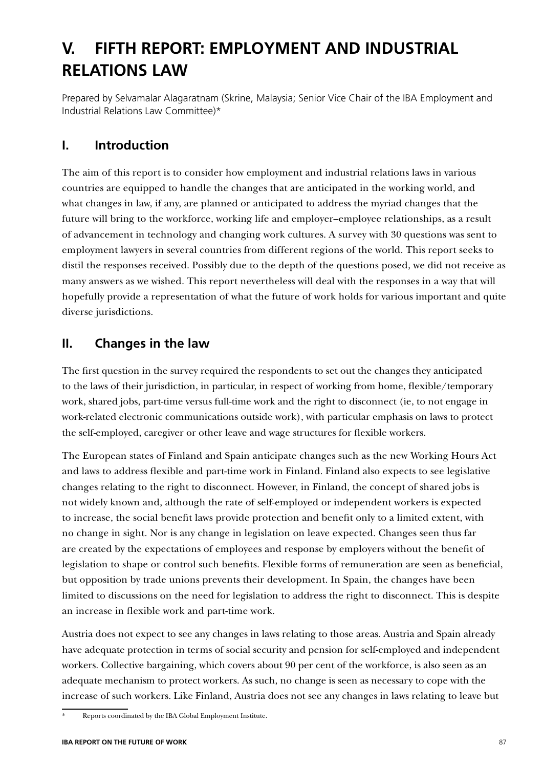# **V. FIFTH REPORT: EMPLOYMENT AND INDUSTRIAL RELATIONS LAW**

Prepared by Selvamalar Alagaratnam (Skrine, Malaysia; Senior Vice Chair of the IBA Employment and Industrial Relations Law Committee)\*

## **I. Introduction**

The aim of this report is to consider how employment and industrial relations laws in various countries are equipped to handle the changes that are anticipated in the working world, and what changes in law, if any, are planned or anticipated to address the myriad changes that the future will bring to the workforce, working life and employer–employee relationships, as a result of advancement in technology and changing work cultures. A survey with 30 questions was sent to employment lawyers in several countries from different regions of the world. This report seeks to distil the responses received. Possibly due to the depth of the questions posed, we did not receive as many answers as we wished. This report nevertheless will deal with the responses in a way that will hopefully provide a representation of what the future of work holds for various important and quite diverse jurisdictions.

# **II. Changes in the law**

The first question in the survey required the respondents to set out the changes they anticipated to the laws of their jurisdiction, in particular, in respect of working from home, flexible/temporary work, shared jobs, part-time versus full-time work and the right to disconnect (ie, to not engage in work-related electronic communications outside work), with particular emphasis on laws to protect the self-employed, caregiver or other leave and wage structures for flexible workers.

The European states of Finland and Spain anticipate changes such as the new Working Hours Act and laws to address flexible and part-time work in Finland. Finland also expects to see legislative changes relating to the right to disconnect. However, in Finland, the concept of shared jobs is not widely known and, although the rate of self-employed or independent workers is expected to increase, the social benefit laws provide protection and benefit only to a limited extent, with no change in sight. Nor is any change in legislation on leave expected. Changes seen thus far are created by the expectations of employees and response by employers without the benefit of legislation to shape or control such benefits. Flexible forms of remuneration are seen as beneficial, but opposition by trade unions prevents their development. In Spain, the changes have been limited to discussions on the need for legislation to address the right to disconnect. This is despite an increase in flexible work and part-time work.

Austria does not expect to see any changes in laws relating to those areas. Austria and Spain already have adequate protection in terms of social security and pension for self-employed and independent workers. Collective bargaining, which covers about 90 per cent of the workforce, is also seen as an adequate mechanism to protect workers. As such, no change is seen as necessary to cope with the increase of such workers. Like Finland, Austria does not see any changes in laws relating to leave but

Reports coordinated by the IBA Global Employment Institute.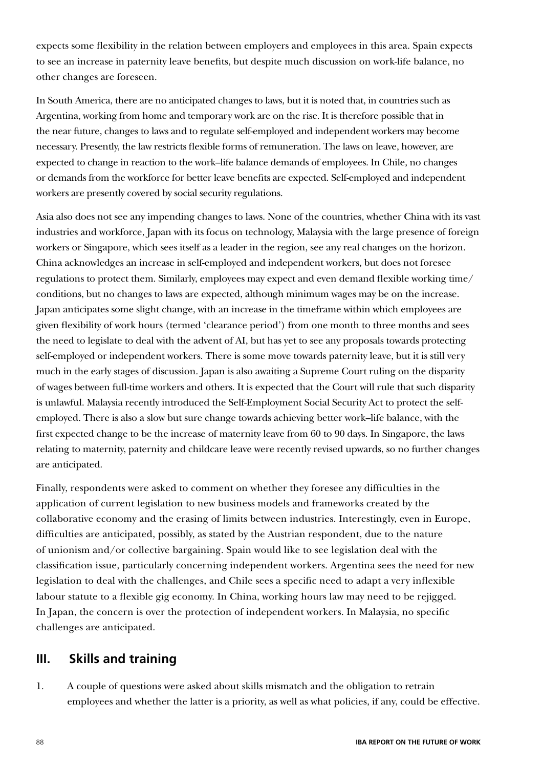expects some flexibility in the relation between employers and employees in this area. Spain expects to see an increase in paternity leave benefits, but despite much discussion on work-life balance, no other changes are foreseen.

In South America, there are no anticipated changes to laws, but it is noted that, in countries such as Argentina, working from home and temporary work are on the rise. It is therefore possible that in the near future, changes to laws and to regulate self-employed and independent workers may become necessary. Presently, the law restricts flexible forms of remuneration. The laws on leave, however, are expected to change in reaction to the work–life balance demands of employees. In Chile, no changes or demands from the workforce for better leave benefits are expected. Self-employed and independent workers are presently covered by social security regulations.

Asia also does not see any impending changes to laws. None of the countries, whether China with its vast industries and workforce, Japan with its focus on technology, Malaysia with the large presence of foreign workers or Singapore, which sees itself as a leader in the region, see any real changes on the horizon. China acknowledges an increase in self-employed and independent workers, but does not foresee regulations to protect them. Similarly, employees may expect and even demand flexible working time/ conditions, but no changes to laws are expected, although minimum wages may be on the increase. Japan anticipates some slight change, with an increase in the timeframe within which employees are given flexibility of work hours (termed 'clearance period') from one month to three months and sees the need to legislate to deal with the advent of AI, but has yet to see any proposals towards protecting self-employed or independent workers. There is some move towards paternity leave, but it is still very much in the early stages of discussion. Japan is also awaiting a Supreme Court ruling on the disparity of wages between full-time workers and others. It is expected that the Court will rule that such disparity is unlawful. Malaysia recently introduced the Self-Employment Social Security Act to protect the selfemployed. There is also a slow but sure change towards achieving better work–life balance, with the first expected change to be the increase of maternity leave from 60 to 90 days. In Singapore, the laws relating to maternity, paternity and childcare leave were recently revised upwards, so no further changes are anticipated.

Finally, respondents were asked to comment on whether they foresee any difficulties in the application of current legislation to new business models and frameworks created by the collaborative economy and the erasing of limits between industries. Interestingly, even in Europe, difficulties are anticipated, possibly, as stated by the Austrian respondent, due to the nature of unionism and/or collective bargaining. Spain would like to see legislation deal with the classification issue, particularly concerning independent workers. Argentina sees the need for new legislation to deal with the challenges, and Chile sees a specific need to adapt a very inflexible labour statute to a flexible gig economy. In China, working hours law may need to be rejigged. In Japan, the concern is over the protection of independent workers. In Malaysia, no specific challenges are anticipated.

### **III. Skills and training**

1. A couple of questions were asked about skills mismatch and the obligation to retrain employees and whether the latter is a priority, as well as what policies, if any, could be effective.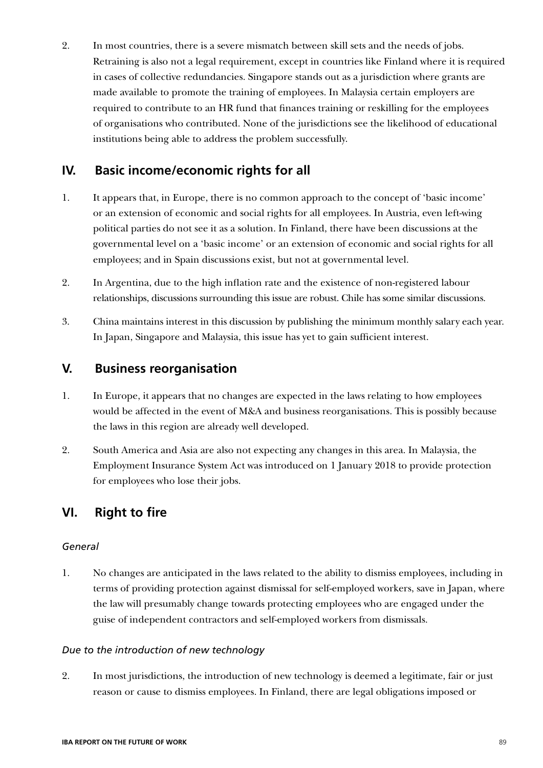2. In most countries, there is a severe mismatch between skill sets and the needs of jobs. Retraining is also not a legal requirement, except in countries like Finland where it is required in cases of collective redundancies. Singapore stands out as a jurisdiction where grants are made available to promote the training of employees. In Malaysia certain employers are required to contribute to an HR fund that finances training or reskilling for the employees of organisations who contributed. None of the jurisdictions see the likelihood of educational institutions being able to address the problem successfully.

### **IV. Basic income/economic rights for all**

- 1. It appears that, in Europe, there is no common approach to the concept of 'basic income' or an extension of economic and social rights for all employees. In Austria, even left-wing political parties do not see it as a solution. In Finland, there have been discussions at the governmental level on a 'basic income' or an extension of economic and social rights for all employees; and in Spain discussions exist, but not at governmental level.
- 2. In Argentina, due to the high inflation rate and the existence of non-registered labour relationships, discussions surrounding this issue are robust. Chile has some similar discussions.
- 3. China maintains interest in this discussion by publishing the minimum monthly salary each year. In Japan, Singapore and Malaysia, this issue has yet to gain sufficient interest.

### **V. Business reorganisation**

- 1. In Europe, it appears that no changes are expected in the laws relating to how employees would be affected in the event of M&A and business reorganisations. This is possibly because the laws in this region are already well developed.
- 2. South America and Asia are also not expecting any changes in this area. In Malaysia, the Employment Insurance System Act was introduced on 1 January 2018 to provide protection for employees who lose their jobs.

### **VI. Right to fire**

#### *General*

1. No changes are anticipated in the laws related to the ability to dismiss employees, including in terms of providing protection against dismissal for self-employed workers, save in Japan, where the law will presumably change towards protecting employees who are engaged under the guise of independent contractors and self-employed workers from dismissals.

#### *Due to the introduction of new technology*

2. In most jurisdictions, the introduction of new technology is deemed a legitimate, fair or just reason or cause to dismiss employees. In Finland, there are legal obligations imposed or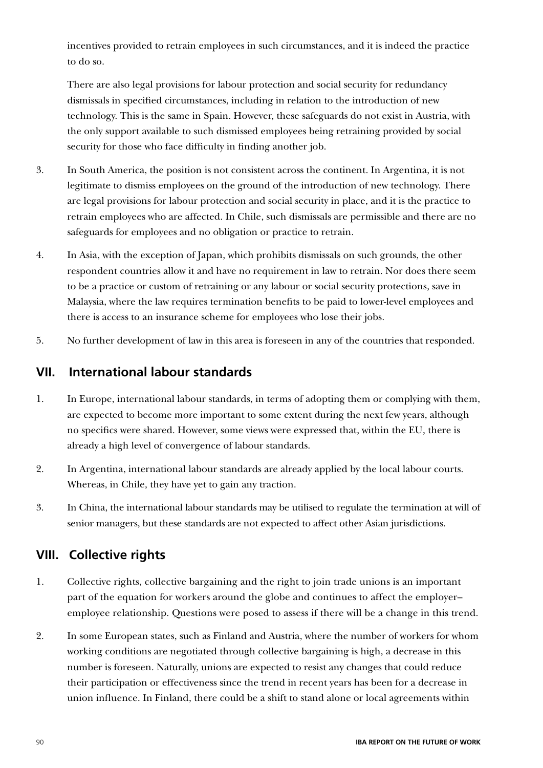incentives provided to retrain employees in such circumstances, and it is indeed the practice to do so.

There are also legal provisions for labour protection and social security for redundancy dismissals in specified circumstances, including in relation to the introduction of new technology. This is the same in Spain. However, these safeguards do not exist in Austria, with the only support available to such dismissed employees being retraining provided by social security for those who face difficulty in finding another job.

- 3. In South America, the position is not consistent across the continent. In Argentina, it is not legitimate to dismiss employees on the ground of the introduction of new technology. There are legal provisions for labour protection and social security in place, and it is the practice to retrain employees who are affected. In Chile, such dismissals are permissible and there are no safeguards for employees and no obligation or practice to retrain.
- 4. In Asia, with the exception of Japan, which prohibits dismissals on such grounds, the other respondent countries allow it and have no requirement in law to retrain. Nor does there seem to be a practice or custom of retraining or any labour or social security protections, save in Malaysia, where the law requires termination benefits to be paid to lower-level employees and there is access to an insurance scheme for employees who lose their jobs.
- 5. No further development of law in this area is foreseen in any of the countries that responded.

# **VII. International labour standards**

- 1. In Europe, international labour standards, in terms of adopting them or complying with them, are expected to become more important to some extent during the next few years, although no specifics were shared. However, some views were expressed that, within the EU, there is already a high level of convergence of labour standards.
- 2. In Argentina, international labour standards are already applied by the local labour courts. Whereas, in Chile, they have yet to gain any traction.
- 3. In China, the international labour standards may be utilised to regulate the termination at will of senior managers, but these standards are not expected to affect other Asian jurisdictions.

# **VIII. Collective rights**

- 1. Collective rights, collective bargaining and the right to join trade unions is an important part of the equation for workers around the globe and continues to affect the employer– employee relationship. Questions were posed to assess if there will be a change in this trend.
- 2. In some European states, such as Finland and Austria, where the number of workers for whom working conditions are negotiated through collective bargaining is high, a decrease in this number is foreseen. Naturally, unions are expected to resist any changes that could reduce their participation or effectiveness since the trend in recent years has been for a decrease in union influence. In Finland, there could be a shift to stand alone or local agreements within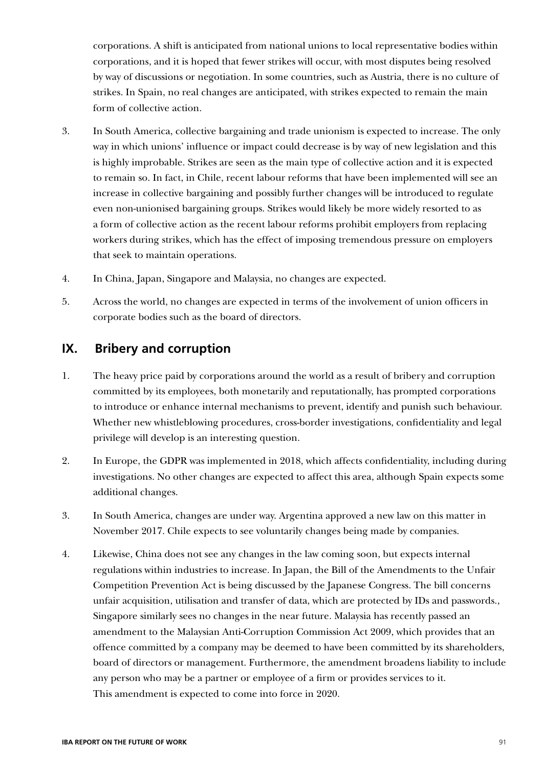corporations. A shift is anticipated from national unions to local representative bodies within corporations, and it is hoped that fewer strikes will occur, with most disputes being resolved by way of discussions or negotiation. In some countries, such as Austria, there is no culture of strikes. In Spain, no real changes are anticipated, with strikes expected to remain the main form of collective action.

- 3. In South America, collective bargaining and trade unionism is expected to increase. The only way in which unions' influence or impact could decrease is by way of new legislation and this is highly improbable. Strikes are seen as the main type of collective action and it is expected to remain so. In fact, in Chile, recent labour reforms that have been implemented will see an increase in collective bargaining and possibly further changes will be introduced to regulate even non-unionised bargaining groups. Strikes would likely be more widely resorted to as a form of collective action as the recent labour reforms prohibit employers from replacing workers during strikes, which has the effect of imposing tremendous pressure on employers that seek to maintain operations.
- 4. In China, Japan, Singapore and Malaysia, no changes are expected.
- 5. Across the world, no changes are expected in terms of the involvement of union officers in corporate bodies such as the board of directors.

### **IX. Bribery and corruption**

- 1. The heavy price paid by corporations around the world as a result of bribery and corruption committed by its employees, both monetarily and reputationally, has prompted corporations to introduce or enhance internal mechanisms to prevent, identify and punish such behaviour. Whether new whistleblowing procedures, cross-border investigations, confidentiality and legal privilege will develop is an interesting question.
- 2. In Europe, the GDPR was implemented in 2018, which affects confidentiality, including during investigations. No other changes are expected to affect this area, although Spain expects some additional changes.
- 3. In South America, changes are under way. Argentina approved a new law on this matter in November 2017. Chile expects to see voluntarily changes being made by companies.
- 4. Likewise, China does not see any changes in the law coming soon, but expects internal regulations within industries to increase. In Japan, the Bill of the Amendments to the Unfair Competition Prevention Act is being discussed by the Japanese Congress. The bill concerns unfair acquisition, utilisation and transfer of data, which are protected by IDs and passwords., Singapore similarly sees no changes in the near future. Malaysia has recently passed an amendment to the Malaysian Anti-Corruption Commission Act 2009, which provides that an offence committed by a company may be deemed to have been committed by its shareholders, board of directors or management. Furthermore, the amendment broadens liability to include any person who may be a partner or employee of a firm or provides services to it. This amendment is expected to come into force in 2020.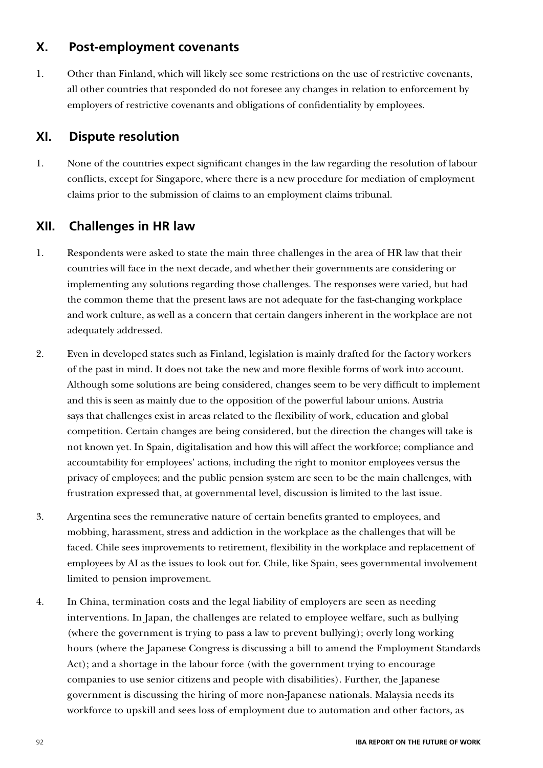### **X. Post-employment covenants**

1. Other than Finland, which will likely see some restrictions on the use of restrictive covenants, all other countries that responded do not foresee any changes in relation to enforcement by employers of restrictive covenants and obligations of confidentiality by employees.

# **XI. Dispute resolution**

1. None of the countries expect significant changes in the law regarding the resolution of labour conflicts, except for Singapore, where there is a new procedure for mediation of employment claims prior to the submission of claims to an employment claims tribunal.

# **XII. Challenges in HR law**

- 1. Respondents were asked to state the main three challenges in the area of HR law that their countries will face in the next decade, and whether their governments are considering or implementing any solutions regarding those challenges. The responses were varied, but had the common theme that the present laws are not adequate for the fast-changing workplace and work culture, as well as a concern that certain dangers inherent in the workplace are not adequately addressed.
- 2. Even in developed states such as Finland, legislation is mainly drafted for the factory workers of the past in mind. It does not take the new and more flexible forms of work into account. Although some solutions are being considered, changes seem to be very difficult to implement and this is seen as mainly due to the opposition of the powerful labour unions. Austria says that challenges exist in areas related to the flexibility of work, education and global competition. Certain changes are being considered, but the direction the changes will take is not known yet. In Spain, digitalisation and how this will affect the workforce; compliance and accountability for employees' actions, including the right to monitor employees versus the privacy of employees; and the public pension system are seen to be the main challenges, with frustration expressed that, at governmental level, discussion is limited to the last issue.
- 3. Argentina sees the remunerative nature of certain benefits granted to employees, and mobbing, harassment, stress and addiction in the workplace as the challenges that will be faced. Chile sees improvements to retirement, flexibility in the workplace and replacement of employees by AI as the issues to look out for. Chile, like Spain, sees governmental involvement limited to pension improvement.
- 4. In China, termination costs and the legal liability of employers are seen as needing interventions. In Japan, the challenges are related to employee welfare, such as bullying (where the government is trying to pass a law to prevent bullying); overly long working hours (where the Japanese Congress is discussing a bill to amend the Employment Standards Act); and a shortage in the labour force (with the government trying to encourage companies to use senior citizens and people with disabilities). Further, the Japanese government is discussing the hiring of more non-Japanese nationals. Malaysia needs its workforce to upskill and sees loss of employment due to automation and other factors, as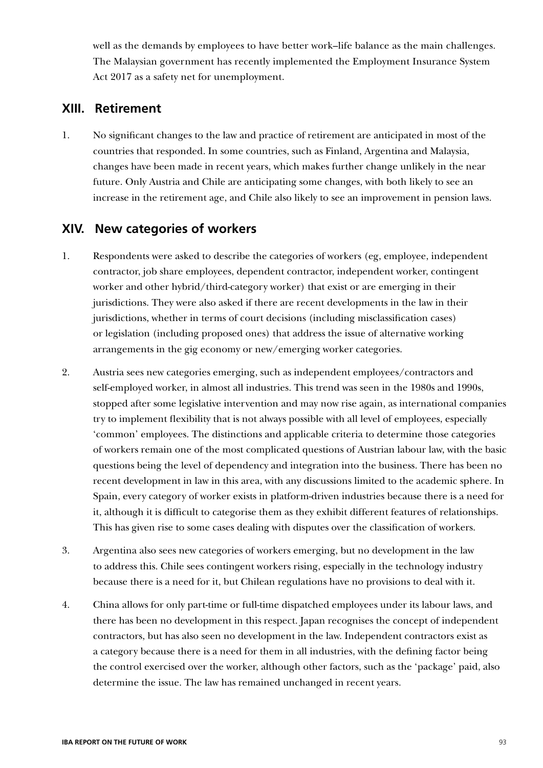well as the demands by employees to have better work–life balance as the main challenges. The Malaysian government has recently implemented the Employment Insurance System Act 2017 as a safety net for unemployment.

### **XIII. Retirement**

1. No significant changes to the law and practice of retirement are anticipated in most of the countries that responded. In some countries, such as Finland, Argentina and Malaysia, changes have been made in recent years, which makes further change unlikely in the near future. Only Austria and Chile are anticipating some changes, with both likely to see an increase in the retirement age, and Chile also likely to see an improvement in pension laws.

### **XIV. New categories of workers**

- 1. Respondents were asked to describe the categories of workers (eg, employee, independent contractor, job share employees, dependent contractor, independent worker, contingent worker and other hybrid/third-category worker) that exist or are emerging in their jurisdictions. They were also asked if there are recent developments in the law in their jurisdictions, whether in terms of court decisions (including misclassification cases) or legislation (including proposed ones) that address the issue of alternative working arrangements in the gig economy or new/emerging worker categories.
- 2. Austria sees new categories emerging, such as independent employees/contractors and self-employed worker, in almost all industries. This trend was seen in the 1980s and 1990s, stopped after some legislative intervention and may now rise again, as international companies try to implement flexibility that is not always possible with all level of employees, especially 'common' employees. The distinctions and applicable criteria to determine those categories of workers remain one of the most complicated questions of Austrian labour law, with the basic questions being the level of dependency and integration into the business. There has been no recent development in law in this area, with any discussions limited to the academic sphere. In Spain, every category of worker exists in platform-driven industries because there is a need for it, although it is difficult to categorise them as they exhibit different features of relationships. This has given rise to some cases dealing with disputes over the classification of workers.
- 3. Argentina also sees new categories of workers emerging, but no development in the law to address this. Chile sees contingent workers rising, especially in the technology industry because there is a need for it, but Chilean regulations have no provisions to deal with it.
- 4. China allows for only part-time or full-time dispatched employees under its labour laws, and there has been no development in this respect. Japan recognises the concept of independent contractors, but has also seen no development in the law. Independent contractors exist as a category because there is a need for them in all industries, with the defining factor being the control exercised over the worker, although other factors, such as the 'package' paid, also determine the issue. The law has remained unchanged in recent years.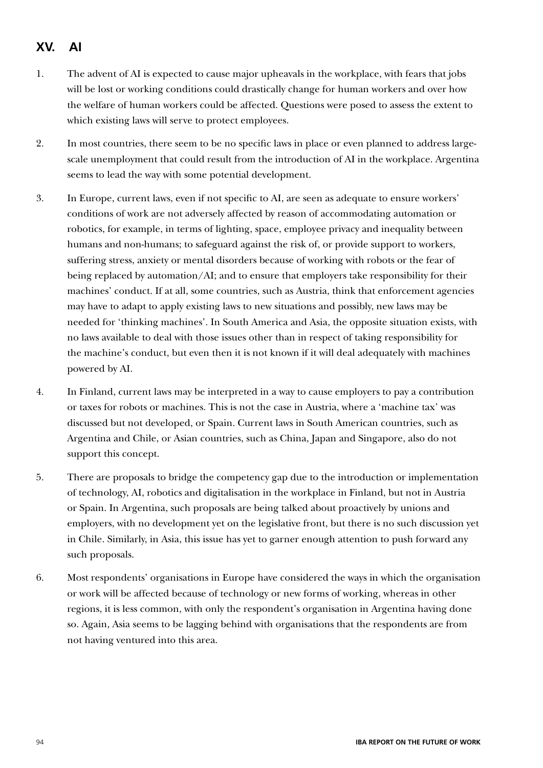# **XV. AI**

- 1. The advent of AI is expected to cause major upheavals in the workplace, with fears that jobs will be lost or working conditions could drastically change for human workers and over how the welfare of human workers could be affected. Questions were posed to assess the extent to which existing laws will serve to protect employees.
- 2. In most countries, there seem to be no specific laws in place or even planned to address largescale unemployment that could result from the introduction of AI in the workplace. Argentina seems to lead the way with some potential development.
- 3. In Europe, current laws, even if not specific to AI, are seen as adequate to ensure workers' conditions of work are not adversely affected by reason of accommodating automation or robotics, for example, in terms of lighting, space, employee privacy and inequality between humans and non-humans; to safeguard against the risk of, or provide support to workers, suffering stress, anxiety or mental disorders because of working with robots or the fear of being replaced by automation/AI; and to ensure that employers take responsibility for their machines' conduct. If at all, some countries, such as Austria, think that enforcement agencies may have to adapt to apply existing laws to new situations and possibly, new laws may be needed for 'thinking machines'. In South America and Asia, the opposite situation exists, with no laws available to deal with those issues other than in respect of taking responsibility for the machine's conduct, but even then it is not known if it will deal adequately with machines powered by AI.
- 4. In Finland, current laws may be interpreted in a way to cause employers to pay a contribution or taxes for robots or machines. This is not the case in Austria, where a 'machine tax' was discussed but not developed, or Spain. Current laws in South American countries, such as Argentina and Chile, or Asian countries, such as China, Japan and Singapore, also do not support this concept.
- 5. There are proposals to bridge the competency gap due to the introduction or implementation of technology, AI, robotics and digitalisation in the workplace in Finland, but not in Austria or Spain. In Argentina, such proposals are being talked about proactively by unions and employers, with no development yet on the legislative front, but there is no such discussion yet in Chile. Similarly, in Asia, this issue has yet to garner enough attention to push forward any such proposals.
- 6. Most respondents' organisations in Europe have considered the ways in which the organisation or work will be affected because of technology or new forms of working, whereas in other regions, it is less common, with only the respondent's organisation in Argentina having done so. Again, Asia seems to be lagging behind with organisations that the respondents are from not having ventured into this area.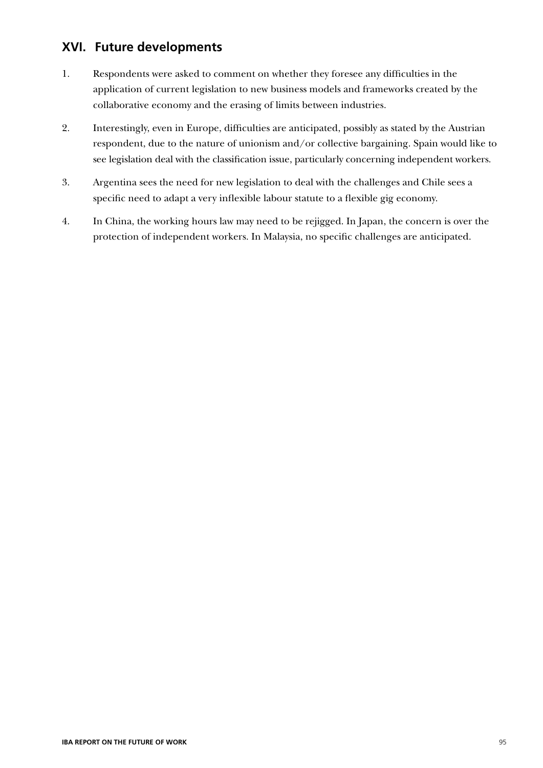### **XVI. Future developments**

- 1. Respondents were asked to comment on whether they foresee any difficulties in the application of current legislation to new business models and frameworks created by the collaborative economy and the erasing of limits between industries.
- 2. Interestingly, even in Europe, difficulties are anticipated, possibly as stated by the Austrian respondent, due to the nature of unionism and/or collective bargaining. Spain would like to see legislation deal with the classification issue, particularly concerning independent workers.
- 3. Argentina sees the need for new legislation to deal with the challenges and Chile sees a specific need to adapt a very inflexible labour statute to a flexible gig economy.
- 4. In China, the working hours law may need to be rejigged. In Japan, the concern is over the protection of independent workers. In Malaysia, no specific challenges are anticipated.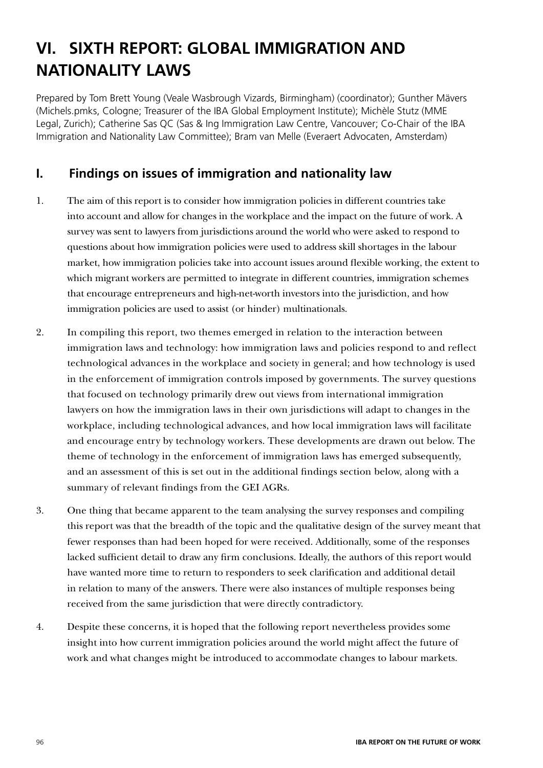# **VI. SIXTH REPORT: GLOBAL IMMIGRATION AND NATIONALITY LAWS**

Prepared by Tom Brett Young (Veale Wasbrough Vizards, Birmingham) (coordinator); Gunther Mävers (Michels.pmks, Cologne; Treasurer of the IBA Global Employment Institute); Michèle Stutz (MME Legal, Zurich); Catherine Sas QC (Sas & Ing Immigration Law Centre, Vancouver; Co-Chair of the IBA Immigration and Nationality Law Committee); Bram van Melle (Everaert Advocaten, Amsterdam)

# **I. Findings on issues of immigration and nationality law**

- 1. The aim of this report is to consider how immigration policies in different countries take into account and allow for changes in the workplace and the impact on the future of work. A survey was sent to lawyers from jurisdictions around the world who were asked to respond to questions about how immigration policies were used to address skill shortages in the labour market, how immigration policies take into account issues around flexible working, the extent to which migrant workers are permitted to integrate in different countries, immigration schemes that encourage entrepreneurs and high-net-worth investors into the jurisdiction, and how immigration policies are used to assist (or hinder) multinationals.
- 2. In compiling this report, two themes emerged in relation to the interaction between immigration laws and technology: how immigration laws and policies respond to and reflect technological advances in the workplace and society in general; and how technology is used in the enforcement of immigration controls imposed by governments. The survey questions that focused on technology primarily drew out views from international immigration lawyers on how the immigration laws in their own jurisdictions will adapt to changes in the workplace, including technological advances, and how local immigration laws will facilitate and encourage entry by technology workers. These developments are drawn out below. The theme of technology in the enforcement of immigration laws has emerged subsequently, and an assessment of this is set out in the additional findings section below, along with a summary of relevant findings from the GEI AGRs.
- 3. One thing that became apparent to the team analysing the survey responses and compiling this report was that the breadth of the topic and the qualitative design of the survey meant that fewer responses than had been hoped for were received. Additionally, some of the responses lacked sufficient detail to draw any firm conclusions. Ideally, the authors of this report would have wanted more time to return to responders to seek clarification and additional detail in relation to many of the answers. There were also instances of multiple responses being received from the same jurisdiction that were directly contradictory.
- 4. Despite these concerns, it is hoped that the following report nevertheless provides some insight into how current immigration policies around the world might affect the future of work and what changes might be introduced to accommodate changes to labour markets.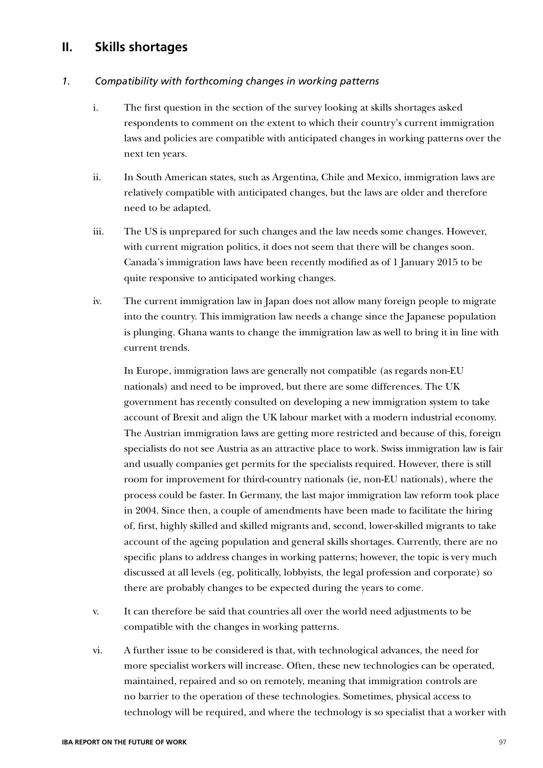### **II. Skills shortages**

#### *1. Compatibility with forthcoming changes in working patterns*

- i. The first question in the section of the survey looking at skills shortages asked respondents to comment on the extent to which their country's current immigration laws and policies are compatible with anticipated changes in working patterns over the next ten years.
- ii. In South American states, such as Argentina, Chile and Mexico, immigration laws are relatively compatible with anticipated changes, but the laws are older and therefore need to be adapted.
- iii. The US is unprepared for such changes and the law needs some changes. However, with current migration politics, it does not seem that there will be changes soon. Canada's immigration laws have been recently modified as of 1 January 2015 to be quite responsive to anticipated working changes.
- iv. The current immigration law in Japan does not allow many foreign people to migrate into the country. This immigration law needs a change since the Japanese population is plunging. Ghana wants to change the immigration law as well to bring it in line with current trends.

In Europe, immigration laws are generally not compatible (as regards non-EU nationals) and need to be improved, but there are some differences. The UK government has recently consulted on developing a new immigration system to take account of Brexit and align the UK labour market with a modern industrial economy. The Austrian immigration laws are getting more restricted and because of this, foreign specialists do not see Austria as an attractive place to work. Swiss immigration law is fair and usually companies get permits for the specialists required. However, there is still room for improvement for third-country nationals (ie, non-EU nationals), where the process could be faster. In Germany, the last major immigration law reform took place in 2004. Since then, a couple of amendments have been made to facilitate the hiring of, first, highly skilled and skilled migrants and, second, lower-skilled migrants to take account of the ageing population and general skills shortages. Currently, there are no specific plans to address changes in working patterns; however, the topic is very much discussed at all levels (eg, politically, lobbyists, the legal profession and corporate) so there are probably changes to be expected during the years to come.

- v. It can therefore be said that countries all over the world need adjustments to be compatible with the changes in working patterns.
- vi. A further issue to be considered is that, with technological advances, the need for more specialist workers will increase. Often, these new technologies can be operated, maintained, repaired and so on remotely, meaning that immigration controls are no barrier to the operation of these technologies. Sometimes, physical access to technology will be required, and where the technology is so specialist that a worker with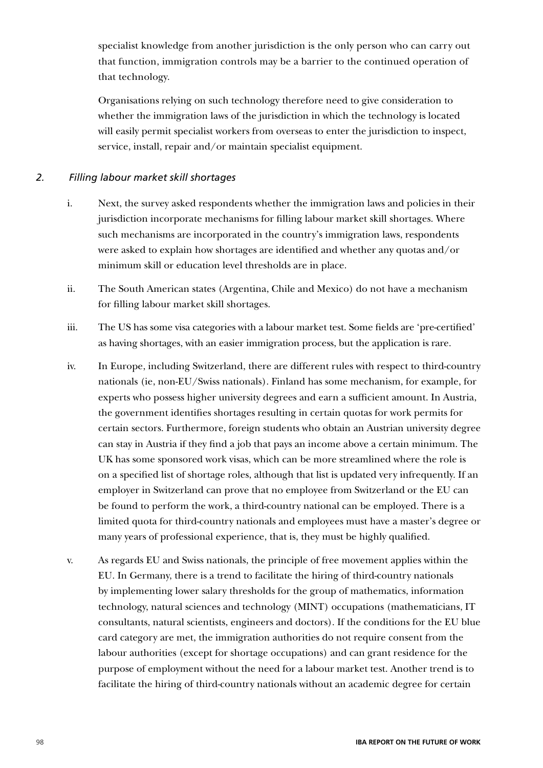specialist knowledge from another jurisdiction is the only person who can carry out that function, immigration controls may be a barrier to the continued operation of that technology.

Organisations relying on such technology therefore need to give consideration to whether the immigration laws of the jurisdiction in which the technology is located will easily permit specialist workers from overseas to enter the jurisdiction to inspect, service, install, repair and/or maintain specialist equipment.

### *2. Filling labour market skill shortages*

- i. Next, the survey asked respondents whether the immigration laws and policies in their jurisdiction incorporate mechanisms for filling labour market skill shortages. Where such mechanisms are incorporated in the country's immigration laws, respondents were asked to explain how shortages are identified and whether any quotas and/or minimum skill or education level thresholds are in place.
- ii. The South American states (Argentina, Chile and Mexico) do not have a mechanism for filling labour market skill shortages.
- iii. The US has some visa categories with a labour market test. Some fields are 'pre-certified' as having shortages, with an easier immigration process, but the application is rare.
- iv. In Europe, including Switzerland, there are different rules with respect to third-country nationals (ie, non-EU/Swiss nationals). Finland has some mechanism, for example, for experts who possess higher university degrees and earn a sufficient amount. In Austria, the government identifies shortages resulting in certain quotas for work permits for certain sectors. Furthermore, foreign students who obtain an Austrian university degree can stay in Austria if they find a job that pays an income above a certain minimum. The UK has some sponsored work visas, which can be more streamlined where the role is on a specified list of shortage roles, although that list is updated very infrequently. If an employer in Switzerland can prove that no employee from Switzerland or the EU can be found to perform the work, a third-country national can be employed. There is a limited quota for third-country nationals and employees must have a master's degree or many years of professional experience, that is, they must be highly qualified.
- v. As regards EU and Swiss nationals, the principle of free movement applies within the EU. In Germany, there is a trend to facilitate the hiring of third-country nationals by implementing lower salary thresholds for the group of mathematics, information technology, natural sciences and technology (MINT) occupations (mathematicians, IT consultants, natural scientists, engineers and doctors). If the conditions for the EU blue card category are met, the immigration authorities do not require consent from the labour authorities (except for shortage occupations) and can grant residence for the purpose of employment without the need for a labour market test. Another trend is to facilitate the hiring of third-country nationals without an academic degree for certain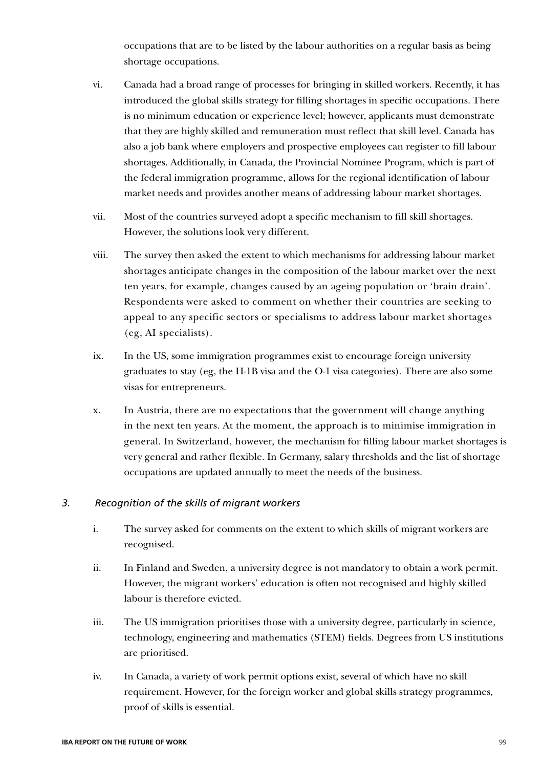occupations that are to be listed by the labour authorities on a regular basis as being shortage occupations.

- vi. Canada had a broad range of processes for bringing in skilled workers. Recently, it has introduced the global skills strategy for filling shortages in specific occupations. There is no minimum education or experience level; however, applicants must demonstrate that they are highly skilled and remuneration must reflect that skill level. Canada has also a job bank where employers and prospective employees can register to fill labour shortages. Additionally, in Canada, the Provincial Nominee Program, which is part of the federal immigration programme, allows for the regional identification of labour market needs and provides another means of addressing labour market shortages.
- vii. Most of the countries surveyed adopt a specific mechanism to fill skill shortages. However, the solutions look very different.
- viii. The survey then asked the extent to which mechanisms for addressing labour market shortages anticipate changes in the composition of the labour market over the next ten years, for example, changes caused by an ageing population or 'brain drain'. Respondents were asked to comment on whether their countries are seeking to appeal to any specific sectors or specialisms to address labour market shortages (eg, AI specialists).
- ix. In the US, some immigration programmes exist to encourage foreign university graduates to stay (eg, the H-1B visa and the O-1 visa categories). There are also some visas for entrepreneurs.
- x. In Austria, there are no expectations that the government will change anything in the next ten years. At the moment, the approach is to minimise immigration in general. In Switzerland, however, the mechanism for filling labour market shortages is very general and rather flexible. In Germany, salary thresholds and the list of shortage occupations are updated annually to meet the needs of the business.

#### *3. Recognition of the skills of migrant workers*

- i. The survey asked for comments on the extent to which skills of migrant workers are recognised.
- ii. In Finland and Sweden, a university degree is not mandatory to obtain a work permit. However, the migrant workers' education is often not recognised and highly skilled labour is therefore evicted.
- iii. The US immigration prioritises those with a university degree, particularly in science, technology, engineering and mathematics (STEM) fields. Degrees from US institutions are prioritised.
- iv. In Canada, a variety of work permit options exist, several of which have no skill requirement. However, for the foreign worker and global skills strategy programmes, proof of skills is essential.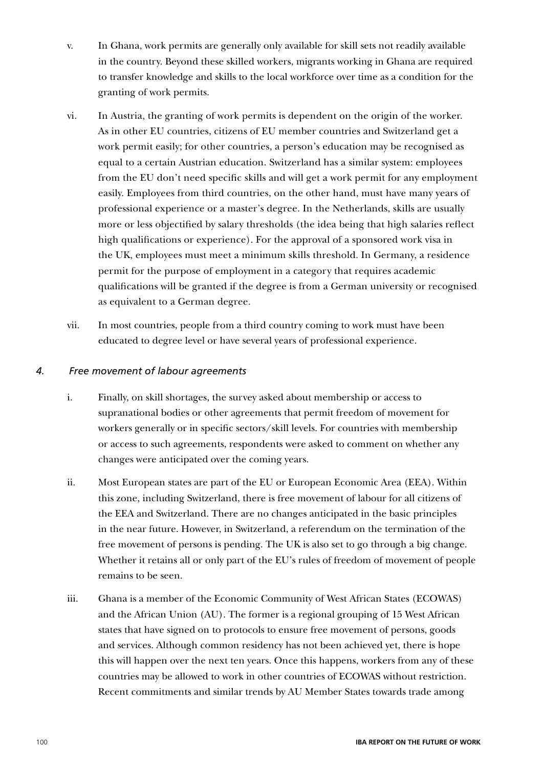- v. In Ghana, work permits are generally only available for skill sets not readily available in the country. Beyond these skilled workers, migrants working in Ghana are required to transfer knowledge and skills to the local workforce over time as a condition for the granting of work permits.
- vi. In Austria, the granting of work permits is dependent on the origin of the worker. As in other EU countries, citizens of EU member countries and Switzerland get a work permit easily; for other countries, a person's education may be recognised as equal to a certain Austrian education. Switzerland has a similar system: employees from the EU don't need specific skills and will get a work permit for any employment easily. Employees from third countries, on the other hand, must have many years of professional experience or a master's degree. In the Netherlands, skills are usually more or less objectified by salary thresholds (the idea being that high salaries reflect high qualifications or experience). For the approval of a sponsored work visa in the UK, employees must meet a minimum skills threshold. In Germany, a residence permit for the purpose of employment in a category that requires academic qualifications will be granted if the degree is from a German university or recognised as equivalent to a German degree.
- vii. In most countries, people from a third country coming to work must have been educated to degree level or have several years of professional experience.

#### *4. Free movement of labour agreements*

- i. Finally, on skill shortages, the survey asked about membership or access to supranational bodies or other agreements that permit freedom of movement for workers generally or in specific sectors/skill levels. For countries with membership or access to such agreements, respondents were asked to comment on whether any changes were anticipated over the coming years.
- ii. Most European states are part of the EU or European Economic Area (EEA). Within this zone, including Switzerland, there is free movement of labour for all citizens of the EEA and Switzerland. There are no changes anticipated in the basic principles in the near future. However, in Switzerland, a referendum on the termination of the free movement of persons is pending. The UK is also set to go through a big change. Whether it retains all or only part of the EU's rules of freedom of movement of people remains to be seen.
- iii. Ghana is a member of the Economic Community of West African States (ECOWAS) and the African Union (AU). The former is a regional grouping of 15 West African states that have signed on to protocols to ensure free movement of persons, goods and services. Although common residency has not been achieved yet, there is hope this will happen over the next ten years. Once this happens, workers from any of these countries may be allowed to work in other countries of ECOWAS without restriction. Recent commitments and similar trends by AU Member States towards trade among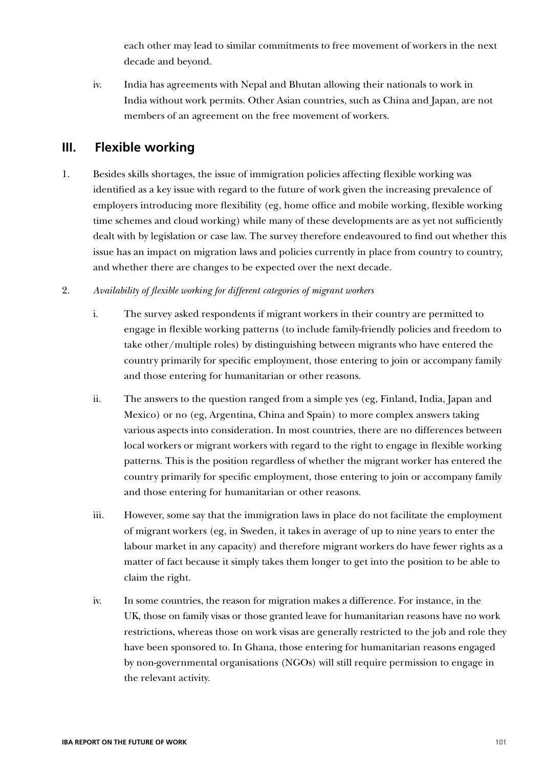each other may lead to similar commitments to free movement of workers in the next decade and beyond.

iv. India has agreements with Nepal and Bhutan allowing their nationals to work in India without work permits. Other Asian countries, such as China and Japan, are not members of an agreement on the free movement of workers.

# **III. Flexible working**

- 1. Besides skills shortages, the issue of immigration policies affecting flexible working was identified as a key issue with regard to the future of work given the increasing prevalence of employers introducing more flexibility (eg, home office and mobile working, flexible working time schemes and cloud working) while many of these developments are as yet not sufficiently dealt with by legislation or case law. The survey therefore endeavoured to find out whether this issue has an impact on migration laws and policies currently in place from country to country, and whether there are changes to be expected over the next decade.
- 2. *Availability of flexible working for different categories of migrant workers*
	- i. The survey asked respondents if migrant workers in their country are permitted to engage in flexible working patterns (to include family-friendly policies and freedom to take other/multiple roles) by distinguishing between migrants who have entered the country primarily for specific employment, those entering to join or accompany family and those entering for humanitarian or other reasons.
	- ii. The answers to the question ranged from a simple yes (eg, Finland, India, Japan and Mexico) or no (eg, Argentina, China and Spain) to more complex answers taking various aspects into consideration. In most countries, there are no differences between local workers or migrant workers with regard to the right to engage in flexible working patterns. This is the position regardless of whether the migrant worker has entered the country primarily for specific employment, those entering to join or accompany family and those entering for humanitarian or other reasons.
	- iii. However, some say that the immigration laws in place do not facilitate the employment of migrant workers (eg, in Sweden, it takes in average of up to nine years to enter the labour market in any capacity) and therefore migrant workers do have fewer rights as a matter of fact because it simply takes them longer to get into the position to be able to claim the right.
	- iv. In some countries, the reason for migration makes a difference. For instance, in the UK, those on family visas or those granted leave for humanitarian reasons have no work restrictions, whereas those on work visas are generally restricted to the job and role they have been sponsored to. In Ghana, those entering for humanitarian reasons engaged by non-governmental organisations (NGOs) will still require permission to engage in the relevant activity.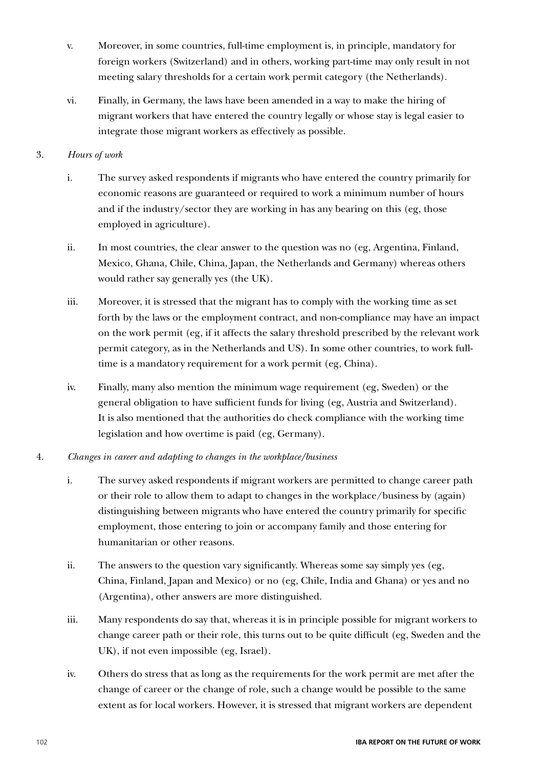- v. Moreover, in some countries, full-time employment is, in principle, mandatory for foreign workers (Switzerland) and in others, working part-time may only result in not meeting salary thresholds for a certain work permit category (the Netherlands).
- vi. Finally, in Germany, the laws have been amended in a way to make the hiring of migrant workers that have entered the country legally or whose stay is legal easier to integrate those migrant workers as effectively as possible.

### 3. *Hours of work*

- i. The survey asked respondents if migrants who have entered the country primarily for economic reasons are guaranteed or required to work a minimum number of hours and if the industry/sector they are working in has any bearing on this (eg, those employed in agriculture).
- ii. In most countries, the clear answer to the question was no (eg, Argentina, Finland, Mexico, Ghana, Chile, China, Japan, the Netherlands and Germany) whereas others would rather say generally yes (the UK).
- iii. Moreover, it is stressed that the migrant has to comply with the working time as set forth by the laws or the employment contract, and non-compliance may have an impact on the work permit (eg, if it affects the salary threshold prescribed by the relevant work permit category, as in the Netherlands and US). In some other countries, to work fulltime is a mandatory requirement for a work permit (eg, China).
- iv. Finally, many also mention the minimum wage requirement (eg, Sweden) or the general obligation to have sufficient funds for living (eg, Austria and Switzerland). It is also mentioned that the authorities do check compliance with the working time legislation and how overtime is paid (eg, Germany).
- 4. *Changes in career and adapting to changes in the workplace/business*
	- i. The survey asked respondents if migrant workers are permitted to change career path or their role to allow them to adapt to changes in the workplace/business by (again) distinguishing between migrants who have entered the country primarily for specific employment, those entering to join or accompany family and those entering for humanitarian or other reasons.
	- ii. The answers to the question vary significantly. Whereas some say simply yes (eg, China, Finland, Japan and Mexico) or no (eg, Chile, India and Ghana) or yes and no (Argentina), other answers are more distinguished.
	- iii. Many respondents do say that, whereas it is in principle possible for migrant workers to change career path or their role, this turns out to be quite difficult (eg, Sweden and the UK), if not even impossible (eg, Israel).
	- iv. Others do stress that as long as the requirements for the work permit are met after the change of career or the change of role, such a change would be possible to the same extent as for local workers. However, it is stressed that migrant workers are dependent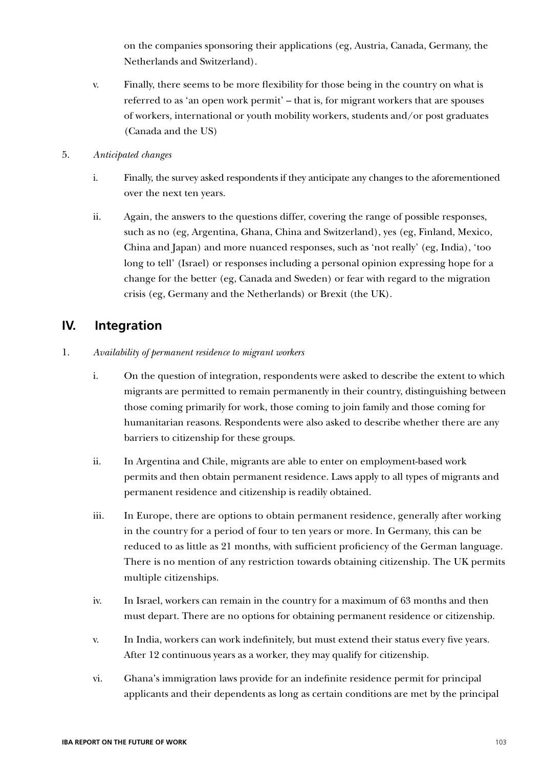on the companies sponsoring their applications (eg, Austria, Canada, Germany, the Netherlands and Switzerland).

- v. Finally, there seems to be more flexibility for those being in the country on what is referred to as 'an open work permit' – that is, for migrant workers that are spouses of workers, international or youth mobility workers, students and/or post graduates (Canada and the US)
- 5. *Anticipated changes*
	- i. Finally, the survey asked respondents if they anticipate any changes to the aforementioned over the next ten years.
	- ii. Again, the answers to the questions differ, covering the range of possible responses, such as no (eg, Argentina, Ghana, China and Switzerland), yes (eg, Finland, Mexico, China and Japan) and more nuanced responses, such as 'not really' (eg, India), 'too long to tell' (Israel) or responses including a personal opinion expressing hope for a change for the better (eg, Canada and Sweden) or fear with regard to the migration crisis (eg, Germany and the Netherlands) or Brexit (the UK).

### **IV. Integration**

- 1. *Availability of permanent residence to migrant workers*
	- i. On the question of integration, respondents were asked to describe the extent to which migrants are permitted to remain permanently in their country, distinguishing between those coming primarily for work, those coming to join family and those coming for humanitarian reasons. Respondents were also asked to describe whether there are any barriers to citizenship for these groups.
	- ii. In Argentina and Chile, migrants are able to enter on employment-based work permits and then obtain permanent residence. Laws apply to all types of migrants and permanent residence and citizenship is readily obtained.
	- iii. In Europe, there are options to obtain permanent residence, generally after working in the country for a period of four to ten years or more. In Germany, this can be reduced to as little as 21 months, with sufficient proficiency of the German language. There is no mention of any restriction towards obtaining citizenship. The UK permits multiple citizenships.
	- iv. In Israel, workers can remain in the country for a maximum of 63 months and then must depart. There are no options for obtaining permanent residence or citizenship.
	- v. In India, workers can work indefinitely, but must extend their status every five years. After 12 continuous years as a worker, they may qualify for citizenship.
	- vi. Ghana's immigration laws provide for an indefinite residence permit for principal applicants and their dependents as long as certain conditions are met by the principal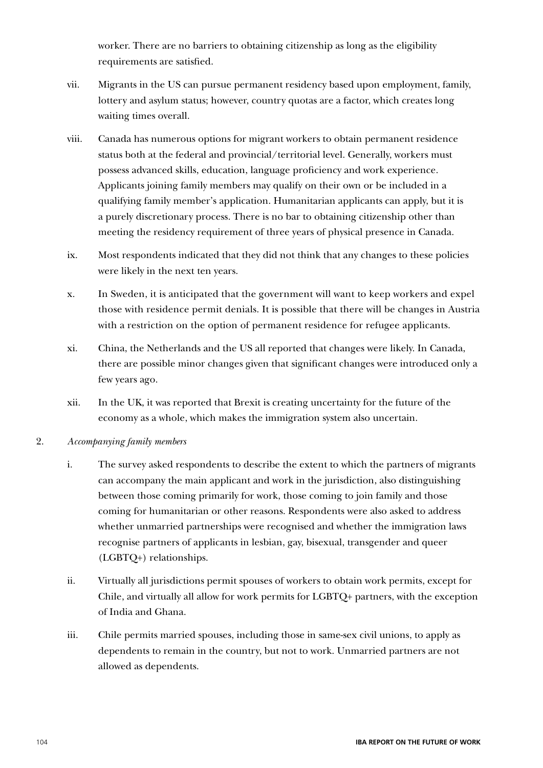worker. There are no barriers to obtaining citizenship as long as the eligibility requirements are satisfied.

- vii. Migrants in the US can pursue permanent residency based upon employment, family, lottery and asylum status; however, country quotas are a factor, which creates long waiting times overall.
- viii. Canada has numerous options for migrant workers to obtain permanent residence status both at the federal and provincial/territorial level. Generally, workers must possess advanced skills, education, language proficiency and work experience. Applicants joining family members may qualify on their own or be included in a qualifying family member's application. Humanitarian applicants can apply, but it is a purely discretionary process. There is no bar to obtaining citizenship other than meeting the residency requirement of three years of physical presence in Canada.
- ix. Most respondents indicated that they did not think that any changes to these policies were likely in the next ten years.
- x. In Sweden, it is anticipated that the government will want to keep workers and expel those with residence permit denials. It is possible that there will be changes in Austria with a restriction on the option of permanent residence for refugee applicants.
- xi. China, the Netherlands and the US all reported that changes were likely. In Canada, there are possible minor changes given that significant changes were introduced only a few years ago.
- xii. In the UK, it was reported that Brexit is creating uncertainty for the future of the economy as a whole, which makes the immigration system also uncertain.
- 2. *Accompanying family members*
	- i. The survey asked respondents to describe the extent to which the partners of migrants can accompany the main applicant and work in the jurisdiction, also distinguishing between those coming primarily for work, those coming to join family and those coming for humanitarian or other reasons. Respondents were also asked to address whether unmarried partnerships were recognised and whether the immigration laws recognise partners of applicants in lesbian, gay, bisexual, transgender and queer (LGBTQ+) relationships.
	- ii. Virtually all jurisdictions permit spouses of workers to obtain work permits, except for Chile, and virtually all allow for work permits for LGBTQ+ partners, with the exception of India and Ghana.
	- iii. Chile permits married spouses, including those in same-sex civil unions, to apply as dependents to remain in the country, but not to work. Unmarried partners are not allowed as dependents.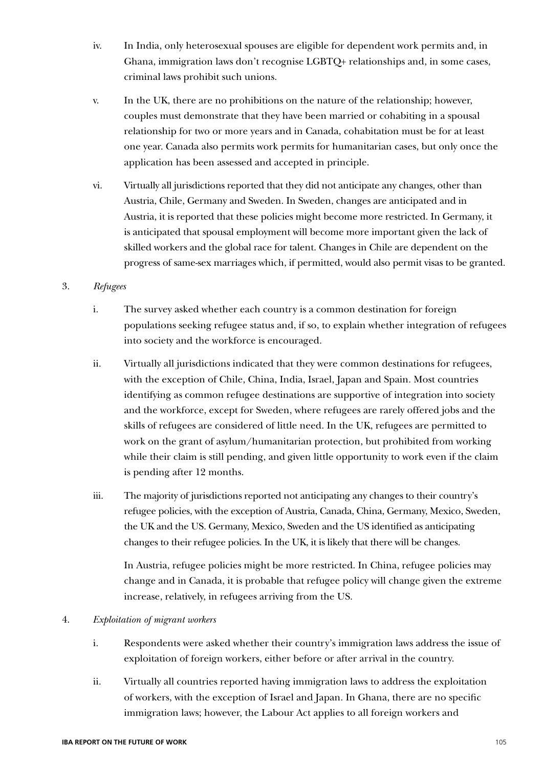- iv. In India, only heterosexual spouses are eligible for dependent work permits and, in Ghana, immigration laws don't recognise LGBTQ+ relationships and, in some cases, criminal laws prohibit such unions.
- v. In the UK, there are no prohibitions on the nature of the relationship; however, couples must demonstrate that they have been married or cohabiting in a spousal relationship for two or more years and in Canada, cohabitation must be for at least one year. Canada also permits work permits for humanitarian cases, but only once the application has been assessed and accepted in principle.
- vi. Virtually all jurisdictions reported that they did not anticipate any changes, other than Austria, Chile, Germany and Sweden. In Sweden, changes are anticipated and in Austria, it is reported that these policies might become more restricted. In Germany, it is anticipated that spousal employment will become more important given the lack of skilled workers and the global race for talent. Changes in Chile are dependent on the progress of same-sex marriages which, if permitted, would also permit visas to be granted.

#### 3. *Refugees*

- i. The survey asked whether each country is a common destination for foreign populations seeking refugee status and, if so, to explain whether integration of refugees into society and the workforce is encouraged.
- ii. Virtually all jurisdictions indicated that they were common destinations for refugees, with the exception of Chile, China, India, Israel, Japan and Spain. Most countries identifying as common refugee destinations are supportive of integration into society and the workforce, except for Sweden, where refugees are rarely offered jobs and the skills of refugees are considered of little need. In the UK, refugees are permitted to work on the grant of asylum/humanitarian protection, but prohibited from working while their claim is still pending, and given little opportunity to work even if the claim is pending after 12 months.
- iii. The majority of jurisdictions reported not anticipating any changes to their country's refugee policies, with the exception of Austria, Canada, China, Germany, Mexico, Sweden, the UK and the US. Germany, Mexico, Sweden and the US identified as anticipating changes to their refugee policies. In the UK, it is likely that there will be changes.

In Austria, refugee policies might be more restricted. In China, refugee policies may change and in Canada, it is probable that refugee policy will change given the extreme increase, relatively, in refugees arriving from the US.

#### 4. *Exploitation of migrant workers*

- i. Respondents were asked whether their country's immigration laws address the issue of exploitation of foreign workers, either before or after arrival in the country.
- ii. Virtually all countries reported having immigration laws to address the exploitation of workers, with the exception of Israel and Japan. In Ghana, there are no specific immigration laws; however, the Labour Act applies to all foreign workers and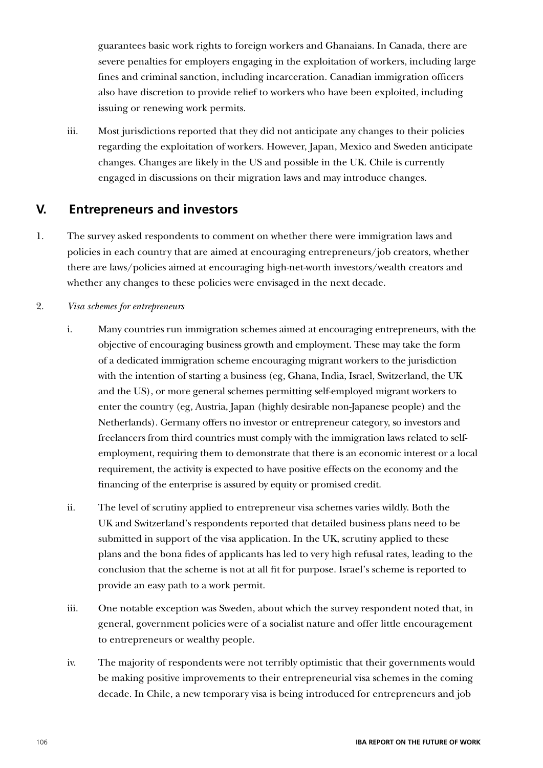guarantees basic work rights to foreign workers and Ghanaians. In Canada, there are severe penalties for employers engaging in the exploitation of workers, including large fines and criminal sanction, including incarceration. Canadian immigration officers also have discretion to provide relief to workers who have been exploited, including issuing or renewing work permits.

iii. Most jurisdictions reported that they did not anticipate any changes to their policies regarding the exploitation of workers. However, Japan, Mexico and Sweden anticipate changes. Changes are likely in the US and possible in the UK. Chile is currently engaged in discussions on their migration laws and may introduce changes.

### **V. Entrepreneurs and investors**

1. The survey asked respondents to comment on whether there were immigration laws and policies in each country that are aimed at encouraging entrepreneurs/job creators, whether there are laws/policies aimed at encouraging high-net-worth investors/wealth creators and whether any changes to these policies were envisaged in the next decade.

#### 2. *Visa schemes for entrepreneurs*

- i. Many countries run immigration schemes aimed at encouraging entrepreneurs, with the objective of encouraging business growth and employment. These may take the form of a dedicated immigration scheme encouraging migrant workers to the jurisdiction with the intention of starting a business (eg, Ghana, India, Israel, Switzerland, the UK and the US), or more general schemes permitting self-employed migrant workers to enter the country (eg, Austria, Japan (highly desirable non-Japanese people) and the Netherlands). Germany offers no investor or entrepreneur category, so investors and freelancers from third countries must comply with the immigration laws related to selfemployment, requiring them to demonstrate that there is an economic interest or a local requirement, the activity is expected to have positive effects on the economy and the financing of the enterprise is assured by equity or promised credit.
- ii. The level of scrutiny applied to entrepreneur visa schemes varies wildly. Both the UK and Switzerland's respondents reported that detailed business plans need to be submitted in support of the visa application. In the UK, scrutiny applied to these plans and the bona fides of applicants has led to very high refusal rates, leading to the conclusion that the scheme is not at all fit for purpose. Israel's scheme is reported to provide an easy path to a work permit.
- iii. One notable exception was Sweden, about which the survey respondent noted that, in general, government policies were of a socialist nature and offer little encouragement to entrepreneurs or wealthy people.
- iv. The majority of respondents were not terribly optimistic that their governments would be making positive improvements to their entrepreneurial visa schemes in the coming decade. In Chile, a new temporary visa is being introduced for entrepreneurs and job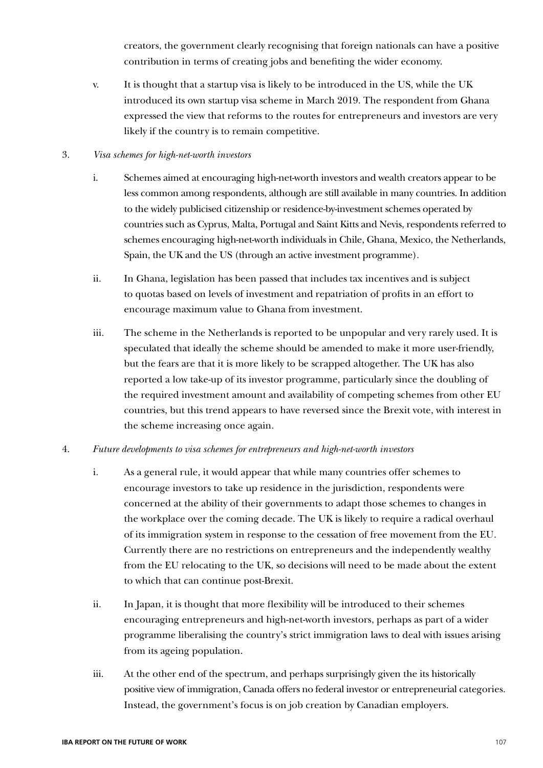creators, the government clearly recognising that foreign nationals can have a positive contribution in terms of creating jobs and benefiting the wider economy.

v. It is thought that a startup visa is likely to be introduced in the US, while the UK introduced its own startup visa scheme in March 2019. The respondent from Ghana expressed the view that reforms to the routes for entrepreneurs and investors are very likely if the country is to remain competitive.

#### 3. *Visa schemes for high-net-worth investors*

- i. Schemes aimed at encouraging high-net-worth investors and wealth creators appear to be less common among respondents, although are still available in many countries. In addition to the widely publicised citizenship or residence-by-investment schemes operated by countries such as Cyprus, Malta, Portugal and Saint Kitts and Nevis, respondents referred to schemes encouraging high-net-worth individuals in Chile, Ghana, Mexico, the Netherlands, Spain, the UK and the US (through an active investment programme).
- ii. In Ghana, legislation has been passed that includes tax incentives and is subject to quotas based on levels of investment and repatriation of profits in an effort to encourage maximum value to Ghana from investment.
- iii. The scheme in the Netherlands is reported to be unpopular and very rarely used. It is speculated that ideally the scheme should be amended to make it more user-friendly, but the fears are that it is more likely to be scrapped altogether. The UK has also reported a low take-up of its investor programme, particularly since the doubling of the required investment amount and availability of competing schemes from other EU countries, but this trend appears to have reversed since the Brexit vote, with interest in the scheme increasing once again.

#### 4. *Future developments to visa schemes for entrepreneurs and high-net-worth investors*

- i. As a general rule, it would appear that while many countries offer schemes to encourage investors to take up residence in the jurisdiction, respondents were concerned at the ability of their governments to adapt those schemes to changes in the workplace over the coming decade. The UK is likely to require a radical overhaul of its immigration system in response to the cessation of free movement from the EU. Currently there are no restrictions on entrepreneurs and the independently wealthy from the EU relocating to the UK, so decisions will need to be made about the extent to which that can continue post-Brexit.
- ii. In Japan, it is thought that more flexibility will be introduced to their schemes encouraging entrepreneurs and high-net-worth investors, perhaps as part of a wider programme liberalising the country's strict immigration laws to deal with issues arising from its ageing population.
- iii. At the other end of the spectrum, and perhaps surprisingly given the its historically positive view of immigration, Canada offers no federal investor or entrepreneurial categories. Instead, the government's focus is on job creation by Canadian employers.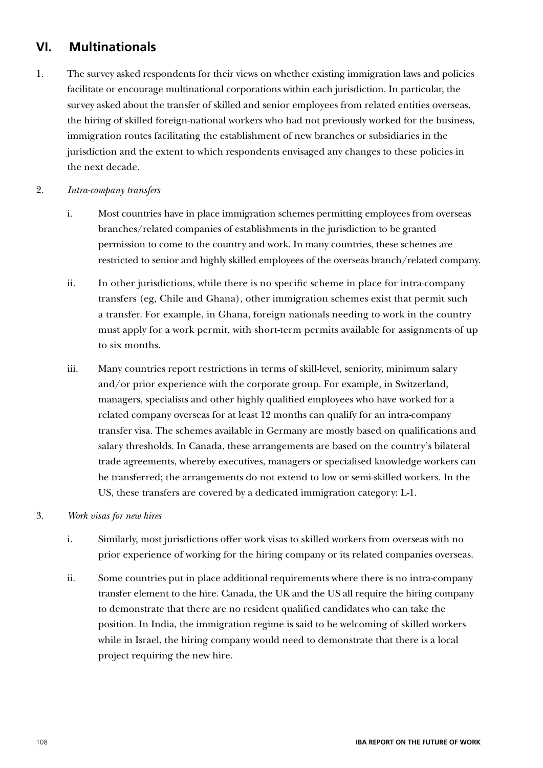# **VI. Multinationals**

1. The survey asked respondents for their views on whether existing immigration laws and policies facilitate or encourage multinational corporations within each jurisdiction. In particular, the survey asked about the transfer of skilled and senior employees from related entities overseas, the hiring of skilled foreign-national workers who had not previously worked for the business, immigration routes facilitating the establishment of new branches or subsidiaries in the jurisdiction and the extent to which respondents envisaged any changes to these policies in the next decade.

#### 2. *Intra-company transfers*

- i. Most countries have in place immigration schemes permitting employees from overseas branches/related companies of establishments in the jurisdiction to be granted permission to come to the country and work. In many countries, these schemes are restricted to senior and highly skilled employees of the overseas branch/related company.
- ii. In other jurisdictions, while there is no specific scheme in place for intra-company transfers (eg, Chile and Ghana), other immigration schemes exist that permit such a transfer. For example, in Ghana, foreign nationals needing to work in the country must apply for a work permit, with short-term permits available for assignments of up to six months.
- iii. Many countries report restrictions in terms of skill-level, seniority, minimum salary and/or prior experience with the corporate group. For example, in Switzerland, managers, specialists and other highly qualified employees who have worked for a related company overseas for at least 12 months can qualify for an intra-company transfer visa. The schemes available in Germany are mostly based on qualifications and salary thresholds. In Canada, these arrangements are based on the country's bilateral trade agreements, whereby executives, managers or specialised knowledge workers can be transferred; the arrangements do not extend to low or semi-skilled workers. In the US, these transfers are covered by a dedicated immigration category: L-1.

#### 3. *Work visas for new hires*

- i. Similarly, most jurisdictions offer work visas to skilled workers from overseas with no prior experience of working for the hiring company or its related companies overseas.
- ii. Some countries put in place additional requirements where there is no intra-company transfer element to the hire. Canada, the UK and the US all require the hiring company to demonstrate that there are no resident qualified candidates who can take the position. In India, the immigration regime is said to be welcoming of skilled workers while in Israel, the hiring company would need to demonstrate that there is a local project requiring the new hire.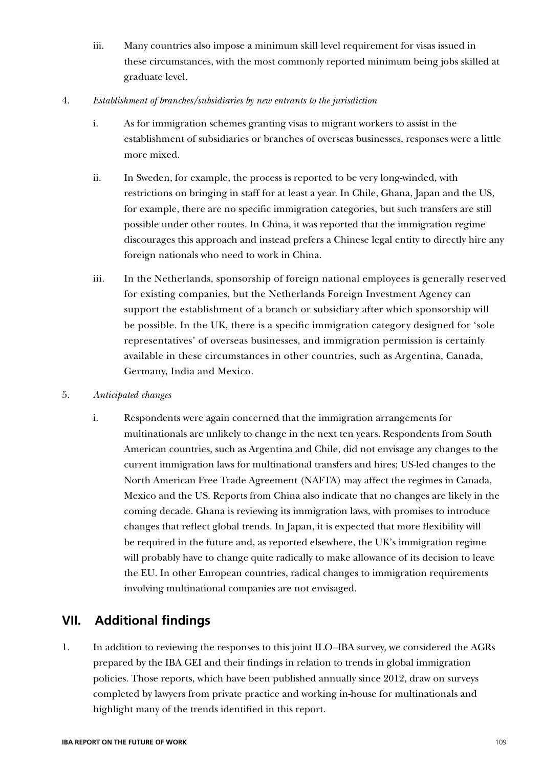iii. Many countries also impose a minimum skill level requirement for visas issued in these circumstances, with the most commonly reported minimum being jobs skilled at graduate level.

#### 4. *Establishment of branches/subsidiaries by new entrants to the jurisdiction*

- i. As for immigration schemes granting visas to migrant workers to assist in the establishment of subsidiaries or branches of overseas businesses, responses were a little more mixed.
- ii. In Sweden, for example, the process is reported to be very long-winded, with restrictions on bringing in staff for at least a year. In Chile, Ghana, Japan and the US, for example, there are no specific immigration categories, but such transfers are still possible under other routes. In China, it was reported that the immigration regime discourages this approach and instead prefers a Chinese legal entity to directly hire any foreign nationals who need to work in China.
- iii. In the Netherlands, sponsorship of foreign national employees is generally reserved for existing companies, but the Netherlands Foreign Investment Agency can support the establishment of a branch or subsidiary after which sponsorship will be possible. In the UK, there is a specific immigration category designed for 'sole representatives' of overseas businesses, and immigration permission is certainly available in these circumstances in other countries, such as Argentina, Canada, Germany, India and Mexico.
- 5. *Anticipated changes*
	- i. Respondents were again concerned that the immigration arrangements for multinationals are unlikely to change in the next ten years. Respondents from South American countries, such as Argentina and Chile, did not envisage any changes to the current immigration laws for multinational transfers and hires; US-led changes to the North American Free Trade Agreement (NAFTA) may affect the regimes in Canada, Mexico and the US. Reports from China also indicate that no changes are likely in the coming decade. Ghana is reviewing its immigration laws, with promises to introduce changes that reflect global trends. In Japan, it is expected that more flexibility will be required in the future and, as reported elsewhere, the UK's immigration regime will probably have to change quite radically to make allowance of its decision to leave the EU. In other European countries, radical changes to immigration requirements involving multinational companies are not envisaged.

### **VII. Additional findings**

1. In addition to reviewing the responses to this joint ILO–IBA survey, we considered the AGRs prepared by the IBA GEI and their findings in relation to trends in global immigration policies. Those reports, which have been published annually since 2012, draw on surveys completed by lawyers from private practice and working in-house for multinationals and highlight many of the trends identified in this report.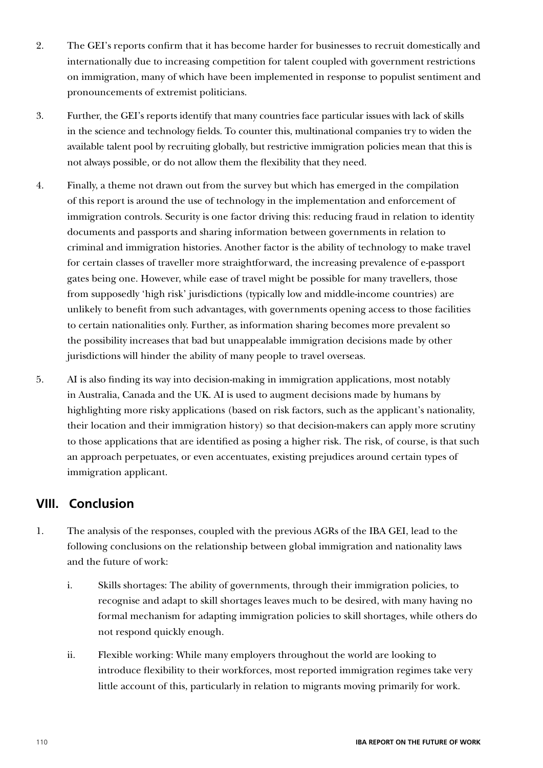- 2. The GEI's reports confirm that it has become harder for businesses to recruit domestically and internationally due to increasing competition for talent coupled with government restrictions on immigration, many of which have been implemented in response to populist sentiment and pronouncements of extremist politicians.
- 3. Further, the GEI's reports identify that many countries face particular issues with lack of skills in the science and technology fields. To counter this, multinational companies try to widen the available talent pool by recruiting globally, but restrictive immigration policies mean that this is not always possible, or do not allow them the flexibility that they need.
- 4. Finally, a theme not drawn out from the survey but which has emerged in the compilation of this report is around the use of technology in the implementation and enforcement of immigration controls. Security is one factor driving this: reducing fraud in relation to identity documents and passports and sharing information between governments in relation to criminal and immigration histories. Another factor is the ability of technology to make travel for certain classes of traveller more straightforward, the increasing prevalence of e-passport gates being one. However, while ease of travel might be possible for many travellers, those from supposedly 'high risk' jurisdictions (typically low and middle-income countries) are unlikely to benefit from such advantages, with governments opening access to those facilities to certain nationalities only. Further, as information sharing becomes more prevalent so the possibility increases that bad but unappealable immigration decisions made by other jurisdictions will hinder the ability of many people to travel overseas.
- 5. AI is also finding its way into decision-making in immigration applications, most notably in Australia, Canada and the UK. AI is used to augment decisions made by humans by highlighting more risky applications (based on risk factors, such as the applicant's nationality, their location and their immigration history) so that decision-makers can apply more scrutiny to those applications that are identified as posing a higher risk. The risk, of course, is that such an approach perpetuates, or even accentuates, existing prejudices around certain types of immigration applicant.

### **VIII. Conclusion**

- 1. The analysis of the responses, coupled with the previous AGRs of the IBA GEI, lead to the following conclusions on the relationship between global immigration and nationality laws and the future of work:
	- i. Skills shortages: The ability of governments, through their immigration policies, to recognise and adapt to skill shortages leaves much to be desired, with many having no formal mechanism for adapting immigration policies to skill shortages, while others do not respond quickly enough.
	- ii. Flexible working: While many employers throughout the world are looking to introduce flexibility to their workforces, most reported immigration regimes take very little account of this, particularly in relation to migrants moving primarily for work.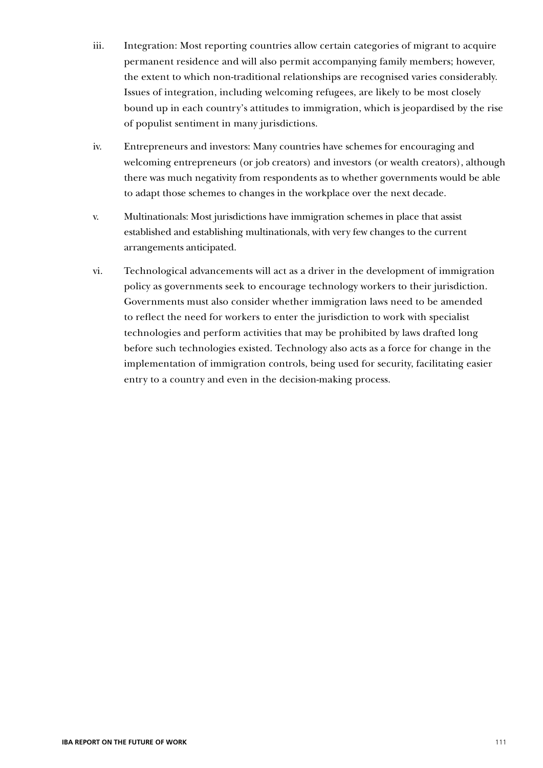- iii. Integration: Most reporting countries allow certain categories of migrant to acquire permanent residence and will also permit accompanying family members; however, the extent to which non-traditional relationships are recognised varies considerably. Issues of integration, including welcoming refugees, are likely to be most closely bound up in each country's attitudes to immigration, which is jeopardised by the rise of populist sentiment in many jurisdictions.
- iv. Entrepreneurs and investors: Many countries have schemes for encouraging and welcoming entrepreneurs (or job creators) and investors (or wealth creators), although there was much negativity from respondents as to whether governments would be able to adapt those schemes to changes in the workplace over the next decade.
- v. Multinationals: Most jurisdictions have immigration schemes in place that assist established and establishing multinationals, with very few changes to the current arrangements anticipated.
- vi. Technological advancements will act as a driver in the development of immigration policy as governments seek to encourage technology workers to their jurisdiction. Governments must also consider whether immigration laws need to be amended to reflect the need for workers to enter the jurisdiction to work with specialist technologies and perform activities that may be prohibited by laws drafted long before such technologies existed. Technology also acts as a force for change in the implementation of immigration controls, being used for security, facilitating easier entry to a country and even in the decision-making process.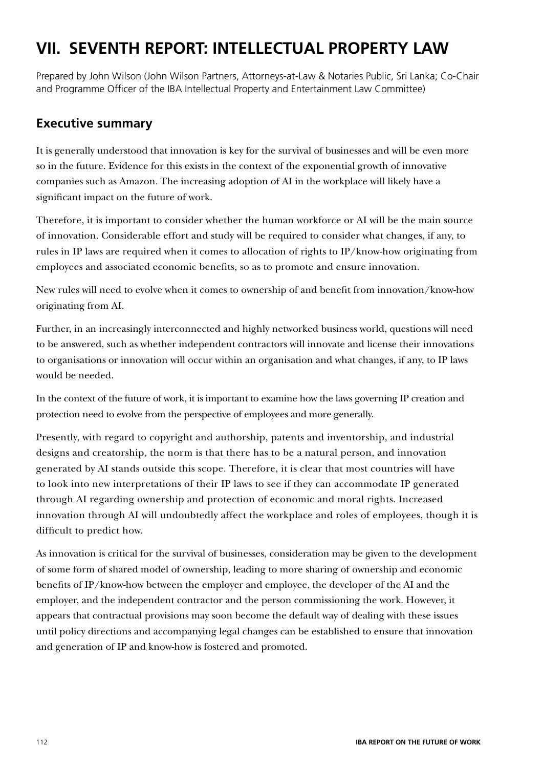# **VII. SEVENTH REPORT: INTELLECTUAL PROPERTY LAW**

Prepared by John Wilson (John Wilson Partners, Attorneys-at-Law & Notaries Public, Sri Lanka; Co-Chair and Programme Officer of the IBA Intellectual Property and Entertainment Law Committee)

### **Executive summary**

It is generally understood that innovation is key for the survival of businesses and will be even more so in the future. Evidence for this exists in the context of the exponential growth of innovative companies such as Amazon. The increasing adoption of AI in the workplace will likely have a significant impact on the future of work.

Therefore, it is important to consider whether the human workforce or AI will be the main source of innovation. Considerable effort and study will be required to consider what changes, if any, to rules in IP laws are required when it comes to allocation of rights to IP/know-how originating from employees and associated economic benefits, so as to promote and ensure innovation.

New rules will need to evolve when it comes to ownership of and benefit from innovation/know-how originating from AI.

Further, in an increasingly interconnected and highly networked business world, questions will need to be answered, such as whether independent contractors will innovate and license their innovations to organisations or innovation will occur within an organisation and what changes, if any, to IP laws would be needed.

In the context of the future of work, it is important to examine how the laws governing IP creation and protection need to evolve from the perspective of employees and more generally.

Presently, with regard to copyright and authorship, patents and inventorship, and industrial designs and creatorship, the norm is that there has to be a natural person, and innovation generated by AI stands outside this scope. Therefore, it is clear that most countries will have to look into new interpretations of their IP laws to see if they can accommodate IP generated through AI regarding ownership and protection of economic and moral rights. Increased innovation through AI will undoubtedly affect the workplace and roles of employees, though it is difficult to predict how.

As innovation is critical for the survival of businesses, consideration may be given to the development of some form of shared model of ownership, leading to more sharing of ownership and economic benefits of IP/know-how between the employer and employee, the developer of the AI and the employer, and the independent contractor and the person commissioning the work. However, it appears that contractual provisions may soon become the default way of dealing with these issues until policy directions and accompanying legal changes can be established to ensure that innovation and generation of IP and know-how is fostered and promoted.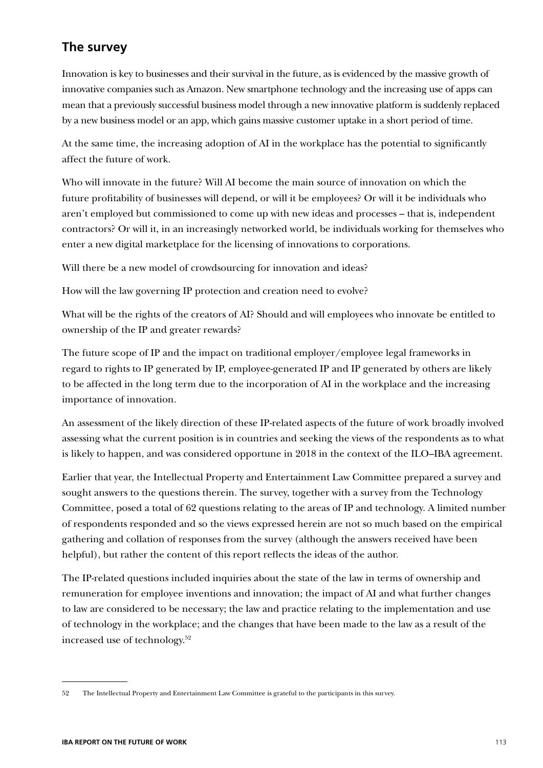## **The survey**

Innovation is key to businesses and their survival in the future, as is evidenced by the massive growth of innovative companies such as Amazon. New smartphone technology and the increasing use of apps can mean that a previously successful business model through a new innovative platform is suddenly replaced by a new business model or an app, which gains massive customer uptake in a short period of time.

At the same time, the increasing adoption of AI in the workplace has the potential to significantly affect the future of work.

Who will innovate in the future? Will AI become the main source of innovation on which the future profitability of businesses will depend, or will it be employees? Or will it be individuals who aren't employed but commissioned to come up with new ideas and processes – that is, independent contractors? Or will it, in an increasingly networked world, be individuals working for themselves who enter a new digital marketplace for the licensing of innovations to corporations.

Will there be a new model of crowdsourcing for innovation and ideas?

How will the law governing IP protection and creation need to evolve?

What will be the rights of the creators of AI? Should and will employees who innovate be entitled to ownership of the IP and greater rewards?

The future scope of IP and the impact on traditional employer/employee legal frameworks in regard to rights to IP generated by IP, employee-generated IP and IP generated by others are likely to be affected in the long term due to the incorporation of AI in the workplace and the increasing importance of innovation.

An assessment of the likely direction of these IP-related aspects of the future of work broadly involved assessing what the current position is in countries and seeking the views of the respondents as to what is likely to happen, and was considered opportune in 2018 in the context of the ILO–IBA agreement.

Earlier that year, the Intellectual Property and Entertainment Law Committee prepared a survey and sought answers to the questions therein. The survey, together with a survey from the Technology Committee, posed a total of 62 questions relating to the areas of IP and technology. A limited number of respondents responded and so the views expressed herein are not so much based on the empirical gathering and collation of responses from the survey (although the answers received have been helpful), but rather the content of this report reflects the ideas of the author.

The IP-related questions included inquiries about the state of the law in terms of ownership and remuneration for employee inventions and innovation; the impact of AI and what further changes to law are considered to be necessary; the law and practice relating to the implementation and use of technology in the workplace; and the changes that have been made to the law as a result of the increased use of technology.52

<sup>52</sup> The Intellectual Property and Entertainment Law Committee is grateful to the participants in this survey.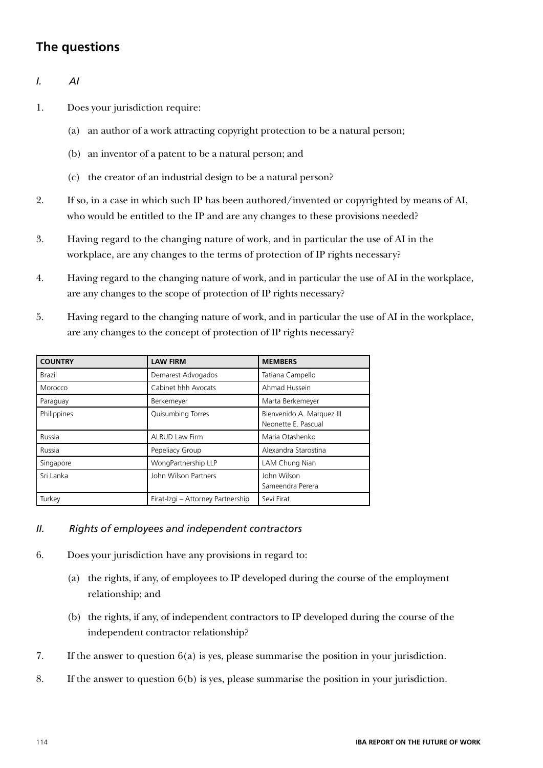# **The questions**

- *I. AI*
- 1. Does your jurisdiction require:
	- (a) an author of a work attracting copyright protection to be a natural person;
	- (b) an inventor of a patent to be a natural person; and
	- (c) the creator of an industrial design to be a natural person?
- 2. If so, in a case in which such IP has been authored/invented or copyrighted by means of AI, who would be entitled to the IP and are any changes to these provisions needed?
- 3. Having regard to the changing nature of work, and in particular the use of AI in the workplace, are any changes to the terms of protection of IP rights necessary?
- 4. Having regard to the changing nature of work, and in particular the use of AI in the workplace, are any changes to the scope of protection of IP rights necessary?
- 5. Having regard to the changing nature of work, and in particular the use of AI in the workplace, are any changes to the concept of protection of IP rights necessary?

| <b>COUNTRY</b> | <b>LAW FIRM</b>                   | <b>MEMBERS</b>                                   |  |
|----------------|-----------------------------------|--------------------------------------------------|--|
| Brazil         | Demarest Advogados                | Tatiana Campello                                 |  |
| Morocco        | Cabinet hhh Avocats               | Ahmad Hussein                                    |  |
| Paraguay       | Berkemeyer                        | Marta Berkemeyer                                 |  |
| Philippines    | Quisumbing Torres                 | Bienvenido A. Marquez III<br>Neonette E. Pascual |  |
| Russia         | <b>ALRUD Law Firm</b>             | Maria Otashenko                                  |  |
| Russia         | Pepeliacy Group                   | Alexandra Starostina                             |  |
| Singapore      | WongPartnership LLP               | LAM Chung Nian                                   |  |
| Sri Lanka      | John Wilson Partners              | John Wilson<br>Sameendra Perera                  |  |
| Turkey         | Firat-Izgi - Attorney Partnership | Sevi Firat                                       |  |

#### *II. Rights of employees and independent contractors*

- 6. Does your jurisdiction have any provisions in regard to:
	- (a) the rights, if any, of employees to IP developed during the course of the employment relationship; and
	- (b) the rights, if any, of independent contractors to IP developed during the course of the independent contractor relationship?
- 7. If the answer to question 6(a) is yes, please summarise the position in your jurisdiction.
- 8. If the answer to question 6(b) is yes, please summarise the position in your jurisdiction.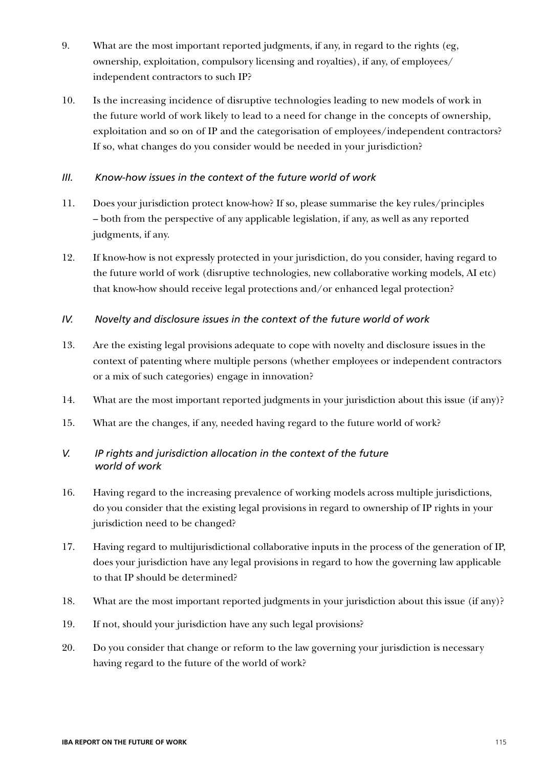- 9. What are the most important reported judgments, if any, in regard to the rights (eg, ownership, exploitation, compulsory licensing and royalties), if any, of employees/ independent contractors to such IP?
- 10. Is the increasing incidence of disruptive technologies leading to new models of work in the future world of work likely to lead to a need for change in the concepts of ownership, exploitation and so on of IP and the categorisation of employees/independent contractors? If so, what changes do you consider would be needed in your jurisdiction?

#### *III. Know-how issues in the context of the future world of work*

- 11. Does your jurisdiction protect know-how? If so, please summarise the key rules/principles – both from the perspective of any applicable legislation, if any, as well as any reported judgments, if any.
- 12. If know-how is not expressly protected in your jurisdiction, do you consider, having regard to the future world of work (disruptive technologies, new collaborative working models, AI etc) that know-how should receive legal protections and/or enhanced legal protection?

#### *IV. Novelty and disclosure issues in the context of the future world of work*

- 13. Are the existing legal provisions adequate to cope with novelty and disclosure issues in the context of patenting where multiple persons (whether employees or independent contractors or a mix of such categories) engage in innovation?
- 14. What are the most important reported judgments in your jurisdiction about this issue (if any)?
- 15. What are the changes, if any, needed having regard to the future world of work?

### *V. IP rights and jurisdiction allocation in the context of the future world of work*

- 16. Having regard to the increasing prevalence of working models across multiple jurisdictions, do you consider that the existing legal provisions in regard to ownership of IP rights in your jurisdiction need to be changed?
- 17. Having regard to multijurisdictional collaborative inputs in the process of the generation of IP, does your jurisdiction have any legal provisions in regard to how the governing law applicable to that IP should be determined?
- 18. What are the most important reported judgments in your jurisdiction about this issue (if any)?
- 19. If not, should your jurisdiction have any such legal provisions?
- 20. Do you consider that change or reform to the law governing your jurisdiction is necessary having regard to the future of the world of work?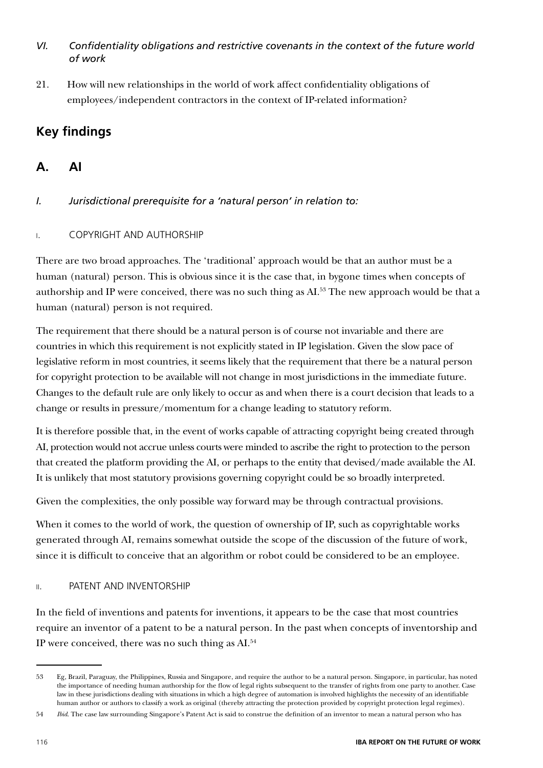### *VI. Confidentiality obligations and restrictive covenants in the context of the future world of work*

21. How will new relationships in the world of work affect confidentiality obligations of employees/independent contractors in the context of IP-related information?

# **Key findings**

# **A. AI**

*I. Jurisdictional prerequisite for a 'natural person' in relation to:*

### i. COPYRIGHT AND AUTHORSHIP

There are two broad approaches. The 'traditional' approach would be that an author must be a human (natural) person. This is obvious since it is the case that, in bygone times when concepts of authorship and IP were conceived, there was no such thing as AI.<sup>53</sup> The new approach would be that a human (natural) person is not required.

The requirement that there should be a natural person is of course not invariable and there are countries in which this requirement is not explicitly stated in IP legislation. Given the slow pace of legislative reform in most countries, it seems likely that the requirement that there be a natural person for copyright protection to be available will not change in most jurisdictions in the immediate future. Changes to the default rule are only likely to occur as and when there is a court decision that leads to a change or results in pressure/momentum for a change leading to statutory reform.

It is therefore possible that, in the event of works capable of attracting copyright being created through AI, protection would not accrue unless courts were minded to ascribe the right to protection to the person that created the platform providing the AI, or perhaps to the entity that devised/made available the AI. It is unlikely that most statutory provisions governing copyright could be so broadly interpreted.

Given the complexities, the only possible way forward may be through contractual provisions.

When it comes to the world of work, the question of ownership of IP, such as copyrightable works generated through AI, remains somewhat outside the scope of the discussion of the future of work, since it is difficult to conceive that an algorithm or robot could be considered to be an employee.

### ii. PATENT AND INVENTORSHIP

In the field of inventions and patents for inventions, it appears to be the case that most countries require an inventor of a patent to be a natural person. In the past when concepts of inventorship and IP were conceived, there was no such thing as AI.54

<sup>53</sup> Eg, Brazil, Paraguay, the Philippines, Russia and Singapore, and require the author to be a natural person. Singapore, in particular, has noted the importance of needing human authorship for the flow of legal rights subsequent to the transfer of rights from one party to another. Case law in these jurisdictions dealing with situations in which a high degree of automation is involved highlights the necessity of an identifiable human author or authors to classify a work as original (thereby attracting the protection provided by copyright protection legal regimes).

<sup>54</sup> *Ibid*. The case law surrounding Singapore's Patent Act is said to construe the definition of an inventor to mean a natural person who has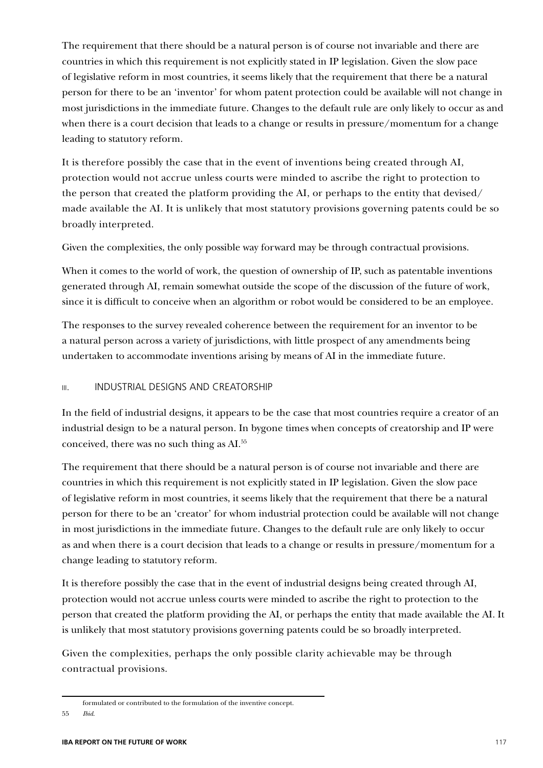The requirement that there should be a natural person is of course not invariable and there are countries in which this requirement is not explicitly stated in IP legislation. Given the slow pace of legislative reform in most countries, it seems likely that the requirement that there be a natural person for there to be an 'inventor' for whom patent protection could be available will not change in most jurisdictions in the immediate future. Changes to the default rule are only likely to occur as and when there is a court decision that leads to a change or results in pressure/momentum for a change leading to statutory reform.

It is therefore possibly the case that in the event of inventions being created through AI, protection would not accrue unless courts were minded to ascribe the right to protection to the person that created the platform providing the AI, or perhaps to the entity that devised/ made available the AI. It is unlikely that most statutory provisions governing patents could be so broadly interpreted.

Given the complexities, the only possible way forward may be through contractual provisions.

When it comes to the world of work, the question of ownership of IP, such as patentable inventions generated through AI, remain somewhat outside the scope of the discussion of the future of work, since it is difficult to conceive when an algorithm or robot would be considered to be an employee.

The responses to the survey revealed coherence between the requirement for an inventor to be a natural person across a variety of jurisdictions, with little prospect of any amendments being undertaken to accommodate inventions arising by means of AI in the immediate future.

#### **III. INDUSTRIAL DESIGNS AND CREATORSHIP**

In the field of industrial designs, it appears to be the case that most countries require a creator of an industrial design to be a natural person. In bygone times when concepts of creatorship and IP were conceived, there was no such thing as AI.55

The requirement that there should be a natural person is of course not invariable and there are countries in which this requirement is not explicitly stated in IP legislation. Given the slow pace of legislative reform in most countries, it seems likely that the requirement that there be a natural person for there to be an 'creator' for whom industrial protection could be available will not change in most jurisdictions in the immediate future. Changes to the default rule are only likely to occur as and when there is a court decision that leads to a change or results in pressure/momentum for a change leading to statutory reform.

It is therefore possibly the case that in the event of industrial designs being created through AI, protection would not accrue unless courts were minded to ascribe the right to protection to the person that created the platform providing the AI, or perhaps the entity that made available the AI. It is unlikely that most statutory provisions governing patents could be so broadly interpreted.

Given the complexities, perhaps the only possible clarity achievable may be through contractual provisions.

formulated or contributed to the formulation of the inventive concept.

<sup>55</sup> *Ibid*.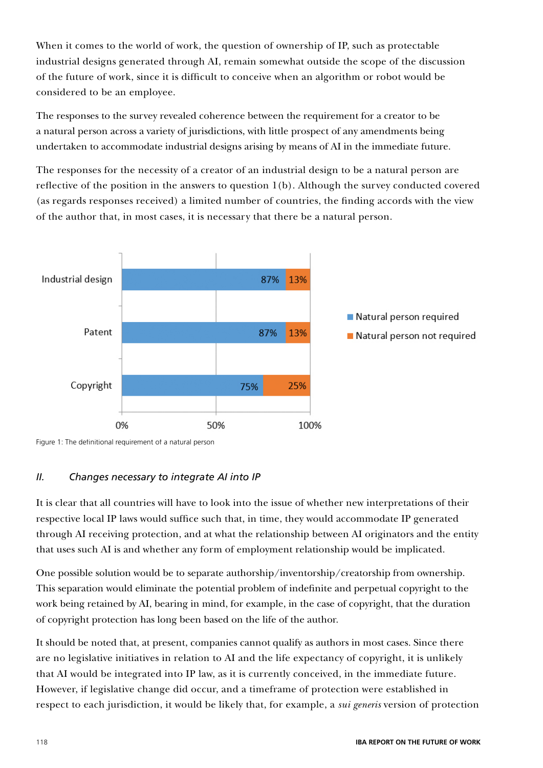When it comes to the world of work, the question of ownership of IP, such as protectable industrial designs generated through AI, remain somewhat outside the scope of the discussion of the future of work, since it is difficult to conceive when an algorithm or robot would be considered to be an employee.

The responses to the survey revealed coherence between the requirement for a creator to be a natural person across a variety of jurisdictions, with little prospect of any amendments being undertaken to accommodate industrial designs arising by means of AI in the immediate future.

The responses for the necessity of a creator of an industrial design to be a natural person are reflective of the position in the answers to question 1(b). Although the survey conducted covered (as regards responses received) a limited number of countries, the finding accords with the view of the author that, in most cases, it is necessary that there be a natural person.



Figure 1: The definitional requirement of a natural person

#### *II. Changes necessary to integrate AI into IP*

It is clear that all countries will have to look into the issue of whether new interpretations of their respective local IP laws would suffice such that, in time, they would accommodate IP generated through AI receiving protection, and at what the relationship between AI originators and the entity that uses such AI is and whether any form of employment relationship would be implicated.

One possible solution would be to separate authorship/inventorship/creatorship from ownership. This separation would eliminate the potential problem of indefinite and perpetual copyright to the work being retained by AI, bearing in mind, for example, in the case of copyright, that the duration of copyright protection has long been based on the life of the author.

It should be noted that, at present, companies cannot qualify as authors in most cases. Since there are no legislative initiatives in relation to AI and the life expectancy of copyright, it is unlikely that AI would be integrated into IP law, as it is currently conceived, in the immediate future. However, if legislative change did occur, and a timeframe of protection were established in respect to each jurisdiction, it would be likely that, for example, a *sui generis* version of protection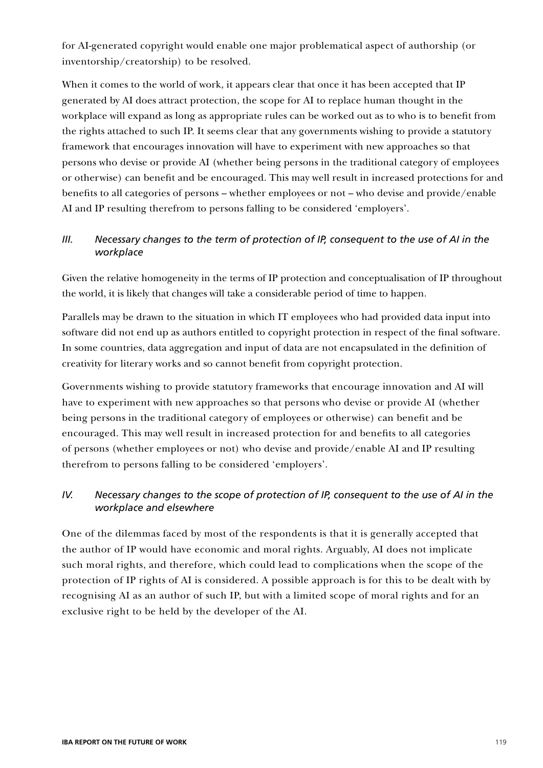for AI-generated copyright would enable one major problematical aspect of authorship (or inventorship/creatorship) to be resolved.

When it comes to the world of work, it appears clear that once it has been accepted that IP generated by AI does attract protection, the scope for AI to replace human thought in the workplace will expand as long as appropriate rules can be worked out as to who is to benefit from the rights attached to such IP. It seems clear that any governments wishing to provide a statutory framework that encourages innovation will have to experiment with new approaches so that persons who devise or provide AI (whether being persons in the traditional category of employees or otherwise) can benefit and be encouraged. This may well result in increased protections for and benefits to all categories of persons – whether employees or not – who devise and provide/enable AI and IP resulting therefrom to persons falling to be considered 'employers'.

### *III. Necessary changes to the term of protection of IP, consequent to the use of AI in the workplace*

Given the relative homogeneity in the terms of IP protection and conceptualisation of IP throughout the world, it is likely that changes will take a considerable period of time to happen.

Parallels may be drawn to the situation in which IT employees who had provided data input into software did not end up as authors entitled to copyright protection in respect of the final software. In some countries, data aggregation and input of data are not encapsulated in the definition of creativity for literary works and so cannot benefit from copyright protection.

Governments wishing to provide statutory frameworks that encourage innovation and AI will have to experiment with new approaches so that persons who devise or provide AI (whether being persons in the traditional category of employees or otherwise) can benefit and be encouraged. This may well result in increased protection for and benefits to all categories of persons (whether employees or not) who devise and provide/enable AI and IP resulting therefrom to persons falling to be considered 'employers'.

### *IV. Necessary changes to the scope of protection of IP, consequent to the use of AI in the workplace and elsewhere*

One of the dilemmas faced by most of the respondents is that it is generally accepted that the author of IP would have economic and moral rights. Arguably, AI does not implicate such moral rights, and therefore, which could lead to complications when the scope of the protection of IP rights of AI is considered. A possible approach is for this to be dealt with by recognising AI as an author of such IP, but with a limited scope of moral rights and for an exclusive right to be held by the developer of the AI.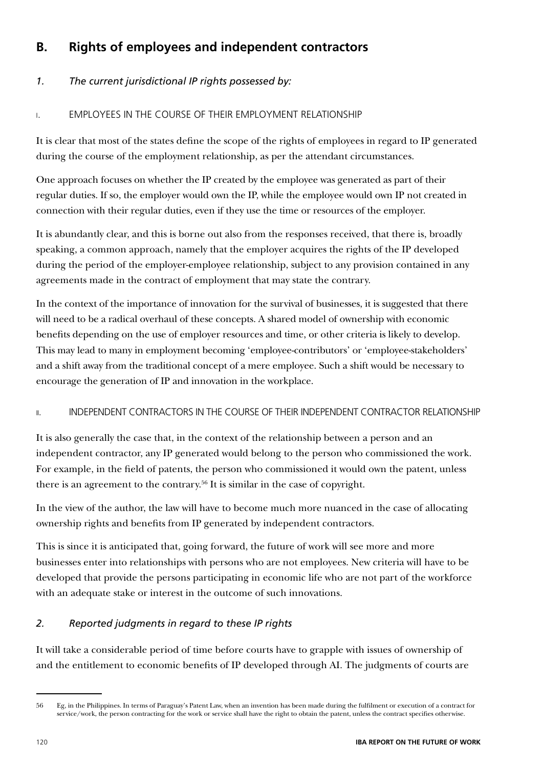# **B. Rights of employees and independent contractors**

### *1. The current jurisdictional IP rights possessed by:*

### i. EMPLOYEES IN THE COURSE OF THEIR EMPLOYMENT RELATIONSHIP

It is clear that most of the states define the scope of the rights of employees in regard to IP generated during the course of the employment relationship, as per the attendant circumstances.

One approach focuses on whether the IP created by the employee was generated as part of their regular duties. If so, the employer would own the IP, while the employee would own IP not created in connection with their regular duties, even if they use the time or resources of the employer.

It is abundantly clear, and this is borne out also from the responses received, that there is, broadly speaking, a common approach, namely that the employer acquires the rights of the IP developed during the period of the employer-employee relationship, subject to any provision contained in any agreements made in the contract of employment that may state the contrary.

In the context of the importance of innovation for the survival of businesses, it is suggested that there will need to be a radical overhaul of these concepts. A shared model of ownership with economic benefits depending on the use of employer resources and time, or other criteria is likely to develop. This may lead to many in employment becoming 'employee-contributors' or 'employee-stakeholders' and a shift away from the traditional concept of a mere employee. Such a shift would be necessary to encourage the generation of IP and innovation in the workplace.

#### ii. INDEPENDENT CONTRACTORS IN THE COURSE OF THEIR INDEPENDENT CONTRACTOR RELATIONSHIP

It is also generally the case that, in the context of the relationship between a person and an independent contractor, any IP generated would belong to the person who commissioned the work. For example, in the field of patents, the person who commissioned it would own the patent, unless there is an agreement to the contrary.56 It is similar in the case of copyright.

In the view of the author, the law will have to become much more nuanced in the case of allocating ownership rights and benefits from IP generated by independent contractors.

This is since it is anticipated that, going forward, the future of work will see more and more businesses enter into relationships with persons who are not employees. New criteria will have to be developed that provide the persons participating in economic life who are not part of the workforce with an adequate stake or interest in the outcome of such innovations.

### *2. Reported judgments in regard to these IP rights*

It will take a considerable period of time before courts have to grapple with issues of ownership of and the entitlement to economic benefits of IP developed through AI. The judgments of courts are

<sup>56</sup> Eg, in the Philippines. In terms of Paraguay's Patent Law, when an invention has been made during the fulfilment or execution of a contract for service/work, the person contracting for the work or service shall have the right to obtain the patent, unless the contract specifies otherwise.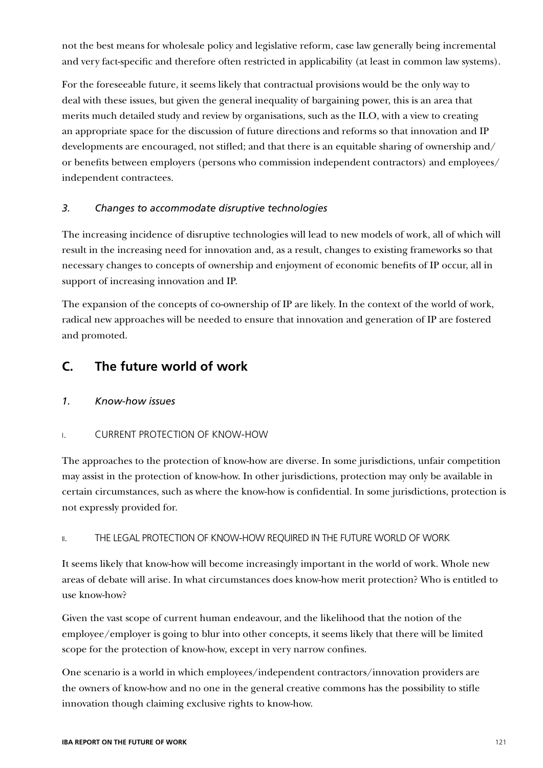not the best means for wholesale policy and legislative reform, case law generally being incremental and very fact-specific and therefore often restricted in applicability (at least in common law systems).

For the foreseeable future, it seems likely that contractual provisions would be the only way to deal with these issues, but given the general inequality of bargaining power, this is an area that merits much detailed study and review by organisations, such as the ILO, with a view to creating an appropriate space for the discussion of future directions and reforms so that innovation and IP developments are encouraged, not stifled; and that there is an equitable sharing of ownership and/ or benefits between employers (persons who commission independent contractors) and employees/ independent contractees.

#### *3. Changes to accommodate disruptive technologies*

The increasing incidence of disruptive technologies will lead to new models of work, all of which will result in the increasing need for innovation and, as a result, changes to existing frameworks so that necessary changes to concepts of ownership and enjoyment of economic benefits of IP occur, all in support of increasing innovation and IP.

The expansion of the concepts of co-ownership of IP are likely. In the context of the world of work, radical new approaches will be needed to ensure that innovation and generation of IP are fostered and promoted.

### **C. The future world of work**

#### *1. Know-how issues*

#### i. CURRENT PROTECTION OF KNOW-HOW

The approaches to the protection of know-how are diverse. In some jurisdictions, unfair competition may assist in the protection of know-how. In other jurisdictions, protection may only be available in certain circumstances, such as where the know-how is confidential. In some jurisdictions, protection is not expressly provided for.

#### ii. THE LEGAL PROTECTION OF KNOW-HOW REQUIRED IN THE FUTURE WORLD OF WORK

It seems likely that know-how will become increasingly important in the world of work. Whole new areas of debate will arise. In what circumstances does know-how merit protection? Who is entitled to use know-how?

Given the vast scope of current human endeavour, and the likelihood that the notion of the employee/employer is going to blur into other concepts, it seems likely that there will be limited scope for the protection of know-how, except in very narrow confines.

One scenario is a world in which employees/independent contractors/innovation providers are the owners of know-how and no one in the general creative commons has the possibility to stifle innovation though claiming exclusive rights to know-how.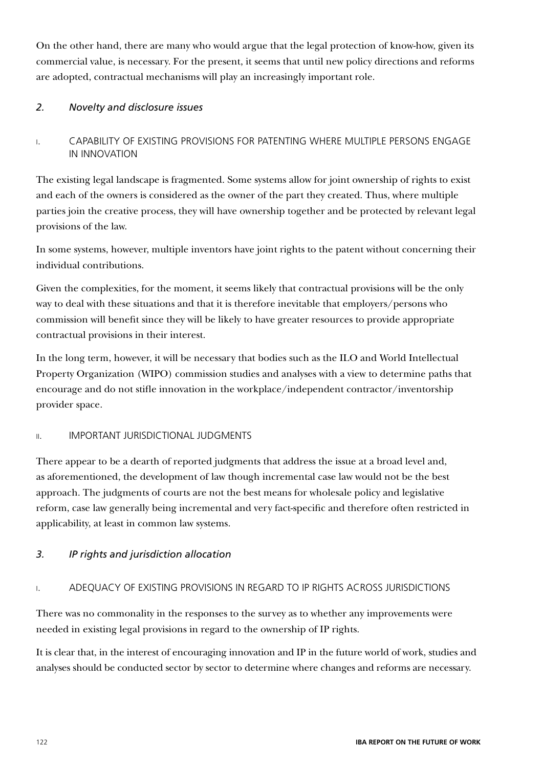On the other hand, there are many who would argue that the legal protection of know-how, given its commercial value, is necessary. For the present, it seems that until new policy directions and reforms are adopted, contractual mechanisms will play an increasingly important role.

### *2. Novelty and disclosure issues*

i. CAPABILITY OF EXISTING PROVISIONS FOR PATENTING WHERE MULTIPLE PERSONS ENGAGE IN INNOVATION

The existing legal landscape is fragmented. Some systems allow for joint ownership of rights to exist and each of the owners is considered as the owner of the part they created. Thus, where multiple parties join the creative process, they will have ownership together and be protected by relevant legal provisions of the law.

In some systems, however, multiple inventors have joint rights to the patent without concerning their individual contributions.

Given the complexities, for the moment, it seems likely that contractual provisions will be the only way to deal with these situations and that it is therefore inevitable that employers/persons who commission will benefit since they will be likely to have greater resources to provide appropriate contractual provisions in their interest.

In the long term, however, it will be necessary that bodies such as the ILO and World Intellectual Property Organization (WIPO) commission studies and analyses with a view to determine paths that encourage and do not stifle innovation in the workplace/independent contractor/inventorship provider space.

#### ii. IMPORTANT JURISDICTIONAL JUDGMENTS

There appear to be a dearth of reported judgments that address the issue at a broad level and, as aforementioned, the development of law though incremental case law would not be the best approach. The judgments of courts are not the best means for wholesale policy and legislative reform, case law generally being incremental and very fact-specific and therefore often restricted in applicability, at least in common law systems.

### *3. IP rights and jurisdiction allocation*

### i. ADEQUACY OF EXISTING PROVISIONS IN REGARD TO IP RIGHTS ACROSS JURISDICTIONS

There was no commonality in the responses to the survey as to whether any improvements were needed in existing legal provisions in regard to the ownership of IP rights.

It is clear that, in the interest of encouraging innovation and IP in the future world of work, studies and analyses should be conducted sector by sector to determine where changes and reforms are necessary.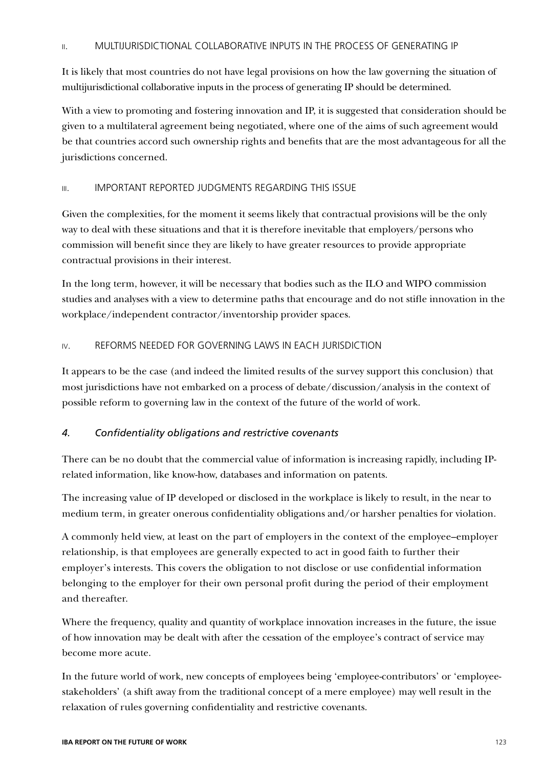#### ii. MULTIJURISDICTIONAL COLLABORATIVE INPUTS IN THE PROCESS OF GENERATING IP

It is likely that most countries do not have legal provisions on how the law governing the situation of multijurisdictional collaborative inputs in the process of generating IP should be determined.

With a view to promoting and fostering innovation and IP, it is suggested that consideration should be given to a multilateral agreement being negotiated, where one of the aims of such agreement would be that countries accord such ownership rights and benefits that are the most advantageous for all the jurisdictions concerned.

#### iii. IMPORTANT REPORTED JUDGMENTS REGARDING THIS ISSUE

Given the complexities, for the moment it seems likely that contractual provisions will be the only way to deal with these situations and that it is therefore inevitable that employers/persons who commission will benefit since they are likely to have greater resources to provide appropriate contractual provisions in their interest.

In the long term, however, it will be necessary that bodies such as the ILO and WIPO commission studies and analyses with a view to determine paths that encourage and do not stifle innovation in the workplace/independent contractor/inventorship provider spaces.

#### iv. REFORMS NEEDED FOR GOVERNING LAWS IN EACH JURISDICTION

It appears to be the case (and indeed the limited results of the survey support this conclusion) that most jurisdictions have not embarked on a process of debate/discussion/analysis in the context of possible reform to governing law in the context of the future of the world of work.

#### *4. Confidentiality obligations and restrictive covenants*

There can be no doubt that the commercial value of information is increasing rapidly, including IPrelated information, like know-how, databases and information on patents.

The increasing value of IP developed or disclosed in the workplace is likely to result, in the near to medium term, in greater onerous confidentiality obligations and/or harsher penalties for violation.

A commonly held view, at least on the part of employers in the context of the employee–employer relationship, is that employees are generally expected to act in good faith to further their employer's interests. This covers the obligation to not disclose or use confidential information belonging to the employer for their own personal profit during the period of their employment and thereafter.

Where the frequency, quality and quantity of workplace innovation increases in the future, the issue of how innovation may be dealt with after the cessation of the employee's contract of service may become more acute.

In the future world of work, new concepts of employees being 'employee-contributors' or 'employeestakeholders' (a shift away from the traditional concept of a mere employee) may well result in the relaxation of rules governing confidentiality and restrictive covenants.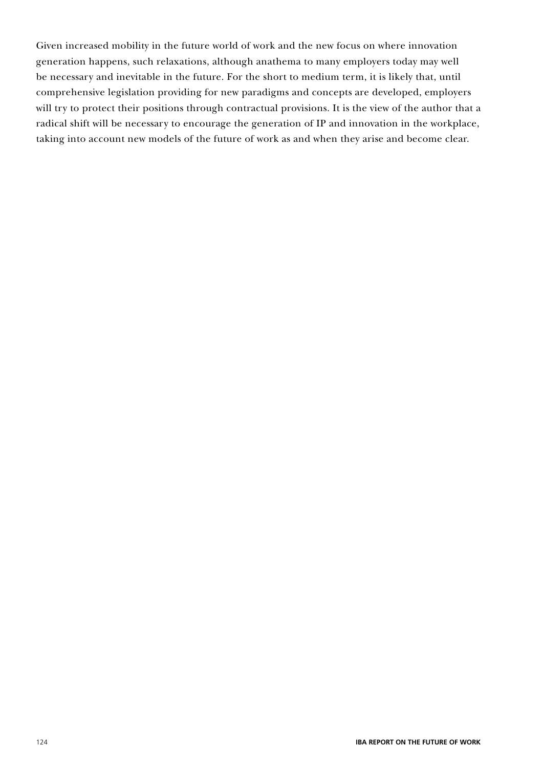Given increased mobility in the future world of work and the new focus on where innovation generation happens, such relaxations, although anathema to many employers today may well be necessary and inevitable in the future. For the short to medium term, it is likely that, until comprehensive legislation providing for new paradigms and concepts are developed, employers will try to protect their positions through contractual provisions. It is the view of the author that a radical shift will be necessary to encourage the generation of IP and innovation in the workplace, taking into account new models of the future of work as and when they arise and become clear.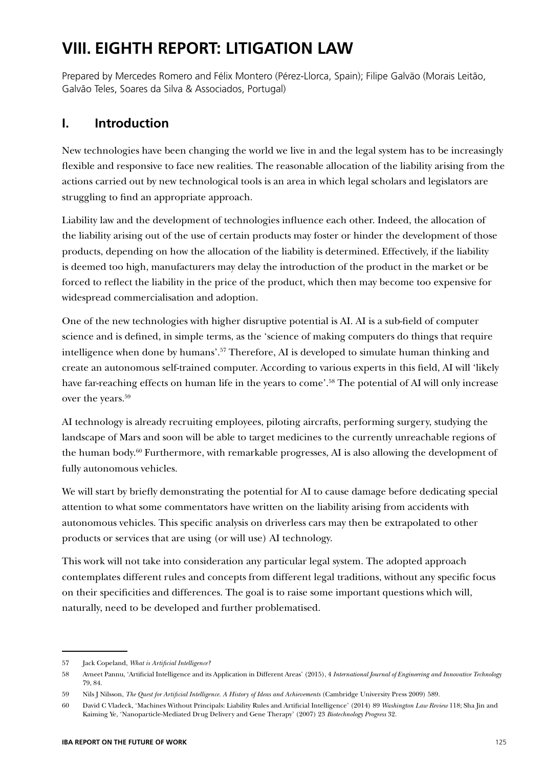# **VIII. EIGHTH REPORT: LITIGATION LAW**

Prepared by Mercedes Romero and Félix Montero (Pérez-Llorca, Spain); Filipe Galväo (Morais Leitão, Galvão Teles, Soares da Silva & Associados, Portugal)

# **I. Introduction**

New technologies have been changing the world we live in and the legal system has to be increasingly flexible and responsive to face new realities. The reasonable allocation of the liability arising from the actions carried out by new technological tools is an area in which legal scholars and legislators are struggling to find an appropriate approach.

Liability law and the development of technologies influence each other. Indeed, the allocation of the liability arising out of the use of certain products may foster or hinder the development of those products, depending on how the allocation of the liability is determined. Effectively, if the liability is deemed too high, manufacturers may delay the introduction of the product in the market or be forced to reflect the liability in the price of the product, which then may become too expensive for widespread commercialisation and adoption.

One of the new technologies with higher disruptive potential is AI. AI is a sub-field of computer science and is defined, in simple terms, as the 'science of making computers do things that require intelligence when done by humans'.<sup>57</sup> Therefore, AI is developed to simulate human thinking and create an autonomous self-trained computer. According to various experts in this field, AI will 'likely have far-reaching effects on human life in the years to come'.<sup>58</sup> The potential of AI will only increase over the years.59

AI technology is already recruiting employees, piloting aircrafts, performing surgery, studying the landscape of Mars and soon will be able to target medicines to the currently unreachable regions of the human body.60 Furthermore, with remarkable progresses, AI is also allowing the development of fully autonomous vehicles.

We will start by briefly demonstrating the potential for AI to cause damage before dedicating special attention to what some commentators have written on the liability arising from accidents with autonomous vehicles. This specific analysis on driverless cars may then be extrapolated to other products or services that are using (or will use) AI technology.

This work will not take into consideration any particular legal system. The adopted approach contemplates different rules and concepts from different legal traditions, without any specific focus on their specificities and differences. The goal is to raise some important questions which will, naturally, need to be developed and further problematised.

<sup>57</sup> Jack Copeland, *What is Artificial Intelligence?*

<sup>58</sup> Avneet Pannu, 'Artificial Intelligence and its Application in Different Areas' (2015), 4 *International Journal of Engineering and Innovative Technology* 79, 84.

<sup>59</sup> Nils J Nilsson, *The Quest for Artificial Intelligence. A History of Ideas and Achievements* (Cambridge University Press 2009) 589.

<sup>60</sup> David C Vladeck, 'Machines Without Principals: Liability Rules and Artificial Intelligence' (2014) 89 *Washington Law Review* 118; Sha Jin and Kaiming Ye, 'Nanoparticle-Mediated Drug Delivery and Gene Therapy' (2007) 23 *Biotechnology Progress* 32.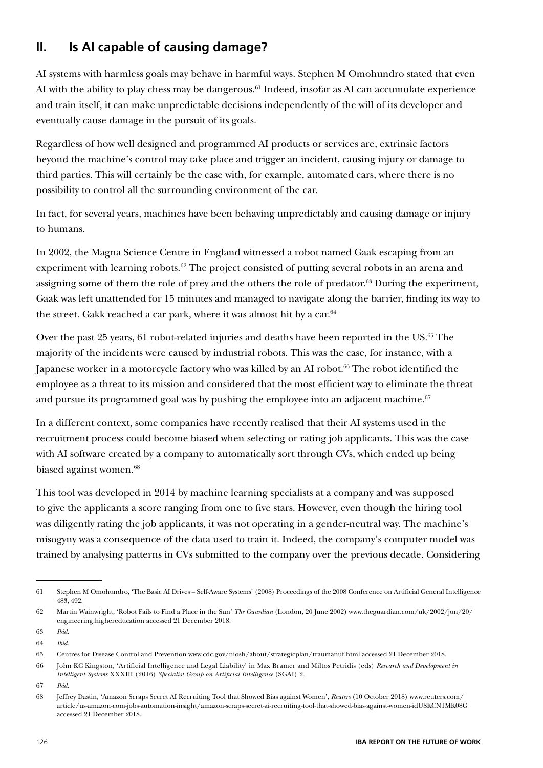# **II. Is AI capable of causing damage?**

AI systems with harmless goals may behave in harmful ways. Stephen M Omohundro stated that even AI with the ability to play chess may be dangerous.<sup>61</sup> Indeed, insofar as AI can accumulate experience and train itself, it can make unpredictable decisions independently of the will of its developer and eventually cause damage in the pursuit of its goals.

Regardless of how well designed and programmed AI products or services are, extrinsic factors beyond the machine's control may take place and trigger an incident, causing injury or damage to third parties. This will certainly be the case with, for example, automated cars, where there is no possibility to control all the surrounding environment of the car.

In fact, for several years, machines have been behaving unpredictably and causing damage or injury to humans.

In 2002, the Magna Science Centre in England witnessed a robot named Gaak escaping from an experiment with learning robots.<sup>62</sup> The project consisted of putting several robots in an arena and assigning some of them the role of prey and the others the role of predator.<sup>63</sup> During the experiment, Gaak was left unattended for 15 minutes and managed to navigate along the barrier, finding its way to the street. Gakk reached a car park, where it was almost hit by a car.<sup>64</sup>

Over the past 25 years, 61 robot-related injuries and deaths have been reported in the US.<sup>65</sup> The majority of the incidents were caused by industrial robots. This was the case, for instance, with a Japanese worker in a motorcycle factory who was killed by an AI robot.<sup>66</sup> The robot identified the employee as a threat to its mission and considered that the most efficient way to eliminate the threat and pursue its programmed goal was by pushing the employee into an adjacent machine.<sup>67</sup>

In a different context, some companies have recently realised that their AI systems used in the recruitment process could become biased when selecting or rating job applicants. This was the case with AI software created by a company to automatically sort through CVs, which ended up being biased against women.<sup>68</sup>

This tool was developed in 2014 by machine learning specialists at a company and was supposed to give the applicants a score ranging from one to five stars. However, even though the hiring tool was diligently rating the job applicants, it was not operating in a gender-neutral way. The machine's misogyny was a consequence of the data used to train it. Indeed, the company's computer model was trained by analysing patterns in CVs submitted to the company over the previous decade. Considering

<sup>61</sup> Stephen M Omohundro, 'The Basic AI Drives – Self-Aware Systems' (2008) Proceedings of the 2008 Conference on Artificial General Intelligence 483, 492.

<sup>62</sup> Martin Wainwright, 'Robot Fails to Find a Place in the Sun' *The Guardian* (London, 20 June 2002) www.theguardian.com/uk/2002/jun/20/ engineering.highereducation accessed 21 December 2018.

<sup>63</sup> *Ibid*.

<sup>64</sup> *Ibid*.

<sup>65</sup> Centres for Disease Control and Prevention www.cdc.gov/niosh/about/strategicplan/traumanuf.html accessed 21 December 2018.

<sup>66</sup> John KC Kingston, 'Artificial Intelligence and Legal Liability' in Max Bramer and Miltos Petridis (eds) *Research and Development in Intelligent Systems* XXXIII (2016) *Specialist Group on Artificial Intelligence* (SGAI) 2.

<sup>67</sup> *Ibid*.

<sup>68</sup> Jeffrey Dastin, 'Amazon Scraps Secret AI Recruiting Tool that Showed Bias against Women', *Reuters* (10 October 2018) www.reuters.com/ article/us-amazon-com-jobs-automation-insight/amazon-scraps-secret-ai-recruiting-tool-that-showed-bias-against-women-idUSKCN1MK08G accessed 21 December 2018.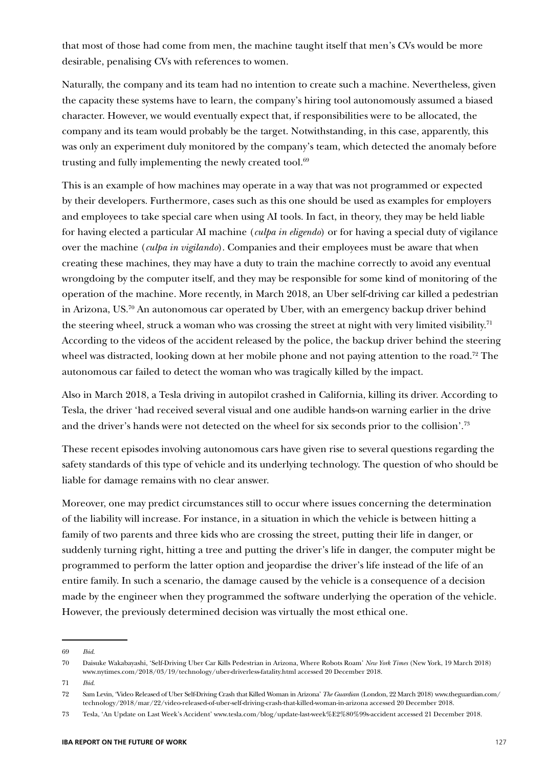that most of those had come from men, the machine taught itself that men's CVs would be more desirable, penalising CVs with references to women.

Naturally, the company and its team had no intention to create such a machine. Nevertheless, given the capacity these systems have to learn, the company's hiring tool autonomously assumed a biased character. However, we would eventually expect that, if responsibilities were to be allocated, the company and its team would probably be the target. Notwithstanding, in this case, apparently, this was only an experiment duly monitored by the company's team, which detected the anomaly before trusting and fully implementing the newly created tool. $69$ 

This is an example of how machines may operate in a way that was not programmed or expected by their developers. Furthermore, cases such as this one should be used as examples for employers and employees to take special care when using AI tools. In fact, in theory, they may be held liable for having elected a particular AI machine (*culpa in eligendo*) or for having a special duty of vigilance over the machine (*culpa in vigilando*). Companies and their employees must be aware that when creating these machines, they may have a duty to train the machine correctly to avoid any eventual wrongdoing by the computer itself, and they may be responsible for some kind of monitoring of the operation of the machine. More recently, in March 2018, an Uber self-driving car killed a pedestrian in Arizona, US.70 An autonomous car operated by Uber, with an emergency backup driver behind the steering wheel, struck a woman who was crossing the street at night with very limited visibility.<sup>71</sup> According to the videos of the accident released by the police, the backup driver behind the steering wheel was distracted, looking down at her mobile phone and not paying attention to the road.<sup>72</sup> The autonomous car failed to detect the woman who was tragically killed by the impact.

Also in March 2018, a Tesla driving in autopilot crashed in California, killing its driver. According to Tesla, the driver 'had received several visual and one audible hands-on warning earlier in the drive and the driver's hands were not detected on the wheel for six seconds prior to the collision'.73

These recent episodes involving autonomous cars have given rise to several questions regarding the safety standards of this type of vehicle and its underlying technology. The question of who should be liable for damage remains with no clear answer.

Moreover, one may predict circumstances still to occur where issues concerning the determination of the liability will increase. For instance, in a situation in which the vehicle is between hitting a family of two parents and three kids who are crossing the street, putting their life in danger, or suddenly turning right, hitting a tree and putting the driver's life in danger, the computer might be programmed to perform the latter option and jeopardise the driver's life instead of the life of an entire family. In such a scenario, the damage caused by the vehicle is a consequence of a decision made by the engineer when they programmed the software underlying the operation of the vehicle. However, the previously determined decision was virtually the most ethical one.

<sup>69</sup> *Ibid*.

<sup>70</sup> Daisuke Wakabayashi, 'Self-Driving Uber Car Kills Pedestrian in Arizona, Where Robots Roam' *New York Times* (New York, 19 March 2018) www.nytimes.com/2018/03/19/technology/uber-driverless-fatality.html accessed 20 December 2018.

<sup>71</sup> *Ibid*.

<sup>72</sup> Sam Levin, 'Video Released of Uber Self-Driving Crash that Killed Woman in Arizona' *The Guardian* (London, 22 March 2018) www.theguardian.com/ technology/2018/mar/22/video-released-of-uber-self-driving-crash-that-killed-woman-in-arizona accessed 20 December 2018.

<sup>73</sup> Tesla, 'An Update on Last Week's Accident' www.tesla.com/blog/update-last-week%E2%80%99s-accident accessed 21 December 2018.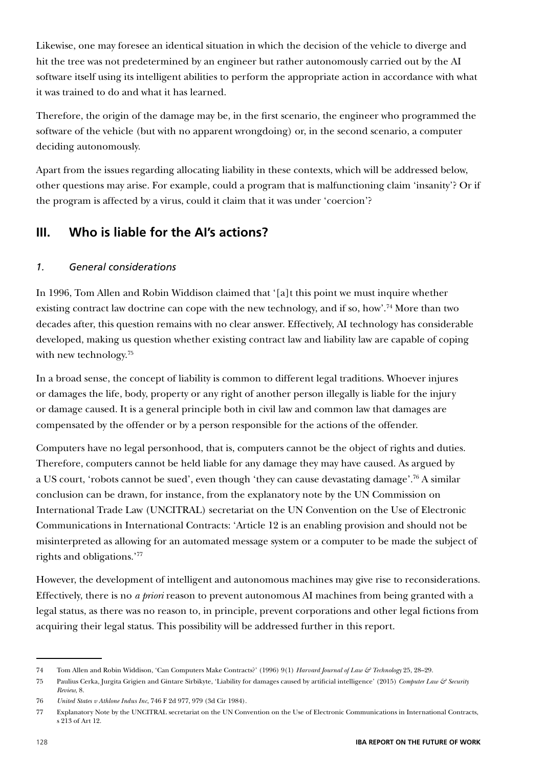Likewise, one may foresee an identical situation in which the decision of the vehicle to diverge and hit the tree was not predetermined by an engineer but rather autonomously carried out by the AI software itself using its intelligent abilities to perform the appropriate action in accordance with what it was trained to do and what it has learned.

Therefore, the origin of the damage may be, in the first scenario, the engineer who programmed the software of the vehicle (but with no apparent wrongdoing) or, in the second scenario, a computer deciding autonomously.

Apart from the issues regarding allocating liability in these contexts, which will be addressed below, other questions may arise. For example, could a program that is malfunctioning claim 'insanity'? Or if the program is affected by a virus, could it claim that it was under 'coercion'?

# **III. Who is liable for the AI's actions?**

### *1. General considerations*

In 1996, Tom Allen and Robin Widdison claimed that '[a]t this point we must inquire whether existing contract law doctrine can cope with the new technology, and if so, how'.<sup>74</sup> More than two decades after, this question remains with no clear answer. Effectively, AI technology has considerable developed, making us question whether existing contract law and liability law are capable of coping with new technology.<sup>75</sup>

In a broad sense, the concept of liability is common to different legal traditions. Whoever injures or damages the life, body, property or any right of another person illegally is liable for the injury or damage caused. It is a general principle both in civil law and common law that damages are compensated by the offender or by a person responsible for the actions of the offender.

Computers have no legal personhood, that is, computers cannot be the object of rights and duties. Therefore, computers cannot be held liable for any damage they may have caused. As argued by a US court, 'robots cannot be sued', even though 'they can cause devastating damage'.76 A similar conclusion can be drawn, for instance, from the explanatory note by the UN Commission on International Trade Law (UNCITRAL) secretariat on the UN Convention on the Use of Electronic Communications in International Contracts: 'Article 12 is an enabling provision and should not be misinterpreted as allowing for an automated message system or a computer to be made the subject of rights and obligations.'77

However, the development of intelligent and autonomous machines may give rise to reconsiderations. Effectively, there is no *a priori* reason to prevent autonomous AI machines from being granted with a legal status, as there was no reason to, in principle, prevent corporations and other legal fictions from acquiring their legal status. This possibility will be addressed further in this report.

<sup>74</sup> Tom Allen and Robin Widdison, 'Can Computers Make Contracts?' (1996) 9(1) *Harvard Journal of Law & Technology* 25, 28–29.

<sup>75</sup> Paulius Cerka, Jurgita Grigien and Gintare Sirbikyte, 'Liability for damages caused by artificial intelligence' (2015) *Computer Law & Security Review*, 8.

<sup>76</sup> *United States v Athlone Indus Inc*, 746 F 2d 977, 979 (3d Cir 1984).

<sup>77</sup> Explanatory Note by the UNCITRAL secretariat on the UN Convention on the Use of Electronic Communications in International Contracts, s 213 of Art 12.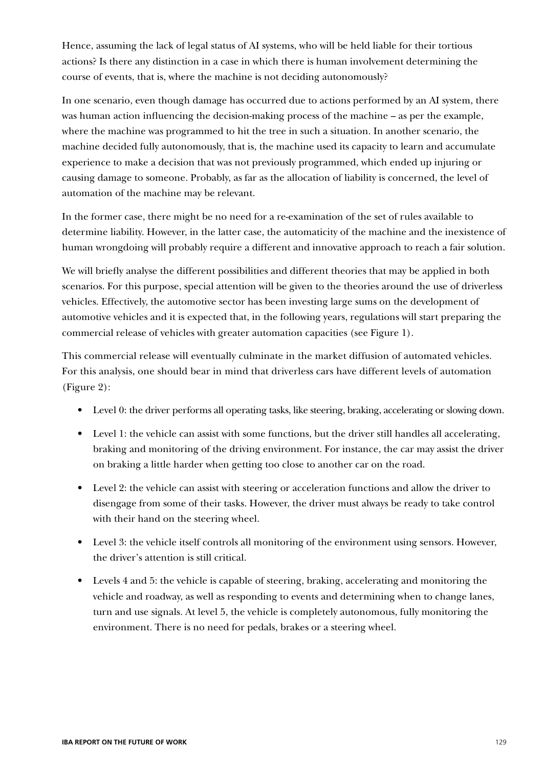Hence, assuming the lack of legal status of AI systems, who will be held liable for their tortious actions? Is there any distinction in a case in which there is human involvement determining the course of events, that is, where the machine is not deciding autonomously?

In one scenario, even though damage has occurred due to actions performed by an AI system, there was human action influencing the decision-making process of the machine – as per the example, where the machine was programmed to hit the tree in such a situation. In another scenario, the machine decided fully autonomously, that is, the machine used its capacity to learn and accumulate experience to make a decision that was not previously programmed, which ended up injuring or causing damage to someone. Probably, as far as the allocation of liability is concerned, the level of automation of the machine may be relevant.

In the former case, there might be no need for a re-examination of the set of rules available to determine liability. However, in the latter case, the automaticity of the machine and the inexistence of human wrongdoing will probably require a different and innovative approach to reach a fair solution.

We will briefly analyse the different possibilities and different theories that may be applied in both scenarios. For this purpose, special attention will be given to the theories around the use of driverless vehicles. Effectively, the automotive sector has been investing large sums on the development of automotive vehicles and it is expected that, in the following years, regulations will start preparing the commercial release of vehicles with greater automation capacities (see Figure 1).

This commercial release will eventually culminate in the market diffusion of automated vehicles. For this analysis, one should bear in mind that driverless cars have different levels of automation (Figure 2):

- Level 0: the driver performs all operating tasks, like steering, braking, accelerating or slowing down.
- Level 1: the vehicle can assist with some functions, but the driver still handles all accelerating, braking and monitoring of the driving environment. For instance, the car may assist the driver on braking a little harder when getting too close to another car on the road.
- Level 2: the vehicle can assist with steering or acceleration functions and allow the driver to disengage from some of their tasks. However, the driver must always be ready to take control with their hand on the steering wheel.
- Level 3: the vehicle itself controls all monitoring of the environment using sensors. However, the driver's attention is still critical.
- Levels 4 and 5: the vehicle is capable of steering, braking, accelerating and monitoring the vehicle and roadway, as well as responding to events and determining when to change lanes, turn and use signals. At level 5, the vehicle is completely autonomous, fully monitoring the environment. There is no need for pedals, brakes or a steering wheel.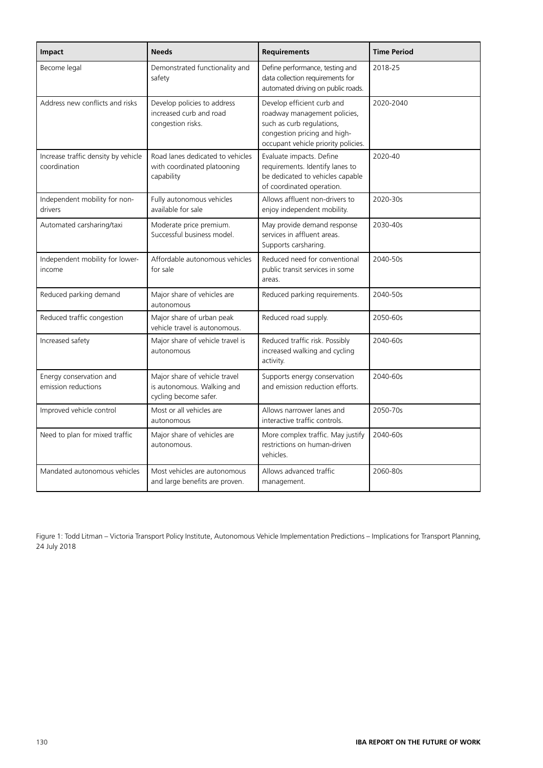| Impact                                              | <b>Needs</b>                                                                         | <b>Requirements</b>                                                                                                                                            | <b>Time Period</b> |
|-----------------------------------------------------|--------------------------------------------------------------------------------------|----------------------------------------------------------------------------------------------------------------------------------------------------------------|--------------------|
| Become legal                                        | Demonstrated functionality and<br>safety                                             | Define performance, testing and<br>data collection requirements for<br>automated driving on public roads.                                                      | 2018-25            |
| Address new conflicts and risks                     | Develop policies to address<br>increased curb and road<br>congestion risks.          | Develop efficient curb and<br>roadway management policies,<br>such as curb regulations,<br>congestion pricing and high-<br>occupant vehicle priority policies. | 2020-2040          |
| Increase traffic density by vehicle<br>coordination | Road lanes dedicated to vehicles<br>with coordinated platooning<br>capability        | Evaluate impacts. Define<br>requirements. Identify lanes to<br>be dedicated to vehicles capable<br>of coordinated operation.                                   | 2020-40            |
| Independent mobility for non-<br>drivers            | Fully autonomous vehicles<br>available for sale                                      | Allows affluent non-drivers to<br>enjoy independent mobility.                                                                                                  | 2020-30s           |
| Automated carsharing/taxi                           | Moderate price premium.<br>Successful business model.                                | May provide demand response<br>services in affluent areas.<br>Supports carsharing.                                                                             | 2030-40s           |
| Independent mobility for lower-<br>income           | Affordable autonomous vehicles<br>for sale                                           | Reduced need for conventional<br>public transit services in some<br>areas.                                                                                     | 2040-50s           |
| Reduced parking demand                              | Major share of vehicles are<br>autonomous                                            | Reduced parking requirements.                                                                                                                                  | 2040-50s           |
| Reduced traffic congestion                          | Major share of urban peak<br>vehicle travel is autonomous.                           | Reduced road supply.                                                                                                                                           | 2050-60s           |
| Increased safety                                    | Major share of vehicle travel is<br>autonomous                                       | Reduced traffic risk. Possibly<br>increased walking and cycling<br>activity.                                                                                   | 2040-60s           |
| Energy conservation and<br>emission reductions      | Major share of vehicle travel<br>is autonomous. Walking and<br>cycling become safer. | Supports energy conservation<br>and emission reduction efforts.                                                                                                | 2040-60s           |
| Improved vehicle control                            | Most or all vehicles are<br>autonomous                                               | Allows narrower lanes and<br>interactive traffic controls.                                                                                                     | 2050-70s           |
| Need to plan for mixed traffic                      | Major share of vehicles are<br>autonomous.                                           | More complex traffic. May justify<br>restrictions on human-driven<br>vehicles.                                                                                 | 2040-60s           |
| Mandated autonomous vehicles                        | Most vehicles are autonomous<br>and large benefits are proven.                       | Allows advanced traffic<br>management.                                                                                                                         | 2060-80s           |

Figure 1: Todd Litman – Victoria Transport Policy Institute, Autonomous Vehicle Implementation Predictions – Implications for Transport Planning, 24 July 2018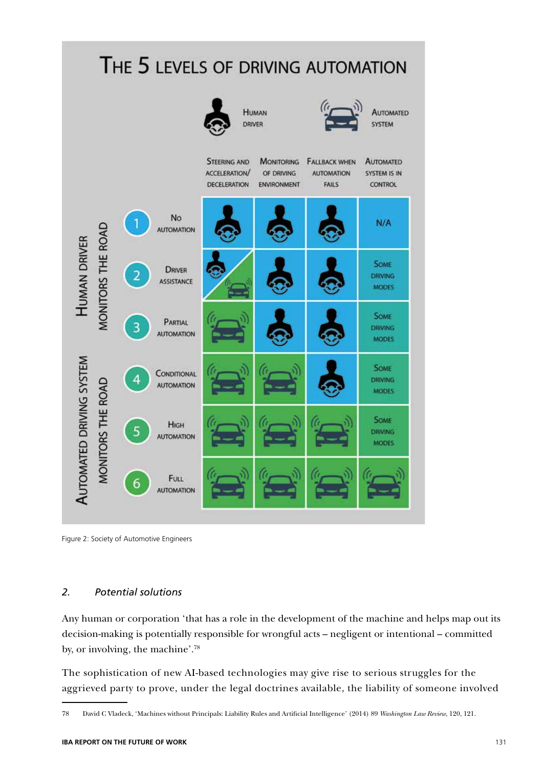

Figure 2: Society of Automotive Engineers

#### *2. Potential solutions*

Any human or corporation 'that has a role in the development of the machine and helps map out its decision-making is potentially responsible for wrongful acts – negligent or intentional – committed by, or involving, the machine'.78

The sophistication of new AI-based technologies may give rise to serious struggles for the aggrieved party to prove, under the legal doctrines available, the liability of someone involved

<sup>78</sup> David C Vladeck, 'Machines without Principals: Liability Rules and Artificial Intelligence' (2014) 89 *Washington Law Review*, 120, 121.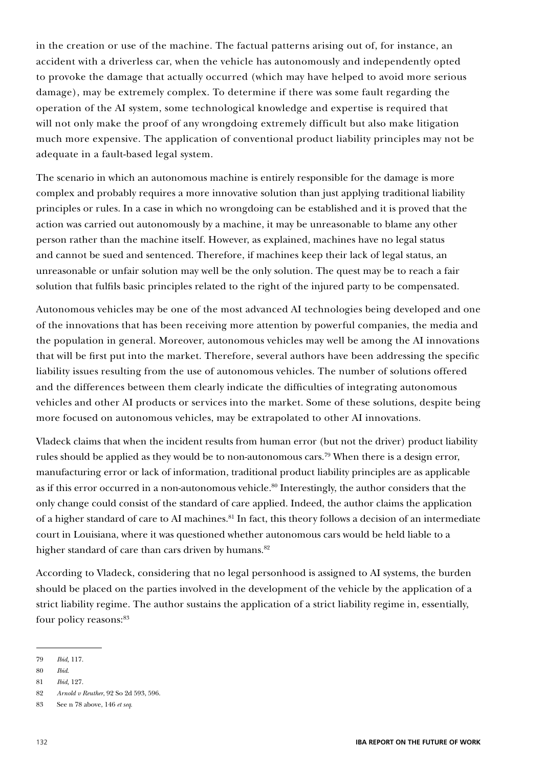in the creation or use of the machine. The factual patterns arising out of, for instance, an accident with a driverless car, when the vehicle has autonomously and independently opted to provoke the damage that actually occurred (which may have helped to avoid more serious damage), may be extremely complex. To determine if there was some fault regarding the operation of the AI system, some technological knowledge and expertise is required that will not only make the proof of any wrongdoing extremely difficult but also make litigation much more expensive. The application of conventional product liability principles may not be adequate in a fault-based legal system.

The scenario in which an autonomous machine is entirely responsible for the damage is more complex and probably requires a more innovative solution than just applying traditional liability principles or rules. In a case in which no wrongdoing can be established and it is proved that the action was carried out autonomously by a machine, it may be unreasonable to blame any other person rather than the machine itself. However, as explained, machines have no legal status and cannot be sued and sentenced. Therefore, if machines keep their lack of legal status, an unreasonable or unfair solution may well be the only solution. The quest may be to reach a fair solution that fulfils basic principles related to the right of the injured party to be compensated.

Autonomous vehicles may be one of the most advanced AI technologies being developed and one of the innovations that has been receiving more attention by powerful companies, the media and the population in general. Moreover, autonomous vehicles may well be among the AI innovations that will be first put into the market. Therefore, several authors have been addressing the specific liability issues resulting from the use of autonomous vehicles. The number of solutions offered and the differences between them clearly indicate the difficulties of integrating autonomous vehicles and other AI products or services into the market. Some of these solutions, despite being more focused on autonomous vehicles, may be extrapolated to other AI innovations.

Vladeck claims that when the incident results from human error (but not the driver) product liability rules should be applied as they would be to non-autonomous cars.79 When there is a design error, manufacturing error or lack of information, traditional product liability principles are as applicable as if this error occurred in a non-autonomous vehicle.<sup>80</sup> Interestingly, the author considers that the only change could consist of the standard of care applied. Indeed, the author claims the application of a higher standard of care to AI machines.<sup>81</sup> In fact, this theory follows a decision of an intermediate court in Louisiana, where it was questioned whether autonomous cars would be held liable to a higher standard of care than cars driven by humans.<sup>82</sup>

According to Vladeck, considering that no legal personhood is assigned to AI systems, the burden should be placed on the parties involved in the development of the vehicle by the application of a strict liability regime. The author sustains the application of a strict liability regime in, essentially, four policy reasons:<sup>83</sup>

<sup>79</sup> *Ibid,* 117.

<sup>80</sup> *Ibid*.

<sup>81</sup> *Ibid,* 127.

<sup>82</sup> *Arnold v Reuther*, 92 So 2d 593, 596.

<sup>83</sup> See n 78 above, 146 *et seq*.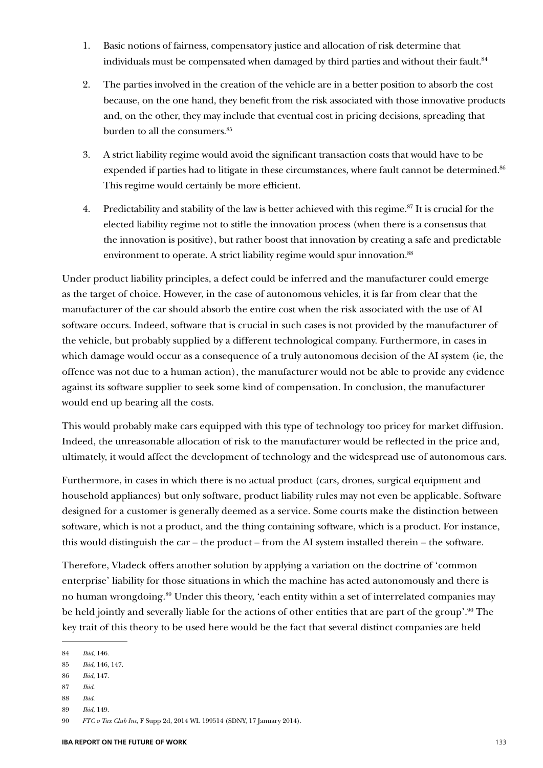- 1. Basic notions of fairness, compensatory justice and allocation of risk determine that individuals must be compensated when damaged by third parties and without their fault.<sup>84</sup>
- 2. The parties involved in the creation of the vehicle are in a better position to absorb the cost because, on the one hand, they benefit from the risk associated with those innovative products and, on the other, they may include that eventual cost in pricing decisions, spreading that burden to all the consumers.<sup>85</sup>
- 3. A strict liability regime would avoid the significant transaction costs that would have to be expended if parties had to litigate in these circumstances, where fault cannot be determined.<sup>86</sup> This regime would certainly be more efficient.
- 4. Predictability and stability of the law is better achieved with this regime.<sup>87</sup> It is crucial for the elected liability regime not to stifle the innovation process (when there is a consensus that the innovation is positive), but rather boost that innovation by creating a safe and predictable environment to operate. A strict liability regime would spur innovation.<sup>88</sup>

Under product liability principles, a defect could be inferred and the manufacturer could emerge as the target of choice. However, in the case of autonomous vehicles, it is far from clear that the manufacturer of the car should absorb the entire cost when the risk associated with the use of AI software occurs. Indeed, software that is crucial in such cases is not provided by the manufacturer of the vehicle, but probably supplied by a different technological company. Furthermore, in cases in which damage would occur as a consequence of a truly autonomous decision of the AI system (ie, the offence was not due to a human action), the manufacturer would not be able to provide any evidence against its software supplier to seek some kind of compensation. In conclusion, the manufacturer would end up bearing all the costs.

This would probably make cars equipped with this type of technology too pricey for market diffusion. Indeed, the unreasonable allocation of risk to the manufacturer would be reflected in the price and, ultimately, it would affect the development of technology and the widespread use of autonomous cars.

Furthermore, in cases in which there is no actual product (cars, drones, surgical equipment and household appliances) but only software, product liability rules may not even be applicable. Software designed for a customer is generally deemed as a service. Some courts make the distinction between software, which is not a product, and the thing containing software, which is a product. For instance, this would distinguish the car – the product – from the AI system installed therein – the software.

Therefore, Vladeck offers another solution by applying a variation on the doctrine of 'common enterprise' liability for those situations in which the machine has acted autonomously and there is no human wrongdoing.<sup>89</sup> Under this theory, 'each entity within a set of interrelated companies may be held jointly and severally liable for the actions of other entities that are part of the group'.90 The key trait of this theory to be used here would be the fact that several distinct companies are held

- 87 *Ibid*.
- 88 *Ibid*.

<sup>84</sup> *Ibid*, 146.

<sup>85</sup> *Ibid*, 146, 147.

<sup>86</sup> *Ibid*, 147.

<sup>89</sup> *Ibid*, 149.

<sup>90</sup> *FTC v Tax Club Inc*, F Supp 2d, 2014 WL 199514 (SDNY, 17 January 2014).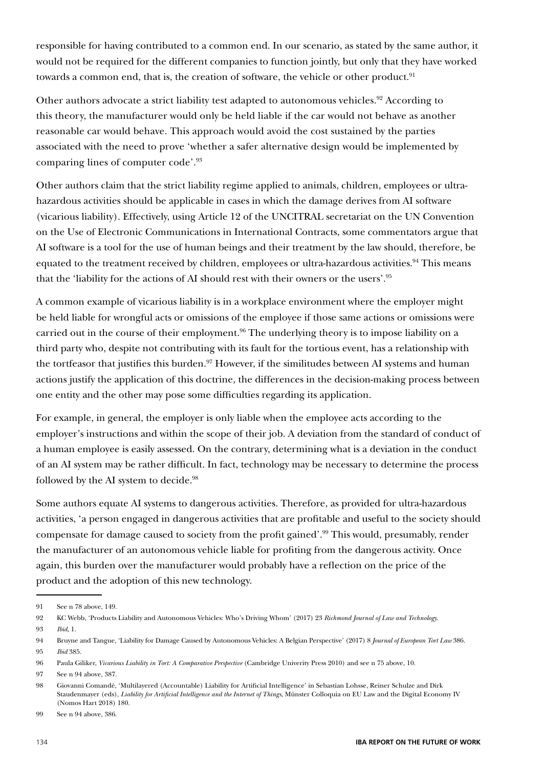responsible for having contributed to a common end. In our scenario, as stated by the same author, it would not be required for the different companies to function jointly, but only that they have worked towards a common end, that is, the creation of software, the vehicle or other product.<sup>91</sup>

Other authors advocate a strict liability test adapted to autonomous vehicles.<sup>92</sup> According to this theory, the manufacturer would only be held liable if the car would not behave as another reasonable car would behave. This approach would avoid the cost sustained by the parties associated with the need to prove 'whether a safer alternative design would be implemented by comparing lines of computer code'.93

Other authors claim that the strict liability regime applied to animals, children, employees or ultrahazardous activities should be applicable in cases in which the damage derives from AI software (vicarious liability). Effectively, using Article 12 of the UNCITRAL secretariat on the UN Convention on the Use of Electronic Communications in International Contracts, some commentators argue that AI software is a tool for the use of human beings and their treatment by the law should, therefore, be equated to the treatment received by children, employees or ultra-hazardous activities.<sup>94</sup> This means that the 'liability for the actions of AI should rest with their owners or the users'.95

A common example of vicarious liability is in a workplace environment where the employer might be held liable for wrongful acts or omissions of the employee if those same actions or omissions were carried out in the course of their employment.<sup>96</sup> The underlying theory is to impose liability on a third party who, despite not contributing with its fault for the tortious event, has a relationship with the tortfeasor that justifies this burden.<sup>97</sup> However, if the similitudes between AI systems and human actions justify the application of this doctrine, the differences in the decision-making process between one entity and the other may pose some difficulties regarding its application.

For example, in general, the employer is only liable when the employee acts according to the employer's instructions and within the scope of their job. A deviation from the standard of conduct of a human employee is easily assessed. On the contrary, determining what is a deviation in the conduct of an AI system may be rather difficult. In fact, technology may be necessary to determine the process followed by the AI system to decide.<sup>98</sup>

Some authors equate AI systems to dangerous activities. Therefore, as provided for ultra-hazardous activities, 'a person engaged in dangerous activities that are profitable and useful to the society should compensate for damage caused to society from the profit gained'.99 This would, presumably, render the manufacturer of an autonomous vehicle liable for profiting from the dangerous activity. Once again, this burden over the manufacturer would probably have a reflection on the price of the product and the adoption of this new technology.

<sup>91</sup> See n 78 above, 149.

<sup>92</sup> KC Webb, 'Products Liability and Autonomous Vehicles: Who's Driving Whom' (2017) 23 *Richmond Journal of Law and Technology*. 93 *Ibid*, 1.

<sup>94</sup> Bruyne and Tangue, 'Liability for Damage Caused by Autonomous Vehicles: A Belgian Perspective' (2017) 8 *Journal of European Tort Law* 386. 95 *Ibid* 385.

<sup>96</sup> Paula Giliker, *Vicarious Liability in Tort: A Comparative Perspective* (Cambridge Univerity Press 2010) and see n 75 above, 10.

<sup>97</sup> See n 94 above, 387.

<sup>98</sup> Giovanni Comandé, 'Multilayered (Accountable) Liability for Artificial Intelligence' in Sebastian Lohsse, Reiner Schulze and Dirk Staudenmayer (eds), *Liability for Artificial Intelligence and the Internet of Things*, Münster Colloquia on EU Law and the Digital Economy IV (Nomos Hart 2018) 180.

<sup>99</sup> See n 94 above, 386.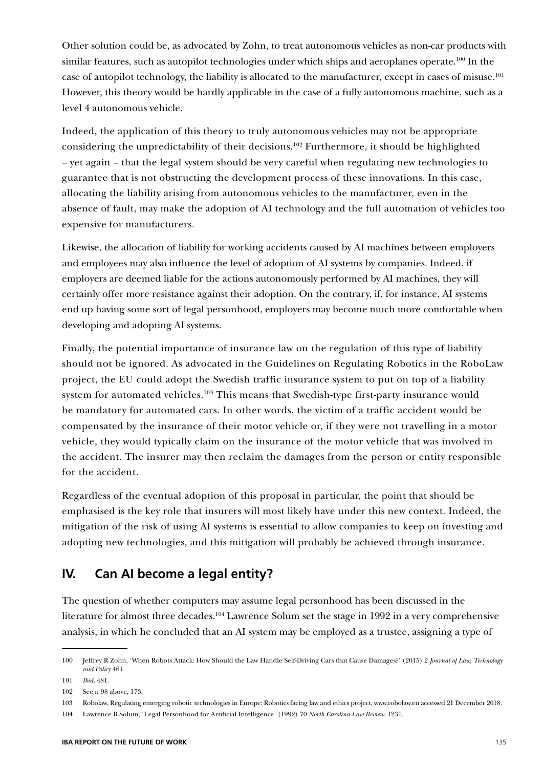Other solution could be, as advocated by Zohn, to treat autonomous vehicles as non-car products with similar features, such as autopilot technologies under which ships and aeroplanes operate.<sup>100</sup> In the case of autopilot technology, the liability is allocated to the manufacturer, except in cases of misuse.<sup>101</sup> However, this theory would be hardly applicable in the case of a fully autonomous machine, such as a level 4 autonomous vehicle.

Indeed, the application of this theory to truly autonomous vehicles may not be appropriate considering the unpredictability of their decisions.102 Furthermore, it should be highlighted – yet again – that the legal system should be very careful when regulating new technologies to guarantee that is not obstructing the development process of these innovations. In this case, allocating the liability arising from autonomous vehicles to the manufacturer, even in the absence of fault, may make the adoption of AI technology and the full automation of vehicles too expensive for manufacturers.

Likewise, the allocation of liability for working accidents caused by AI machines between employers and employees may also influence the level of adoption of AI systems by companies. Indeed, if employers are deemed liable for the actions autonomously performed by AI machines, they will certainly offer more resistance against their adoption. On the contrary, if, for instance, AI systems end up having some sort of legal personhood, employers may become much more comfortable when developing and adopting AI systems.

Finally, the potential importance of insurance law on the regulation of this type of liability should not be ignored. As advocated in the Guidelines on Regulating Robotics in the RoboLaw project, the EU could adopt the Swedish traffic insurance system to put on top of a liability system for automated vehicles.<sup>103</sup> This means that Swedish-type first-party insurance would be mandatory for automated cars. In other words, the victim of a traffic accident would be compensated by the insurance of their motor vehicle or, if they were not travelling in a motor vehicle, they would typically claim on the insurance of the motor vehicle that was involved in the accident. The insurer may then reclaim the damages from the person or entity responsible for the accident.

Regardless of the eventual adoption of this proposal in particular, the point that should be emphasised is the key role that insurers will most likely have under this new context. Indeed, the mitigation of the risk of using AI systems is essential to allow companies to keep on investing and adopting new technologies, and this mitigation will probably be achieved through insurance.

### **IV. Can AI become a legal entity?**

The question of whether computers may assume legal personhood has been discussed in the literature for almost three decades.<sup>104</sup> Lawrence Solum set the stage in 1992 in a very comprehensive analysis, in which he concluded that an AI system may be employed as a trustee, assigning a type of

<sup>100</sup> Jeffrey R Zohn, 'When Robots Attack: How Should the Law Handle Self-Driving Cars that Cause Damages?' (2015) 2 *Journal of Law, Technology and Policy* 461.

<sup>101</sup> *Ibid*, 481.

<sup>102</sup> See n 98 above, 173.

<sup>103</sup> Robolaw, Regulating emerging robotic technologies in Europe: Robotics facing law and ethics project, www.robolaw.eu accessed 21 December 2018.

<sup>104</sup> Lawrence B Solum, 'Legal Personhood for Artificial Intelligence' (1992) 70 *North Carolina Law Review*, 1231.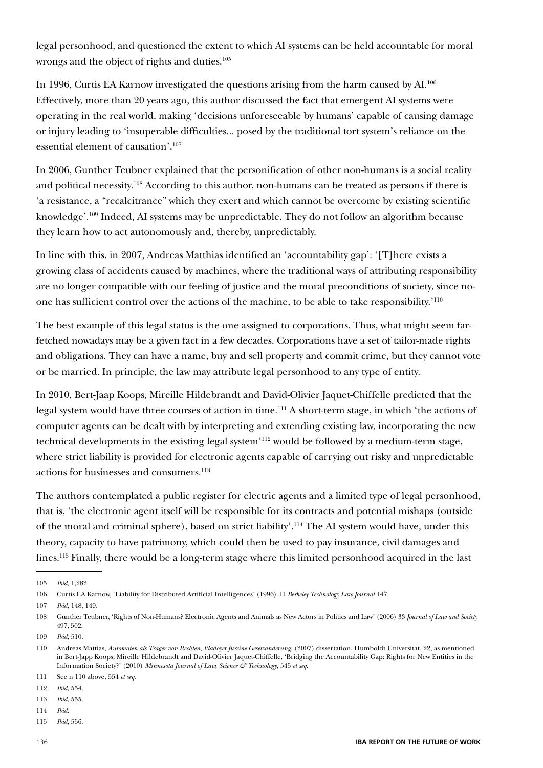legal personhood, and questioned the extent to which AI systems can be held accountable for moral wrongs and the object of rights and duties.<sup>105</sup>

In 1996, Curtis EA Karnow investigated the questions arising from the harm caused by AI.106 Effectively, more than 20 years ago, this author discussed the fact that emergent AI systems were operating in the real world, making 'decisions unforeseeable by humans' capable of causing damage or injury leading to 'insuperable difficulties... posed by the traditional tort system's reliance on the essential element of causation'.107

In 2006, Gunther Teubner explained that the personification of other non-humans is a social reality and political necessity.108 According to this author, non-humans can be treated as persons if there is 'a resistance, a "recalcitrance" which they exert and which cannot be overcome by existing scientific knowledge'.<sup>109</sup> Indeed, AI systems may be unpredictable. They do not follow an algorithm because they learn how to act autonomously and, thereby, unpredictably.

In line with this, in 2007, Andreas Matthias identified an 'accountability gap': '[T]here exists a growing class of accidents caused by machines, where the traditional ways of attributing responsibility are no longer compatible with our feeling of justice and the moral preconditions of society, since noone has sufficient control over the actions of the machine, to be able to take responsibility.'110

The best example of this legal status is the one assigned to corporations. Thus, what might seem farfetched nowadays may be a given fact in a few decades. Corporations have a set of tailor-made rights and obligations. They can have a name, buy and sell property and commit crime, but they cannot vote or be married. In principle, the law may attribute legal personhood to any type of entity.

In 2010, Bert-Jaap Koops, Mireille Hildebrandt and David-Olivier Jaquet-Chiffelle predicted that the legal system would have three courses of action in time.<sup>111</sup> A short-term stage, in which 'the actions of computer agents can be dealt with by interpreting and extending existing law, incorporating the new technical developments in the existing legal system'112 would be followed by a medium-term stage, where strict liability is provided for electronic agents capable of carrying out risky and unpredictable actions for businesses and consumers.<sup>113</sup>

The authors contemplated a public register for electric agents and a limited type of legal personhood, that is, 'the electronic agent itself will be responsible for its contracts and potential mishaps (outside of the moral and criminal sphere), based on strict liability'.114 The AI system would have, under this theory, capacity to have patrimony, which could then be used to pay insurance, civil damages and fines.115 Finally, there would be a long-term stage where this limited personhood acquired in the last

<sup>105</sup> *Ibid*, 1,282.

<sup>106</sup> Curtis EA Karnow, 'Liability for Distributed Artificial Intelligences' (1996) 11 *Berkeley Technology Law Journal* 147.

<sup>107</sup> *Ibid*, 148, 149.

<sup>108</sup> Gunther Teubner, 'Rights of Non-Humans? Electronic Agents and Animals as New Actors in Politics and Law' (2006) 33 *Journal of Law and Society* 497, 502.

<sup>109</sup> *Ibid*, 510.

<sup>110</sup> Andreas Mattias, *Automaten als Trager von Rechten, Pladoyer fureine Gesetzanderung*, (2007) dissertation, Humboldt Universitat, 22, as mentioned in Bert-Japp Koops, Mireille Hildebrandt and David-Olivier Jaquet-Chiffelle, 'Bridging the Accountability Gap: Rights for New Entities in the Information Society?' (2010) *Minnesota Journal of Law, Science & Technology*, 545 *et seq*.

<sup>111</sup> See n 110 above, 554 *et seq*.

<sup>112</sup> *Ibid*, 554.

<sup>113</sup> *Ibid*, 555.

<sup>114</sup> *Ibid*.

<sup>115</sup> *Ibid*, 556.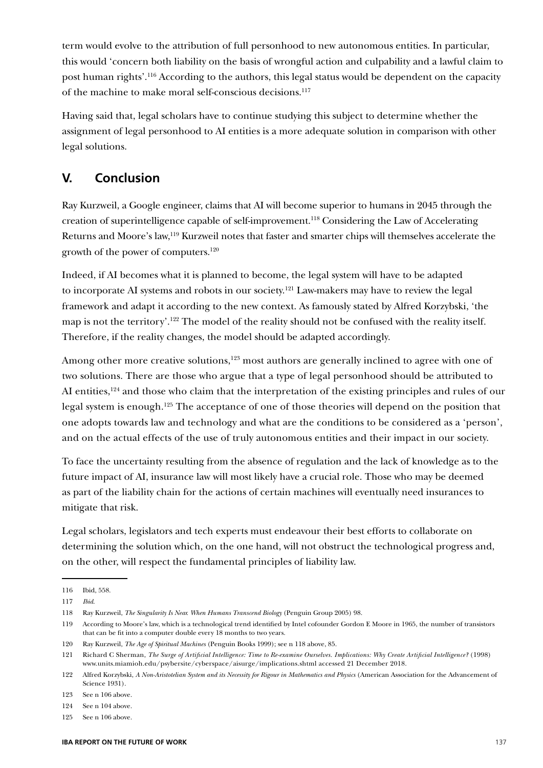term would evolve to the attribution of full personhood to new autonomous entities. In particular, this would 'concern both liability on the basis of wrongful action and culpability and a lawful claim to post human rights'.116 According to the authors, this legal status would be dependent on the capacity of the machine to make moral self-conscious decisions.<sup>117</sup>

Having said that, legal scholars have to continue studying this subject to determine whether the assignment of legal personhood to AI entities is a more adequate solution in comparison with other legal solutions.

## **V. Conclusion**

Ray Kurzweil, a Google engineer, claims that AI will become superior to humans in 2045 through the creation of superintelligence capable of self-improvement.118 Considering the Law of Accelerating Returns and Moore's law,119 Kurzweil notes that faster and smarter chips will themselves accelerate the growth of the power of computers.120

Indeed, if AI becomes what it is planned to become, the legal system will have to be adapted to incorporate AI systems and robots in our society.<sup>121</sup> Law-makers may have to review the legal framework and adapt it according to the new context. As famously stated by Alfred Korzybski, 'the map is not the territory'.122 The model of the reality should not be confused with the reality itself. Therefore, if the reality changes, the model should be adapted accordingly.

Among other more creative solutions,<sup>123</sup> most authors are generally inclined to agree with one of two solutions. There are those who argue that a type of legal personhood should be attributed to AI entities,<sup>124</sup> and those who claim that the interpretation of the existing principles and rules of our legal system is enough.125 The acceptance of one of those theories will depend on the position that one adopts towards law and technology and what are the conditions to be considered as a 'person', and on the actual effects of the use of truly autonomous entities and their impact in our society.

To face the uncertainty resulting from the absence of regulation and the lack of knowledge as to the future impact of AI, insurance law will most likely have a crucial role. Those who may be deemed as part of the liability chain for the actions of certain machines will eventually need insurances to mitigate that risk.

Legal scholars, legislators and tech experts must endeavour their best efforts to collaborate on determining the solution which, on the one hand, will not obstruct the technological progress and, on the other, will respect the fundamental principles of liability law.

119 According to Moore's law, which is a technological trend identified by Intel cofounder Gordon E Moore in 1965, the number of transistors that can be fit into a computer double every 18 months to two years.

<sup>116</sup> Ibid, 558.

<sup>117</sup> *Ibid*.

<sup>118</sup> Ray Kurzweil, *The Singularity Is Near. When Humans Transcend Biology* (Penguin Group 2005) 98.

<sup>120</sup> Ray Kurzweil, *The Age of Spiritual Machines* (Penguin Books 1999); see n 118 above, 85.

<sup>121</sup> Richard C Sherman, *The Surge of Artificial Intelligence: Time to Re-examine Ourselves. Implications: Why Create Artificial Intelligence?* (1998) www.units.miamioh.edu/psybersite/cyberspace/aisurge/implications.shtml accessed 21 December 2018.

<sup>122</sup> Alfred Korzybski, *A Non-Aristotelian System and its Necessity for Rigour in Mathematics and Physics* (American Association for the Advancement of Science 1931).

<sup>123</sup> See n 106 above.

<sup>124</sup> See n 104 above.

<sup>125</sup> See n 106 above.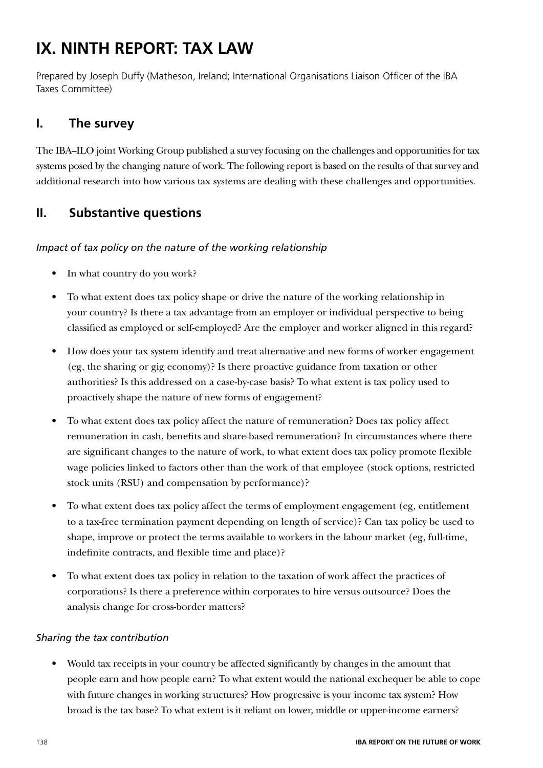# **IX. NINTH REPORT: TAX LAW**

Prepared by Joseph Duffy (Matheson, Ireland; International Organisations Liaison Officer of the IBA Taxes Committee)

# **I. The survey**

The IBA–ILO joint Working Group published a survey focusing on the challenges and opportunities for tax systems posed by the changing nature of work. The following report is based on the results of that survey and additional research into how various tax systems are dealing with these challenges and opportunities.

# **II. Substantive questions**

### *Impact of tax policy on the nature of the working relationship*

- In what country do you work?
- To what extent does tax policy shape or drive the nature of the working relationship in your country? Is there a tax advantage from an employer or individual perspective to being classified as employed or self-employed? Are the employer and worker aligned in this regard?
- How does your tax system identify and treat alternative and new forms of worker engagement (eg, the sharing or gig economy)? Is there proactive guidance from taxation or other authorities? Is this addressed on a case-by-case basis? To what extent is tax policy used to proactively shape the nature of new forms of engagement?
- To what extent does tax policy affect the nature of remuneration? Does tax policy affect remuneration in cash, benefits and share-based remuneration? In circumstances where there are significant changes to the nature of work, to what extent does tax policy promote flexible wage policies linked to factors other than the work of that employee (stock options, restricted stock units (RSU) and compensation by performance)?
- To what extent does tax policy affect the terms of employment engagement (eg, entitlement to a tax-free termination payment depending on length of service)? Can tax policy be used to shape, improve or protect the terms available to workers in the labour market (eg, full-time, indefinite contracts, and flexible time and place)?
- To what extent does tax policy in relation to the taxation of work affect the practices of corporations? Is there a preference within corporates to hire versus outsource? Does the analysis change for cross-border matters?

### *Sharing the tax contribution*

• Would tax receipts in your country be affected significantly by changes in the amount that people earn and how people earn? To what extent would the national exchequer be able to cope with future changes in working structures? How progressive is your income tax system? How broad is the tax base? To what extent is it reliant on lower, middle or upper-income earners?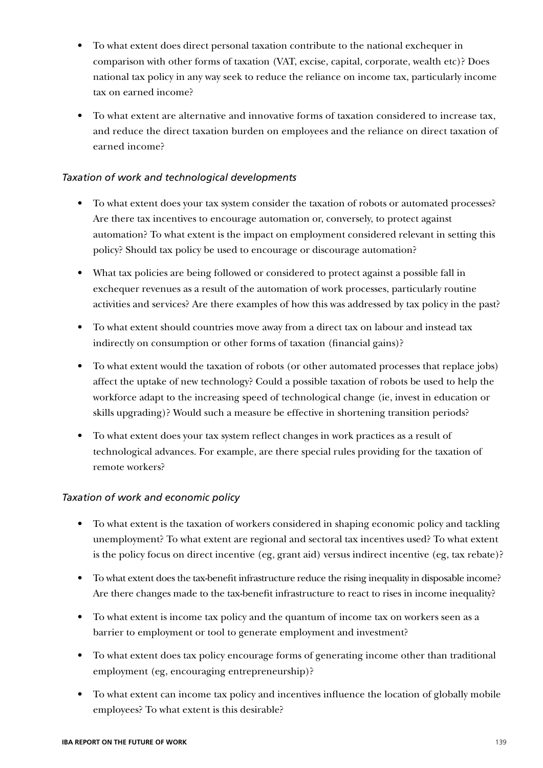- To what extent does direct personal taxation contribute to the national exchequer in comparison with other forms of taxation (VAT, excise, capital, corporate, wealth etc)? Does national tax policy in any way seek to reduce the reliance on income tax, particularly income tax on earned income?
- To what extent are alternative and innovative forms of taxation considered to increase tax, and reduce the direct taxation burden on employees and the reliance on direct taxation of earned income?

#### *Taxation of work and technological developments*

- To what extent does your tax system consider the taxation of robots or automated processes? Are there tax incentives to encourage automation or, conversely, to protect against automation? To what extent is the impact on employment considered relevant in setting this policy? Should tax policy be used to encourage or discourage automation?
- What tax policies are being followed or considered to protect against a possible fall in exchequer revenues as a result of the automation of work processes, particularly routine activities and services? Are there examples of how this was addressed by tax policy in the past?
- To what extent should countries move away from a direct tax on labour and instead tax indirectly on consumption or other forms of taxation (financial gains)?
- To what extent would the taxation of robots (or other automated processes that replace jobs) affect the uptake of new technology? Could a possible taxation of robots be used to help the workforce adapt to the increasing speed of technological change (ie, invest in education or skills upgrading)? Would such a measure be effective in shortening transition periods?
- To what extent does your tax system reflect changes in work practices as a result of technological advances. For example, are there special rules providing for the taxation of remote workers?

#### *Taxation of work and economic policy*

- To what extent is the taxation of workers considered in shaping economic policy and tackling unemployment? To what extent are regional and sectoral tax incentives used? To what extent is the policy focus on direct incentive (eg, grant aid) versus indirect incentive (eg, tax rebate)?
- To what extent does the tax-benefit infrastructure reduce the rising inequality in disposable income? Are there changes made to the tax-benefit infrastructure to react to rises in income inequality?
- To what extent is income tax policy and the quantum of income tax on workers seen as a barrier to employment or tool to generate employment and investment?
- To what extent does tax policy encourage forms of generating income other than traditional employment (eg, encouraging entrepreneurship)?
- To what extent can income tax policy and incentives influence the location of globally mobile employees? To what extent is this desirable?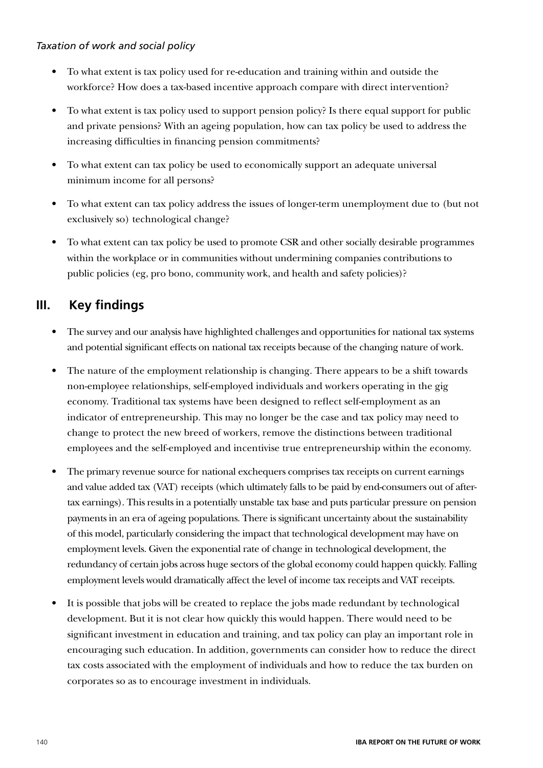#### *Taxation of work and social policy*

- To what extent is tax policy used for re-education and training within and outside the workforce? How does a tax-based incentive approach compare with direct intervention?
- To what extent is tax policy used to support pension policy? Is there equal support for public and private pensions? With an ageing population, how can tax policy be used to address the increasing difficulties in financing pension commitments?
- To what extent can tax policy be used to economically support an adequate universal minimum income for all persons?
- To what extent can tax policy address the issues of longer-term unemployment due to (but not exclusively so) technological change?
- To what extent can tax policy be used to promote CSR and other socially desirable programmes within the workplace or in communities without undermining companies contributions to public policies (eg, pro bono, community work, and health and safety policies)?

### **III. Key findings**

- The survey and our analysis have highlighted challenges and opportunities for national tax systems and potential significant effects on national tax receipts because of the changing nature of work.
- The nature of the employment relationship is changing. There appears to be a shift towards non-employee relationships, self-employed individuals and workers operating in the gig economy. Traditional tax systems have been designed to reflect self-employment as an indicator of entrepreneurship. This may no longer be the case and tax policy may need to change to protect the new breed of workers, remove the distinctions between traditional employees and the self-employed and incentivise true entrepreneurship within the economy.
- The primary revenue source for national exchequers comprises tax receipts on current earnings and value added tax (VAT) receipts (which ultimately falls to be paid by end-consumers out of aftertax earnings). This results in a potentially unstable tax base and puts particular pressure on pension payments in an era of ageing populations. There is significant uncertainty about the sustainability of this model, particularly considering the impact that technological development may have on employment levels. Given the exponential rate of change in technological development, the redundancy of certain jobs across huge sectors of the global economy could happen quickly. Falling employment levels would dramatically affect the level of income tax receipts and VAT receipts.
- It is possible that jobs will be created to replace the jobs made redundant by technological development. But it is not clear how quickly this would happen. There would need to be significant investment in education and training, and tax policy can play an important role in encouraging such education. In addition, governments can consider how to reduce the direct tax costs associated with the employment of individuals and how to reduce the tax burden on corporates so as to encourage investment in individuals.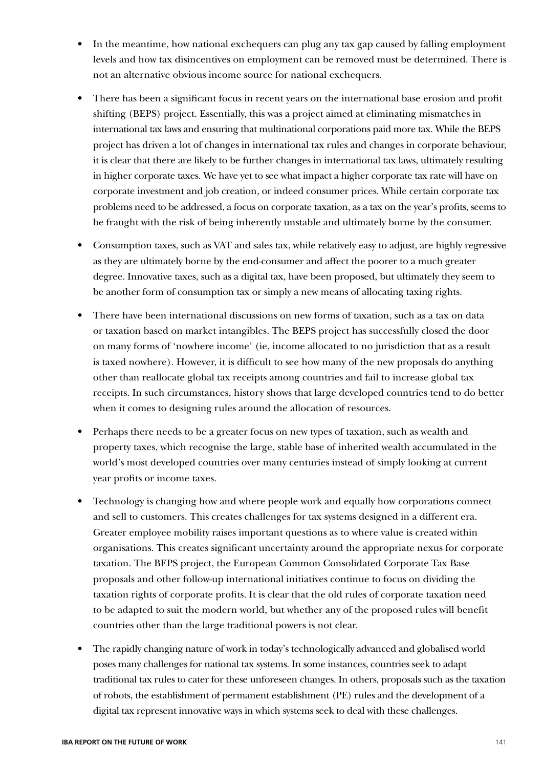- In the meantime, how national exchequers can plug any tax gap caused by falling employment levels and how tax disincentives on employment can be removed must be determined. There is not an alternative obvious income source for national exchequers.
- There has been a significant focus in recent years on the international base erosion and profit shifting (BEPS) project. Essentially, this was a project aimed at eliminating mismatches in international tax laws and ensuring that multinational corporations paid more tax. While the BEPS project has driven a lot of changes in international tax rules and changes in corporate behaviour, it is clear that there are likely to be further changes in international tax laws, ultimately resulting in higher corporate taxes. We have yet to see what impact a higher corporate tax rate will have on corporate investment and job creation, or indeed consumer prices. While certain corporate tax problems need to be addressed, a focus on corporate taxation, as a tax on the year's profits, seems to be fraught with the risk of being inherently unstable and ultimately borne by the consumer.
- Consumption taxes, such as VAT and sales tax, while relatively easy to adjust, are highly regressive as they are ultimately borne by the end-consumer and affect the poorer to a much greater degree. Innovative taxes, such as a digital tax, have been proposed, but ultimately they seem to be another form of consumption tax or simply a new means of allocating taxing rights.
- There have been international discussions on new forms of taxation, such as a tax on data or taxation based on market intangibles. The BEPS project has successfully closed the door on many forms of 'nowhere income' (ie, income allocated to no jurisdiction that as a result is taxed nowhere). However, it is difficult to see how many of the new proposals do anything other than reallocate global tax receipts among countries and fail to increase global tax receipts. In such circumstances, history shows that large developed countries tend to do better when it comes to designing rules around the allocation of resources.
- Perhaps there needs to be a greater focus on new types of taxation, such as wealth and property taxes, which recognise the large, stable base of inherited wealth accumulated in the world's most developed countries over many centuries instead of simply looking at current year profits or income taxes.
- Technology is changing how and where people work and equally how corporations connect and sell to customers. This creates challenges for tax systems designed in a different era. Greater employee mobility raises important questions as to where value is created within organisations. This creates significant uncertainty around the appropriate nexus for corporate taxation. The BEPS project, the European Common Consolidated Corporate Tax Base proposals and other follow-up international initiatives continue to focus on dividing the taxation rights of corporate profits. It is clear that the old rules of corporate taxation need to be adapted to suit the modern world, but whether any of the proposed rules will benefit countries other than the large traditional powers is not clear.
- The rapidly changing nature of work in today's technologically advanced and globalised world poses many challenges for national tax systems. In some instances, countries seek to adapt traditional tax rules to cater for these unforeseen changes. In others, proposals such as the taxation of robots, the establishment of permanent establishment (PE) rules and the development of a digital tax represent innovative ways in which systems seek to deal with these challenges.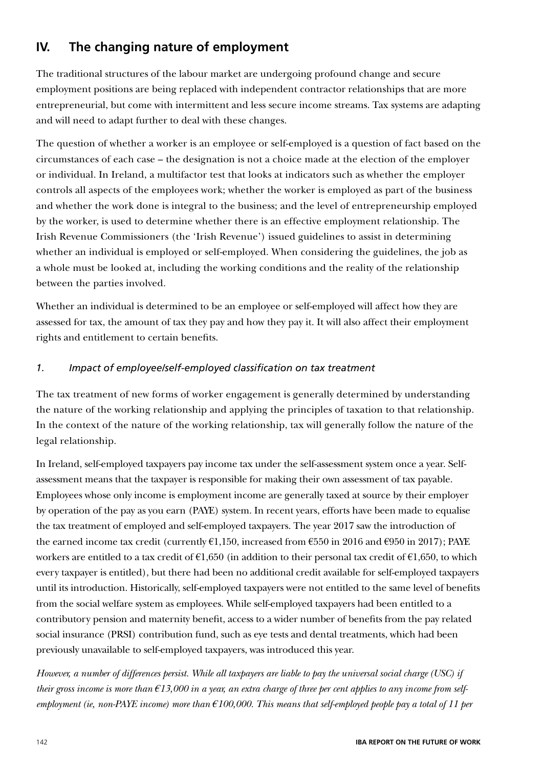# **IV. The changing nature of employment**

The traditional structures of the labour market are undergoing profound change and secure employment positions are being replaced with independent contractor relationships that are more entrepreneurial, but come with intermittent and less secure income streams. Tax systems are adapting and will need to adapt further to deal with these changes.

The question of whether a worker is an employee or self-employed is a question of fact based on the circumstances of each case – the designation is not a choice made at the election of the employer or individual. In Ireland, a multifactor test that looks at indicators such as whether the employer controls all aspects of the employees work; whether the worker is employed as part of the business and whether the work done is integral to the business; and the level of entrepreneurship employed by the worker, is used to determine whether there is an effective employment relationship. The Irish Revenue Commissioners (the 'Irish Revenue') issued guidelines to assist in determining whether an individual is employed or self-employed. When considering the guidelines, the job as a whole must be looked at, including the working conditions and the reality of the relationship between the parties involved.

Whether an individual is determined to be an employee or self-employed will affect how they are assessed for tax, the amount of tax they pay and how they pay it. It will also affect their employment rights and entitlement to certain benefits.

### *1. Impact of employee/self-employed classification on tax treatment*

The tax treatment of new forms of worker engagement is generally determined by understanding the nature of the working relationship and applying the principles of taxation to that relationship. In the context of the nature of the working relationship, tax will generally follow the nature of the legal relationship.

In Ireland, self-employed taxpayers pay income tax under the self-assessment system once a year. Selfassessment means that the taxpayer is responsible for making their own assessment of tax payable. Employees whose only income is employment income are generally taxed at source by their employer by operation of the pay as you earn (PAYE) system. In recent years, efforts have been made to equalise the tax treatment of employed and self-employed taxpayers. The year 2017 saw the introduction of the earned income tax credit (currently  $\epsilon$ 1,150, increased from  $\epsilon$ 550 in 2016 and  $\epsilon$ 950 in 2017); PAYE workers are entitled to a tax credit of  $\epsilon$ 1,650 (in addition to their personal tax credit of  $\epsilon$ 1,650, to which every taxpayer is entitled), but there had been no additional credit available for self-employed taxpayers until its introduction. Historically, self-employed taxpayers were not entitled to the same level of benefits from the social welfare system as employees. While self-employed taxpayers had been entitled to a contributory pension and maternity benefit, access to a wider number of benefits from the pay related social insurance (PRSI) contribution fund, such as eye tests and dental treatments, which had been previously unavailable to self-employed taxpayers, was introduced this year.

*However, a number of differences persist. While all taxpayers are liable to pay the universal social charge (USC) if their gross income is more than €13,000 in a year, an extra charge of three per cent applies to any income from selfemployment (ie, non-PAYE income) more than €100,000. This means that self-employed people pay a total of 11 per*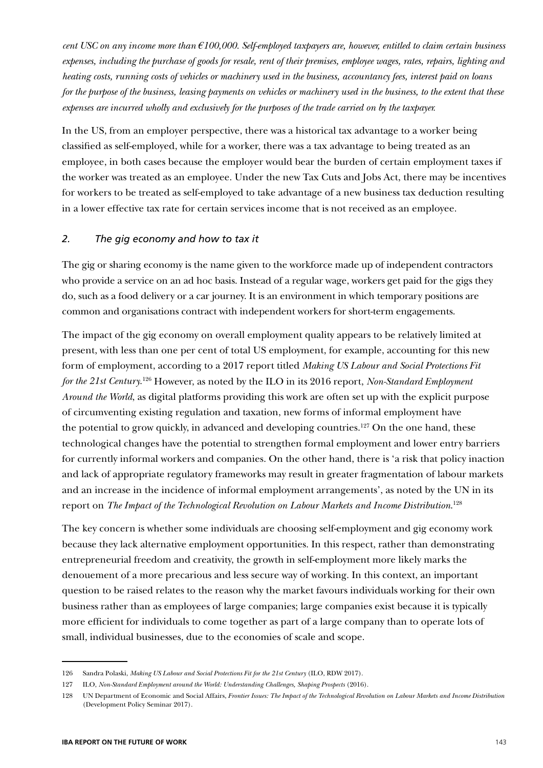*cent USC on any income more than €100,000. Self-employed taxpayers are, however, entitled to claim certain business expenses, including the purchase of goods for resale, rent of their premises, employee wages, rates, repairs, lighting and heating costs, running costs of vehicles or machinery used in the business, accountancy fees, interest paid on loans for the purpose of the business, leasing payments on vehicles or machinery used in the business, to the extent that these expenses are incurred wholly and exclusively for the purposes of the trade carried on by the taxpayer.*

In the US, from an employer perspective, there was a historical tax advantage to a worker being classified as self-employed, while for a worker, there was a tax advantage to being treated as an employee, in both cases because the employer would bear the burden of certain employment taxes if the worker was treated as an employee. Under the new Tax Cuts and Jobs Act, there may be incentives for workers to be treated as self-employed to take advantage of a new business tax deduction resulting in a lower effective tax rate for certain services income that is not received as an employee.

#### *2. The gig economy and how to tax it*

The gig or sharing economy is the name given to the workforce made up of independent contractors who provide a service on an ad hoc basis. Instead of a regular wage, workers get paid for the gigs they do, such as a food delivery or a car journey. It is an environment in which temporary positions are common and organisations contract with independent workers for short-term engagements.

The impact of the gig economy on overall employment quality appears to be relatively limited at present, with less than one per cent of total US employment, for example, accounting for this new form of employment, according to a 2017 report titled *Making US Labour and Social Protections Fit*  for the 21st Century.<sup>126</sup> However, as noted by the ILO in its 2016 report, *Non-Standard Employment Around the World*, as digital platforms providing this work are often set up with the explicit purpose of circumventing existing regulation and taxation, new forms of informal employment have the potential to grow quickly, in advanced and developing countries.<sup>127</sup> On the one hand, these technological changes have the potential to strengthen formal employment and lower entry barriers for currently informal workers and companies. On the other hand, there is 'a risk that policy inaction and lack of appropriate regulatory frameworks may result in greater fragmentation of labour markets and an increase in the incidence of informal employment arrangements', as noted by the UN in its report on *The Impact of the Technological Revolution on Labour Markets and Income Distribution*. 128

The key concern is whether some individuals are choosing self-employment and gig economy work because they lack alternative employment opportunities. In this respect, rather than demonstrating entrepreneurial freedom and creativity, the growth in self-employment more likely marks the denouement of a more precarious and less secure way of working. In this context, an important question to be raised relates to the reason why the market favours individuals working for their own business rather than as employees of large companies; large companies exist because it is typically more efficient for individuals to come together as part of a large company than to operate lots of small, individual businesses, due to the economies of scale and scope.

<sup>126</sup> Sandra Polaski, *Making US Labour and Social Protections Fit for the 21st Century* (ILO, RDW 2017).

<sup>127</sup> ILO, *Non-Standard Employment around the World: Understanding Challenges, Shaping Prospects* (2016).

<sup>128</sup> UN Department of Economic and Social Affairs, *Frontier Issues: The Impact of the Technological Revolution on Labour Markets and Income Distribution* (Development Policy Seminar 2017).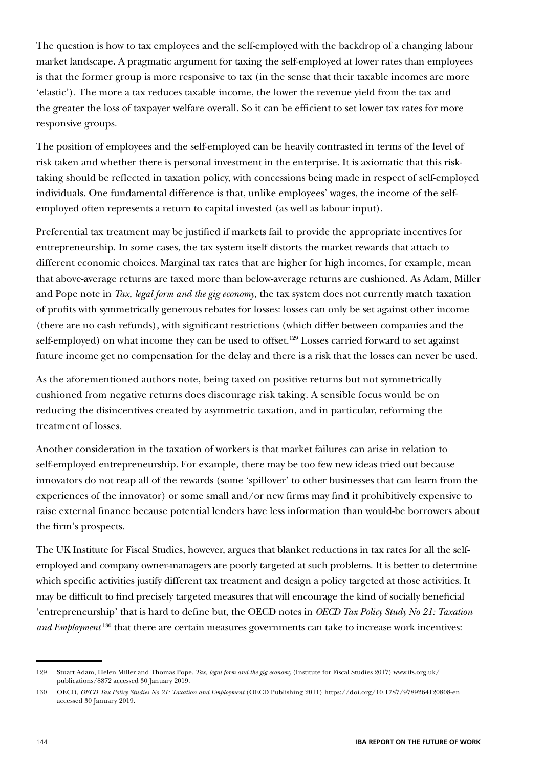The question is how to tax employees and the self-employed with the backdrop of a changing labour market landscape. A pragmatic argument for taxing the self-employed at lower rates than employees is that the former group is more responsive to tax (in the sense that their taxable incomes are more 'elastic'). The more a tax reduces taxable income, the lower the revenue yield from the tax and the greater the loss of taxpayer welfare overall. So it can be efficient to set lower tax rates for more responsive groups.

The position of employees and the self-employed can be heavily contrasted in terms of the level of risk taken and whether there is personal investment in the enterprise. It is axiomatic that this risktaking should be reflected in taxation policy, with concessions being made in respect of self-employed individuals. One fundamental difference is that, unlike employees' wages, the income of the selfemployed often represents a return to capital invested (as well as labour input).

Preferential tax treatment may be justified if markets fail to provide the appropriate incentives for entrepreneurship. In some cases, the tax system itself distorts the market rewards that attach to different economic choices. Marginal tax rates that are higher for high incomes, for example, mean that above-average returns are taxed more than below-average returns are cushioned. As Adam, Miller and Pope note in *Tax, legal form and the gig economy*, the tax system does not currently match taxation of profits with symmetrically generous rebates for losses: losses can only be set against other income (there are no cash refunds), with significant restrictions (which differ between companies and the self-employed) on what income they can be used to offset.<sup>129</sup> Losses carried forward to set against future income get no compensation for the delay and there is a risk that the losses can never be used.

As the aforementioned authors note, being taxed on positive returns but not symmetrically cushioned from negative returns does discourage risk taking. A sensible focus would be on reducing the disincentives created by asymmetric taxation, and in particular, reforming the treatment of losses.

Another consideration in the taxation of workers is that market failures can arise in relation to self-employed entrepreneurship. For example, there may be too few new ideas tried out because innovators do not reap all of the rewards (some 'spillover' to other businesses that can learn from the experiences of the innovator) or some small and/or new firms may find it prohibitively expensive to raise external finance because potential lenders have less information than would-be borrowers about the firm's prospects.

The UK Institute for Fiscal Studies, however, argues that blanket reductions in tax rates for all the selfemployed and company owner-managers are poorly targeted at such problems. It is better to determine which specific activities justify different tax treatment and design a policy targeted at those activities. It may be difficult to find precisely targeted measures that will encourage the kind of socially beneficial 'entrepreneurship' that is hard to define but, the OECD notes in *OECD Tax Policy Study No 21: Taxation and Employment* 130 that there are certain measures governments can take to increase work incentives:

<sup>129</sup> Stuart Adam, Helen Miller and Thomas Pope, *Tax, legal form and the gig economy* (Institute for Fiscal Studies 2017) www.ifs.org.uk/ publications/8872 accessed 30 January 2019.

<sup>130</sup> OECD, *OECD Tax Policy Studies No 21: Taxation and Employment* (OECD Publishing 2011) https://doi.org/10.1787/9789264120808-en accessed 30 January 2019.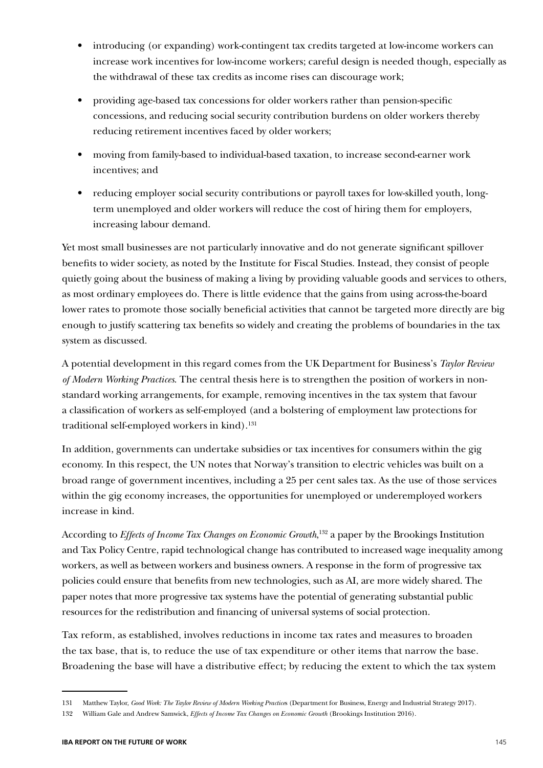- introducing (or expanding) work-contingent tax credits targeted at low-income workers can increase work incentives for low-income workers; careful design is needed though, especially as the withdrawal of these tax credits as income rises can discourage work;
- providing age-based tax concessions for older workers rather than pension-specific concessions, and reducing social security contribution burdens on older workers thereby reducing retirement incentives faced by older workers;
- moving from family-based to individual-based taxation, to increase second-earner work incentives; and
- reducing employer social security contributions or payroll taxes for low-skilled youth, longterm unemployed and older workers will reduce the cost of hiring them for employers, increasing labour demand.

Yet most small businesses are not particularly innovative and do not generate significant spillover benefits to wider society, as noted by the Institute for Fiscal Studies. Instead, they consist of people quietly going about the business of making a living by providing valuable goods and services to others, as most ordinary employees do. There is little evidence that the gains from using across-the-board lower rates to promote those socially beneficial activities that cannot be targeted more directly are big enough to justify scattering tax benefits so widely and creating the problems of boundaries in the tax system as discussed.

A potential development in this regard comes from the UK Department for Business's *Taylor Review of Modern Working Practices*. The central thesis here is to strengthen the position of workers in nonstandard working arrangements, for example, removing incentives in the tax system that favour a classification of workers as self-employed (and a bolstering of employment law protections for traditional self-employed workers in kind).<sup>131</sup>

In addition, governments can undertake subsidies or tax incentives for consumers within the gig economy. In this respect, the UN notes that Norway's transition to electric vehicles was built on a broad range of government incentives, including a 25 per cent sales tax. As the use of those services within the gig economy increases, the opportunities for unemployed or underemployed workers increase in kind.

According to *Effects of Income Tax Changes on Economic Growth*, 132 a paper by the Brookings Institution and Tax Policy Centre, rapid technological change has contributed to increased wage inequality among workers, as well as between workers and business owners. A response in the form of progressive tax policies could ensure that benefits from new technologies, such as AI, are more widely shared. The paper notes that more progressive tax systems have the potential of generating substantial public resources for the redistribution and financing of universal systems of social protection.

Tax reform, as established, involves reductions in income tax rates and measures to broaden the tax base, that is, to reduce the use of tax expenditure or other items that narrow the base. Broadening the base will have a distributive effect; by reducing the extent to which the tax system

<sup>131</sup> Matthew Taylor, *Good Work: The Taylor Review of Modern Working Practice*s (Department for Business, Energy and Industrial Strategy 2017).

<sup>132</sup> William Gale and Andrew Samwick, *Effects of Income Tax Changes on Economic Growth* (Brookings Institution 2016).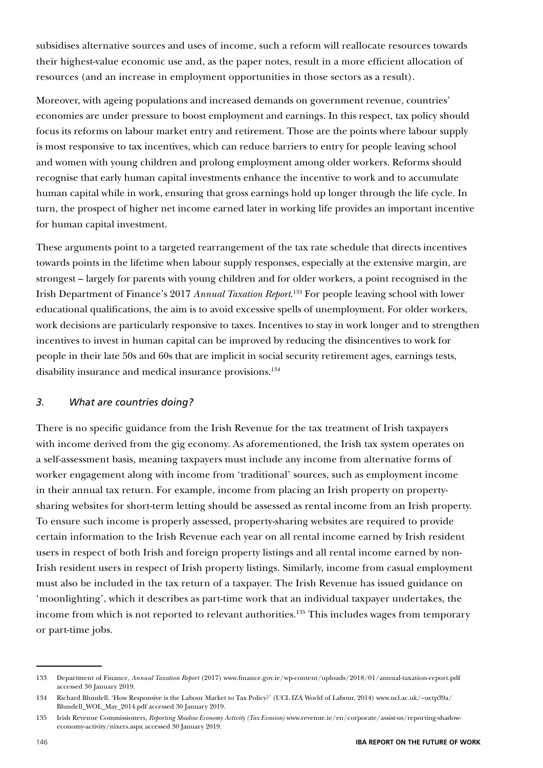subsidises alternative sources and uses of income, such a reform will reallocate resources towards their highest-value economic use and, as the paper notes, result in a more efficient allocation of resources (and an increase in employment opportunities in those sectors as a result).

Moreover, with ageing populations and increased demands on government revenue, countries' economies are under pressure to boost employment and earnings. In this respect, tax policy should focus its reforms on labour market entry and retirement. Those are the points where labour supply is most responsive to tax incentives, which can reduce barriers to entry for people leaving school and women with young children and prolong employment among older workers. Reforms should recognise that early human capital investments enhance the incentive to work and to accumulate human capital while in work, ensuring that gross earnings hold up longer through the life cycle. In turn, the prospect of higher net income earned later in working life provides an important incentive for human capital investment.

These arguments point to a targeted rearrangement of the tax rate schedule that directs incentives towards points in the lifetime when labour supply responses, especially at the extensive margin, are strongest – largely for parents with young children and for older workers, a point recognised in the Irish Department of Finance's 2017 *Annual Taxation Report*. 133 For people leaving school with lower educational qualifications, the aim is to avoid excessive spells of unemployment. For older workers, work decisions are particularly responsive to taxes. Incentives to stay in work longer and to strengthen incentives to invest in human capital can be improved by reducing the disincentives to work for people in their late 50s and 60s that are implicit in social security retirement ages, earnings tests, disability insurance and medical insurance provisions.<sup>134</sup>

### *3. What are countries doing?*

There is no specific guidance from the Irish Revenue for the tax treatment of Irish taxpayers with income derived from the gig economy. As aforementioned, the Irish tax system operates on a self-assessment basis, meaning taxpayers must include any income from alternative forms of worker engagement along with income from 'traditional' sources, such as employment income in their annual tax return. For example, income from placing an Irish property on propertysharing websites for short-term letting should be assessed as rental income from an Irish property. To ensure such income is properly assessed, property-sharing websites are required to provide certain information to the Irish Revenue each year on all rental income earned by Irish resident users in respect of both Irish and foreign property listings and all rental income earned by non-Irish resident users in respect of Irish property listings. Similarly, income from casual employment must also be included in the tax return of a taxpayer. The Irish Revenue has issued guidance on 'moonlighting', which it describes as part-time work that an individual taxpayer undertakes, the income from which is not reported to relevant authorities.<sup>135</sup> This includes wages from temporary or part-time jobs.

<sup>133</sup> Department of Finance, *Annual Taxation Report* (2017) www.finance.gov.ie/wp-content/uploads/2018/01/annual-taxation-report.pdf accessed 30 January 2019.

<sup>134</sup> Richard Blundell, 'How Responsive is the Labour Market to Tax Policy?' (UCL IZA World of Labour, 2014) www.ucl.ac.uk/~uctp39a/ Blundell\_WOL\_May\_2014.pdf accessed 30 January 2019.

<sup>135</sup> Irish Revenue Commissioners, *Reporting Shadow Economy Activity (Tax Evasion)* www.revenue.ie/en/corporate/assist-us/reporting-shadoweconomy-activity/nixers.aspx accessed 30 January 2019.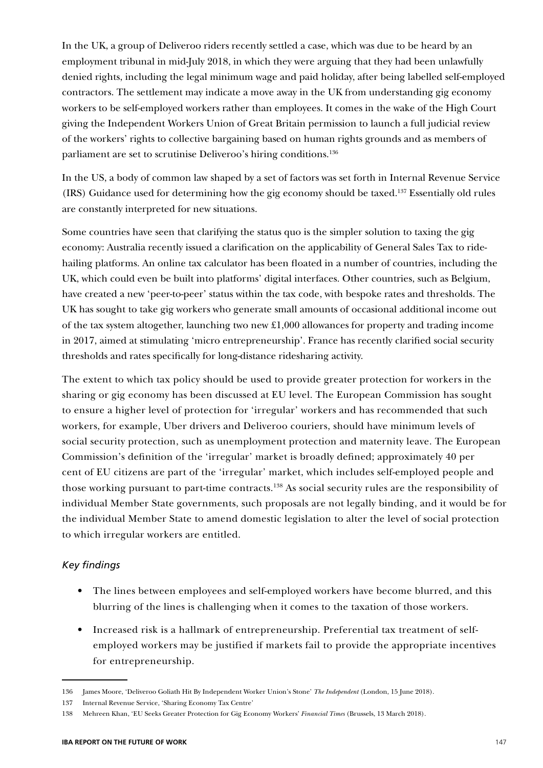In the UK, a group of Deliveroo riders recently settled a case, which was due to be heard by an employment tribunal in mid-July 2018, in which they were arguing that they had been unlawfully denied rights, including the legal minimum wage and paid holiday, after being labelled self-employed contractors. The settlement may indicate a move away in the UK from understanding gig economy workers to be self-employed workers rather than employees. It comes in the wake of the High Court giving the Independent Workers Union of Great Britain permission to launch a full judicial review of the workers' rights to collective bargaining based on human rights grounds and as members of parliament are set to scrutinise Deliveroo's hiring conditions.136

In the US, a body of common law shaped by a set of factors was set forth in Internal Revenue Service (IRS) Guidance used for determining how the gig economy should be taxed.137 Essentially old rules are constantly interpreted for new situations.

Some countries have seen that clarifying the status quo is the simpler solution to taxing the gig economy: Australia recently issued a clarification on the applicability of General Sales Tax to ridehailing platforms. An online tax calculator has been floated in a number of countries, including the UK, which could even be built into platforms' digital interfaces. Other countries, such as Belgium, have created a new 'peer-to-peer' status within the tax code, with bespoke rates and thresholds. The UK has sought to take gig workers who generate small amounts of occasional additional income out of the tax system altogether, launching two new  $\pounds1,000$  allowances for property and trading income in 2017, aimed at stimulating 'micro entrepreneurship'. France has recently clarified social security thresholds and rates specifically for long-distance ridesharing activity.

The extent to which tax policy should be used to provide greater protection for workers in the sharing or gig economy has been discussed at EU level. The European Commission has sought to ensure a higher level of protection for 'irregular' workers and has recommended that such workers, for example, Uber drivers and Deliveroo couriers, should have minimum levels of social security protection, such as unemployment protection and maternity leave. The European Commission's definition of the 'irregular' market is broadly defined; approximately 40 per cent of EU citizens are part of the 'irregular' market, which includes self-employed people and those working pursuant to part-time contracts.138 As social security rules are the responsibility of individual Member State governments, such proposals are not legally binding, and it would be for the individual Member State to amend domestic legislation to alter the level of social protection to which irregular workers are entitled.

#### *Key findings*

- The lines between employees and self-employed workers have become blurred, and this blurring of the lines is challenging when it comes to the taxation of those workers.
- Increased risk is a hallmark of entrepreneurship. Preferential tax treatment of selfemployed workers may be justified if markets fail to provide the appropriate incentives for entrepreneurship.

<sup>136</sup> James Moore, 'Deliveroo Goliath Hit By Independent Worker Union's Stone' *The Independent* (London, 15 June 2018).

<sup>137</sup> Internal Revenue Service, 'Sharing Economy Tax Centre'

<sup>138</sup> Mehreen Khan, 'EU Seeks Greater Protection for Gig Economy Workers' *Financial Times* (Brussels, 13 March 2018).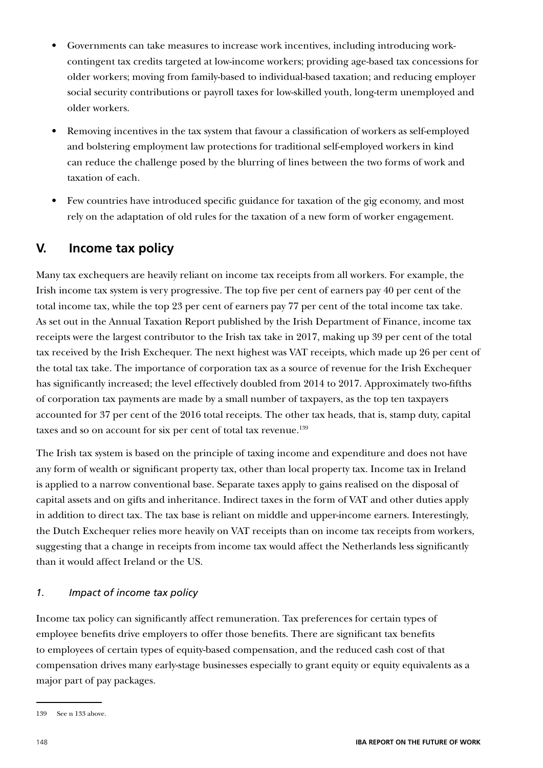- Governments can take measures to increase work incentives, including introducing workcontingent tax credits targeted at low-income workers; providing age-based tax concessions for older workers; moving from family-based to individual-based taxation; and reducing employer social security contributions or payroll taxes for low-skilled youth, long-term unemployed and older workers.
- Removing incentives in the tax system that favour a classification of workers as self-employed and bolstering employment law protections for traditional self-employed workers in kind can reduce the challenge posed by the blurring of lines between the two forms of work and taxation of each.
- Few countries have introduced specific guidance for taxation of the gig economy, and most rely on the adaptation of old rules for the taxation of a new form of worker engagement.

### **V. Income tax policy**

Many tax exchequers are heavily reliant on income tax receipts from all workers. For example, the Irish income tax system is very progressive. The top five per cent of earners pay 40 per cent of the total income tax, while the top 23 per cent of earners pay 77 per cent of the total income tax take. As set out in the Annual Taxation Report published by the Irish Department of Finance, income tax receipts were the largest contributor to the Irish tax take in 2017, making up 39 per cent of the total tax received by the Irish Exchequer. The next highest was VAT receipts, which made up 26 per cent of the total tax take. The importance of corporation tax as a source of revenue for the Irish Exchequer has significantly increased; the level effectively doubled from 2014 to 2017. Approximately two-fifths of corporation tax payments are made by a small number of taxpayers, as the top ten taxpayers accounted for 37 per cent of the 2016 total receipts. The other tax heads, that is, stamp duty, capital taxes and so on account for six per cent of total tax revenue.<sup>139</sup>

The Irish tax system is based on the principle of taxing income and expenditure and does not have any form of wealth or significant property tax, other than local property tax. Income tax in Ireland is applied to a narrow conventional base. Separate taxes apply to gains realised on the disposal of capital assets and on gifts and inheritance. Indirect taxes in the form of VAT and other duties apply in addition to direct tax. The tax base is reliant on middle and upper-income earners. Interestingly, the Dutch Exchequer relies more heavily on VAT receipts than on income tax receipts from workers, suggesting that a change in receipts from income tax would affect the Netherlands less significantly than it would affect Ireland or the US.

### *1. Impact of income tax policy*

Income tax policy can significantly affect remuneration. Tax preferences for certain types of employee benefits drive employers to offer those benefits. There are significant tax benefits to employees of certain types of equity-based compensation, and the reduced cash cost of that compensation drives many early-stage businesses especially to grant equity or equity equivalents as a major part of pay packages.

<sup>139</sup> See n 133 above.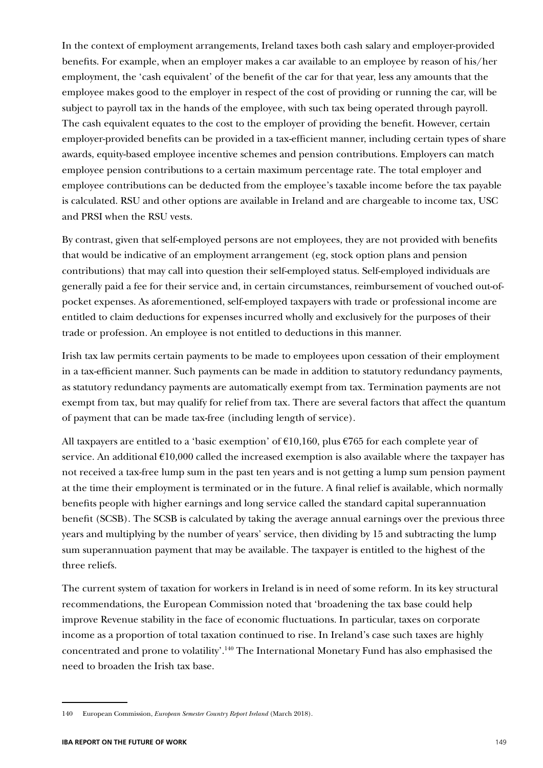In the context of employment arrangements, Ireland taxes both cash salary and employer-provided benefits. For example, when an employer makes a car available to an employee by reason of his/her employment, the 'cash equivalent' of the benefit of the car for that year, less any amounts that the employee makes good to the employer in respect of the cost of providing or running the car, will be subject to payroll tax in the hands of the employee, with such tax being operated through payroll. The cash equivalent equates to the cost to the employer of providing the benefit. However, certain employer-provided benefits can be provided in a tax-efficient manner, including certain types of share awards, equity-based employee incentive schemes and pension contributions. Employers can match employee pension contributions to a certain maximum percentage rate. The total employer and employee contributions can be deducted from the employee's taxable income before the tax payable is calculated. RSU and other options are available in Ireland and are chargeable to income tax, USC and PRSI when the RSU vests.

By contrast, given that self-employed persons are not employees, they are not provided with benefits that would be indicative of an employment arrangement (eg, stock option plans and pension contributions) that may call into question their self-employed status. Self-employed individuals are generally paid a fee for their service and, in certain circumstances, reimbursement of vouched out-ofpocket expenses. As aforementioned, self-employed taxpayers with trade or professional income are entitled to claim deductions for expenses incurred wholly and exclusively for the purposes of their trade or profession. An employee is not entitled to deductions in this manner.

Irish tax law permits certain payments to be made to employees upon cessation of their employment in a tax-efficient manner. Such payments can be made in addition to statutory redundancy payments, as statutory redundancy payments are automatically exempt from tax. Termination payments are not exempt from tax, but may qualify for relief from tax. There are several factors that affect the quantum of payment that can be made tax-free (including length of service).

All taxpayers are entitled to a 'basic exemption' of  $\epsilon$ 10,160, plus  $\epsilon$ 765 for each complete year of service. An additional  $E10,000$  called the increased exemption is also available where the taxpayer has not received a tax-free lump sum in the past ten years and is not getting a lump sum pension payment at the time their employment is terminated or in the future. A final relief is available, which normally benefits people with higher earnings and long service called the standard capital superannuation benefit (SCSB). The SCSB is calculated by taking the average annual earnings over the previous three years and multiplying by the number of years' service, then dividing by 15 and subtracting the lump sum superannuation payment that may be available. The taxpayer is entitled to the highest of the three reliefs.

The current system of taxation for workers in Ireland is in need of some reform. In its key structural recommendations, the European Commission noted that 'broadening the tax base could help improve Revenue stability in the face of economic fluctuations. In particular, taxes on corporate income as a proportion of total taxation continued to rise. In Ireland's case such taxes are highly concentrated and prone to volatility'.140 The International Monetary Fund has also emphasised the need to broaden the Irish tax base.

<sup>140</sup> European Commission, *European Semester Country Report Ireland* (March 2018).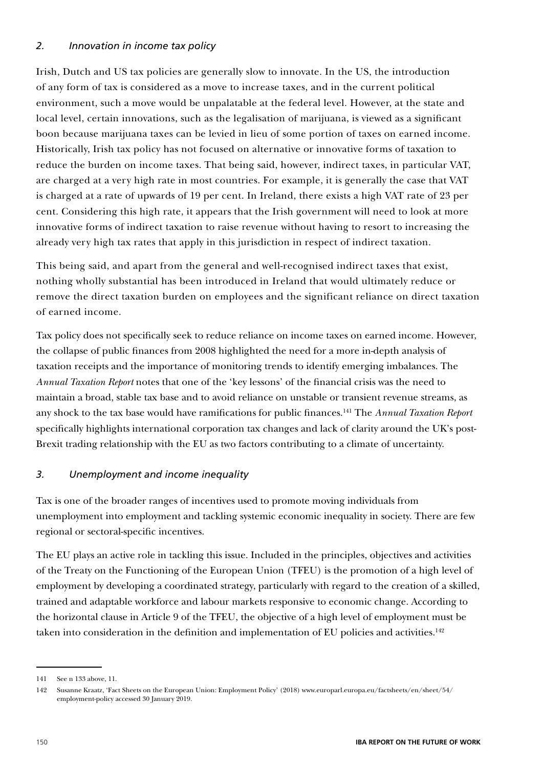### *2. Innovation in income tax policy*

Irish, Dutch and US tax policies are generally slow to innovate. In the US, the introduction of any form of tax is considered as a move to increase taxes, and in the current political environment, such a move would be unpalatable at the federal level. However, at the state and local level, certain innovations, such as the legalisation of marijuana, is viewed as a significant boon because marijuana taxes can be levied in lieu of some portion of taxes on earned income. Historically, Irish tax policy has not focused on alternative or innovative forms of taxation to reduce the burden on income taxes. That being said, however, indirect taxes, in particular VAT, are charged at a very high rate in most countries. For example, it is generally the case that VAT is charged at a rate of upwards of 19 per cent. In Ireland, there exists a high VAT rate of 23 per cent. Considering this high rate, it appears that the Irish government will need to look at more innovative forms of indirect taxation to raise revenue without having to resort to increasing the already very high tax rates that apply in this jurisdiction in respect of indirect taxation.

This being said, and apart from the general and well-recognised indirect taxes that exist, nothing wholly substantial has been introduced in Ireland that would ultimately reduce or remove the direct taxation burden on employees and the significant reliance on direct taxation of earned income.

Tax policy does not specifically seek to reduce reliance on income taxes on earned income. However, the collapse of public finances from 2008 highlighted the need for a more in-depth analysis of taxation receipts and the importance of monitoring trends to identify emerging imbalances. The *Annual Taxation Report* notes that one of the 'key lessons' of the financial crisis was the need to maintain a broad, stable tax base and to avoid reliance on unstable or transient revenue streams, as any shock to the tax base would have ramifications for public finances.141 The *Annual Taxation Report* specifically highlights international corporation tax changes and lack of clarity around the UK's post-Brexit trading relationship with the EU as two factors contributing to a climate of uncertainty.

#### *3. Unemployment and income inequality*

Tax is one of the broader ranges of incentives used to promote moving individuals from unemployment into employment and tackling systemic economic inequality in society. There are few regional or sectoral-specific incentives.

The EU plays an active role in tackling this issue. Included in the principles, objectives and activities of the Treaty on the Functioning of the European Union (TFEU) is the promotion of a high level of employment by developing a coordinated strategy, particularly with regard to the creation of a skilled, trained and adaptable workforce and labour markets responsive to economic change. According to the horizontal clause in Article 9 of the TFEU, the objective of a high level of employment must be taken into consideration in the definition and implementation of EU policies and activities.<sup>142</sup>

<sup>141</sup> See n 133 above, 11.

<sup>142</sup> Susanne Kraatz, 'Fact Sheets on the European Union: Employment Policy' (2018) www.europarl.europa.eu/factsheets/en/sheet/54/ employment-policy accessed 30 January 2019.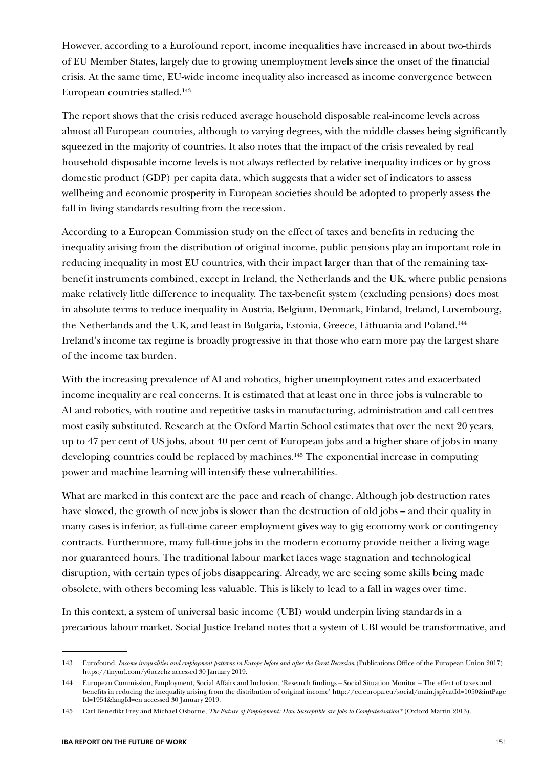However, according to a Eurofound report, income inequalities have increased in about two-thirds of EU Member States, largely due to growing unemployment levels since the onset of the financial crisis. At the same time, EU-wide income inequality also increased as income convergence between European countries stalled.<sup>143</sup>

The report shows that the crisis reduced average household disposable real-income levels across almost all European countries, although to varying degrees, with the middle classes being significantly squeezed in the majority of countries. It also notes that the impact of the crisis revealed by real household disposable income levels is not always reflected by relative inequality indices or by gross domestic product (GDP) per capita data, which suggests that a wider set of indicators to assess wellbeing and economic prosperity in European societies should be adopted to properly assess the fall in living standards resulting from the recession.

According to a European Commission study on the effect of taxes and benefits in reducing the inequality arising from the distribution of original income, public pensions play an important role in reducing inequality in most EU countries, with their impact larger than that of the remaining taxbenefit instruments combined, except in Ireland, the Netherlands and the UK, where public pensions make relatively little difference to inequality. The tax-benefit system (excluding pensions) does most in absolute terms to reduce inequality in Austria, Belgium, Denmark, Finland, Ireland, Luxembourg, the Netherlands and the UK, and least in Bulgaria, Estonia, Greece, Lithuania and Poland.<sup>144</sup> Ireland's income tax regime is broadly progressive in that those who earn more pay the largest share of the income tax burden.

With the increasing prevalence of AI and robotics, higher unemployment rates and exacerbated income inequality are real concerns. It is estimated that at least one in three jobs is vulnerable to AI and robotics, with routine and repetitive tasks in manufacturing, administration and call centres most easily substituted. Research at the Oxford Martin School estimates that over the next 20 years, up to 47 per cent of US jobs, about 40 per cent of European jobs and a higher share of jobs in many developing countries could be replaced by machines.<sup>145</sup> The exponential increase in computing power and machine learning will intensify these vulnerabilities.

What are marked in this context are the pace and reach of change. Although job destruction rates have slowed, the growth of new jobs is slower than the destruction of old jobs – and their quality in many cases is inferior, as full-time career employment gives way to gig economy work or contingency contracts. Furthermore, many full-time jobs in the modern economy provide neither a living wage nor guaranteed hours. The traditional labour market faces wage stagnation and technological disruption, with certain types of jobs disappearing. Already, we are seeing some skills being made obsolete, with others becoming less valuable. This is likely to lead to a fall in wages over time.

In this context, a system of universal basic income (UBI) would underpin living standards in a precarious labour market. Social Justice Ireland notes that a system of UBI would be transformative, and

<sup>143</sup> Eurofound, *Income inequalities and employment patterns in Europe before and after the Great Recession* (Publications Office of the European Union 2017) https://tinyurl.com/y6uczehz accessed 30 January 2019.

<sup>144</sup> European Commission, Employment, Social Affairs and Inclusion, 'Research findings – Social Situation Monitor – The effect of taxes and benefits in reducing the inequality arising from the distribution of original income' http://ec.europa.eu/social/main.jsp?catId=1050&intPage Id=1954&langId=en accessed 30 January 2019.

<sup>145</sup> Carl Benedikt Frey and Michael Osborne, *The Future of Employment: How Susceptible are Jobs to Computerisation?* (Oxford Martin 2013).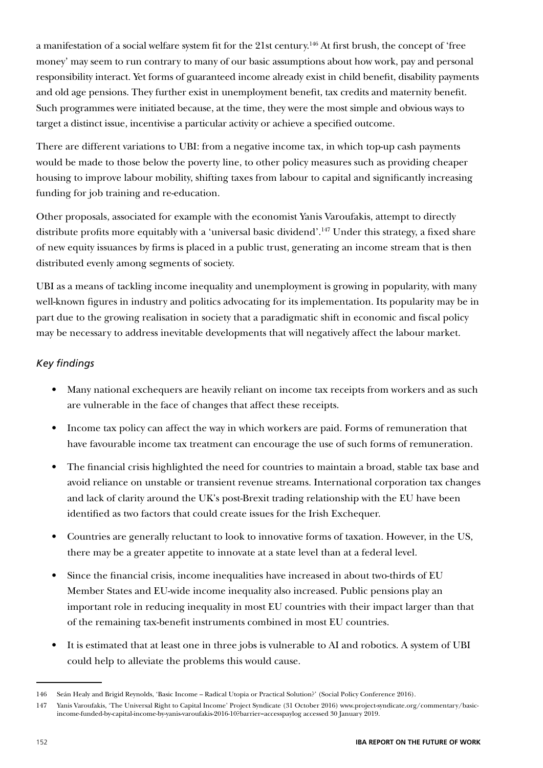a manifestation of a social welfare system fit for the 21st century.146 At first brush, the concept of 'free money' may seem to run contrary to many of our basic assumptions about how work, pay and personal responsibility interact. Yet forms of guaranteed income already exist in child benefit, disability payments and old age pensions. They further exist in unemployment benefit, tax credits and maternity benefit. Such programmes were initiated because, at the time, they were the most simple and obvious ways to target a distinct issue, incentivise a particular activity or achieve a specified outcome.

There are different variations to UBI: from a negative income tax, in which top-up cash payments would be made to those below the poverty line, to other policy measures such as providing cheaper housing to improve labour mobility, shifting taxes from labour to capital and significantly increasing funding for job training and re-education.

Other proposals, associated for example with the economist Yanis Varoufakis, attempt to directly distribute profits more equitably with a 'universal basic dividend'.<sup>147</sup> Under this strategy, a fixed share of new equity issuances by firms is placed in a public trust, generating an income stream that is then distributed evenly among segments of society.

UBI as a means of tackling income inequality and unemployment is growing in popularity, with many well-known figures in industry and politics advocating for its implementation. Its popularity may be in part due to the growing realisation in society that a paradigmatic shift in economic and fiscal policy may be necessary to address inevitable developments that will negatively affect the labour market.

### *Key findings*

- Many national exchequers are heavily reliant on income tax receipts from workers and as such are vulnerable in the face of changes that affect these receipts.
- Income tax policy can affect the way in which workers are paid. Forms of remuneration that have favourable income tax treatment can encourage the use of such forms of remuneration.
- The financial crisis highlighted the need for countries to maintain a broad, stable tax base and avoid reliance on unstable or transient revenue streams. International corporation tax changes and lack of clarity around the UK's post-Brexit trading relationship with the EU have been identified as two factors that could create issues for the Irish Exchequer.
- Countries are generally reluctant to look to innovative forms of taxation. However, in the US, there may be a greater appetite to innovate at a state level than at a federal level.
- Since the financial crisis, income inequalities have increased in about two-thirds of EU Member States and EU-wide income inequality also increased. Public pensions play an important role in reducing inequality in most EU countries with their impact larger than that of the remaining tax-benefit instruments combined in most EU countries.
- It is estimated that at least one in three jobs is vulnerable to AI and robotics. A system of UBI could help to alleviate the problems this would cause.

<sup>146</sup> Seán Healy and Brigid Reynolds, 'Basic Income – Radical Utopia or Practical Solution?' (Social Policy Conference 2016).

<sup>147</sup> Yanis Varoufakis, 'The Universal Right to Capital Income' Project Syndicate (31 October 2016) www.project-syndicate.org/commentary/basicincome-funded-by-capital-income-by-yanis-varoufakis-2016-10?barrier=accesspaylog accessed 30 January 2019.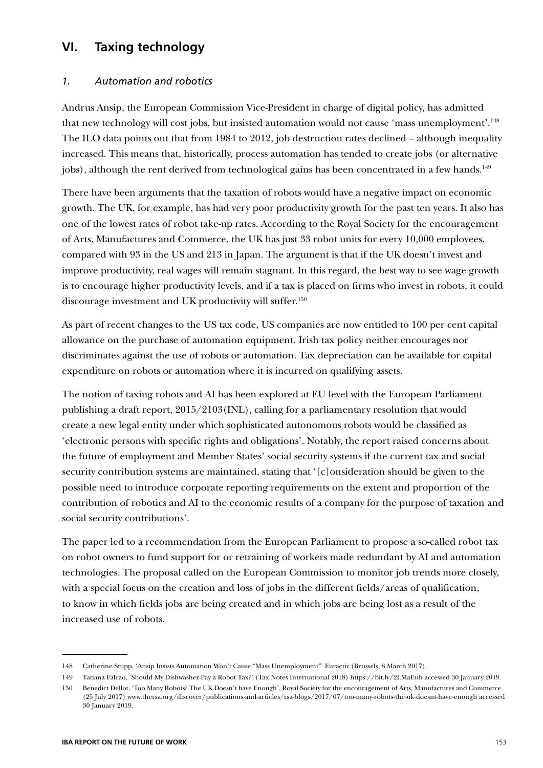### **VI. Taxing technology**

### *1. Automation and robotics*

Andrus Ansip, the European Commission Vice-President in charge of digital policy, has admitted that new technology will cost jobs, but insisted automation would not cause 'mass unemployment'.148 The ILO data points out that from 1984 to 2012, job destruction rates declined – although inequality increased. This means that, historically, process automation has tended to create jobs (or alternative jobs), although the rent derived from technological gains has been concentrated in a few hands.<sup>149</sup>

There have been arguments that the taxation of robots would have a negative impact on economic growth. The UK, for example, has had very poor productivity growth for the past ten years. It also has one of the lowest rates of robot take-up rates. According to the Royal Society for the encouragement of Arts, Manufactures and Commerce, the UK has just 33 robot units for every 10,000 employees, compared with 93 in the US and 213 in Japan. The argument is that if the UK doesn't invest and improve productivity, real wages will remain stagnant. In this regard, the best way to see wage growth is to encourage higher productivity levels, and if a tax is placed on firms who invest in robots, it could discourage investment and UK productivity will suffer.150

As part of recent changes to the US tax code, US companies are now entitled to 100 per cent capital allowance on the purchase of automation equipment. Irish tax policy neither encourages nor discriminates against the use of robots or automation. Tax depreciation can be available for capital expenditure on robots or automation where it is incurred on qualifying assets.

The notion of taxing robots and AI has been explored at EU level with the European Parliament publishing a draft report, 2015/2103(INL), calling for a parliamentary resolution that would create a new legal entity under which sophisticated autonomous robots would be classified as 'electronic persons with specific rights and obligations'. Notably, the report raised concerns about the future of employment and Member States' social security systems if the current tax and social security contribution systems are maintained, stating that '[c]onsideration should be given to the possible need to introduce corporate reporting requirements on the extent and proportion of the contribution of robotics and AI to the economic results of a company for the purpose of taxation and social security contributions'.

The paper led to a recommendation from the European Parliament to propose a so-called robot tax on robot owners to fund support for or retraining of workers made redundant by AI and automation technologies. The proposal called on the European Commission to monitor job trends more closely, with a special focus on the creation and loss of jobs in the different fields/areas of qualification, to know in which fields jobs are being created and in which jobs are being lost as a result of the increased use of robots.

<sup>148</sup> Catherine Stupp, 'Ansip Insists Automation Won't Cause "Mass Unemployment"' Euractiv (Brussels, 8 March 2017).

<sup>149</sup> Tatiana Falcao, 'Should My Dishwasher Pay a Robot Tax?' (Tax Notes International 2018) https://bit.ly/2LMaEuh accessed 30 January 2019.

<sup>150</sup> Benedict Dellot, 'Too Many Robots? The UK Doesn't have Enough', Royal Society for the encouragement of Arts, Manufactures and Commerce (25 July 2017) www.thersa.org/discover/publications-and-articles/rsa-blogs/2017/07/too-many-robots-the-uk-doesnt-have-enough accessed 30 January 2019.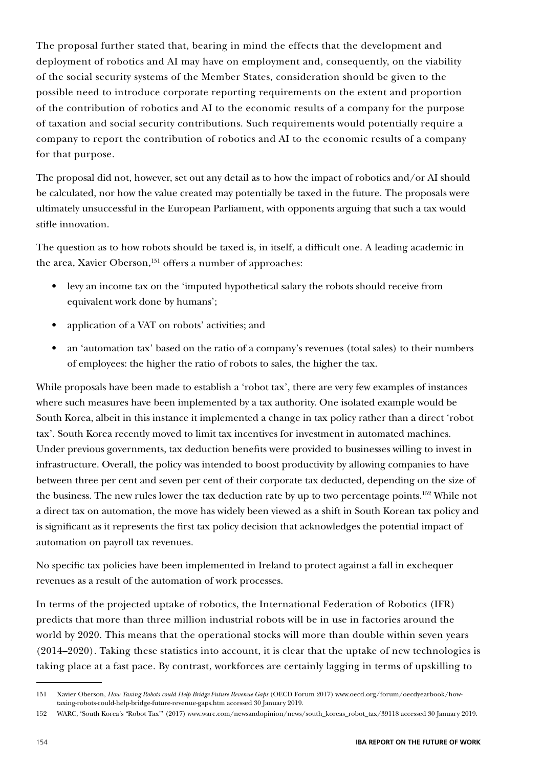The proposal further stated that, bearing in mind the effects that the development and deployment of robotics and AI may have on employment and, consequently, on the viability of the social security systems of the Member States, consideration should be given to the possible need to introduce corporate reporting requirements on the extent and proportion of the contribution of robotics and AI to the economic results of a company for the purpose of taxation and social security contributions. Such requirements would potentially require a company to report the contribution of robotics and AI to the economic results of a company for that purpose.

The proposal did not, however, set out any detail as to how the impact of robotics and/or AI should be calculated, nor how the value created may potentially be taxed in the future. The proposals were ultimately unsuccessful in the European Parliament, with opponents arguing that such a tax would stifle innovation.

The question as to how robots should be taxed is, in itself, a difficult one. A leading academic in the area, Xavier Oberson,<sup>151</sup> offers a number of approaches:

- levy an income tax on the 'imputed hypothetical salary the robots should receive from equivalent work done by humans';
- application of a VAT on robots' activities; and
- an 'automation tax' based on the ratio of a company's revenues (total sales) to their numbers of employees: the higher the ratio of robots to sales, the higher the tax.

While proposals have been made to establish a 'robot tax', there are very few examples of instances where such measures have been implemented by a tax authority. One isolated example would be South Korea, albeit in this instance it implemented a change in tax policy rather than a direct 'robot tax'. South Korea recently moved to limit tax incentives for investment in automated machines. Under previous governments, tax deduction benefits were provided to businesses willing to invest in infrastructure. Overall, the policy was intended to boost productivity by allowing companies to have between three per cent and seven per cent of their corporate tax deducted, depending on the size of the business. The new rules lower the tax deduction rate by up to two percentage points.<sup>152</sup> While not a direct tax on automation, the move has widely been viewed as a shift in South Korean tax policy and is significant as it represents the first tax policy decision that acknowledges the potential impact of automation on payroll tax revenues.

No specific tax policies have been implemented in Ireland to protect against a fall in exchequer revenues as a result of the automation of work processes.

In terms of the projected uptake of robotics, the International Federation of Robotics (IFR) predicts that more than three million industrial robots will be in use in factories around the world by 2020. This means that the operational stocks will more than double within seven years (2014–2020). Taking these statistics into account, it is clear that the uptake of new technologies is taking place at a fast pace. By contrast, workforces are certainly lagging in terms of upskilling to

<sup>151</sup> Xavier Oberson, *How Taxing Robots could Help Bridge Future Revenue Gaps* (OECD Forum 2017) www.oecd.org/forum/oecdyearbook/howtaxing-robots-could-help-bridge-future-revenue-gaps.htm accessed 30 January 2019.

<sup>152</sup> WARC, 'South Korea's "Robot Tax"' (2017) www.warc.com/newsandopinion/news/south\_koreas\_robot\_tax/39118 accessed 30 January 2019.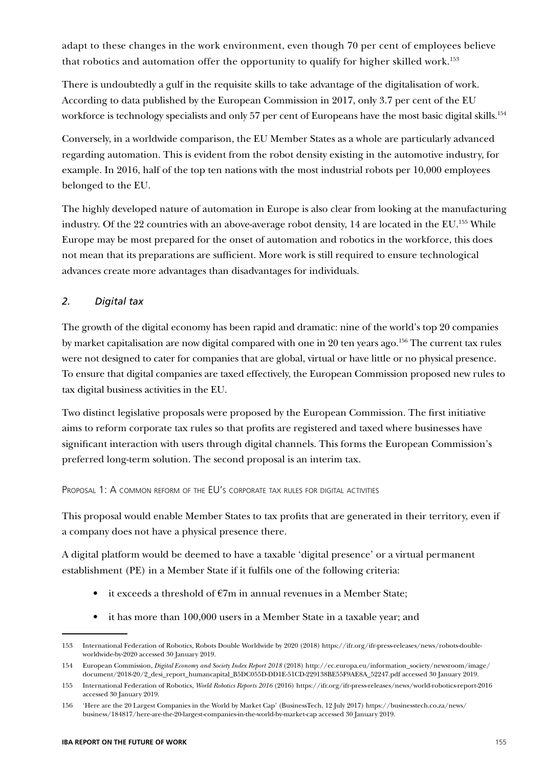adapt to these changes in the work environment, even though 70 per cent of employees believe that robotics and automation offer the opportunity to qualify for higher skilled work.<sup>153</sup>

There is undoubtedly a gulf in the requisite skills to take advantage of the digitalisation of work. According to data published by the European Commission in 2017, only 3.7 per cent of the EU workforce is technology specialists and only 57 per cent of Europeans have the most basic digital skills.<sup>154</sup>

Conversely, in a worldwide comparison, the EU Member States as a whole are particularly advanced regarding automation. This is evident from the robot density existing in the automotive industry, for example. In 2016, half of the top ten nations with the most industrial robots per 10,000 employees belonged to the EU.

The highly developed nature of automation in Europe is also clear from looking at the manufacturing industry. Of the 22 countries with an above-average robot density, 14 are located in the EU.155 While Europe may be most prepared for the onset of automation and robotics in the workforce, this does not mean that its preparations are sufficient. More work is still required to ensure technological advances create more advantages than disadvantages for individuals.

### *2. Digital tax*

The growth of the digital economy has been rapid and dramatic: nine of the world's top 20 companies by market capitalisation are now digital compared with one in 20 ten years ago.<sup>156</sup> The current tax rules were not designed to cater for companies that are global, virtual or have little or no physical presence. To ensure that digital companies are taxed effectively, the European Commission proposed new rules to tax digital business activities in the EU.

Two distinct legislative proposals were proposed by the European Commission. The first initiative aims to reform corporate tax rules so that profits are registered and taxed where businesses have significant interaction with users through digital channels. This forms the European Commission's preferred long-term solution. The second proposal is an interim tax.

#### Proposal 1: A common reform of the EU's corporate tax rules for digital activities

This proposal would enable Member States to tax profits that are generated in their territory, even if a company does not have a physical presence there.

A digital platform would be deemed to have a taxable 'digital presence' or a virtual permanent establishment (PE) in a Member State if it fulfils one of the following criteria:

- it exceeds a threshold of  $\epsilon$ 7m in annual revenues in a Member State;
- it has more than 100,000 users in a Member State in a taxable year; and

<sup>153</sup> International Federation of Robotics, Robots Double Worldwide by 2020 (2018) https://ifr.org/ifr-press-releases/news/robots-doubleworldwide-by-2020 accessed 30 January 2019.

<sup>154</sup> European Commission, *Digital Economy and Society Index Report 2018* (2018) http://ec.europa.eu/information\_society/newsroom/image/ document/2018-20/2\_desi\_report\_humancapital\_B5DC055D-DD1E-51CD-229138BE55F9AE8A\_52247.pdf accessed 30 January 2019.

<sup>155</sup> International Federation of Robotics, *World Robotics Reports 2016* (2016) https://ifr.org/ifr-press-releases/news/world-robotics-report-2016 accessed 30 January 2019.

<sup>156</sup> 'Here are the 20 Largest Companies in the World by Market Cap' (BusinessTech, 12 July 2017) https://businesstech.co.za/news/ business/184817/here-are-the-20-largest-companies-in-the-world-by-market-cap accessed 30 January 2019.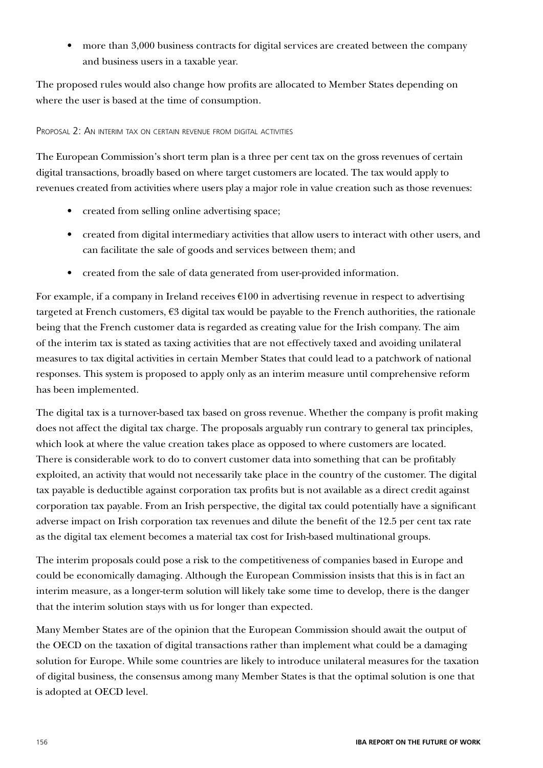• more than 3,000 business contracts for digital services are created between the company and business users in a taxable year.

The proposed rules would also change how profits are allocated to Member States depending on where the user is based at the time of consumption.

#### Proposal 2: An interim tax on certain revenue from digital activities

The European Commission's short term plan is a three per cent tax on the gross revenues of certain digital transactions, broadly based on where target customers are located. The tax would apply to revenues created from activities where users play a major role in value creation such as those revenues:

- created from selling online advertising space;
- created from digital intermediary activities that allow users to interact with other users, and can facilitate the sale of goods and services between them; and
- created from the sale of data generated from user-provided information.

For example, if a company in Ireland receives  $\epsilon$ 100 in advertising revenue in respect to advertising targeted at French customers,  $E3$  digital tax would be payable to the French authorities, the rationale being that the French customer data is regarded as creating value for the Irish company. The aim of the interim tax is stated as taxing activities that are not effectively taxed and avoiding unilateral measures to tax digital activities in certain Member States that could lead to a patchwork of national responses. This system is proposed to apply only as an interim measure until comprehensive reform has been implemented.

The digital tax is a turnover-based tax based on gross revenue. Whether the company is profit making does not affect the digital tax charge. The proposals arguably run contrary to general tax principles, which look at where the value creation takes place as opposed to where customers are located. There is considerable work to do to convert customer data into something that can be profitably exploited, an activity that would not necessarily take place in the country of the customer. The digital tax payable is deductible against corporation tax profits but is not available as a direct credit against corporation tax payable. From an Irish perspective, the digital tax could potentially have a significant adverse impact on Irish corporation tax revenues and dilute the benefit of the 12.5 per cent tax rate as the digital tax element becomes a material tax cost for Irish-based multinational groups.

The interim proposals could pose a risk to the competitiveness of companies based in Europe and could be economically damaging. Although the European Commission insists that this is in fact an interim measure, as a longer-term solution will likely take some time to develop, there is the danger that the interim solution stays with us for longer than expected.

Many Member States are of the opinion that the European Commission should await the output of the OECD on the taxation of digital transactions rather than implement what could be a damaging solution for Europe. While some countries are likely to introduce unilateral measures for the taxation of digital business, the consensus among many Member States is that the optimal solution is one that is adopted at OECD level.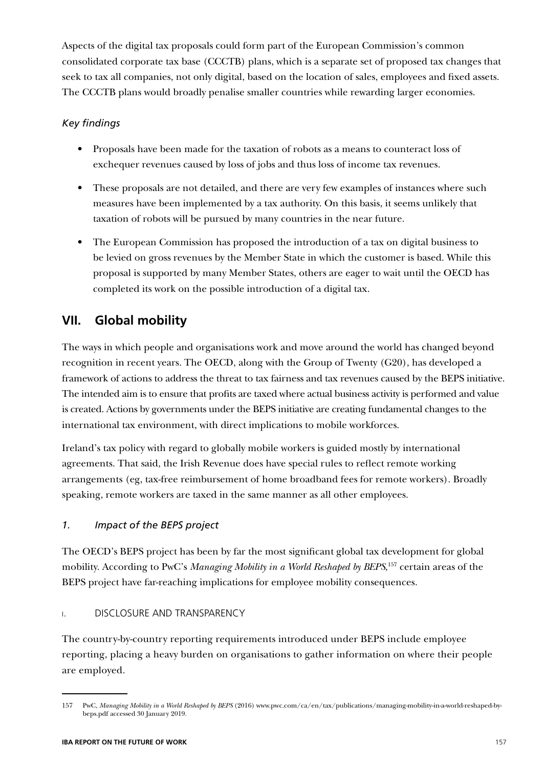Aspects of the digital tax proposals could form part of the European Commission's common consolidated corporate tax base (CCCTB) plans, which is a separate set of proposed tax changes that seek to tax all companies, not only digital, based on the location of sales, employees and fixed assets. The CCCTB plans would broadly penalise smaller countries while rewarding larger economies.

### *Key findings*

- Proposals have been made for the taxation of robots as a means to counteract loss of exchequer revenues caused by loss of jobs and thus loss of income tax revenues.
- These proposals are not detailed, and there are very few examples of instances where such measures have been implemented by a tax authority. On this basis, it seems unlikely that taxation of robots will be pursued by many countries in the near future.
- The European Commission has proposed the introduction of a tax on digital business to be levied on gross revenues by the Member State in which the customer is based. While this proposal is supported by many Member States, others are eager to wait until the OECD has completed its work on the possible introduction of a digital tax.

### **VII. Global mobility**

The ways in which people and organisations work and move around the world has changed beyond recognition in recent years. The OECD, along with the Group of Twenty (G20), has developed a framework of actions to address the threat to tax fairness and tax revenues caused by the BEPS initiative. The intended aim is to ensure that profits are taxed where actual business activity is performed and value is created. Actions by governments under the BEPS initiative are creating fundamental changes to the international tax environment, with direct implications to mobile workforces.

Ireland's tax policy with regard to globally mobile workers is guided mostly by international agreements. That said, the Irish Revenue does have special rules to reflect remote working arrangements (eg, tax-free reimbursement of home broadband fees for remote workers). Broadly speaking, remote workers are taxed in the same manner as all other employees.

### *1. Impact of the BEPS project*

The OECD's BEPS project has been by far the most significant global tax development for global mobility. According to PwC's *Managing Mobility in a World Reshaped by BEPS*, 157 certain areas of the BEPS project have far-reaching implications for employee mobility consequences.

### i. DISCLOSURE AND TRANSPARENCY

The country-by-country reporting requirements introduced under BEPS include employee reporting, placing a heavy burden on organisations to gather information on where their people are employed.

<sup>157</sup> PwC, *Managing Mobility in a World Reshaped by BEPS* (2016) www.pwc.com/ca/en/tax/publications/managing-mobility-in-a-world-reshaped-bybeps.pdf accessed 30 January 2019.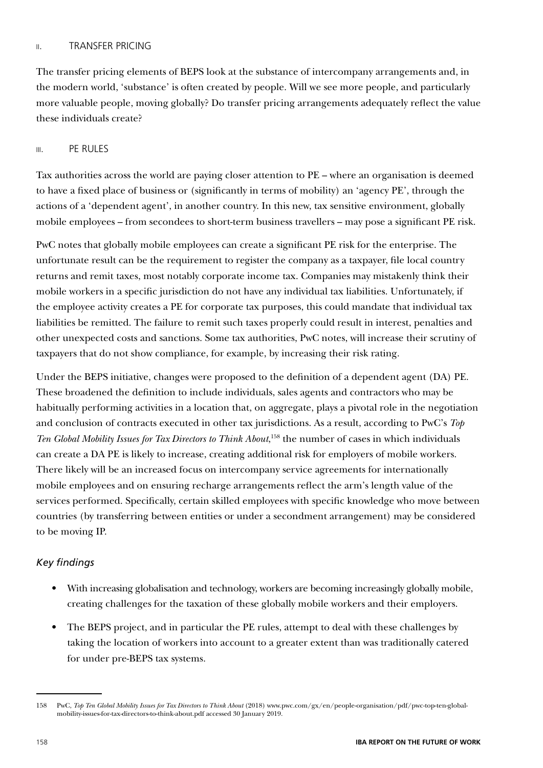#### ii. TRANSFER PRICING

The transfer pricing elements of BEPS look at the substance of intercompany arrangements and, in the modern world, 'substance' is often created by people. Will we see more people, and particularly more valuable people, moving globally? Do transfer pricing arrangements adequately reflect the value these individuals create?

#### iii. PE RULES

Tax authorities across the world are paying closer attention to PE – where an organisation is deemed to have a fixed place of business or (significantly in terms of mobility) an 'agency PE', through the actions of a 'dependent agent', in another country. In this new, tax sensitive environment, globally mobile employees – from secondees to short-term business travellers – may pose a significant PE risk.

PwC notes that globally mobile employees can create a significant PE risk for the enterprise. The unfortunate result can be the requirement to register the company as a taxpayer, file local country returns and remit taxes, most notably corporate income tax. Companies may mistakenly think their mobile workers in a specific jurisdiction do not have any individual tax liabilities. Unfortunately, if the employee activity creates a PE for corporate tax purposes, this could mandate that individual tax liabilities be remitted. The failure to remit such taxes properly could result in interest, penalties and other unexpected costs and sanctions. Some tax authorities, PwC notes, will increase their scrutiny of taxpayers that do not show compliance, for example, by increasing their risk rating.

Under the BEPS initiative, changes were proposed to the definition of a dependent agent (DA) PE. These broadened the definition to include individuals, sales agents and contractors who may be habitually performing activities in a location that, on aggregate, plays a pivotal role in the negotiation and conclusion of contracts executed in other tax jurisdictions. As a result, according to PwC's *Top Ten Global Mobility Issues for Tax Directors to Think About*, 158 the number of cases in which individuals can create a DA PE is likely to increase, creating additional risk for employers of mobile workers. There likely will be an increased focus on intercompany service agreements for internationally mobile employees and on ensuring recharge arrangements reflect the arm's length value of the services performed. Specifically, certain skilled employees with specific knowledge who move between countries (by transferring between entities or under a secondment arrangement) may be considered to be moving IP.

### *Key findings*

- With increasing globalisation and technology, workers are becoming increasingly globally mobile, creating challenges for the taxation of these globally mobile workers and their employers.
- The BEPS project, and in particular the PE rules, attempt to deal with these challenges by taking the location of workers into account to a greater extent than was traditionally catered for under pre-BEPS tax systems.

<sup>158</sup> PwC, *Top Ten Global Mobility Issues for Tax Directors to Think About* (2018) www.pwc.com/gx/en/people-organisation/pdf/pwc-top-ten-globalmobility-issues-for-tax-directors-to-think-about.pdf accessed 30 January 2019.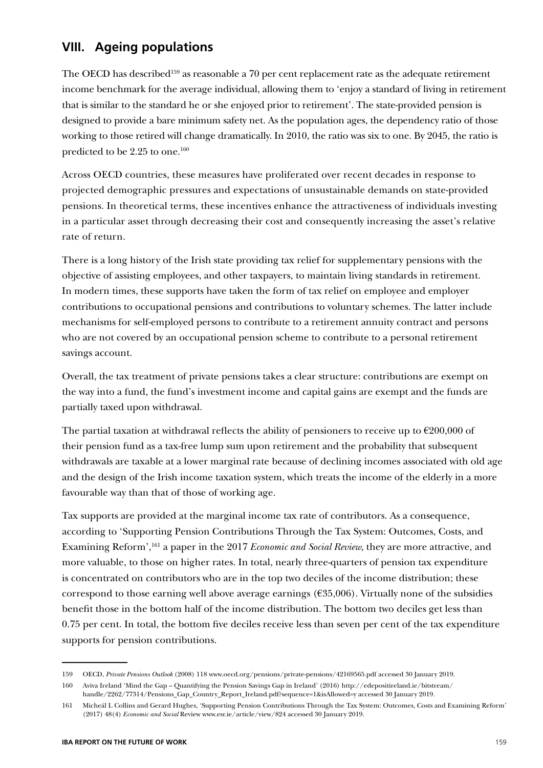### **VIII. Ageing populations**

The OECD has described<sup>159</sup> as reasonable a 70 per cent replacement rate as the adequate retirement income benchmark for the average individual, allowing them to 'enjoy a standard of living in retirement that is similar to the standard he or she enjoyed prior to retirement'. The state-provided pension is designed to provide a bare minimum safety net. As the population ages, the dependency ratio of those working to those retired will change dramatically. In 2010, the ratio was six to one. By 2045, the ratio is predicted to be 2.25 to one.160

Across OECD countries, these measures have proliferated over recent decades in response to projected demographic pressures and expectations of unsustainable demands on state-provided pensions. In theoretical terms, these incentives enhance the attractiveness of individuals investing in a particular asset through decreasing their cost and consequently increasing the asset's relative rate of return.

There is a long history of the Irish state providing tax relief for supplementary pensions with the objective of assisting employees, and other taxpayers, to maintain living standards in retirement. In modern times, these supports have taken the form of tax relief on employee and employer contributions to occupational pensions and contributions to voluntary schemes. The latter include mechanisms for self-employed persons to contribute to a retirement annuity contract and persons who are not covered by an occupational pension scheme to contribute to a personal retirement savings account.

Overall, the tax treatment of private pensions takes a clear structure: contributions are exempt on the way into a fund, the fund's investment income and capital gains are exempt and the funds are partially taxed upon withdrawal.

The partial taxation at withdrawal reflects the ability of pensioners to receive up to  $\epsilon$ 200,000 of their pension fund as a tax-free lump sum upon retirement and the probability that subsequent withdrawals are taxable at a lower marginal rate because of declining incomes associated with old age and the design of the Irish income taxation system, which treats the income of the elderly in a more favourable way than that of those of working age.

Tax supports are provided at the marginal income tax rate of contributors. As a consequence, according to 'Supporting Pension Contributions Through the Tax System: Outcomes, Costs, and Examining Reform',161 a paper in the 2017 *Economic and Social Review*, they are more attractive, and more valuable, to those on higher rates. In total, nearly three-quarters of pension tax expenditure is concentrated on contributors who are in the top two deciles of the income distribution; these correspond to those earning well above average earnings  $(635,006)$ . Virtually none of the subsidies benefit those in the bottom half of the income distribution. The bottom two deciles get less than 0.75 per cent. In total, the bottom five deciles receive less than seven per cent of the tax expenditure supports for pension contributions.

<sup>159</sup> OECD, *Private Pensions Outlook* (2008) 118 www.oecd.org/pensions/private-pensions/42169565.pdf accessed 30 January 2019.

<sup>160</sup> Aviva Ireland 'Mind the Gap – Quantifying the Pension Savings Gap in Ireland' (2016) http://edepositireland.ie/bitstream/ handle/2262/77314/Pensions Gap Country Report Ireland.pdf?sequence=1&isAllowed=y accessed 30 January 2019.

<sup>161</sup> Micheál L Collins and Gerard Hughes, 'Supporting Pension Contributions Through the Tax System: Outcomes, Costs and Examining Reform' (2017) 48(4) *Economic and Social* Review www.esr.ie/article/view/824 accessed 30 January 2019.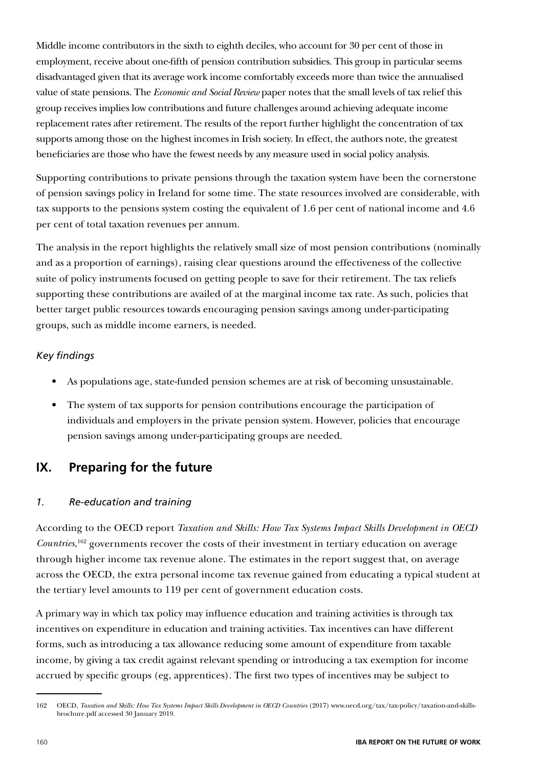Middle income contributors in the sixth to eighth deciles, who account for 30 per cent of those in employment, receive about one-fifth of pension contribution subsidies. This group in particular seems disadvantaged given that its average work income comfortably exceeds more than twice the annualised value of state pensions. The *Economic and Social Review* paper notes that the small levels of tax relief this group receives implies low contributions and future challenges around achieving adequate income replacement rates after retirement. The results of the report further highlight the concentration of tax supports among those on the highest incomes in Irish society. In effect, the authors note, the greatest beneficiaries are those who have the fewest needs by any measure used in social policy analysis.

Supporting contributions to private pensions through the taxation system have been the cornerstone of pension savings policy in Ireland for some time. The state resources involved are considerable, with tax supports to the pensions system costing the equivalent of 1.6 per cent of national income and 4.6 per cent of total taxation revenues per annum.

The analysis in the report highlights the relatively small size of most pension contributions (nominally and as a proportion of earnings), raising clear questions around the effectiveness of the collective suite of policy instruments focused on getting people to save for their retirement. The tax reliefs supporting these contributions are availed of at the marginal income tax rate. As such, policies that better target public resources towards encouraging pension savings among under-participating groups, such as middle income earners, is needed.

### *Key findings*

- As populations age, state-funded pension schemes are at risk of becoming unsustainable.
- The system of tax supports for pension contributions encourage the participation of individuals and employers in the private pension system. However, policies that encourage pension savings among under-participating groups are needed.

### **IX. Preparing for the future**

### *1. Re-education and training*

According to the OECD report *Taxation and Skills: How Tax Systems Impact Skills Development in OECD Countries*, 162 governments recover the costs of their investment in tertiary education on average through higher income tax revenue alone. The estimates in the report suggest that, on average across the OECD, the extra personal income tax revenue gained from educating a typical student at the tertiary level amounts to 119 per cent of government education costs.

A primary way in which tax policy may influence education and training activities is through tax incentives on expenditure in education and training activities. Tax incentives can have different forms, such as introducing a tax allowance reducing some amount of expenditure from taxable income, by giving a tax credit against relevant spending or introducing a tax exemption for income accrued by specific groups (eg, apprentices). The first two types of incentives may be subject to

<sup>162</sup> OECD, *Taxation and Skills: How Tax Systems Impact Skills Development in OECD Countries* (2017) www.oecd.org/tax/tax-policy/taxation-and-skillsbrochure.pdf accessed 30 January 2019.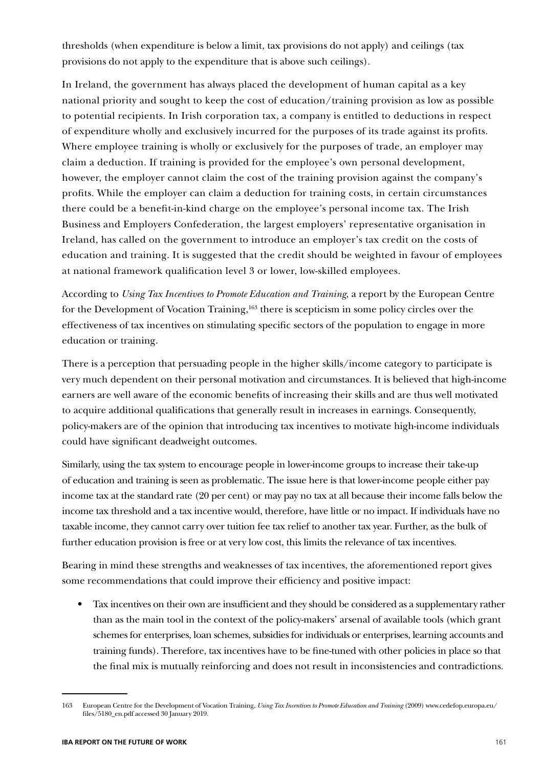thresholds (when expenditure is below a limit, tax provisions do not apply) and ceilings (tax provisions do not apply to the expenditure that is above such ceilings).

In Ireland, the government has always placed the development of human capital as a key national priority and sought to keep the cost of education/training provision as low as possible to potential recipients. In Irish corporation tax, a company is entitled to deductions in respect of expenditure wholly and exclusively incurred for the purposes of its trade against its profits. Where employee training is wholly or exclusively for the purposes of trade, an employer may claim a deduction. If training is provided for the employee's own personal development, however, the employer cannot claim the cost of the training provision against the company's profits. While the employer can claim a deduction for training costs, in certain circumstances there could be a benefit-in-kind charge on the employee's personal income tax. The Irish Business and Employers Confederation, the largest employers' representative organisation in Ireland, has called on the government to introduce an employer's tax credit on the costs of education and training. It is suggested that the credit should be weighted in favour of employees at national framework qualification level 3 or lower, low-skilled employees.

According to *Using Tax Incentives to Promote Education and Training*, a report by the European Centre for the Development of Vocation Training,<sup>163</sup> there is scepticism in some policy circles over the effectiveness of tax incentives on stimulating specific sectors of the population to engage in more education or training.

There is a perception that persuading people in the higher skills/income category to participate is very much dependent on their personal motivation and circumstances. It is believed that high-income earners are well aware of the economic benefits of increasing their skills and are thus well motivated to acquire additional qualifications that generally result in increases in earnings. Consequently, policy-makers are of the opinion that introducing tax incentives to motivate high-income individuals could have significant deadweight outcomes.

Similarly, using the tax system to encourage people in lower-income groups to increase their take-up of education and training is seen as problematic. The issue here is that lower-income people either pay income tax at the standard rate (20 per cent) or may pay no tax at all because their income falls below the income tax threshold and a tax incentive would, therefore, have little or no impact. If individuals have no taxable income, they cannot carry over tuition fee tax relief to another tax year. Further, as the bulk of further education provision is free or at very low cost, this limits the relevance of tax incentives.

Bearing in mind these strengths and weaknesses of tax incentives, the aforementioned report gives some recommendations that could improve their efficiency and positive impact:

• Tax incentives on their own are insufficient and they should be considered as a supplementary rather than as the main tool in the context of the policy-makers' arsenal of available tools (which grant schemes for enterprises, loan schemes, subsidies for individuals or enterprises, learning accounts and training funds). Therefore, tax incentives have to be fine-tuned with other policies in place so that the final mix is mutually reinforcing and does not result in inconsistencies and contradictions.

<sup>163</sup> European Centre for the Development of Vocation Training, *Using Tax Incentives to Promote Education and Training* (2009) www.cedefop.europa.eu/ files/5180\_en.pdf accessed 30 January 2019.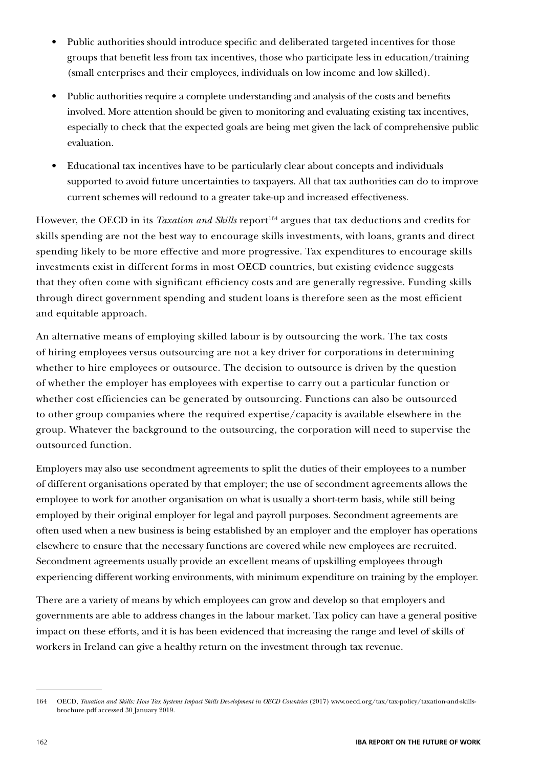- Public authorities should introduce specific and deliberated targeted incentives for those groups that benefit less from tax incentives, those who participate less in education/training (small enterprises and their employees, individuals on low income and low skilled).
- Public authorities require a complete understanding and analysis of the costs and benefits involved. More attention should be given to monitoring and evaluating existing tax incentives, especially to check that the expected goals are being met given the lack of comprehensive public evaluation.
- Educational tax incentives have to be particularly clear about concepts and individuals supported to avoid future uncertainties to taxpayers. All that tax authorities can do to improve current schemes will redound to a greater take-up and increased effectiveness.

However, the OECD in its *Taxation and Skills* report<sup>164</sup> argues that tax deductions and credits for skills spending are not the best way to encourage skills investments, with loans, grants and direct spending likely to be more effective and more progressive. Tax expenditures to encourage skills investments exist in different forms in most OECD countries, but existing evidence suggests that they often come with significant efficiency costs and are generally regressive. Funding skills through direct government spending and student loans is therefore seen as the most efficient and equitable approach.

An alternative means of employing skilled labour is by outsourcing the work. The tax costs of hiring employees versus outsourcing are not a key driver for corporations in determining whether to hire employees or outsource. The decision to outsource is driven by the question of whether the employer has employees with expertise to carry out a particular function or whether cost efficiencies can be generated by outsourcing. Functions can also be outsourced to other group companies where the required expertise/capacity is available elsewhere in the group. Whatever the background to the outsourcing, the corporation will need to supervise the outsourced function.

Employers may also use secondment agreements to split the duties of their employees to a number of different organisations operated by that employer; the use of secondment agreements allows the employee to work for another organisation on what is usually a short-term basis, while still being employed by their original employer for legal and payroll purposes. Secondment agreements are often used when a new business is being established by an employer and the employer has operations elsewhere to ensure that the necessary functions are covered while new employees are recruited. Secondment agreements usually provide an excellent means of upskilling employees through experiencing different working environments, with minimum expenditure on training by the employer.

There are a variety of means by which employees can grow and develop so that employers and governments are able to address changes in the labour market. Tax policy can have a general positive impact on these efforts, and it is has been evidenced that increasing the range and level of skills of workers in Ireland can give a healthy return on the investment through tax revenue.

<sup>164</sup> OECD, *Taxation and Skills: How Tax Systems Impact Skills Development in OECD Countries* (2017) www.oecd.org/tax/tax-policy/taxation-and-skillsbrochure.pdf accessed 30 January 2019.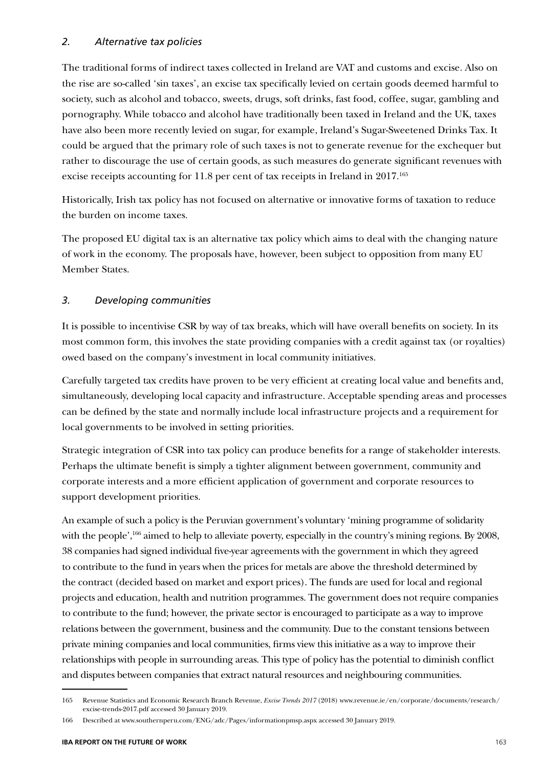The traditional forms of indirect taxes collected in Ireland are VAT and customs and excise. Also on the rise are so-called 'sin taxes', an excise tax specifically levied on certain goods deemed harmful to society, such as alcohol and tobacco, sweets, drugs, soft drinks, fast food, coffee, sugar, gambling and pornography. While tobacco and alcohol have traditionally been taxed in Ireland and the UK, taxes have also been more recently levied on sugar, for example, Ireland's Sugar-Sweetened Drinks Tax. It could be argued that the primary role of such taxes is not to generate revenue for the exchequer but rather to discourage the use of certain goods, as such measures do generate significant revenues with excise receipts accounting for 11.8 per cent of tax receipts in Ireland in 2017.165

Historically, Irish tax policy has not focused on alternative or innovative forms of taxation to reduce the burden on income taxes.

The proposed EU digital tax is an alternative tax policy which aims to deal with the changing nature of work in the economy. The proposals have, however, been subject to opposition from many EU Member States.

### *3. Developing communities*

It is possible to incentivise CSR by way of tax breaks, which will have overall benefits on society. In its most common form, this involves the state providing companies with a credit against tax (or royalties) owed based on the company's investment in local community initiatives.

Carefully targeted tax credits have proven to be very efficient at creating local value and benefits and, simultaneously, developing local capacity and infrastructure. Acceptable spending areas and processes can be defined by the state and normally include local infrastructure projects and a requirement for local governments to be involved in setting priorities.

Strategic integration of CSR into tax policy can produce benefits for a range of stakeholder interests. Perhaps the ultimate benefit is simply a tighter alignment between government, community and corporate interests and a more efficient application of government and corporate resources to support development priorities.

An example of such a policy is the Peruvian government's voluntary 'mining programme of solidarity with the people',<sup>166</sup> aimed to help to alleviate poverty, especially in the country's mining regions. By 2008, 38 companies had signed individual five-year agreements with the government in which they agreed to contribute to the fund in years when the prices for metals are above the threshold determined by the contract (decided based on market and export prices). The funds are used for local and regional projects and education, health and nutrition programmes. The government does not require companies to contribute to the fund; however, the private sector is encouraged to participate as a way to improve relations between the government, business and the community. Due to the constant tensions between private mining companies and local communities, firms view this initiative as a way to improve their relationships with people in surrounding areas. This type of policy has the potential to diminish conflict and disputes between companies that extract natural resources and neighbouring communities.

<sup>165</sup> Revenue Statistics and Economic Research Branch Revenue, *Excise Trends 2017* (2018) www.revenue.ie/en/corporate/documents/research/ excise-trends-2017.pdf accessed 30 January 2019.

<sup>166</sup> Described at www.southernperu.com/ENG/adc/Pages/informationpmsp.aspx accessed 30 January 2019.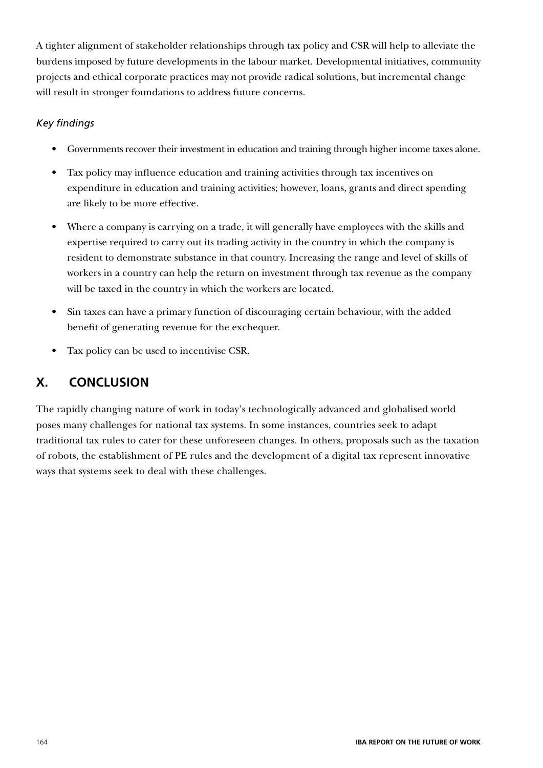A tighter alignment of stakeholder relationships through tax policy and CSR will help to alleviate the burdens imposed by future developments in the labour market. Developmental initiatives, community projects and ethical corporate practices may not provide radical solutions, but incremental change will result in stronger foundations to address future concerns.

### *Key findings*

- Governments recover their investment in education and training through higher income taxes alone.
- Tax policy may influence education and training activities through tax incentives on expenditure in education and training activities; however, loans, grants and direct spending are likely to be more effective.
- Where a company is carrying on a trade, it will generally have employees with the skills and expertise required to carry out its trading activity in the country in which the company is resident to demonstrate substance in that country. Increasing the range and level of skills of workers in a country can help the return on investment through tax revenue as the company will be taxed in the country in which the workers are located.
- Sin taxes can have a primary function of discouraging certain behaviour, with the added benefit of generating revenue for the exchequer.
- Tax policy can be used to incentivise CSR.

### **X. CONCLUSION**

The rapidly changing nature of work in today's technologically advanced and globalised world poses many challenges for national tax systems. In some instances, countries seek to adapt traditional tax rules to cater for these unforeseen changes. In others, proposals such as the taxation of robots, the establishment of PE rules and the development of a digital tax represent innovative ways that systems seek to deal with these challenges.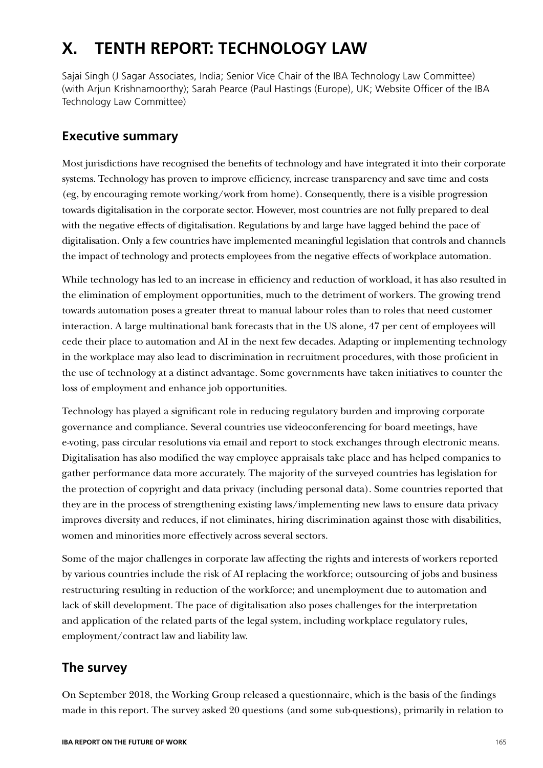## **X. TENTH REPORT: TECHNOLOGY LAW**

Sajai Singh (J Sagar Associates, India; Senior Vice Chair of the IBA Technology Law Committee) (with Arjun Krishnamoorthy); Sarah Pearce (Paul Hastings (Europe), UK; Website Officer of the IBA Technology Law Committee)

### **Executive summary**

Most jurisdictions have recognised the benefits of technology and have integrated it into their corporate systems. Technology has proven to improve efficiency, increase transparency and save time and costs (eg, by encouraging remote working/work from home). Consequently, there is a visible progression towards digitalisation in the corporate sector. However, most countries are not fully prepared to deal with the negative effects of digitalisation. Regulations by and large have lagged behind the pace of digitalisation. Only a few countries have implemented meaningful legislation that controls and channels the impact of technology and protects employees from the negative effects of workplace automation.

While technology has led to an increase in efficiency and reduction of workload, it has also resulted in the elimination of employment opportunities, much to the detriment of workers. The growing trend towards automation poses a greater threat to manual labour roles than to roles that need customer interaction. A large multinational bank forecasts that in the US alone, 47 per cent of employees will cede their place to automation and AI in the next few decades. Adapting or implementing technology in the workplace may also lead to discrimination in recruitment procedures, with those proficient in the use of technology at a distinct advantage. Some governments have taken initiatives to counter the loss of employment and enhance job opportunities.

Technology has played a significant role in reducing regulatory burden and improving corporate governance and compliance. Several countries use videoconferencing for board meetings, have e-voting, pass circular resolutions via email and report to stock exchanges through electronic means. Digitalisation has also modified the way employee appraisals take place and has helped companies to gather performance data more accurately. The majority of the surveyed countries has legislation for the protection of copyright and data privacy (including personal data). Some countries reported that they are in the process of strengthening existing laws/implementing new laws to ensure data privacy improves diversity and reduces, if not eliminates, hiring discrimination against those with disabilities, women and minorities more effectively across several sectors.

Some of the major challenges in corporate law affecting the rights and interests of workers reported by various countries include the risk of AI replacing the workforce; outsourcing of jobs and business restructuring resulting in reduction of the workforce; and unemployment due to automation and lack of skill development. The pace of digitalisation also poses challenges for the interpretation and application of the related parts of the legal system, including workplace regulatory rules, employment/contract law and liability law.

### **The survey**

On September 2018, the Working Group released a questionnaire, which is the basis of the findings made in this report. The survey asked 20 questions (and some sub-questions), primarily in relation to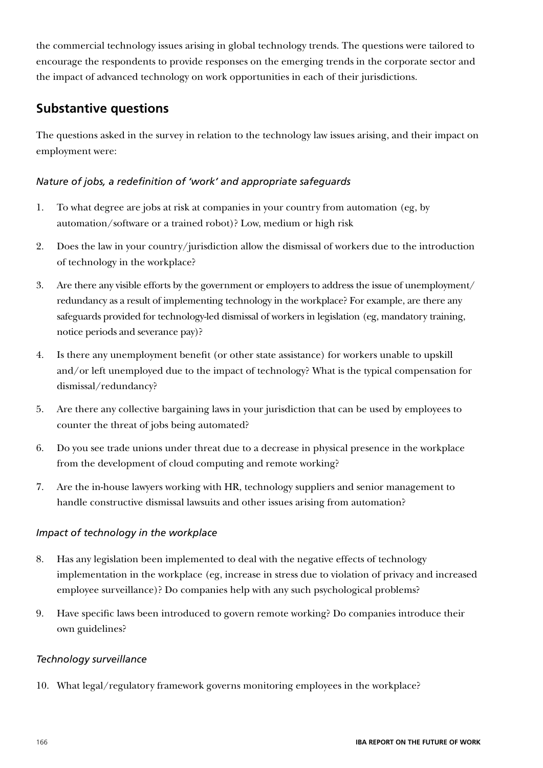the commercial technology issues arising in global technology trends. The questions were tailored to encourage the respondents to provide responses on the emerging trends in the corporate sector and the impact of advanced technology on work opportunities in each of their jurisdictions.

### **Substantive questions**

The questions asked in the survey in relation to the technology law issues arising, and their impact on employment were:

### *Nature of jobs, a redefinition of 'work' and appropriate safeguards*

- 1. To what degree are jobs at risk at companies in your country from automation (eg, by automation/software or a trained robot)? Low, medium or high risk
- 2. Does the law in your country/jurisdiction allow the dismissal of workers due to the introduction of technology in the workplace?
- 3. Are there any visible efforts by the government or employers to address the issue of unemployment/ redundancy as a result of implementing technology in the workplace? For example, are there any safeguards provided for technology-led dismissal of workers in legislation (eg, mandatory training, notice periods and severance pay)?
- 4. Is there any unemployment benefit (or other state assistance) for workers unable to upskill and/or left unemployed due to the impact of technology? What is the typical compensation for dismissal/redundancy?
- 5. Are there any collective bargaining laws in your jurisdiction that can be used by employees to counter the threat of jobs being automated?
- 6. Do you see trade unions under threat due to a decrease in physical presence in the workplace from the development of cloud computing and remote working?
- 7. Are the in-house lawyers working with HR, technology suppliers and senior management to handle constructive dismissal lawsuits and other issues arising from automation?

### *Impact of technology in the workplace*

- 8. Has any legislation been implemented to deal with the negative effects of technology implementation in the workplace (eg, increase in stress due to violation of privacy and increased employee surveillance)? Do companies help with any such psychological problems?
- 9. Have specific laws been introduced to govern remote working? Do companies introduce their own guidelines?

### *Technology surveillance*

10. What legal/regulatory framework governs monitoring employees in the workplace?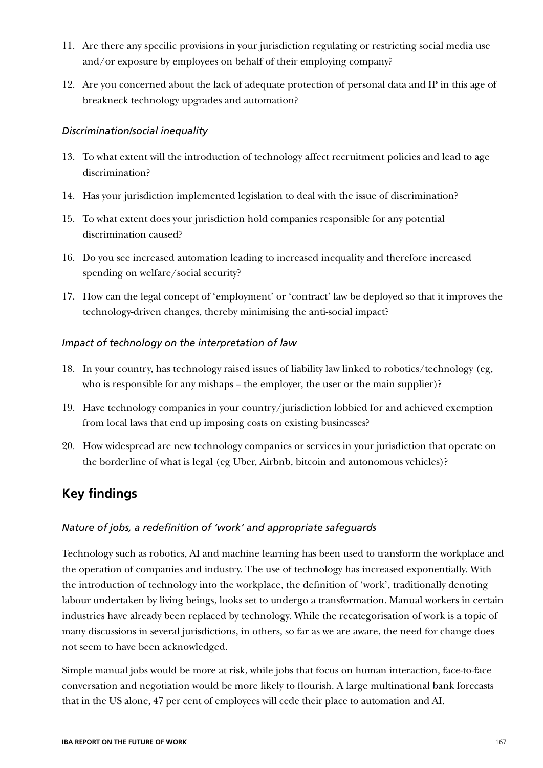- 11. Are there any specific provisions in your jurisdiction regulating or restricting social media use and/or exposure by employees on behalf of their employing company?
- 12. Are you concerned about the lack of adequate protection of personal data and IP in this age of breakneck technology upgrades and automation?

### *Discrimination/social inequality*

- 13. To what extent will the introduction of technology affect recruitment policies and lead to age discrimination?
- 14. Has your jurisdiction implemented legislation to deal with the issue of discrimination?
- 15. To what extent does your jurisdiction hold companies responsible for any potential discrimination caused?
- 16. Do you see increased automation leading to increased inequality and therefore increased spending on welfare/social security?
- 17. How can the legal concept of 'employment' or 'contract' law be deployed so that it improves the technology-driven changes, thereby minimising the anti-social impact?

### *Impact of technology on the interpretation of law*

- 18. In your country, has technology raised issues of liability law linked to robotics/technology (eg, who is responsible for any mishaps – the employer, the user or the main supplier)?
- 19. Have technology companies in your country/jurisdiction lobbied for and achieved exemption from local laws that end up imposing costs on existing businesses?
- 20. How widespread are new technology companies or services in your jurisdiction that operate on the borderline of what is legal (eg Uber, Airbnb, bitcoin and autonomous vehicles)?

### **Key findings**

### *Nature of jobs, a redefinition of 'work' and appropriate safeguards*

Technology such as robotics, AI and machine learning has been used to transform the workplace and the operation of companies and industry. The use of technology has increased exponentially. With the introduction of technology into the workplace, the definition of 'work', traditionally denoting labour undertaken by living beings, looks set to undergo a transformation. Manual workers in certain industries have already been replaced by technology. While the recategorisation of work is a topic of many discussions in several jurisdictions, in others, so far as we are aware, the need for change does not seem to have been acknowledged.

Simple manual jobs would be more at risk, while jobs that focus on human interaction, face-to-face conversation and negotiation would be more likely to flourish. A large multinational bank forecasts that in the US alone, 47 per cent of employees will cede their place to automation and AI.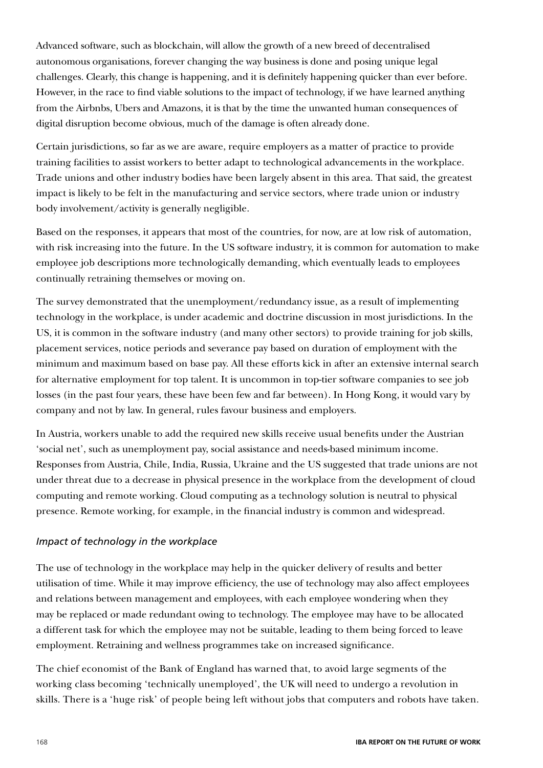Advanced software, such as blockchain, will allow the growth of a new breed of decentralised autonomous organisations, forever changing the way business is done and posing unique legal challenges. Clearly, this change is happening, and it is definitely happening quicker than ever before. However, in the race to find viable solutions to the impact of technology, if we have learned anything from the Airbnbs, Ubers and Amazons, it is that by the time the unwanted human consequences of digital disruption become obvious, much of the damage is often already done.

Certain jurisdictions, so far as we are aware, require employers as a matter of practice to provide training facilities to assist workers to better adapt to technological advancements in the workplace. Trade unions and other industry bodies have been largely absent in this area. That said, the greatest impact is likely to be felt in the manufacturing and service sectors, where trade union or industry body involvement/activity is generally negligible.

Based on the responses, it appears that most of the countries, for now, are at low risk of automation, with risk increasing into the future. In the US software industry, it is common for automation to make employee job descriptions more technologically demanding, which eventually leads to employees continually retraining themselves or moving on.

The survey demonstrated that the unemployment/redundancy issue, as a result of implementing technology in the workplace, is under academic and doctrine discussion in most jurisdictions. In the US, it is common in the software industry (and many other sectors) to provide training for job skills, placement services, notice periods and severance pay based on duration of employment with the minimum and maximum based on base pay. All these efforts kick in after an extensive internal search for alternative employment for top talent. It is uncommon in top-tier software companies to see job losses (in the past four years, these have been few and far between). In Hong Kong, it would vary by company and not by law. In general, rules favour business and employers.

In Austria, workers unable to add the required new skills receive usual benefits under the Austrian 'social net', such as unemployment pay, social assistance and needs-based minimum income. Responses from Austria, Chile, India, Russia, Ukraine and the US suggested that trade unions are not under threat due to a decrease in physical presence in the workplace from the development of cloud computing and remote working. Cloud computing as a technology solution is neutral to physical presence. Remote working, for example, in the financial industry is common and widespread.

#### *Impact of technology in the workplace*

The use of technology in the workplace may help in the quicker delivery of results and better utilisation of time. While it may improve efficiency, the use of technology may also affect employees and relations between management and employees, with each employee wondering when they may be replaced or made redundant owing to technology. The employee may have to be allocated a different task for which the employee may not be suitable, leading to them being forced to leave employment. Retraining and wellness programmes take on increased significance.

The chief economist of the Bank of England has warned that, to avoid large segments of the working class becoming 'technically unemployed', the UK will need to undergo a revolution in skills. There is a 'huge risk' of people being left without jobs that computers and robots have taken.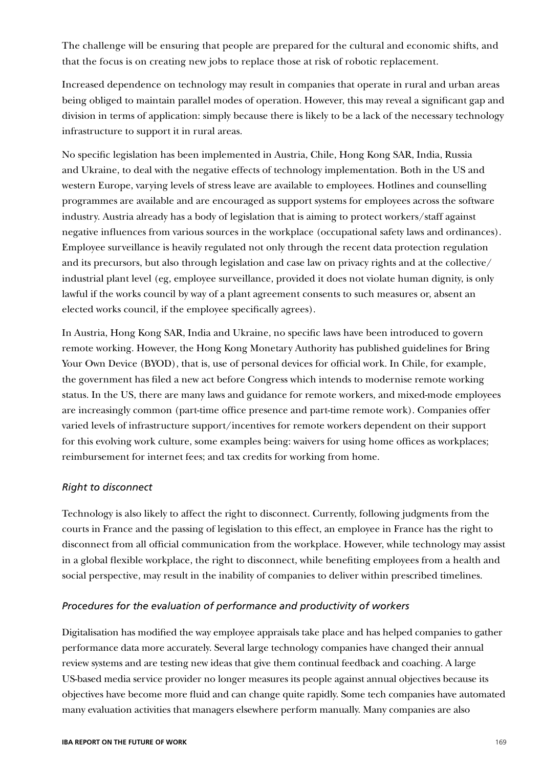The challenge will be ensuring that people are prepared for the cultural and economic shifts, and that the focus is on creating new jobs to replace those at risk of robotic replacement.

Increased dependence on technology may result in companies that operate in rural and urban areas being obliged to maintain parallel modes of operation. However, this may reveal a significant gap and division in terms of application: simply because there is likely to be a lack of the necessary technology infrastructure to support it in rural areas.

No specific legislation has been implemented in Austria, Chile, Hong Kong SAR, India, Russia and Ukraine, to deal with the negative effects of technology implementation. Both in the US and western Europe, varying levels of stress leave are available to employees. Hotlines and counselling programmes are available and are encouraged as support systems for employees across the software industry. Austria already has a body of legislation that is aiming to protect workers/staff against negative influences from various sources in the workplace (occupational safety laws and ordinances). Employee surveillance is heavily regulated not only through the recent data protection regulation and its precursors, but also through legislation and case law on privacy rights and at the collective/ industrial plant level (eg, employee surveillance, provided it does not violate human dignity, is only lawful if the works council by way of a plant agreement consents to such measures or, absent an elected works council, if the employee specifically agrees).

In Austria, Hong Kong SAR, India and Ukraine, no specific laws have been introduced to govern remote working. However, the Hong Kong Monetary Authority has published guidelines for Bring Your Own Device (BYOD), that is, use of personal devices for official work. In Chile, for example, the government has filed a new act before Congress which intends to modernise remote working status. In the US, there are many laws and guidance for remote workers, and mixed-mode employees are increasingly common (part-time office presence and part-time remote work). Companies offer varied levels of infrastructure support/incentives for remote workers dependent on their support for this evolving work culture, some examples being: waivers for using home offices as workplaces; reimbursement for internet fees; and tax credits for working from home.

#### *Right to disconnect*

Technology is also likely to affect the right to disconnect. Currently, following judgments from the courts in France and the passing of legislation to this effect, an employee in France has the right to disconnect from all official communication from the workplace. However, while technology may assist in a global flexible workplace, the right to disconnect, while benefiting employees from a health and social perspective, may result in the inability of companies to deliver within prescribed timelines.

#### *Procedures for the evaluation of performance and productivity of workers*

Digitalisation has modified the way employee appraisals take place and has helped companies to gather performance data more accurately. Several large technology companies have changed their annual review systems and are testing new ideas that give them continual feedback and coaching. A large US-based media service provider no longer measures its people against annual objectives because its objectives have become more fluid and can change quite rapidly. Some tech companies have automated many evaluation activities that managers elsewhere perform manually. Many companies are also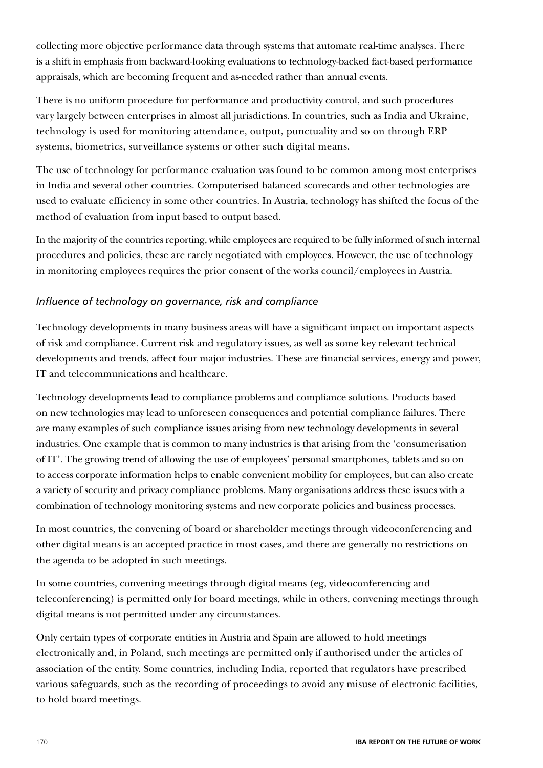collecting more objective performance data through systems that automate real-time analyses. There is a shift in emphasis from backward-looking evaluations to technology-backed fact-based performance appraisals, which are becoming frequent and as-needed rather than annual events.

There is no uniform procedure for performance and productivity control, and such procedures vary largely between enterprises in almost all jurisdictions. In countries, such as India and Ukraine, technology is used for monitoring attendance, output, punctuality and so on through ERP systems, biometrics, surveillance systems or other such digital means.

The use of technology for performance evaluation was found to be common among most enterprises in India and several other countries. Computerised balanced scorecards and other technologies are used to evaluate efficiency in some other countries. In Austria, technology has shifted the focus of the method of evaluation from input based to output based.

In the majority of the countries reporting, while employees are required to be fully informed of such internal procedures and policies, these are rarely negotiated with employees. However, the use of technology in monitoring employees requires the prior consent of the works council/employees in Austria.

### *Influence of technology on governance, risk and compliance*

Technology developments in many business areas will have a significant impact on important aspects of risk and compliance. Current risk and regulatory issues, as well as some key relevant technical developments and trends, affect four major industries. These are financial services, energy and power, IT and telecommunications and healthcare.

Technology developments lead to compliance problems and compliance solutions. Products based on new technologies may lead to unforeseen consequences and potential compliance failures. There are many examples of such compliance issues arising from new technology developments in several industries. One example that is common to many industries is that arising from the 'consumerisation of IT'. The growing trend of allowing the use of employees' personal smartphones, tablets and so on to access corporate information helps to enable convenient mobility for employees, but can also create a variety of security and privacy compliance problems. Many organisations address these issues with a combination of technology monitoring systems and new corporate policies and business processes.

In most countries, the convening of board or shareholder meetings through videoconferencing and other digital means is an accepted practice in most cases, and there are generally no restrictions on the agenda to be adopted in such meetings.

In some countries, convening meetings through digital means (eg, videoconferencing and teleconferencing) is permitted only for board meetings, while in others, convening meetings through digital means is not permitted under any circumstances.

Only certain types of corporate entities in Austria and Spain are allowed to hold meetings electronically and, in Poland, such meetings are permitted only if authorised under the articles of association of the entity. Some countries, including India, reported that regulators have prescribed various safeguards, such as the recording of proceedings to avoid any misuse of electronic facilities, to hold board meetings.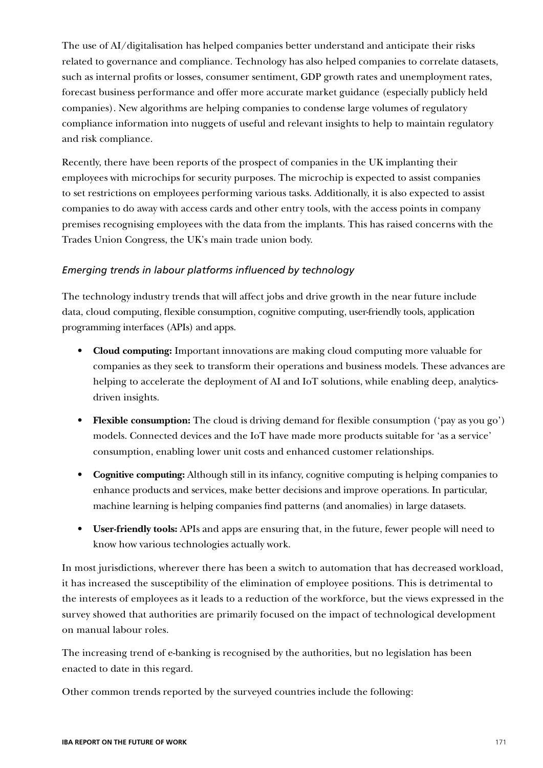The use of AI/digitalisation has helped companies better understand and anticipate their risks related to governance and compliance. Technology has also helped companies to correlate datasets, such as internal profits or losses, consumer sentiment, GDP growth rates and unemployment rates, forecast business performance and offer more accurate market guidance (especially publicly held companies). New algorithms are helping companies to condense large volumes of regulatory compliance information into nuggets of useful and relevant insights to help to maintain regulatory and risk compliance.

Recently, there have been reports of the prospect of companies in the UK implanting their employees with microchips for security purposes. The microchip is expected to assist companies to set restrictions on employees performing various tasks. Additionally, it is also expected to assist companies to do away with access cards and other entry tools, with the access points in company premises recognising employees with the data from the implants. This has raised concerns with the Trades Union Congress, the UK's main trade union body.

### *Emerging trends in labour platforms influenced by technology*

The technology industry trends that will affect jobs and drive growth in the near future include data, cloud computing, flexible consumption, cognitive computing, user-friendly tools, application programming interfaces (APIs) and apps.

- **Cloud computing:** Important innovations are making cloud computing more valuable for companies as they seek to transform their operations and business models. These advances are helping to accelerate the deployment of AI and IoT solutions, while enabling deep, analyticsdriven insights.
- **Flexible consumption:** The cloud is driving demand for flexible consumption ('pay as you go') models. Connected devices and the IoT have made more products suitable for 'as a service' consumption, enabling lower unit costs and enhanced customer relationships.
- **Cognitive computing:** Although still in its infancy, cognitive computing is helping companies to enhance products and services, make better decisions and improve operations. In particular, machine learning is helping companies find patterns (and anomalies) in large datasets.
- **User-friendly tools:** APIs and apps are ensuring that, in the future, fewer people will need to know how various technologies actually work.

In most jurisdictions, wherever there has been a switch to automation that has decreased workload, it has increased the susceptibility of the elimination of employee positions. This is detrimental to the interests of employees as it leads to a reduction of the workforce, but the views expressed in the survey showed that authorities are primarily focused on the impact of technological development on manual labour roles.

The increasing trend of e-banking is recognised by the authorities, but no legislation has been enacted to date in this regard.

Other common trends reported by the surveyed countries include the following: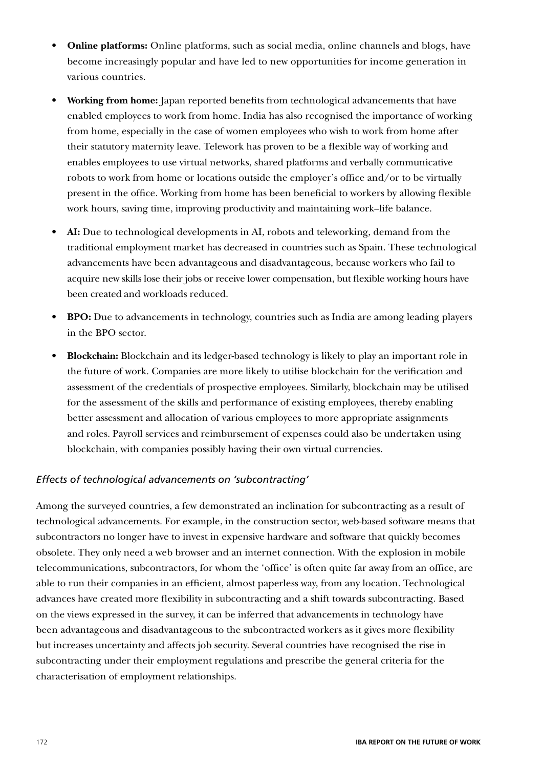- **Online platforms:** Online platforms, such as social media, online channels and blogs, have become increasingly popular and have led to new opportunities for income generation in various countries.
- **Working from home:** Japan reported benefits from technological advancements that have enabled employees to work from home. India has also recognised the importance of working from home, especially in the case of women employees who wish to work from home after their statutory maternity leave. Telework has proven to be a flexible way of working and enables employees to use virtual networks, shared platforms and verbally communicative robots to work from home or locations outside the employer's office and/or to be virtually present in the office. Working from home has been beneficial to workers by allowing flexible work hours, saving time, improving productivity and maintaining work–life balance.
- **AI:** Due to technological developments in AI, robots and teleworking, demand from the traditional employment market has decreased in countries such as Spain. These technological advancements have been advantageous and disadvantageous, because workers who fail to acquire new skills lose their jobs or receive lower compensation, but flexible working hours have been created and workloads reduced.
- **BPO:** Due to advancements in technology, countries such as India are among leading players in the BPO sector.
- **Blockchain:** Blockchain and its ledger-based technology is likely to play an important role in the future of work. Companies are more likely to utilise blockchain for the verification and assessment of the credentials of prospective employees. Similarly, blockchain may be utilised for the assessment of the skills and performance of existing employees, thereby enabling better assessment and allocation of various employees to more appropriate assignments and roles. Payroll services and reimbursement of expenses could also be undertaken using blockchain, with companies possibly having their own virtual currencies.

### *Effects of technological advancements on 'subcontracting'*

Among the surveyed countries, a few demonstrated an inclination for subcontracting as a result of technological advancements. For example, in the construction sector, web-based software means that subcontractors no longer have to invest in expensive hardware and software that quickly becomes obsolete. They only need a web browser and an internet connection. With the explosion in mobile telecommunications, subcontractors, for whom the 'office' is often quite far away from an office, are able to run their companies in an efficient, almost paperless way, from any location. Technological advances have created more flexibility in subcontracting and a shift towards subcontracting. Based on the views expressed in the survey, it can be inferred that advancements in technology have been advantageous and disadvantageous to the subcontracted workers as it gives more flexibility but increases uncertainty and affects job security. Several countries have recognised the rise in subcontracting under their employment regulations and prescribe the general criteria for the characterisation of employment relationships.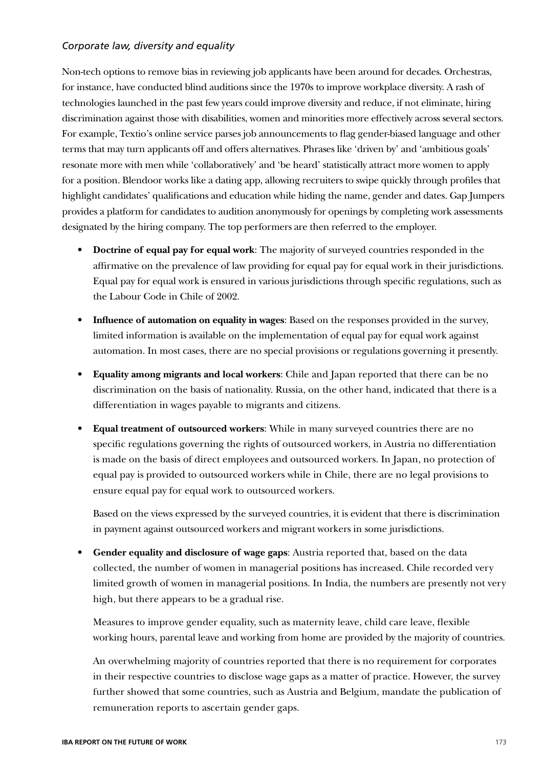### *Corporate law, diversity and equality*

Non-tech options to remove bias in reviewing job applicants have been around for decades. Orchestras, for instance, have conducted blind auditions since the 1970s to improve workplace diversity. A rash of technologies launched in the past few years could improve diversity and reduce, if not eliminate, hiring discrimination against those with disabilities, women and minorities more effectively across several sectors. For example, Textio's online service parses job announcements to flag gender-biased language and other terms that may turn applicants off and offers alternatives. Phrases like 'driven by' and 'ambitious goals' resonate more with men while 'collaboratively' and 'be heard' statistically attract more women to apply for a position. Blendoor works like a dating app, allowing recruiters to swipe quickly through profiles that highlight candidates' qualifications and education while hiding the name, gender and dates. Gap Jumpers provides a platform for candidates to audition anonymously for openings by completing work assessments designated by the hiring company. The top performers are then referred to the employer.

- **Doctrine of equal pay for equal work**: The majority of surveyed countries responded in the affirmative on the prevalence of law providing for equal pay for equal work in their jurisdictions. Equal pay for equal work is ensured in various jurisdictions through specific regulations, such as the Labour Code in Chile of 2002.
- **Influence of automation on equality in wages**: Based on the responses provided in the survey, limited information is available on the implementation of equal pay for equal work against automation. In most cases, there are no special provisions or regulations governing it presently.
- **Equality among migrants and local workers**: Chile and Japan reported that there can be no discrimination on the basis of nationality. Russia, on the other hand, indicated that there is a differentiation in wages payable to migrants and citizens.
- **Equal treatment of outsourced workers**: While in many surveyed countries there are no specific regulations governing the rights of outsourced workers, in Austria no differentiation is made on the basis of direct employees and outsourced workers. In Japan, no protection of equal pay is provided to outsourced workers while in Chile, there are no legal provisions to ensure equal pay for equal work to outsourced workers.

Based on the views expressed by the surveyed countries, it is evident that there is discrimination in payment against outsourced workers and migrant workers in some jurisdictions.

• **Gender equality and disclosure of wage gaps**: Austria reported that, based on the data collected, the number of women in managerial positions has increased. Chile recorded very limited growth of women in managerial positions. In India, the numbers are presently not very high, but there appears to be a gradual rise.

Measures to improve gender equality, such as maternity leave, child care leave, flexible working hours, parental leave and working from home are provided by the majority of countries.

An overwhelming majority of countries reported that there is no requirement for corporates in their respective countries to disclose wage gaps as a matter of practice. However, the survey further showed that some countries, such as Austria and Belgium, mandate the publication of remuneration reports to ascertain gender gaps.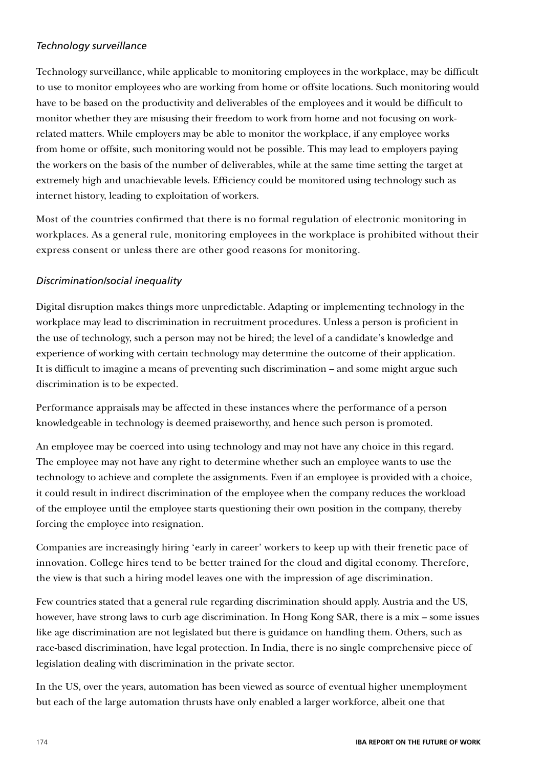### *Technology surveillance*

Technology surveillance, while applicable to monitoring employees in the workplace, may be difficult to use to monitor employees who are working from home or offsite locations. Such monitoring would have to be based on the productivity and deliverables of the employees and it would be difficult to monitor whether they are misusing their freedom to work from home and not focusing on workrelated matters. While employers may be able to monitor the workplace, if any employee works from home or offsite, such monitoring would not be possible. This may lead to employers paying the workers on the basis of the number of deliverables, while at the same time setting the target at extremely high and unachievable levels. Efficiency could be monitored using technology such as internet history, leading to exploitation of workers.

Most of the countries confirmed that there is no formal regulation of electronic monitoring in workplaces. As a general rule, monitoring employees in the workplace is prohibited without their express consent or unless there are other good reasons for monitoring.

### *Discrimination/social inequality*

Digital disruption makes things more unpredictable. Adapting or implementing technology in the workplace may lead to discrimination in recruitment procedures. Unless a person is proficient in the use of technology, such a person may not be hired; the level of a candidate's knowledge and experience of working with certain technology may determine the outcome of their application. It is difficult to imagine a means of preventing such discrimination – and some might argue such discrimination is to be expected.

Performance appraisals may be affected in these instances where the performance of a person knowledgeable in technology is deemed praiseworthy, and hence such person is promoted.

An employee may be coerced into using technology and may not have any choice in this regard. The employee may not have any right to determine whether such an employee wants to use the technology to achieve and complete the assignments. Even if an employee is provided with a choice, it could result in indirect discrimination of the employee when the company reduces the workload of the employee until the employee starts questioning their own position in the company, thereby forcing the employee into resignation.

Companies are increasingly hiring 'early in career' workers to keep up with their frenetic pace of innovation. College hires tend to be better trained for the cloud and digital economy. Therefore, the view is that such a hiring model leaves one with the impression of age discrimination.

Few countries stated that a general rule regarding discrimination should apply. Austria and the US, however, have strong laws to curb age discrimination. In Hong Kong SAR, there is a mix – some issues like age discrimination are not legislated but there is guidance on handling them. Others, such as race-based discrimination, have legal protection. In India, there is no single comprehensive piece of legislation dealing with discrimination in the private sector.

In the US, over the years, automation has been viewed as source of eventual higher unemployment but each of the large automation thrusts have only enabled a larger workforce, albeit one that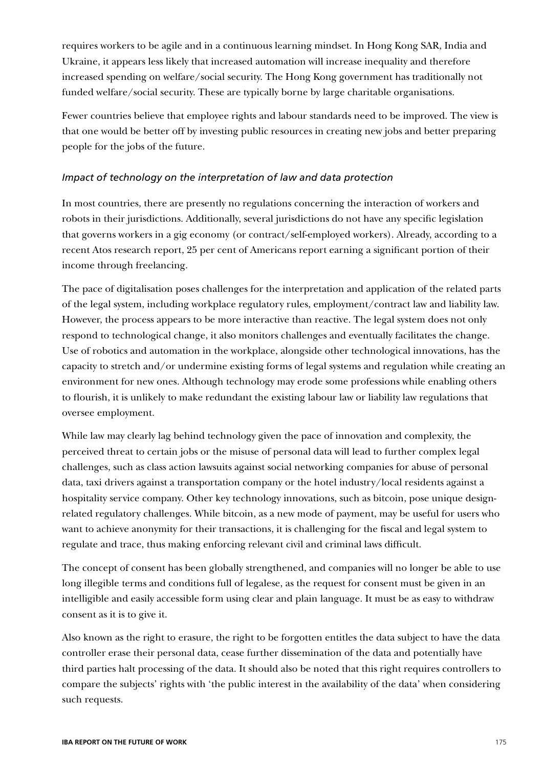requires workers to be agile and in a continuous learning mindset. In Hong Kong SAR, India and Ukraine, it appears less likely that increased automation will increase inequality and therefore increased spending on welfare/social security. The Hong Kong government has traditionally not funded welfare/social security. These are typically borne by large charitable organisations.

Fewer countries believe that employee rights and labour standards need to be improved. The view is that one would be better off by investing public resources in creating new jobs and better preparing people for the jobs of the future.

### *Impact of technology on the interpretation of law and data protection*

In most countries, there are presently no regulations concerning the interaction of workers and robots in their jurisdictions. Additionally, several jurisdictions do not have any specific legislation that governs workers in a gig economy (or contract/self-employed workers). Already, according to a recent Atos research report, 25 per cent of Americans report earning a significant portion of their income through freelancing.

The pace of digitalisation poses challenges for the interpretation and application of the related parts of the legal system, including workplace regulatory rules, employment/contract law and liability law. However, the process appears to be more interactive than reactive. The legal system does not only respond to technological change, it also monitors challenges and eventually facilitates the change. Use of robotics and automation in the workplace, alongside other technological innovations, has the capacity to stretch and/or undermine existing forms of legal systems and regulation while creating an environment for new ones. Although technology may erode some professions while enabling others to flourish, it is unlikely to make redundant the existing labour law or liability law regulations that oversee employment.

While law may clearly lag behind technology given the pace of innovation and complexity, the perceived threat to certain jobs or the misuse of personal data will lead to further complex legal challenges, such as class action lawsuits against social networking companies for abuse of personal data, taxi drivers against a transportation company or the hotel industry/local residents against a hospitality service company. Other key technology innovations, such as bitcoin, pose unique designrelated regulatory challenges. While bitcoin, as a new mode of payment, may be useful for users who want to achieve anonymity for their transactions, it is challenging for the fiscal and legal system to regulate and trace, thus making enforcing relevant civil and criminal laws difficult.

The concept of consent has been globally strengthened, and companies will no longer be able to use long illegible terms and conditions full of legalese, as the request for consent must be given in an intelligible and easily accessible form using clear and plain language. It must be as easy to withdraw consent as it is to give it.

Also known as the right to erasure, the right to be forgotten entitles the data subject to have the data controller erase their personal data, cease further dissemination of the data and potentially have third parties halt processing of the data. It should also be noted that this right requires controllers to compare the subjects' rights with 'the public interest in the availability of the data' when considering such requests.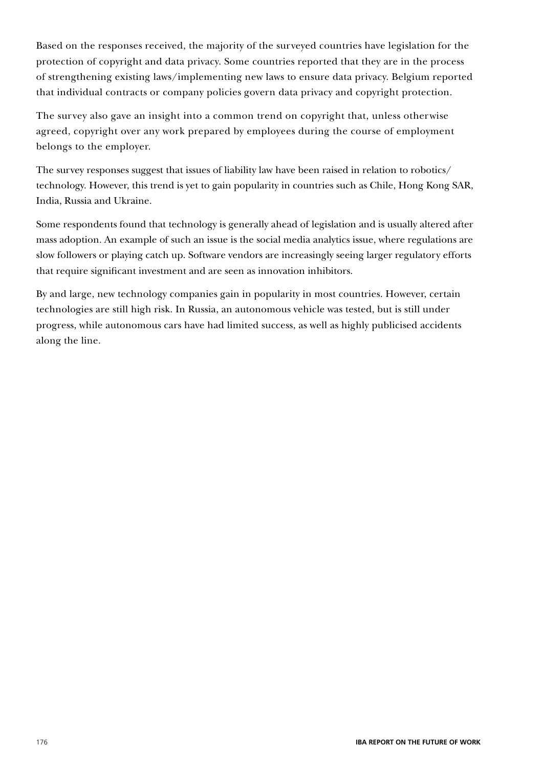Based on the responses received, the majority of the surveyed countries have legislation for the protection of copyright and data privacy. Some countries reported that they are in the process of strengthening existing laws/implementing new laws to ensure data privacy. Belgium reported that individual contracts or company policies govern data privacy and copyright protection.

The survey also gave an insight into a common trend on copyright that, unless otherwise agreed, copyright over any work prepared by employees during the course of employment belongs to the employer.

The survey responses suggest that issues of liability law have been raised in relation to robotics/ technology. However, this trend is yet to gain popularity in countries such as Chile, Hong Kong SAR, India, Russia and Ukraine.

Some respondents found that technology is generally ahead of legislation and is usually altered after mass adoption. An example of such an issue is the social media analytics issue, where regulations are slow followers or playing catch up. Software vendors are increasingly seeing larger regulatory efforts that require significant investment and are seen as innovation inhibitors.

By and large, new technology companies gain in popularity in most countries. However, certain technologies are still high risk. In Russia, an autonomous vehicle was tested, but is still under progress, while autonomous cars have had limited success, as well as highly publicised accidents along the line.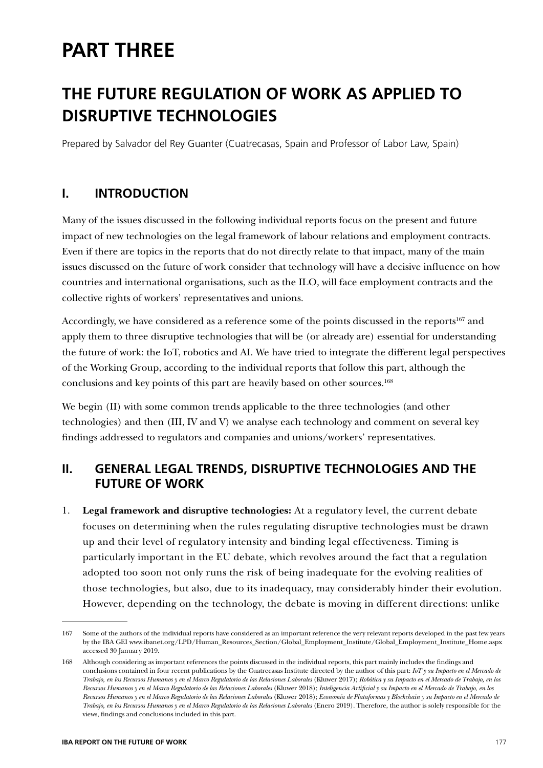# **PART THREE**

# **THE FUTURE REGULATION OF WORK AS APPLIED TO DISRUPTIVE TECHNOLOGIES**

Prepared by Salvador del Rey Guanter (Cuatrecasas, Spain and Professor of Labor Law, Spain)

### **I. INTRODUCTION**

Many of the issues discussed in the following individual reports focus on the present and future impact of new technologies on the legal framework of labour relations and employment contracts. Even if there are topics in the reports that do not directly relate to that impact, many of the main issues discussed on the future of work consider that technology will have a decisive influence on how countries and international organisations, such as the ILO, will face employment contracts and the collective rights of workers' representatives and unions.

Accordingly, we have considered as a reference some of the points discussed in the reports<sup>167</sup> and apply them to three disruptive technologies that will be (or already are) essential for understanding the future of work: the IoT, robotics and AI. We have tried to integrate the different legal perspectives of the Working Group, according to the individual reports that follow this part, although the conclusions and key points of this part are heavily based on other sources.<sup>168</sup>

We begin (II) with some common trends applicable to the three technologies (and other technologies) and then (III, IV and V) we analyse each technology and comment on several key findings addressed to regulators and companies and unions/workers' representatives.

### **II. GENERAL LEGAL TRENDS, DISRUPTIVE TECHNOLOGIES AND THE FUTURE OF WORK**

1. **Legal framework and disruptive technologies:** At a regulatory level, the current debate focuses on determining when the rules regulating disruptive technologies must be drawn up and their level of regulatory intensity and binding legal effectiveness. Timing is particularly important in the EU debate, which revolves around the fact that a regulation adopted too soon not only runs the risk of being inadequate for the evolving realities of those technologies, but also, due to its inadequacy, may considerably hinder their evolution. However, depending on the technology, the debate is moving in different directions: unlike

<sup>167</sup> Some of the authors of the individual reports have considered as an important reference the very relevant reports developed in the past few years by the IBA GEI www.ibanet.org/LPD/Human\_Resources\_Section/Global\_Employment\_Institute/Global\_Employment\_Institute\_Home.aspx accessed 30 January 2019.

<sup>168</sup> Although considering as important references the points discussed in the individual reports, this part mainly includes the findings and conclusions contained in four recent publications by the Cuatrecasas Institute directed by the author of this part: *IoT y su Impacto en el Mercado de Trabajo, en los Recursos Humanos y en el Marco Regulatorio de las Relaciones Laborales* (Kluwer 2017); *Robótica y su Impacto en el Mercado de Trabajo, en los Recursos Humanos y en el Marco Regulatorio de las Relaciones Laborales* (Kluwer 2018); *Inteligencia Artificial y su Impacto en el Mercado de Trabajo, en los Recursos Humanos y en el Marco Regulatorio de las Relaciones Laborales* (Kluwer 2018); *Economía de Plataformas y Blockchain y su Impacto en el Mercado de Trabajo, en los Recursos Humanos y en el Marco Regulatorio de las Relaciones Laborales* (Enero 2019). Therefore, the author is solely responsible for the views, findings and conclusions included in this part.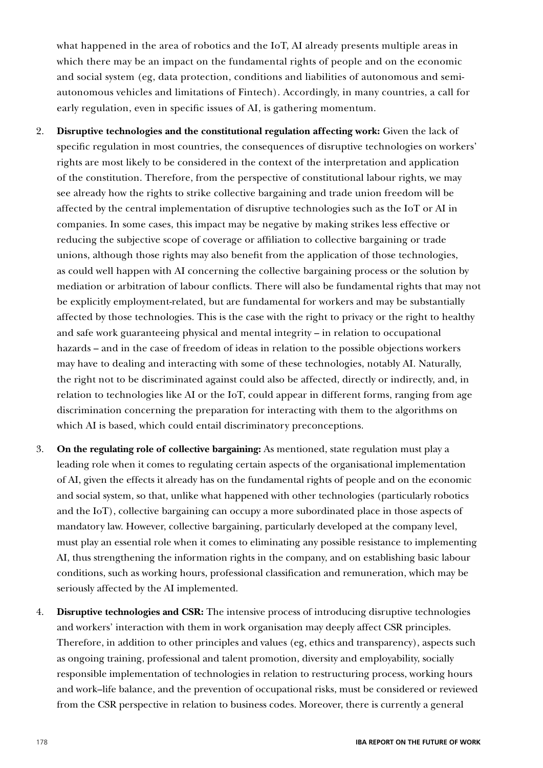what happened in the area of robotics and the IoT, AI already presents multiple areas in which there may be an impact on the fundamental rights of people and on the economic and social system (eg, data protection, conditions and liabilities of autonomous and semiautonomous vehicles and limitations of Fintech). Accordingly, in many countries, a call for early regulation, even in specific issues of AI, is gathering momentum.

- 2. **Disruptive technologies and the constitutional regulation affecting work:** Given the lack of specific regulation in most countries, the consequences of disruptive technologies on workers' rights are most likely to be considered in the context of the interpretation and application of the constitution. Therefore, from the perspective of constitutional labour rights, we may see already how the rights to strike collective bargaining and trade union freedom will be affected by the central implementation of disruptive technologies such as the IoT or AI in companies. In some cases, this impact may be negative by making strikes less effective or reducing the subjective scope of coverage or affiliation to collective bargaining or trade unions, although those rights may also benefit from the application of those technologies, as could well happen with AI concerning the collective bargaining process or the solution by mediation or arbitration of labour conflicts. There will also be fundamental rights that may not be explicitly employment-related, but are fundamental for workers and may be substantially affected by those technologies. This is the case with the right to privacy or the right to healthy and safe work guaranteeing physical and mental integrity – in relation to occupational hazards – and in the case of freedom of ideas in relation to the possible objections workers may have to dealing and interacting with some of these technologies, notably AI. Naturally, the right not to be discriminated against could also be affected, directly or indirectly, and, in relation to technologies like AI or the IoT, could appear in different forms, ranging from age discrimination concerning the preparation for interacting with them to the algorithms on which AI is based, which could entail discriminatory preconceptions.
- 3. **On the regulating role of collective bargaining:** As mentioned, state regulation must play a leading role when it comes to regulating certain aspects of the organisational implementation of AI, given the effects it already has on the fundamental rights of people and on the economic and social system, so that, unlike what happened with other technologies (particularly robotics and the IoT), collective bargaining can occupy a more subordinated place in those aspects of mandatory law. However, collective bargaining, particularly developed at the company level, must play an essential role when it comes to eliminating any possible resistance to implementing AI, thus strengthening the information rights in the company, and on establishing basic labour conditions, such as working hours, professional classification and remuneration, which may be seriously affected by the AI implemented.
- 4. **Disruptive technologies and CSR:** The intensive process of introducing disruptive technologies and workers' interaction with them in work organisation may deeply affect CSR principles. Therefore, in addition to other principles and values (eg, ethics and transparency), aspects such as ongoing training, professional and talent promotion, diversity and employability, socially responsible implementation of technologies in relation to restructuring process, working hours and work–life balance, and the prevention of occupational risks, must be considered or reviewed from the CSR perspective in relation to business codes. Moreover, there is currently a general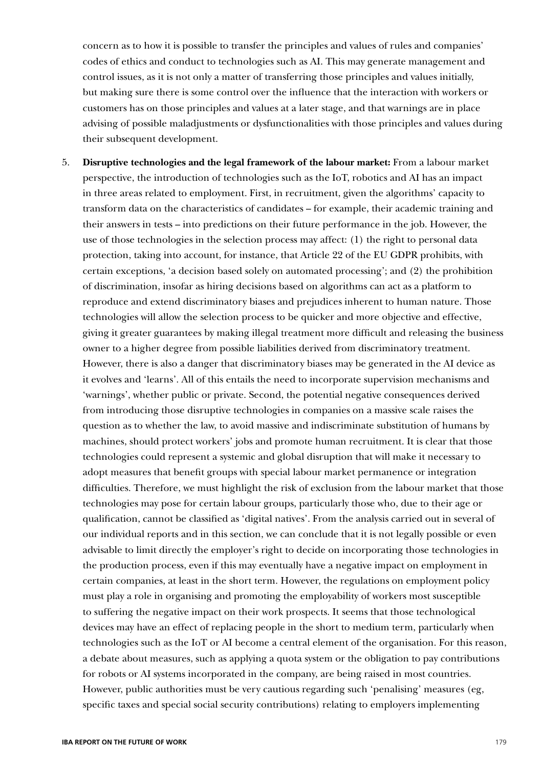concern as to how it is possible to transfer the principles and values of rules and companies' codes of ethics and conduct to technologies such as AI. This may generate management and control issues, as it is not only a matter of transferring those principles and values initially, but making sure there is some control over the influence that the interaction with workers or customers has on those principles and values at a later stage, and that warnings are in place advising of possible maladjustments or dysfunctionalities with those principles and values during their subsequent development.

5. **Disruptive technologies and the legal framework of the labour market:** From a labour market perspective, the introduction of technologies such as the IoT, robotics and AI has an impact in three areas related to employment. First, in recruitment, given the algorithms' capacity to transform data on the characteristics of candidates – for example, their academic training and their answers in tests – into predictions on their future performance in the job. However, the use of those technologies in the selection process may affect: (1) the right to personal data protection, taking into account, for instance, that Article 22 of the EU GDPR prohibits, with certain exceptions, 'a decision based solely on automated processing'; and (2) the prohibition of discrimination, insofar as hiring decisions based on algorithms can act as a platform to reproduce and extend discriminatory biases and prejudices inherent to human nature. Those technologies will allow the selection process to be quicker and more objective and effective, giving it greater guarantees by making illegal treatment more difficult and releasing the business owner to a higher degree from possible liabilities derived from discriminatory treatment. However, there is also a danger that discriminatory biases may be generated in the AI device as it evolves and 'learns'. All of this entails the need to incorporate supervision mechanisms and 'warnings', whether public or private. Second, the potential negative consequences derived from introducing those disruptive technologies in companies on a massive scale raises the question as to whether the law, to avoid massive and indiscriminate substitution of humans by machines, should protect workers' jobs and promote human recruitment. It is clear that those technologies could represent a systemic and global disruption that will make it necessary to adopt measures that benefit groups with special labour market permanence or integration difficulties. Therefore, we must highlight the risk of exclusion from the labour market that those technologies may pose for certain labour groups, particularly those who, due to their age or qualification, cannot be classified as 'digital natives'. From the analysis carried out in several of our individual reports and in this section, we can conclude that it is not legally possible or even advisable to limit directly the employer's right to decide on incorporating those technologies in the production process, even if this may eventually have a negative impact on employment in certain companies, at least in the short term. However, the regulations on employment policy must play a role in organising and promoting the employability of workers most susceptible to suffering the negative impact on their work prospects. It seems that those technological devices may have an effect of replacing people in the short to medium term, particularly when technologies such as the IoT or AI become a central element of the organisation. For this reason, a debate about measures, such as applying a quota system or the obligation to pay contributions for robots or AI systems incorporated in the company, are being raised in most countries. However, public authorities must be very cautious regarding such 'penalising' measures (eg, specific taxes and special social security contributions) relating to employers implementing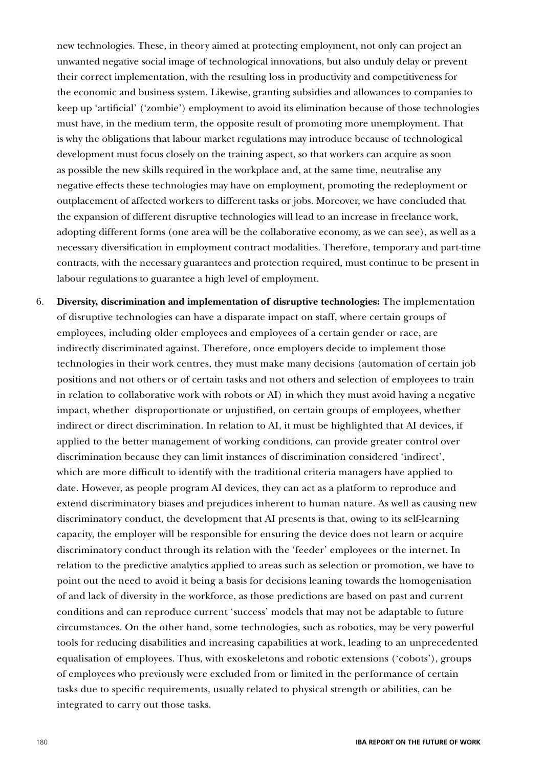new technologies. These, in theory aimed at protecting employment, not only can project an unwanted negative social image of technological innovations, but also unduly delay or prevent their correct implementation, with the resulting loss in productivity and competitiveness for the economic and business system. Likewise, granting subsidies and allowances to companies to keep up 'artificial' ('zombie') employment to avoid its elimination because of those technologies must have, in the medium term, the opposite result of promoting more unemployment. That is why the obligations that labour market regulations may introduce because of technological development must focus closely on the training aspect, so that workers can acquire as soon as possible the new skills required in the workplace and, at the same time, neutralise any negative effects these technologies may have on employment, promoting the redeployment or outplacement of affected workers to different tasks or jobs. Moreover, we have concluded that the expansion of different disruptive technologies will lead to an increase in freelance work, adopting different forms (one area will be the collaborative economy, as we can see), as well as a necessary diversification in employment contract modalities. Therefore, temporary and part-time contracts, with the necessary guarantees and protection required, must continue to be present in labour regulations to guarantee a high level of employment.

6. **Diversity, discrimination and implementation of disruptive technologies:** The implementation of disruptive technologies can have a disparate impact on staff, where certain groups of employees, including older employees and employees of a certain gender or race, are indirectly discriminated against. Therefore, once employers decide to implement those technologies in their work centres, they must make many decisions (automation of certain job positions and not others or of certain tasks and not others and selection of employees to train in relation to collaborative work with robots or AI) in which they must avoid having a negative impact, whether disproportionate or unjustified, on certain groups of employees, whether indirect or direct discrimination. In relation to AI, it must be highlighted that AI devices, if applied to the better management of working conditions, can provide greater control over discrimination because they can limit instances of discrimination considered 'indirect', which are more difficult to identify with the traditional criteria managers have applied to date. However, as people program AI devices, they can act as a platform to reproduce and extend discriminatory biases and prejudices inherent to human nature. As well as causing new discriminatory conduct, the development that AI presents is that, owing to its self-learning capacity, the employer will be responsible for ensuring the device does not learn or acquire discriminatory conduct through its relation with the 'feeder' employees or the internet. In relation to the predictive analytics applied to areas such as selection or promotion, we have to point out the need to avoid it being a basis for decisions leaning towards the homogenisation of and lack of diversity in the workforce, as those predictions are based on past and current conditions and can reproduce current 'success' models that may not be adaptable to future circumstances. On the other hand, some technologies, such as robotics, may be very powerful tools for reducing disabilities and increasing capabilities at work, leading to an unprecedented equalisation of employees. Thus, with exoskeletons and robotic extensions ('cobots'), groups of employees who previously were excluded from or limited in the performance of certain tasks due to specific requirements, usually related to physical strength or abilities, can be integrated to carry out those tasks.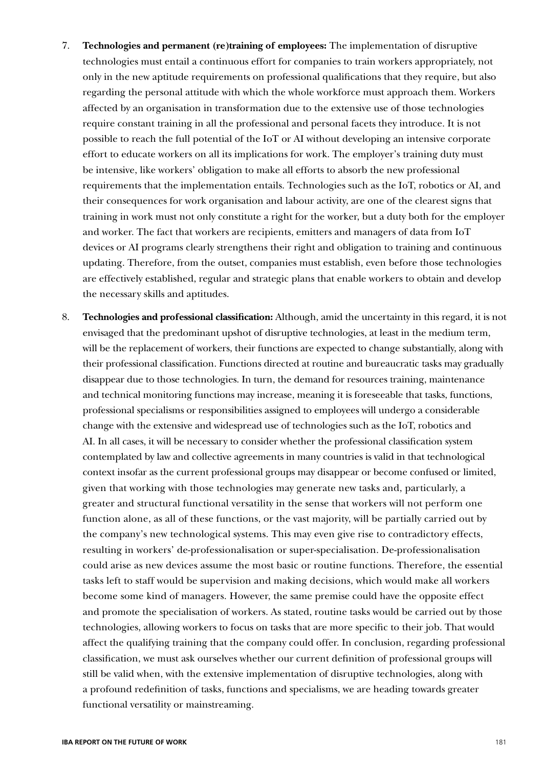- 7. **Technologies and permanent (re)training of employees:** The implementation of disruptive technologies must entail a continuous effort for companies to train workers appropriately, not only in the new aptitude requirements on professional qualifications that they require, but also regarding the personal attitude with which the whole workforce must approach them. Workers affected by an organisation in transformation due to the extensive use of those technologies require constant training in all the professional and personal facets they introduce. It is not possible to reach the full potential of the IoT or AI without developing an intensive corporate effort to educate workers on all its implications for work. The employer's training duty must be intensive, like workers' obligation to make all efforts to absorb the new professional requirements that the implementation entails. Technologies such as the IoT, robotics or AI, and their consequences for work organisation and labour activity, are one of the clearest signs that training in work must not only constitute a right for the worker, but a duty both for the employer and worker. The fact that workers are recipients, emitters and managers of data from IoT devices or AI programs clearly strengthens their right and obligation to training and continuous updating. Therefore, from the outset, companies must establish, even before those technologies are effectively established, regular and strategic plans that enable workers to obtain and develop the necessary skills and aptitudes.
- 8. **Technologies and professional classification:** Although, amid the uncertainty in this regard, it is not envisaged that the predominant upshot of disruptive technologies, at least in the medium term, will be the replacement of workers, their functions are expected to change substantially, along with their professional classification. Functions directed at routine and bureaucratic tasks may gradually disappear due to those technologies. In turn, the demand for resources training, maintenance and technical monitoring functions may increase, meaning it is foreseeable that tasks, functions, professional specialisms or responsibilities assigned to employees will undergo a considerable change with the extensive and widespread use of technologies such as the IoT, robotics and AI. In all cases, it will be necessary to consider whether the professional classification system contemplated by law and collective agreements in many countries is valid in that technological context insofar as the current professional groups may disappear or become confused or limited, given that working with those technologies may generate new tasks and, particularly, a greater and structural functional versatility in the sense that workers will not perform one function alone, as all of these functions, or the vast majority, will be partially carried out by the company's new technological systems. This may even give rise to contradictory effects, resulting in workers' de-professionalisation or super-specialisation. De-professionalisation could arise as new devices assume the most basic or routine functions. Therefore, the essential tasks left to staff would be supervision and making decisions, which would make all workers become some kind of managers. However, the same premise could have the opposite effect and promote the specialisation of workers. As stated, routine tasks would be carried out by those technologies, allowing workers to focus on tasks that are more specific to their job. That would affect the qualifying training that the company could offer. In conclusion, regarding professional classification, we must ask ourselves whether our current definition of professional groups will still be valid when, with the extensive implementation of disruptive technologies, along with a profound redefinition of tasks, functions and specialisms, we are heading towards greater functional versatility or mainstreaming.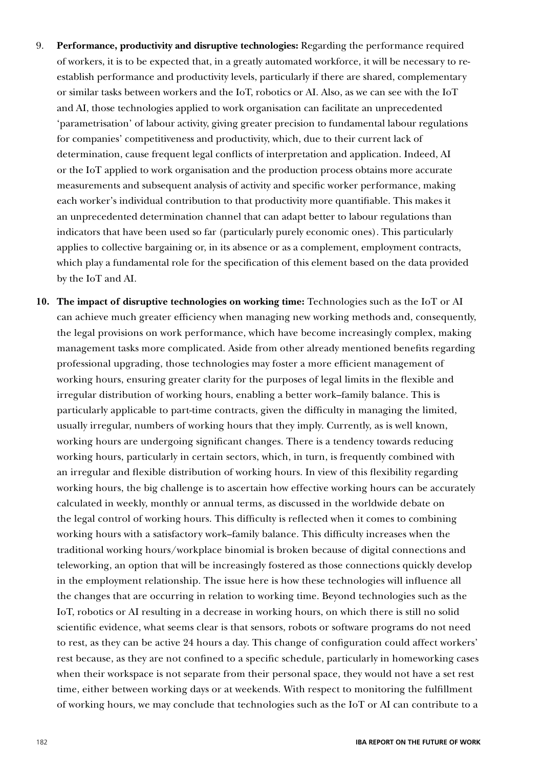- 9. **Performance, productivity and disruptive technologies:** Regarding the performance required of workers, it is to be expected that, in a greatly automated workforce, it will be necessary to reestablish performance and productivity levels, particularly if there are shared, complementary or similar tasks between workers and the IoT, robotics or AI. Also, as we can see with the IoT and AI, those technologies applied to work organisation can facilitate an unprecedented 'parametrisation' of labour activity, giving greater precision to fundamental labour regulations for companies' competitiveness and productivity, which, due to their current lack of determination, cause frequent legal conflicts of interpretation and application. Indeed, AI or the IoT applied to work organisation and the production process obtains more accurate measurements and subsequent analysis of activity and specific worker performance, making each worker's individual contribution to that productivity more quantifiable. This makes it an unprecedented determination channel that can adapt better to labour regulations than indicators that have been used so far (particularly purely economic ones). This particularly applies to collective bargaining or, in its absence or as a complement, employment contracts, which play a fundamental role for the specification of this element based on the data provided by the IoT and AI.
- **10. The impact of disruptive technologies on working time:** Technologies such as the IoT or AI can achieve much greater efficiency when managing new working methods and, consequently, the legal provisions on work performance, which have become increasingly complex, making management tasks more complicated. Aside from other already mentioned benefits regarding professional upgrading, those technologies may foster a more efficient management of working hours, ensuring greater clarity for the purposes of legal limits in the flexible and irregular distribution of working hours, enabling a better work–family balance. This is particularly applicable to part-time contracts, given the difficulty in managing the limited, usually irregular, numbers of working hours that they imply. Currently, as is well known, working hours are undergoing significant changes. There is a tendency towards reducing working hours, particularly in certain sectors, which, in turn, is frequently combined with an irregular and flexible distribution of working hours. In view of this flexibility regarding working hours, the big challenge is to ascertain how effective working hours can be accurately calculated in weekly, monthly or annual terms, as discussed in the worldwide debate on the legal control of working hours. This difficulty is reflected when it comes to combining working hours with a satisfactory work–family balance. This difficulty increases when the traditional working hours/workplace binomial is broken because of digital connections and teleworking, an option that will be increasingly fostered as those connections quickly develop in the employment relationship. The issue here is how these technologies will influence all the changes that are occurring in relation to working time. Beyond technologies such as the IoT, robotics or AI resulting in a decrease in working hours, on which there is still no solid scientific evidence, what seems clear is that sensors, robots or software programs do not need to rest, as they can be active 24 hours a day. This change of configuration could affect workers' rest because, as they are not confined to a specific schedule, particularly in homeworking cases when their workspace is not separate from their personal space, they would not have a set rest time, either between working days or at weekends. With respect to monitoring the fulfillment of working hours, we may conclude that technologies such as the IoT or AI can contribute to a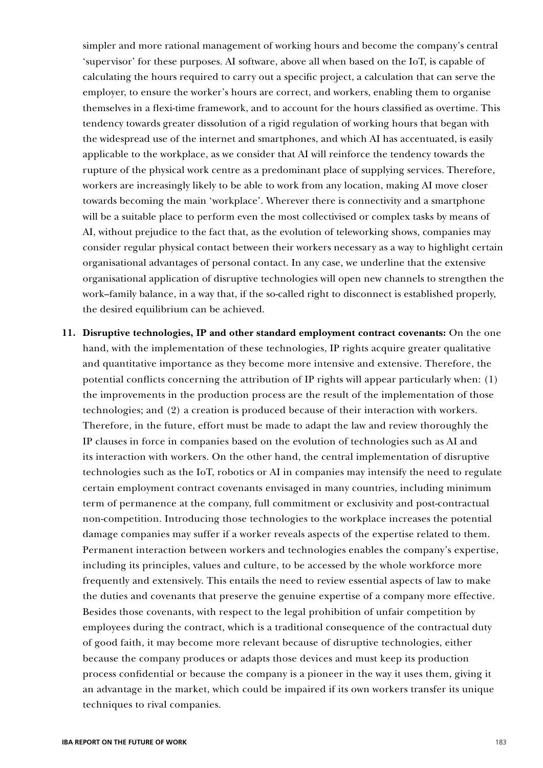simpler and more rational management of working hours and become the company's central 'supervisor' for these purposes. AI software, above all when based on the IoT, is capable of calculating the hours required to carry out a specific project, a calculation that can serve the employer, to ensure the worker's hours are correct, and workers, enabling them to organise themselves in a flexi-time framework, and to account for the hours classified as overtime. This tendency towards greater dissolution of a rigid regulation of working hours that began with the widespread use of the internet and smartphones, and which AI has accentuated, is easily applicable to the workplace, as we consider that AI will reinforce the tendency towards the rupture of the physical work centre as a predominant place of supplying services. Therefore, workers are increasingly likely to be able to work from any location, making AI move closer towards becoming the main 'workplace'. Wherever there is connectivity and a smartphone will be a suitable place to perform even the most collectivised or complex tasks by means of AI, without prejudice to the fact that, as the evolution of teleworking shows, companies may consider regular physical contact between their workers necessary as a way to highlight certain organisational advantages of personal contact. In any case, we underline that the extensive organisational application of disruptive technologies will open new channels to strengthen the work–family balance, in a way that, if the so-called right to disconnect is established properly, the desired equilibrium can be achieved.

**11. Disruptive technologies, IP and other standard employment contract covenants:** On the one hand, with the implementation of these technologies, IP rights acquire greater qualitative and quantitative importance as they become more intensive and extensive. Therefore, the potential conflicts concerning the attribution of IP rights will appear particularly when: (1) the improvements in the production process are the result of the implementation of those technologies; and (2) a creation is produced because of their interaction with workers. Therefore, in the future, effort must be made to adapt the law and review thoroughly the IP clauses in force in companies based on the evolution of technologies such as AI and its interaction with workers. On the other hand, the central implementation of disruptive technologies such as the IoT, robotics or AI in companies may intensify the need to regulate certain employment contract covenants envisaged in many countries, including minimum term of permanence at the company, full commitment or exclusivity and post-contractual non-competition. Introducing those technologies to the workplace increases the potential damage companies may suffer if a worker reveals aspects of the expertise related to them. Permanent interaction between workers and technologies enables the company's expertise, including its principles, values and culture, to be accessed by the whole workforce more frequently and extensively. This entails the need to review essential aspects of law to make the duties and covenants that preserve the genuine expertise of a company more effective. Besides those covenants, with respect to the legal prohibition of unfair competition by employees during the contract, which is a traditional consequence of the contractual duty of good faith, it may become more relevant because of disruptive technologies, either because the company produces or adapts those devices and must keep its production process confidential or because the company is a pioneer in the way it uses them, giving it an advantage in the market, which could be impaired if its own workers transfer its unique techniques to rival companies.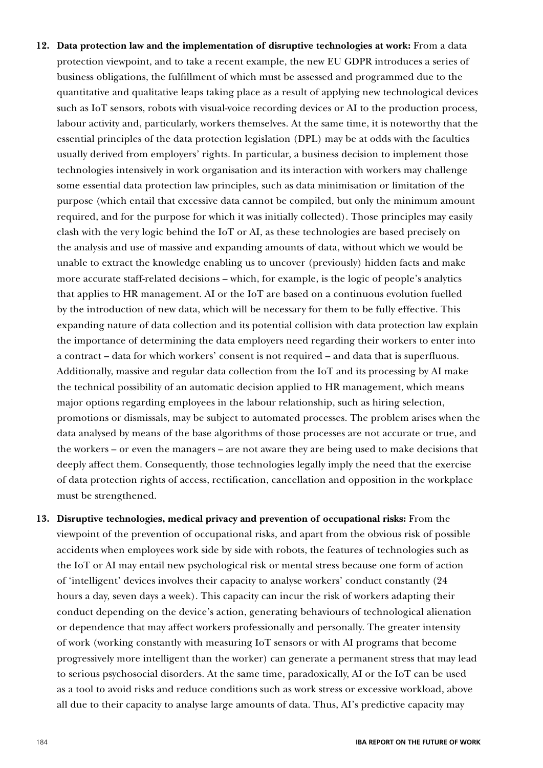- **12. Data protection law and the implementation of disruptive technologies at work:** From a data protection viewpoint, and to take a recent example, the new EU GDPR introduces a series of business obligations, the fulfillment of which must be assessed and programmed due to the quantitative and qualitative leaps taking place as a result of applying new technological devices such as IoT sensors, robots with visual-voice recording devices or AI to the production process, labour activity and, particularly, workers themselves. At the same time, it is noteworthy that the essential principles of the data protection legislation (DPL) may be at odds with the faculties usually derived from employers' rights. In particular, a business decision to implement those technologies intensively in work organisation and its interaction with workers may challenge some essential data protection law principles, such as data minimisation or limitation of the purpose (which entail that excessive data cannot be compiled, but only the minimum amount required, and for the purpose for which it was initially collected). Those principles may easily clash with the very logic behind the IoT or AI, as these technologies are based precisely on the analysis and use of massive and expanding amounts of data, without which we would be unable to extract the knowledge enabling us to uncover (previously) hidden facts and make more accurate staff-related decisions – which, for example, is the logic of people's analytics that applies to HR management. AI or the IoT are based on a continuous evolution fuelled by the introduction of new data, which will be necessary for them to be fully effective. This expanding nature of data collection and its potential collision with data protection law explain the importance of determining the data employers need regarding their workers to enter into a contract – data for which workers' consent is not required – and data that is superfluous. Additionally, massive and regular data collection from the IoT and its processing by AI make the technical possibility of an automatic decision applied to HR management, which means major options regarding employees in the labour relationship, such as hiring selection, promotions or dismissals, may be subject to automated processes. The problem arises when the data analysed by means of the base algorithms of those processes are not accurate or true, and the workers – or even the managers – are not aware they are being used to make decisions that deeply affect them. Consequently, those technologies legally imply the need that the exercise of data protection rights of access, rectification, cancellation and opposition in the workplace must be strengthened.
- **13. Disruptive technologies, medical privacy and prevention of occupational risks:** From the viewpoint of the prevention of occupational risks, and apart from the obvious risk of possible accidents when employees work side by side with robots, the features of technologies such as the IoT or AI may entail new psychological risk or mental stress because one form of action of 'intelligent' devices involves their capacity to analyse workers' conduct constantly (24 hours a day, seven days a week). This capacity can incur the risk of workers adapting their conduct depending on the device's action, generating behaviours of technological alienation or dependence that may affect workers professionally and personally. The greater intensity of work (working constantly with measuring IoT sensors or with AI programs that become progressively more intelligent than the worker) can generate a permanent stress that may lead to serious psychosocial disorders. At the same time, paradoxically, AI or the IoT can be used as a tool to avoid risks and reduce conditions such as work stress or excessive workload, above all due to their capacity to analyse large amounts of data. Thus, AI's predictive capacity may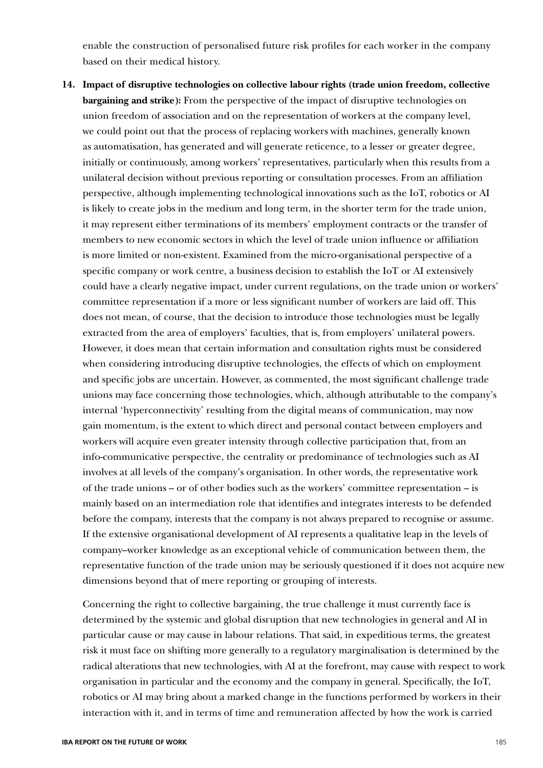enable the construction of personalised future risk profiles for each worker in the company based on their medical history.

**14. Impact of disruptive technologies on collective labour rights (trade union freedom, collective bargaining and strike):** From the perspective of the impact of disruptive technologies on union freedom of association and on the representation of workers at the company level, we could point out that the process of replacing workers with machines, generally known as automatisation, has generated and will generate reticence, to a lesser or greater degree, initially or continuously, among workers' representatives, particularly when this results from a unilateral decision without previous reporting or consultation processes. From an affiliation perspective, although implementing technological innovations such as the IoT, robotics or AI is likely to create jobs in the medium and long term, in the shorter term for the trade union, it may represent either terminations of its members' employment contracts or the transfer of members to new economic sectors in which the level of trade union influence or affiliation is more limited or non-existent. Examined from the micro-organisational perspective of a specific company or work centre, a business decision to establish the IoT or AI extensively could have a clearly negative impact, under current regulations, on the trade union or workers' committee representation if a more or less significant number of workers are laid off. This does not mean, of course, that the decision to introduce those technologies must be legally extracted from the area of employers' faculties, that is, from employers' unilateral powers. However, it does mean that certain information and consultation rights must be considered when considering introducing disruptive technologies, the effects of which on employment and specific jobs are uncertain. However, as commented, the most significant challenge trade unions may face concerning those technologies, which, although attributable to the company's internal 'hyperconnectivity' resulting from the digital means of communication, may now gain momentum, is the extent to which direct and personal contact between employers and workers will acquire even greater intensity through collective participation that, from an info-communicative perspective, the centrality or predominance of technologies such as AI involves at all levels of the company's organisation. In other words, the representative work of the trade unions – or of other bodies such as the workers' committee representation – is mainly based on an intermediation role that identifies and integrates interests to be defended before the company, interests that the company is not always prepared to recognise or assume. If the extensive organisational development of AI represents a qualitative leap in the levels of company–worker knowledge as an exceptional vehicle of communication between them, the representative function of the trade union may be seriously questioned if it does not acquire new dimensions beyond that of mere reporting or grouping of interests.

Concerning the right to collective bargaining, the true challenge it must currently face is determined by the systemic and global disruption that new technologies in general and AI in particular cause or may cause in labour relations. That said, in expeditious terms, the greatest risk it must face on shifting more generally to a regulatory marginalisation is determined by the radical alterations that new technologies, with AI at the forefront, may cause with respect to work organisation in particular and the economy and the company in general. Specifically, the IoT, robotics or AI may bring about a marked change in the functions performed by workers in their interaction with it, and in terms of time and remuneration affected by how the work is carried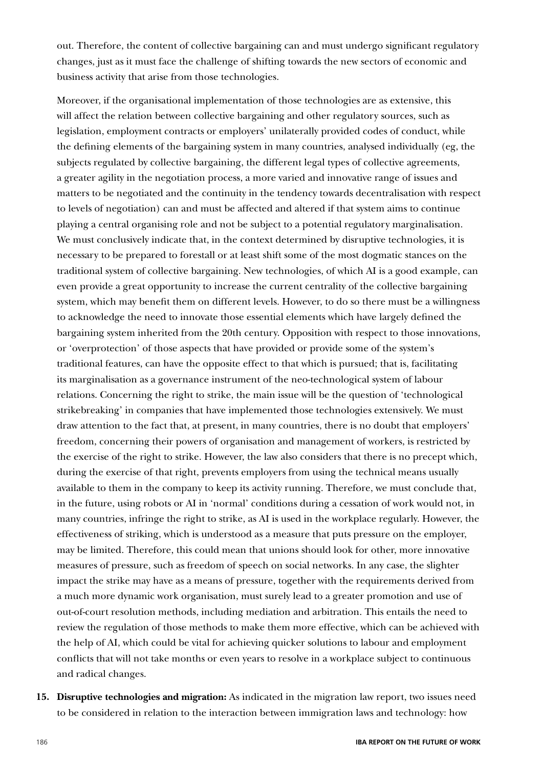out. Therefore, the content of collective bargaining can and must undergo significant regulatory changes, just as it must face the challenge of shifting towards the new sectors of economic and business activity that arise from those technologies.

Moreover, if the organisational implementation of those technologies are as extensive, this will affect the relation between collective bargaining and other regulatory sources, such as legislation, employment contracts or employers' unilaterally provided codes of conduct, while the defining elements of the bargaining system in many countries, analysed individually (eg, the subjects regulated by collective bargaining, the different legal types of collective agreements, a greater agility in the negotiation process, a more varied and innovative range of issues and matters to be negotiated and the continuity in the tendency towards decentralisation with respect to levels of negotiation) can and must be affected and altered if that system aims to continue playing a central organising role and not be subject to a potential regulatory marginalisation. We must conclusively indicate that, in the context determined by disruptive technologies, it is necessary to be prepared to forestall or at least shift some of the most dogmatic stances on the traditional system of collective bargaining. New technologies, of which AI is a good example, can even provide a great opportunity to increase the current centrality of the collective bargaining system, which may benefit them on different levels. However, to do so there must be a willingness to acknowledge the need to innovate those essential elements which have largely defined the bargaining system inherited from the 20th century. Opposition with respect to those innovations, or 'overprotection' of those aspects that have provided or provide some of the system's traditional features, can have the opposite effect to that which is pursued; that is, facilitating its marginalisation as a governance instrument of the neo-technological system of labour relations. Concerning the right to strike, the main issue will be the question of 'technological strikebreaking' in companies that have implemented those technologies extensively. We must draw attention to the fact that, at present, in many countries, there is no doubt that employers' freedom, concerning their powers of organisation and management of workers, is restricted by the exercise of the right to strike. However, the law also considers that there is no precept which, during the exercise of that right, prevents employers from using the technical means usually available to them in the company to keep its activity running. Therefore, we must conclude that, in the future, using robots or AI in 'normal' conditions during a cessation of work would not, in many countries, infringe the right to strike, as AI is used in the workplace regularly. However, the effectiveness of striking, which is understood as a measure that puts pressure on the employer, may be limited. Therefore, this could mean that unions should look for other, more innovative measures of pressure, such as freedom of speech on social networks. In any case, the slighter impact the strike may have as a means of pressure, together with the requirements derived from a much more dynamic work organisation, must surely lead to a greater promotion and use of out-of-court resolution methods, including mediation and arbitration. This entails the need to review the regulation of those methods to make them more effective, which can be achieved with the help of AI, which could be vital for achieving quicker solutions to labour and employment conflicts that will not take months or even years to resolve in a workplace subject to continuous and radical changes.

**15. Disruptive technologies and migration:** As indicated in the migration law report, two issues need to be considered in relation to the interaction between immigration laws and technology: how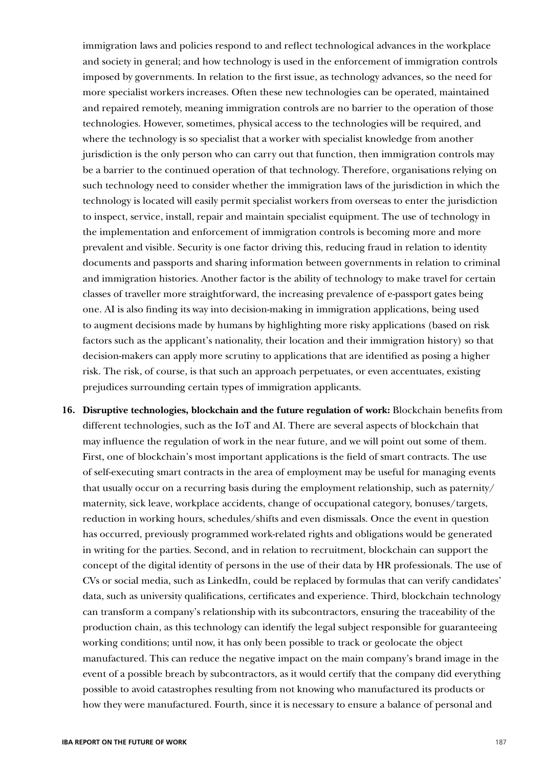immigration laws and policies respond to and reflect technological advances in the workplace and society in general; and how technology is used in the enforcement of immigration controls imposed by governments. In relation to the first issue, as technology advances, so the need for more specialist workers increases. Often these new technologies can be operated, maintained and repaired remotely, meaning immigration controls are no barrier to the operation of those technologies. However, sometimes, physical access to the technologies will be required, and where the technology is so specialist that a worker with specialist knowledge from another jurisdiction is the only person who can carry out that function, then immigration controls may be a barrier to the continued operation of that technology. Therefore, organisations relying on such technology need to consider whether the immigration laws of the jurisdiction in which the technology is located will easily permit specialist workers from overseas to enter the jurisdiction to inspect, service, install, repair and maintain specialist equipment. The use of technology in the implementation and enforcement of immigration controls is becoming more and more prevalent and visible. Security is one factor driving this, reducing fraud in relation to identity documents and passports and sharing information between governments in relation to criminal and immigration histories. Another factor is the ability of technology to make travel for certain classes of traveller more straightforward, the increasing prevalence of e-passport gates being one. AI is also finding its way into decision-making in immigration applications, being used to augment decisions made by humans by highlighting more risky applications (based on risk factors such as the applicant's nationality, their location and their immigration history) so that decision-makers can apply more scrutiny to applications that are identified as posing a higher risk. The risk, of course, is that such an approach perpetuates, or even accentuates, existing prejudices surrounding certain types of immigration applicants.

**16. Disruptive technologies, blockchain and the future regulation of work:** Blockchain benefits from different technologies, such as the IoT and AI. There are several aspects of blockchain that may influence the regulation of work in the near future, and we will point out some of them. First, one of blockchain's most important applications is the field of smart contracts. The use of self-executing smart contracts in the area of employment may be useful for managing events that usually occur on a recurring basis during the employment relationship, such as paternity/ maternity, sick leave, workplace accidents, change of occupational category, bonuses/targets, reduction in working hours, schedules/shifts and even dismissals. Once the event in question has occurred, previously programmed work-related rights and obligations would be generated in writing for the parties. Second, and in relation to recruitment, blockchain can support the concept of the digital identity of persons in the use of their data by HR professionals. The use of CVs or social media, such as LinkedIn, could be replaced by formulas that can verify candidates' data, such as university qualifications, certificates and experience. Third, blockchain technology can transform a company's relationship with its subcontractors, ensuring the traceability of the production chain, as this technology can identify the legal subject responsible for guaranteeing working conditions; until now, it has only been possible to track or geolocate the object manufactured. This can reduce the negative impact on the main company's brand image in the event of a possible breach by subcontractors, as it would certify that the company did everything possible to avoid catastrophes resulting from not knowing who manufactured its products or how they were manufactured. Fourth, since it is necessary to ensure a balance of personal and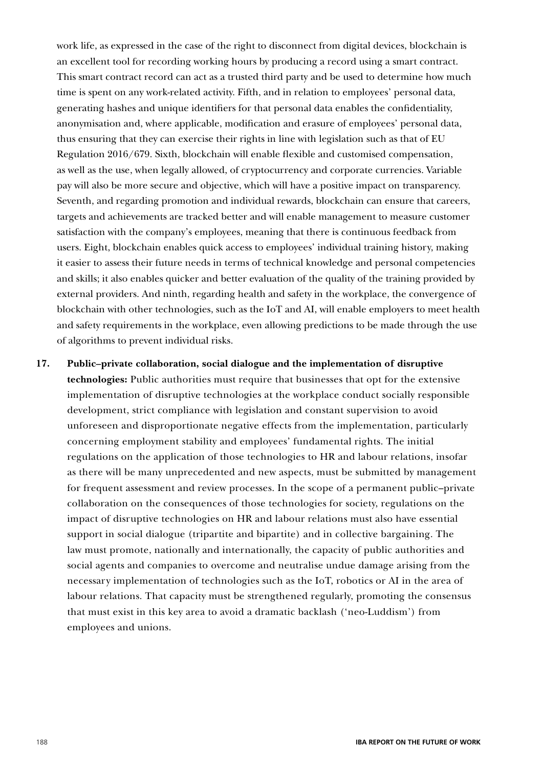work life, as expressed in the case of the right to disconnect from digital devices, blockchain is an excellent tool for recording working hours by producing a record using a smart contract. This smart contract record can act as a trusted third party and be used to determine how much time is spent on any work-related activity. Fifth, and in relation to employees' personal data, generating hashes and unique identifiers for that personal data enables the confidentiality, anonymisation and, where applicable, modification and erasure of employees' personal data, thus ensuring that they can exercise their rights in line with legislation such as that of EU Regulation 2016/679. Sixth, blockchain will enable flexible and customised compensation, as well as the use, when legally allowed, of cryptocurrency and corporate currencies. Variable pay will also be more secure and objective, which will have a positive impact on transparency. Seventh, and regarding promotion and individual rewards, blockchain can ensure that careers, targets and achievements are tracked better and will enable management to measure customer satisfaction with the company's employees, meaning that there is continuous feedback from users. Eight, blockchain enables quick access to employees' individual training history, making it easier to assess their future needs in terms of technical knowledge and personal competencies and skills; it also enables quicker and better evaluation of the quality of the training provided by external providers. And ninth, regarding health and safety in the workplace, the convergence of blockchain with other technologies, such as the IoT and AI, will enable employers to meet health and safety requirements in the workplace, even allowing predictions to be made through the use of algorithms to prevent individual risks.

**17. Public–private collaboration, social dialogue and the implementation of disruptive technologies:** Public authorities must require that businesses that opt for the extensive implementation of disruptive technologies at the workplace conduct socially responsible development, strict compliance with legislation and constant supervision to avoid unforeseen and disproportionate negative effects from the implementation, particularly concerning employment stability and employees' fundamental rights. The initial regulations on the application of those technologies to HR and labour relations, insofar as there will be many unprecedented and new aspects, must be submitted by management for frequent assessment and review processes. In the scope of a permanent public–private collaboration on the consequences of those technologies for society, regulations on the impact of disruptive technologies on HR and labour relations must also have essential support in social dialogue (tripartite and bipartite) and in collective bargaining. The law must promote, nationally and internationally, the capacity of public authorities and social agents and companies to overcome and neutralise undue damage arising from the necessary implementation of technologies such as the IoT, robotics or AI in the area of labour relations. That capacity must be strengthened regularly, promoting the consensus that must exist in this key area to avoid a dramatic backlash ('neo-Luddism') from employees and unions.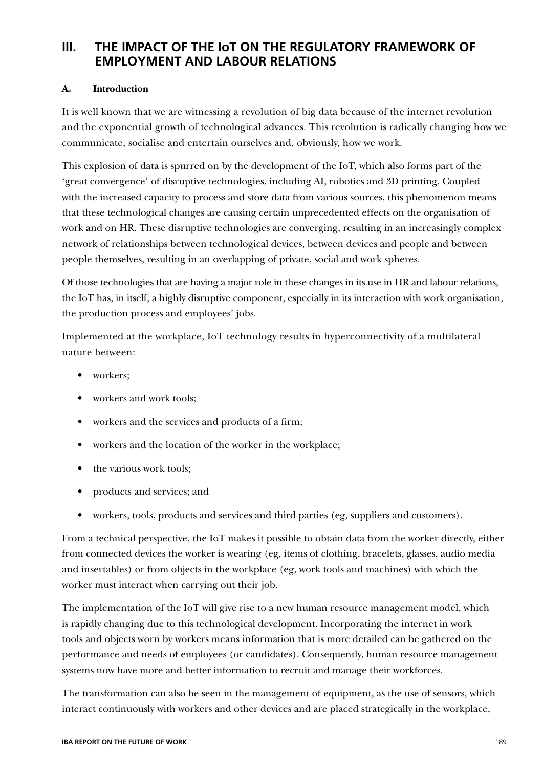# **III. THE IMPACT OF THE IoT ON THE REGULATORY FRAMEWORK OF EMPLOYMENT AND LABOUR RELATIONS**

## **A. Introduction**

It is well known that we are witnessing a revolution of big data because of the internet revolution and the exponential growth of technological advances. This revolution is radically changing how we communicate, socialise and entertain ourselves and, obviously, how we work.

This explosion of data is spurred on by the development of the IoT, which also forms part of the 'great convergence' of disruptive technologies, including AI, robotics and 3D printing. Coupled with the increased capacity to process and store data from various sources, this phenomenon means that these technological changes are causing certain unprecedented effects on the organisation of work and on HR. These disruptive technologies are converging, resulting in an increasingly complex network of relationships between technological devices, between devices and people and between people themselves, resulting in an overlapping of private, social and work spheres.

Of those technologies that are having a major role in these changes in its use in HR and labour relations, the IoT has, in itself, a highly disruptive component, especially in its interaction with work organisation, the production process and employees' jobs.

Implemented at the workplace, IoT technology results in hyperconnectivity of a multilateral nature between:

- workers:
- workers and work tools;
- workers and the services and products of a firm;
- workers and the location of the worker in the workplace;
- the various work tools:
- products and services; and
- workers, tools, products and services and third parties (eg, suppliers and customers).

From a technical perspective, the IoT makes it possible to obtain data from the worker directly, either from connected devices the worker is wearing (eg, items of clothing, bracelets, glasses, audio media and insertables) or from objects in the workplace (eg, work tools and machines) with which the worker must interact when carrying out their job.

The implementation of the IoT will give rise to a new human resource management model, which is rapidly changing due to this technological development. Incorporating the internet in work tools and objects worn by workers means information that is more detailed can be gathered on the performance and needs of employees (or candidates). Consequently, human resource management systems now have more and better information to recruit and manage their workforces.

The transformation can also be seen in the management of equipment, as the use of sensors, which interact continuously with workers and other devices and are placed strategically in the workplace,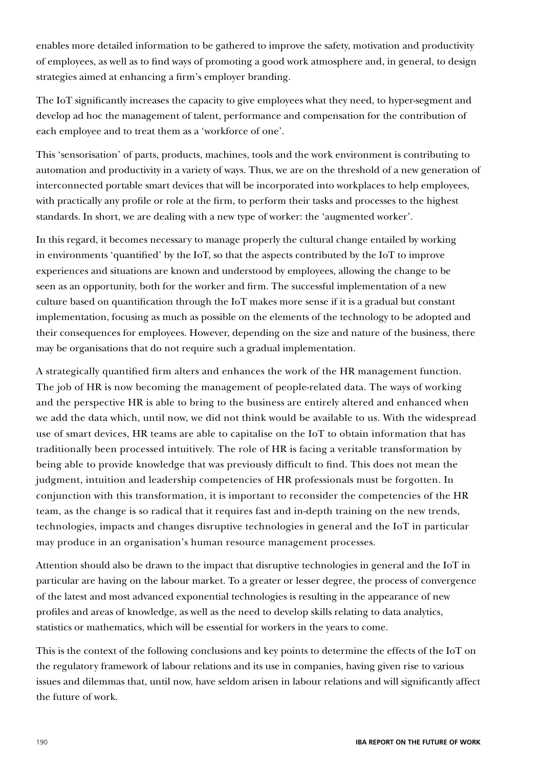enables more detailed information to be gathered to improve the safety, motivation and productivity of employees, as well as to find ways of promoting a good work atmosphere and, in general, to design strategies aimed at enhancing a firm's employer branding.

The IoT significantly increases the capacity to give employees what they need, to hyper-segment and develop ad hoc the management of talent, performance and compensation for the contribution of each employee and to treat them as a 'workforce of one'.

This 'sensorisation' of parts, products, machines, tools and the work environment is contributing to automation and productivity in a variety of ways. Thus, we are on the threshold of a new generation of interconnected portable smart devices that will be incorporated into workplaces to help employees, with practically any profile or role at the firm, to perform their tasks and processes to the highest standards. In short, we are dealing with a new type of worker: the 'augmented worker'.

In this regard, it becomes necessary to manage properly the cultural change entailed by working in environments 'quantified' by the IoT, so that the aspects contributed by the IoT to improve experiences and situations are known and understood by employees, allowing the change to be seen as an opportunity, both for the worker and firm. The successful implementation of a new culture based on quantification through the IoT makes more sense if it is a gradual but constant implementation, focusing as much as possible on the elements of the technology to be adopted and their consequences for employees. However, depending on the size and nature of the business, there may be organisations that do not require such a gradual implementation.

A strategically quantified firm alters and enhances the work of the HR management function. The job of HR is now becoming the management of people-related data. The ways of working and the perspective HR is able to bring to the business are entirely altered and enhanced when we add the data which, until now, we did not think would be available to us. With the widespread use of smart devices, HR teams are able to capitalise on the IoT to obtain information that has traditionally been processed intuitively. The role of HR is facing a veritable transformation by being able to provide knowledge that was previously difficult to find. This does not mean the judgment, intuition and leadership competencies of HR professionals must be forgotten. In conjunction with this transformation, it is important to reconsider the competencies of the HR team, as the change is so radical that it requires fast and in-depth training on the new trends, technologies, impacts and changes disruptive technologies in general and the IoT in particular may produce in an organisation's human resource management processes.

Attention should also be drawn to the impact that disruptive technologies in general and the IoT in particular are having on the labour market. To a greater or lesser degree, the process of convergence of the latest and most advanced exponential technologies is resulting in the appearance of new profiles and areas of knowledge, as well as the need to develop skills relating to data analytics, statistics or mathematics, which will be essential for workers in the years to come.

This is the context of the following conclusions and key points to determine the effects of the IoT on the regulatory framework of labour relations and its use in companies, having given rise to various issues and dilemmas that, until now, have seldom arisen in labour relations and will significantly affect the future of work.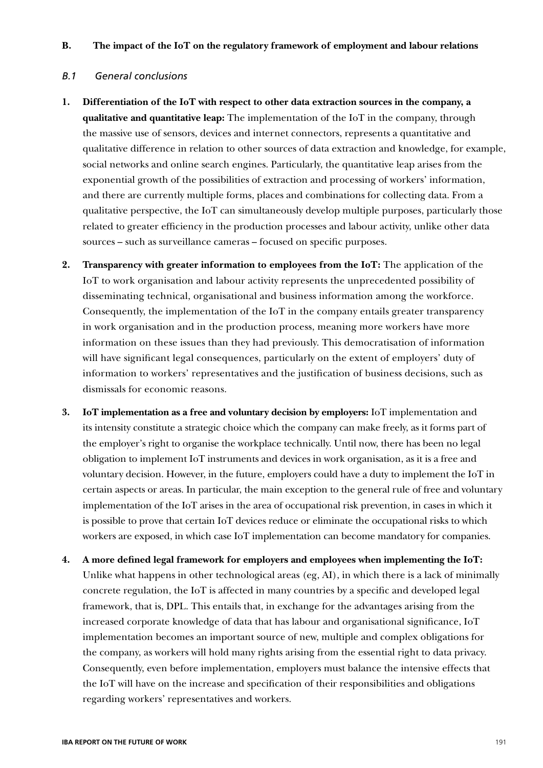### **B. The impact of the IoT on the regulatory framework of employment and labour relations**

#### *B.1 General conclusions*

- **1. Differentiation of the IoT with respect to other data extraction sources in the company, a qualitative and quantitative leap:** The implementation of the IoT in the company, through the massive use of sensors, devices and internet connectors, represents a quantitative and qualitative difference in relation to other sources of data extraction and knowledge, for example, social networks and online search engines. Particularly, the quantitative leap arises from the exponential growth of the possibilities of extraction and processing of workers' information, and there are currently multiple forms, places and combinations for collecting data. From a qualitative perspective, the IoT can simultaneously develop multiple purposes, particularly those related to greater efficiency in the production processes and labour activity, unlike other data sources – such as surveillance cameras – focused on specific purposes.
- **2. Transparency with greater information to employees from the IoT:** The application of the IoT to work organisation and labour activity represents the unprecedented possibility of disseminating technical, organisational and business information among the workforce. Consequently, the implementation of the IoT in the company entails greater transparency in work organisation and in the production process, meaning more workers have more information on these issues than they had previously. This democratisation of information will have significant legal consequences, particularly on the extent of employers' duty of information to workers' representatives and the justification of business decisions, such as dismissals for economic reasons.
- **3. IoT implementation as a free and voluntary decision by employers:** IoT implementation and its intensity constitute a strategic choice which the company can make freely, as it forms part of the employer's right to organise the workplace technically. Until now, there has been no legal obligation to implement IoT instruments and devices in work organisation, as it is a free and voluntary decision. However, in the future, employers could have a duty to implement the IoT in certain aspects or areas. In particular, the main exception to the general rule of free and voluntary implementation of the IoT arises in the area of occupational risk prevention, in cases in which it is possible to prove that certain IoT devices reduce or eliminate the occupational risks to which workers are exposed, in which case IoT implementation can become mandatory for companies.
- **4. A more defined legal framework for employers and employees when implementing the IoT:** Unlike what happens in other technological areas (eg, AI), in which there is a lack of minimally concrete regulation, the IoT is affected in many countries by a specific and developed legal framework, that is, DPL. This entails that, in exchange for the advantages arising from the increased corporate knowledge of data that has labour and organisational significance, IoT implementation becomes an important source of new, multiple and complex obligations for the company, as workers will hold many rights arising from the essential right to data privacy. Consequently, even before implementation, employers must balance the intensive effects that the IoT will have on the increase and specification of their responsibilities and obligations regarding workers' representatives and workers.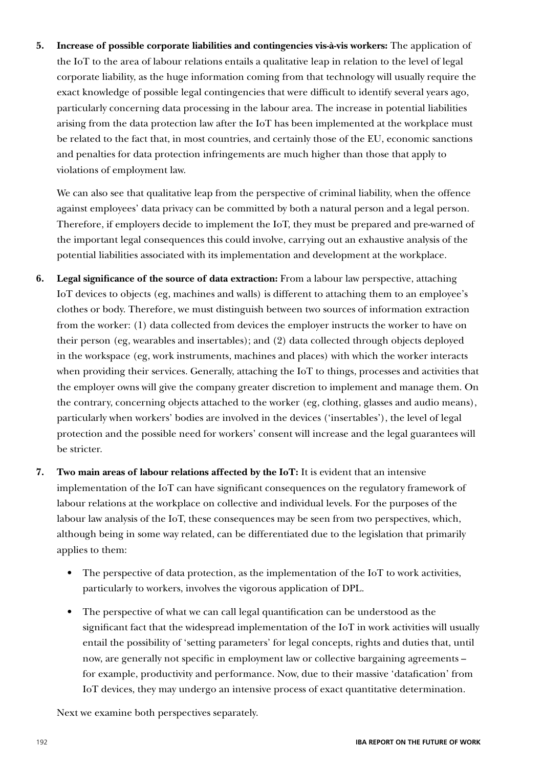**5. Increase of possible corporate liabilities and contingencies vis-à-vis workers:** The application of the IoT to the area of labour relations entails a qualitative leap in relation to the level of legal corporate liability, as the huge information coming from that technology will usually require the exact knowledge of possible legal contingencies that were difficult to identify several years ago, particularly concerning data processing in the labour area. The increase in potential liabilities arising from the data protection law after the IoT has been implemented at the workplace must be related to the fact that, in most countries, and certainly those of the EU, economic sanctions and penalties for data protection infringements are much higher than those that apply to violations of employment law.

We can also see that qualitative leap from the perspective of criminal liability, when the offence against employees' data privacy can be committed by both a natural person and a legal person. Therefore, if employers decide to implement the IoT, they must be prepared and pre-warned of the important legal consequences this could involve, carrying out an exhaustive analysis of the potential liabilities associated with its implementation and development at the workplace.

- **6. Legal significance of the source of data extraction:** From a labour law perspective, attaching IoT devices to objects (eg, machines and walls) is different to attaching them to an employee's clothes or body. Therefore, we must distinguish between two sources of information extraction from the worker: (1) data collected from devices the employer instructs the worker to have on their person (eg, wearables and insertables); and (2) data collected through objects deployed in the workspace (eg, work instruments, machines and places) with which the worker interacts when providing their services. Generally, attaching the IoT to things, processes and activities that the employer owns will give the company greater discretion to implement and manage them. On the contrary, concerning objects attached to the worker (eg, clothing, glasses and audio means), particularly when workers' bodies are involved in the devices ('insertables'), the level of legal protection and the possible need for workers' consent will increase and the legal guarantees will be stricter.
- **7. Two main areas of labour relations affected by the IoT:** It is evident that an intensive implementation of the IoT can have significant consequences on the regulatory framework of labour relations at the workplace on collective and individual levels. For the purposes of the labour law analysis of the IoT, these consequences may be seen from two perspectives, which, although being in some way related, can be differentiated due to the legislation that primarily applies to them:
	- The perspective of data protection, as the implementation of the IoT to work activities, particularly to workers, involves the vigorous application of DPL.
	- The perspective of what we can call legal quantification can be understood as the significant fact that the widespread implementation of the IoT in work activities will usually entail the possibility of 'setting parameters' for legal concepts, rights and duties that, until now, are generally not specific in employment law or collective bargaining agreements – for example, productivity and performance. Now, due to their massive 'datafication' from IoT devices, they may undergo an intensive process of exact quantitative determination.

Next we examine both perspectives separately.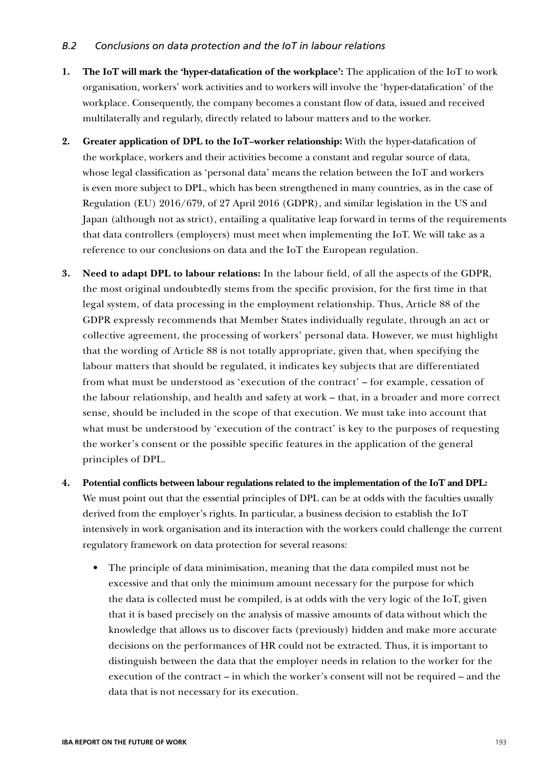## *B.2 Conclusions on data protection and the IoT in labour relations*

- **1. The IoT will mark the 'hyper-datafication of the workplace':** The application of the IoT to work organisation, workers' work activities and to workers will involve the 'hyper-datafication' of the workplace. Consequently, the company becomes a constant flow of data, issued and received multilaterally and regularly, directly related to labour matters and to the worker.
- **2. Greater application of DPL to the IoT–worker relationship:** With the hyper-datafication of the workplace, workers and their activities become a constant and regular source of data, whose legal classification as 'personal data' means the relation between the IoT and workers is even more subject to DPL, which has been strengthened in many countries, as in the case of Regulation (EU) 2016/679, of 27 April 2016 (GDPR), and similar legislation in the US and Japan (although not as strict), entailing a qualitative leap forward in terms of the requirements that data controllers (employers) must meet when implementing the IoT. We will take as a reference to our conclusions on data and the IoT the European regulation.
- **3. Need to adapt DPL to labour relations:** In the labour field, of all the aspects of the GDPR, the most original undoubtedly stems from the specific provision, for the first time in that legal system, of data processing in the employment relationship. Thus, Article 88 of the GDPR expressly recommends that Member States individually regulate, through an act or collective agreement, the processing of workers' personal data. However, we must highlight that the wording of Article 88 is not totally appropriate, given that, when specifying the labour matters that should be regulated, it indicates key subjects that are differentiated from what must be understood as 'execution of the contract' – for example, cessation of the labour relationship, and health and safety at work – that, in a broader and more correct sense, should be included in the scope of that execution. We must take into account that what must be understood by 'execution of the contract' is key to the purposes of requesting the worker's consent or the possible specific features in the application of the general principles of DPL.
- **4. Potential conflicts between labour regulations related to the implementation of the IoT and DPL:** We must point out that the essential principles of DPL can be at odds with the faculties usually derived from the employer's rights. In particular, a business decision to establish the IoT intensively in work organisation and its interaction with the workers could challenge the current regulatory framework on data protection for several reasons:
	- The principle of data minimisation, meaning that the data compiled must not be excessive and that only the minimum amount necessary for the purpose for which the data is collected must be compiled, is at odds with the very logic of the IoT, given that it is based precisely on the analysis of massive amounts of data without which the knowledge that allows us to discover facts (previously) hidden and make more accurate decisions on the performances of HR could not be extracted. Thus, it is important to distinguish between the data that the employer needs in relation to the worker for the execution of the contract – in which the worker's consent will not be required – and the data that is not necessary for its execution.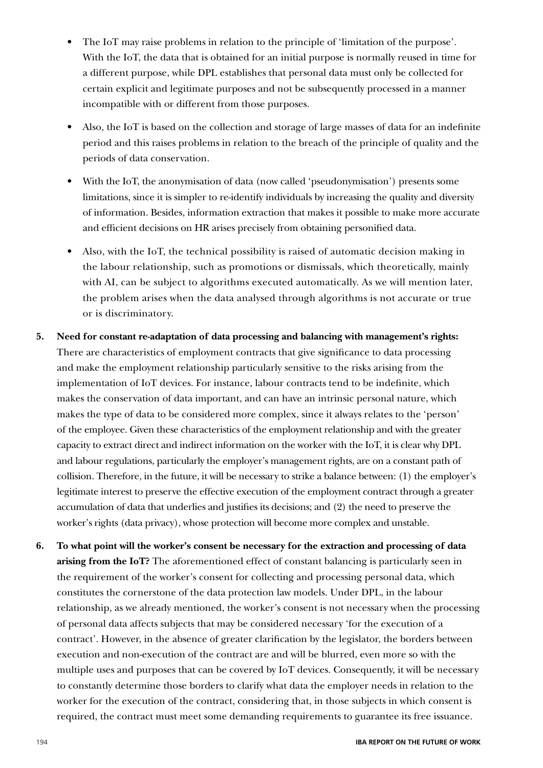- The IoT may raise problems in relation to the principle of 'limitation of the purpose'. With the IoT, the data that is obtained for an initial purpose is normally reused in time for a different purpose, while DPL establishes that personal data must only be collected for certain explicit and legitimate purposes and not be subsequently processed in a manner incompatible with or different from those purposes.
- Also, the IoT is based on the collection and storage of large masses of data for an indefinite period and this raises problems in relation to the breach of the principle of quality and the periods of data conservation.
- With the IoT, the anonymisation of data (now called 'pseudonymisation') presents some limitations, since it is simpler to re-identify individuals by increasing the quality and diversity of information. Besides, information extraction that makes it possible to make more accurate and efficient decisions on HR arises precisely from obtaining personified data.
- Also, with the IoT, the technical possibility is raised of automatic decision making in the labour relationship, such as promotions or dismissals, which theoretically, mainly with AI, can be subject to algorithms executed automatically. As we will mention later, the problem arises when the data analysed through algorithms is not accurate or true or is discriminatory.
- **5. Need for constant re-adaptation of data processing and balancing with management's rights:** There are characteristics of employment contracts that give significance to data processing and make the employment relationship particularly sensitive to the risks arising from the implementation of IoT devices. For instance, labour contracts tend to be indefinite, which makes the conservation of data important, and can have an intrinsic personal nature, which makes the type of data to be considered more complex, since it always relates to the 'person' of the employee. Given these characteristics of the employment relationship and with the greater capacity to extract direct and indirect information on the worker with the IoT, it is clear why DPL and labour regulations, particularly the employer's management rights, are on a constant path of collision. Therefore, in the future, it will be necessary to strike a balance between: (1) the employer's legitimate interest to preserve the effective execution of the employment contract through a greater accumulation of data that underlies and justifies its decisions; and (2) the need to preserve the worker's rights (data privacy), whose protection will become more complex and unstable.
- **6. To what point will the worker's consent be necessary for the extraction and processing of data arising from the IoT?** The aforementioned effect of constant balancing is particularly seen in the requirement of the worker's consent for collecting and processing personal data, which constitutes the cornerstone of the data protection law models. Under DPL, in the labour relationship, as we already mentioned, the worker's consent is not necessary when the processing of personal data affects subjects that may be considered necessary 'for the execution of a contract'. However, in the absence of greater clarification by the legislator, the borders between execution and non-execution of the contract are and will be blurred, even more so with the multiple uses and purposes that can be covered by IoT devices. Consequently, it will be necessary to constantly determine those borders to clarify what data the employer needs in relation to the worker for the execution of the contract, considering that, in those subjects in which consent is required, the contract must meet some demanding requirements to guarantee its free issuance.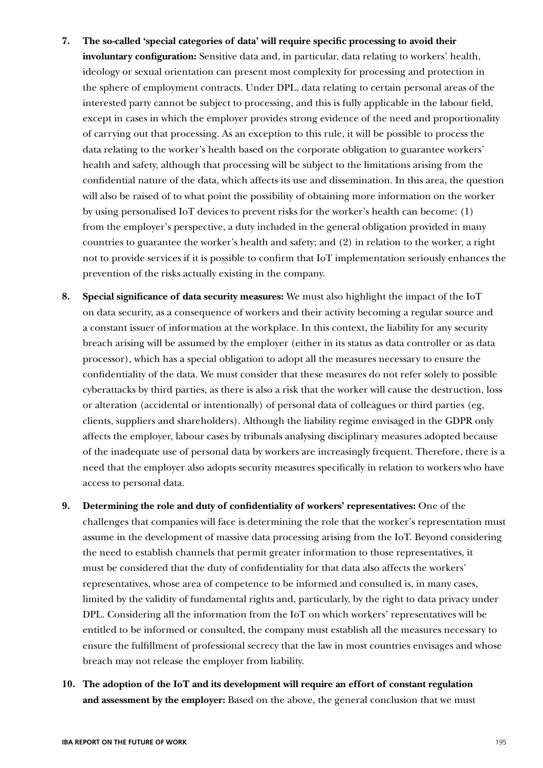- **7. The so-called 'special categories of data' will require specific processing to avoid their involuntary configuration:** Sensitive data and, in particular, data relating to workers' health, ideology or sexual orientation can present most complexity for processing and protection in the sphere of employment contracts. Under DPL, data relating to certain personal areas of the interested party cannot be subject to processing, and this is fully applicable in the labour field, except in cases in which the employer provides strong evidence of the need and proportionality of carrying out that processing. As an exception to this rule, it will be possible to process the data relating to the worker's health based on the corporate obligation to guarantee workers' health and safety, although that processing will be subject to the limitations arising from the confidential nature of the data, which affects its use and dissemination. In this area, the question will also be raised of to what point the possibility of obtaining more information on the worker by using personalised IoT devices to prevent risks for the worker's health can become: (1) from the employer's perspective, a duty included in the general obligation provided in many countries to guarantee the worker's health and safety; and (2) in relation to the worker, a right not to provide services if it is possible to confirm that IoT implementation seriously enhances the prevention of the risks actually existing in the company.
- **8. Special significance of data security measures:** We must also highlight the impact of the IoT on data security, as a consequence of workers and their activity becoming a regular source and a constant issuer of information at the workplace. In this context, the liability for any security breach arising will be assumed by the employer (either in its status as data controller or as data processor), which has a special obligation to adopt all the measures necessary to ensure the confidentiality of the data. We must consider that these measures do not refer solely to possible cyberattacks by third parties, as there is also a risk that the worker will cause the destruction, loss or alteration (accidental or intentionally) of personal data of colleagues or third parties (eg, clients, suppliers and shareholders). Although the liability regime envisaged in the GDPR only affects the employer, labour cases by tribunals analysing disciplinary measures adopted because of the inadequate use of personal data by workers are increasingly frequent. Therefore, there is a need that the employer also adopts security measures specifically in relation to workers who have access to personal data.
- **9. Determining the role and duty of confidentiality of workers' representatives:** One of the challenges that companies will face is determining the role that the worker's representation must assume in the development of massive data processing arising from the IoT. Beyond considering the need to establish channels that permit greater information to those representatives, it must be considered that the duty of confidentiality for that data also affects the workers' representatives, whose area of competence to be informed and consulted is, in many cases, limited by the validity of fundamental rights and, particularly, by the right to data privacy under DPL. Considering all the information from the IoT on which workers' representatives will be entitled to be informed or consulted, the company must establish all the measures necessary to ensure the fulfillment of professional secrecy that the law in most countries envisages and whose breach may not release the employer from liability.
- **10. The adoption of the IoT and its development will require an effort of constant regulation and assessment by the employer:** Based on the above, the general conclusion that we must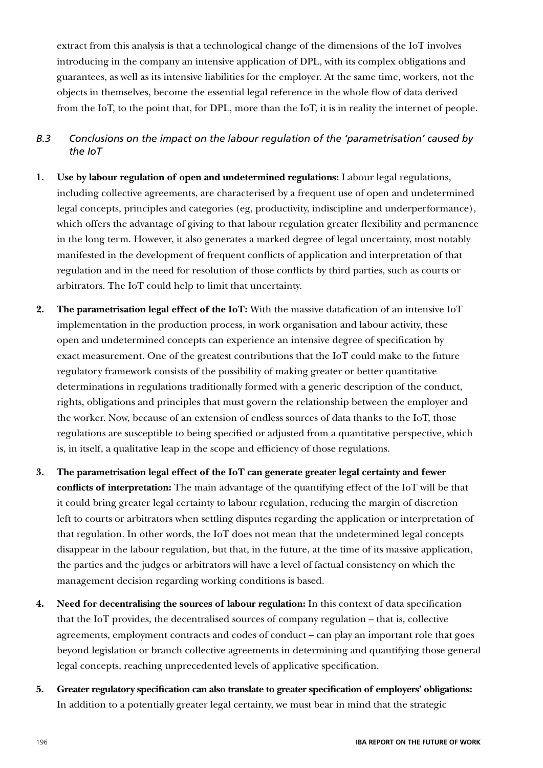extract from this analysis is that a technological change of the dimensions of the IoT involves introducing in the company an intensive application of DPL, with its complex obligations and guarantees, as well as its intensive liabilities for the employer. At the same time, workers, not the objects in themselves, become the essential legal reference in the whole flow of data derived from the IoT, to the point that, for DPL, more than the IoT, it is in reality the internet of people.

- *B.3 Conclusions on the impact on the labour regulation of the 'parametrisation' caused by the IoT*
- **1. Use by labour regulation of open and undetermined regulations:** Labour legal regulations, including collective agreements, are characterised by a frequent use of open and undetermined legal concepts, principles and categories (eg, productivity, indiscipline and underperformance), which offers the advantage of giving to that labour regulation greater flexibility and permanence in the long term. However, it also generates a marked degree of legal uncertainty, most notably manifested in the development of frequent conflicts of application and interpretation of that regulation and in the need for resolution of those conflicts by third parties, such as courts or arbitrators. The IoT could help to limit that uncertainty.
- **2. The parametrisation legal effect of the IoT:** With the massive datafication of an intensive IoT implementation in the production process, in work organisation and labour activity, these open and undetermined concepts can experience an intensive degree of specification by exact measurement. One of the greatest contributions that the IoT could make to the future regulatory framework consists of the possibility of making greater or better quantitative determinations in regulations traditionally formed with a generic description of the conduct, rights, obligations and principles that must govern the relationship between the employer and the worker. Now, because of an extension of endless sources of data thanks to the IoT, those regulations are susceptible to being specified or adjusted from a quantitative perspective, which is, in itself, a qualitative leap in the scope and efficiency of those regulations.
- **3. The parametrisation legal effect of the IoT can generate greater legal certainty and fewer conflicts of interpretation:** The main advantage of the quantifying effect of the IoT will be that it could bring greater legal certainty to labour regulation, reducing the margin of discretion left to courts or arbitrators when settling disputes regarding the application or interpretation of that regulation. In other words, the IoT does not mean that the undetermined legal concepts disappear in the labour regulation, but that, in the future, at the time of its massive application, the parties and the judges or arbitrators will have a level of factual consistency on which the management decision regarding working conditions is based.
- **4. Need for decentralising the sources of labour regulation:** In this context of data specification that the IoT provides, the decentralised sources of company regulation – that is, collective agreements, employment contracts and codes of conduct – can play an important role that goes beyond legislation or branch collective agreements in determining and quantifying those general legal concepts, reaching unprecedented levels of applicative specification.
- **5. Greater regulatory specification can also translate to greater specification of employers' obligations:** In addition to a potentially greater legal certainty, we must bear in mind that the strategic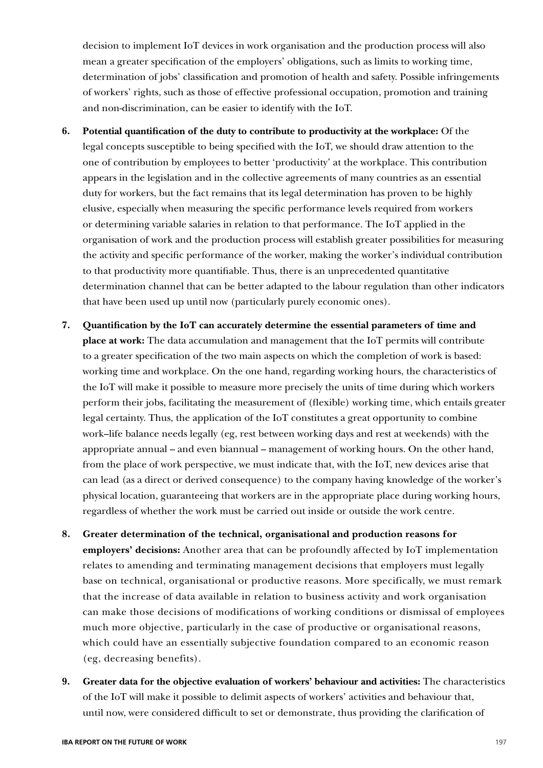decision to implement IoT devices in work organisation and the production process will also mean a greater specification of the employers' obligations, such as limits to working time, determination of jobs' classification and promotion of health and safety. Possible infringements of workers' rights, such as those of effective professional occupation, promotion and training and non-discrimination, can be easier to identify with the IoT.

- **6. Potential quantification of the duty to contribute to productivity at the workplace:** Of the legal concepts susceptible to being specified with the IoT, we should draw attention to the one of contribution by employees to better 'productivity' at the workplace. This contribution appears in the legislation and in the collective agreements of many countries as an essential duty for workers, but the fact remains that its legal determination has proven to be highly elusive, especially when measuring the specific performance levels required from workers or determining variable salaries in relation to that performance. The IoT applied in the organisation of work and the production process will establish greater possibilities for measuring the activity and specific performance of the worker, making the worker's individual contribution to that productivity more quantifiable. Thus, there is an unprecedented quantitative determination channel that can be better adapted to the labour regulation than other indicators that have been used up until now (particularly purely economic ones).
- **7. Quantification by the IoT can accurately determine the essential parameters of time and place at work:** The data accumulation and management that the IoT permits will contribute to a greater specification of the two main aspects on which the completion of work is based: working time and workplace. On the one hand, regarding working hours, the characteristics of the IoT will make it possible to measure more precisely the units of time during which workers perform their jobs, facilitating the measurement of (flexible) working time, which entails greater legal certainty. Thus, the application of the IoT constitutes a great opportunity to combine work–life balance needs legally (eg, rest between working days and rest at weekends) with the appropriate annual – and even biannual – management of working hours. On the other hand, from the place of work perspective, we must indicate that, with the IoT, new devices arise that can lead (as a direct or derived consequence) to the company having knowledge of the worker's physical location, guaranteeing that workers are in the appropriate place during working hours, regardless of whether the work must be carried out inside or outside the work centre.
- **8. Greater determination of the technical, organisational and production reasons for employers' decisions:** Another area that can be profoundly affected by IoT implementation relates to amending and terminating management decisions that employers must legally base on technical, organisational or productive reasons. More specifically, we must remark that the increase of data available in relation to business activity and work organisation can make those decisions of modifications of working conditions or dismissal of employees much more objective, particularly in the case of productive or organisational reasons, which could have an essentially subjective foundation compared to an economic reason (eg, decreasing benefits).
- **9. Greater data for the objective evaluation of workers' behaviour and activities:** The characteristics of the IoT will make it possible to delimit aspects of workers' activities and behaviour that, until now, were considered difficult to set or demonstrate, thus providing the clarification of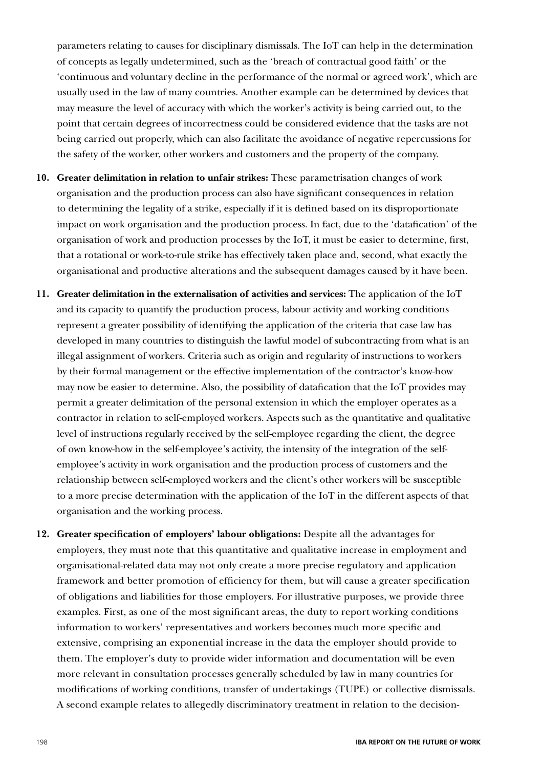parameters relating to causes for disciplinary dismissals. The IoT can help in the determination of concepts as legally undetermined, such as the 'breach of contractual good faith' or the 'continuous and voluntary decline in the performance of the normal or agreed work', which are usually used in the law of many countries. Another example can be determined by devices that may measure the level of accuracy with which the worker's activity is being carried out, to the point that certain degrees of incorrectness could be considered evidence that the tasks are not being carried out properly, which can also facilitate the avoidance of negative repercussions for the safety of the worker, other workers and customers and the property of the company.

- **10. Greater delimitation in relation to unfair strikes:** These parametrisation changes of work organisation and the production process can also have significant consequences in relation to determining the legality of a strike, especially if it is defined based on its disproportionate impact on work organisation and the production process. In fact, due to the 'datafication' of the organisation of work and production processes by the IoT, it must be easier to determine, first, that a rotational or work-to-rule strike has effectively taken place and, second, what exactly the organisational and productive alterations and the subsequent damages caused by it have been.
- **11. Greater delimitation in the externalisation of activities and services:** The application of the IoT and its capacity to quantify the production process, labour activity and working conditions represent a greater possibility of identifying the application of the criteria that case law has developed in many countries to distinguish the lawful model of subcontracting from what is an illegal assignment of workers. Criteria such as origin and regularity of instructions to workers by their formal management or the effective implementation of the contractor's know-how may now be easier to determine. Also, the possibility of datafication that the IoT provides may permit a greater delimitation of the personal extension in which the employer operates as a contractor in relation to self-employed workers. Aspects such as the quantitative and qualitative level of instructions regularly received by the self-employee regarding the client, the degree of own know-how in the self-employee's activity, the intensity of the integration of the selfemployee's activity in work organisation and the production process of customers and the relationship between self-employed workers and the client's other workers will be susceptible to a more precise determination with the application of the IoT in the different aspects of that organisation and the working process.
- **12. Greater specification of employers' labour obligations:** Despite all the advantages for employers, they must note that this quantitative and qualitative increase in employment and organisational-related data may not only create a more precise regulatory and application framework and better promotion of efficiency for them, but will cause a greater specification of obligations and liabilities for those employers. For illustrative purposes, we provide three examples. First, as one of the most significant areas, the duty to report working conditions information to workers' representatives and workers becomes much more specific and extensive, comprising an exponential increase in the data the employer should provide to them. The employer's duty to provide wider information and documentation will be even more relevant in consultation processes generally scheduled by law in many countries for modifications of working conditions, transfer of undertakings (TUPE) or collective dismissals. A second example relates to allegedly discriminatory treatment in relation to the decision-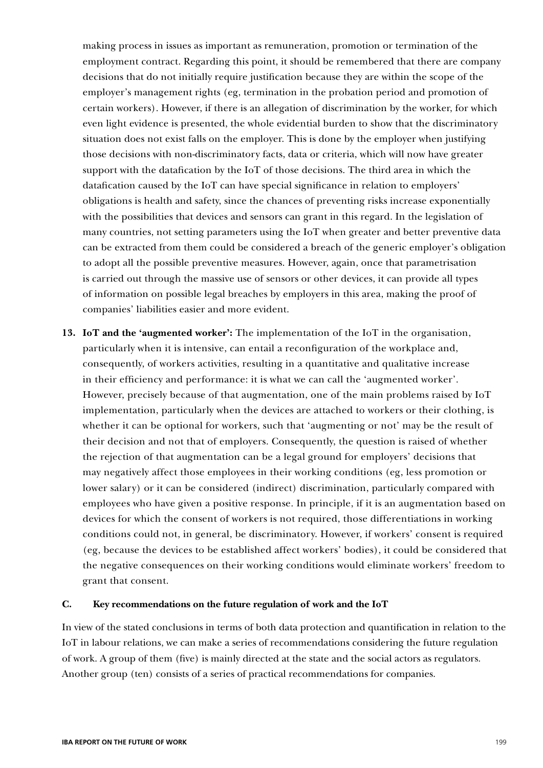making process in issues as important as remuneration, promotion or termination of the employment contract. Regarding this point, it should be remembered that there are company decisions that do not initially require justification because they are within the scope of the employer's management rights (eg, termination in the probation period and promotion of certain workers). However, if there is an allegation of discrimination by the worker, for which even light evidence is presented, the whole evidential burden to show that the discriminatory situation does not exist falls on the employer. This is done by the employer when justifying those decisions with non-discriminatory facts, data or criteria, which will now have greater support with the datafication by the IoT of those decisions. The third area in which the datafication caused by the IoT can have special significance in relation to employers' obligations is health and safety, since the chances of preventing risks increase exponentially with the possibilities that devices and sensors can grant in this regard. In the legislation of many countries, not setting parameters using the IoT when greater and better preventive data can be extracted from them could be considered a breach of the generic employer's obligation to adopt all the possible preventive measures. However, again, once that parametrisation is carried out through the massive use of sensors or other devices, it can provide all types of information on possible legal breaches by employers in this area, making the proof of companies' liabilities easier and more evident.

**13. IoT and the 'augmented worker':** The implementation of the IoT in the organisation, particularly when it is intensive, can entail a reconfiguration of the workplace and, consequently, of workers activities, resulting in a quantitative and qualitative increase in their efficiency and performance: it is what we can call the 'augmented worker'. However, precisely because of that augmentation, one of the main problems raised by IoT implementation, particularly when the devices are attached to workers or their clothing, is whether it can be optional for workers, such that 'augmenting or not' may be the result of their decision and not that of employers. Consequently, the question is raised of whether the rejection of that augmentation can be a legal ground for employers' decisions that may negatively affect those employees in their working conditions (eg, less promotion or lower salary) or it can be considered (indirect) discrimination, particularly compared with employees who have given a positive response. In principle, if it is an augmentation based on devices for which the consent of workers is not required, those differentiations in working conditions could not, in general, be discriminatory. However, if workers' consent is required (eg, because the devices to be established affect workers' bodies), it could be considered that the negative consequences on their working conditions would eliminate workers' freedom to grant that consent.

### **C. Key recommendations on the future regulation of work and the IoT**

In view of the stated conclusions in terms of both data protection and quantification in relation to the IoT in labour relations, we can make a series of recommendations considering the future regulation of work. A group of them (five) is mainly directed at the state and the social actors as regulators. Another group (ten) consists of a series of practical recommendations for companies.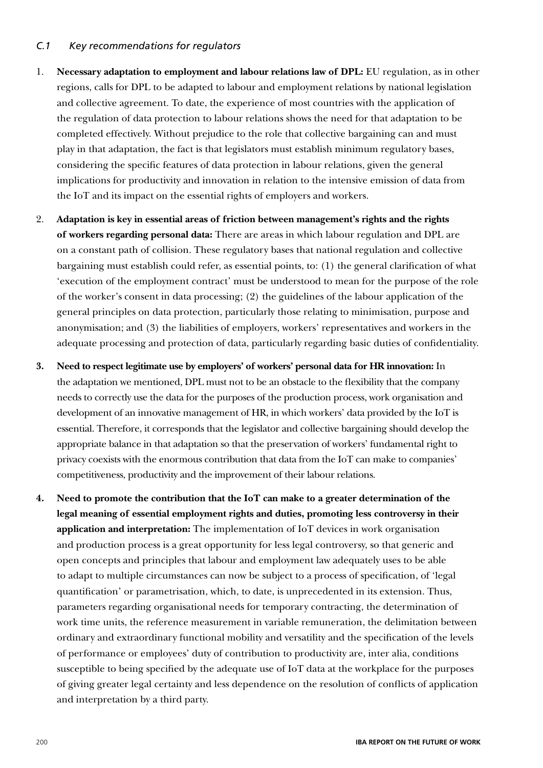## *C.1 Key recommendations for regulators*

- 1. **Necessary adaptation to employment and labour relations law of DPL:** EU regulation, as in other regions, calls for DPL to be adapted to labour and employment relations by national legislation and collective agreement. To date, the experience of most countries with the application of the regulation of data protection to labour relations shows the need for that adaptation to be completed effectively. Without prejudice to the role that collective bargaining can and must play in that adaptation, the fact is that legislators must establish minimum regulatory bases, considering the specific features of data protection in labour relations, given the general implications for productivity and innovation in relation to the intensive emission of data from the IoT and its impact on the essential rights of employers and workers.
- 2. **Adaptation is key in essential areas of friction between management's rights and the rights of workers regarding personal data:** There are areas in which labour regulation and DPL are on a constant path of collision. These regulatory bases that national regulation and collective bargaining must establish could refer, as essential points, to: (1) the general clarification of what 'execution of the employment contract' must be understood to mean for the purpose of the role of the worker's consent in data processing; (2) the guidelines of the labour application of the general principles on data protection, particularly those relating to minimisation, purpose and anonymisation; and (3) the liabilities of employers, workers' representatives and workers in the adequate processing and protection of data, particularly regarding basic duties of confidentiality.
- **3. Need to respect legitimate use by employers' of workers' personal data for HR innovation:** In the adaptation we mentioned, DPL must not to be an obstacle to the flexibility that the company needs to correctly use the data for the purposes of the production process, work organisation and development of an innovative management of HR, in which workers' data provided by the IoT is essential. Therefore, it corresponds that the legislator and collective bargaining should develop the appropriate balance in that adaptation so that the preservation of workers' fundamental right to privacy coexists with the enormous contribution that data from the IoT can make to companies' competitiveness, productivity and the improvement of their labour relations.
- **4. Need to promote the contribution that the IoT can make to a greater determination of the legal meaning of essential employment rights and duties, promoting less controversy in their application and interpretation:** The implementation of IoT devices in work organisation and production process is a great opportunity for less legal controversy, so that generic and open concepts and principles that labour and employment law adequately uses to be able to adapt to multiple circumstances can now be subject to a process of specification, of 'legal quantification' or parametrisation, which, to date, is unprecedented in its extension. Thus, parameters regarding organisational needs for temporary contracting, the determination of work time units, the reference measurement in variable remuneration, the delimitation between ordinary and extraordinary functional mobility and versatility and the specification of the levels of performance or employees' duty of contribution to productivity are, inter alia, conditions susceptible to being specified by the adequate use of IoT data at the workplace for the purposes of giving greater legal certainty and less dependence on the resolution of conflicts of application and interpretation by a third party.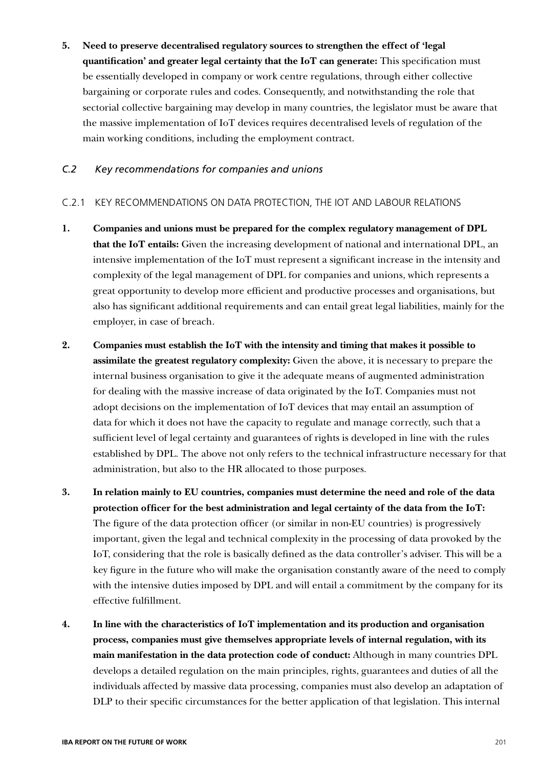**5. Need to preserve decentralised regulatory sources to strengthen the effect of 'legal quantification' and greater legal certainty that the IoT can generate:** This specification must be essentially developed in company or work centre regulations, through either collective bargaining or corporate rules and codes. Consequently, and notwithstanding the role that sectorial collective bargaining may develop in many countries, the legislator must be aware that the massive implementation of IoT devices requires decentralised levels of regulation of the main working conditions, including the employment contract.

## *C.2 Key recommendations for companies and unions*

## C.2.1 KEY RECOMMENDATIONS ON DATA PROTECTION, THE IOT AND LABOUR RELATIONS

- **1. Companies and unions must be prepared for the complex regulatory management of DPL that the IoT entails:** Given the increasing development of national and international DPL, an intensive implementation of the IoT must represent a significant increase in the intensity and complexity of the legal management of DPL for companies and unions, which represents a great opportunity to develop more efficient and productive processes and organisations, but also has significant additional requirements and can entail great legal liabilities, mainly for the employer, in case of breach.
- **2. Companies must establish the IoT with the intensity and timing that makes it possible to assimilate the greatest regulatory complexity:** Given the above, it is necessary to prepare the internal business organisation to give it the adequate means of augmented administration for dealing with the massive increase of data originated by the IoT. Companies must not adopt decisions on the implementation of IoT devices that may entail an assumption of data for which it does not have the capacity to regulate and manage correctly, such that a sufficient level of legal certainty and guarantees of rights is developed in line with the rules established by DPL. The above not only refers to the technical infrastructure necessary for that administration, but also to the HR allocated to those purposes.
- **3. In relation mainly to EU countries, companies must determine the need and role of the data protection officer for the best administration and legal certainty of the data from the IoT:** The figure of the data protection officer (or similar in non-EU countries) is progressively important, given the legal and technical complexity in the processing of data provoked by the IoT, considering that the role is basically defined as the data controller's adviser. This will be a key figure in the future who will make the organisation constantly aware of the need to comply with the intensive duties imposed by DPL and will entail a commitment by the company for its effective fulfillment.
- **4. In line with the characteristics of IoT implementation and its production and organisation process, companies must give themselves appropriate levels of internal regulation, with its main manifestation in the data protection code of conduct:** Although in many countries DPL develops a detailed regulation on the main principles, rights, guarantees and duties of all the individuals affected by massive data processing, companies must also develop an adaptation of DLP to their specific circumstances for the better application of that legislation. This internal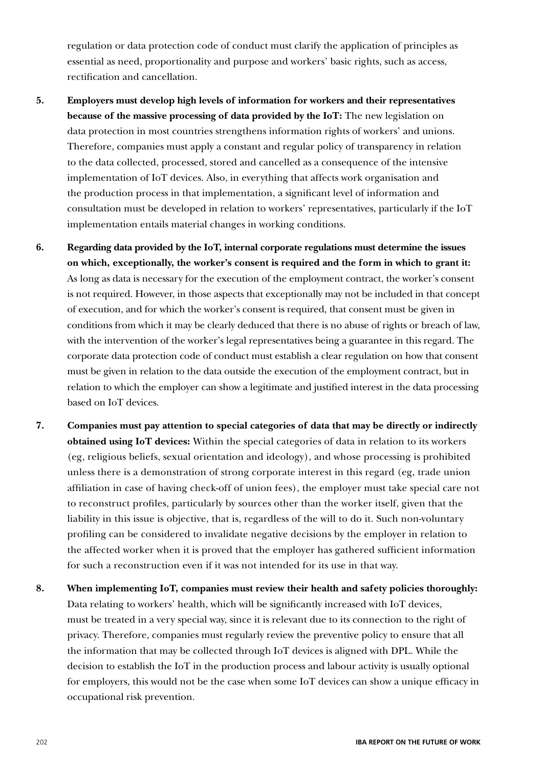regulation or data protection code of conduct must clarify the application of principles as essential as need, proportionality and purpose and workers' basic rights, such as access, rectification and cancellation.

- **5. Employers must develop high levels of information for workers and their representatives because of the massive processing of data provided by the IoT:** The new legislation on data protection in most countries strengthens information rights of workers' and unions. Therefore, companies must apply a constant and regular policy of transparency in relation to the data collected, processed, stored and cancelled as a consequence of the intensive implementation of IoT devices. Also, in everything that affects work organisation and the production process in that implementation, a significant level of information and consultation must be developed in relation to workers' representatives, particularly if the IoT implementation entails material changes in working conditions.
- **6. Regarding data provided by the IoT, internal corporate regulations must determine the issues on which, exceptionally, the worker's consent is required and the form in which to grant it:** As long as data is necessary for the execution of the employment contract, the worker's consent is not required. However, in those aspects that exceptionally may not be included in that concept of execution, and for which the worker's consent is required, that consent must be given in conditions from which it may be clearly deduced that there is no abuse of rights or breach of law, with the intervention of the worker's legal representatives being a guarantee in this regard. The corporate data protection code of conduct must establish a clear regulation on how that consent must be given in relation to the data outside the execution of the employment contract, but in relation to which the employer can show a legitimate and justified interest in the data processing based on IoT devices.
- **7. Companies must pay attention to special categories of data that may be directly or indirectly obtained using IoT devices:** Within the special categories of data in relation to its workers (eg, religious beliefs, sexual orientation and ideology), and whose processing is prohibited unless there is a demonstration of strong corporate interest in this regard (eg, trade union affiliation in case of having check-off of union fees), the employer must take special care not to reconstruct profiles, particularly by sources other than the worker itself, given that the liability in this issue is objective, that is, regardless of the will to do it. Such non-voluntary profiling can be considered to invalidate negative decisions by the employer in relation to the affected worker when it is proved that the employer has gathered sufficient information for such a reconstruction even if it was not intended for its use in that way.
- **8. When implementing IoT, companies must review their health and safety policies thoroughly:** Data relating to workers' health, which will be significantly increased with IoT devices, must be treated in a very special way, since it is relevant due to its connection to the right of privacy. Therefore, companies must regularly review the preventive policy to ensure that all the information that may be collected through IoT devices is aligned with DPL. While the decision to establish the IoT in the production process and labour activity is usually optional for employers, this would not be the case when some IoT devices can show a unique efficacy in occupational risk prevention.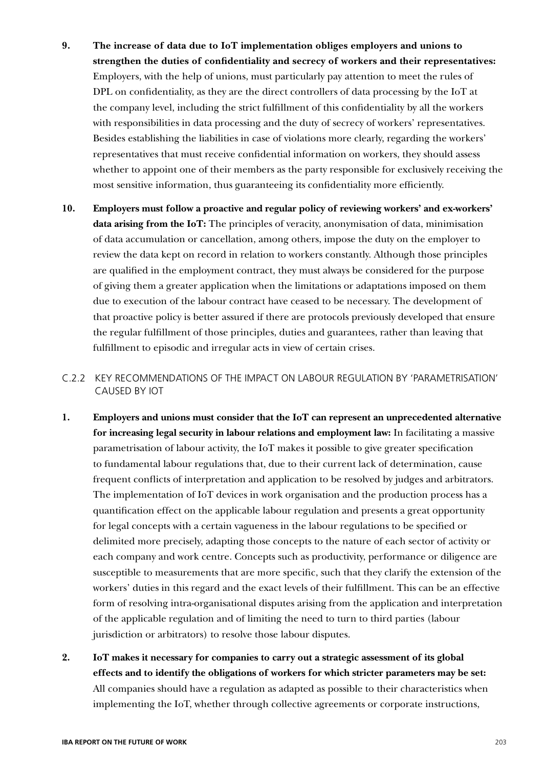- **9. The increase of data due to IoT implementation obliges employers and unions to strengthen the duties of confidentiality and secrecy of workers and their representatives:** Employers, with the help of unions, must particularly pay attention to meet the rules of DPL on confidentiality, as they are the direct controllers of data processing by the IoT at the company level, including the strict fulfillment of this confidentiality by all the workers with responsibilities in data processing and the duty of secrecy of workers' representatives. Besides establishing the liabilities in case of violations more clearly, regarding the workers' representatives that must receive confidential information on workers, they should assess whether to appoint one of their members as the party responsible for exclusively receiving the most sensitive information, thus guaranteeing its confidentiality more efficiently.
- **10. Employers must follow a proactive and regular policy of reviewing workers' and ex-workers' data arising from the IoT:** The principles of veracity, anonymisation of data, minimisation of data accumulation or cancellation, among others, impose the duty on the employer to review the data kept on record in relation to workers constantly. Although those principles are qualified in the employment contract, they must always be considered for the purpose of giving them a greater application when the limitations or adaptations imposed on them due to execution of the labour contract have ceased to be necessary. The development of that proactive policy is better assured if there are protocols previously developed that ensure the regular fulfillment of those principles, duties and guarantees, rather than leaving that fulfillment to episodic and irregular acts in view of certain crises.
- C.2.2 KEY RECOMMENDATIONS OF THE IMPACT ON LABOUR REGULATION BY 'PARAMETRISATION' CAUSED BY IOT
- **1. Employers and unions must consider that the IoT can represent an unprecedented alternative for increasing legal security in labour relations and employment law:** In facilitating a massive parametrisation of labour activity, the IoT makes it possible to give greater specification to fundamental labour regulations that, due to their current lack of determination, cause frequent conflicts of interpretation and application to be resolved by judges and arbitrators. The implementation of IoT devices in work organisation and the production process has a quantification effect on the applicable labour regulation and presents a great opportunity for legal concepts with a certain vagueness in the labour regulations to be specified or delimited more precisely, adapting those concepts to the nature of each sector of activity or each company and work centre. Concepts such as productivity, performance or diligence are susceptible to measurements that are more specific, such that they clarify the extension of the workers' duties in this regard and the exact levels of their fulfillment. This can be an effective form of resolving intra-organisational disputes arising from the application and interpretation of the applicable regulation and of limiting the need to turn to third parties (labour jurisdiction or arbitrators) to resolve those labour disputes.
- **2. IoT makes it necessary for companies to carry out a strategic assessment of its global effects and to identify the obligations of workers for which stricter parameters may be set:** All companies should have a regulation as adapted as possible to their characteristics when implementing the IoT, whether through collective agreements or corporate instructions,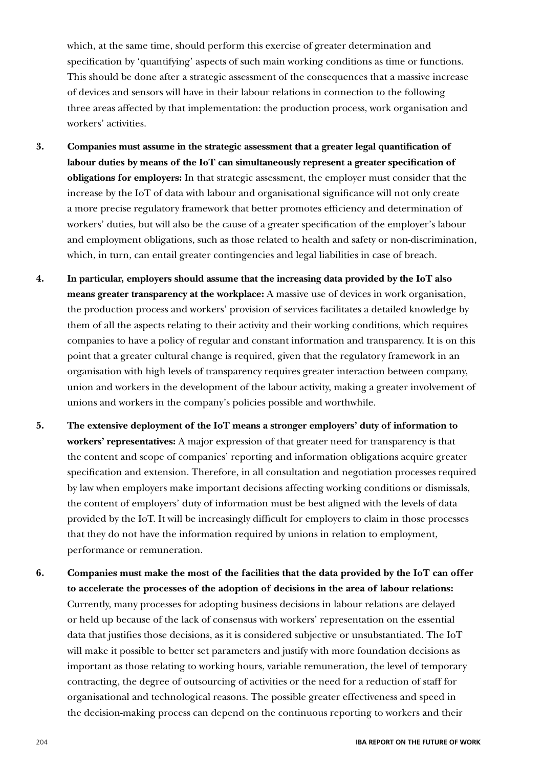which, at the same time, should perform this exercise of greater determination and specification by 'quantifying' aspects of such main working conditions as time or functions. This should be done after a strategic assessment of the consequences that a massive increase of devices and sensors will have in their labour relations in connection to the following three areas affected by that implementation: the production process, work organisation and workers' activities.

- **3. Companies must assume in the strategic assessment that a greater legal quantification of labour duties by means of the IoT can simultaneously represent a greater specification of obligations for employers:** In that strategic assessment, the employer must consider that the increase by the IoT of data with labour and organisational significance will not only create a more precise regulatory framework that better promotes efficiency and determination of workers' duties, but will also be the cause of a greater specification of the employer's labour and employment obligations, such as those related to health and safety or non-discrimination, which, in turn, can entail greater contingencies and legal liabilities in case of breach.
- **4. In particular, employers should assume that the increasing data provided by the IoT also means greater transparency at the workplace:** A massive use of devices in work organisation, the production process and workers' provision of services facilitates a detailed knowledge by them of all the aspects relating to their activity and their working conditions, which requires companies to have a policy of regular and constant information and transparency. It is on this point that a greater cultural change is required, given that the regulatory framework in an organisation with high levels of transparency requires greater interaction between company, union and workers in the development of the labour activity, making a greater involvement of unions and workers in the company's policies possible and worthwhile.
- **5. The extensive deployment of the IoT means a stronger employers' duty of information to workers' representatives:** A major expression of that greater need for transparency is that the content and scope of companies' reporting and information obligations acquire greater specification and extension. Therefore, in all consultation and negotiation processes required by law when employers make important decisions affecting working conditions or dismissals, the content of employers' duty of information must be best aligned with the levels of data provided by the IoT. It will be increasingly difficult for employers to claim in those processes that they do not have the information required by unions in relation to employment, performance or remuneration.
- **6. Companies must make the most of the facilities that the data provided by the IoT can offer to accelerate the processes of the adoption of decisions in the area of labour relations:** Currently, many processes for adopting business decisions in labour relations are delayed or held up because of the lack of consensus with workers' representation on the essential data that justifies those decisions, as it is considered subjective or unsubstantiated. The IoT will make it possible to better set parameters and justify with more foundation decisions as important as those relating to working hours, variable remuneration, the level of temporary contracting, the degree of outsourcing of activities or the need for a reduction of staff for organisational and technological reasons. The possible greater effectiveness and speed in the decision-making process can depend on the continuous reporting to workers and their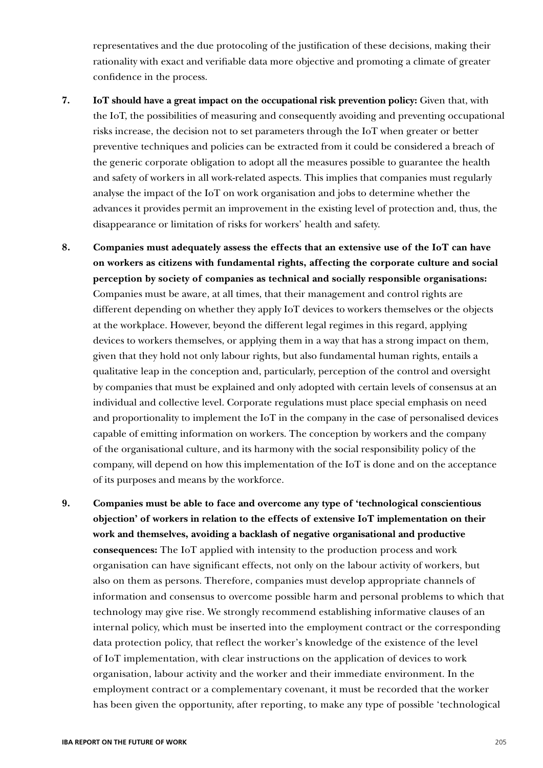representatives and the due protocoling of the justification of these decisions, making their rationality with exact and verifiable data more objective and promoting a climate of greater confidence in the process.

- **7. IoT should have a great impact on the occupational risk prevention policy:** Given that, with the IoT, the possibilities of measuring and consequently avoiding and preventing occupational risks increase, the decision not to set parameters through the IoT when greater or better preventive techniques and policies can be extracted from it could be considered a breach of the generic corporate obligation to adopt all the measures possible to guarantee the health and safety of workers in all work-related aspects. This implies that companies must regularly analyse the impact of the IoT on work organisation and jobs to determine whether the advances it provides permit an improvement in the existing level of protection and, thus, the disappearance or limitation of risks for workers' health and safety.
- **8. Companies must adequately assess the effects that an extensive use of the IoT can have on workers as citizens with fundamental rights, affecting the corporate culture and social perception by society of companies as technical and socially responsible organisations:** Companies must be aware, at all times, that their management and control rights are different depending on whether they apply IoT devices to workers themselves or the objects at the workplace. However, beyond the different legal regimes in this regard, applying devices to workers themselves, or applying them in a way that has a strong impact on them, given that they hold not only labour rights, but also fundamental human rights, entails a qualitative leap in the conception and, particularly, perception of the control and oversight by companies that must be explained and only adopted with certain levels of consensus at an individual and collective level. Corporate regulations must place special emphasis on need and proportionality to implement the IoT in the company in the case of personalised devices capable of emitting information on workers. The conception by workers and the company of the organisational culture, and its harmony with the social responsibility policy of the company, will depend on how this implementation of the IoT is done and on the acceptance of its purposes and means by the workforce.
- **9. Companies must be able to face and overcome any type of 'technological conscientious objection' of workers in relation to the effects of extensive IoT implementation on their work and themselves, avoiding a backlash of negative organisational and productive consequences:** The IoT applied with intensity to the production process and work organisation can have significant effects, not only on the labour activity of workers, but also on them as persons. Therefore, companies must develop appropriate channels of information and consensus to overcome possible harm and personal problems to which that technology may give rise. We strongly recommend establishing informative clauses of an internal policy, which must be inserted into the employment contract or the corresponding data protection policy, that reflect the worker's knowledge of the existence of the level of IoT implementation, with clear instructions on the application of devices to work organisation, labour activity and the worker and their immediate environment. In the employment contract or a complementary covenant, it must be recorded that the worker has been given the opportunity, after reporting, to make any type of possible 'technological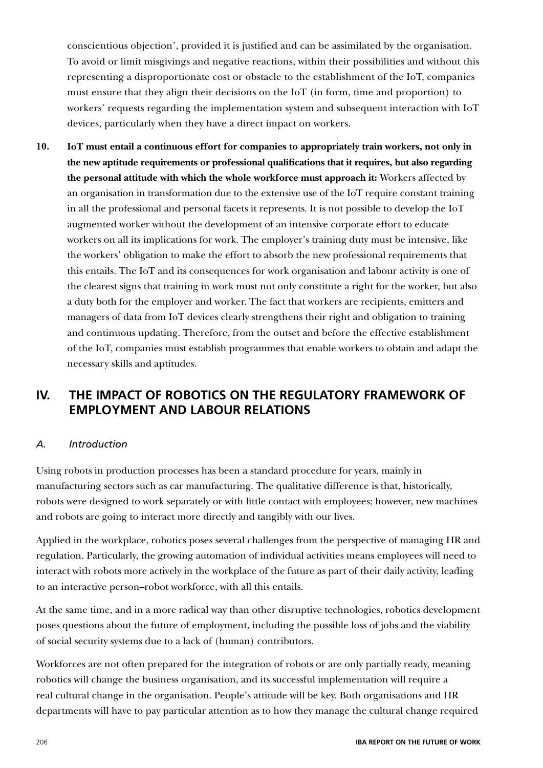conscientious objection', provided it is justified and can be assimilated by the organisation. To avoid or limit misgivings and negative reactions, within their possibilities and without this representing a disproportionate cost or obstacle to the establishment of the IoT, companies must ensure that they align their decisions on the IoT (in form, time and proportion) to workers' requests regarding the implementation system and subsequent interaction with IoT devices, particularly when they have a direct impact on workers.

**10. IoT must entail a continuous effort for companies to appropriately train workers, not only in the new aptitude requirements or professional qualifications that it requires, but also regarding the personal attitude with which the whole workforce must approach it:** Workers affected by an organisation in transformation due to the extensive use of the IoT require constant training in all the professional and personal facets it represents. It is not possible to develop the IoT augmented worker without the development of an intensive corporate effort to educate workers on all its implications for work. The employer's training duty must be intensive, like the workers' obligation to make the effort to absorb the new professional requirements that this entails. The IoT and its consequences for work organisation and labour activity is one of the clearest signs that training in work must not only constitute a right for the worker, but also a duty both for the employer and worker. The fact that workers are recipients, emitters and managers of data from IoT devices clearly strengthens their right and obligation to training and continuous updating. Therefore, from the outset and before the effective establishment of the IoT, companies must establish programmes that enable workers to obtain and adapt the necessary skills and aptitudes.

# **IV. THE IMPACT OF ROBOTICS ON THE REGULATORY FRAMEWORK OF EMPLOYMENT AND LABOUR RELATIONS**

# *A. Introduction*

Using robots in production processes has been a standard procedure for years, mainly in manufacturing sectors such as car manufacturing. The qualitative difference is that, historically, robots were designed to work separately or with little contact with employees; however, new machines and robots are going to interact more directly and tangibly with our lives.

Applied in the workplace, robotics poses several challenges from the perspective of managing HR and regulation. Particularly, the growing automation of individual activities means employees will need to interact with robots more actively in the workplace of the future as part of their daily activity, leading to an interactive person–robot workforce, with all this entails.

At the same time, and in a more radical way than other disruptive technologies, robotics development poses questions about the future of employment, including the possible loss of jobs and the viability of social security systems due to a lack of (human) contributors.

Workforces are not often prepared for the integration of robots or are only partially ready, meaning robotics will change the business organisation, and its successful implementation will require a real cultural change in the organisation. People's attitude will be key. Both organisations and HR departments will have to pay particular attention as to how they manage the cultural change required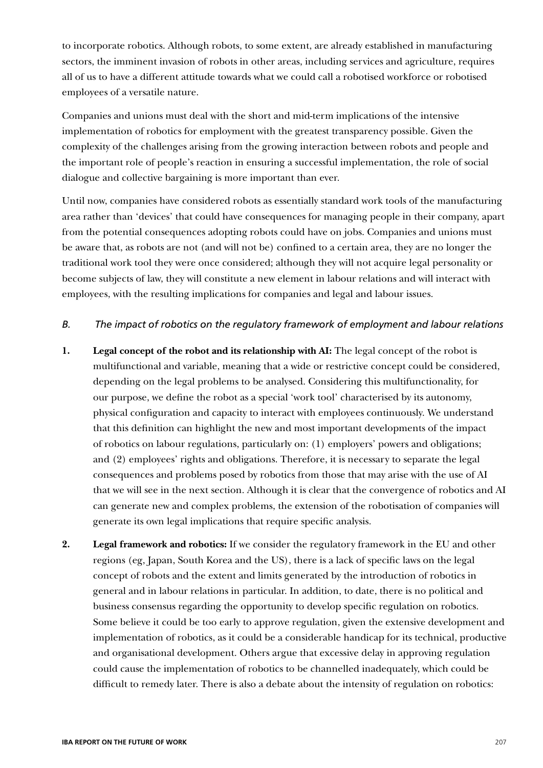to incorporate robotics. Although robots, to some extent, are already established in manufacturing sectors, the imminent invasion of robots in other areas, including services and agriculture, requires all of us to have a different attitude towards what we could call a robotised workforce or robotised employees of a versatile nature.

Companies and unions must deal with the short and mid-term implications of the intensive implementation of robotics for employment with the greatest transparency possible. Given the complexity of the challenges arising from the growing interaction between robots and people and the important role of people's reaction in ensuring a successful implementation, the role of social dialogue and collective bargaining is more important than ever.

Until now, companies have considered robots as essentially standard work tools of the manufacturing area rather than 'devices' that could have consequences for managing people in their company, apart from the potential consequences adopting robots could have on jobs. Companies and unions must be aware that, as robots are not (and will not be) confined to a certain area, they are no longer the traditional work tool they were once considered; although they will not acquire legal personality or become subjects of law, they will constitute a new element in labour relations and will interact with employees, with the resulting implications for companies and legal and labour issues.

## *B. The impact of robotics on the regulatory framework of employment and labour relations*

- **1. Legal concept of the robot and its relationship with AI:** The legal concept of the robot is multifunctional and variable, meaning that a wide or restrictive concept could be considered, depending on the legal problems to be analysed. Considering this multifunctionality, for our purpose, we define the robot as a special 'work tool' characterised by its autonomy, physical configuration and capacity to interact with employees continuously. We understand that this definition can highlight the new and most important developments of the impact of robotics on labour regulations, particularly on: (1) employers' powers and obligations; and (2) employees' rights and obligations. Therefore, it is necessary to separate the legal consequences and problems posed by robotics from those that may arise with the use of AI that we will see in the next section. Although it is clear that the convergence of robotics and AI can generate new and complex problems, the extension of the robotisation of companies will generate its own legal implications that require specific analysis.
- **2. Legal framework and robotics:** If we consider the regulatory framework in the EU and other regions (eg, Japan, South Korea and the US), there is a lack of specific laws on the legal concept of robots and the extent and limits generated by the introduction of robotics in general and in labour relations in particular. In addition, to date, there is no political and business consensus regarding the opportunity to develop specific regulation on robotics. Some believe it could be too early to approve regulation, given the extensive development and implementation of robotics, as it could be a considerable handicap for its technical, productive and organisational development. Others argue that excessive delay in approving regulation could cause the implementation of robotics to be channelled inadequately, which could be difficult to remedy later. There is also a debate about the intensity of regulation on robotics: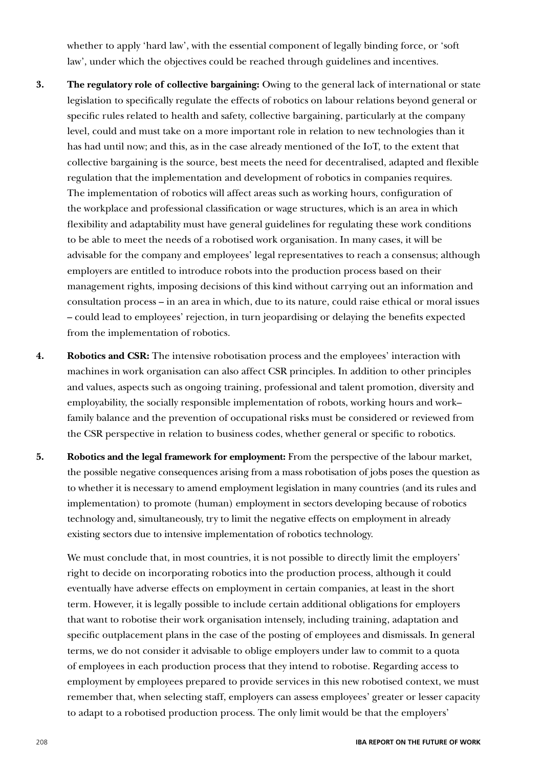whether to apply 'hard law', with the essential component of legally binding force, or 'soft law', under which the objectives could be reached through guidelines and incentives.

- **3. The regulatory role of collective bargaining:** Owing to the general lack of international or state legislation to specifically regulate the effects of robotics on labour relations beyond general or specific rules related to health and safety, collective bargaining, particularly at the company level, could and must take on a more important role in relation to new technologies than it has had until now; and this, as in the case already mentioned of the IoT, to the extent that collective bargaining is the source, best meets the need for decentralised, adapted and flexible regulation that the implementation and development of robotics in companies requires. The implementation of robotics will affect areas such as working hours, configuration of the workplace and professional classification or wage structures, which is an area in which flexibility and adaptability must have general guidelines for regulating these work conditions to be able to meet the needs of a robotised work organisation. In many cases, it will be advisable for the company and employees' legal representatives to reach a consensus; although employers are entitled to introduce robots into the production process based on their management rights, imposing decisions of this kind without carrying out an information and consultation process – in an area in which, due to its nature, could raise ethical or moral issues – could lead to employees' rejection, in turn jeopardising or delaying the benefits expected from the implementation of robotics.
- **4. Robotics and CSR:** The intensive robotisation process and the employees' interaction with machines in work organisation can also affect CSR principles. In addition to other principles and values, aspects such as ongoing training, professional and talent promotion, diversity and employability, the socially responsible implementation of robots, working hours and work– family balance and the prevention of occupational risks must be considered or reviewed from the CSR perspective in relation to business codes, whether general or specific to robotics.
- **5. Robotics and the legal framework for employment:** From the perspective of the labour market, the possible negative consequences arising from a mass robotisation of jobs poses the question as to whether it is necessary to amend employment legislation in many countries (and its rules and implementation) to promote (human) employment in sectors developing because of robotics technology and, simultaneously, try to limit the negative effects on employment in already existing sectors due to intensive implementation of robotics technology.

We must conclude that, in most countries, it is not possible to directly limit the employers' right to decide on incorporating robotics into the production process, although it could eventually have adverse effects on employment in certain companies, at least in the short term. However, it is legally possible to include certain additional obligations for employers that want to robotise their work organisation intensely, including training, adaptation and specific outplacement plans in the case of the posting of employees and dismissals. In general terms, we do not consider it advisable to oblige employers under law to commit to a quota of employees in each production process that they intend to robotise. Regarding access to employment by employees prepared to provide services in this new robotised context, we must remember that, when selecting staff, employers can assess employees' greater or lesser capacity to adapt to a robotised production process. The only limit would be that the employers'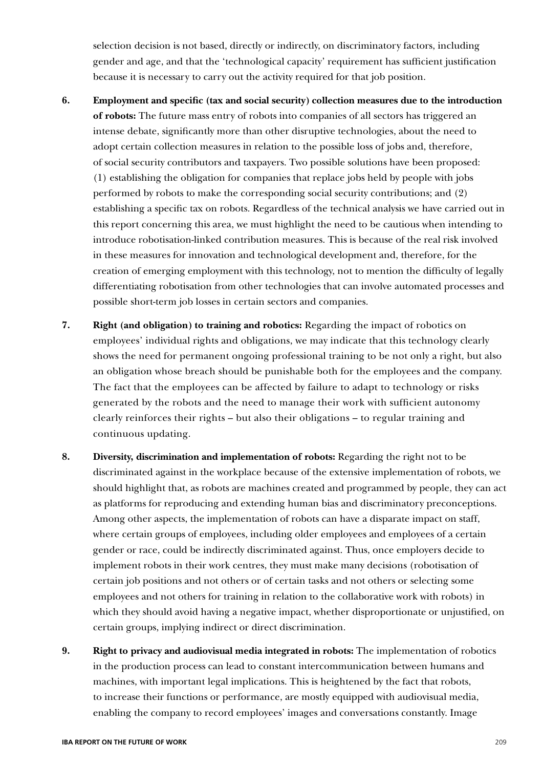selection decision is not based, directly or indirectly, on discriminatory factors, including gender and age, and that the 'technological capacity' requirement has sufficient justification because it is necessary to carry out the activity required for that job position.

- **6. Employment and specific (tax and social security) collection measures due to the introduction of robots:** The future mass entry of robots into companies of all sectors has triggered an intense debate, significantly more than other disruptive technologies, about the need to adopt certain collection measures in relation to the possible loss of jobs and, therefore, of social security contributors and taxpayers. Two possible solutions have been proposed: (1) establishing the obligation for companies that replace jobs held by people with jobs performed by robots to make the corresponding social security contributions; and (2) establishing a specific tax on robots. Regardless of the technical analysis we have carried out in this report concerning this area, we must highlight the need to be cautious when intending to introduce robotisation-linked contribution measures. This is because of the real risk involved in these measures for innovation and technological development and, therefore, for the creation of emerging employment with this technology, not to mention the difficulty of legally differentiating robotisation from other technologies that can involve automated processes and possible short-term job losses in certain sectors and companies.
- **7. Right (and obligation) to training and robotics:** Regarding the impact of robotics on employees' individual rights and obligations, we may indicate that this technology clearly shows the need for permanent ongoing professional training to be not only a right, but also an obligation whose breach should be punishable both for the employees and the company. The fact that the employees can be affected by failure to adapt to technology or risks generated by the robots and the need to manage their work with sufficient autonomy clearly reinforces their rights – but also their obligations – to regular training and continuous updating.
- **8. Diversity, discrimination and implementation of robots:** Regarding the right not to be discriminated against in the workplace because of the extensive implementation of robots, we should highlight that, as robots are machines created and programmed by people, they can act as platforms for reproducing and extending human bias and discriminatory preconceptions. Among other aspects, the implementation of robots can have a disparate impact on staff, where certain groups of employees, including older employees and employees of a certain gender or race, could be indirectly discriminated against. Thus, once employers decide to implement robots in their work centres, they must make many decisions (robotisation of certain job positions and not others or of certain tasks and not others or selecting some employees and not others for training in relation to the collaborative work with robots) in which they should avoid having a negative impact, whether disproportionate or unjustified, on certain groups, implying indirect or direct discrimination.
- **9. Right to privacy and audiovisual media integrated in robots:** The implementation of robotics in the production process can lead to constant intercommunication between humans and machines, with important legal implications. This is heightened by the fact that robots, to increase their functions or performance, are mostly equipped with audiovisual media, enabling the company to record employees' images and conversations constantly. Image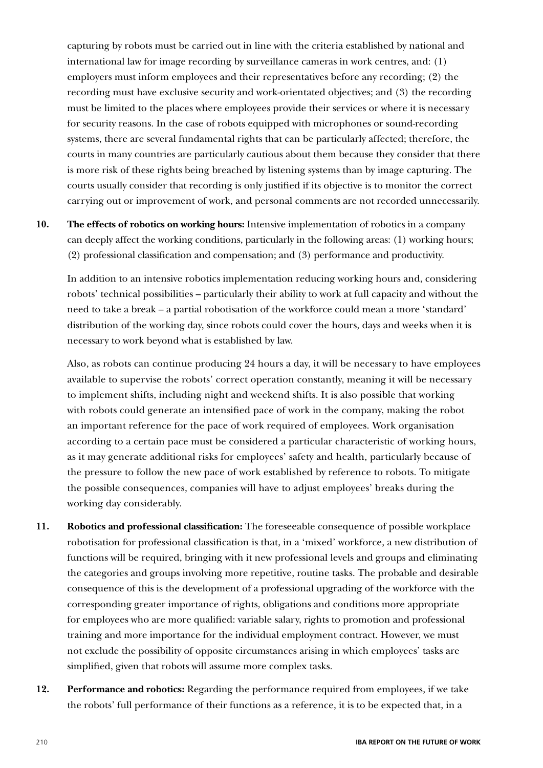capturing by robots must be carried out in line with the criteria established by national and international law for image recording by surveillance cameras in work centres, and: (1) employers must inform employees and their representatives before any recording; (2) the recording must have exclusive security and work-orientated objectives; and (3) the recording must be limited to the places where employees provide their services or where it is necessary for security reasons. In the case of robots equipped with microphones or sound-recording systems, there are several fundamental rights that can be particularly affected; therefore, the courts in many countries are particularly cautious about them because they consider that there is more risk of these rights being breached by listening systems than by image capturing. The courts usually consider that recording is only justified if its objective is to monitor the correct carrying out or improvement of work, and personal comments are not recorded unnecessarily.

**10. The effects of robotics on working hours:** Intensive implementation of robotics in a company can deeply affect the working conditions, particularly in the following areas: (1) working hours; (2) professional classification and compensation; and (3) performance and productivity.

In addition to an intensive robotics implementation reducing working hours and, considering robots' technical possibilities – particularly their ability to work at full capacity and without the need to take a break – a partial robotisation of the workforce could mean a more 'standard' distribution of the working day, since robots could cover the hours, days and weeks when it is necessary to work beyond what is established by law.

Also, as robots can continue producing 24 hours a day, it will be necessary to have employees available to supervise the robots' correct operation constantly, meaning it will be necessary to implement shifts, including night and weekend shifts. It is also possible that working with robots could generate an intensified pace of work in the company, making the robot an important reference for the pace of work required of employees. Work organisation according to a certain pace must be considered a particular characteristic of working hours, as it may generate additional risks for employees' safety and health, particularly because of the pressure to follow the new pace of work established by reference to robots. To mitigate the possible consequences, companies will have to adjust employees' breaks during the working day considerably.

- **11. Robotics and professional classification:** The foreseeable consequence of possible workplace robotisation for professional classification is that, in a 'mixed' workforce, a new distribution of functions will be required, bringing with it new professional levels and groups and eliminating the categories and groups involving more repetitive, routine tasks. The probable and desirable consequence of this is the development of a professional upgrading of the workforce with the corresponding greater importance of rights, obligations and conditions more appropriate for employees who are more qualified: variable salary, rights to promotion and professional training and more importance for the individual employment contract. However, we must not exclude the possibility of opposite circumstances arising in which employees' tasks are simplified, given that robots will assume more complex tasks.
- **12. Performance and robotics:** Regarding the performance required from employees, if we take the robots' full performance of their functions as a reference, it is to be expected that, in a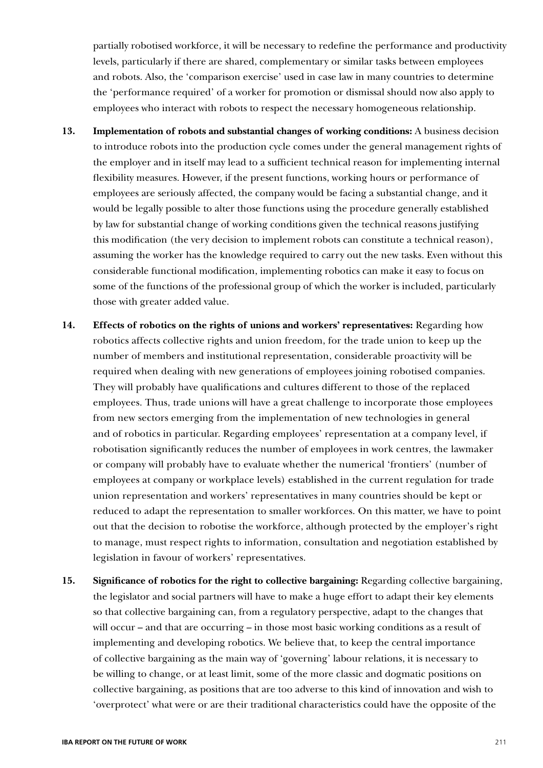partially robotised workforce, it will be necessary to redefine the performance and productivity levels, particularly if there are shared, complementary or similar tasks between employees and robots. Also, the 'comparison exercise' used in case law in many countries to determine the 'performance required' of a worker for promotion or dismissal should now also apply to employees who interact with robots to respect the necessary homogeneous relationship.

- **13. Implementation of robots and substantial changes of working conditions:** A business decision to introduce robots into the production cycle comes under the general management rights of the employer and in itself may lead to a sufficient technical reason for implementing internal flexibility measures. However, if the present functions, working hours or performance of employees are seriously affected, the company would be facing a substantial change, and it would be legally possible to alter those functions using the procedure generally established by law for substantial change of working conditions given the technical reasons justifying this modification (the very decision to implement robots can constitute a technical reason), assuming the worker has the knowledge required to carry out the new tasks. Even without this considerable functional modification, implementing robotics can make it easy to focus on some of the functions of the professional group of which the worker is included, particularly those with greater added value.
- **14. Effects of robotics on the rights of unions and workers' representatives:** Regarding how robotics affects collective rights and union freedom, for the trade union to keep up the number of members and institutional representation, considerable proactivity will be required when dealing with new generations of employees joining robotised companies. They will probably have qualifications and cultures different to those of the replaced employees. Thus, trade unions will have a great challenge to incorporate those employees from new sectors emerging from the implementation of new technologies in general and of robotics in particular. Regarding employees' representation at a company level, if robotisation significantly reduces the number of employees in work centres, the lawmaker or company will probably have to evaluate whether the numerical 'frontiers' (number of employees at company or workplace levels) established in the current regulation for trade union representation and workers' representatives in many countries should be kept or reduced to adapt the representation to smaller workforces. On this matter, we have to point out that the decision to robotise the workforce, although protected by the employer's right to manage, must respect rights to information, consultation and negotiation established by legislation in favour of workers' representatives.
- **15. Significance of robotics for the right to collective bargaining:** Regarding collective bargaining, the legislator and social partners will have to make a huge effort to adapt their key elements so that collective bargaining can, from a regulatory perspective, adapt to the changes that will occur – and that are occurring – in those most basic working conditions as a result of implementing and developing robotics. We believe that, to keep the central importance of collective bargaining as the main way of 'governing' labour relations, it is necessary to be willing to change, or at least limit, some of the more classic and dogmatic positions on collective bargaining, as positions that are too adverse to this kind of innovation and wish to 'overprotect' what were or are their traditional characteristics could have the opposite of the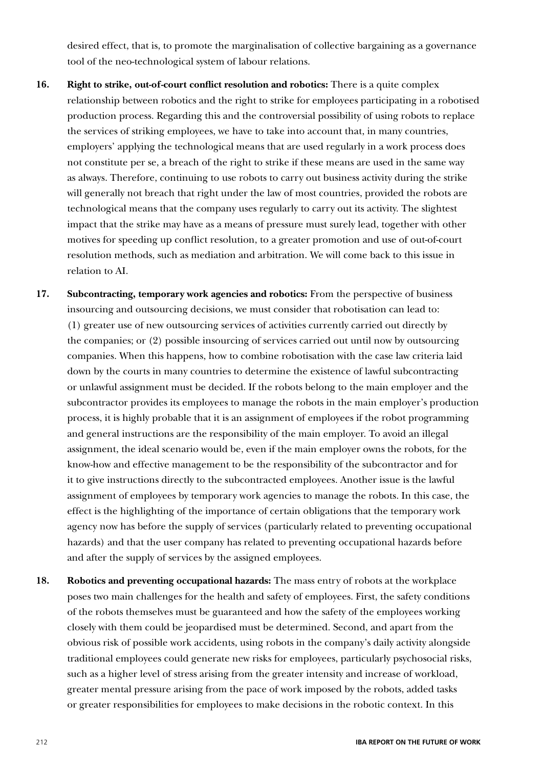desired effect, that is, to promote the marginalisation of collective bargaining as a governance tool of the neo-technological system of labour relations.

- **16. Right to strike, out-of-court conflict resolution and robotics:** There is a quite complex relationship between robotics and the right to strike for employees participating in a robotised production process. Regarding this and the controversial possibility of using robots to replace the services of striking employees, we have to take into account that, in many countries, employers' applying the technological means that are used regularly in a work process does not constitute per se, a breach of the right to strike if these means are used in the same way as always. Therefore, continuing to use robots to carry out business activity during the strike will generally not breach that right under the law of most countries, provided the robots are technological means that the company uses regularly to carry out its activity. The slightest impact that the strike may have as a means of pressure must surely lead, together with other motives for speeding up conflict resolution, to a greater promotion and use of out-of-court resolution methods, such as mediation and arbitration. We will come back to this issue in relation to AI.
- **17. Subcontracting, temporary work agencies and robotics:** From the perspective of business insourcing and outsourcing decisions, we must consider that robotisation can lead to: (1) greater use of new outsourcing services of activities currently carried out directly by the companies; or (2) possible insourcing of services carried out until now by outsourcing companies. When this happens, how to combine robotisation with the case law criteria laid down by the courts in many countries to determine the existence of lawful subcontracting or unlawful assignment must be decided. If the robots belong to the main employer and the subcontractor provides its employees to manage the robots in the main employer's production process, it is highly probable that it is an assignment of employees if the robot programming and general instructions are the responsibility of the main employer. To avoid an illegal assignment, the ideal scenario would be, even if the main employer owns the robots, for the know-how and effective management to be the responsibility of the subcontractor and for it to give instructions directly to the subcontracted employees. Another issue is the lawful assignment of employees by temporary work agencies to manage the robots. In this case, the effect is the highlighting of the importance of certain obligations that the temporary work agency now has before the supply of services (particularly related to preventing occupational hazards) and that the user company has related to preventing occupational hazards before and after the supply of services by the assigned employees.
- **18. Robotics and preventing occupational hazards:** The mass entry of robots at the workplace poses two main challenges for the health and safety of employees. First, the safety conditions of the robots themselves must be guaranteed and how the safety of the employees working closely with them could be jeopardised must be determined. Second, and apart from the obvious risk of possible work accidents, using robots in the company's daily activity alongside traditional employees could generate new risks for employees, particularly psychosocial risks, such as a higher level of stress arising from the greater intensity and increase of workload, greater mental pressure arising from the pace of work imposed by the robots, added tasks or greater responsibilities for employees to make decisions in the robotic context. In this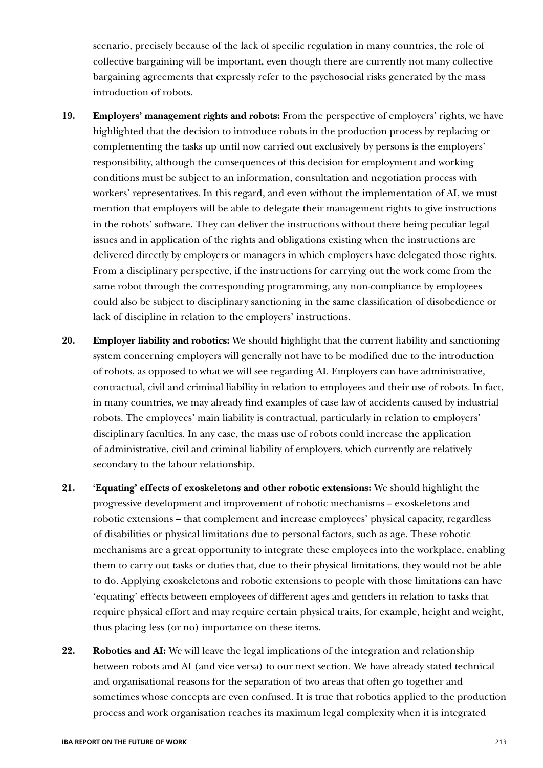scenario, precisely because of the lack of specific regulation in many countries, the role of collective bargaining will be important, even though there are currently not many collective bargaining agreements that expressly refer to the psychosocial risks generated by the mass introduction of robots.

- **19. Employers' management rights and robots:** From the perspective of employers' rights, we have highlighted that the decision to introduce robots in the production process by replacing or complementing the tasks up until now carried out exclusively by persons is the employers' responsibility, although the consequences of this decision for employment and working conditions must be subject to an information, consultation and negotiation process with workers' representatives. In this regard, and even without the implementation of AI, we must mention that employers will be able to delegate their management rights to give instructions in the robots' software. They can deliver the instructions without there being peculiar legal issues and in application of the rights and obligations existing when the instructions are delivered directly by employers or managers in which employers have delegated those rights. From a disciplinary perspective, if the instructions for carrying out the work come from the same robot through the corresponding programming, any non-compliance by employees could also be subject to disciplinary sanctioning in the same classification of disobedience or lack of discipline in relation to the employers' instructions.
- **20. Employer liability and robotics:** We should highlight that the current liability and sanctioning system concerning employers will generally not have to be modified due to the introduction of robots, as opposed to what we will see regarding AI. Employers can have administrative, contractual, civil and criminal liability in relation to employees and their use of robots. In fact, in many countries, we may already find examples of case law of accidents caused by industrial robots. The employees' main liability is contractual, particularly in relation to employers' disciplinary faculties. In any case, the mass use of robots could increase the application of administrative, civil and criminal liability of employers, which currently are relatively secondary to the labour relationship.
- **21. 'Equating' effects of exoskeletons and other robotic extensions:** We should highlight the progressive development and improvement of robotic mechanisms – exoskeletons and robotic extensions – that complement and increase employees' physical capacity, regardless of disabilities or physical limitations due to personal factors, such as age. These robotic mechanisms are a great opportunity to integrate these employees into the workplace, enabling them to carry out tasks or duties that, due to their physical limitations, they would not be able to do. Applying exoskeletons and robotic extensions to people with those limitations can have 'equating' effects between employees of different ages and genders in relation to tasks that require physical effort and may require certain physical traits, for example, height and weight, thus placing less (or no) importance on these items.
- **22. Robotics and AI:** We will leave the legal implications of the integration and relationship between robots and AI (and vice versa) to our next section. We have already stated technical and organisational reasons for the separation of two areas that often go together and sometimes whose concepts are even confused. It is true that robotics applied to the production process and work organisation reaches its maximum legal complexity when it is integrated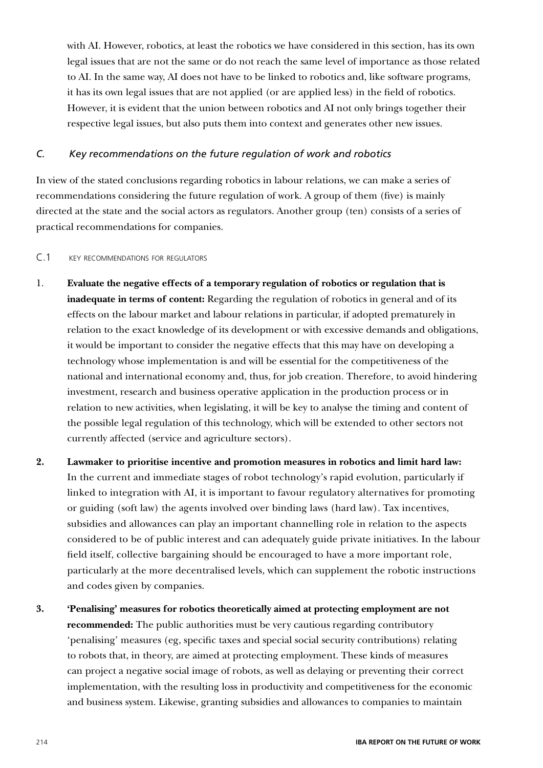with AI. However, robotics, at least the robotics we have considered in this section, has its own legal issues that are not the same or do not reach the same level of importance as those related to AI. In the same way, AI does not have to be linked to robotics and, like software programs, it has its own legal issues that are not applied (or are applied less) in the field of robotics. However, it is evident that the union between robotics and AI not only brings together their respective legal issues, but also puts them into context and generates other new issues.

## *C. Key recommendations on the future regulation of work and robotics*

In view of the stated conclusions regarding robotics in labour relations, we can make a series of recommendations considering the future regulation of work. A group of them (five) is mainly directed at the state and the social actors as regulators. Another group (ten) consists of a series of practical recommendations for companies.

## C.1 key recommendations for regulators

- 1. **Evaluate the negative effects of a temporary regulation of robotics or regulation that is inadequate in terms of content:** Regarding the regulation of robotics in general and of its effects on the labour market and labour relations in particular, if adopted prematurely in relation to the exact knowledge of its development or with excessive demands and obligations, it would be important to consider the negative effects that this may have on developing a technology whose implementation is and will be essential for the competitiveness of the national and international economy and, thus, for job creation. Therefore, to avoid hindering investment, research and business operative application in the production process or in relation to new activities, when legislating, it will be key to analyse the timing and content of the possible legal regulation of this technology, which will be extended to other sectors not currently affected (service and agriculture sectors).
- **2. Lawmaker to prioritise incentive and promotion measures in robotics and limit hard law:** In the current and immediate stages of robot technology's rapid evolution, particularly if linked to integration with AI, it is important to favour regulatory alternatives for promoting or guiding (soft law) the agents involved over binding laws (hard law). Tax incentives, subsidies and allowances can play an important channelling role in relation to the aspects considered to be of public interest and can adequately guide private initiatives. In the labour field itself, collective bargaining should be encouraged to have a more important role, particularly at the more decentralised levels, which can supplement the robotic instructions and codes given by companies.
- **3. 'Penalising' measures for robotics theoretically aimed at protecting employment are not recommended:** The public authorities must be very cautious regarding contributory 'penalising' measures (eg, specific taxes and special social security contributions) relating to robots that, in theory, are aimed at protecting employment. These kinds of measures can project a negative social image of robots, as well as delaying or preventing their correct implementation, with the resulting loss in productivity and competitiveness for the economic and business system. Likewise, granting subsidies and allowances to companies to maintain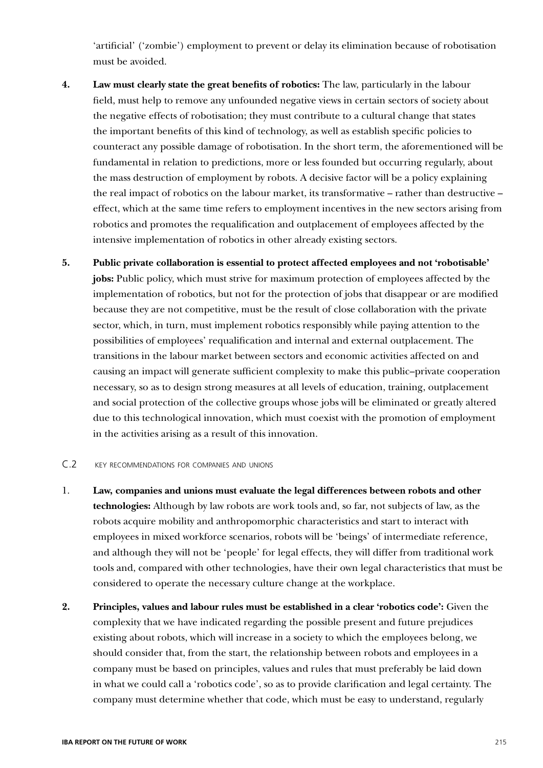'artificial' ('zombie') employment to prevent or delay its elimination because of robotisation must be avoided.

- **4. Law must clearly state the great benefits of robotics:** The law, particularly in the labour field, must help to remove any unfounded negative views in certain sectors of society about the negative effects of robotisation; they must contribute to a cultural change that states the important benefits of this kind of technology, as well as establish specific policies to counteract any possible damage of robotisation. In the short term, the aforementioned will be fundamental in relation to predictions, more or less founded but occurring regularly, about the mass destruction of employment by robots. A decisive factor will be a policy explaining the real impact of robotics on the labour market, its transformative – rather than destructive – effect, which at the same time refers to employment incentives in the new sectors arising from robotics and promotes the requalification and outplacement of employees affected by the intensive implementation of robotics in other already existing sectors.
- **5. Public private collaboration is essential to protect affected employees and not 'robotisable' jobs:** Public policy, which must strive for maximum protection of employees affected by the implementation of robotics, but not for the protection of jobs that disappear or are modified because they are not competitive, must be the result of close collaboration with the private sector, which, in turn, must implement robotics responsibly while paying attention to the possibilities of employees' requalification and internal and external outplacement. The transitions in the labour market between sectors and economic activities affected on and causing an impact will generate sufficient complexity to make this public–private cooperation necessary, so as to design strong measures at all levels of education, training, outplacement and social protection of the collective groups whose jobs will be eliminated or greatly altered due to this technological innovation, which must coexist with the promotion of employment in the activities arising as a result of this innovation.

#### C.2 key recommendations for companies and unions

- 1. **Law, companies and unions must evaluate the legal differences between robots and other technologies:** Although by law robots are work tools and, so far, not subjects of law, as the robots acquire mobility and anthropomorphic characteristics and start to interact with employees in mixed workforce scenarios, robots will be 'beings' of intermediate reference, and although they will not be 'people' for legal effects, they will differ from traditional work tools and, compared with other technologies, have their own legal characteristics that must be considered to operate the necessary culture change at the workplace.
- **2. Principles, values and labour rules must be established in a clear 'robotics code':** Given the complexity that we have indicated regarding the possible present and future prejudices existing about robots, which will increase in a society to which the employees belong, we should consider that, from the start, the relationship between robots and employees in a company must be based on principles, values and rules that must preferably be laid down in what we could call a 'robotics code', so as to provide clarification and legal certainty. The company must determine whether that code, which must be easy to understand, regularly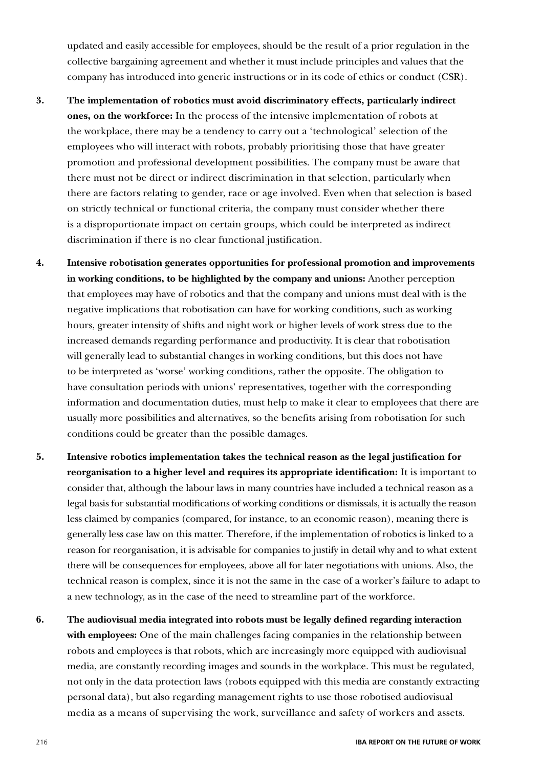updated and easily accessible for employees, should be the result of a prior regulation in the collective bargaining agreement and whether it must include principles and values that the company has introduced into generic instructions or in its code of ethics or conduct (CSR).

- **3. The implementation of robotics must avoid discriminatory effects, particularly indirect ones, on the workforce:** In the process of the intensive implementation of robots at the workplace, there may be a tendency to carry out a 'technological' selection of the employees who will interact with robots, probably prioritising those that have greater promotion and professional development possibilities. The company must be aware that there must not be direct or indirect discrimination in that selection, particularly when there are factors relating to gender, race or age involved. Even when that selection is based on strictly technical or functional criteria, the company must consider whether there is a disproportionate impact on certain groups, which could be interpreted as indirect discrimination if there is no clear functional justification.
- **4. Intensive robotisation generates opportunities for professional promotion and improvements in working conditions, to be highlighted by the company and unions:** Another perception that employees may have of robotics and that the company and unions must deal with is the negative implications that robotisation can have for working conditions, such as working hours, greater intensity of shifts and night work or higher levels of work stress due to the increased demands regarding performance and productivity. It is clear that robotisation will generally lead to substantial changes in working conditions, but this does not have to be interpreted as 'worse' working conditions, rather the opposite. The obligation to have consultation periods with unions' representatives, together with the corresponding information and documentation duties, must help to make it clear to employees that there are usually more possibilities and alternatives, so the benefits arising from robotisation for such conditions could be greater than the possible damages.
- **5. Intensive robotics implementation takes the technical reason as the legal justification for reorganisation to a higher level and requires its appropriate identification:** It is important to consider that, although the labour laws in many countries have included a technical reason as a legal basis for substantial modifications of working conditions or dismissals, it is actually the reason less claimed by companies (compared, for instance, to an economic reason), meaning there is generally less case law on this matter. Therefore, if the implementation of robotics is linked to a reason for reorganisation, it is advisable for companies to justify in detail why and to what extent there will be consequences for employees, above all for later negotiations with unions. Also, the technical reason is complex, since it is not the same in the case of a worker's failure to adapt to a new technology, as in the case of the need to streamline part of the workforce.
- **6. The audiovisual media integrated into robots must be legally defined regarding interaction with employees:** One of the main challenges facing companies in the relationship between robots and employees is that robots, which are increasingly more equipped with audiovisual media, are constantly recording images and sounds in the workplace. This must be regulated, not only in the data protection laws (robots equipped with this media are constantly extracting personal data), but also regarding management rights to use those robotised audiovisual media as a means of supervising the work, surveillance and safety of workers and assets.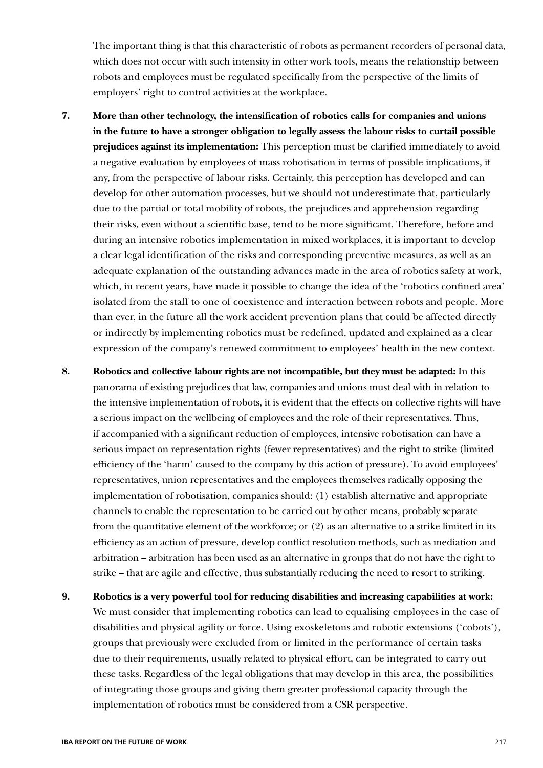The important thing is that this characteristic of robots as permanent recorders of personal data, which does not occur with such intensity in other work tools, means the relationship between robots and employees must be regulated specifically from the perspective of the limits of employers' right to control activities at the workplace.

- **7. More than other technology, the intensification of robotics calls for companies and unions in the future to have a stronger obligation to legally assess the labour risks to curtail possible prejudices against its implementation:** This perception must be clarified immediately to avoid a negative evaluation by employees of mass robotisation in terms of possible implications, if any, from the perspective of labour risks. Certainly, this perception has developed and can develop for other automation processes, but we should not underestimate that, particularly due to the partial or total mobility of robots, the prejudices and apprehension regarding their risks, even without a scientific base, tend to be more significant. Therefore, before and during an intensive robotics implementation in mixed workplaces, it is important to develop a clear legal identification of the risks and corresponding preventive measures, as well as an adequate explanation of the outstanding advances made in the area of robotics safety at work, which, in recent years, have made it possible to change the idea of the 'robotics confined area' isolated from the staff to one of coexistence and interaction between robots and people. More than ever, in the future all the work accident prevention plans that could be affected directly or indirectly by implementing robotics must be redefined, updated and explained as a clear expression of the company's renewed commitment to employees' health in the new context.
- **8. Robotics and collective labour rights are not incompatible, but they must be adapted:** In this panorama of existing prejudices that law, companies and unions must deal with in relation to the intensive implementation of robots, it is evident that the effects on collective rights will have a serious impact on the wellbeing of employees and the role of their representatives. Thus, if accompanied with a significant reduction of employees, intensive robotisation can have a serious impact on representation rights (fewer representatives) and the right to strike (limited efficiency of the 'harm' caused to the company by this action of pressure). To avoid employees' representatives, union representatives and the employees themselves radically opposing the implementation of robotisation, companies should: (1) establish alternative and appropriate channels to enable the representation to be carried out by other means, probably separate from the quantitative element of the workforce; or (2) as an alternative to a strike limited in its efficiency as an action of pressure, develop conflict resolution methods, such as mediation and arbitration – arbitration has been used as an alternative in groups that do not have the right to strike – that are agile and effective, thus substantially reducing the need to resort to striking.
- **9. Robotics is a very powerful tool for reducing disabilities and increasing capabilities at work:** We must consider that implementing robotics can lead to equalising employees in the case of disabilities and physical agility or force. Using exoskeletons and robotic extensions ('cobots'), groups that previously were excluded from or limited in the performance of certain tasks due to their requirements, usually related to physical effort, can be integrated to carry out these tasks. Regardless of the legal obligations that may develop in this area, the possibilities of integrating those groups and giving them greater professional capacity through the implementation of robotics must be considered from a CSR perspective.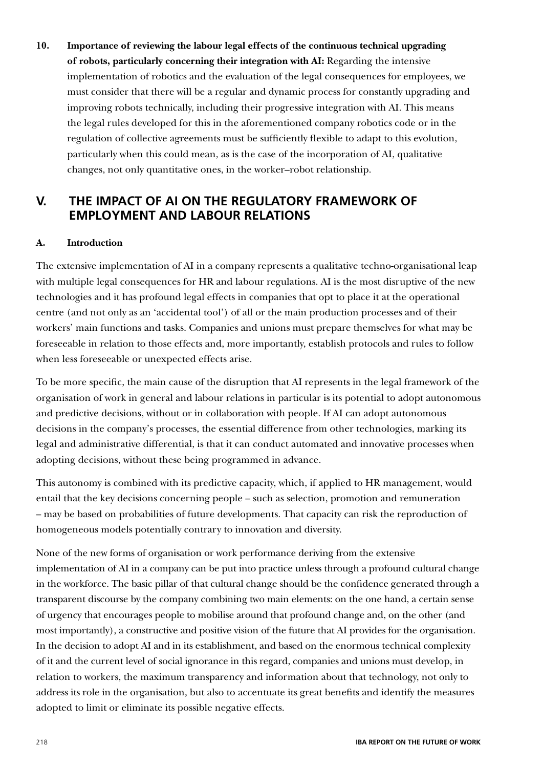**10. Importance of reviewing the labour legal effects of the continuous technical upgrading of robots, particularly concerning their integration with AI:** Regarding the intensive implementation of robotics and the evaluation of the legal consequences for employees, we must consider that there will be a regular and dynamic process for constantly upgrading and improving robots technically, including their progressive integration with AI. This means the legal rules developed for this in the aforementioned company robotics code or in the regulation of collective agreements must be sufficiently flexible to adapt to this evolution, particularly when this could mean, as is the case of the incorporation of AI, qualitative changes, not only quantitative ones, in the worker–robot relationship.

# **V. THE IMPACT OF AI ON THE REGULATORY FRAMEWORK OF EMPLOYMENT AND LABOUR RELATIONS**

## **A. Introduction**

The extensive implementation of AI in a company represents a qualitative techno-organisational leap with multiple legal consequences for HR and labour regulations. AI is the most disruptive of the new technologies and it has profound legal effects in companies that opt to place it at the operational centre (and not only as an 'accidental tool') of all or the main production processes and of their workers' main functions and tasks. Companies and unions must prepare themselves for what may be foreseeable in relation to those effects and, more importantly, establish protocols and rules to follow when less foreseeable or unexpected effects arise.

To be more specific, the main cause of the disruption that AI represents in the legal framework of the organisation of work in general and labour relations in particular is its potential to adopt autonomous and predictive decisions, without or in collaboration with people. If AI can adopt autonomous decisions in the company's processes, the essential difference from other technologies, marking its legal and administrative differential, is that it can conduct automated and innovative processes when adopting decisions, without these being programmed in advance.

This autonomy is combined with its predictive capacity, which, if applied to HR management, would entail that the key decisions concerning people – such as selection, promotion and remuneration – may be based on probabilities of future developments. That capacity can risk the reproduction of homogeneous models potentially contrary to innovation and diversity.

None of the new forms of organisation or work performance deriving from the extensive implementation of AI in a company can be put into practice unless through a profound cultural change in the workforce. The basic pillar of that cultural change should be the confidence generated through a transparent discourse by the company combining two main elements: on the one hand, a certain sense of urgency that encourages people to mobilise around that profound change and, on the other (and most importantly), a constructive and positive vision of the future that AI provides for the organisation. In the decision to adopt AI and in its establishment, and based on the enormous technical complexity of it and the current level of social ignorance in this regard, companies and unions must develop, in relation to workers, the maximum transparency and information about that technology, not only to address its role in the organisation, but also to accentuate its great benefits and identify the measures adopted to limit or eliminate its possible negative effects.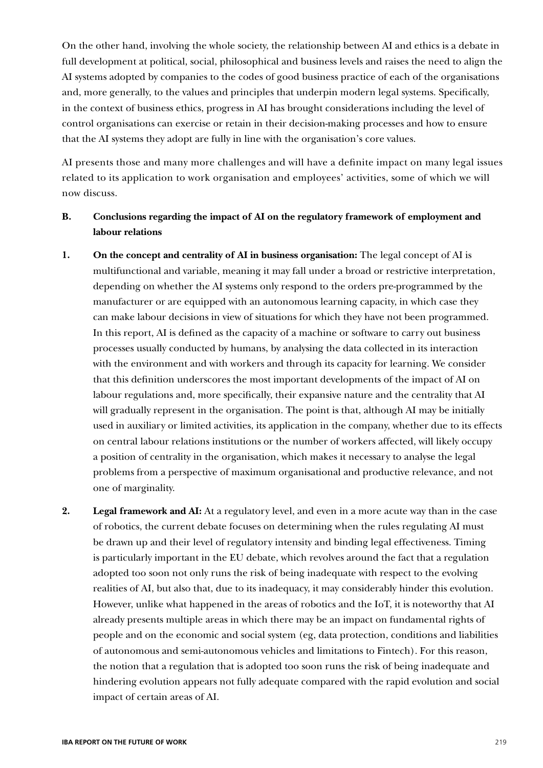On the other hand, involving the whole society, the relationship between AI and ethics is a debate in full development at political, social, philosophical and business levels and raises the need to align the AI systems adopted by companies to the codes of good business practice of each of the organisations and, more generally, to the values and principles that underpin modern legal systems. Specifically, in the context of business ethics, progress in AI has brought considerations including the level of control organisations can exercise or retain in their decision-making processes and how to ensure that the AI systems they adopt are fully in line with the organisation's core values.

AI presents those and many more challenges and will have a definite impact on many legal issues related to its application to work organisation and employees' activities, some of which we will now discuss.

# **B. Conclusions regarding the impact of AI on the regulatory framework of employment and labour relations**

- **1. On the concept and centrality of AI in business organisation:** The legal concept of AI is multifunctional and variable, meaning it may fall under a broad or restrictive interpretation, depending on whether the AI systems only respond to the orders pre-programmed by the manufacturer or are equipped with an autonomous learning capacity, in which case they can make labour decisions in view of situations for which they have not been programmed. In this report, AI is defined as the capacity of a machine or software to carry out business processes usually conducted by humans, by analysing the data collected in its interaction with the environment and with workers and through its capacity for learning. We consider that this definition underscores the most important developments of the impact of AI on labour regulations and, more specifically, their expansive nature and the centrality that AI will gradually represent in the organisation. The point is that, although AI may be initially used in auxiliary or limited activities, its application in the company, whether due to its effects on central labour relations institutions or the number of workers affected, will likely occupy a position of centrality in the organisation, which makes it necessary to analyse the legal problems from a perspective of maximum organisational and productive relevance, and not one of marginality.
- **2. Legal framework and AI:** At a regulatory level, and even in a more acute way than in the case of robotics, the current debate focuses on determining when the rules regulating AI must be drawn up and their level of regulatory intensity and binding legal effectiveness. Timing is particularly important in the EU debate, which revolves around the fact that a regulation adopted too soon not only runs the risk of being inadequate with respect to the evolving realities of AI, but also that, due to its inadequacy, it may considerably hinder this evolution. However, unlike what happened in the areas of robotics and the IoT, it is noteworthy that AI already presents multiple areas in which there may be an impact on fundamental rights of people and on the economic and social system (eg, data protection, conditions and liabilities of autonomous and semi-autonomous vehicles and limitations to Fintech). For this reason, the notion that a regulation that is adopted too soon runs the risk of being inadequate and hindering evolution appears not fully adequate compared with the rapid evolution and social impact of certain areas of AI.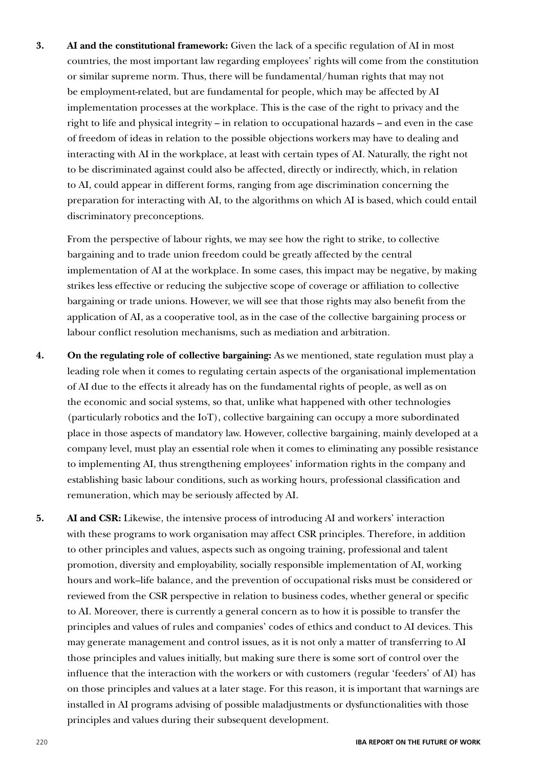**3. AI and the constitutional framework:** Given the lack of a specific regulation of AI in most countries, the most important law regarding employees' rights will come from the constitution or similar supreme norm. Thus, there will be fundamental/human rights that may not be employment-related, but are fundamental for people, which may be affected by AI implementation processes at the workplace. This is the case of the right to privacy and the right to life and physical integrity – in relation to occupational hazards – and even in the case of freedom of ideas in relation to the possible objections workers may have to dealing and interacting with AI in the workplace, at least with certain types of AI. Naturally, the right not to be discriminated against could also be affected, directly or indirectly, which, in relation to AI, could appear in different forms, ranging from age discrimination concerning the preparation for interacting with AI, to the algorithms on which AI is based, which could entail discriminatory preconceptions.

From the perspective of labour rights, we may see how the right to strike, to collective bargaining and to trade union freedom could be greatly affected by the central implementation of AI at the workplace. In some cases, this impact may be negative, by making strikes less effective or reducing the subjective scope of coverage or affiliation to collective bargaining or trade unions. However, we will see that those rights may also benefit from the application of AI, as a cooperative tool, as in the case of the collective bargaining process or labour conflict resolution mechanisms, such as mediation and arbitration.

- **4. On the regulating role of collective bargaining:** As we mentioned, state regulation must play a leading role when it comes to regulating certain aspects of the organisational implementation of AI due to the effects it already has on the fundamental rights of people, as well as on the economic and social systems, so that, unlike what happened with other technologies (particularly robotics and the IoT), collective bargaining can occupy a more subordinated place in those aspects of mandatory law. However, collective bargaining, mainly developed at a company level, must play an essential role when it comes to eliminating any possible resistance to implementing AI, thus strengthening employees' information rights in the company and establishing basic labour conditions, such as working hours, professional classification and remuneration, which may be seriously affected by AI.
- **5. AI and CSR:** Likewise, the intensive process of introducing AI and workers' interaction with these programs to work organisation may affect CSR principles. Therefore, in addition to other principles and values, aspects such as ongoing training, professional and talent promotion, diversity and employability, socially responsible implementation of AI, working hours and work–life balance, and the prevention of occupational risks must be considered or reviewed from the CSR perspective in relation to business codes, whether general or specific to AI. Moreover, there is currently a general concern as to how it is possible to transfer the principles and values of rules and companies' codes of ethics and conduct to AI devices. This may generate management and control issues, as it is not only a matter of transferring to AI those principles and values initially, but making sure there is some sort of control over the influence that the interaction with the workers or with customers (regular 'feeders' of AI) has on those principles and values at a later stage. For this reason, it is important that warnings are installed in AI programs advising of possible maladjustments or dysfunctionalities with those principles and values during their subsequent development.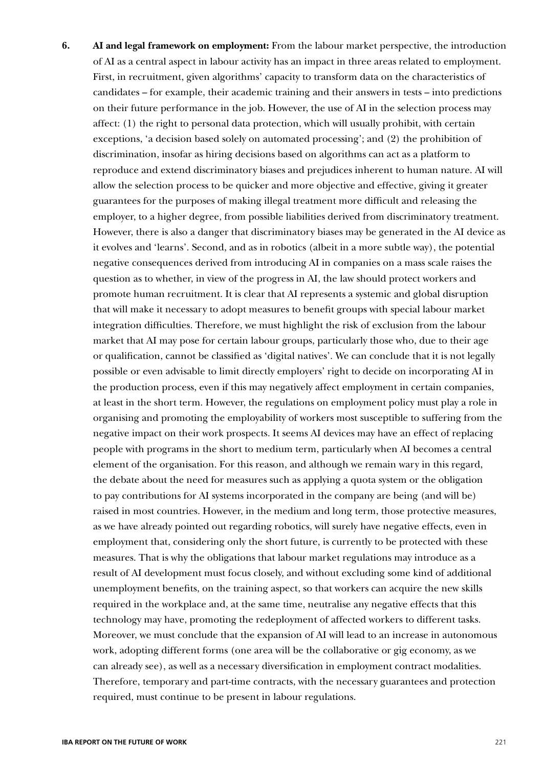**6. AI and legal framework on employment:** From the labour market perspective, the introduction of AI as a central aspect in labour activity has an impact in three areas related to employment. First, in recruitment, given algorithms' capacity to transform data on the characteristics of candidates – for example, their academic training and their answers in tests – into predictions on their future performance in the job. However, the use of AI in the selection process may affect: (1) the right to personal data protection, which will usually prohibit, with certain exceptions, 'a decision based solely on automated processing'; and (2) the prohibition of discrimination, insofar as hiring decisions based on algorithms can act as a platform to reproduce and extend discriminatory biases and prejudices inherent to human nature. AI will allow the selection process to be quicker and more objective and effective, giving it greater guarantees for the purposes of making illegal treatment more difficult and releasing the employer, to a higher degree, from possible liabilities derived from discriminatory treatment. However, there is also a danger that discriminatory biases may be generated in the AI device as it evolves and 'learns'. Second, and as in robotics (albeit in a more subtle way), the potential negative consequences derived from introducing AI in companies on a mass scale raises the question as to whether, in view of the progress in AI, the law should protect workers and promote human recruitment. It is clear that AI represents a systemic and global disruption that will make it necessary to adopt measures to benefit groups with special labour market integration difficulties. Therefore, we must highlight the risk of exclusion from the labour market that AI may pose for certain labour groups, particularly those who, due to their age or qualification, cannot be classified as 'digital natives'. We can conclude that it is not legally possible or even advisable to limit directly employers' right to decide on incorporating AI in the production process, even if this may negatively affect employment in certain companies, at least in the short term. However, the regulations on employment policy must play a role in organising and promoting the employability of workers most susceptible to suffering from the negative impact on their work prospects. It seems AI devices may have an effect of replacing people with programs in the short to medium term, particularly when AI becomes a central element of the organisation. For this reason, and although we remain wary in this regard, the debate about the need for measures such as applying a quota system or the obligation to pay contributions for AI systems incorporated in the company are being (and will be) raised in most countries. However, in the medium and long term, those protective measures, as we have already pointed out regarding robotics, will surely have negative effects, even in employment that, considering only the short future, is currently to be protected with these measures. That is why the obligations that labour market regulations may introduce as a result of AI development must focus closely, and without excluding some kind of additional unemployment benefits, on the training aspect, so that workers can acquire the new skills required in the workplace and, at the same time, neutralise any negative effects that this technology may have, promoting the redeployment of affected workers to different tasks. Moreover, we must conclude that the expansion of AI will lead to an increase in autonomous work, adopting different forms (one area will be the collaborative or gig economy, as we can already see), as well as a necessary diversification in employment contract modalities. Therefore, temporary and part-time contracts, with the necessary guarantees and protection required, must continue to be present in labour regulations.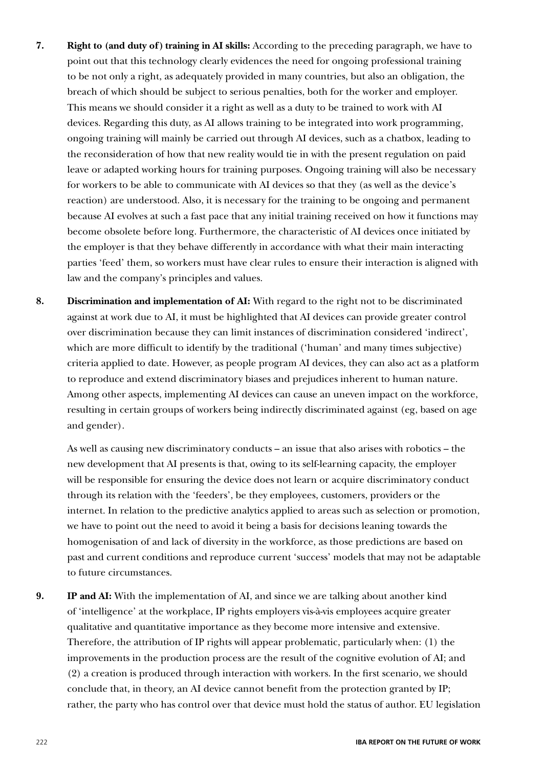- **7. Right to (and duty of) training in AI skills:** According to the preceding paragraph, we have to point out that this technology clearly evidences the need for ongoing professional training to be not only a right, as adequately provided in many countries, but also an obligation, the breach of which should be subject to serious penalties, both for the worker and employer. This means we should consider it a right as well as a duty to be trained to work with AI devices. Regarding this duty, as AI allows training to be integrated into work programming, ongoing training will mainly be carried out through AI devices, such as a chatbox, leading to the reconsideration of how that new reality would tie in with the present regulation on paid leave or adapted working hours for training purposes. Ongoing training will also be necessary for workers to be able to communicate with AI devices so that they (as well as the device's reaction) are understood. Also, it is necessary for the training to be ongoing and permanent because AI evolves at such a fast pace that any initial training received on how it functions may become obsolete before long. Furthermore, the characteristic of AI devices once initiated by the employer is that they behave differently in accordance with what their main interacting parties 'feed' them, so workers must have clear rules to ensure their interaction is aligned with law and the company's principles and values.
- **8. Discrimination and implementation of AI:** With regard to the right not to be discriminated against at work due to AI, it must be highlighted that AI devices can provide greater control over discrimination because they can limit instances of discrimination considered 'indirect', which are more difficult to identify by the traditional ('human' and many times subjective) criteria applied to date. However, as people program AI devices, they can also act as a platform to reproduce and extend discriminatory biases and prejudices inherent to human nature. Among other aspects, implementing AI devices can cause an uneven impact on the workforce, resulting in certain groups of workers being indirectly discriminated against (eg, based on age and gender).

As well as causing new discriminatory conducts – an issue that also arises with robotics – the new development that AI presents is that, owing to its self-learning capacity, the employer will be responsible for ensuring the device does not learn or acquire discriminatory conduct through its relation with the 'feeders', be they employees, customers, providers or the internet. In relation to the predictive analytics applied to areas such as selection or promotion, we have to point out the need to avoid it being a basis for decisions leaning towards the homogenisation of and lack of diversity in the workforce, as those predictions are based on past and current conditions and reproduce current 'success' models that may not be adaptable to future circumstances.

**9. IP and AI:** With the implementation of AI, and since we are talking about another kind of 'intelligence' at the workplace, IP rights employers vis-à-vis employees acquire greater qualitative and quantitative importance as they become more intensive and extensive. Therefore, the attribution of IP rights will appear problematic, particularly when: (1) the improvements in the production process are the result of the cognitive evolution of AI; and (2) a creation is produced through interaction with workers. In the first scenario, we should conclude that, in theory, an AI device cannot benefit from the protection granted by IP; rather, the party who has control over that device must hold the status of author. EU legislation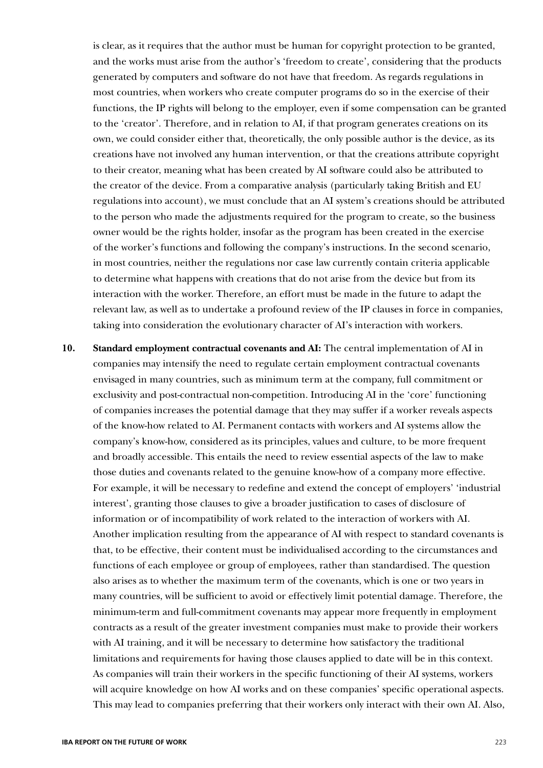is clear, as it requires that the author must be human for copyright protection to be granted, and the works must arise from the author's 'freedom to create', considering that the products generated by computers and software do not have that freedom. As regards regulations in most countries, when workers who create computer programs do so in the exercise of their functions, the IP rights will belong to the employer, even if some compensation can be granted to the 'creator'. Therefore, and in relation to AI, if that program generates creations on its own, we could consider either that, theoretically, the only possible author is the device, as its creations have not involved any human intervention, or that the creations attribute copyright to their creator, meaning what has been created by AI software could also be attributed to the creator of the device. From a comparative analysis (particularly taking British and EU regulations into account), we must conclude that an AI system's creations should be attributed to the person who made the adjustments required for the program to create, so the business owner would be the rights holder, insofar as the program has been created in the exercise of the worker's functions and following the company's instructions. In the second scenario, in most countries, neither the regulations nor case law currently contain criteria applicable to determine what happens with creations that do not arise from the device but from its interaction with the worker. Therefore, an effort must be made in the future to adapt the relevant law, as well as to undertake a profound review of the IP clauses in force in companies, taking into consideration the evolutionary character of AI's interaction with workers.

**10. Standard employment contractual covenants and AI:** The central implementation of AI in companies may intensify the need to regulate certain employment contractual covenants envisaged in many countries, such as minimum term at the company, full commitment or exclusivity and post-contractual non-competition. Introducing AI in the 'core' functioning of companies increases the potential damage that they may suffer if a worker reveals aspects of the know-how related to AI. Permanent contacts with workers and AI systems allow the company's know-how, considered as its principles, values and culture, to be more frequent and broadly accessible. This entails the need to review essential aspects of the law to make those duties and covenants related to the genuine know-how of a company more effective. For example, it will be necessary to redefine and extend the concept of employers' 'industrial interest', granting those clauses to give a broader justification to cases of disclosure of information or of incompatibility of work related to the interaction of workers with AI. Another implication resulting from the appearance of AI with respect to standard covenants is that, to be effective, their content must be individualised according to the circumstances and functions of each employee or group of employees, rather than standardised. The question also arises as to whether the maximum term of the covenants, which is one or two years in many countries, will be sufficient to avoid or effectively limit potential damage. Therefore, the minimum-term and full-commitment covenants may appear more frequently in employment contracts as a result of the greater investment companies must make to provide their workers with AI training, and it will be necessary to determine how satisfactory the traditional limitations and requirements for having those clauses applied to date will be in this context. As companies will train their workers in the specific functioning of their AI systems, workers will acquire knowledge on how AI works and on these companies' specific operational aspects. This may lead to companies preferring that their workers only interact with their own AI. Also,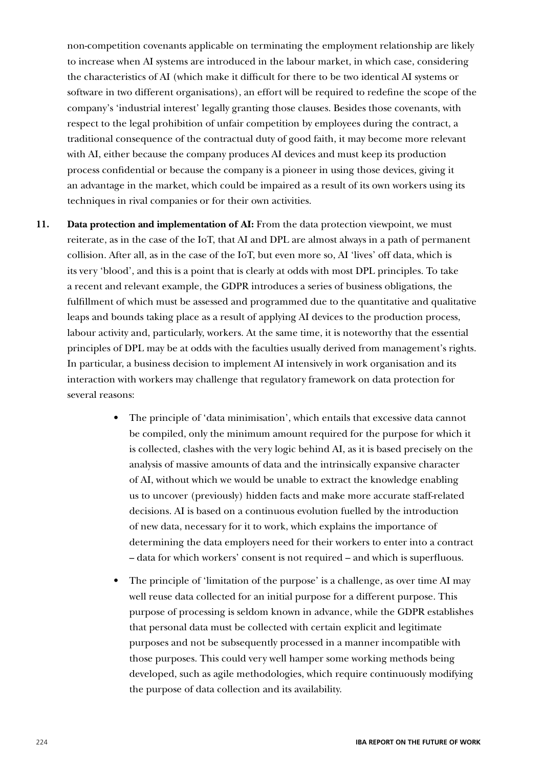non-competition covenants applicable on terminating the employment relationship are likely to increase when AI systems are introduced in the labour market, in which case, considering the characteristics of AI (which make it difficult for there to be two identical AI systems or software in two different organisations), an effort will be required to redefine the scope of the company's 'industrial interest' legally granting those clauses. Besides those covenants, with respect to the legal prohibition of unfair competition by employees during the contract, a traditional consequence of the contractual duty of good faith, it may become more relevant with AI, either because the company produces AI devices and must keep its production process confidential or because the company is a pioneer in using those devices, giving it an advantage in the market, which could be impaired as a result of its own workers using its techniques in rival companies or for their own activities.

- **11. Data protection and implementation of AI:** From the data protection viewpoint, we must reiterate, as in the case of the IoT, that AI and DPL are almost always in a path of permanent collision. After all, as in the case of the IoT, but even more so, AI 'lives' off data, which is its very 'blood', and this is a point that is clearly at odds with most DPL principles. To take a recent and relevant example, the GDPR introduces a series of business obligations, the fulfillment of which must be assessed and programmed due to the quantitative and qualitative leaps and bounds taking place as a result of applying AI devices to the production process, labour activity and, particularly, workers. At the same time, it is noteworthy that the essential principles of DPL may be at odds with the faculties usually derived from management's rights. In particular, a business decision to implement AI intensively in work organisation and its interaction with workers may challenge that regulatory framework on data protection for several reasons:
	- The principle of 'data minimisation', which entails that excessive data cannot be compiled, only the minimum amount required for the purpose for which it is collected, clashes with the very logic behind AI, as it is based precisely on the analysis of massive amounts of data and the intrinsically expansive character of AI, without which we would be unable to extract the knowledge enabling us to uncover (previously) hidden facts and make more accurate staff-related decisions. AI is based on a continuous evolution fuelled by the introduction of new data, necessary for it to work, which explains the importance of determining the data employers need for their workers to enter into a contract – data for which workers' consent is not required – and which is superfluous.
	- The principle of 'limitation of the purpose' is a challenge, as over time AI may well reuse data collected for an initial purpose for a different purpose. This purpose of processing is seldom known in advance, while the GDPR establishes that personal data must be collected with certain explicit and legitimate purposes and not be subsequently processed in a manner incompatible with those purposes. This could very well hamper some working methods being developed, such as agile methodologies, which require continuously modifying the purpose of data collection and its availability.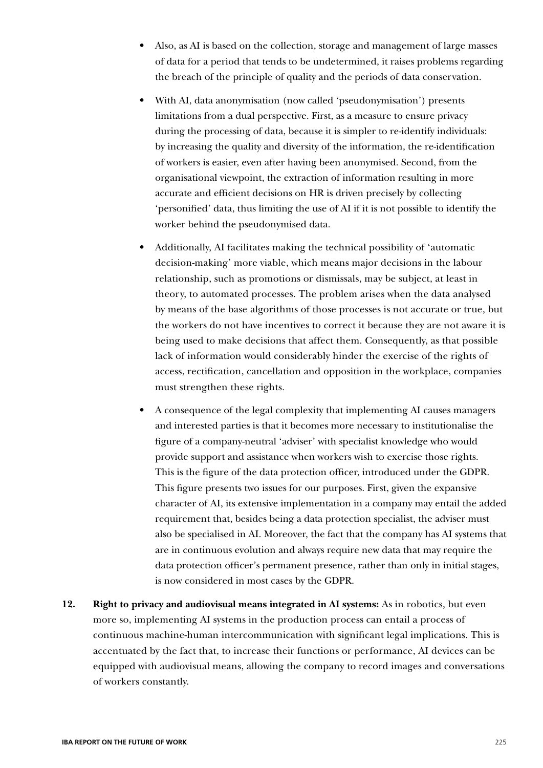- Also, as AI is based on the collection, storage and management of large masses of data for a period that tends to be undetermined, it raises problems regarding the breach of the principle of quality and the periods of data conservation.
- With AI, data anonymisation (now called 'pseudonymisation') presents limitations from a dual perspective. First, as a measure to ensure privacy during the processing of data, because it is simpler to re-identify individuals: by increasing the quality and diversity of the information, the re-identification of workers is easier, even after having been anonymised. Second, from the organisational viewpoint, the extraction of information resulting in more accurate and efficient decisions on HR is driven precisely by collecting 'personified' data, thus limiting the use of AI if it is not possible to identify the worker behind the pseudonymised data.
- Additionally, AI facilitates making the technical possibility of 'automatic decision-making' more viable, which means major decisions in the labour relationship, such as promotions or dismissals, may be subject, at least in theory, to automated processes. The problem arises when the data analysed by means of the base algorithms of those processes is not accurate or true, but the workers do not have incentives to correct it because they are not aware it is being used to make decisions that affect them. Consequently, as that possible lack of information would considerably hinder the exercise of the rights of access, rectification, cancellation and opposition in the workplace, companies must strengthen these rights.
- A consequence of the legal complexity that implementing AI causes managers and interested parties is that it becomes more necessary to institutionalise the figure of a company-neutral 'adviser' with specialist knowledge who would provide support and assistance when workers wish to exercise those rights. This is the figure of the data protection officer, introduced under the GDPR. This figure presents two issues for our purposes. First, given the expansive character of AI, its extensive implementation in a company may entail the added requirement that, besides being a data protection specialist, the adviser must also be specialised in AI. Moreover, the fact that the company has AI systems that are in continuous evolution and always require new data that may require the data protection officer's permanent presence, rather than only in initial stages, is now considered in most cases by the GDPR.
- **12. Right to privacy and audiovisual means integrated in AI systems:** As in robotics, but even more so, implementing AI systems in the production process can entail a process of continuous machine-human intercommunication with significant legal implications. This is accentuated by the fact that, to increase their functions or performance, AI devices can be equipped with audiovisual means, allowing the company to record images and conversations of workers constantly.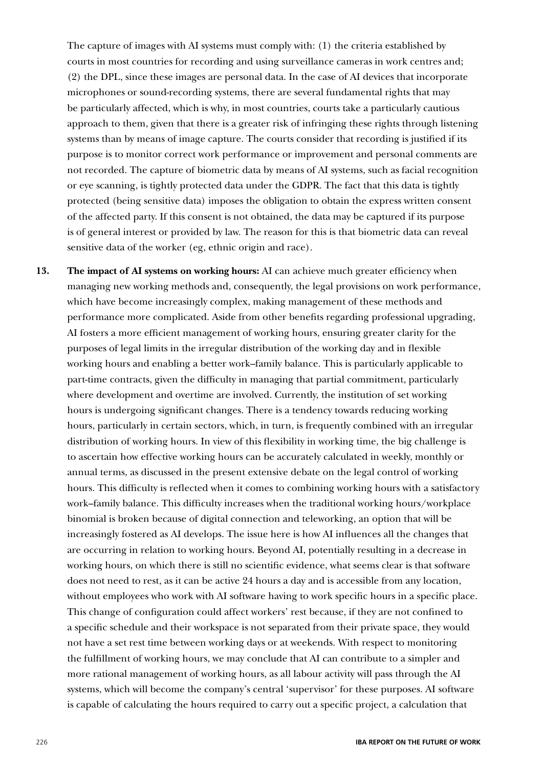The capture of images with AI systems must comply with: (1) the criteria established by courts in most countries for recording and using surveillance cameras in work centres and; (2) the DPL, since these images are personal data. In the case of AI devices that incorporate microphones or sound-recording systems, there are several fundamental rights that may be particularly affected, which is why, in most countries, courts take a particularly cautious approach to them, given that there is a greater risk of infringing these rights through listening systems than by means of image capture. The courts consider that recording is justified if its purpose is to monitor correct work performance or improvement and personal comments are not recorded. The capture of biometric data by means of AI systems, such as facial recognition or eye scanning, is tightly protected data under the GDPR. The fact that this data is tightly protected (being sensitive data) imposes the obligation to obtain the express written consent of the affected party. If this consent is not obtained, the data may be captured if its purpose is of general interest or provided by law. The reason for this is that biometric data can reveal sensitive data of the worker (eg, ethnic origin and race).

**13. The impact of AI systems on working hours:** AI can achieve much greater efficiency when managing new working methods and, consequently, the legal provisions on work performance, which have become increasingly complex, making management of these methods and performance more complicated. Aside from other benefits regarding professional upgrading, AI fosters a more efficient management of working hours, ensuring greater clarity for the purposes of legal limits in the irregular distribution of the working day and in flexible working hours and enabling a better work–family balance. This is particularly applicable to part-time contracts, given the difficulty in managing that partial commitment, particularly where development and overtime are involved. Currently, the institution of set working hours is undergoing significant changes. There is a tendency towards reducing working hours, particularly in certain sectors, which, in turn, is frequently combined with an irregular distribution of working hours. In view of this flexibility in working time, the big challenge is to ascertain how effective working hours can be accurately calculated in weekly, monthly or annual terms, as discussed in the present extensive debate on the legal control of working hours. This difficulty is reflected when it comes to combining working hours with a satisfactory work–family balance. This difficulty increases when the traditional working hours/workplace binomial is broken because of digital connection and teleworking, an option that will be increasingly fostered as AI develops. The issue here is how AI influences all the changes that are occurring in relation to working hours. Beyond AI, potentially resulting in a decrease in working hours, on which there is still no scientific evidence, what seems clear is that software does not need to rest, as it can be active 24 hours a day and is accessible from any location, without employees who work with AI software having to work specific hours in a specific place. This change of configuration could affect workers' rest because, if they are not confined to a specific schedule and their workspace is not separated from their private space, they would not have a set rest time between working days or at weekends. With respect to monitoring the fulfillment of working hours, we may conclude that AI can contribute to a simpler and more rational management of working hours, as all labour activity will pass through the AI systems, which will become the company's central 'supervisor' for these purposes. AI software is capable of calculating the hours required to carry out a specific project, a calculation that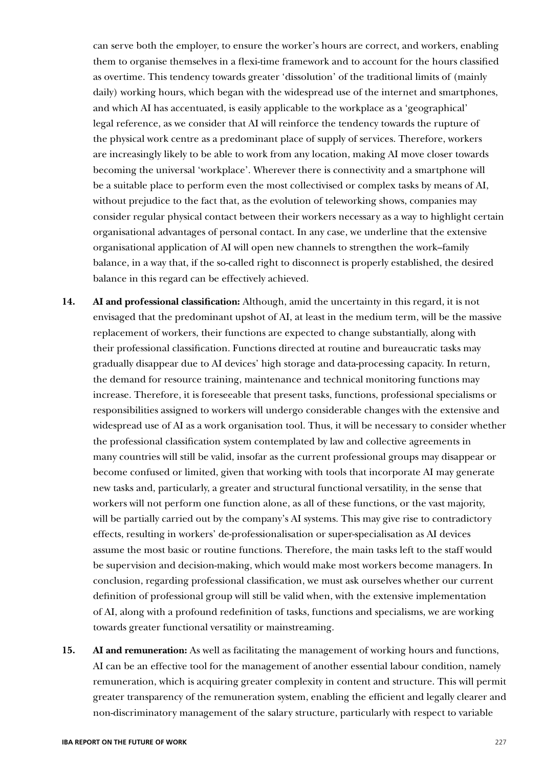can serve both the employer, to ensure the worker's hours are correct, and workers, enabling them to organise themselves in a flexi-time framework and to account for the hours classified as overtime. This tendency towards greater 'dissolution' of the traditional limits of (mainly daily) working hours, which began with the widespread use of the internet and smartphones, and which AI has accentuated, is easily applicable to the workplace as a 'geographical' legal reference, as we consider that AI will reinforce the tendency towards the rupture of the physical work centre as a predominant place of supply of services. Therefore, workers are increasingly likely to be able to work from any location, making AI move closer towards becoming the universal 'workplace'. Wherever there is connectivity and a smartphone will be a suitable place to perform even the most collectivised or complex tasks by means of AI, without prejudice to the fact that, as the evolution of teleworking shows, companies may consider regular physical contact between their workers necessary as a way to highlight certain organisational advantages of personal contact. In any case, we underline that the extensive organisational application of AI will open new channels to strengthen the work–family balance, in a way that, if the so-called right to disconnect is properly established, the desired balance in this regard can be effectively achieved.

- **14. AI and professional classification:** Although, amid the uncertainty in this regard, it is not envisaged that the predominant upshot of AI, at least in the medium term, will be the massive replacement of workers, their functions are expected to change substantially, along with their professional classification. Functions directed at routine and bureaucratic tasks may gradually disappear due to AI devices' high storage and data-processing capacity. In return, the demand for resource training, maintenance and technical monitoring functions may increase. Therefore, it is foreseeable that present tasks, functions, professional specialisms or responsibilities assigned to workers will undergo considerable changes with the extensive and widespread use of AI as a work organisation tool. Thus, it will be necessary to consider whether the professional classification system contemplated by law and collective agreements in many countries will still be valid, insofar as the current professional groups may disappear or become confused or limited, given that working with tools that incorporate AI may generate new tasks and, particularly, a greater and structural functional versatility, in the sense that workers will not perform one function alone, as all of these functions, or the vast majority, will be partially carried out by the company's AI systems. This may give rise to contradictory effects, resulting in workers' de-professionalisation or super-specialisation as AI devices assume the most basic or routine functions. Therefore, the main tasks left to the staff would be supervision and decision-making, which would make most workers become managers. In conclusion, regarding professional classification, we must ask ourselves whether our current definition of professional group will still be valid when, with the extensive implementation of AI, along with a profound redefinition of tasks, functions and specialisms, we are working towards greater functional versatility or mainstreaming.
- **15. AI and remuneration:** As well as facilitating the management of working hours and functions, AI can be an effective tool for the management of another essential labour condition, namely remuneration, which is acquiring greater complexity in content and structure. This will permit greater transparency of the remuneration system, enabling the efficient and legally clearer and non-discriminatory management of the salary structure, particularly with respect to variable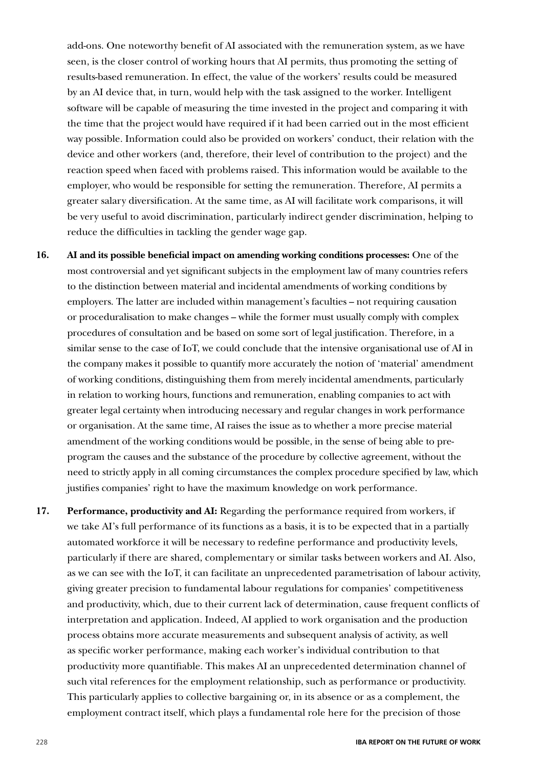add-ons. One noteworthy benefit of AI associated with the remuneration system, as we have seen, is the closer control of working hours that AI permits, thus promoting the setting of results-based remuneration. In effect, the value of the workers' results could be measured by an AI device that, in turn, would help with the task assigned to the worker. Intelligent software will be capable of measuring the time invested in the project and comparing it with the time that the project would have required if it had been carried out in the most efficient way possible. Information could also be provided on workers' conduct, their relation with the device and other workers (and, therefore, their level of contribution to the project) and the reaction speed when faced with problems raised. This information would be available to the employer, who would be responsible for setting the remuneration. Therefore, AI permits a greater salary diversification. At the same time, as AI will facilitate work comparisons, it will be very useful to avoid discrimination, particularly indirect gender discrimination, helping to reduce the difficulties in tackling the gender wage gap.

- **16. AI and its possible beneficial impact on amending working conditions processes:** One of the most controversial and yet significant subjects in the employment law of many countries refers to the distinction between material and incidental amendments of working conditions by employers. The latter are included within management's faculties – not requiring causation or proceduralisation to make changes – while the former must usually comply with complex procedures of consultation and be based on some sort of legal justification. Therefore, in a similar sense to the case of IoT, we could conclude that the intensive organisational use of AI in the company makes it possible to quantify more accurately the notion of 'material' amendment of working conditions, distinguishing them from merely incidental amendments, particularly in relation to working hours, functions and remuneration, enabling companies to act with greater legal certainty when introducing necessary and regular changes in work performance or organisation. At the same time, AI raises the issue as to whether a more precise material amendment of the working conditions would be possible, in the sense of being able to preprogram the causes and the substance of the procedure by collective agreement, without the need to strictly apply in all coming circumstances the complex procedure specified by law, which justifies companies' right to have the maximum knowledge on work performance.
- **17. Performance, productivity and AI:** Regarding the performance required from workers, if we take AI's full performance of its functions as a basis, it is to be expected that in a partially automated workforce it will be necessary to redefine performance and productivity levels, particularly if there are shared, complementary or similar tasks between workers and AI. Also, as we can see with the IoT, it can facilitate an unprecedented parametrisation of labour activity, giving greater precision to fundamental labour regulations for companies' competitiveness and productivity, which, due to their current lack of determination, cause frequent conflicts of interpretation and application. Indeed, AI applied to work organisation and the production process obtains more accurate measurements and subsequent analysis of activity, as well as specific worker performance, making each worker's individual contribution to that productivity more quantifiable. This makes AI an unprecedented determination channel of such vital references for the employment relationship, such as performance or productivity. This particularly applies to collective bargaining or, in its absence or as a complement, the employment contract itself, which plays a fundamental role here for the precision of those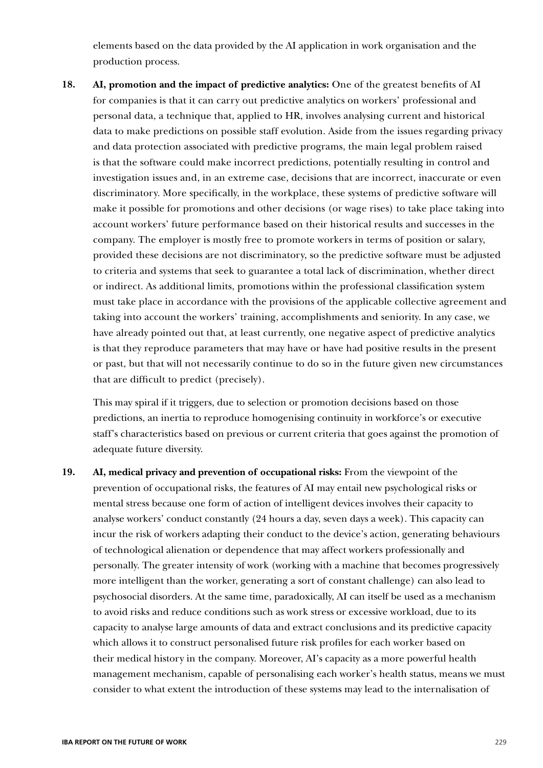elements based on the data provided by the AI application in work organisation and the production process.

**18. AI, promotion and the impact of predictive analytics:** One of the greatest benefits of AI for companies is that it can carry out predictive analytics on workers' professional and personal data, a technique that, applied to HR, involves analysing current and historical data to make predictions on possible staff evolution. Aside from the issues regarding privacy and data protection associated with predictive programs, the main legal problem raised is that the software could make incorrect predictions, potentially resulting in control and investigation issues and, in an extreme case, decisions that are incorrect, inaccurate or even discriminatory. More specifically, in the workplace, these systems of predictive software will make it possible for promotions and other decisions (or wage rises) to take place taking into account workers' future performance based on their historical results and successes in the company. The employer is mostly free to promote workers in terms of position or salary, provided these decisions are not discriminatory, so the predictive software must be adjusted to criteria and systems that seek to guarantee a total lack of discrimination, whether direct or indirect. As additional limits, promotions within the professional classification system must take place in accordance with the provisions of the applicable collective agreement and taking into account the workers' training, accomplishments and seniority. In any case, we have already pointed out that, at least currently, one negative aspect of predictive analytics is that they reproduce parameters that may have or have had positive results in the present or past, but that will not necessarily continue to do so in the future given new circumstances that are difficult to predict (precisely).

This may spiral if it triggers, due to selection or promotion decisions based on those predictions, an inertia to reproduce homogenising continuity in workforce's or executive staff's characteristics based on previous or current criteria that goes against the promotion of adequate future diversity.

**19. AI, medical privacy and prevention of occupational risks:** From the viewpoint of the prevention of occupational risks, the features of AI may entail new psychological risks or mental stress because one form of action of intelligent devices involves their capacity to analyse workers' conduct constantly (24 hours a day, seven days a week). This capacity can incur the risk of workers adapting their conduct to the device's action, generating behaviours of technological alienation or dependence that may affect workers professionally and personally. The greater intensity of work (working with a machine that becomes progressively more intelligent than the worker, generating a sort of constant challenge) can also lead to psychosocial disorders. At the same time, paradoxically, AI can itself be used as a mechanism to avoid risks and reduce conditions such as work stress or excessive workload, due to its capacity to analyse large amounts of data and extract conclusions and its predictive capacity which allows it to construct personalised future risk profiles for each worker based on their medical history in the company. Moreover, AI's capacity as a more powerful health management mechanism, capable of personalising each worker's health status, means we must consider to what extent the introduction of these systems may lead to the internalisation of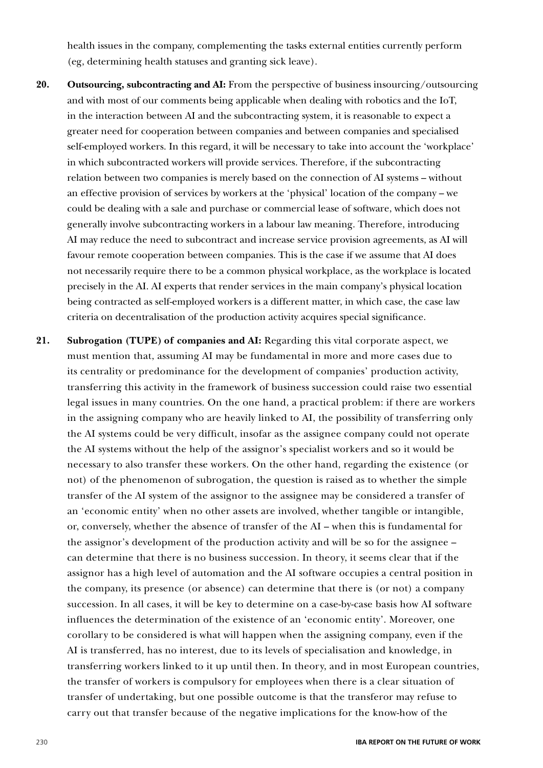health issues in the company, complementing the tasks external entities currently perform (eg, determining health statuses and granting sick leave).

- **20. Outsourcing, subcontracting and AI:** From the perspective of business insourcing/outsourcing and with most of our comments being applicable when dealing with robotics and the IoT, in the interaction between AI and the subcontracting system, it is reasonable to expect a greater need for cooperation between companies and between companies and specialised self-employed workers. In this regard, it will be necessary to take into account the 'workplace' in which subcontracted workers will provide services. Therefore, if the subcontracting relation between two companies is merely based on the connection of AI systems – without an effective provision of services by workers at the 'physical' location of the company – we could be dealing with a sale and purchase or commercial lease of software, which does not generally involve subcontracting workers in a labour law meaning. Therefore, introducing AI may reduce the need to subcontract and increase service provision agreements, as AI will favour remote cooperation between companies. This is the case if we assume that AI does not necessarily require there to be a common physical workplace, as the workplace is located precisely in the AI. AI experts that render services in the main company's physical location being contracted as self-employed workers is a different matter, in which case, the case law criteria on decentralisation of the production activity acquires special significance.
- **21. Subrogation (TUPE) of companies and AI:** Regarding this vital corporate aspect, we must mention that, assuming AI may be fundamental in more and more cases due to its centrality or predominance for the development of companies' production activity, transferring this activity in the framework of business succession could raise two essential legal issues in many countries. On the one hand, a practical problem: if there are workers in the assigning company who are heavily linked to AI, the possibility of transferring only the AI systems could be very difficult, insofar as the assignee company could not operate the AI systems without the help of the assignor's specialist workers and so it would be necessary to also transfer these workers. On the other hand, regarding the existence (or not) of the phenomenon of subrogation, the question is raised as to whether the simple transfer of the AI system of the assignor to the assignee may be considered a transfer of an 'economic entity' when no other assets are involved, whether tangible or intangible, or, conversely, whether the absence of transfer of the AI – when this is fundamental for the assignor's development of the production activity and will be so for the assignee – can determine that there is no business succession. In theory, it seems clear that if the assignor has a high level of automation and the AI software occupies a central position in the company, its presence (or absence) can determine that there is (or not) a company succession. In all cases, it will be key to determine on a case-by-case basis how AI software influences the determination of the existence of an 'economic entity'. Moreover, one corollary to be considered is what will happen when the assigning company, even if the AI is transferred, has no interest, due to its levels of specialisation and knowledge, in transferring workers linked to it up until then. In theory, and in most European countries, the transfer of workers is compulsory for employees when there is a clear situation of transfer of undertaking, but one possible outcome is that the transferor may refuse to carry out that transfer because of the negative implications for the know-how of the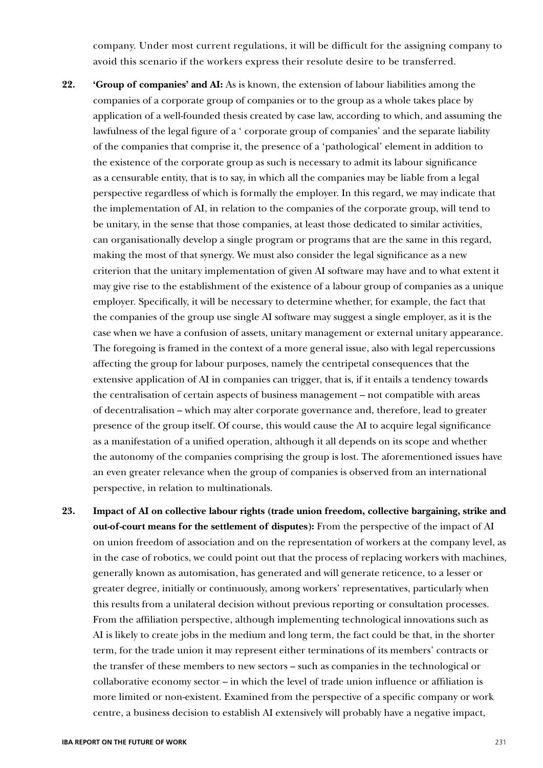company. Under most current regulations, it will be difficult for the assigning company to avoid this scenario if the workers express their resolute desire to be transferred.

- **22. 'Group of companies' and AI:** As is known, the extension of labour liabilities among the companies of a corporate group of companies or to the group as a whole takes place by application of a well-founded thesis created by case law, according to which, and assuming the lawfulness of the legal figure of a ' corporate group of companies' and the separate liability of the companies that comprise it, the presence of a 'pathological' element in addition to the existence of the corporate group as such is necessary to admit its labour significance as a censurable entity, that is to say, in which all the companies may be liable from a legal perspective regardless of which is formally the employer. In this regard, we may indicate that the implementation of AI, in relation to the companies of the corporate group, will tend to be unitary, in the sense that those companies, at least those dedicated to similar activities, can organisationally develop a single program or programs that are the same in this regard, making the most of that synergy. We must also consider the legal significance as a new criterion that the unitary implementation of given AI software may have and to what extent it may give rise to the establishment of the existence of a labour group of companies as a unique employer. Specifically, it will be necessary to determine whether, for example, the fact that the companies of the group use single AI software may suggest a single employer, as it is the case when we have a confusion of assets, unitary management or external unitary appearance. The foregoing is framed in the context of a more general issue, also with legal repercussions affecting the group for labour purposes, namely the centripetal consequences that the extensive application of AI in companies can trigger, that is, if it entails a tendency towards the centralisation of certain aspects of business management – not compatible with areas of decentralisation – which may alter corporate governance and, therefore, lead to greater presence of the group itself. Of course, this would cause the AI to acquire legal significance as a manifestation of a unified operation, although it all depends on its scope and whether the autonomy of the companies comprising the group is lost. The aforementioned issues have an even greater relevance when the group of companies is observed from an international perspective, in relation to multinationals.
- **23. Impact of AI on collective labour rights (trade union freedom, collective bargaining, strike and out-of-court means for the settlement of disputes):** From the perspective of the impact of AI on union freedom of association and on the representation of workers at the company level, as in the case of robotics, we could point out that the process of replacing workers with machines, generally known as automisation, has generated and will generate reticence, to a lesser or greater degree, initially or continuously, among workers' representatives, particularly when this results from a unilateral decision without previous reporting or consultation processes. From the affiliation perspective, although implementing technological innovations such as AI is likely to create jobs in the medium and long term, the fact could be that, in the shorter term, for the trade union it may represent either terminations of its members' contracts or the transfer of these members to new sectors – such as companies in the technological or collaborative economy sector – in which the level of trade union influence or affiliation is more limited or non-existent. Examined from the perspective of a specific company or work centre, a business decision to establish AI extensively will probably have a negative impact,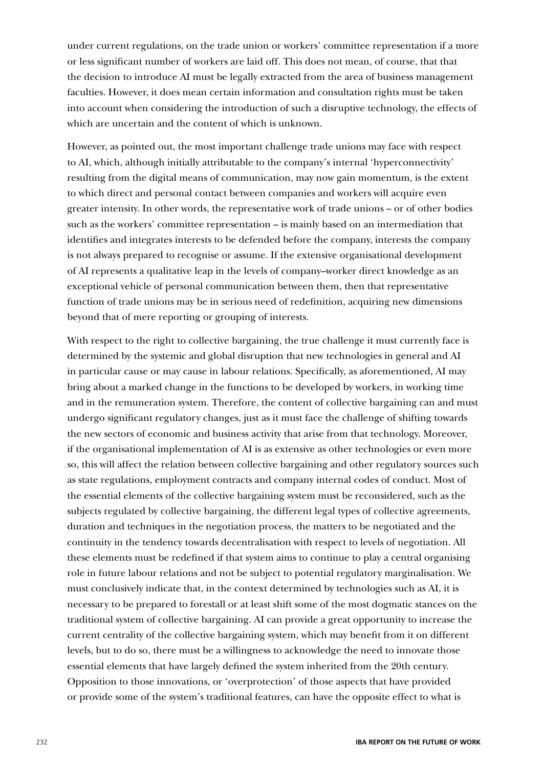under current regulations, on the trade union or workers' committee representation if a more or less significant number of workers are laid off. This does not mean, of course, that that the decision to introduce AI must be legally extracted from the area of business management faculties. However, it does mean certain information and consultation rights must be taken into account when considering the introduction of such a disruptive technology, the effects of which are uncertain and the content of which is unknown.

However, as pointed out, the most important challenge trade unions may face with respect to AI, which, although initially attributable to the company's internal 'hyperconnectivity' resulting from the digital means of communication, may now gain momentum, is the extent to which direct and personal contact between companies and workers will acquire even greater intensity. In other words, the representative work of trade unions – or of other bodies such as the workers' committee representation – is mainly based on an intermediation that identifies and integrates interests to be defended before the company, interests the company is not always prepared to recognise or assume. If the extensive organisational development of AI represents a qualitative leap in the levels of company–worker direct knowledge as an exceptional vehicle of personal communication between them, then that representative function of trade unions may be in serious need of redefinition, acquiring new dimensions beyond that of mere reporting or grouping of interests.

With respect to the right to collective bargaining, the true challenge it must currently face is determined by the systemic and global disruption that new technologies in general and AI in particular cause or may cause in labour relations. Specifically, as aforementioned, AI may bring about a marked change in the functions to be developed by workers, in working time and in the remuneration system. Therefore, the content of collective bargaining can and must undergo significant regulatory changes, just as it must face the challenge of shifting towards the new sectors of economic and business activity that arise from that technology. Moreover, if the organisational implementation of AI is as extensive as other technologies or even more so, this will affect the relation between collective bargaining and other regulatory sources such as state regulations, employment contracts and company internal codes of conduct. Most of the essential elements of the collective bargaining system must be reconsidered, such as the subjects regulated by collective bargaining, the different legal types of collective agreements, duration and techniques in the negotiation process, the matters to be negotiated and the continuity in the tendency towards decentralisation with respect to levels of negotiation. All these elements must be redefined if that system aims to continue to play a central organising role in future labour relations and not be subject to potential regulatory marginalisation. We must conclusively indicate that, in the context determined by technologies such as AI, it is necessary to be prepared to forestall or at least shift some of the most dogmatic stances on the traditional system of collective bargaining. AI can provide a great opportunity to increase the current centrality of the collective bargaining system, which may benefit from it on different levels, but to do so, there must be a willingness to acknowledge the need to innovate those essential elements that have largely defined the system inherited from the 20th century. Opposition to those innovations, or 'overprotection' of those aspects that have provided or provide some of the system's traditional features, can have the opposite effect to what is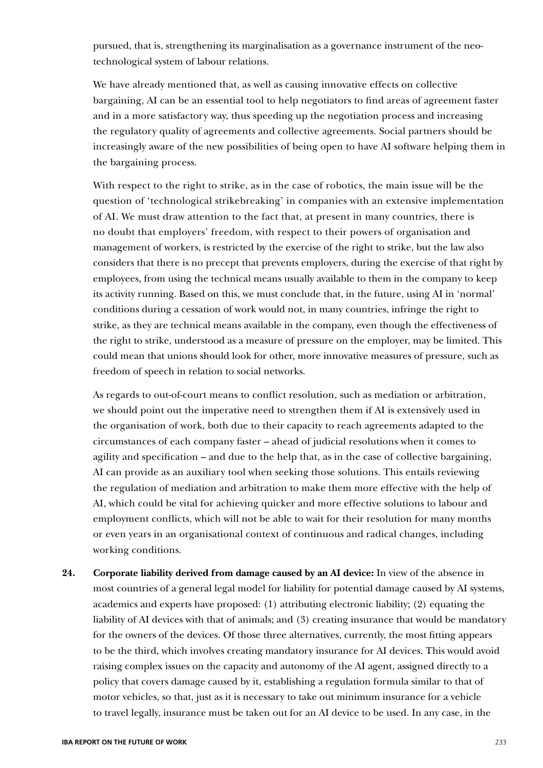pursued, that is, strengthening its marginalisation as a governance instrument of the neotechnological system of labour relations.

We have already mentioned that, as well as causing innovative effects on collective bargaining, AI can be an essential tool to help negotiators to find areas of agreement faster and in a more satisfactory way, thus speeding up the negotiation process and increasing the regulatory quality of agreements and collective agreements. Social partners should be increasingly aware of the new possibilities of being open to have AI software helping them in the bargaining process.

With respect to the right to strike, as in the case of robotics, the main issue will be the question of 'technological strikebreaking' in companies with an extensive implementation of AI. We must draw attention to the fact that, at present in many countries, there is no doubt that employers' freedom, with respect to their powers of organisation and management of workers, is restricted by the exercise of the right to strike, but the law also considers that there is no precept that prevents employers, during the exercise of that right by employees, from using the technical means usually available to them in the company to keep its activity running. Based on this, we must conclude that, in the future, using AI in 'normal' conditions during a cessation of work would not, in many countries, infringe the right to strike, as they are technical means available in the company, even though the effectiveness of the right to strike, understood as a measure of pressure on the employer, may be limited. This could mean that unions should look for other, more innovative measures of pressure, such as freedom of speech in relation to social networks.

As regards to out-of-court means to conflict resolution, such as mediation or arbitration, we should point out the imperative need to strengthen them if AI is extensively used in the organisation of work, both due to their capacity to reach agreements adapted to the circumstances of each company faster – ahead of judicial resolutions when it comes to agility and specification – and due to the help that, as in the case of collective bargaining, AI can provide as an auxiliary tool when seeking those solutions. This entails reviewing the regulation of mediation and arbitration to make them more effective with the help of AI, which could be vital for achieving quicker and more effective solutions to labour and employment conflicts, which will not be able to wait for their resolution for many months or even years in an organisational context of continuous and radical changes, including working conditions.

**24. Corporate liability derived from damage caused by an AI device:** In view of the absence in most countries of a general legal model for liability for potential damage caused by AI systems, academics and experts have proposed: (1) attributing electronic liability; (2) equating the liability of AI devices with that of animals; and (3) creating insurance that would be mandatory for the owners of the devices. Of those three alternatives, currently, the most fitting appears to be the third, which involves creating mandatory insurance for AI devices. This would avoid raising complex issues on the capacity and autonomy of the AI agent, assigned directly to a policy that covers damage caused by it, establishing a regulation formula similar to that of motor vehicles, so that, just as it is necessary to take out minimum insurance for a vehicle to travel legally, insurance must be taken out for an AI device to be used. In any case, in the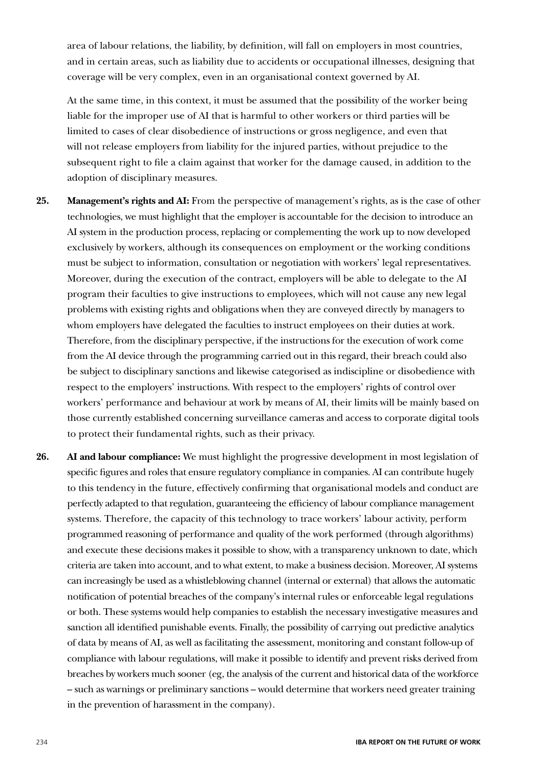area of labour relations, the liability, by definition, will fall on employers in most countries, and in certain areas, such as liability due to accidents or occupational illnesses, designing that coverage will be very complex, even in an organisational context governed by AI.

At the same time, in this context, it must be assumed that the possibility of the worker being liable for the improper use of AI that is harmful to other workers or third parties will be limited to cases of clear disobedience of instructions or gross negligence, and even that will not release employers from liability for the injured parties, without prejudice to the subsequent right to file a claim against that worker for the damage caused, in addition to the adoption of disciplinary measures.

- **25. Management's rights and AI:** From the perspective of management's rights, as is the case of other technologies, we must highlight that the employer is accountable for the decision to introduce an AI system in the production process, replacing or complementing the work up to now developed exclusively by workers, although its consequences on employment or the working conditions must be subject to information, consultation or negotiation with workers' legal representatives. Moreover, during the execution of the contract, employers will be able to delegate to the AI program their faculties to give instructions to employees, which will not cause any new legal problems with existing rights and obligations when they are conveyed directly by managers to whom employers have delegated the faculties to instruct employees on their duties at work. Therefore, from the disciplinary perspective, if the instructions for the execution of work come from the AI device through the programming carried out in this regard, their breach could also be subject to disciplinary sanctions and likewise categorised as indiscipline or disobedience with respect to the employers' instructions. With respect to the employers' rights of control over workers' performance and behaviour at work by means of AI, their limits will be mainly based on those currently established concerning surveillance cameras and access to corporate digital tools to protect their fundamental rights, such as their privacy.
- **26. AI and labour compliance:** We must highlight the progressive development in most legislation of specific figures and roles that ensure regulatory compliance in companies. AI can contribute hugely to this tendency in the future, effectively confirming that organisational models and conduct are perfectly adapted to that regulation, guaranteeing the efficiency of labour compliance management systems. Therefore, the capacity of this technology to trace workers' labour activity, perform programmed reasoning of performance and quality of the work performed (through algorithms) and execute these decisions makes it possible to show, with a transparency unknown to date, which criteria are taken into account, and to what extent, to make a business decision. Moreover, AI systems can increasingly be used as a whistleblowing channel (internal or external) that allows the automatic notification of potential breaches of the company's internal rules or enforceable legal regulations or both. These systems would help companies to establish the necessary investigative measures and sanction all identified punishable events. Finally, the possibility of carrying out predictive analytics of data by means of AI, as well as facilitating the assessment, monitoring and constant follow-up of compliance with labour regulations, will make it possible to identify and prevent risks derived from breaches by workers much sooner (eg, the analysis of the current and historical data of the workforce – such as warnings or preliminary sanctions – would determine that workers need greater training in the prevention of harassment in the company).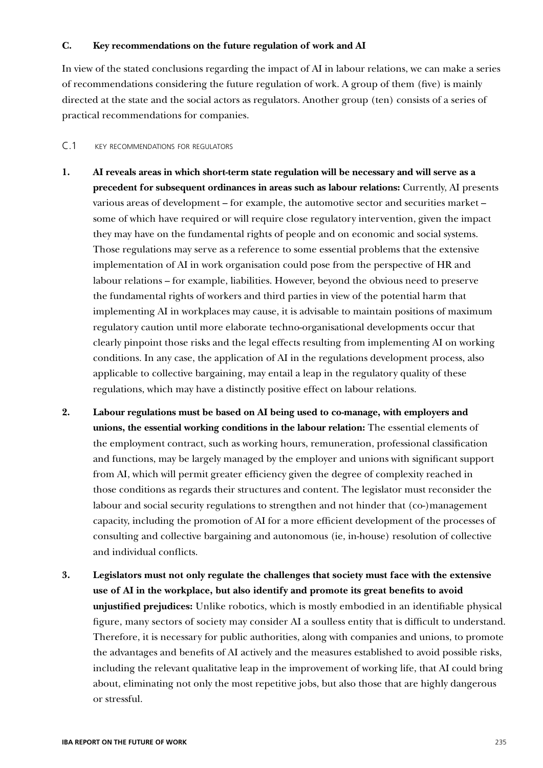### **C. Key recommendations on the future regulation of work and AI**

In view of the stated conclusions regarding the impact of AI in labour relations, we can make a series of recommendations considering the future regulation of work. A group of them (five) is mainly directed at the state and the social actors as regulators. Another group (ten) consists of a series of practical recommendations for companies.

#### C.1 key recommendations for regulators

- **1. AI reveals areas in which short-term state regulation will be necessary and will serve as a precedent for subsequent ordinances in areas such as labour relations:** Currently, AI presents various areas of development – for example, the automotive sector and securities market – some of which have required or will require close regulatory intervention, given the impact they may have on the fundamental rights of people and on economic and social systems. Those regulations may serve as a reference to some essential problems that the extensive implementation of AI in work organisation could pose from the perspective of HR and labour relations – for example, liabilities. However, beyond the obvious need to preserve the fundamental rights of workers and third parties in view of the potential harm that implementing AI in workplaces may cause, it is advisable to maintain positions of maximum regulatory caution until more elaborate techno-organisational developments occur that clearly pinpoint those risks and the legal effects resulting from implementing AI on working conditions. In any case, the application of AI in the regulations development process, also applicable to collective bargaining, may entail a leap in the regulatory quality of these regulations, which may have a distinctly positive effect on labour relations.
- **2. Labour regulations must be based on AI being used to co-manage, with employers and unions, the essential working conditions in the labour relation:** The essential elements of the employment contract, such as working hours, remuneration, professional classification and functions, may be largely managed by the employer and unions with significant support from AI, which will permit greater efficiency given the degree of complexity reached in those conditions as regards their structures and content. The legislator must reconsider the labour and social security regulations to strengthen and not hinder that (co-)management capacity, including the promotion of AI for a more efficient development of the processes of consulting and collective bargaining and autonomous (ie, in-house) resolution of collective and individual conflicts.
- **3. Legislators must not only regulate the challenges that society must face with the extensive use of AI in the workplace, but also identify and promote its great benefits to avoid unjustified prejudices:** Unlike robotics, which is mostly embodied in an identifiable physical figure, many sectors of society may consider AI a soulless entity that is difficult to understand. Therefore, it is necessary for public authorities, along with companies and unions, to promote the advantages and benefits of AI actively and the measures established to avoid possible risks, including the relevant qualitative leap in the improvement of working life, that AI could bring about, eliminating not only the most repetitive jobs, but also those that are highly dangerous or stressful.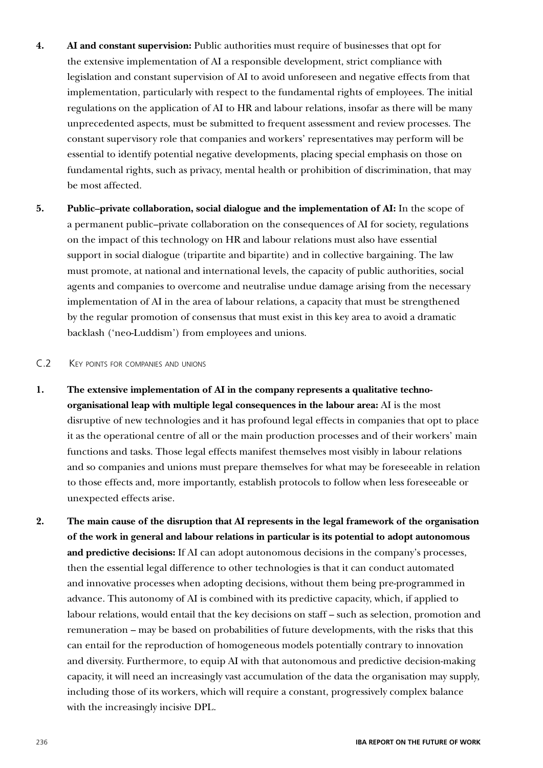- **4. AI and constant supervision:** Public authorities must require of businesses that opt for the extensive implementation of AI a responsible development, strict compliance with legislation and constant supervision of AI to avoid unforeseen and negative effects from that implementation, particularly with respect to the fundamental rights of employees. The initial regulations on the application of AI to HR and labour relations, insofar as there will be many unprecedented aspects, must be submitted to frequent assessment and review processes. The constant supervisory role that companies and workers' representatives may perform will be essential to identify potential negative developments, placing special emphasis on those on fundamental rights, such as privacy, mental health or prohibition of discrimination, that may be most affected.
- **5. Public–private collaboration, social dialogue and the implementation of AI:** In the scope of a permanent public–private collaboration on the consequences of AI for society, regulations on the impact of this technology on HR and labour relations must also have essential support in social dialogue (tripartite and bipartite) and in collective bargaining. The law must promote, at national and international levels, the capacity of public authorities, social agents and companies to overcome and neutralise undue damage arising from the necessary implementation of AI in the area of labour relations, a capacity that must be strengthened by the regular promotion of consensus that must exist in this key area to avoid a dramatic backlash ('neo-Luddism') from employees and unions.

#### C.2 Key points for companies and unions

- **1. The extensive implementation of AI in the company represents a qualitative technoorganisational leap with multiple legal consequences in the labour area:** AI is the most disruptive of new technologies and it has profound legal effects in companies that opt to place it as the operational centre of all or the main production processes and of their workers' main functions and tasks. Those legal effects manifest themselves most visibly in labour relations and so companies and unions must prepare themselves for what may be foreseeable in relation to those effects and, more importantly, establish protocols to follow when less foreseeable or unexpected effects arise.
- **2. The main cause of the disruption that AI represents in the legal framework of the organisation of the work in general and labour relations in particular is its potential to adopt autonomous and predictive decisions:** If AI can adopt autonomous decisions in the company's processes, then the essential legal difference to other technologies is that it can conduct automated and innovative processes when adopting decisions, without them being pre-programmed in advance. This autonomy of AI is combined with its predictive capacity, which, if applied to labour relations, would entail that the key decisions on staff – such as selection, promotion and remuneration – may be based on probabilities of future developments, with the risks that this can entail for the reproduction of homogeneous models potentially contrary to innovation and diversity. Furthermore, to equip AI with that autonomous and predictive decision-making capacity, it will need an increasingly vast accumulation of the data the organisation may supply, including those of its workers, which will require a constant, progressively complex balance with the increasingly incisive DPL.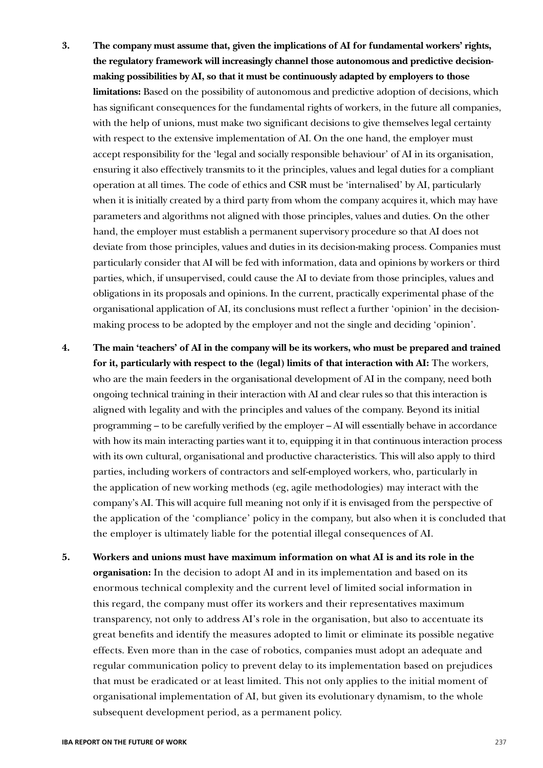- **3. The company must assume that, given the implications of AI for fundamental workers' rights, the regulatory framework will increasingly channel those autonomous and predictive decisionmaking possibilities by AI, so that it must be continuously adapted by employers to those limitations:** Based on the possibility of autonomous and predictive adoption of decisions, which has significant consequences for the fundamental rights of workers, in the future all companies, with the help of unions, must make two significant decisions to give themselves legal certainty with respect to the extensive implementation of AI. On the one hand, the employer must accept responsibility for the 'legal and socially responsible behaviour' of AI in its organisation, ensuring it also effectively transmits to it the principles, values and legal duties for a compliant operation at all times. The code of ethics and CSR must be 'internalised' by AI, particularly when it is initially created by a third party from whom the company acquires it, which may have parameters and algorithms not aligned with those principles, values and duties. On the other hand, the employer must establish a permanent supervisory procedure so that AI does not deviate from those principles, values and duties in its decision-making process. Companies must particularly consider that AI will be fed with information, data and opinions by workers or third parties, which, if unsupervised, could cause the AI to deviate from those principles, values and obligations in its proposals and opinions. In the current, practically experimental phase of the organisational application of AI, its conclusions must reflect a further 'opinion' in the decisionmaking process to be adopted by the employer and not the single and deciding 'opinion'.
- **4. The main 'teachers' of AI in the company will be its workers, who must be prepared and trained for it, particularly with respect to the (legal) limits of that interaction with AI:** The workers, who are the main feeders in the organisational development of AI in the company, need both ongoing technical training in their interaction with AI and clear rules so that this interaction is aligned with legality and with the principles and values of the company. Beyond its initial programming – to be carefully verified by the employer – AI will essentially behave in accordance with how its main interacting parties want it to, equipping it in that continuous interaction process with its own cultural, organisational and productive characteristics. This will also apply to third parties, including workers of contractors and self-employed workers, who, particularly in the application of new working methods (eg, agile methodologies) may interact with the company's AI. This will acquire full meaning not only if it is envisaged from the perspective of the application of the 'compliance' policy in the company, but also when it is concluded that the employer is ultimately liable for the potential illegal consequences of AI.
- **5. Workers and unions must have maximum information on what AI is and its role in the organisation:** In the decision to adopt AI and in its implementation and based on its enormous technical complexity and the current level of limited social information in this regard, the company must offer its workers and their representatives maximum transparency, not only to address AI's role in the organisation, but also to accentuate its great benefits and identify the measures adopted to limit or eliminate its possible negative effects. Even more than in the case of robotics, companies must adopt an adequate and regular communication policy to prevent delay to its implementation based on prejudices that must be eradicated or at least limited. This not only applies to the initial moment of organisational implementation of AI, but given its evolutionary dynamism, to the whole subsequent development period, as a permanent policy.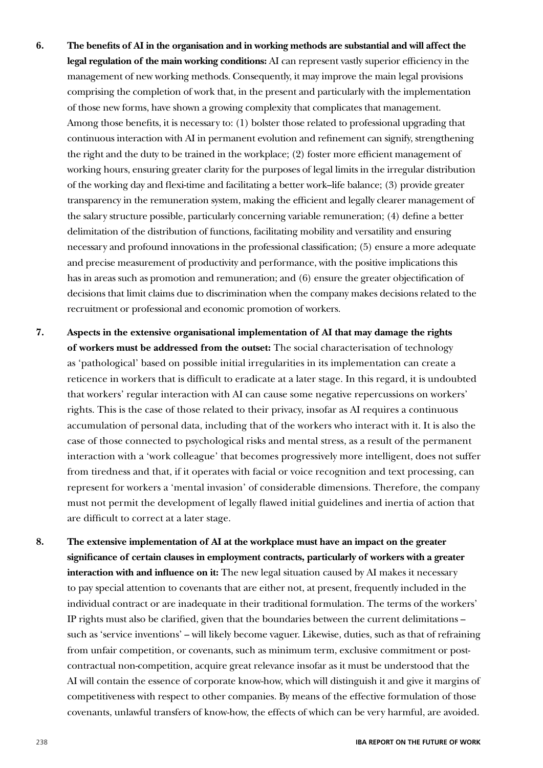- **6. The benefits of AI in the organisation and in working methods are substantial and will affect the legal regulation of the main working conditions:** AI can represent vastly superior efficiency in the management of new working methods. Consequently, it may improve the main legal provisions comprising the completion of work that, in the present and particularly with the implementation of those new forms, have shown a growing complexity that complicates that management. Among those benefits, it is necessary to: (1) bolster those related to professional upgrading that continuous interaction with AI in permanent evolution and refinement can signify, strengthening the right and the duty to be trained in the workplace; (2) foster more efficient management of working hours, ensuring greater clarity for the purposes of legal limits in the irregular distribution of the working day and flexi-time and facilitating a better work–life balance; (3) provide greater transparency in the remuneration system, making the efficient and legally clearer management of the salary structure possible, particularly concerning variable remuneration; (4) define a better delimitation of the distribution of functions, facilitating mobility and versatility and ensuring necessary and profound innovations in the professional classification; (5) ensure a more adequate and precise measurement of productivity and performance, with the positive implications this has in areas such as promotion and remuneration; and (6) ensure the greater objectification of decisions that limit claims due to discrimination when the company makes decisions related to the recruitment or professional and economic promotion of workers.
- **7. Aspects in the extensive organisational implementation of AI that may damage the rights of workers must be addressed from the outset:** The social characterisation of technology as 'pathological' based on possible initial irregularities in its implementation can create a reticence in workers that is difficult to eradicate at a later stage. In this regard, it is undoubted that workers' regular interaction with AI can cause some negative repercussions on workers' rights. This is the case of those related to their privacy, insofar as AI requires a continuous accumulation of personal data, including that of the workers who interact with it. It is also the case of those connected to psychological risks and mental stress, as a result of the permanent interaction with a 'work colleague' that becomes progressively more intelligent, does not suffer from tiredness and that, if it operates with facial or voice recognition and text processing, can represent for workers a 'mental invasion' of considerable dimensions. Therefore, the company must not permit the development of legally flawed initial guidelines and inertia of action that are difficult to correct at a later stage.
- **8. The extensive implementation of AI at the workplace must have an impact on the greater significance of certain clauses in employment contracts, particularly of workers with a greater interaction with and influence on it:** The new legal situation caused by AI makes it necessary to pay special attention to covenants that are either not, at present, frequently included in the individual contract or are inadequate in their traditional formulation. The terms of the workers' IP rights must also be clarified, given that the boundaries between the current delimitations – such as 'service inventions' – will likely become vaguer. Likewise, duties, such as that of refraining from unfair competition, or covenants, such as minimum term, exclusive commitment or postcontractual non-competition, acquire great relevance insofar as it must be understood that the AI will contain the essence of corporate know-how, which will distinguish it and give it margins of competitiveness with respect to other companies. By means of the effective formulation of those covenants, unlawful transfers of know-how, the effects of which can be very harmful, are avoided.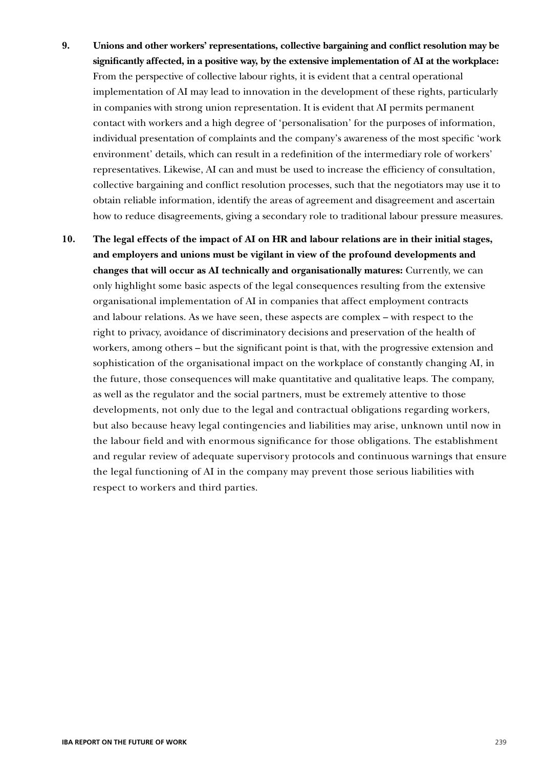- **9. Unions and other workers' representations, collective bargaining and conflict resolution may be significantly affected, in a positive way, by the extensive implementation of AI at the workplace:** From the perspective of collective labour rights, it is evident that a central operational implementation of AI may lead to innovation in the development of these rights, particularly in companies with strong union representation. It is evident that AI permits permanent contact with workers and a high degree of 'personalisation' for the purposes of information, individual presentation of complaints and the company's awareness of the most specific 'work environment' details, which can result in a redefinition of the intermediary role of workers' representatives. Likewise, AI can and must be used to increase the efficiency of consultation, collective bargaining and conflict resolution processes, such that the negotiators may use it to obtain reliable information, identify the areas of agreement and disagreement and ascertain how to reduce disagreements, giving a secondary role to traditional labour pressure measures.
- **10. The legal effects of the impact of AI on HR and labour relations are in their initial stages, and employers and unions must be vigilant in view of the profound developments and changes that will occur as AI technically and organisationally matures:** Currently, we can only highlight some basic aspects of the legal consequences resulting from the extensive organisational implementation of AI in companies that affect employment contracts and labour relations. As we have seen, these aspects are complex – with respect to the right to privacy, avoidance of discriminatory decisions and preservation of the health of workers, among others – but the significant point is that, with the progressive extension and sophistication of the organisational impact on the workplace of constantly changing AI, in the future, those consequences will make quantitative and qualitative leaps. The company, as well as the regulator and the social partners, must be extremely attentive to those developments, not only due to the legal and contractual obligations regarding workers, but also because heavy legal contingencies and liabilities may arise, unknown until now in the labour field and with enormous significance for those obligations. The establishment and regular review of adequate supervisory protocols and continuous warnings that ensure the legal functioning of AI in the company may prevent those serious liabilities with respect to workers and third parties.